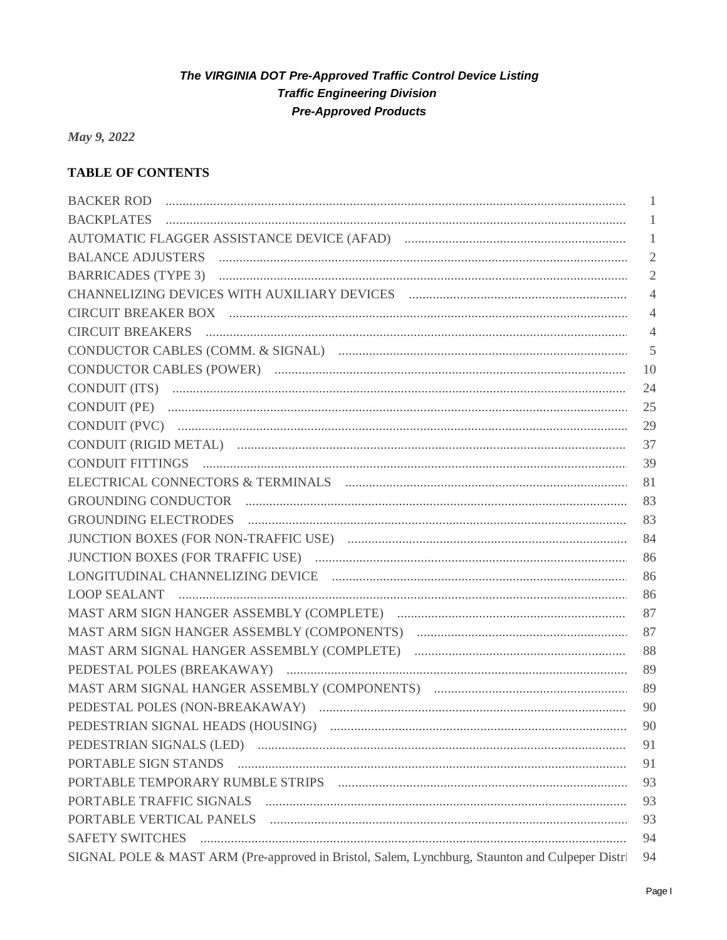May 9, 2022

## **TABLE OF CONTENTS**

|                                                                                                 | -1             |
|-------------------------------------------------------------------------------------------------|----------------|
|                                                                                                 | 1              |
|                                                                                                 | 1              |
|                                                                                                 | $\overline{2}$ |
|                                                                                                 | $\mathfrak{2}$ |
|                                                                                                 | $\overline{4}$ |
|                                                                                                 | $\overline{4}$ |
|                                                                                                 | 4              |
|                                                                                                 | 5              |
|                                                                                                 | 10             |
|                                                                                                 | 24             |
|                                                                                                 | 25             |
|                                                                                                 | 29             |
|                                                                                                 | 37             |
|                                                                                                 | 39             |
|                                                                                                 | 81             |
|                                                                                                 | 83             |
|                                                                                                 | 83             |
|                                                                                                 | 84             |
|                                                                                                 | 86             |
|                                                                                                 | 86             |
|                                                                                                 | 86             |
|                                                                                                 | 87             |
|                                                                                                 | 87             |
|                                                                                                 | 88             |
|                                                                                                 | 89             |
|                                                                                                 | 89             |
|                                                                                                 | 90             |
|                                                                                                 | 90             |
|                                                                                                 | 91             |
| PORTABLE SIGN STANDS FIGHT AND CONTROLLER SIGN STANDS                                           | 91             |
|                                                                                                 | 93             |
|                                                                                                 | 93             |
|                                                                                                 | 93             |
| <b>SAFETY SWITCHES</b>                                                                          | 94             |
| SIGNAL POLE & MAST ARM (Pre-approved in Bristol, Salem, Lynchburg, Staunton and Culpeper Distri | 94             |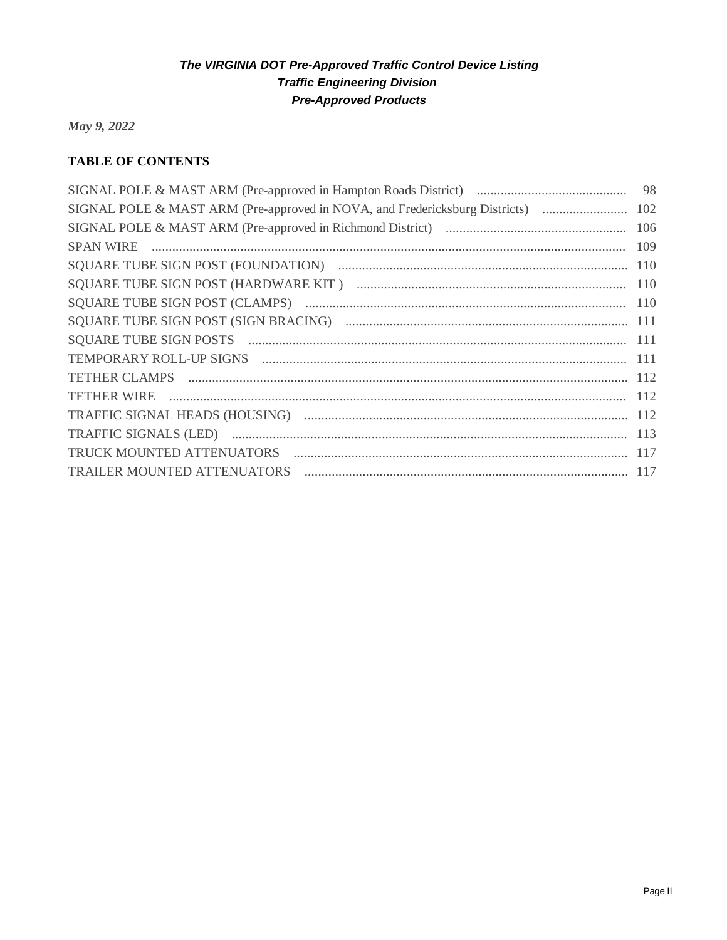May 9, 2022

# **TABLE OF CONTENTS**

|                                                                          | 110 |
|--------------------------------------------------------------------------|-----|
|                                                                          |     |
|                                                                          |     |
|                                                                          |     |
|                                                                          |     |
| TEMPORARY ROLL-UP SIGNS FIGHT AND CONTROLLER AND TEMPORARY ROLL-UP SIGNS | 111 |
|                                                                          |     |
| TETHER WIRE  112                                                         |     |
|                                                                          | 112 |
|                                                                          |     |
|                                                                          |     |
| TRAILER MOUNTED ATTENUATORS                                              |     |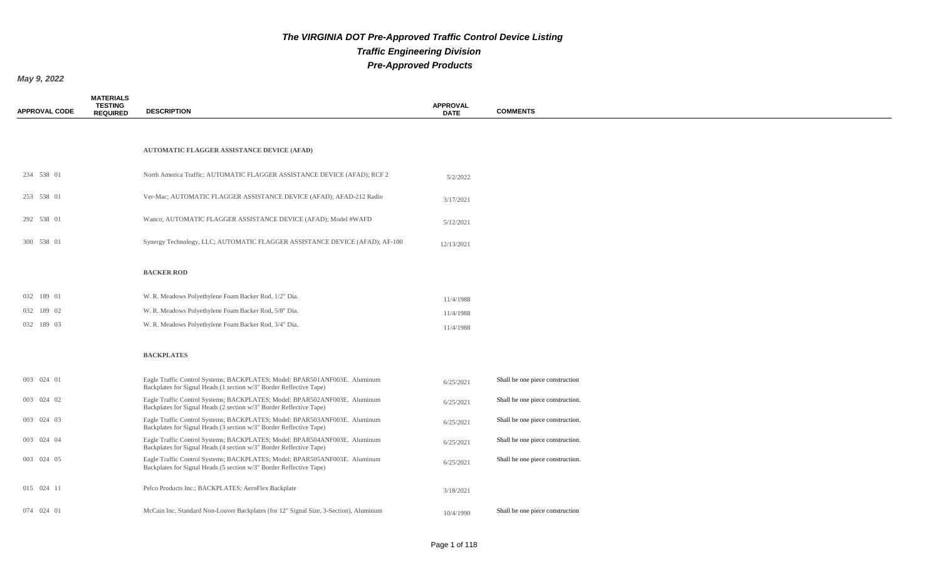*May 9, 2022*

**MATERIALS** 

| <b>APPROVAL CODE</b> | <b>TESTING</b><br><b>REQUIRED</b> | <b>DESCRIPTION</b>                                                                                                                                | <b>APPROVAL</b><br><b>DATE</b> | <b>COMMENTS</b>                  |
|----------------------|-----------------------------------|---------------------------------------------------------------------------------------------------------------------------------------------------|--------------------------------|----------------------------------|
|                      |                                   |                                                                                                                                                   |                                |                                  |
|                      |                                   | <b>AUTOMATIC FLAGGER ASSISTANCE DEVICE (AFAD)</b>                                                                                                 |                                |                                  |
| 234 538 01           |                                   | North America Traffic; AUTOMATIC FLAGGER ASSISTANCE DEVICE (AFAD); RCF 2                                                                          | 5/2/2022                       |                                  |
| 253 538 01           |                                   | Ver-Mac; AUTOMATIC FLAGGER ASSISTANCE DEVICE (AFAD); AFAD-212 Radio                                                                               | 3/17/2021                      |                                  |
| 292 538 01           |                                   | Wanco; AUTOMATIC FLAGGER ASSISTANCE DEVICE (AFAD); Model #WAFD                                                                                    | 5/12/2021                      |                                  |
| 300 538 01           |                                   | Synergy Technology, LLC; AUTOMATIC FLAGGER ASSISTANCE DEVICE (AFAD); AF-100                                                                       | 12/13/2021                     |                                  |
|                      |                                   | <b>BACKER ROD</b>                                                                                                                                 |                                |                                  |
| 032 189 01           |                                   | W. R. Meadows Polyethylene Foam Backer Rod, 1/2" Dia.                                                                                             | 11/4/1988                      |                                  |
| 032 189 02           |                                   | W. R. Meadows Polyethylene Foam Backer Rod, 5/8" Dia.                                                                                             | 11/4/1988                      |                                  |
| 032 189 03           |                                   | W. R. Meadows Polyethylene Foam Backer Rod, 3/4" Dia.                                                                                             | 11/4/1988                      |                                  |
|                      |                                   | <b>BACKPLATES</b>                                                                                                                                 |                                |                                  |
| 003 024 01           |                                   | Eagle Traffic Control Systems; BACKPLATES; Model: BPAR501ANF003E. Aluminum<br>Backplates for Signal Heads (1 section w/3" Border Reflective Tape) | 6/25/2021                      | Shall be one piece construction  |
| 003 024 02           |                                   | Eagle Traffic Control Systems; BACKPLATES; Model: BPAR502ANF003E. Aluminum<br>Backplates for Signal Heads (2 section w/3" Border Reflective Tape) | 6/25/2021                      | Shall be one piece construction. |
| 003 024 03           |                                   | Eagle Traffic Control Systems; BACKPLATES; Model: BPAR503ANF003E. Aluminum<br>Backplates for Signal Heads (3 section w/3" Border Reflective Tape) | 6/25/2021                      | Shall be one piece construction. |
| 003 024 04           |                                   | Eagle Traffic Control Systems; BACKPLATES; Model: BPAR504ANF003E. Aluminum<br>Backplates for Signal Heads (4 section w/3" Border Reflective Tape) | 6/25/2021                      | Shall be one piece construction. |
| 003 024 05           |                                   | Eagle Traffic Control Systems; BACKPLATES; Model: BPAR505ANF003E. Aluminum<br>Backplates for Signal Heads (5 section w/3" Border Reflective Tape) | 6/25/2021                      | Shall be one piece construction. |
| 015 024 11           |                                   | Pelco Products Inc.; BACKPLATES; AeroFlex Backplate                                                                                               | 3/18/2021                      |                                  |
| 074 024 01           |                                   | McCain Inc, Standard Non-Louver Backplates (for 12" Signal Size, 3-Section), Aluminum                                                             | 10/4/1990                      | Shall be one piece construction  |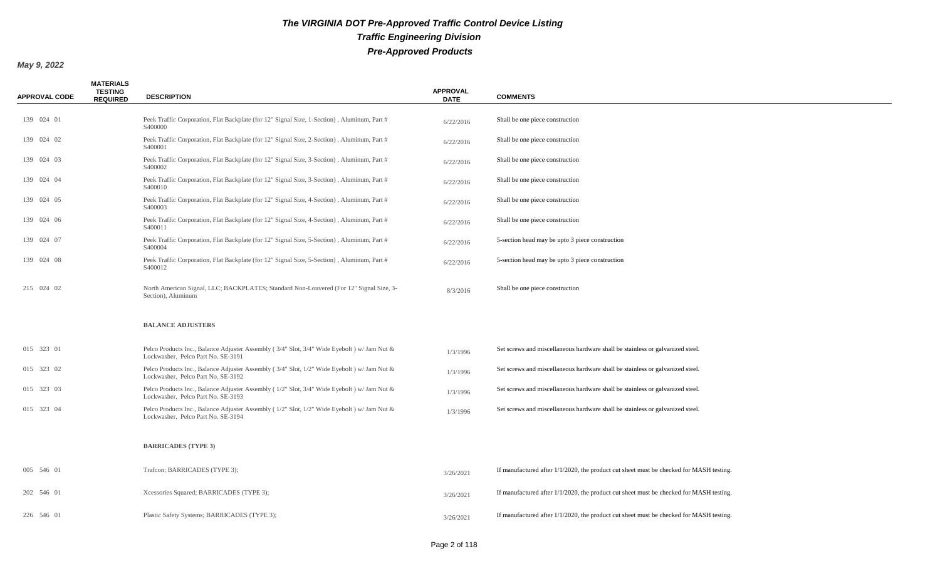| <b>APPROVAL CODE</b> | <b>MATERIALS</b><br><b>TESTING</b><br><b>REQUIRED</b> | <b>DESCRIPTION</b>                                                                                                                | <b>APPROVAL</b><br><b>DATE</b> | <b>COMMENTS</b>                                                                            |
|----------------------|-------------------------------------------------------|-----------------------------------------------------------------------------------------------------------------------------------|--------------------------------|--------------------------------------------------------------------------------------------|
| 139 024 01           |                                                       | Peek Traffic Corporation, Flat Backplate (for 12" Signal Size, 1-Section), Aluminum, Part #<br>S400000                            | 6/22/2016                      | Shall be one piece construction                                                            |
| 139 024 02           |                                                       | Peek Traffic Corporation, Flat Backplate (for 12" Signal Size, 2-Section), Aluminum, Part #<br>S400001                            | 6/22/2016                      | Shall be one piece construction                                                            |
| 139 024 03           |                                                       | Peek Traffic Corporation, Flat Backplate (for 12" Signal Size, 3-Section), Aluminum, Part #<br>S400002                            | 6/22/2016                      | Shall be one piece construction                                                            |
| 139 024 04           |                                                       | Peek Traffic Corporation, Flat Backplate (for 12" Signal Size, 3-Section), Aluminum, Part #<br>S400010                            | 6/22/2016                      | Shall be one piece construction                                                            |
| 139 024 05           |                                                       | Peek Traffic Corporation, Flat Backplate (for 12" Signal Size, 4-Section), Aluminum, Part #<br>S400003                            | 6/22/2016                      | Shall be one piece construction                                                            |
| 139 024 06           |                                                       | Peek Traffic Corporation, Flat Backplate (for 12" Signal Size, 4-Section), Aluminum, Part #<br>S400011                            | 6/22/2016                      | Shall be one piece construction                                                            |
| 139 024 07           |                                                       | Peek Traffic Corporation, Flat Backplate (for 12" Signal Size, 5-Section), Aluminum, Part #<br>S400004                            | 6/22/2016                      | 5-section head may be upto 3 piece construction                                            |
| 139 024 08           |                                                       | Peek Traffic Corporation, Flat Backplate (for 12" Signal Size, 5-Section), Aluminum, Part #<br>S400012                            | 6/22/2016                      | 5-section head may be upto 3 piece construction                                            |
| 215 024 02           |                                                       | North American Signal, LLC; BACKPLATES; Standard Non-Louvered (For 12" Signal Size, 3-<br>Section), Aluminum                      | 8/3/2016                       | Shall be one piece construction                                                            |
|                      |                                                       | <b>BALANCE ADJUSTERS</b>                                                                                                          |                                |                                                                                            |
| 015 323 01           |                                                       | Pelco Products Inc., Balance Adjuster Assembly (3/4" Slot, 3/4" Wide Eyebolt ) w/ Jam Nut &<br>Lockwasher. Pelco Part No. SE-3191 | 1/3/1996                       | Set screws and miscellaneous hardware shall be stainless or galvanized steel.              |
| 015 323 02           |                                                       | Pelco Products Inc., Balance Adjuster Assembly (3/4" Slot, 1/2" Wide Eyebolt ) w/ Jam Nut &<br>Lockwasher. Pelco Part No. SE-3192 | 1/3/1996                       | Set screws and miscellaneous hardware shall be stainless or galvanized steel.              |
| 015 323 03           |                                                       | Pelco Products Inc., Balance Adjuster Assembly (1/2" Slot, 3/4" Wide Eyebolt ) w/ Jam Nut &<br>Lockwasher. Pelco Part No. SE-3193 | 1/3/1996                       | Set screws and miscellaneous hardware shall be stainless or galvanized steel.              |
| 015 323 04           |                                                       | Pelco Products Inc., Balance Adjuster Assembly (1/2" Slot, 1/2" Wide Eyebolt ) w/ Jam Nut &<br>Lockwasher. Pelco Part No. SE-3194 | 1/3/1996                       | Set screws and miscellaneous hardware shall be stainless or galvanized steel.              |
|                      |                                                       | <b>BARRICADES (TYPE 3)</b>                                                                                                        |                                |                                                                                            |
| 005 546 01           |                                                       | Trafcon; BARRICADES (TYPE 3);                                                                                                     | 3/26/2021                      | If manufactured after $1/1/2020$ , the product cut sheet must be checked for MASH testing. |
| 202 546 01           |                                                       | Xcessories Squared; BARRICADES (TYPE 3);                                                                                          | 3/26/2021                      | If manufactured after $1/1/2020$ , the product cut sheet must be checked for MASH testing. |
| 226 546 01           |                                                       | Plastic Safety Systems; BARRICADES (TYPE 3);                                                                                      | 3/26/2021                      | If manufactured after $1/1/2020$ , the product cut sheet must be checked for MASH testing. |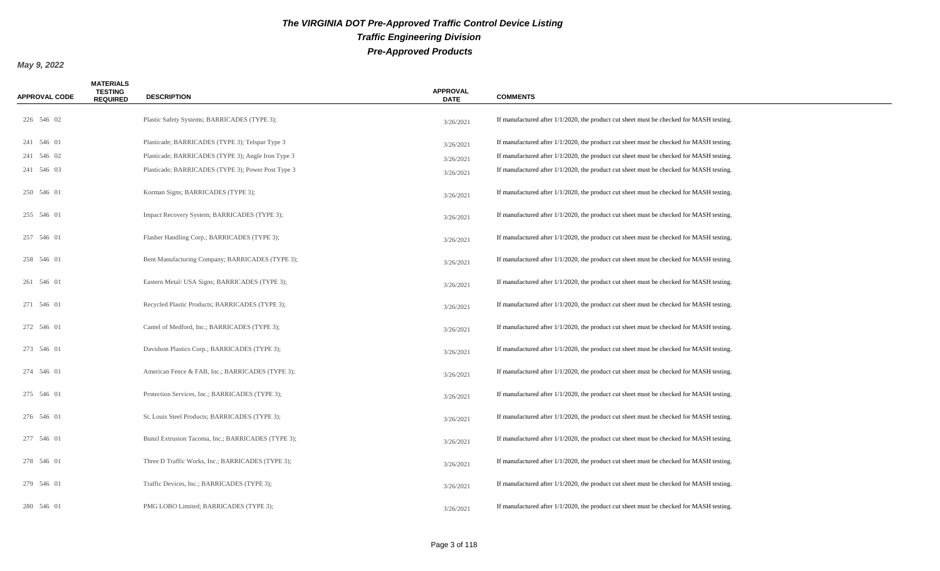| <b>APPROVAL CODE</b> | <b>MATERIALS</b><br><b>TESTING</b><br><b>REQUIRED</b> | <b>DESCRIPTION</b>                                 | <b>APPROVAL</b><br><b>DATE</b> | <b>COMMENTS</b>                                                                            |
|----------------------|-------------------------------------------------------|----------------------------------------------------|--------------------------------|--------------------------------------------------------------------------------------------|
| 226 546 02           |                                                       | Plastic Safety Systems; BARRICADES (TYPE 3);       | 3/26/2021                      | If manufactured after 1/1/2020, the product cut sheet must be checked for MASH testing.    |
| 241 546 01           |                                                       | Plasticade; BARRICADES (TYPE 3); Telspar Type 3    | 3/26/2021                      | If manufactured after $1/1/2020$ , the product cut sheet must be checked for MASH testing. |
| 241 546 02           |                                                       | Plasticade; BARRICADES (TYPE 3); Angle Iron Type 3 | 3/26/2021                      | If manufactured after 1/1/2020, the product cut sheet must be checked for MASH testing.    |
| 241 546 03           |                                                       | Plasticade; BARRICADES (TYPE 3); Power Post Type 3 | 3/26/2021                      | If manufactured after 1/1/2020, the product cut sheet must be checked for MASH testing.    |
| 250 546 01           |                                                       | Korman Signs; BARRICADES (TYPE 3);                 | 3/26/2021                      | If manufactured after 1/1/2020, the product cut sheet must be checked for MASH testing.    |
| 255 546 01           |                                                       | Impact Recovery System; BARRICADES (TYPE 3);       | 3/26/2021                      | If manufactured after $1/1/2020$ , the product cut sheet must be checked for MASH testing. |
| 257 546 01           |                                                       | Flasher Handling Corp.; BARRICADES (TYPE 3);       | 3/26/2021                      | If manufactured after 1/1/2020, the product cut sheet must be checked for MASH testing.    |
| 258 546 01           |                                                       | Bent Manufacturing Company; BARRICADES (TYPE 3);   | 3/26/2021                      | If manufactured after $1/1/2020$ , the product cut sheet must be checked for MASH testing. |
| 261 546 01           |                                                       | Eastern Metal/ USA Signs; BARRICADES (TYPE 3);     | 3/26/2021                      | If manufactured after 1/1/2020, the product cut sheet must be checked for MASH testing.    |
| 271 546 01           |                                                       | Recycled Plastic Products; BARRICADES (TYPE 3);    | 3/26/2021                      | If manufactured after 1/1/2020, the product cut sheet must be checked for MASH testing.    |
| 272 546 01           |                                                       | Cantel of Medford, Inc.; BARRICADES (TYPE 3);      | 3/26/2021                      | If manufactured after $1/1/2020$ , the product cut sheet must be checked for MASH testing. |
| 273 546 01           |                                                       | Davidson Plastics Corp.; BARRICADES (TYPE 3);      | 3/26/2021                      | If manufactured after 1/1/2020, the product cut sheet must be checked for MASH testing.    |
| 274 546 01           |                                                       | American Fence & FAB, Inc.; BARRICADES (TYPE 3);   | 3/26/2021                      | If manufactured after 1/1/2020, the product cut sheet must be checked for MASH testing.    |
| 275 546 01           |                                                       | Protection Services, Inc.; BARRICADES (TYPE 3);    | 3/26/2021                      | If manufactured after $1/1/2020$ , the product cut sheet must be checked for MASH testing. |
| 276 546 01           |                                                       | St. Louis Steel Products; BARRICADES (TYPE 3);     | 3/26/2021                      | If manufactured after $1/1/2020$ , the product cut sheet must be checked for MASH testing. |
| 277 546 01           |                                                       | Bunzl Extrusion Tacoma, Inc.; BARRICADES (TYPE 3); | 3/26/2021                      | If manufactured after $1/1/2020$ , the product cut sheet must be checked for MASH testing. |
| 278 546 01           |                                                       | Three D Traffic Works, Inc.; BARRICADES (TYPE 3);  | 3/26/2021                      | If manufactured after 1/1/2020, the product cut sheet must be checked for MASH testing.    |
| 279 546 01           |                                                       | Traffic Devices, Inc.; BARRICADES (TYPE 3);        | 3/26/2021                      | If manufactured after 1/1/2020, the product cut sheet must be checked for MASH testing.    |
| 280 546 01           |                                                       | PMG LOBO Limited; BARRICADES (TYPE 3);             | 3/26/2021                      | If manufactured after $1/1/2020$ , the product cut sheet must be checked for MASH testing. |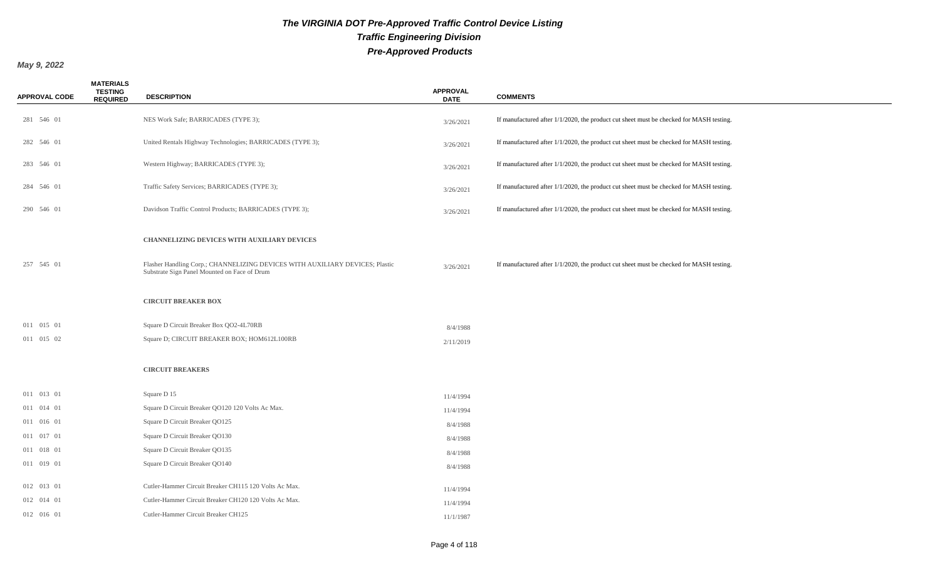| <b>APPROVAL CODE</b> | <b>MATERIALS</b><br><b>TESTING</b><br><b>REQUIRED</b> | <b>DESCRIPTION</b>                                                                                                           | <b>APPROVAL</b><br><b>DATE</b> | <b>COMMENTS</b>                                                                            |
|----------------------|-------------------------------------------------------|------------------------------------------------------------------------------------------------------------------------------|--------------------------------|--------------------------------------------------------------------------------------------|
| 281 546 01           |                                                       | NES Work Safe; BARRICADES (TYPE 3);                                                                                          | 3/26/2021                      | If manufactured after 1/1/2020, the product cut sheet must be checked for MASH testing.    |
| 282 546 01           |                                                       | United Rentals Highway Technologies; BARRICADES (TYPE 3);                                                                    | 3/26/2021                      | If manufactured after 1/1/2020, the product cut sheet must be checked for MASH testing.    |
| 283 546 01           |                                                       | Western Highway; BARRICADES (TYPE 3);                                                                                        | 3/26/2021                      | If manufactured after $1/1/2020$ , the product cut sheet must be checked for MASH testing. |
| 284 546 01           |                                                       | Traffic Safety Services; BARRICADES (TYPE 3);                                                                                | 3/26/2021                      | If manufactured after 1/1/2020, the product cut sheet must be checked for MASH testing.    |
| 290 546 01           |                                                       | Davidson Traffic Control Products; BARRICADES (TYPE 3);                                                                      | 3/26/2021                      | If manufactured after $1/1/2020$ , the product cut sheet must be checked for MASH testing. |
|                      |                                                       | <b>CHANNELIZING DEVICES WITH AUXILIARY DEVICES</b>                                                                           |                                |                                                                                            |
| 257 545 01           |                                                       | Flasher Handling Corp.; CHANNELIZING DEVICES WITH AUXILIARY DEVICES; Plastic<br>Substrate Sign Panel Mounted on Face of Drum | 3/26/2021                      | If manufactured after 1/1/2020, the product cut sheet must be checked for MASH testing.    |
|                      |                                                       | <b>CIRCUIT BREAKER BOX</b>                                                                                                   |                                |                                                                                            |
| 011 015 01           |                                                       | Square D Circuit Breaker Box QO2-4L70RB                                                                                      | 8/4/1988                       |                                                                                            |
| 011 015 02           |                                                       | Square D; CIRCUIT BREAKER BOX; HOM612L100RB                                                                                  | 2/11/2019                      |                                                                                            |
|                      |                                                       | <b>CIRCUIT BREAKERS</b>                                                                                                      |                                |                                                                                            |
| 011 013 01           |                                                       | Square D 15                                                                                                                  | 11/4/1994                      |                                                                                            |
| 011 014 01           |                                                       | Square D Circuit Breaker QO120 120 Volts Ac Max.                                                                             | 11/4/1994                      |                                                                                            |
| 011 016 01           |                                                       | Square D Circuit Breaker QO125                                                                                               | 8/4/1988                       |                                                                                            |
| 011 017 01           |                                                       | Square D Circuit Breaker QO130                                                                                               | 8/4/1988                       |                                                                                            |
| 011 018 01           |                                                       | Square D Circuit Breaker QO135                                                                                               | 8/4/1988                       |                                                                                            |
| 011 019 01           |                                                       | Square D Circuit Breaker QO140                                                                                               | 8/4/1988                       |                                                                                            |
| 012 013 01           |                                                       | Cutler-Hammer Circuit Breaker CH115 120 Volts Ac Max.                                                                        | 11/4/1994                      |                                                                                            |
| 012 014 01           |                                                       | Cutler-Hammer Circuit Breaker CH120 120 Volts Ac Max.                                                                        | 11/4/1994                      |                                                                                            |
| 012 016 01           |                                                       | Cutler-Hammer Circuit Breaker CH125                                                                                          | 11/1/1987                      |                                                                                            |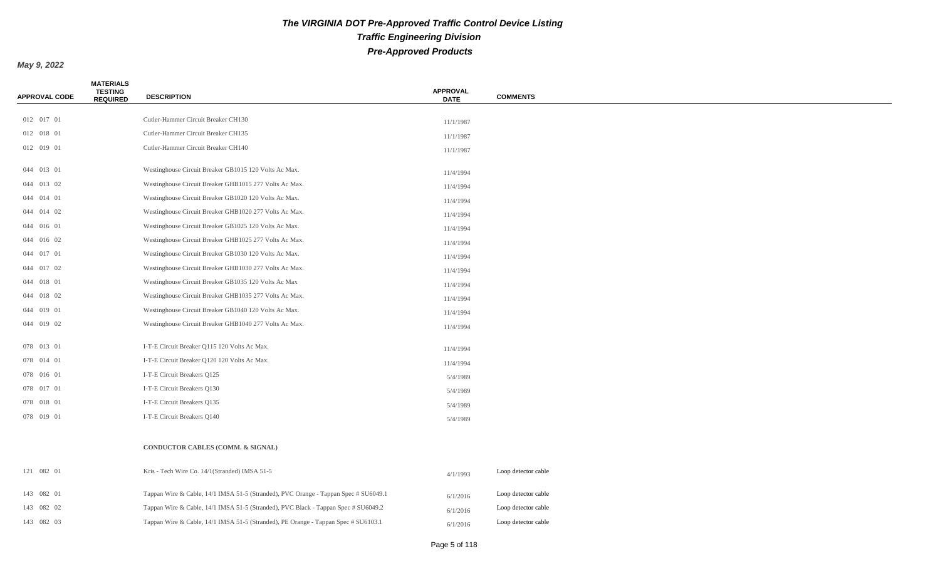| <b>APPROVAL CODE</b> | <b>MATERIALS</b><br><b>TESTING</b><br><b>REQUIRED</b> | <b>DESCRIPTION</b>                                                                  | <b>APPROVAL</b><br><b>DATE</b> | <b>COMMENTS</b>     |
|----------------------|-------------------------------------------------------|-------------------------------------------------------------------------------------|--------------------------------|---------------------|
|                      |                                                       |                                                                                     |                                |                     |
| 012 017 01           |                                                       | Cutler-Hammer Circuit Breaker CH130                                                 | 11/1/1987                      |                     |
| 012 018 01           |                                                       | Cutler-Hammer Circuit Breaker CH135                                                 | 11/1/1987                      |                     |
| 012 019 01           |                                                       | Cutler-Hammer Circuit Breaker CH140                                                 | 11/1/1987                      |                     |
| 044 013 01           |                                                       | Westinghouse Circuit Breaker GB1015 120 Volts Ac Max.                               | 11/4/1994                      |                     |
| 044 013 02           |                                                       | Westinghouse Circuit Breaker GHB1015 277 Volts Ac Max.                              | 11/4/1994                      |                     |
| 044 014 01           |                                                       | Westinghouse Circuit Breaker GB1020 120 Volts Ac Max.                               | 11/4/1994                      |                     |
| 044 014 02           |                                                       | Westinghouse Circuit Breaker GHB1020 277 Volts Ac Max.                              | 11/4/1994                      |                     |
| 044 016 01           |                                                       | Westinghouse Circuit Breaker GB1025 120 Volts Ac Max.                               | 11/4/1994                      |                     |
| 044 016 02           |                                                       | Westinghouse Circuit Breaker GHB1025 277 Volts Ac Max.                              | 11/4/1994                      |                     |
| 044 017 01           |                                                       | Westinghouse Circuit Breaker GB1030 120 Volts Ac Max.                               | 11/4/1994                      |                     |
| 044 017 02           |                                                       | Westinghouse Circuit Breaker GHB1030 277 Volts Ac Max.                              | 11/4/1994                      |                     |
| 044 018 01           |                                                       | Westinghouse Circuit Breaker GB1035 120 Volts Ac Max                                | 11/4/1994                      |                     |
| 044 018 02           |                                                       | Westinghouse Circuit Breaker GHB1035 277 Volts Ac Max.                              | 11/4/1994                      |                     |
| 044 019 01           |                                                       | Westinghouse Circuit Breaker GB1040 120 Volts Ac Max.                               | 11/4/1994                      |                     |
| 044 019 02           |                                                       | Westinghouse Circuit Breaker GHB1040 277 Volts Ac Max.                              | 11/4/1994                      |                     |
| 078 013 01           |                                                       | I-T-E Circuit Breaker Q115 120 Volts Ac Max.                                        | 11/4/1994                      |                     |
| 078 014 01           |                                                       | I-T-E Circuit Breaker Q120 120 Volts Ac Max.                                        | 11/4/1994                      |                     |
| 078 016 01           |                                                       | I-T-E Circuit Breakers Q125                                                         | 5/4/1989                       |                     |
| 078 017 01           |                                                       | I-T-E Circuit Breakers Q130                                                         | 5/4/1989                       |                     |
| 078 018 01           |                                                       | I-T-E Circuit Breakers Q135                                                         | 5/4/1989                       |                     |
| 078 019 01           |                                                       | I-T-E Circuit Breakers Q140                                                         | 5/4/1989                       |                     |
|                      |                                                       | CONDUCTOR CABLES (COMM. & SIGNAL)                                                   |                                |                     |
| 121 082 01           |                                                       | Kris - Tech Wire Co. 14/1(Stranded) IMSA 51-5                                       | 4/1/1993                       | Loop detector cable |
| 143 082 01           |                                                       | Tappan Wire & Cable, 14/1 IMSA 51-5 (Stranded), PVC Orange - Tappan Spec # SU6049.1 | 6/1/2016                       | Loop detector cable |
| 143 082 02           |                                                       | Tappan Wire & Cable, 14/1 IMSA 51-5 (Stranded), PVC Black - Tappan Spec # SU6049.2  | 6/1/2016                       | Loop detector cable |
| 143 082 03           |                                                       | Tappan Wire & Cable, 14/1 IMSA 51-5 (Stranded), PE Orange - Tappan Spec # SU6103.1  | 6/1/2016                       | Loop detector cable |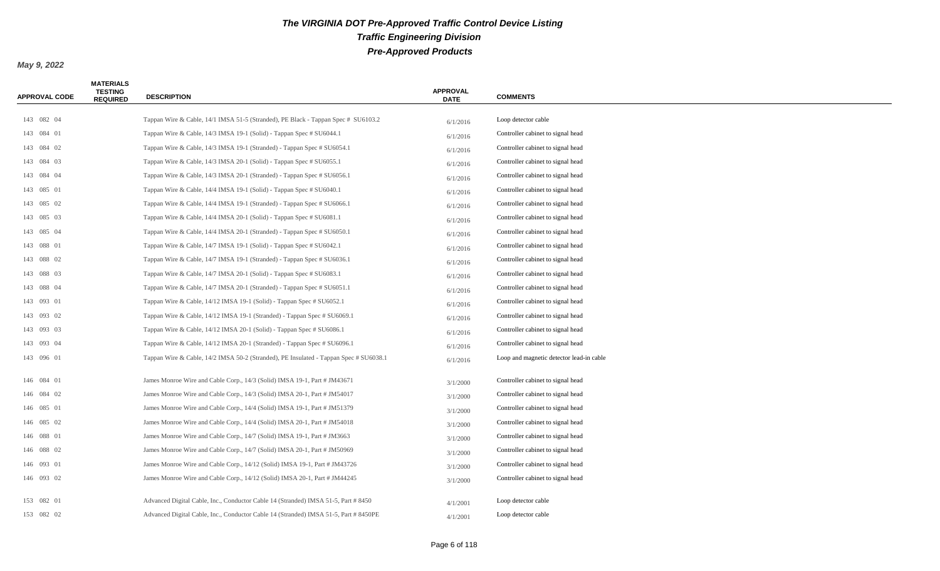| <b>APPROVAL CODE</b> | <b>MATERIALS</b><br><b>TESTING</b><br><b>REQUIRED</b> | <b>DESCRIPTION</b>                                                                    | <b>APPROVAL</b><br><b>DATE</b> | <b>COMMENTS</b>                          |
|----------------------|-------------------------------------------------------|---------------------------------------------------------------------------------------|--------------------------------|------------------------------------------|
|                      |                                                       |                                                                                       |                                |                                          |
| 143 082 04           |                                                       | Tappan Wire & Cable, 14/1 IMSA 51-5 (Stranded), PE Black - Tappan Spec # SU6103.2     | 6/1/2016                       | Loop detector cable                      |
| 143 084 01           |                                                       | Tappan Wire & Cable, 14/3 IMSA 19-1 (Solid) - Tappan Spec # SU6044.1                  | 6/1/2016                       | Controller cabinet to signal head        |
| 143 084 02           |                                                       | Tappan Wire & Cable, 14/3 IMSA 19-1 (Stranded) - Tappan Spec # SU6054.1               | 6/1/2016                       | Controller cabinet to signal head        |
| 143 084 03           |                                                       | Tappan Wire & Cable, 14/3 IMSA 20-1 (Solid) - Tappan Spec # SU6055.1                  | 6/1/2016                       | Controller cabinet to signal head        |
| 143 084 04           |                                                       | Tappan Wire & Cable, 14/3 IMSA 20-1 (Stranded) - Tappan Spec # SU6056.1               | 6/1/2016                       | Controller cabinet to signal head        |
| 143 085 01           |                                                       | Tappan Wire & Cable, 14/4 IMSA 19-1 (Solid) - Tappan Spec # SU6040.1                  | 6/1/2016                       | Controller cabinet to signal head        |
| 143 085 02           |                                                       | Tappan Wire & Cable, 14/4 IMSA 19-1 (Stranded) - Tappan Spec # SU6066.1               | 6/1/2016                       | Controller cabinet to signal head        |
| 143 085 03           |                                                       | Tappan Wire & Cable, 14/4 IMSA 20-1 (Solid) - Tappan Spec # SU6081.1                  | 6/1/2016                       | Controller cabinet to signal head        |
| 143 085 04           |                                                       | Tappan Wire & Cable, 14/4 IMSA 20-1 (Stranded) - Tappan Spec # SU6050.1               | 6/1/2016                       | Controller cabinet to signal head        |
| 143 088 01           |                                                       | Tappan Wire & Cable, 14/7 IMSA 19-1 (Solid) - Tappan Spec # SU6042.1                  | 6/1/2016                       | Controller cabinet to signal head        |
| 143 088 02           |                                                       | Tappan Wire & Cable, 14/7 IMSA 19-1 (Stranded) - Tappan Spec # SU6036.1               | 6/1/2016                       | Controller cabinet to signal head        |
| 143 088 03           |                                                       | Tappan Wire & Cable, 14/7 IMSA 20-1 (Solid) - Tappan Spec # SU6083.1                  | 6/1/2016                       | Controller cabinet to signal head        |
| 143 088 04           |                                                       | Tappan Wire & Cable, 14/7 IMSA 20-1 (Stranded) - Tappan Spec # SU6051.1               | 6/1/2016                       | Controller cabinet to signal head        |
| 143 093 01           |                                                       | Tappan Wire & Cable, 14/12 IMSA 19-1 (Solid) - Tappan Spec # SU6052.1                 | 6/1/2016                       | Controller cabinet to signal head        |
| 143 093 02           |                                                       | Tappan Wire & Cable, 14/12 IMSA 19-1 (Stranded) - Tappan Spec # SU6069.1              | 6/1/2016                       | Controller cabinet to signal head        |
| 143 093 03           |                                                       | Tappan Wire & Cable, 14/12 IMSA 20-1 (Solid) - Tappan Spec # SU6086.1                 | 6/1/2016                       | Controller cabinet to signal head        |
| 143 093 04           |                                                       | Tappan Wire & Cable, 14/12 IMSA 20-1 (Stranded) - Tappan Spec # SU6096.1              | 6/1/2016                       | Controller cabinet to signal head        |
| 143 096 01           |                                                       | Tappan Wire & Cable, 14/2 IMSA 50-2 (Stranded), PE Insulated - Tappan Spec # SU6038.1 | 6/1/2016                       | Loop and magnetic detector lead-in cable |
| 146 084 01           |                                                       | James Monroe Wire and Cable Corp., 14/3 (Solid) IMSA 19-1, Part # JM43671             | 3/1/2000                       | Controller cabinet to signal head        |
| 146 084 02           |                                                       | James Monroe Wire and Cable Corp., 14/3 (Solid) IMSA 20-1, Part # JM54017             | 3/1/2000                       | Controller cabinet to signal head        |
| 146 085 01           |                                                       | James Monroe Wire and Cable Corp., 14/4 (Solid) IMSA 19-1, Part # JM51379             | 3/1/2000                       | Controller cabinet to signal head        |
| 146 085 02           |                                                       | James Monroe Wire and Cable Corp., 14/4 (Solid) IMSA 20-1, Part # JM54018             | 3/1/2000                       | Controller cabinet to signal head        |
| 146 088 01           |                                                       | James Monroe Wire and Cable Corp., 14/7 (Solid) IMSA 19-1, Part # JM3663              | 3/1/2000                       | Controller cabinet to signal head        |
| 146 088 02           |                                                       | James Monroe Wire and Cable Corp., 14/7 (Solid) IMSA 20-1, Part # JM50969             | 3/1/2000                       | Controller cabinet to signal head        |
| 146 093 01           |                                                       | James Monroe Wire and Cable Corp., 14/12 (Solid) IMSA 19-1, Part # JM43726            | 3/1/2000                       | Controller cabinet to signal head        |
| 146 093 02           |                                                       | James Monroe Wire and Cable Corp., 14/12 (Solid) IMSA 20-1, Part # JM44245            | 3/1/2000                       | Controller cabinet to signal head        |
| 153 082 01           |                                                       | Advanced Digital Cable, Inc., Conductor Cable 14 (Stranded) IMSA 51-5, Part # 8450    | 4/1/2001                       | Loop detector cable                      |
| 153 082 02           |                                                       | Advanced Digital Cable, Inc., Conductor Cable 14 (Stranded) IMSA 51-5, Part # 8450PE  | 4/1/2001                       | Loop detector cable                      |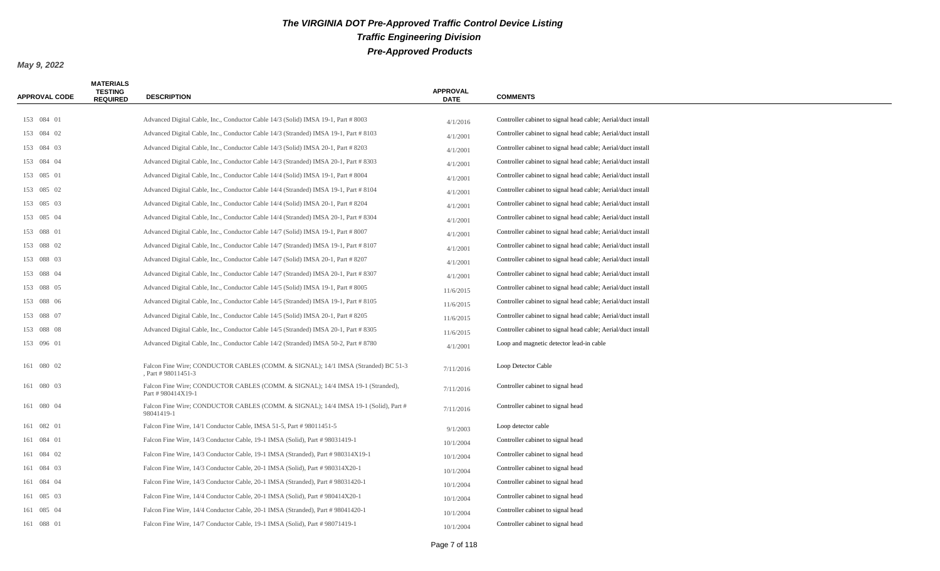| <b>APPROVAL CODE</b> | <b>MATERIALS</b><br><b>TESTING</b><br><b>REQUIRED</b> | <b>DESCRIPTION</b>                                                                                    | <b>APPROVAL</b><br><b>DATE</b> | <b>COMMENTS</b>                                              |
|----------------------|-------------------------------------------------------|-------------------------------------------------------------------------------------------------------|--------------------------------|--------------------------------------------------------------|
|                      |                                                       |                                                                                                       |                                |                                                              |
| 153 084 01           |                                                       | Advanced Digital Cable, Inc., Conductor Cable 14/3 (Solid) IMSA 19-1, Part # 8003                     | 4/1/2016                       | Controller cabinet to signal head cable; Aerial/duct install |
| 153 084 02           |                                                       | Advanced Digital Cable, Inc., Conductor Cable 14/3 (Stranded) IMSA 19-1, Part # 8103                  | 4/1/2001                       | Controller cabinet to signal head cable; Aerial/duct install |
| 153 084 03           |                                                       | Advanced Digital Cable, Inc., Conductor Cable 14/3 (Solid) IMSA 20-1, Part # 8203                     | 4/1/2001                       | Controller cabinet to signal head cable; Aerial/duct install |
| 153 084 04           |                                                       | Advanced Digital Cable, Inc., Conductor Cable 14/3 (Stranded) IMSA 20-1, Part # 8303                  | 4/1/2001                       | Controller cabinet to signal head cable; Aerial/duct install |
| 153 085 01           |                                                       | Advanced Digital Cable, Inc., Conductor Cable 14/4 (Solid) IMSA 19-1, Part # 8004                     | 4/1/2001                       | Controller cabinet to signal head cable; Aerial/duct install |
| 153 085 02           |                                                       | Advanced Digital Cable, Inc., Conductor Cable 14/4 (Stranded) IMSA 19-1, Part # 8104                  | 4/1/2001                       | Controller cabinet to signal head cable; Aerial/duct install |
| 153 085 03           |                                                       | Advanced Digital Cable, Inc., Conductor Cable 14/4 (Solid) IMSA 20-1, Part # 8204                     | 4/1/2001                       | Controller cabinet to signal head cable; Aerial/duct install |
| 153 085 04           |                                                       | Advanced Digital Cable, Inc., Conductor Cable 14/4 (Stranded) IMSA 20-1, Part # 8304                  | 4/1/2001                       | Controller cabinet to signal head cable; Aerial/duct install |
| 153 088 01           |                                                       | Advanced Digital Cable, Inc., Conductor Cable 14/7 (Solid) IMSA 19-1, Part # 8007                     | 4/1/2001                       | Controller cabinet to signal head cable; Aerial/duct install |
| 153 088 02           |                                                       | Advanced Digital Cable, Inc., Conductor Cable 14/7 (Stranded) IMSA 19-1, Part # 8107                  | 4/1/2001                       | Controller cabinet to signal head cable; Aerial/duct install |
| 153 088 03           |                                                       | Advanced Digital Cable, Inc., Conductor Cable 14/7 (Solid) IMSA 20-1, Part # 8207                     | 4/1/2001                       | Controller cabinet to signal head cable; Aerial/duct install |
| 153 088 04           |                                                       | Advanced Digital Cable, Inc., Conductor Cable 14/7 (Stranded) IMSA 20-1, Part # 8307                  | 4/1/2001                       | Controller cabinet to signal head cable; Aerial/duct install |
| 153 088 05           |                                                       | Advanced Digital Cable, Inc., Conductor Cable 14/5 (Solid) IMSA 19-1, Part # 8005                     | 11/6/2015                      | Controller cabinet to signal head cable; Aerial/duct install |
| 153 088 06           |                                                       | Advanced Digital Cable, Inc., Conductor Cable 14/5 (Stranded) IMSA 19-1, Part # 8105                  | 11/6/2015                      | Controller cabinet to signal head cable; Aerial/duct install |
| 153 088 07           |                                                       | Advanced Digital Cable, Inc., Conductor Cable 14/5 (Solid) IMSA 20-1, Part # 8205                     | 11/6/2015                      | Controller cabinet to signal head cable; Aerial/duct install |
| 153 088 08           |                                                       | Advanced Digital Cable, Inc., Conductor Cable 14/5 (Stranded) IMSA 20-1, Part # 8305                  | 11/6/2015                      | Controller cabinet to signal head cable; Aerial/duct install |
| 153 096 01           |                                                       | Advanced Digital Cable, Inc., Conductor Cable 14/2 (Stranded) IMSA 50-2, Part # 8780                  | 4/1/2001                       | Loop and magnetic detector lead-in cable                     |
| 161 080 02           |                                                       | Falcon Fine Wire; CONDUCTOR CABLES (COMM. & SIGNAL); 14/1 IMSA (Stranded) BC 51-3<br>Part #98011451-3 | 7/11/2016                      | Loop Detector Cable                                          |
| 161 080 03           |                                                       | Falcon Fine Wire; CONDUCTOR CABLES (COMM. & SIGNAL); 14/4 IMSA 19-1 (Stranded),<br>Part #980414X19-1  | 7/11/2016                      | Controller cabinet to signal head                            |
| 161 080 04           |                                                       | Falcon Fine Wire; CONDUCTOR CABLES (COMM. & SIGNAL); 14/4 IMSA 19-1 (Solid), Part #<br>98041419-1     | 7/11/2016                      | Controller cabinet to signal head                            |
| 161 082 01           |                                                       | Falcon Fine Wire, 14/1 Conductor Cable, IMSA 51-5, Part #98011451-5                                   | 9/1/2003                       | Loop detector cable                                          |
| 161 084 01           |                                                       | Falcon Fine Wire, 14/3 Conductor Cable, 19-1 IMSA (Solid), Part # 98031419-1                          | 10/1/2004                      | Controller cabinet to signal head                            |
| 161 084 02           |                                                       | Falcon Fine Wire, 14/3 Conductor Cable, 19-1 IMSA (Stranded), Part #980314X19-1                       | 10/1/2004                      | Controller cabinet to signal head                            |
| 161 084 03           |                                                       | Falcon Fine Wire, 14/3 Conductor Cable, 20-1 IMSA (Solid), Part #980314X20-1                          | 10/1/2004                      | Controller cabinet to signal head                            |
| 161 084 04           |                                                       | Falcon Fine Wire, 14/3 Conductor Cable, 20-1 IMSA (Stranded), Part # 98031420-1                       | 10/1/2004                      | Controller cabinet to signal head                            |
| 161 085 03           |                                                       | Falcon Fine Wire, 14/4 Conductor Cable, 20-1 IMSA (Solid), Part #980414X20-1                          | 10/1/2004                      | Controller cabinet to signal head                            |
| 161 085 04           |                                                       | Falcon Fine Wire, 14/4 Conductor Cable, 20-1 IMSA (Stranded), Part #98041420-1                        | 10/1/2004                      | Controller cabinet to signal head                            |
| 161 088 01           |                                                       | Falcon Fine Wire, 14/7 Conductor Cable, 19-1 IMSA (Solid), Part # 98071419-1                          | 10/1/2004                      | Controller cabinet to signal head                            |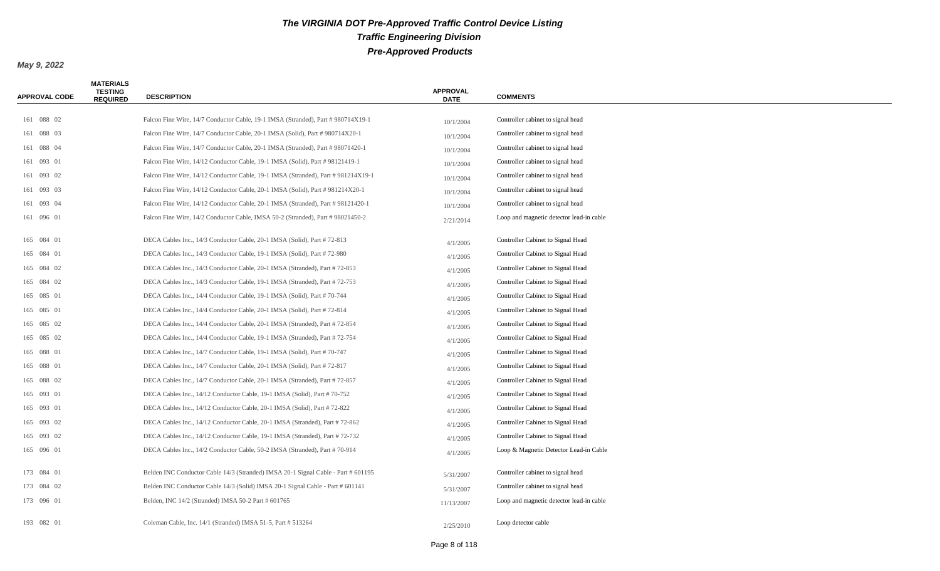| <b>APPROVAL CODE</b> | <b>MATERIALS</b><br><b>TESTING</b><br><b>REQUIRED</b> | <b>DESCRIPTION</b>                                                                | <b>APPROVAL</b><br><b>DATE</b> | <b>COMMENTS</b>                          |
|----------------------|-------------------------------------------------------|-----------------------------------------------------------------------------------|--------------------------------|------------------------------------------|
| 161 088 02           |                                                       | Falcon Fine Wire, 14/7 Conductor Cable, 19-1 IMSA (Stranded), Part #980714X19-1   |                                | Controller cabinet to signal head        |
| 161 088 03           |                                                       | Falcon Fine Wire, 14/7 Conductor Cable, 20-1 IMSA (Solid), Part #980714X20-1      | 10/1/2004                      | Controller cabinet to signal head        |
| 161 088 04           |                                                       | Falcon Fine Wire, 14/7 Conductor Cable, 20-1 IMSA (Stranded), Part #98071420-1    | 10/1/2004                      | Controller cabinet to signal head        |
| 161 093 01           |                                                       | Falcon Fine Wire, 14/12 Conductor Cable, 19-1 IMSA (Solid), Part #98121419-1      | 10/1/2004                      | Controller cabinet to signal head        |
| 161 093 02           |                                                       | Falcon Fine Wire, 14/12 Conductor Cable, 19-1 IMSA (Stranded), Part #981214X19-1  | 10/1/2004                      | Controller cabinet to signal head        |
| 161 093 03           |                                                       | Falcon Fine Wire, 14/12 Conductor Cable, 20-1 IMSA (Solid), Part #981214X20-1     | 10/1/2004                      | Controller cabinet to signal head        |
| 161 093 04           |                                                       | Falcon Fine Wire, 14/12 Conductor Cable, 20-1 IMSA (Stranded), Part #98121420-1   | 10/1/2004                      | Controller cabinet to signal head        |
| 161 096 01           |                                                       | Falcon Fine Wire, 14/2 Conductor Cable, IMSA 50-2 (Stranded), Part #98021450-2    | 10/1/2004<br>2/21/2014         | Loop and magnetic detector lead-in cable |
| 165 084 01           |                                                       | DECA Cables Inc., 14/3 Conductor Cable, 20-1 IMSA (Solid), Part #72-813           | 4/1/2005                       | Controller Cabinet to Signal Head        |
| 165 084 01           |                                                       | DECA Cables Inc., 14/3 Conductor Cable, 19-1 IMSA (Solid), Part #72-980           | 4/1/2005                       | Controller Cabinet to Signal Head        |
| 165 084 02           |                                                       | DECA Cables Inc., 14/3 Conductor Cable, 20-1 IMSA (Stranded), Part #72-853        | 4/1/2005                       | Controller Cabinet to Signal Head        |
| 165 084 02           |                                                       | DECA Cables Inc., 14/3 Conductor Cable, 19-1 IMSA (Stranded), Part #72-753        | 4/1/2005                       | Controller Cabinet to Signal Head        |
| 165 085 01           |                                                       | DECA Cables Inc., 14/4 Conductor Cable, 19-1 IMSA (Solid), Part #70-744           | 4/1/2005                       | Controller Cabinet to Signal Head        |
| 165 085 01           |                                                       | DECA Cables Inc., 14/4 Conductor Cable, 20-1 IMSA (Solid), Part #72-814           | 4/1/2005                       | Controller Cabinet to Signal Head        |
| 165 085 02           |                                                       | DECA Cables Inc., 14/4 Conductor Cable, 20-1 IMSA (Stranded), Part #72-854        | 4/1/2005                       | Controller Cabinet to Signal Head        |
| 165 085 02           |                                                       | DECA Cables Inc., 14/4 Conductor Cable, 19-1 IMSA (Stranded), Part #72-754        | 4/1/2005                       | Controller Cabinet to Signal Head        |
| 165 088 01           |                                                       | DECA Cables Inc., 14/7 Conductor Cable, 19-1 IMSA (Solid), Part #70-747           | 4/1/2005                       | Controller Cabinet to Signal Head        |
| 165 088 01           |                                                       | DECA Cables Inc., 14/7 Conductor Cable, 20-1 IMSA (Solid), Part #72-817           | 4/1/2005                       | Controller Cabinet to Signal Head        |
| 165 088 02           |                                                       | DECA Cables Inc., 14/7 Conductor Cable, 20-1 IMSA (Stranded), Part #72-857        | 4/1/2005                       | Controller Cabinet to Signal Head        |
| 165 093 01           |                                                       | DECA Cables Inc., 14/12 Conductor Cable, 19-1 IMSA (Solid), Part #70-752          | 4/1/2005                       | Controller Cabinet to Signal Head        |
| 165 093 01           |                                                       | DECA Cables Inc., 14/12 Conductor Cable, 20-1 IMSA (Solid), Part #72-822          | 4/1/2005                       | Controller Cabinet to Signal Head        |
| 165 093 02           |                                                       | DECA Cables Inc., 14/12 Conductor Cable, 20-1 IMSA (Stranded), Part #72-862       | 4/1/2005                       | Controller Cabinet to Signal Head        |
| 165 093 02           |                                                       | DECA Cables Inc., 14/12 Conductor Cable, 19-1 IMSA (Stranded), Part #72-732       | 4/1/2005                       | Controller Cabinet to Signal Head        |
| 165 096 01           |                                                       | DECA Cables Inc., 14/2 Conductor Cable, 50-2 IMSA (Stranded), Part #70-914        | 4/1/2005                       | Loop & Magnetic Detector Lead-in Cable   |
| 173 084 01           |                                                       | Belden INC Conductor Cable 14/3 (Stranded) IMSA 20-1 Signal Cable - Part # 601195 | 5/31/2007                      | Controller cabinet to signal head        |
| 173 084 02           |                                                       | Belden INC Conductor Cable 14/3 (Solid) IMSA 20-1 Signal Cable - Part # 601141    | 5/31/2007                      | Controller cabinet to signal head        |
| 173 096 01           |                                                       | Belden, INC 14/2 (Stranded) IMSA 50-2 Part # 601765                               | 11/13/2007                     | Loop and magnetic detector lead-in cable |
| 193 082 01           |                                                       | Coleman Cable, Inc. 14/1 (Stranded) IMSA 51-5, Part # 513264                      | 2/25/2010                      | Loop detector cable                      |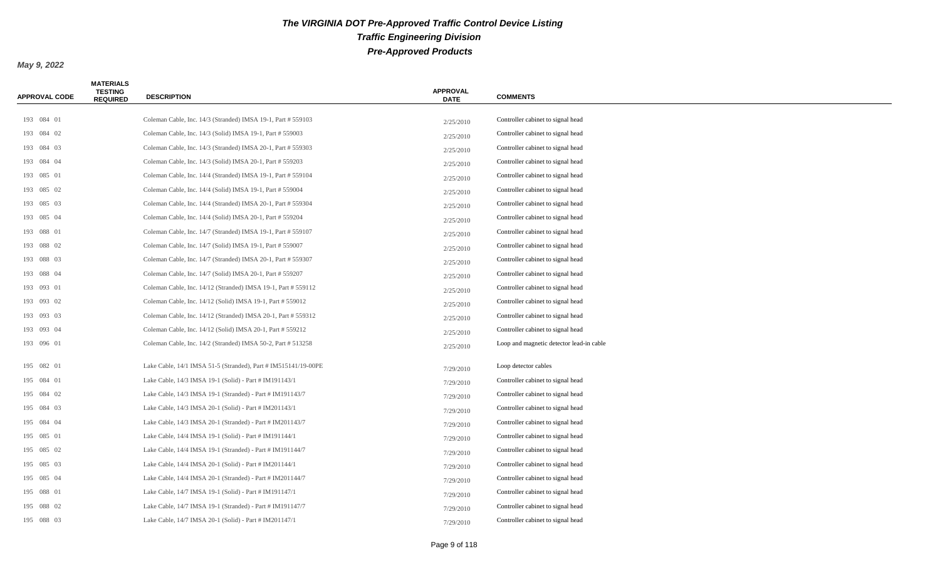| APPROVAL CODE | <b>MATERIALS</b><br><b>TESTING</b><br><b>REQUIRED</b> | <b>DESCRIPTION</b>                                             | <b>APPROVAL</b><br><b>DATE</b> | <b>COMMENTS</b>                          |
|---------------|-------------------------------------------------------|----------------------------------------------------------------|--------------------------------|------------------------------------------|
|               |                                                       |                                                                |                                |                                          |
| 193 084 01    |                                                       | Coleman Cable, Inc. 14/3 (Stranded) IMSA 19-1, Part # 559103   | 2/25/2010                      | Controller cabinet to signal head        |
| 193 084 02    |                                                       | Coleman Cable, Inc. 14/3 (Solid) IMSA 19-1, Part # 559003      | 2/25/2010                      | Controller cabinet to signal head        |
| 193 084 03    |                                                       | Coleman Cable, Inc. 14/3 (Stranded) IMSA 20-1, Part # 559303   | 2/25/2010                      | Controller cabinet to signal head        |
| 193 084 04    |                                                       | Coleman Cable, Inc. 14/3 (Solid) IMSA 20-1, Part # 559203      | 2/25/2010                      | Controller cabinet to signal head        |
| 193 085 01    |                                                       | Coleman Cable, Inc. 14/4 (Stranded) IMSA 19-1, Part # 559104   | 2/25/2010                      | Controller cabinet to signal head        |
| 193 085 02    |                                                       | Coleman Cable, Inc. 14/4 (Solid) IMSA 19-1, Part # 559004      | 2/25/2010                      | Controller cabinet to signal head        |
| 193 085 03    |                                                       | Coleman Cable, Inc. 14/4 (Stranded) IMSA 20-1, Part # 559304   | 2/25/2010                      | Controller cabinet to signal head        |
| 193 085 04    |                                                       | Coleman Cable, Inc. 14/4 (Solid) IMSA 20-1, Part # 559204      | 2/25/2010                      | Controller cabinet to signal head        |
| 193 088 01    |                                                       | Coleman Cable, Inc. 14/7 (Stranded) IMSA 19-1, Part # 559107   | 2/25/2010                      | Controller cabinet to signal head        |
| 193 088 02    |                                                       | Coleman Cable, Inc. 14/7 (Solid) IMSA 19-1, Part # 559007      | 2/25/2010                      | Controller cabinet to signal head        |
| 193 088 03    |                                                       | Coleman Cable, Inc. 14/7 (Stranded) IMSA 20-1, Part # 559307   | 2/25/2010                      | Controller cabinet to signal head        |
| 193 088 04    |                                                       | Coleman Cable, Inc. 14/7 (Solid) IMSA 20-1, Part # 559207      | 2/25/2010                      | Controller cabinet to signal head        |
| 193 093 01    |                                                       | Coleman Cable, Inc. 14/12 (Stranded) IMSA 19-1, Part # 559112  | 2/25/2010                      | Controller cabinet to signal head        |
| 193 093 02    |                                                       | Coleman Cable, Inc. 14/12 (Solid) IMSA 19-1, Part # 559012     | 2/25/2010                      | Controller cabinet to signal head        |
| 193 093 03    |                                                       | Coleman Cable, Inc. 14/12 (Stranded) IMSA 20-1, Part # 559312  | 2/25/2010                      | Controller cabinet to signal head        |
| 193 093 04    |                                                       | Coleman Cable, Inc. 14/12 (Solid) IMSA 20-1, Part # 559212     | 2/25/2010                      | Controller cabinet to signal head        |
| 193 096 01    |                                                       | Coleman Cable, Inc. 14/2 (Stranded) IMSA 50-2, Part # 513258   | 2/25/2010                      | Loop and magnetic detector lead-in cable |
| 195 082 01    |                                                       | Lake Cable, 14/1 IMSA 51-5 (Stranded), Part # IM515141/19-00PE | 7/29/2010                      | Loop detector cables                     |
| 195 084 01    |                                                       | Lake Cable, 14/3 IMSA 19-1 (Solid) - Part # IM191143/1         | 7/29/2010                      | Controller cabinet to signal head        |
| 195 084 02    |                                                       | Lake Cable, 14/3 IMSA 19-1 (Stranded) - Part # IM191143/7      | 7/29/2010                      | Controller cabinet to signal head        |
| 195 084 03    |                                                       | Lake Cable, 14/3 IMSA 20-1 (Solid) - Part # IM201143/1         | 7/29/2010                      | Controller cabinet to signal head        |
| 195 084 04    |                                                       | Lake Cable, 14/3 IMSA 20-1 (Stranded) - Part # IM201143/7      | 7/29/2010                      | Controller cabinet to signal head        |
| 195 085 01    |                                                       | Lake Cable, 14/4 IMSA 19-1 (Solid) - Part # IM191144/1         | 7/29/2010                      | Controller cabinet to signal head        |
| 195 085 02    |                                                       | Lake Cable, 14/4 IMSA 19-1 (Stranded) - Part # IM191144/7      | 7/29/2010                      | Controller cabinet to signal head        |
| 195 085 03    |                                                       | Lake Cable, 14/4 IMSA 20-1 (Solid) - Part # IM201144/1         | 7/29/2010                      | Controller cabinet to signal head        |
| 195 085 04    |                                                       | Lake Cable, 14/4 IMSA 20-1 (Stranded) - Part # IM201144/7      | 7/29/2010                      | Controller cabinet to signal head        |
| 195 088 01    |                                                       | Lake Cable, 14/7 IMSA 19-1 (Solid) - Part # IM191147/1         | 7/29/2010                      | Controller cabinet to signal head        |
| 195 088 02    |                                                       | Lake Cable, 14/7 IMSA 19-1 (Stranded) - Part # IM191147/7      | 7/29/2010                      | Controller cabinet to signal head        |
| 195 088 03    |                                                       | Lake Cable, 14/7 IMSA 20-1 (Solid) - Part # IM201147/1         | 7/29/2010                      | Controller cabinet to signal head        |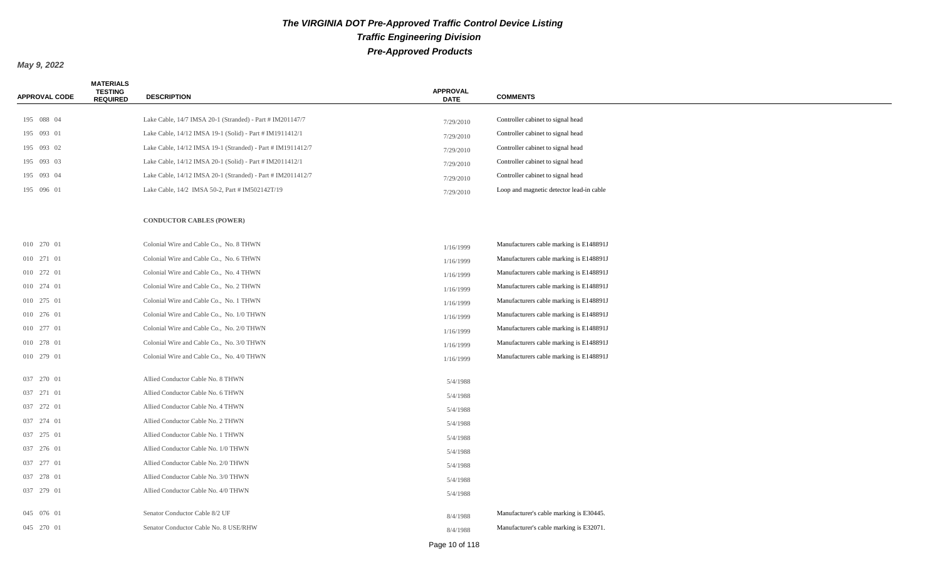| <b>APPROVAL CODE</b> | <b>MATERIALS</b><br><b>TESTING</b><br><b>REQUIRED</b> | <b>DESCRIPTION</b>                                          | <b>APPROVAL</b><br><b>DATE</b> | <b>COMMENTS</b>                          |
|----------------------|-------------------------------------------------------|-------------------------------------------------------------|--------------------------------|------------------------------------------|
|                      |                                                       |                                                             |                                |                                          |
| 195 088 04           |                                                       | Lake Cable, 14/7 IMSA 20-1 (Stranded) - Part # IM201147/7   | 7/29/2010                      | Controller cabinet to signal head        |
| 195 093 01           |                                                       | Lake Cable, 14/12 IMSA 19-1 (Solid) - Part # IM1911412/1    | 7/29/2010                      | Controller cabinet to signal head        |
| 195 093 02           |                                                       | Lake Cable, 14/12 IMSA 19-1 (Stranded) - Part # IM1911412/7 | 7/29/2010                      | Controller cabinet to signal head        |
| 195 093 03           |                                                       | Lake Cable, 14/12 IMSA 20-1 (Solid) - Part # IM2011412/1    | 7/29/2010                      | Controller cabinet to signal head        |
| 195 093 04           |                                                       | Lake Cable, 14/12 IMSA 20-1 (Stranded) - Part # IM2011412/7 | 7/29/2010                      | Controller cabinet to signal head        |
| 195 096 01           |                                                       | Lake Cable, 14/2 IMSA 50-2, Part # IM502142T/19             | 7/29/2010                      | Loop and magnetic detector lead-in cable |
|                      |                                                       | <b>CONDUCTOR CABLES (POWER)</b>                             |                                |                                          |
| 010 270 01           |                                                       | Colonial Wire and Cable Co., No. 8 THWN                     | 1/16/1999                      | Manufacturers cable marking is E148891J  |
| 010 271 01           |                                                       | Colonial Wire and Cable Co., No. 6 THWN                     | 1/16/1999                      | Manufacturers cable marking is E148891J  |
| 010 272 01           |                                                       | Colonial Wire and Cable Co., No. 4 THWN                     | 1/16/1999                      | Manufacturers cable marking is E148891J  |
| 010 274 01           |                                                       | Colonial Wire and Cable Co., No. 2 THWN                     | 1/16/1999                      | Manufacturers cable marking is E148891J  |
| 010 275 01           |                                                       | Colonial Wire and Cable Co., No. 1 THWN                     | 1/16/1999                      | Manufacturers cable marking is E148891J  |
| 010 276 01           |                                                       | Colonial Wire and Cable Co., No. 1/0 THWN                   | 1/16/1999                      | Manufacturers cable marking is E148891J  |
| 010 277 01           |                                                       | Colonial Wire and Cable Co., No. 2/0 THWN                   | 1/16/1999                      | Manufacturers cable marking is E148891J  |
| 010 278 01           |                                                       | Colonial Wire and Cable Co., No. 3/0 THWN                   | 1/16/1999                      | Manufacturers cable marking is E148891J  |
| 010 279 01           |                                                       | Colonial Wire and Cable Co., No. 4/0 THWN                   | 1/16/1999                      | Manufacturers cable marking is E148891J  |
| 037 270 01           |                                                       | Allied Conductor Cable No. 8 THWN                           | 5/4/1988                       |                                          |
| 037 271 01           |                                                       | Allied Conductor Cable No. 6 THWN                           | 5/4/1988                       |                                          |
| 037 272 01           |                                                       | Allied Conductor Cable No. 4 THWN                           | 5/4/1988                       |                                          |
| 037 274 01           |                                                       | Allied Conductor Cable No. 2 THWN                           | 5/4/1988                       |                                          |
| 037 275 01           |                                                       | Allied Conductor Cable No. 1 THWN                           | 5/4/1988                       |                                          |
| 037 276 01           |                                                       | Allied Conductor Cable No. 1/0 THWN                         | 5/4/1988                       |                                          |
| 037 277 01           |                                                       | Allied Conductor Cable No. 2/0 THWN                         | 5/4/1988                       |                                          |
| 037 278 01           |                                                       | Allied Conductor Cable No. 3/0 THWN                         | 5/4/1988                       |                                          |
| 037 279 01           |                                                       | Allied Conductor Cable No. 4/0 THWN                         | 5/4/1988                       |                                          |
| 045 076 01           |                                                       | Senator Conductor Cable 8/2 UF                              | 8/4/1988                       | Manufacturer's cable marking is E30445.  |
| 045 270 01           |                                                       | Senator Conductor Cable No. 8 USE/RHW                       | 8/4/1988                       | Manufacturer's cable marking is E32071.  |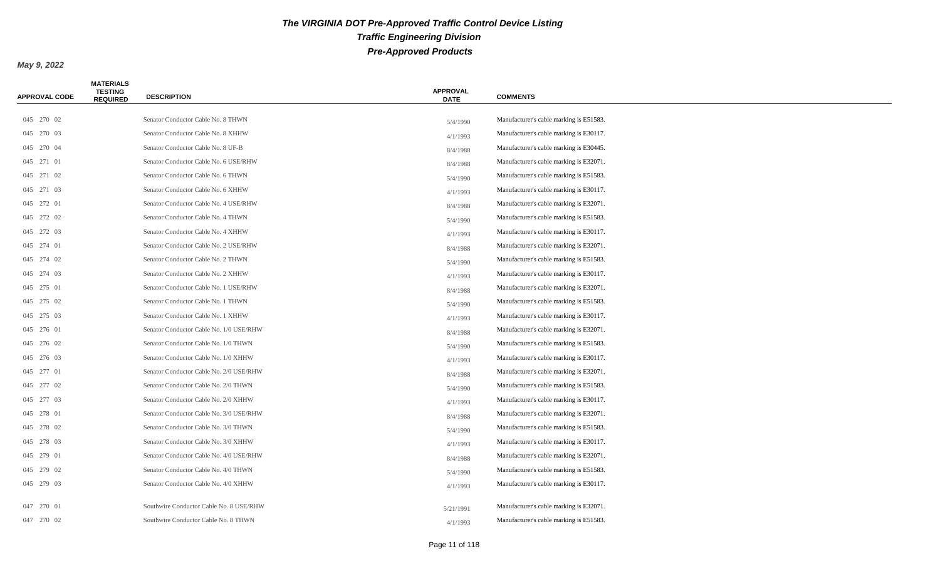| APPROVAL CODE | <b>MATERIALS</b><br><b>TESTING</b><br><b>REQUIRED</b> | <b>DESCRIPTION</b>                      | <b>APPROVAL</b><br><b>DATE</b> | <b>COMMENTS</b>                         |
|---------------|-------------------------------------------------------|-----------------------------------------|--------------------------------|-----------------------------------------|
|               |                                                       |                                         |                                |                                         |
| 045 270 02    |                                                       | Senator Conductor Cable No. 8 THWN      | 5/4/1990                       | Manufacturer's cable marking is E51583. |
| 045 270 03    |                                                       | Senator Conductor Cable No. 8 XHHW      | 4/1/1993                       | Manufacturer's cable marking is E30117. |
| 045 270 04    |                                                       | Senator Conductor Cable No. 8 UF-B      | 8/4/1988                       | Manufacturer's cable marking is E30445. |
| 045 271 01    |                                                       | Senator Conductor Cable No. 6 USE/RHW   | 8/4/1988                       | Manufacturer's cable marking is E32071. |
| 045 271 02    |                                                       | Senator Conductor Cable No. 6 THWN      | 5/4/1990                       | Manufacturer's cable marking is E51583. |
| 045 271 03    |                                                       | Senator Conductor Cable No. 6 XHHW      | 4/1/1993                       | Manufacturer's cable marking is E30117. |
| 045 272 01    |                                                       | Senator Conductor Cable No. 4 USE/RHW   | 8/4/1988                       | Manufacturer's cable marking is E32071. |
| 045 272 02    |                                                       | Senator Conductor Cable No. 4 THWN      | 5/4/1990                       | Manufacturer's cable marking is E51583. |
| 045 272 03    |                                                       | Senator Conductor Cable No. 4 XHHW      | 4/1/1993                       | Manufacturer's cable marking is E30117. |
| 045 274 01    |                                                       | Senator Conductor Cable No. 2 USE/RHW   | 8/4/1988                       | Manufacturer's cable marking is E32071. |
| 045 274 02    |                                                       | Senator Conductor Cable No. 2 THWN      | 5/4/1990                       | Manufacturer's cable marking is E51583. |
| 045 274 03    |                                                       | Senator Conductor Cable No. 2 XHHW      | 4/1/1993                       | Manufacturer's cable marking is E30117. |
| 045 275 01    |                                                       | Senator Conductor Cable No. 1 USE/RHW   | 8/4/1988                       | Manufacturer's cable marking is E32071. |
| 045 275 02    |                                                       | Senator Conductor Cable No. 1 THWN      | 5/4/1990                       | Manufacturer's cable marking is E51583. |
| 045 275 03    |                                                       | Senator Conductor Cable No. 1 XHHW      | 4/1/1993                       | Manufacturer's cable marking is E30117. |
| 045 276 01    |                                                       | Senator Conductor Cable No. 1/0 USE/RHW | 8/4/1988                       | Manufacturer's cable marking is E32071. |
| 045 276 02    |                                                       | Senator Conductor Cable No. 1/0 THWN    | 5/4/1990                       | Manufacturer's cable marking is E51583. |
| 045 276 03    |                                                       | Senator Conductor Cable No. 1/0 XHHW    | 4/1/1993                       | Manufacturer's cable marking is E30117. |
| 045 277 01    |                                                       | Senator Conductor Cable No. 2/0 USE/RHW | 8/4/1988                       | Manufacturer's cable marking is E32071. |
| 045 277 02    |                                                       | Senator Conductor Cable No. 2/0 THWN    | 5/4/1990                       | Manufacturer's cable marking is E51583. |
| 045 277 03    |                                                       | Senator Conductor Cable No. 2/0 XHHW    | 4/1/1993                       | Manufacturer's cable marking is E30117. |
| 045 278 01    |                                                       | Senator Conductor Cable No. 3/0 USE/RHW | 8/4/1988                       | Manufacturer's cable marking is E32071. |
| 045 278 02    |                                                       | Senator Conductor Cable No. 3/0 THWN    | 5/4/1990                       | Manufacturer's cable marking is E51583. |
| 045 278 03    |                                                       | Senator Conductor Cable No. 3/0 XHHW    | 4/1/1993                       | Manufacturer's cable marking is E30117. |
| 045 279 01    |                                                       | Senator Conductor Cable No. 4/0 USE/RHW | 8/4/1988                       | Manufacturer's cable marking is E32071. |
| 045 279 02    |                                                       | Senator Conductor Cable No. 4/0 THWN    | 5/4/1990                       | Manufacturer's cable marking is E51583. |
| 045 279 03    |                                                       | Senator Conductor Cable No. 4/0 XHHW    | 4/1/1993                       | Manufacturer's cable marking is E30117. |
|               |                                                       |                                         |                                |                                         |
| 047 270 01    |                                                       | Southwire Conductor Cable No. 8 USE/RHW | 5/21/1991                      | Manufacturer's cable marking is E32071. |
| 047 270 02    |                                                       | Southwire Conductor Cable No. 8 THWN    | 4/1/1993                       | Manufacturer's cable marking is E51583. |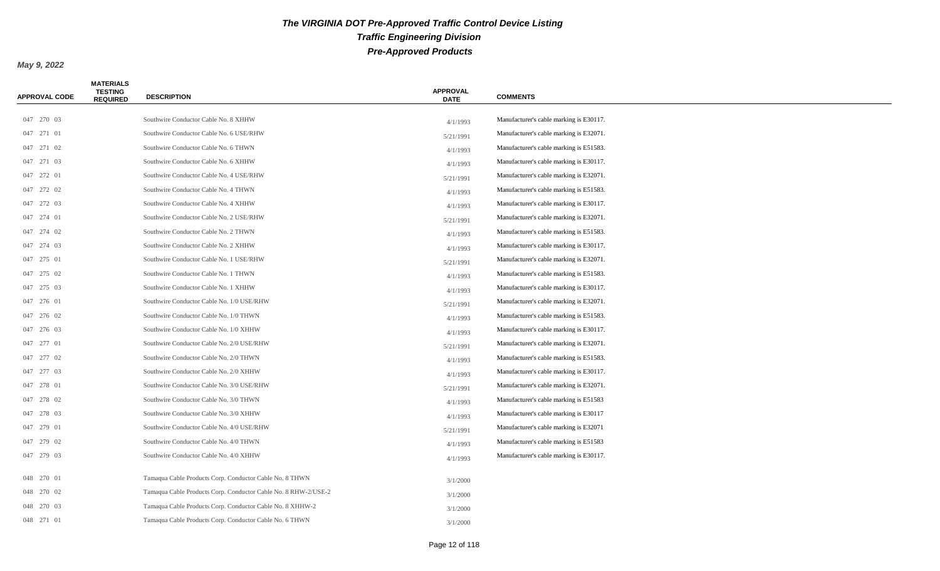| <b>APPROVAL CODE</b> | <b>MATERIALS</b><br><b>TESTING</b><br><b>REQUIRED</b> | <b>DESCRIPTION</b>                                             | <b>APPROVAL</b><br><b>DATE</b> | <b>COMMENTS</b>                         |
|----------------------|-------------------------------------------------------|----------------------------------------------------------------|--------------------------------|-----------------------------------------|
| 047 270 03           |                                                       | Southwire Conductor Cable No. 8 XHHW                           |                                | Manufacturer's cable marking is E30117. |
| 047 271 01           |                                                       | Southwire Conductor Cable No. 6 USE/RHW                        | 4/1/1993                       | Manufacturer's cable marking is E32071. |
| 047 271 02           |                                                       | Southwire Conductor Cable No. 6 THWN                           | 5/21/1991                      | Manufacturer's cable marking is E51583. |
| 047 271 03           |                                                       | Southwire Conductor Cable No. 6 XHHW                           | 4/1/1993                       | Manufacturer's cable marking is E30117. |
|                      |                                                       | Southwire Conductor Cable No. 4 USE/RHW                        | 4/1/1993                       |                                         |
| 047 272 01           |                                                       |                                                                | 5/21/1991                      | Manufacturer's cable marking is E32071. |
| 047 272 02           |                                                       | Southwire Conductor Cable No. 4 THWN                           | 4/1/1993                       | Manufacturer's cable marking is E51583. |
| 047 272 03           |                                                       | Southwire Conductor Cable No. 4 XHHW                           | 4/1/1993                       | Manufacturer's cable marking is E30117. |
| 047 274 01           |                                                       | Southwire Conductor Cable No. 2 USE/RHW                        | 5/21/1991                      | Manufacturer's cable marking is E32071. |
| 047 274 02           |                                                       | Southwire Conductor Cable No. 2 THWN                           | 4/1/1993                       | Manufacturer's cable marking is E51583. |
| 047 274 03           |                                                       | Southwire Conductor Cable No. 2 XHHW                           | 4/1/1993                       | Manufacturer's cable marking is E30117. |
| 047 275 01           |                                                       | Southwire Conductor Cable No. 1 USE/RHW                        | 5/21/1991                      | Manufacturer's cable marking is E32071. |
| 047 275 02           |                                                       | Southwire Conductor Cable No. 1 THWN                           | 4/1/1993                       | Manufacturer's cable marking is E51583. |
| 047 275 03           |                                                       | Southwire Conductor Cable No. 1 XHHW                           | 4/1/1993                       | Manufacturer's cable marking is E30117. |
| 047 276 01           |                                                       | Southwire Conductor Cable No. 1/0 USE/RHW                      | 5/21/1991                      | Manufacturer's cable marking is E32071. |
| 047 276 02           |                                                       | Southwire Conductor Cable No. 1/0 THWN                         | 4/1/1993                       | Manufacturer's cable marking is E51583. |
| 047 276 03           |                                                       | Southwire Conductor Cable No. 1/0 XHHW                         | 4/1/1993                       | Manufacturer's cable marking is E30117. |
| 047 277 01           |                                                       | Southwire Conductor Cable No. 2/0 USE/RHW                      | 5/21/1991                      | Manufacturer's cable marking is E32071. |
| 047 277 02           |                                                       | Southwire Conductor Cable No. 2/0 THWN                         | 4/1/1993                       | Manufacturer's cable marking is E51583. |
| 047 277 03           |                                                       | Southwire Conductor Cable No. 2/0 XHHW                         | 4/1/1993                       | Manufacturer's cable marking is E30117. |
| 047 278 01           |                                                       | Southwire Conductor Cable No. 3/0 USE/RHW                      | 5/21/1991                      | Manufacturer's cable marking is E32071. |
| 047 278 02           |                                                       | Southwire Conductor Cable No. 3/0 THWN                         | 4/1/1993                       | Manufacturer's cable marking is E51583  |
| 047 278 03           |                                                       | Southwire Conductor Cable No. 3/0 XHHW                         | 4/1/1993                       | Manufacturer's cable marking is E30117  |
| 047 279 01           |                                                       | Southwire Conductor Cable No. 4/0 USE/RHW                      | 5/21/1991                      | Manufacturer's cable marking is E32071  |
| 047 279 02           |                                                       | Southwire Conductor Cable No. 4/0 THWN                         | 4/1/1993                       | Manufacturer's cable marking is E51583  |
| 047 279 03           |                                                       | Southwire Conductor Cable No. 4/0 XHHW                         | 4/1/1993                       | Manufacturer's cable marking is E30117. |
| 048 270 01           |                                                       | Tamaqua Cable Products Corp. Conductor Cable No. 8 THWN        | 3/1/2000                       |                                         |
| 048 270 02           |                                                       | Tamaqua Cable Products Corp. Conductor Cable No. 8 RHW-2/USE-2 | 3/1/2000                       |                                         |
| 048 270 03           |                                                       | Tamaqua Cable Products Corp. Conductor Cable No. 8 XHHW-2      | 3/1/2000                       |                                         |
| 048 271 01           |                                                       | Tamaqua Cable Products Corp. Conductor Cable No. 6 THWN        | 3/1/2000                       |                                         |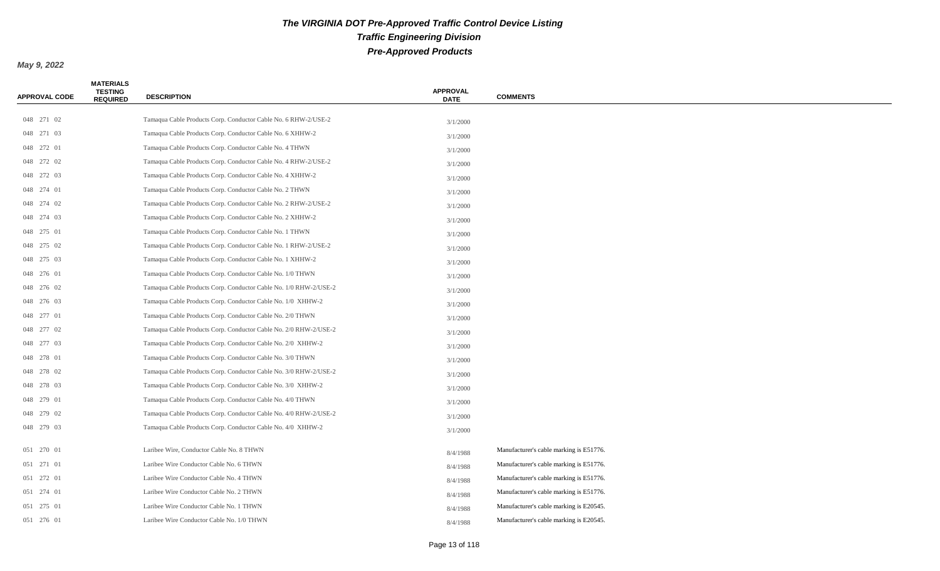| APPROVAL CODE | <b>MATERIALS</b><br><b>TESTING</b><br><b>REQUIRED</b> | <b>DESCRIPTION</b>                                               | <b>APPROVAL</b><br><b>DATE</b> | <b>COMMENTS</b>                         |
|---------------|-------------------------------------------------------|------------------------------------------------------------------|--------------------------------|-----------------------------------------|
|               |                                                       |                                                                  |                                |                                         |
| 048 271 02    |                                                       | Tamaqua Cable Products Corp. Conductor Cable No. 6 RHW-2/USE-2   | 3/1/2000                       |                                         |
| 048 271 03    |                                                       | Tamaqua Cable Products Corp. Conductor Cable No. 6 XHHW-2        | 3/1/2000                       |                                         |
| 048 272 01    |                                                       | Tamaqua Cable Products Corp. Conductor Cable No. 4 THWN          | 3/1/2000                       |                                         |
| 048 272 02    |                                                       | Tamaqua Cable Products Corp. Conductor Cable No. 4 RHW-2/USE-2   | 3/1/2000                       |                                         |
| 048 272 03    |                                                       | Tamaqua Cable Products Corp. Conductor Cable No. 4 XHHW-2        | 3/1/2000                       |                                         |
| 048 274 01    |                                                       | Tamaqua Cable Products Corp. Conductor Cable No. 2 THWN          | 3/1/2000                       |                                         |
| 048 274 02    |                                                       | Tamaqua Cable Products Corp. Conductor Cable No. 2 RHW-2/USE-2   | 3/1/2000                       |                                         |
| 048 274 03    |                                                       | Tamaqua Cable Products Corp. Conductor Cable No. 2 XHHW-2        | 3/1/2000                       |                                         |
| 048 275 01    |                                                       | Tamaqua Cable Products Corp. Conductor Cable No. 1 THWN          | 3/1/2000                       |                                         |
| 048 275 02    |                                                       | Tamaqua Cable Products Corp. Conductor Cable No. 1 RHW-2/USE-2   | 3/1/2000                       |                                         |
| 048 275 03    |                                                       | Tamaqua Cable Products Corp. Conductor Cable No. 1 XHHW-2        | 3/1/2000                       |                                         |
| 048 276 01    |                                                       | Tamaqua Cable Products Corp. Conductor Cable No. 1/0 THWN        | 3/1/2000                       |                                         |
| 048 276 02    |                                                       | Tamaqua Cable Products Corp. Conductor Cable No. 1/0 RHW-2/USE-2 | 3/1/2000                       |                                         |
| 048 276 03    |                                                       | Tamaqua Cable Products Corp. Conductor Cable No. 1/0 XHHW-2      | 3/1/2000                       |                                         |
| 048 277 01    |                                                       | Tamaqua Cable Products Corp. Conductor Cable No. 2/0 THWN        | 3/1/2000                       |                                         |
| 048 277 02    |                                                       | Tamaqua Cable Products Corp. Conductor Cable No. 2/0 RHW-2/USE-2 | 3/1/2000                       |                                         |
| 048 277 03    |                                                       | Tamaqua Cable Products Corp. Conductor Cable No. 2/0 XHHW-2      | 3/1/2000                       |                                         |
| 048 278 01    |                                                       | Tamaqua Cable Products Corp. Conductor Cable No. 3/0 THWN        | 3/1/2000                       |                                         |
| 048 278 02    |                                                       | Tamaqua Cable Products Corp. Conductor Cable No. 3/0 RHW-2/USE-2 | 3/1/2000                       |                                         |
| 048 278 03    |                                                       | Tamaqua Cable Products Corp. Conductor Cable No. 3/0 XHHW-2      | 3/1/2000                       |                                         |
| 048 279 01    |                                                       | Tamaqua Cable Products Corp. Conductor Cable No. 4/0 THWN        | 3/1/2000                       |                                         |
| 048 279 02    |                                                       | Tamaqua Cable Products Corp. Conductor Cable No. 4/0 RHW-2/USE-2 | 3/1/2000                       |                                         |
| 048 279 03    |                                                       | Tamaqua Cable Products Corp. Conductor Cable No. 4/0 XHHW-2      | 3/1/2000                       |                                         |
| 051 270 01    |                                                       | Laribee Wire, Conductor Cable No. 8 THWN                         | 8/4/1988                       | Manufacturer's cable marking is E51776. |
| 051 271 01    |                                                       | Laribee Wire Conductor Cable No. 6 THWN                          | 8/4/1988                       | Manufacturer's cable marking is E51776. |
| 051 272 01    |                                                       | Laribee Wire Conductor Cable No. 4 THWN                          | 8/4/1988                       | Manufacturer's cable marking is E51776. |
| 051 274 01    |                                                       | Laribee Wire Conductor Cable No. 2 THWN                          | 8/4/1988                       | Manufacturer's cable marking is E51776. |
| 051 275 01    |                                                       | Laribee Wire Conductor Cable No. 1 THWN                          | 8/4/1988                       | Manufacturer's cable marking is E20545. |
| 051 276 01    |                                                       | Laribee Wire Conductor Cable No. 1/0 THWN                        | 8/4/1988                       | Manufacturer's cable marking is E20545. |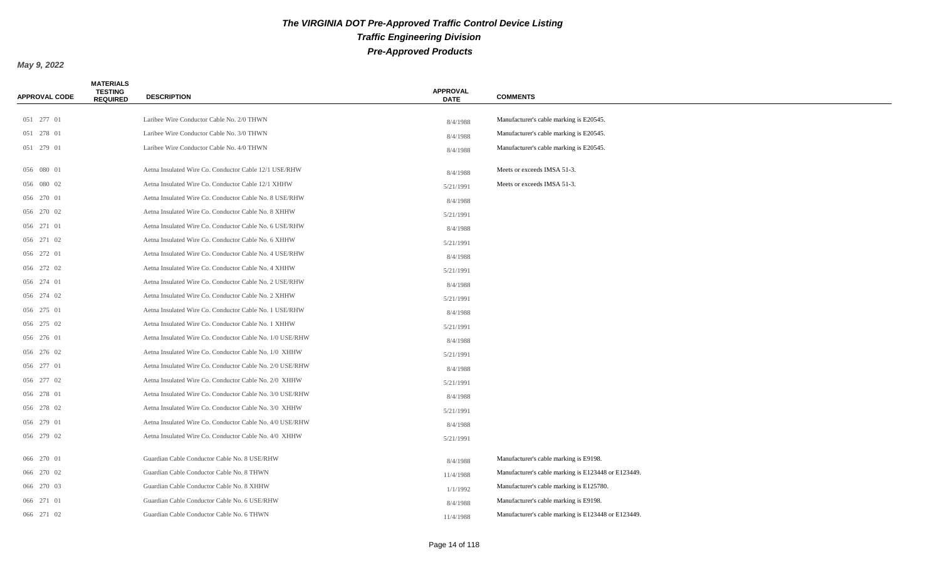| <b>APPROVAL CODE</b> | <b>MATERIALS</b><br><b>TESTING</b><br><b>REQUIRED</b> | <b>DESCRIPTION</b>                                       | <b>APPROVAL</b><br><b>DATE</b> | <b>COMMENTS</b>                                     |
|----------------------|-------------------------------------------------------|----------------------------------------------------------|--------------------------------|-----------------------------------------------------|
|                      |                                                       |                                                          |                                |                                                     |
| 051 277 01           |                                                       | Laribee Wire Conductor Cable No. 2/0 THWN                | 8/4/1988                       | Manufacturer's cable marking is E20545.             |
| 051 278 01           |                                                       | Laribee Wire Conductor Cable No. 3/0 THWN                | 8/4/1988                       | Manufacturer's cable marking is E20545.             |
| 051 279 01           |                                                       | Laribee Wire Conductor Cable No. 4/0 THWN                | 8/4/1988                       | Manufacturer's cable marking is E20545.             |
| 056 080 01           |                                                       | Aetna Insulated Wire Co. Conductor Cable 12/1 USE/RHW    | 8/4/1988                       | Meets or exceeds IMSA 51-3.                         |
| 056 080 02           |                                                       | Aetna Insulated Wire Co. Conductor Cable 12/1 XHHW       | 5/21/1991                      | Meets or exceeds IMSA 51-3.                         |
| 056 270 01           |                                                       | Aetna Insulated Wire Co. Conductor Cable No. 8 USE/RHW   | 8/4/1988                       |                                                     |
| 056 270 02           |                                                       | Aetna Insulated Wire Co. Conductor Cable No. 8 XHHW      | 5/21/1991                      |                                                     |
| 056 271 01           |                                                       | Aetna Insulated Wire Co. Conductor Cable No. 6 USE/RHW   | 8/4/1988                       |                                                     |
| 056 271 02           |                                                       | Aetna Insulated Wire Co. Conductor Cable No. 6 XHHW      | 5/21/1991                      |                                                     |
| 056 272 01           |                                                       | Aetna Insulated Wire Co. Conductor Cable No. 4 USE/RHW   | 8/4/1988                       |                                                     |
| 056 272 02           |                                                       | Aetna Insulated Wire Co. Conductor Cable No. 4 XHHW      | 5/21/1991                      |                                                     |
| 056 274 01           |                                                       | Aetna Insulated Wire Co. Conductor Cable No. 2 USE/RHW   | 8/4/1988                       |                                                     |
| 056 274 02           |                                                       | Aetna Insulated Wire Co. Conductor Cable No. 2 XHHW      | 5/21/1991                      |                                                     |
| 056 275 01           |                                                       | Aetna Insulated Wire Co. Conductor Cable No. 1 USE/RHW   | 8/4/1988                       |                                                     |
| 056 275 02           |                                                       | Aetna Insulated Wire Co. Conductor Cable No. 1 XHHW      | 5/21/1991                      |                                                     |
| 056 276 01           |                                                       | Aetna Insulated Wire Co. Conductor Cable No. 1/0 USE/RHW | 8/4/1988                       |                                                     |
| 056 276 02           |                                                       | Aetna Insulated Wire Co. Conductor Cable No. 1/0 XHHW    | 5/21/1991                      |                                                     |
| 056 277 01           |                                                       | Aetna Insulated Wire Co. Conductor Cable No. 2/0 USE/RHW | 8/4/1988                       |                                                     |
| 056 277 02           |                                                       | Aetna Insulated Wire Co. Conductor Cable No. 2/0 XHHW    | 5/21/1991                      |                                                     |
| 056 278 01           |                                                       | Aetna Insulated Wire Co. Conductor Cable No. 3/0 USE/RHW | 8/4/1988                       |                                                     |
| 056 278 02           |                                                       | Aetna Insulated Wire Co. Conductor Cable No. 3/0 XHHW    | 5/21/1991                      |                                                     |
| 056 279 01           |                                                       | Aetna Insulated Wire Co. Conductor Cable No. 4/0 USE/RHW | 8/4/1988                       |                                                     |
| 056 279 02           |                                                       | Aetna Insulated Wire Co. Conductor Cable No. 4/0 XHHW    | 5/21/1991                      |                                                     |
| 066 270 01           |                                                       | Guardian Cable Conductor Cable No. 8 USE/RHW             | 8/4/1988                       | Manufacturer's cable marking is E9198.              |
| 066 270 02           |                                                       | Guardian Cable Conductor Cable No. 8 THWN                | 11/4/1988                      | Manufacturer's cable marking is E123448 or E123449. |
| 066 270 03           |                                                       | Guardian Cable Conductor Cable No. 8 XHHW                | 1/1/1992                       | Manufacturer's cable marking is E125780.            |
| 066 271 01           |                                                       | Guardian Cable Conductor Cable No. 6 USE/RHW             | 8/4/1988                       | Manufacturer's cable marking is E9198.              |
| 066 271 02           |                                                       | Guardian Cable Conductor Cable No. 6 THWN                | 11/4/1988                      | Manufacturer's cable marking is E123448 or E123449. |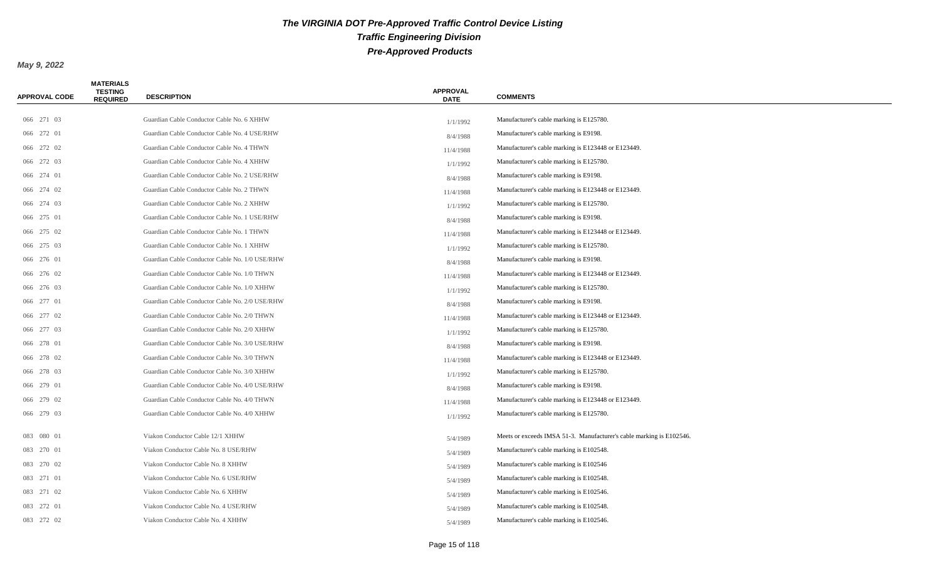| <b>APPROVAL CODE</b> | <b>MATERIALS</b><br><b>TESTING</b><br><b>REQUIRED</b> | <b>DESCRIPTION</b>                             | <b>APPROVAL</b><br><b>DATE</b> | <b>COMMENTS</b>                                                      |
|----------------------|-------------------------------------------------------|------------------------------------------------|--------------------------------|----------------------------------------------------------------------|
|                      |                                                       |                                                |                                |                                                                      |
| 066 271 03           |                                                       | Guardian Cable Conductor Cable No. 6 XHHW      | 1/1/1992                       | Manufacturer's cable marking is E125780.                             |
| 066 272 01           |                                                       | Guardian Cable Conductor Cable No. 4 USE/RHW   | 8/4/1988                       | Manufacturer's cable marking is E9198.                               |
| 066 272 02           |                                                       | Guardian Cable Conductor Cable No. 4 THWN      | 11/4/1988                      | Manufacturer's cable marking is E123448 or E123449.                  |
| 066 272 03           |                                                       | Guardian Cable Conductor Cable No. 4 XHHW      | 1/1/1992                       | Manufacturer's cable marking is E125780.                             |
| 066 274 01           |                                                       | Guardian Cable Conductor Cable No. 2 USE/RHW   | 8/4/1988                       | Manufacturer's cable marking is E9198.                               |
| 066 274 02           |                                                       | Guardian Cable Conductor Cable No. 2 THWN      | 11/4/1988                      | Manufacturer's cable marking is E123448 or E123449.                  |
| 066 274 03           |                                                       | Guardian Cable Conductor Cable No. 2 XHHW      | 1/1/1992                       | Manufacturer's cable marking is E125780.                             |
| 066 275 01           |                                                       | Guardian Cable Conductor Cable No. 1 USE/RHW   | 8/4/1988                       | Manufacturer's cable marking is E9198.                               |
| 066 275 02           |                                                       | Guardian Cable Conductor Cable No. 1 THWN      | 11/4/1988                      | Manufacturer's cable marking is E123448 or E123449.                  |
| 066 275 03           |                                                       | Guardian Cable Conductor Cable No. 1 XHHW      | 1/1/1992                       | Manufacturer's cable marking is E125780.                             |
| 066 276 01           |                                                       | Guardian Cable Conductor Cable No. 1/0 USE/RHW | 8/4/1988                       | Manufacturer's cable marking is E9198.                               |
| 066 276 02           |                                                       | Guardian Cable Conductor Cable No. 1/0 THWN    | 11/4/1988                      | Manufacturer's cable marking is E123448 or E123449.                  |
| 066 276 03           |                                                       | Guardian Cable Conductor Cable No. 1/0 XHHW    | 1/1/1992                       | Manufacturer's cable marking is E125780.                             |
| 066 277 01           |                                                       | Guardian Cable Conductor Cable No. 2/0 USE/RHW | 8/4/1988                       | Manufacturer's cable marking is E9198.                               |
| 066 277 02           |                                                       | Guardian Cable Conductor Cable No. 2/0 THWN    | 11/4/1988                      | Manufacturer's cable marking is E123448 or E123449.                  |
| 066 277 03           |                                                       | Guardian Cable Conductor Cable No. 2/0 XHHW    | 1/1/1992                       | Manufacturer's cable marking is E125780.                             |
| 066 278 01           |                                                       | Guardian Cable Conductor Cable No. 3/0 USE/RHW | 8/4/1988                       | Manufacturer's cable marking is E9198.                               |
| 066 278 02           |                                                       | Guardian Cable Conductor Cable No. 3/0 THWN    | 11/4/1988                      | Manufacturer's cable marking is E123448 or E123449.                  |
| 066 278 03           |                                                       | Guardian Cable Conductor Cable No. 3/0 XHHW    | 1/1/1992                       | Manufacturer's cable marking is E125780.                             |
| 066 279 01           |                                                       | Guardian Cable Conductor Cable No. 4/0 USE/RHW | 8/4/1988                       | Manufacturer's cable marking is E9198.                               |
| 066 279 02           |                                                       | Guardian Cable Conductor Cable No. 4/0 THWN    | 11/4/1988                      | Manufacturer's cable marking is E123448 or E123449.                  |
| 066 279 03           |                                                       | Guardian Cable Conductor Cable No. 4/0 XHHW    | 1/1/1992                       | Manufacturer's cable marking is E125780.                             |
| 083 080 01           |                                                       | Viakon Conductor Cable 12/1 XHHW               | 5/4/1989                       | Meets or exceeds IMSA 51-3. Manufacturer's cable marking is E102546. |
| 083 270 01           |                                                       | Viakon Conductor Cable No. 8 USE/RHW           | 5/4/1989                       | Manufacturer's cable marking is E102548.                             |
| 083 270 02           |                                                       | Viakon Conductor Cable No. 8 XHHW              | 5/4/1989                       | Manufacturer's cable marking is E102546                              |
| 083 271 01           |                                                       | Viakon Conductor Cable No. 6 USE/RHW           | 5/4/1989                       | Manufacturer's cable marking is E102548.                             |
| 083 271 02           |                                                       | Viakon Conductor Cable No. 6 XHHW              | 5/4/1989                       | Manufacturer's cable marking is E102546.                             |
| 083 272 01           |                                                       | Viakon Conductor Cable No. 4 USE/RHW           | 5/4/1989                       | Manufacturer's cable marking is E102548.                             |
| 083 272 02           |                                                       | Viakon Conductor Cable No. 4 XHHW              | 5/4/1989                       | Manufacturer's cable marking is E102546.                             |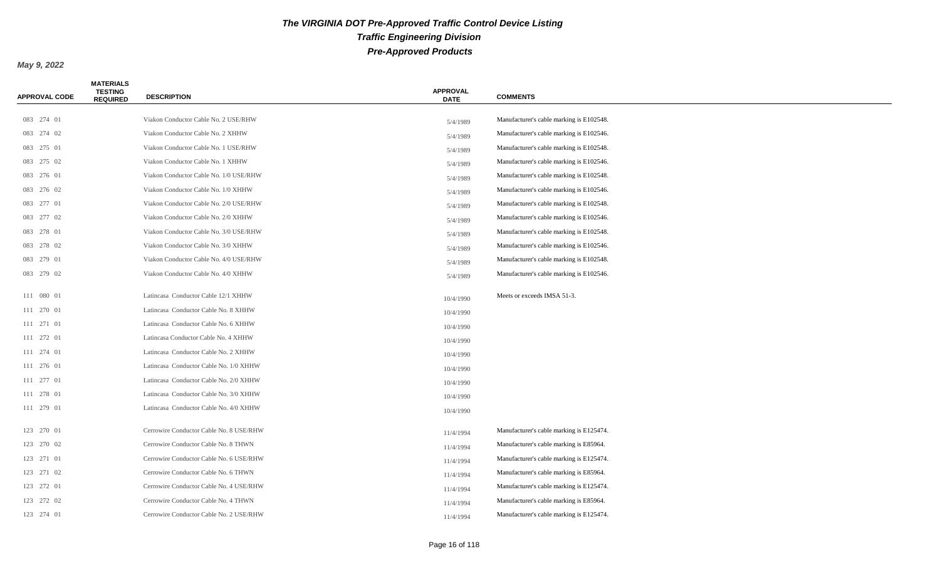| <b>APPROVAL CODE</b> | <b>MATERIALS</b><br><b>TESTING</b><br><b>REQUIRED</b> | <b>DESCRIPTION</b>                      | <b>APPROVAL</b><br><b>DATE</b> | <b>COMMENTS</b>                          |
|----------------------|-------------------------------------------------------|-----------------------------------------|--------------------------------|------------------------------------------|
|                      |                                                       |                                         |                                |                                          |
| 083 274 01           |                                                       | Viakon Conductor Cable No. 2 USE/RHW    | 5/4/1989                       | Manufacturer's cable marking is E102548. |
| 083 274 02           |                                                       | Viakon Conductor Cable No. 2 XHHW       | 5/4/1989                       | Manufacturer's cable marking is E102546. |
| 083 275 01           |                                                       | Viakon Conductor Cable No. 1 USE/RHW    | 5/4/1989                       | Manufacturer's cable marking is E102548. |
| 083 275 02           |                                                       | Viakon Conductor Cable No. 1 XHHW       | 5/4/1989                       | Manufacturer's cable marking is E102546. |
| 083 276 01           |                                                       | Viakon Conductor Cable No. 1/0 USE/RHW  | 5/4/1989                       | Manufacturer's cable marking is E102548. |
| 083 276 02           |                                                       | Viakon Conductor Cable No. 1/0 XHHW     | 5/4/1989                       | Manufacturer's cable marking is E102546. |
| 083 277 01           |                                                       | Viakon Conductor Cable No. 2/0 USE/RHW  | 5/4/1989                       | Manufacturer's cable marking is E102548. |
| 083 277 02           |                                                       | Viakon Conductor Cable No. 2/0 XHHW     | 5/4/1989                       | Manufacturer's cable marking is E102546. |
| 083 278 01           |                                                       | Viakon Conductor Cable No. 3/0 USE/RHW  | 5/4/1989                       | Manufacturer's cable marking is E102548. |
| 083 278 02           |                                                       | Viakon Conductor Cable No. 3/0 XHHW     | 5/4/1989                       | Manufacturer's cable marking is E102546. |
| 083 279 01           |                                                       | Viakon Conductor Cable No. 4/0 USE/RHW  | 5/4/1989                       | Manufacturer's cable marking is E102548. |
| 083 279 02           |                                                       | Viakon Conductor Cable No. 4/0 XHHW     | 5/4/1989                       | Manufacturer's cable marking is E102546. |
| 111 080 01           |                                                       | Latincasa Conductor Cable 12/1 XHHW     | 10/4/1990                      | Meets or exceeds IMSA 51-3.              |
| 111 270 01           |                                                       | Latincasa Conductor Cable No. 8 XHHW    | 10/4/1990                      |                                          |
| 111 271 01           |                                                       | Latincasa Conductor Cable No. 6 XHHW    | 10/4/1990                      |                                          |
| 111 272 01           |                                                       | Latincasa Conductor Cable No. 4 XHHW    | 10/4/1990                      |                                          |
| 111 274 01           |                                                       | Latincasa Conductor Cable No. 2 XHHW    | 10/4/1990                      |                                          |
| 111 276 01           |                                                       | Latincasa Conductor Cable No. 1/0 XHHW  | 10/4/1990                      |                                          |
| 111 277 01           |                                                       | Latincasa Conductor Cable No. 2/0 XHHW  | 10/4/1990                      |                                          |
| 111 278 01           |                                                       | Latincasa Conductor Cable No. 3/0 XHHW  | 10/4/1990                      |                                          |
| 111 279 01           |                                                       | Latincasa Conductor Cable No. 4/0 XHHW  | 10/4/1990                      |                                          |
| 123 270 01           |                                                       | Cerrowire Conductor Cable No. 8 USE/RHW | 11/4/1994                      | Manufacturer's cable marking is E125474. |
| 123 270 02           |                                                       | Cerrowire Conductor Cable No. 8 THWN    | 11/4/1994                      | Manufacturer's cable marking is E85964.  |
| 123 271 01           |                                                       | Cerrowire Conductor Cable No. 6 USE/RHW | 11/4/1994                      | Manufacturer's cable marking is E125474. |
| 123 271 02           |                                                       | Cerrowire Conductor Cable No. 6 THWN    | 11/4/1994                      | Manufacturer's cable marking is E85964.  |
| 123 272 01           |                                                       | Cerrowire Conductor Cable No. 4 USE/RHW | 11/4/1994                      | Manufacturer's cable marking is E125474. |
| 123 272 02           |                                                       | Cerrowire Conductor Cable No. 4 THWN    | 11/4/1994                      | Manufacturer's cable marking is E85964.  |
| 123 274 01           |                                                       | Cerrowire Conductor Cable No. 2 USE/RHW | 11/4/1994                      | Manufacturer's cable marking is E125474. |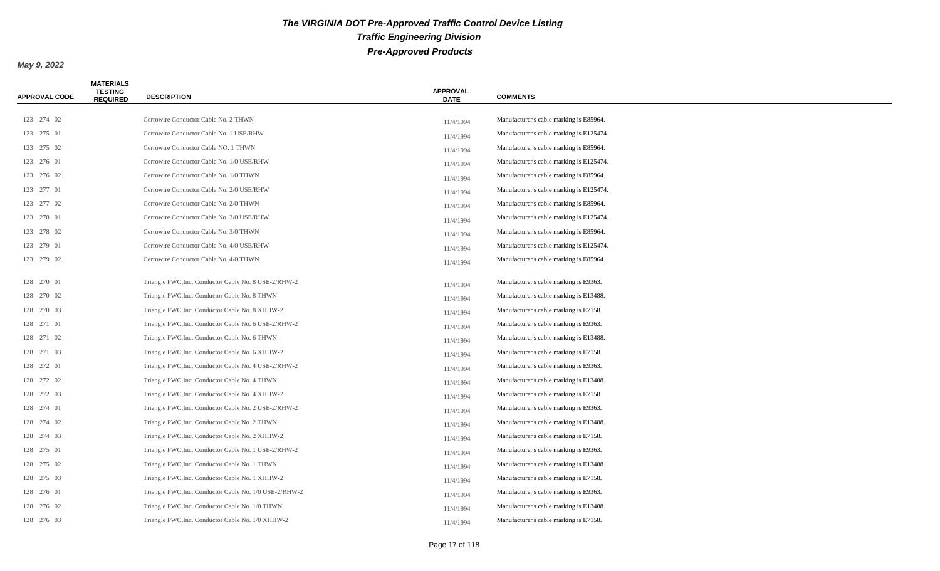| APPROVAL CODE | <b>MATERIALS</b><br><b>TESTING</b><br><b>REQUIRED</b> | <b>DESCRIPTION</b>                                     | <b>APPROVAL</b><br><b>DATE</b> | <b>COMMENTS</b>                          |
|---------------|-------------------------------------------------------|--------------------------------------------------------|--------------------------------|------------------------------------------|
|               |                                                       |                                                        |                                |                                          |
| 123 274 02    |                                                       | Cerrowire Conductor Cable No. 2 THWN                   | 11/4/1994                      | Manufacturer's cable marking is E85964.  |
| 123 275 01    |                                                       | Cerrowire Conductor Cable No. 1 USE/RHW                | 11/4/1994                      | Manufacturer's cable marking is E125474. |
| 123 275 02    |                                                       | Cerrowire Conductor Cable NO. 1 THWN                   | 11/4/1994                      | Manufacturer's cable marking is E85964.  |
| 123 276 01    |                                                       | Cerrowire Conductor Cable No. 1/0 USE/RHW              | 11/4/1994                      | Manufacturer's cable marking is E125474. |
| 123 276 02    |                                                       | Cerrowire Conductor Cable No. 1/0 THWN                 | 11/4/1994                      | Manufacturer's cable marking is E85964.  |
| 123 277 01    |                                                       | Cerrowire Conductor Cable No. 2/0 USE/RHW              | 11/4/1994                      | Manufacturer's cable marking is E125474. |
| 123 277 02    |                                                       | Cerrowire Conductor Cable No. 2/0 THWN                 | 11/4/1994                      | Manufacturer's cable marking is E85964.  |
| 123 278 01    |                                                       | Cerrowire Conductor Cable No. 3/0 USE/RHW              | 11/4/1994                      | Manufacturer's cable marking is E125474. |
| 123 278 02    |                                                       | Cerrowire Conductor Cable No. 3/0 THWN                 | 11/4/1994                      | Manufacturer's cable marking is E85964.  |
| 123 279 01    |                                                       | Cerrowire Conductor Cable No. 4/0 USE/RHW              | 11/4/1994                      | Manufacturer's cable marking is E125474. |
| 123 279 02    |                                                       | Cerrowire Conductor Cable No. 4/0 THWN                 | 11/4/1994                      | Manufacturer's cable marking is E85964.  |
| 128 270 01    |                                                       | Triangle PWC, Inc. Conductor Cable No. 8 USE-2/RHW-2   | 11/4/1994                      | Manufacturer's cable marking is E9363.   |
| 128 270 02    |                                                       | Triangle PWC, Inc. Conductor Cable No. 8 THWN          | 11/4/1994                      | Manufacturer's cable marking is E13488.  |
| 128 270 03    |                                                       | Triangle PWC, Inc. Conductor Cable No. 8 XHHW-2        | 11/4/1994                      | Manufacturer's cable marking is E7158.   |
| 128 271 01    |                                                       | Triangle PWC, Inc. Conductor Cable No. 6 USE-2/RHW-2   | 11/4/1994                      | Manufacturer's cable marking is E9363.   |
| 128 271 02    |                                                       | Triangle PWC, Inc. Conductor Cable No. 6 THWN          | 11/4/1994                      | Manufacturer's cable marking is E13488.  |
| 128 271 03    |                                                       | Triangle PWC, Inc. Conductor Cable No. 6 XHHW-2        | 11/4/1994                      | Manufacturer's cable marking is E7158.   |
| 128 272 01    |                                                       | Triangle PWC, Inc. Conductor Cable No. 4 USE-2/RHW-2   | 11/4/1994                      | Manufacturer's cable marking is E9363.   |
| 128 272 02    |                                                       | Triangle PWC, Inc. Conductor Cable No. 4 THWN          | 11/4/1994                      | Manufacturer's cable marking is E13488.  |
| 128 272 03    |                                                       | Triangle PWC, Inc. Conductor Cable No. 4 XHHW-2        | 11/4/1994                      | Manufacturer's cable marking is E7158.   |
| 128 274 01    |                                                       | Triangle PWC, Inc. Conductor Cable No. 2 USE-2/RHW-2   | 11/4/1994                      | Manufacturer's cable marking is E9363.   |
| 128 274 02    |                                                       | Triangle PWC, Inc. Conductor Cable No. 2 THWN          | 11/4/1994                      | Manufacturer's cable marking is E13488.  |
| 128 274 03    |                                                       | Triangle PWC, Inc. Conductor Cable No. 2 XHHW-2        | 11/4/1994                      | Manufacturer's cable marking is E7158.   |
| 128 275 01    |                                                       | Triangle PWC, Inc. Conductor Cable No. 1 USE-2/RHW-2   | 11/4/1994                      | Manufacturer's cable marking is E9363.   |
| 128 275 02    |                                                       | Triangle PWC, Inc. Conductor Cable No. 1 THWN          | 11/4/1994                      | Manufacturer's cable marking is E13488.  |
| 128 275 03    |                                                       | Triangle PWC, Inc. Conductor Cable No. 1 XHHW-2        | 11/4/1994                      | Manufacturer's cable marking is E7158.   |
| 128 276 01    |                                                       | Triangle PWC, Inc. Conductor Cable No. 1/0 USE-2/RHW-2 | 11/4/1994                      | Manufacturer's cable marking is E9363.   |
| 128 276 02    |                                                       | Triangle PWC, Inc. Conductor Cable No. 1/0 THWN        | 11/4/1994                      | Manufacturer's cable marking is E13488.  |
| 128 276 03    |                                                       | Triangle PWC, Inc. Conductor Cable No. 1/0 XHHW-2      | 11/4/1994                      | Manufacturer's cable marking is E7158.   |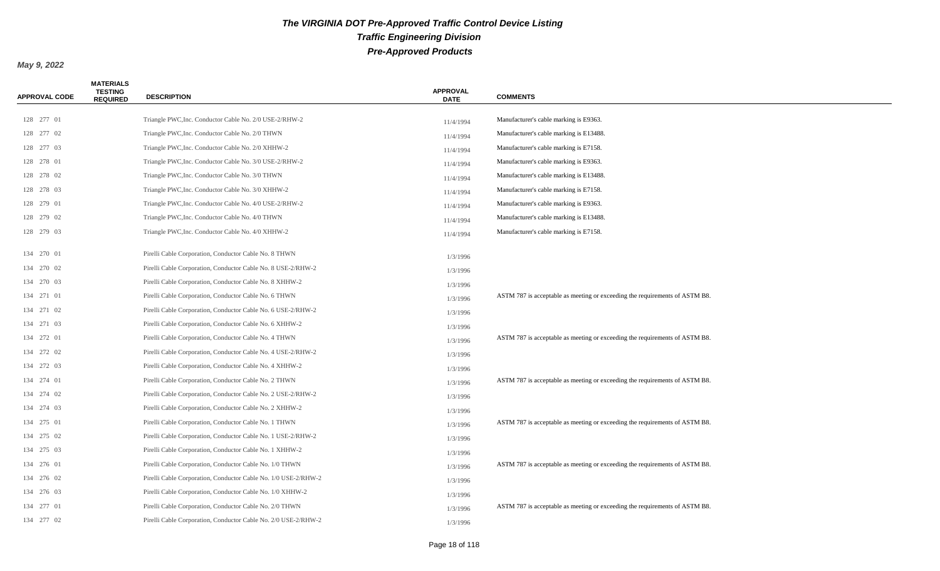| <b>APPROVAL CODE</b> | <b>MATERIALS</b><br><b>TESTING</b><br><b>REQUIRED</b> | <b>DESCRIPTION</b>                                             | <b>APPROVAL</b><br><b>DATE</b> | <b>COMMENTS</b>                                                             |
|----------------------|-------------------------------------------------------|----------------------------------------------------------------|--------------------------------|-----------------------------------------------------------------------------|
| 128 277 01           |                                                       | Triangle PWC, Inc. Conductor Cable No. 2/0 USE-2/RHW-2         |                                | Manufacturer's cable marking is E9363.                                      |
| 128 277 02           |                                                       | Triangle PWC, Inc. Conductor Cable No. 2/0 THWN                | 11/4/1994                      | Manufacturer's cable marking is E13488.                                     |
| 128 277 03           |                                                       | Triangle PWC, Inc. Conductor Cable No. 2/0 XHHW-2              | 11/4/1994                      | Manufacturer's cable marking is E7158.                                      |
| 128 278 01           |                                                       | Triangle PWC, Inc. Conductor Cable No. 3/0 USE-2/RHW-2         | 11/4/1994                      | Manufacturer's cable marking is E9363.                                      |
| 128 278 02           |                                                       | Triangle PWC, Inc. Conductor Cable No. 3/0 THWN                | 11/4/1994                      | Manufacturer's cable marking is E13488.                                     |
| 128 278 03           |                                                       | Triangle PWC, Inc. Conductor Cable No. 3/0 XHHW-2              | 11/4/1994                      | Manufacturer's cable marking is E7158.                                      |
| 128 279 01           |                                                       | Triangle PWC, Inc. Conductor Cable No. 4/0 USE-2/RHW-2         | 11/4/1994                      | Manufacturer's cable marking is E9363.                                      |
| 128 279 02           |                                                       | Triangle PWC, Inc. Conductor Cable No. 4/0 THWN                | 11/4/1994                      | Manufacturer's cable marking is E13488.                                     |
| 128 279 03           |                                                       | Triangle PWC, Inc. Conductor Cable No. 4/0 XHHW-2              | 11/4/1994                      | Manufacturer's cable marking is E7158.                                      |
|                      |                                                       |                                                                | 11/4/1994                      |                                                                             |
| 134 270 01           |                                                       | Pirelli Cable Corporation, Conductor Cable No. 8 THWN          | 1/3/1996                       |                                                                             |
| 134 270 02           |                                                       | Pirelli Cable Corporation, Conductor Cable No. 8 USE-2/RHW-2   | 1/3/1996                       |                                                                             |
| 134 270 03           |                                                       | Pirelli Cable Corporation, Conductor Cable No. 8 XHHW-2        | 1/3/1996                       |                                                                             |
| 134 271 01           |                                                       | Pirelli Cable Corporation, Conductor Cable No. 6 THWN          | 1/3/1996                       | ASTM 787 is acceptable as meeting or exceeding the requirements of ASTM B8. |
| 134 271 02           |                                                       | Pirelli Cable Corporation, Conductor Cable No. 6 USE-2/RHW-2   | 1/3/1996                       |                                                                             |
| 134 271 03           |                                                       | Pirelli Cable Corporation, Conductor Cable No. 6 XHHW-2        | 1/3/1996                       |                                                                             |
| 134 272 01           |                                                       | Pirelli Cable Corporation, Conductor Cable No. 4 THWN          | 1/3/1996                       | ASTM 787 is acceptable as meeting or exceeding the requirements of ASTM B8. |
| 134 272 02           |                                                       | Pirelli Cable Corporation, Conductor Cable No. 4 USE-2/RHW-2   | 1/3/1996                       |                                                                             |
| 134 272 03           |                                                       | Pirelli Cable Corporation, Conductor Cable No. 4 XHHW-2        | 1/3/1996                       |                                                                             |
| 134 274 01           |                                                       | Pirelli Cable Corporation, Conductor Cable No. 2 THWN          | 1/3/1996                       | ASTM 787 is acceptable as meeting or exceeding the requirements of ASTM B8. |
| 134 274 02           |                                                       | Pirelli Cable Corporation, Conductor Cable No. 2 USE-2/RHW-2   | 1/3/1996                       |                                                                             |
| 134 274 03           |                                                       | Pirelli Cable Corporation, Conductor Cable No. 2 XHHW-2        | 1/3/1996                       |                                                                             |
| 134 275 01           |                                                       | Pirelli Cable Corporation, Conductor Cable No. 1 THWN          | 1/3/1996                       | ASTM 787 is acceptable as meeting or exceeding the requirements of ASTM B8. |
| 134 275 02           |                                                       | Pirelli Cable Corporation, Conductor Cable No. 1 USE-2/RHW-2   | 1/3/1996                       |                                                                             |
| 134 275 03           |                                                       | Pirelli Cable Corporation, Conductor Cable No. 1 XHHW-2        | 1/3/1996                       |                                                                             |
| 134 276 01           |                                                       | Pirelli Cable Corporation, Conductor Cable No. 1/0 THWN        | 1/3/1996                       | ASTM 787 is acceptable as meeting or exceeding the requirements of ASTM B8. |
| 134 276 02           |                                                       | Pirelli Cable Corporation, Conductor Cable No. 1/0 USE-2/RHW-2 | 1/3/1996                       |                                                                             |
| 134 276 03           |                                                       | Pirelli Cable Corporation, Conductor Cable No. 1/0 XHHW-2      | 1/3/1996                       |                                                                             |
| 134 277 01           |                                                       | Pirelli Cable Corporation, Conductor Cable No. 2/0 THWN        | 1/3/1996                       | ASTM 787 is acceptable as meeting or exceeding the requirements of ASTM B8. |
| 134 277 02           |                                                       | Pirelli Cable Corporation, Conductor Cable No. 2/0 USE-2/RHW-2 | 1/3/1996                       |                                                                             |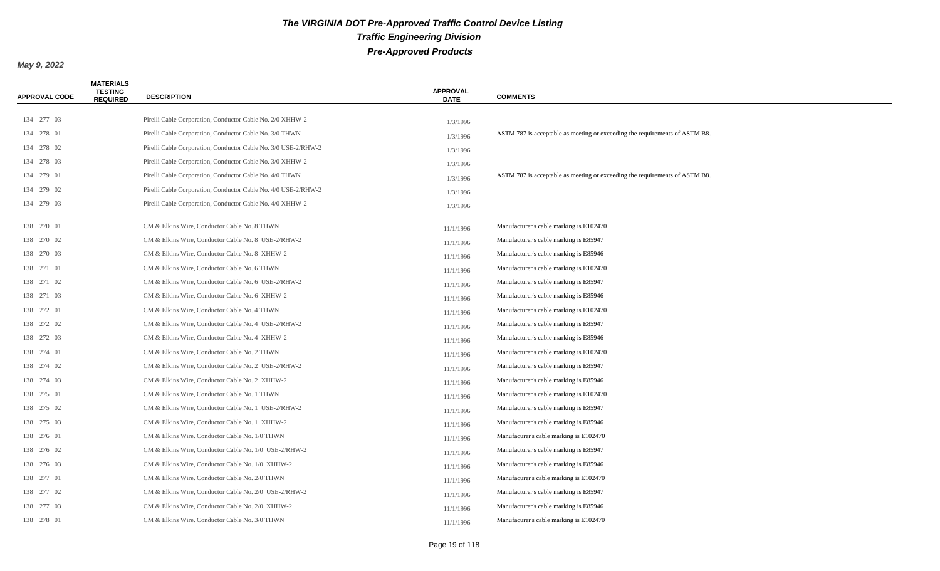| <b>APPROVAL CODE</b> | <b>MATERIALS</b><br><b>TESTING</b><br><b>REQUIRED</b> | <b>DESCRIPTION</b>                                             | <b>APPROVAL</b><br><b>DATE</b> | <b>COMMENTS</b>                                                             |
|----------------------|-------------------------------------------------------|----------------------------------------------------------------|--------------------------------|-----------------------------------------------------------------------------|
|                      |                                                       |                                                                |                                |                                                                             |
| 134 277 03           |                                                       | Pirelli Cable Corporation, Conductor Cable No. 2/0 XHHW-2      | 1/3/1996                       |                                                                             |
| 134 278 01           |                                                       | Pirelli Cable Corporation, Conductor Cable No. 3/0 THWN        | 1/3/1996                       | ASTM 787 is acceptable as meeting or exceeding the requirements of ASTM B8. |
| 134 278 02           |                                                       | Pirelli Cable Corporation, Conductor Cable No. 3/0 USE-2/RHW-2 | 1/3/1996                       |                                                                             |
| 134 278 03           |                                                       | Pirelli Cable Corporation, Conductor Cable No. 3/0 XHHW-2      | 1/3/1996                       |                                                                             |
| 134 279 01           |                                                       | Pirelli Cable Corporation, Conductor Cable No. 4/0 THWN        | 1/3/1996                       | ASTM 787 is acceptable as meeting or exceeding the requirements of ASTM B8. |
| 134 279 02           |                                                       | Pirelli Cable Corporation, Conductor Cable No. 4/0 USE-2/RHW-2 | 1/3/1996                       |                                                                             |
| 134 279 03           |                                                       | Pirelli Cable Corporation, Conductor Cable No. 4/0 XHHW-2      | 1/3/1996                       |                                                                             |
| 138 270 01           |                                                       | CM & Elkins Wire, Conductor Cable No. 8 THWN                   | 11/1/1996                      | Manufacturer's cable marking is E102470                                     |
| 138 270 02           |                                                       | CM & Elkins Wire, Conductor Cable No. 8 USE-2/RHW-2            | 11/1/1996                      | Manufacturer's cable marking is E85947                                      |
| 138 270 03           |                                                       | CM & Elkins Wire, Conductor Cable No. 8 XHHW-2                 | 11/1/1996                      | Manufacturer's cable marking is E85946                                      |
| 138 271 01           |                                                       | CM & Elkins Wire, Conductor Cable No. 6 THWN                   | 11/1/1996                      | Manufacturer's cable marking is E102470                                     |
| 138 271 02           |                                                       | CM & Elkins Wire, Conductor Cable No. 6 USE-2/RHW-2            | 11/1/1996                      | Manufacturer's cable marking is E85947                                      |
| 138 271 03           |                                                       | CM & Elkins Wire, Conductor Cable No. 6 XHHW-2                 | 11/1/1996                      | Manufacturer's cable marking is E85946                                      |
| 138 272 01           |                                                       | CM & Elkins Wire, Conductor Cable No. 4 THWN                   | 11/1/1996                      | Manufacturer's cable marking is E102470                                     |
| 138 272 02           |                                                       | CM & Elkins Wire, Conductor Cable No. 4 USE-2/RHW-2            | 11/1/1996                      | Manufacturer's cable marking is E85947                                      |
| 138 272 03           |                                                       | CM & Elkins Wire, Conductor Cable No. 4 XHHW-2                 | 11/1/1996                      | Manufacturer's cable marking is E85946                                      |
| 138 274 01           |                                                       | CM & Elkins Wire, Conductor Cable No. 2 THWN                   | 11/1/1996                      | Manufacturer's cable marking is E102470                                     |
| 138 274 02           |                                                       | CM & Elkins Wire, Conductor Cable No. 2 USE-2/RHW-2            | 11/1/1996                      | Manufacturer's cable marking is E85947                                      |
| 138 274 03           |                                                       | CM & Elkins Wire, Conductor Cable No. 2 XHHW-2                 | 11/1/1996                      | Manufacturer's cable marking is E85946                                      |
| 138 275 01           |                                                       | CM & Elkins Wire, Conductor Cable No. 1 THWN                   | 11/1/1996                      | Manufacturer's cable marking is E102470                                     |
| 138 275 02           |                                                       | CM & Elkins Wire, Conductor Cable No. 1 USE-2/RHW-2            | 11/1/1996                      | Manufacturer's cable marking is E85947                                      |
| 138 275 03           |                                                       | CM & Elkins Wire, Conductor Cable No. 1 XHHW-2                 | 11/1/1996                      | Manufacturer's cable marking is E85946                                      |
| 138 276 01           |                                                       | CM & Elkins Wire. Conductor Cable No. 1/0 THWN                 | 11/1/1996                      | Manufacurer's cable marking is E102470                                      |
| 138 276 02           |                                                       | CM & Elkins Wire, Conductor Cable No. 1/0 USE-2/RHW-2          | 11/1/1996                      | Manufacturer's cable marking is E85947                                      |
| 138 276 03           |                                                       | CM & Elkins Wire, Conductor Cable No. 1/0 XHHW-2               | 11/1/1996                      | Manufacturer's cable marking is E85946                                      |
| 138 277 01           |                                                       | CM & Elkins Wire. Conductor Cable No. 2/0 THWN                 | 11/1/1996                      | Manufacurer's cable marking is E102470                                      |
| 138 277 02           |                                                       | CM & Elkins Wire, Conductor Cable No. 2/0 USE-2/RHW-2          | 11/1/1996                      | Manufacturer's cable marking is E85947                                      |
| 138 277 03           |                                                       | CM & Elkins Wire, Conductor Cable No. 2/0 XHHW-2               | 11/1/1996                      | Manufacturer's cable marking is E85946                                      |
| 138 278 01           |                                                       | CM & Elkins Wire. Conductor Cable No. 3/0 THWN                 | 11/1/1996                      | Manufacurer's cable marking is E102470                                      |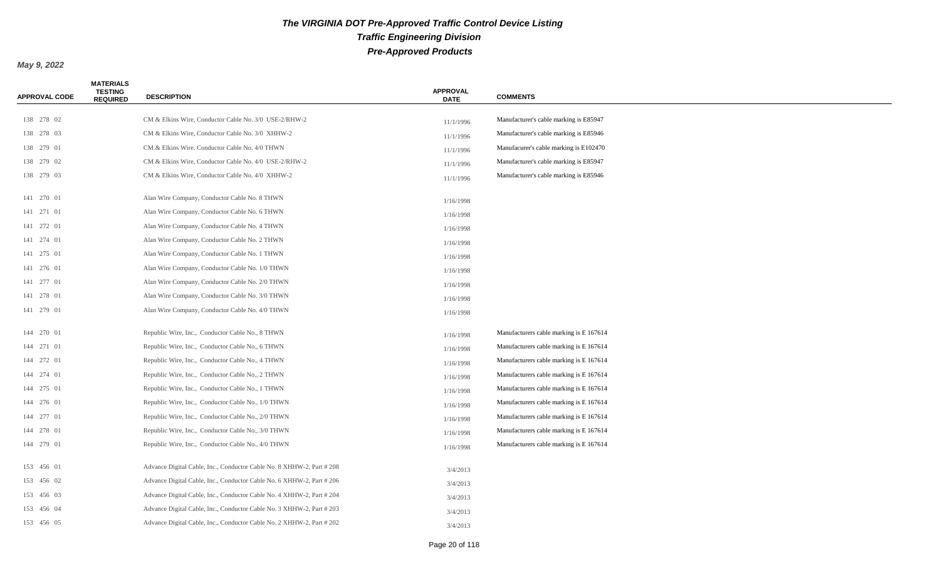| <b>APPROVAL CODE</b> | <b>MATERIALS</b><br><b>TESTING</b><br><b>REQUIRED</b> | <b>DESCRIPTION</b>                                                    | <b>APPROVAL</b><br><b>DATE</b> | <b>COMMENTS</b>                         |
|----------------------|-------------------------------------------------------|-----------------------------------------------------------------------|--------------------------------|-----------------------------------------|
| 138 278 02           |                                                       | CM & Elkins Wire, Conductor Cable No. 3/0 USE-2/RHW-2                 |                                | Manufacturer's cable marking is E85947  |
| 138 278 03           |                                                       | CM & Elkins Wire, Conductor Cable No. 3/0 XHHW-2                      | 11/1/1996                      | Manufacturer's cable marking is E85946  |
| 138 279 01           |                                                       | CM & Elkins Wire. Conductor Cable No. 4/0 THWN                        | 11/1/1996                      | Manufacurer's cable marking is E102470  |
| 138 279 02           |                                                       | CM & Elkins Wire, Conductor Cable No. 4/0 USE-2/RHW-2                 | 11/1/1996                      | Manufacturer's cable marking is E85947  |
| 138 279 03           |                                                       | CM & Elkins Wire, Conductor Cable No. 4/0 XHHW-2                      | 11/1/1996                      | Manufacturer's cable marking is E85946  |
|                      |                                                       |                                                                       | 11/1/1996                      |                                         |
| 141 270 01           |                                                       | Alan Wire Company, Conductor Cable No. 8 THWN                         | 1/16/1998                      |                                         |
| 141 271 01           |                                                       | Alan Wire Company, Conductor Cable No. 6 THWN                         | 1/16/1998                      |                                         |
| 141 272 01           |                                                       | Alan Wire Company, Conductor Cable No. 4 THWN                         | 1/16/1998                      |                                         |
| 141 274 01           |                                                       | Alan Wire Company, Conductor Cable No. 2 THWN                         | 1/16/1998                      |                                         |
| 141 275 01           |                                                       | Alan Wire Company, Conductor Cable No. 1 THWN                         | 1/16/1998                      |                                         |
| 141 276 01           |                                                       | Alan Wire Company, Conductor Cable No. 1/0 THWN                       | 1/16/1998                      |                                         |
| 141 277 01           |                                                       | Alan Wire Company, Conductor Cable No. 2/0 THWN                       | 1/16/1998                      |                                         |
| 141 278 01           |                                                       | Alan Wire Company, Conductor Cable No. 3/0 THWN                       | 1/16/1998                      |                                         |
| 141 279 01           |                                                       | Alan Wire Company, Conductor Cable No. 4/0 THWN                       | 1/16/1998                      |                                         |
| 144 270 01           |                                                       | Republic Wire, Inc., Conductor Cable No., 8 THWN                      |                                | Manufacturers cable marking is E 167614 |
| 144 271 01           |                                                       |                                                                       | 1/16/1998                      | Manufacturers cable marking is E 167614 |
|                      |                                                       | Republic Wire, Inc., Conductor Cable No., 6 THWN                      | 1/16/1998                      |                                         |
| 144 272 01           |                                                       | Republic Wire, Inc., Conductor Cable No., 4 THWN                      | 1/16/1998                      | Manufacturers cable marking is E 167614 |
| 144 274 01           |                                                       | Republic Wire, Inc., Conductor Cable No., 2 THWN                      | 1/16/1998                      | Manufacturers cable marking is E 167614 |
| 144 275 01           |                                                       | Republic Wire, Inc., Conductor Cable No., 1 THWN                      | 1/16/1998                      | Manufacturers cable marking is E 167614 |
| 144 276 01           |                                                       | Republic Wire, Inc., Conductor Cable No., 1/0 THWN                    | 1/16/1998                      | Manufacturers cable marking is E 167614 |
| 144 277 01           |                                                       | Republic Wire, Inc., Conductor Cable No., 2/0 THWN                    | 1/16/1998                      | Manufacturers cable marking is E 167614 |
| 144 278 01           |                                                       | Republic Wire, Inc., Conductor Cable No., 3/0 THWN                    | 1/16/1998                      | Manufacturers cable marking is E 167614 |
| 144 279 01           |                                                       | Republic Wire, Inc., Conductor Cable No., 4/0 THWN                    | 1/16/1998                      | Manufacturers cable marking is E 167614 |
| 153 456 01           |                                                       | Advance Digital Cable, Inc., Conductor Cable No. 8 XHHW-2, Part # 208 | 3/4/2013                       |                                         |
| 153 456 02           |                                                       | Advance Digital Cable, Inc., Conductor Cable No. 6 XHHW-2, Part # 206 | 3/4/2013                       |                                         |
| 153 456 03           |                                                       | Advance Digital Cable, Inc., Conductor Cable No. 4 XHHW-2, Part # 204 | 3/4/2013                       |                                         |
| 153 456 04           |                                                       | Advance Digital Cable, Inc., Conductor Cable No. 3 XHHW-2, Part # 203 | 3/4/2013                       |                                         |
| 153 456 05           |                                                       | Advance Digital Cable, Inc., Conductor Cable No. 2 XHHW-2, Part # 202 | 3/4/2013                       |                                         |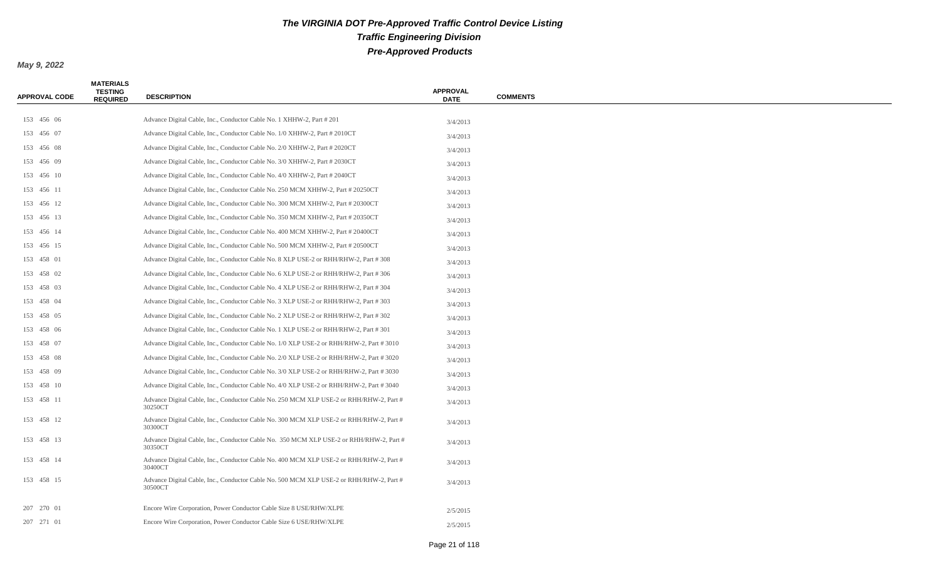| <b>APPROVAL CODE</b> | <b>MATERIALS</b><br><b>TESTING</b><br><b>REQUIRED</b> | <b>DESCRIPTION</b>                                                                                 | <b>APPROVAL</b><br><b>DATE</b> | <b>COMMENTS</b> |
|----------------------|-------------------------------------------------------|----------------------------------------------------------------------------------------------------|--------------------------------|-----------------|
|                      |                                                       |                                                                                                    |                                |                 |
| 153 456 06           |                                                       | Advance Digital Cable, Inc., Conductor Cable No. 1 XHHW-2, Part # 201                              | 3/4/2013                       |                 |
| 153 456 07           |                                                       | Advance Digital Cable, Inc., Conductor Cable No. 1/0 XHHW-2, Part # 2010CT                         | 3/4/2013                       |                 |
| 153 456 08           |                                                       | Advance Digital Cable, Inc., Conductor Cable No. 2/0 XHHW-2, Part # 2020CT                         | 3/4/2013                       |                 |
| 153 456 09           |                                                       | Advance Digital Cable, Inc., Conductor Cable No. 3/0 XHHW-2, Part # 2030CT                         | 3/4/2013                       |                 |
| 153 456 10           |                                                       | Advance Digital Cable, Inc., Conductor Cable No. 4/0 XHHW-2, Part # 2040CT                         | 3/4/2013                       |                 |
| 153 456 11           |                                                       | Advance Digital Cable, Inc., Conductor Cable No. 250 MCM XHHW-2, Part #20250CT                     | 3/4/2013                       |                 |
| 153 456 12           |                                                       | Advance Digital Cable, Inc., Conductor Cable No. 300 MCM XHHW-2, Part # 20300CT                    | 3/4/2013                       |                 |
| 153 456 13           |                                                       | Advance Digital Cable, Inc., Conductor Cable No. 350 MCM XHHW-2, Part # 20350CT                    | 3/4/2013                       |                 |
| 153 456 14           |                                                       | Advance Digital Cable, Inc., Conductor Cable No. 400 MCM XHHW-2, Part # 20400CT                    | 3/4/2013                       |                 |
| 153 456 15           |                                                       | Advance Digital Cable, Inc., Conductor Cable No. 500 MCM XHHW-2, Part # 20500CT                    | 3/4/2013                       |                 |
| 153 458 01           |                                                       | Advance Digital Cable, Inc., Conductor Cable No. 8 XLP USE-2 or RHH/RHW-2, Part # 308              | 3/4/2013                       |                 |
| 153 458 02           |                                                       | Advance Digital Cable, Inc., Conductor Cable No. 6 XLP USE-2 or RHH/RHW-2, Part # 306              | 3/4/2013                       |                 |
| 153 458 03           |                                                       | Advance Digital Cable, Inc., Conductor Cable No. 4 XLP USE-2 or RHH/RHW-2, Part # 304              | 3/4/2013                       |                 |
| 153 458 04           |                                                       | Advance Digital Cable, Inc., Conductor Cable No. 3 XLP USE-2 or RHH/RHW-2, Part # 303              | 3/4/2013                       |                 |
| 153 458 05           |                                                       | Advance Digital Cable, Inc., Conductor Cable No. 2 XLP USE-2 or RHH/RHW-2, Part #302               | 3/4/2013                       |                 |
| 153 458 06           |                                                       | Advance Digital Cable, Inc., Conductor Cable No. 1 XLP USE-2 or RHH/RHW-2, Part #301               | 3/4/2013                       |                 |
| 153 458 07           |                                                       | Advance Digital Cable, Inc., Conductor Cable No. 1/0 XLP USE-2 or RHH/RHW-2, Part #3010            | 3/4/2013                       |                 |
| 153 458 08           |                                                       | Advance Digital Cable, Inc., Conductor Cable No. 2/0 XLP USE-2 or RHH/RHW-2, Part #3020            | 3/4/2013                       |                 |
| 153 458 09           |                                                       | Advance Digital Cable, Inc., Conductor Cable No. 3/0 XLP USE-2 or RHH/RHW-2, Part #3030            | 3/4/2013                       |                 |
| 153 458 10           |                                                       | Advance Digital Cable, Inc., Conductor Cable No. 4/0 XLP USE-2 or RHH/RHW-2, Part #3040            | 3/4/2013                       |                 |
| 153 458 11           |                                                       | Advance Digital Cable, Inc., Conductor Cable No. 250 MCM XLP USE-2 or RHH/RHW-2, Part #<br>30250CT | 3/4/2013                       |                 |
| 153 458 12           |                                                       | Advance Digital Cable, Inc., Conductor Cable No. 300 MCM XLP USE-2 or RHH/RHW-2, Part #<br>30300CT | 3/4/2013                       |                 |
| 153 458 13           |                                                       | Advance Digital Cable, Inc., Conductor Cable No. 350 MCM XLP USE-2 or RHH/RHW-2, Part #<br>30350CT | 3/4/2013                       |                 |
| 153 458 14           |                                                       | Advance Digital Cable, Inc., Conductor Cable No. 400 MCM XLP USE-2 or RHH/RHW-2, Part #<br>30400CT | 3/4/2013                       |                 |
| 153 458 15           |                                                       | Advance Digital Cable, Inc., Conductor Cable No. 500 MCM XLP USE-2 or RHH/RHW-2, Part #<br>30500CT | 3/4/2013                       |                 |
| 207 270 01           |                                                       | Encore Wire Corporation, Power Conductor Cable Size 8 USE/RHW/XLPE                                 | 2/5/2015                       |                 |
| 207 271 01           |                                                       | Encore Wire Corporation, Power Conductor Cable Size 6 USE/RHW/XLPE                                 | 2/5/2015                       |                 |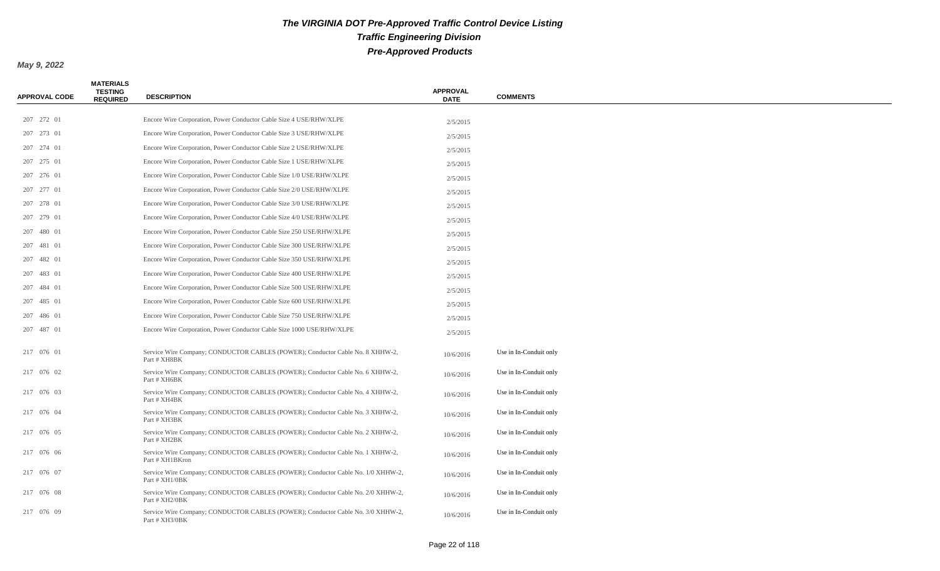| <b>APPROVAL CODE</b> | <b>MATERIALS</b><br><b>TESTING</b><br><b>REQUIRED</b> | <b>DESCRIPTION</b>                                                                                | <b>APPROVAL</b><br><b>DATE</b> | <b>COMMENTS</b>        |
|----------------------|-------------------------------------------------------|---------------------------------------------------------------------------------------------------|--------------------------------|------------------------|
| 207 272 01           |                                                       | Encore Wire Corporation, Power Conductor Cable Size 4 USE/RHW/XLPE                                |                                |                        |
| 207 273 01           |                                                       | Encore Wire Corporation, Power Conductor Cable Size 3 USE/RHW/XLPE                                | 2/5/2015                       |                        |
| 207 274 01           |                                                       | Encore Wire Corporation, Power Conductor Cable Size 2 USE/RHW/XLPE                                | 2/5/2015                       |                        |
| 207 275 01           |                                                       | Encore Wire Corporation, Power Conductor Cable Size 1 USE/RHW/XLPE                                | 2/5/2015                       |                        |
| 207 276 01           |                                                       | Encore Wire Corporation, Power Conductor Cable Size 1/0 USE/RHW/XLPE                              | 2/5/2015                       |                        |
| 207 277 01           |                                                       | Encore Wire Corporation, Power Conductor Cable Size 2/0 USE/RHW/XLPE                              | 2/5/2015                       |                        |
| 207 278 01           |                                                       | Encore Wire Corporation, Power Conductor Cable Size 3/0 USE/RHW/XLPE                              | 2/5/2015                       |                        |
|                      |                                                       |                                                                                                   | 2/5/2015                       |                        |
| 207 279 01           |                                                       | Encore Wire Corporation, Power Conductor Cable Size 4/0 USE/RHW/XLPE                              | 2/5/2015                       |                        |
| 207 480 01           |                                                       | Encore Wire Corporation, Power Conductor Cable Size 250 USE/RHW/XLPE                              | 2/5/2015                       |                        |
| 207 481 01           |                                                       | Encore Wire Corporation, Power Conductor Cable Size 300 USE/RHW/XLPE                              | 2/5/2015                       |                        |
| 207 482 01           |                                                       | Encore Wire Corporation, Power Conductor Cable Size 350 USE/RHW/XLPE                              | 2/5/2015                       |                        |
| 207 483 01           |                                                       | Encore Wire Corporation, Power Conductor Cable Size 400 USE/RHW/XLPE                              | 2/5/2015                       |                        |
| 207 484 01           |                                                       | Encore Wire Corporation, Power Conductor Cable Size 500 USE/RHW/XLPE                              | 2/5/2015                       |                        |
| 207 485 01           |                                                       | Encore Wire Corporation, Power Conductor Cable Size 600 USE/RHW/XLPE                              | 2/5/2015                       |                        |
| 207 486 01           |                                                       | Encore Wire Corporation, Power Conductor Cable Size 750 USE/RHW/XLPE                              | 2/5/2015                       |                        |
| 207 487 01           |                                                       | Encore Wire Corporation, Power Conductor Cable Size 1000 USE/RHW/XLPE                             | 2/5/2015                       |                        |
| 217 076 01           |                                                       | Service Wire Company; CONDUCTOR CABLES (POWER); Conductor Cable No. 8 XHHW-2,<br>Part # XH8BK     | 10/6/2016                      | Use in In-Conduit only |
| 217 076 02           |                                                       | Service Wire Company; CONDUCTOR CABLES (POWER); Conductor Cable No. 6 XHHW-2,<br>Part # XH6BK     | 10/6/2016                      | Use in In-Conduit only |
| 217 076 03           |                                                       | Service Wire Company; CONDUCTOR CABLES (POWER); Conductor Cable No. 4 XHHW-2,<br>Part # XH4BK     | 10/6/2016                      | Use in In-Conduit only |
| 217 076 04           |                                                       | Service Wire Company; CONDUCTOR CABLES (POWER); Conductor Cable No. 3 XHHW-2,<br>Part # XH3BK     | 10/6/2016                      | Use in In-Conduit only |
| 217 076 05           |                                                       | Service Wire Company; CONDUCTOR CABLES (POWER); Conductor Cable No. 2 XHHW-2,<br>Part # XH2BK     | 10/6/2016                      | Use in In-Conduit only |
| 217 076 06           |                                                       | Service Wire Company; CONDUCTOR CABLES (POWER); Conductor Cable No. 1 XHHW-2,<br>Part # XH1BKron  | 10/6/2016                      | Use in In-Conduit only |
| 217 076 07           |                                                       | Service Wire Company; CONDUCTOR CABLES (POWER); Conductor Cable No. 1/0 XHHW-2,<br>Part # XH1/0BK | 10/6/2016                      | Use in In-Conduit only |
| 217 076 08           |                                                       | Service Wire Company; CONDUCTOR CABLES (POWER); Conductor Cable No. 2/0 XHHW-2,<br>Part # XH2/0BK | 10/6/2016                      | Use in In-Conduit only |
| 217 076 09           |                                                       | Service Wire Company; CONDUCTOR CABLES (POWER); Conductor Cable No. 3/0 XHHW-2,<br>Part # XH3/0BK | 10/6/2016                      | Use in In-Conduit only |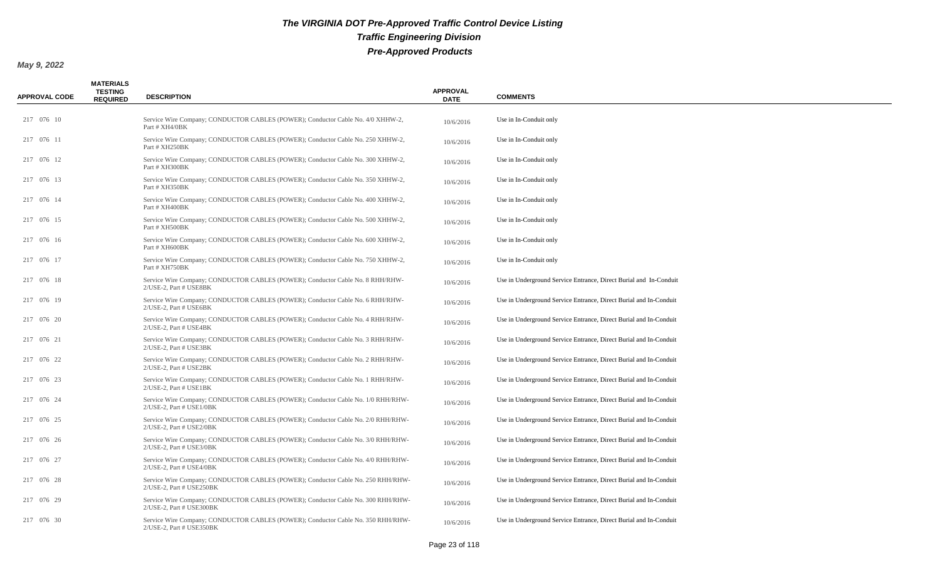| <b>APPROVAL CODE</b> | <b>MATERIALS</b><br><b>TESTING</b><br><b>REQUIRED</b> | <b>DESCRIPTION</b>                                                                                           | <b>APPROVAL</b><br><b>DATE</b> | <b>COMMENTS</b>                                                   |
|----------------------|-------------------------------------------------------|--------------------------------------------------------------------------------------------------------------|--------------------------------|-------------------------------------------------------------------|
| 217 076 10           |                                                       | Service Wire Company; CONDUCTOR CABLES (POWER); Conductor Cable No. 4/0 XHHW-2,<br>Part # XH4/0BK            | 10/6/2016                      | Use in In-Conduit only                                            |
| 217 076 11           |                                                       | Service Wire Company; CONDUCTOR CABLES (POWER); Conductor Cable No. 250 XHHW-2,<br>Part # XH250BK            | 10/6/2016                      | Use in In-Conduit only                                            |
| 217 076 12           |                                                       | Service Wire Company; CONDUCTOR CABLES (POWER); Conductor Cable No. 300 XHHW-2,<br>Part # XH300BK            | 10/6/2016                      | Use in In-Conduit only                                            |
| 217 076 13           |                                                       | Service Wire Company; CONDUCTOR CABLES (POWER); Conductor Cable No. 350 XHHW-2,<br>Part # XH350BK            | 10/6/2016                      | Use in In-Conduit only                                            |
| 217 076 14           |                                                       | Service Wire Company; CONDUCTOR CABLES (POWER); Conductor Cable No. 400 XHHW-2,<br>Part # XH400BK            | 10/6/2016                      | Use in In-Conduit only                                            |
| 217 076 15           |                                                       | Service Wire Company; CONDUCTOR CABLES (POWER); Conductor Cable No. 500 XHHW-2,<br>Part # XH500BK            | 10/6/2016                      | Use in In-Conduit only                                            |
| 217 076 16           |                                                       | Service Wire Company; CONDUCTOR CABLES (POWER); Conductor Cable No. 600 XHHW-2,<br>Part # XH600BK            | 10/6/2016                      | Use in In-Conduit only                                            |
| 217 076 17           |                                                       | Service Wire Company; CONDUCTOR CABLES (POWER); Conductor Cable No. 750 XHHW-2,<br>Part # XH750BK            | 10/6/2016                      | Use in In-Conduit only                                            |
| 217 076 18           |                                                       | Service Wire Company; CONDUCTOR CABLES (POWER); Conductor Cable No. 8 RHH/RHW-<br>2/USE-2, Part # USE8BK     | 10/6/2016                      | Use in Underground Service Entrance, Direct Burial and In-Conduit |
| 217 076 19           |                                                       | Service Wire Company; CONDUCTOR CABLES (POWER); Conductor Cable No. 6 RHH/RHW-<br>2/USE-2. Part # USE6BK     | 10/6/2016                      | Use in Underground Service Entrance, Direct Burial and In-Conduit |
| 217 076 20           |                                                       | Service Wire Company; CONDUCTOR CABLES (POWER); Conductor Cable No. 4 RHH/RHW-<br>2/USE-2, Part # USE4BK     | 10/6/2016                      | Use in Underground Service Entrance, Direct Burial and In-Conduit |
| 217 076 21           |                                                       | Service Wire Company; CONDUCTOR CABLES (POWER); Conductor Cable No. 3 RHH/RHW-<br>2/USE-2. Part # USE3BK     | 10/6/2016                      | Use in Underground Service Entrance, Direct Burial and In-Conduit |
| 217 076 22           |                                                       | Service Wire Company; CONDUCTOR CABLES (POWER); Conductor Cable No. 2 RHH/RHW-<br>2/USE-2, Part # USE2BK     | 10/6/2016                      | Use in Underground Service Entrance, Direct Burial and In-Conduit |
| 217 076 23           |                                                       | Service Wire Company; CONDUCTOR CABLES (POWER); Conductor Cable No. 1 RHH/RHW-<br>2/USE-2. Part # USE1BK     | 10/6/2016                      | Use in Underground Service Entrance, Direct Burial and In-Conduit |
| 217 076 24           |                                                       | Service Wire Company; CONDUCTOR CABLES (POWER); Conductor Cable No. 1/0 RHH/RHW-<br>2/USE-2. Part # USE1/0BK | 10/6/2016                      | Use in Underground Service Entrance, Direct Burial and In-Conduit |
| 217 076 25           |                                                       | Service Wire Company; CONDUCTOR CABLES (POWER); Conductor Cable No. 2/0 RHH/RHW-<br>2/USE-2, Part # USE2/0BK | 10/6/2016                      | Use in Underground Service Entrance, Direct Burial and In-Conduit |
| 217 076 26           |                                                       | Service Wire Company; CONDUCTOR CABLES (POWER); Conductor Cable No. 3/0 RHH/RHW-<br>2/USE-2, Part # USE3/0BK | 10/6/2016                      | Use in Underground Service Entrance, Direct Burial and In-Conduit |
| 217 076 27           |                                                       | Service Wire Company; CONDUCTOR CABLES (POWER); Conductor Cable No. 4/0 RHH/RHW-<br>2/USE-2. Part # USE4/0BK | 10/6/2016                      | Use in Underground Service Entrance, Direct Burial and In-Conduit |
| 217 076 28           |                                                       | Service Wire Company; CONDUCTOR CABLES (POWER); Conductor Cable No. 250 RHH/RHW-<br>2/USE-2, Part # USE250BK | 10/6/2016                      | Use in Underground Service Entrance, Direct Burial and In-Conduit |
| 217 076 29           |                                                       | Service Wire Company; CONDUCTOR CABLES (POWER); Conductor Cable No. 300 RHH/RHW-<br>2/USE-2. Part # USE300BK | 10/6/2016                      | Use in Underground Service Entrance, Direct Burial and In-Conduit |
| 217 076 30           |                                                       | Service Wire Company; CONDUCTOR CABLES (POWER); Conductor Cable No. 350 RHH/RHW-<br>2/USE-2, Part # USE350BK | 10/6/2016                      | Use in Underground Service Entrance, Direct Burial and In-Conduit |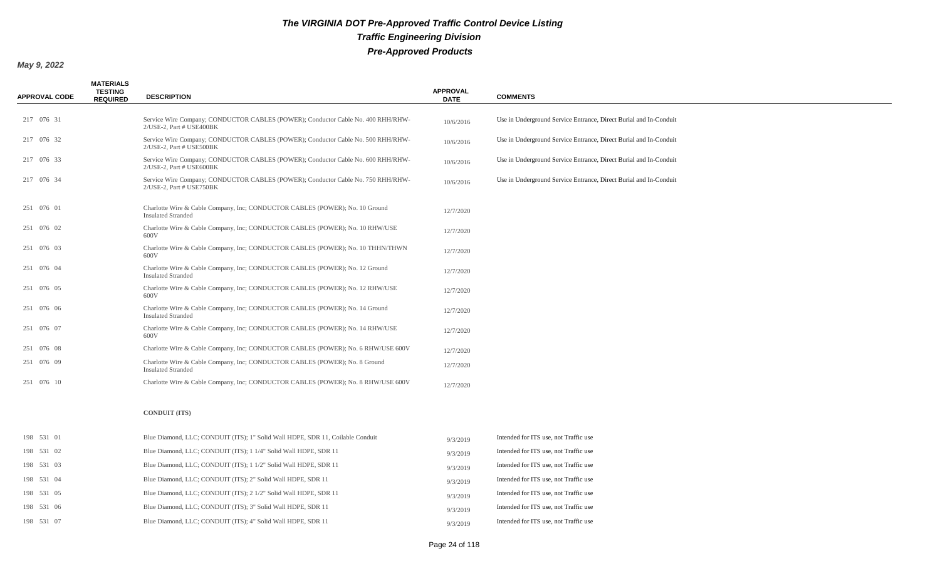| <b>APPROVAL CODE</b> | <b>MATERIALS</b><br><b>TESTING</b><br><b>REQUIRED</b> | <b>DESCRIPTION</b>                                                                                           | <b>APPROVAL</b><br><b>DATE</b> | <b>COMMENTS</b>                                                   |
|----------------------|-------------------------------------------------------|--------------------------------------------------------------------------------------------------------------|--------------------------------|-------------------------------------------------------------------|
|                      |                                                       |                                                                                                              |                                |                                                                   |
| 217 076 31           |                                                       | Service Wire Company; CONDUCTOR CABLES (POWER); Conductor Cable No. 400 RHH/RHW-<br>2/USE-2, Part # USE400BK | 10/6/2016                      | Use in Underground Service Entrance, Direct Burial and In-Conduit |
| 217 076 32           |                                                       | Service Wire Company; CONDUCTOR CABLES (POWER); Conductor Cable No. 500 RHH/RHW-<br>2/USE-2, Part # USE500BK | 10/6/2016                      | Use in Underground Service Entrance, Direct Burial and In-Conduit |
| 217 076 33           |                                                       | Service Wire Company; CONDUCTOR CABLES (POWER); Conductor Cable No. 600 RHH/RHW-<br>2/USE-2, Part # USE600BK | 10/6/2016                      | Use in Underground Service Entrance, Direct Burial and In-Conduit |
| 217 076 34           |                                                       | Service Wire Company; CONDUCTOR CABLES (POWER); Conductor Cable No. 750 RHH/RHW-<br>2/USE-2, Part # USE750BK | 10/6/2016                      | Use in Underground Service Entrance, Direct Burial and In-Conduit |
| 251 076 01           |                                                       | Charlotte Wire & Cable Company, Inc; CONDUCTOR CABLES (POWER); No. 10 Ground<br><b>Insulated Stranded</b>    | 12/7/2020                      |                                                                   |
| 251 076 02           |                                                       | Charlotte Wire & Cable Company, Inc; CONDUCTOR CABLES (POWER); No. 10 RHW/USE<br>600V                        | 12/7/2020                      |                                                                   |
| 251 076 03           |                                                       | Charlotte Wire & Cable Company, Inc; CONDUCTOR CABLES (POWER); No. 10 THHN/THWN<br>600V                      | 12/7/2020                      |                                                                   |
| 251 076 04           |                                                       | Charlotte Wire & Cable Company, Inc; CONDUCTOR CABLES (POWER); No. 12 Ground<br><b>Insulated Stranded</b>    | 12/7/2020                      |                                                                   |
| 251 076 05           |                                                       | Charlotte Wire & Cable Company, Inc; CONDUCTOR CABLES (POWER); No. 12 RHW/USE<br>600V                        | 12/7/2020                      |                                                                   |
| 251 076 06           |                                                       | Charlotte Wire & Cable Company, Inc; CONDUCTOR CABLES (POWER); No. 14 Ground<br><b>Insulated Stranded</b>    | 12/7/2020                      |                                                                   |
| 251 076 07           |                                                       | Charlotte Wire & Cable Company, Inc; CONDUCTOR CABLES (POWER); No. 14 RHW/USE<br>600V                        | 12/7/2020                      |                                                                   |
| 251 076 08           |                                                       | Charlotte Wire & Cable Company, Inc; CONDUCTOR CABLES (POWER); No. 6 RHW/USE 600V                            | 12/7/2020                      |                                                                   |
| 251 076 09           |                                                       | Charlotte Wire & Cable Company, Inc; CONDUCTOR CABLES (POWER); No. 8 Ground<br><b>Insulated Stranded</b>     | 12/7/2020                      |                                                                   |
| 251 076 10           |                                                       | Charlotte Wire & Cable Company, Inc; CONDUCTOR CABLES (POWER); No. 8 RHW/USE 600V                            | 12/7/2020                      |                                                                   |
|                      |                                                       | <b>CONDUIT (ITS)</b>                                                                                         |                                |                                                                   |
| 198 531 01           |                                                       | Blue Diamond, LLC; CONDUIT (ITS); 1" Solid Wall HDPE, SDR 11, Coilable Conduit                               | 9/3/2019                       | Intended for ITS use, not Traffic use                             |
| 198 531 02           |                                                       | Blue Diamond, LLC; CONDUIT (ITS); 1 1/4" Solid Wall HDPE, SDR 11                                             | 9/3/2019                       | Intended for ITS use, not Traffic use                             |
| 198 531 03           |                                                       | Blue Diamond, LLC; CONDUIT (ITS); 1 1/2" Solid Wall HDPE, SDR 11                                             | 9/3/2019                       | Intended for ITS use, not Traffic use                             |
| 198 531 04           |                                                       | Blue Diamond, LLC; CONDUIT (ITS); 2" Solid Wall HDPE, SDR 11                                                 | 9/3/2019                       | Intended for ITS use, not Traffic use                             |
| 198 531 05           |                                                       | Blue Diamond, LLC; CONDUIT (ITS); 2 1/2" Solid Wall HDPE, SDR 11                                             | 9/3/2019                       | Intended for ITS use, not Traffic use                             |
| 198 531 06           |                                                       | Blue Diamond, LLC; CONDUIT (ITS); 3" Solid Wall HDPE, SDR 11                                                 | 9/3/2019                       | Intended for ITS use, not Traffic use                             |
| 198 531 07           |                                                       | Blue Diamond, LLC; CONDUIT (ITS); 4" Solid Wall HDPE, SDR 11                                                 | 9/3/2019                       | Intended for ITS use, not Traffic use                             |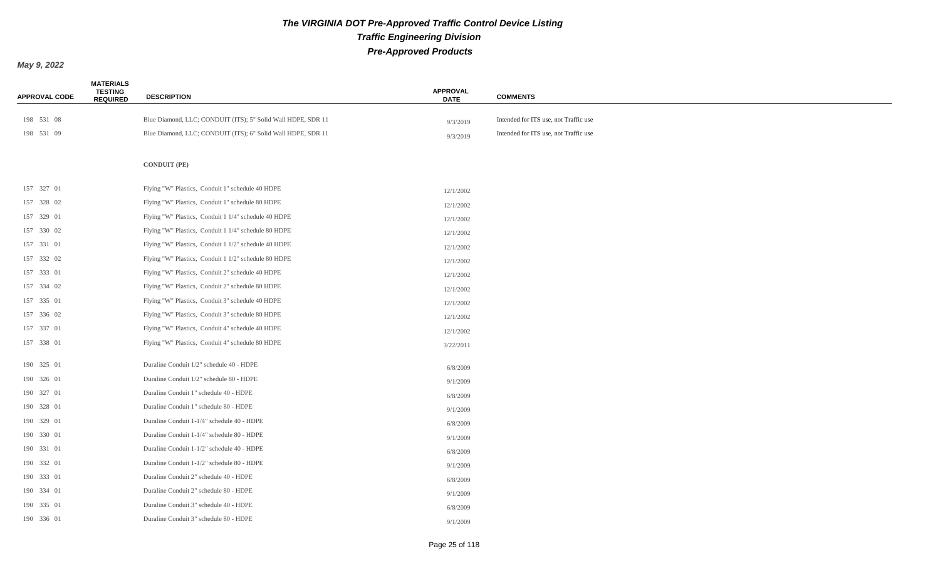| <b>APPROVAL CODE</b> | <b>MATERIALS</b><br><b>TESTING</b><br><b>REQUIRED</b> | <b>DESCRIPTION</b>                                           | <b>APPROVAL</b><br><b>DATE</b> | <b>COMMENTS</b>                       |
|----------------------|-------------------------------------------------------|--------------------------------------------------------------|--------------------------------|---------------------------------------|
| 198 531 08           |                                                       | Blue Diamond, LLC; CONDUIT (ITS); 5" Solid Wall HDPE, SDR 11 |                                | Intended for ITS use, not Traffic use |
| 198 531 09           |                                                       | Blue Diamond, LLC; CONDUIT (ITS); 6" Solid Wall HDPE, SDR 11 | 9/3/2019<br>9/3/2019           | Intended for ITS use, not Traffic use |
|                      |                                                       |                                                              |                                |                                       |
|                      |                                                       | <b>CONDUIT (PE)</b>                                          |                                |                                       |
| 157 327 01           |                                                       | Flying "W" Plastics, Conduit 1" schedule 40 HDPE             | 12/1/2002                      |                                       |
| 157 328 02           |                                                       | Flying "W" Plastics, Conduit 1" schedule 80 HDPE             | 12/1/2002                      |                                       |
| 157 329 01           |                                                       | Flying "W" Plastics, Conduit 1 1/4" schedule 40 HDPE         | 12/1/2002                      |                                       |
| 157 330 02           |                                                       | Flying "W" Plastics, Conduit 1 1/4" schedule 80 HDPE         | 12/1/2002                      |                                       |
| 157 331 01           |                                                       | Flying "W" Plastics, Conduit 1 1/2" schedule 40 HDPE         | 12/1/2002                      |                                       |
| 157 332 02           |                                                       | Flying "W" Plastics, Conduit 1 1/2" schedule 80 HDPE         | 12/1/2002                      |                                       |
| 157 333 01           |                                                       | Flying "W" Plastics, Conduit 2" schedule 40 HDPE             | 12/1/2002                      |                                       |
| 157 334 02           |                                                       | Flying "W" Plastics, Conduit 2" schedule 80 HDPE             | 12/1/2002                      |                                       |
| 157 335 01           |                                                       | Flying "W" Plastics, Conduit 3" schedule 40 HDPE             | 12/1/2002                      |                                       |
| 157 336 02           |                                                       | Flying "W" Plastics, Conduit 3" schedule 80 HDPE             | 12/1/2002                      |                                       |
| 157 337 01           |                                                       | Flying "W" Plastics, Conduit 4" schedule 40 HDPE             | 12/1/2002                      |                                       |
| 157 338 01           |                                                       | Flying "W" Plastics, Conduit 4" schedule 80 HDPE             | 3/22/2011                      |                                       |
| 190 325 01           |                                                       | Duraline Conduit 1/2" schedule 40 - HDPE                     | 6/8/2009                       |                                       |
| 190 326 01           |                                                       | Duraline Conduit 1/2" schedule 80 - HDPE                     | 9/1/2009                       |                                       |
| 190 327 01           |                                                       | Duraline Conduit 1" schedule 40 - HDPE                       | 6/8/2009                       |                                       |
| 190 328 01           |                                                       | Duraline Conduit 1" schedule 80 - HDPE                       | 9/1/2009                       |                                       |
| 190 329 01           |                                                       | Duraline Conduit 1-1/4" schedule 40 - HDPE                   | 6/8/2009                       |                                       |
| 190 330 01           |                                                       | Duraline Conduit 1-1/4" schedule 80 - HDPE                   | 9/1/2009                       |                                       |
| 190 331 01           |                                                       | Duraline Conduit 1-1/2" schedule 40 - HDPE                   | 6/8/2009                       |                                       |
| 190 332 01           |                                                       | Duraline Conduit 1-1/2" schedule 80 - HDPE                   | 9/1/2009                       |                                       |
| 190 333 01           |                                                       | Duraline Conduit 2" schedule 40 - HDPE                       | 6/8/2009                       |                                       |
| 190 334 01           |                                                       | Duraline Conduit 2" schedule 80 - HDPE                       | 9/1/2009                       |                                       |
| 190 335 01           |                                                       | Duraline Conduit 3" schedule 40 - HDPE                       | 6/8/2009                       |                                       |
| 190 336 01           |                                                       | Duraline Conduit 3" schedule 80 - HDPE                       | 9/1/2009                       |                                       |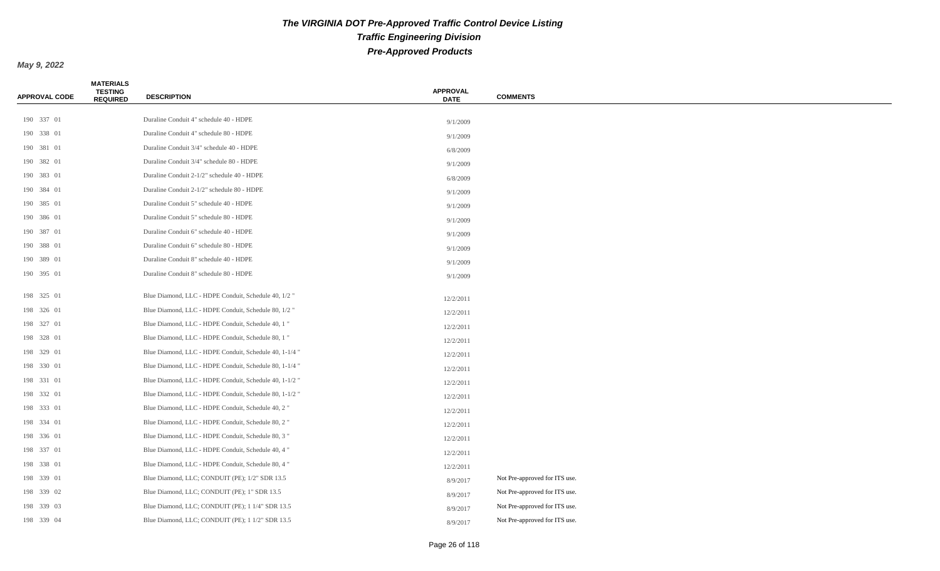| <b>APPROVAL CODE</b> | <b>MATERIALS</b><br><b>TESTING</b><br><b>REQUIRED</b> | <b>DESCRIPTION</b>                                     | <b>APPROVAL</b><br><b>DATE</b> | <b>COMMENTS</b>               |
|----------------------|-------------------------------------------------------|--------------------------------------------------------|--------------------------------|-------------------------------|
|                      |                                                       |                                                        |                                |                               |
| 190 337 01           |                                                       | Duraline Conduit 4" schedule 40 - HDPE                 | 9/1/2009                       |                               |
| 190 338 01           |                                                       | Duraline Conduit 4" schedule 80 - HDPE                 | 9/1/2009                       |                               |
| 190 381 01           |                                                       | Duraline Conduit 3/4" schedule 40 - HDPE               | 6/8/2009                       |                               |
| 190 382 01           |                                                       | Duraline Conduit 3/4" schedule 80 - HDPE               | 9/1/2009                       |                               |
| 190 383 01           |                                                       | Duraline Conduit 2-1/2" schedule 40 - HDPE             | 6/8/2009                       |                               |
| 190 384 01           |                                                       | Duraline Conduit 2-1/2" schedule 80 - HDPE             | 9/1/2009                       |                               |
| 190 385 01           |                                                       | Duraline Conduit 5" schedule 40 - HDPE                 | 9/1/2009                       |                               |
| 190 386 01           |                                                       | Duraline Conduit 5" schedule 80 - HDPE                 | 9/1/2009                       |                               |
| 190 387 01           |                                                       | Duraline Conduit 6" schedule 40 - HDPE                 | 9/1/2009                       |                               |
| 190 388 01           |                                                       | Duraline Conduit 6" schedule 80 - HDPE                 | 9/1/2009                       |                               |
| 190 389 01           |                                                       | Duraline Conduit 8" schedule 40 - HDPE                 | 9/1/2009                       |                               |
| 190 395 01           |                                                       | Duraline Conduit 8" schedule 80 - HDPE                 | 9/1/2009                       |                               |
| 198 325 01           |                                                       | Blue Diamond, LLC - HDPE Conduit, Schedule 40, 1/2 "   | 12/2/2011                      |                               |
| 198 326 01           |                                                       | Blue Diamond, LLC - HDPE Conduit, Schedule 80, 1/2 "   | 12/2/2011                      |                               |
| 198 327 01           |                                                       | Blue Diamond, LLC - HDPE Conduit, Schedule 40, 1"      | 12/2/2011                      |                               |
| 198 328 01           |                                                       | Blue Diamond, LLC - HDPE Conduit, Schedule 80, 1"      | 12/2/2011                      |                               |
| 198 329 01           |                                                       | Blue Diamond, LLC - HDPE Conduit, Schedule 40, 1-1/4 " | 12/2/2011                      |                               |
| 198 330 01           |                                                       | Blue Diamond, LLC - HDPE Conduit, Schedule 80, 1-1/4 " | 12/2/2011                      |                               |
| 198 331 01           |                                                       | Blue Diamond, LLC - HDPE Conduit, Schedule 40, 1-1/2 " | 12/2/2011                      |                               |
| 198 332 01           |                                                       | Blue Diamond, LLC - HDPE Conduit, Schedule 80, 1-1/2 " | 12/2/2011                      |                               |
| 198 333 01           |                                                       | Blue Diamond, LLC - HDPE Conduit, Schedule 40, 2"      | 12/2/2011                      |                               |
| 198 334 01           |                                                       | Blue Diamond, LLC - HDPE Conduit, Schedule 80, 2"      | 12/2/2011                      |                               |
| 198 336 01           |                                                       | Blue Diamond, LLC - HDPE Conduit, Schedule 80, 3"      | 12/2/2011                      |                               |
| 198 337 01           |                                                       | Blue Diamond, LLC - HDPE Conduit, Schedule 40, 4"      | 12/2/2011                      |                               |
| 198 338 01           |                                                       | Blue Diamond, LLC - HDPE Conduit, Schedule 80, 4"      | 12/2/2011                      |                               |
| 198 339 01           |                                                       | Blue Diamond, LLC; CONDUIT (PE); 1/2" SDR 13.5         | 8/9/2017                       | Not Pre-approved for ITS use. |
| 198 339 02           |                                                       | Blue Diamond, LLC; CONDUIT (PE); 1" SDR 13.5           | 8/9/2017                       | Not Pre-approved for ITS use. |
| 198 339 03           |                                                       | Blue Diamond, LLC; CONDUIT (PE); 1 1/4" SDR 13.5       | 8/9/2017                       | Not Pre-approved for ITS use. |
| 198 339 04           |                                                       | Blue Diamond, LLC; CONDUIT (PE); 1 1/2" SDR 13.5       | 8/9/2017                       | Not Pre-approved for ITS use. |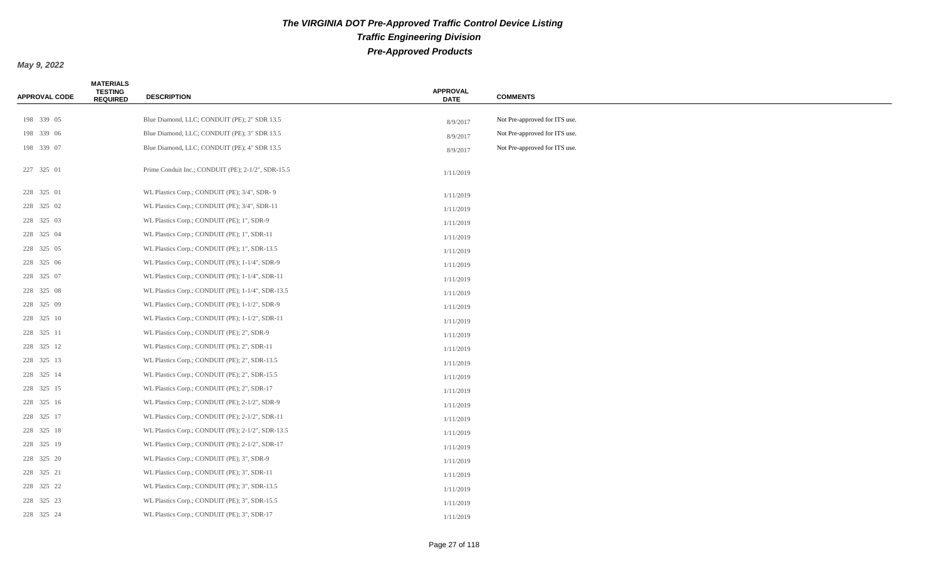| <b>APPROVAL CODE</b> | <b>MATERIALS</b><br><b>TESTING</b><br><b>REQUIRED</b> | <b>DESCRIPTION</b>                                 | <b>APPROVAL</b><br><b>DATE</b> | <b>COMMENTS</b>               |
|----------------------|-------------------------------------------------------|----------------------------------------------------|--------------------------------|-------------------------------|
|                      |                                                       |                                                    |                                |                               |
| 198 339 05           |                                                       | Blue Diamond, LLC; CONDUIT (PE); 2" SDR 13.5       | 8/9/2017                       | Not Pre-approved for ITS use. |
| 198 339 06           |                                                       | Blue Diamond, LLC; CONDUIT (PE); 3" SDR 13.5       | 8/9/2017                       | Not Pre-approved for ITS use. |
| 198 339 07           |                                                       | Blue Diamond, LLC; CONDUIT (PE); 4" SDR 13.5       | 8/9/2017                       | Not Pre-approved for ITS use. |
| 227 325 01           |                                                       | Prime Conduit Inc.; CONDUIT (PE); 2-1/2", SDR-15.5 | 1/11/2019                      |                               |
| 228 325 01           |                                                       | WL Plastics Corp.; CONDUIT (PE); 3/4", SDR-9       | 1/11/2019                      |                               |
| 228 325 02           |                                                       | WL Plastics Corp.; CONDUIT (PE); 3/4", SDR-11      | 1/11/2019                      |                               |
| 228 325 03           |                                                       | WL Plastics Corp.; CONDUIT (PE); 1", SDR-9         | 1/11/2019                      |                               |
| 228 325 04           |                                                       | WL Plastics Corp.; CONDUIT (PE); 1", SDR-11        | 1/11/2019                      |                               |
| 228 325 05           |                                                       | WL Plastics Corp.; CONDUIT (PE); 1", SDR-13.5      | 1/11/2019                      |                               |
| 228 325 06           |                                                       | WL Plastics Corp.; CONDUIT (PE); 1-1/4", SDR-9     | 1/11/2019                      |                               |
| 228 325 07           |                                                       | WL Plastics Corp.; CONDUIT (PE); 1-1/4", SDR-11    | 1/11/2019                      |                               |
| 228 325 08           |                                                       | WL Plastics Corp.; CONDUIT (PE); 1-1/4", SDR-13.5  | 1/11/2019                      |                               |
| 228 325 09           |                                                       | WL Plastics Corp.; CONDUIT (PE); 1-1/2", SDR-9     | 1/11/2019                      |                               |
| 228 325 10           |                                                       | WL Plastics Corp.; CONDUIT (PE); 1-1/2", SDR-11    | 1/11/2019                      |                               |
| 228 325 11           |                                                       | WL Plastics Corp.; CONDUIT (PE); 2", SDR-9         | 1/11/2019                      |                               |
| 228 325 12           |                                                       | WL Plastics Corp.; CONDUIT (PE); 2", SDR-11        | 1/11/2019                      |                               |
| 228 325 13           |                                                       | WL Plastics Corp.; CONDUIT (PE); 2", SDR-13.5      | 1/11/2019                      |                               |
| 228 325 14           |                                                       | WL Plastics Corp.; CONDUIT (PE); 2", SDR-15.5      | 1/11/2019                      |                               |
| 228 325 15           |                                                       | WL Plastics Corp.; CONDUIT (PE); 2", SDR-17        | 1/11/2019                      |                               |
| 228 325 16           |                                                       | WL Plastics Corp.; CONDUIT (PE); 2-1/2", SDR-9     | 1/11/2019                      |                               |
| 228 325 17           |                                                       | WL Plastics Corp.; CONDUIT (PE); 2-1/2", SDR-11    | 1/11/2019                      |                               |
| 228 325 18           |                                                       | WL Plastics Corp.; CONDUIT (PE); 2-1/2", SDR-13.5  | 1/11/2019                      |                               |
| 228 325 19           |                                                       | WL Plastics Corp.; CONDUIT (PE); 2-1/2", SDR-17    | 1/11/2019                      |                               |
| 228 325 20           |                                                       | WL Plastics Corp.; CONDUIT (PE); 3", SDR-9         | 1/11/2019                      |                               |
| 228 325 21           |                                                       | WL Plastics Corp.; CONDUIT (PE); 3", SDR-11        | 1/11/2019                      |                               |
| 228 325 22           |                                                       | WL Plastics Corp.; CONDUIT (PE); 3", SDR-13.5      | 1/11/2019                      |                               |
| 228 325 23           |                                                       | WL Plastics Corp.; CONDUIT (PE); 3", SDR-15.5      | 1/11/2019                      |                               |
| 228 325 24           |                                                       | WL Plastics Corp.; CONDUIT (PE); 3", SDR-17        | 1/11/2019                      |                               |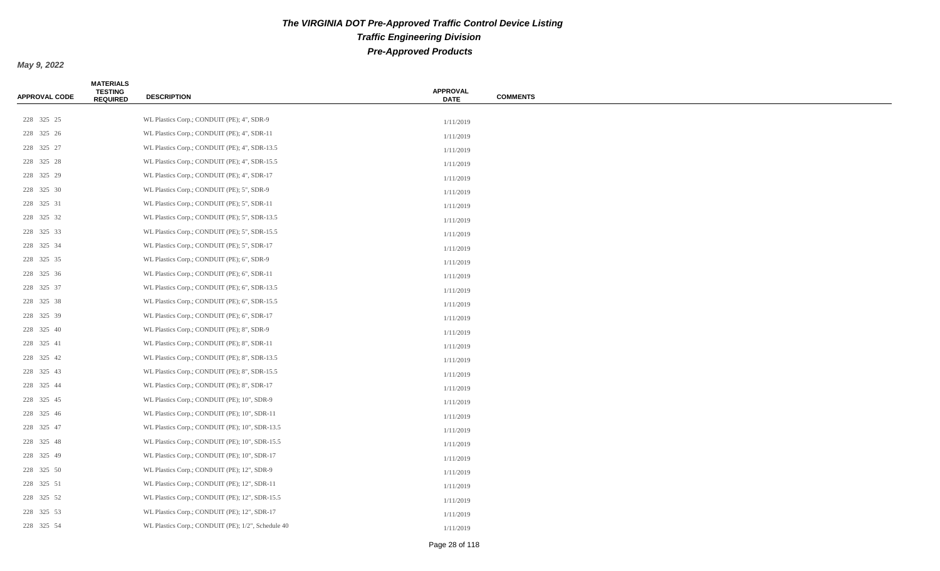| <b>APPROVAL CODE</b> | <b>MATERIALS</b><br><b>TESTING</b><br><b>REQUIRED</b> | <b>DESCRIPTION</b>                                 | <b>APPROVAL</b><br><b>DATE</b> | <b>COMMENTS</b> |
|----------------------|-------------------------------------------------------|----------------------------------------------------|--------------------------------|-----------------|
|                      |                                                       |                                                    |                                |                 |
| 228 325 25           |                                                       | WL Plastics Corp.; CONDUIT (PE); 4", SDR-9         | 1/11/2019                      |                 |
| 228 325 26           |                                                       | WL Plastics Corp.; CONDUIT (PE); 4", SDR-11        | 1/11/2019                      |                 |
| 228 325 27           |                                                       | WL Plastics Corp.; CONDUIT (PE); 4", SDR-13.5      | 1/11/2019                      |                 |
| 228 325 28           |                                                       | WL Plastics Corp.; CONDUIT (PE); 4", SDR-15.5      | 1/11/2019                      |                 |
| 228 325 29           |                                                       | WL Plastics Corp.; CONDUIT (PE); 4", SDR-17        | 1/11/2019                      |                 |
| 228 325 30           |                                                       | WL Plastics Corp.; CONDUIT (PE); 5", SDR-9         | 1/11/2019                      |                 |
| 228 325 31           |                                                       | WL Plastics Corp.; CONDUIT (PE); 5", SDR-11        | 1/11/2019                      |                 |
| 228 325 32           |                                                       | WL Plastics Corp.; CONDUIT (PE); 5", SDR-13.5      | 1/11/2019                      |                 |
| 228 325 33           |                                                       | WL Plastics Corp.; CONDUIT (PE); 5", SDR-15.5      | 1/11/2019                      |                 |
| 228 325 34           |                                                       | WL Plastics Corp.; CONDUIT (PE); 5", SDR-17        | 1/11/2019                      |                 |
| 228 325 35           |                                                       | WL Plastics Corp.; CONDUIT (PE); 6", SDR-9         | 1/11/2019                      |                 |
| 228 325 36           |                                                       | WL Plastics Corp.; CONDUIT (PE); 6", SDR-11        | 1/11/2019                      |                 |
| 228 325 37           |                                                       | WL Plastics Corp.; CONDUIT (PE); 6", SDR-13.5      | 1/11/2019                      |                 |
| 228 325 38           |                                                       | WL Plastics Corp.; CONDUIT (PE); 6", SDR-15.5      | 1/11/2019                      |                 |
| 228 325 39           |                                                       | WL Plastics Corp.; CONDUIT (PE); 6", SDR-17        | 1/11/2019                      |                 |
| 228 325 40           |                                                       | WL Plastics Corp.; CONDUIT (PE); 8", SDR-9         | 1/11/2019                      |                 |
| 228 325 41           |                                                       | WL Plastics Corp.; CONDUIT (PE); 8", SDR-11        | 1/11/2019                      |                 |
| 228 325 42           |                                                       | WL Plastics Corp.; CONDUIT (PE); 8", SDR-13.5      | 1/11/2019                      |                 |
| 228 325 43           |                                                       | WL Plastics Corp.; CONDUIT (PE); 8", SDR-15.5      | 1/11/2019                      |                 |
| 228 325 44           |                                                       | WL Plastics Corp.; CONDUIT (PE); 8", SDR-17        | 1/11/2019                      |                 |
| 228 325 45           |                                                       | WL Plastics Corp.; CONDUIT (PE); 10", SDR-9        | 1/11/2019                      |                 |
| 228 325 46           |                                                       | WL Plastics Corp.; CONDUIT (PE); 10", SDR-11       | 1/11/2019                      |                 |
| 228 325 47           |                                                       | WL Plastics Corp.; CONDUIT (PE); 10", SDR-13.5     | 1/11/2019                      |                 |
| 228 325 48           |                                                       | WL Plastics Corp.; CONDUIT (PE); 10", SDR-15.5     | 1/11/2019                      |                 |
| 228 325 49           |                                                       | WL Plastics Corp.; CONDUIT (PE); 10", SDR-17       | 1/11/2019                      |                 |
| 228 325 50           |                                                       | WL Plastics Corp.; CONDUIT (PE); 12", SDR-9        | 1/11/2019                      |                 |
| 228 325 51           |                                                       | WL Plastics Corp.; CONDUIT (PE); 12", SDR-11       | 1/11/2019                      |                 |
| 228 325 52           |                                                       | WL Plastics Corp.; CONDUIT (PE); 12", SDR-15.5     | 1/11/2019                      |                 |
| 228 325 53           |                                                       | WL Plastics Corp.; CONDUIT (PE); 12", SDR-17       | 1/11/2019                      |                 |
| 228 325 54           |                                                       | WL Plastics Corp.; CONDUIT (PE); 1/2", Schedule 40 | 1/11/2019                      |                 |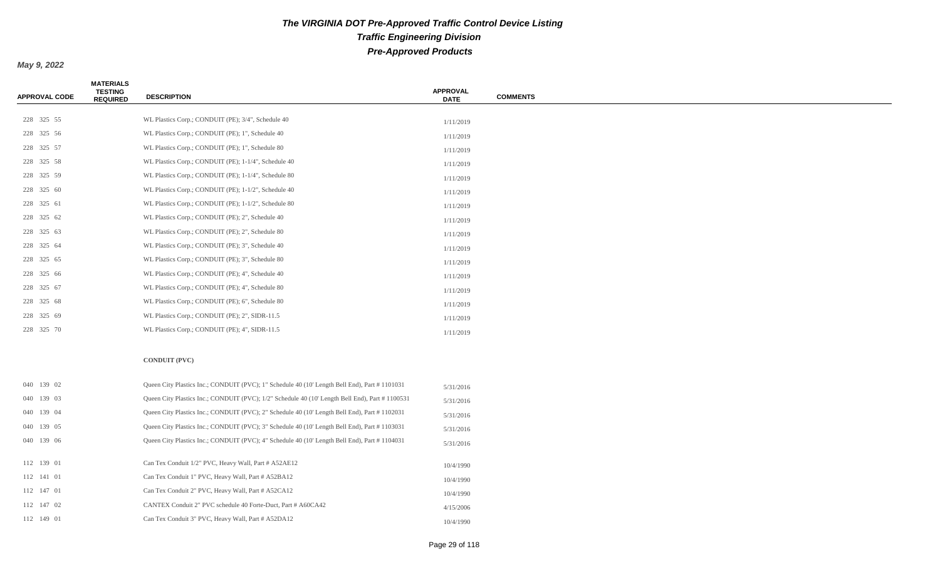*May 9, 2022*

| <b>APPROVAL CODE</b> | <b>MATERIALS</b><br><b>TESTING</b><br><b>REQUIRED</b> | <b>DESCRIPTION</b>                                                                              | <b>APPROVAL</b><br><b>DATE</b> | <b>COMMENTS</b> |
|----------------------|-------------------------------------------------------|-------------------------------------------------------------------------------------------------|--------------------------------|-----------------|
| 228 325 55           |                                                       | WL Plastics Corp.; CONDUIT (PE); 3/4", Schedule 40                                              |                                |                 |
| 228 325 56           |                                                       | WL Plastics Corp.; CONDUIT (PE); 1", Schedule 40                                                | 1/11/2019<br>1/11/2019         |                 |
| 228 325 57           |                                                       | WL Plastics Corp.; CONDUIT (PE); 1", Schedule 80                                                | 1/11/2019                      |                 |
| 228 325 58           |                                                       | WL Plastics Corp.; CONDUIT (PE); 1-1/4", Schedule 40                                            | 1/11/2019                      |                 |
| 228 325 59           |                                                       | WL Plastics Corp.; CONDUIT (PE); 1-1/4", Schedule 80                                            | 1/11/2019                      |                 |
| 228 325 60           |                                                       | WL Plastics Corp.; CONDUIT (PE); 1-1/2", Schedule 40                                            | 1/11/2019                      |                 |
| 228 325 61           |                                                       | WL Plastics Corp.; CONDUIT (PE); 1-1/2", Schedule 80                                            | 1/11/2019                      |                 |
| 228 325 62           |                                                       | WL Plastics Corp.; CONDUIT (PE); 2", Schedule 40                                                | 1/11/2019                      |                 |
| 228 325 63           |                                                       | WL Plastics Corp.; CONDUIT (PE); 2", Schedule 80                                                | 1/11/2019                      |                 |
| 228 325 64           |                                                       | WL Plastics Corp.; CONDUIT (PE); 3", Schedule 40                                                | 1/11/2019                      |                 |
| 228 325 65           |                                                       | WL Plastics Corp.; CONDUIT (PE); 3", Schedule 80                                                | 1/11/2019                      |                 |
| 228 325 66           |                                                       | WL Plastics Corp.; CONDUIT (PE); 4", Schedule 40                                                | 1/11/2019                      |                 |
| 228 325 67           |                                                       | WL Plastics Corp.; CONDUIT (PE); 4", Schedule 80                                                | 1/11/2019                      |                 |
| 228 325 68           |                                                       | WL Plastics Corp.; CONDUIT (PE); 6", Schedule 80                                                | 1/11/2019                      |                 |
| 228 325 69           |                                                       | WL Plastics Corp.; CONDUIT (PE); 2", SIDR-11.5                                                  | 1/11/2019                      |                 |
| 228 325 70           |                                                       | WL Plastics Corp.; CONDUIT (PE); 4", SIDR-11.5                                                  | 1/11/2019                      |                 |
|                      |                                                       | <b>CONDUIT (PVC)</b>                                                                            |                                |                 |
| 040 139 02           |                                                       | Queen City Plastics Inc.; CONDUIT (PVC); 1" Schedule 40 (10' Length Bell End), Part # 1101031   | 5/31/2016                      |                 |
| 040 139 03           |                                                       | Queen City Plastics Inc.; CONDUIT (PVC); 1/2" Schedule 40 (10' Length Bell End), Part # 1100531 | 5/31/2016                      |                 |
| 040 139 04           |                                                       | Queen City Plastics Inc.; CONDUIT (PVC); 2" Schedule 40 (10' Length Bell End), Part # 1102031   | 5/31/2016                      |                 |
| 040 139 05           |                                                       | Queen City Plastics Inc.; CONDUIT (PVC); 3" Schedule 40 (10' Length Bell End), Part # 1103031   | 5/31/2016                      |                 |
| 040 139 06           |                                                       | Queen City Plastics Inc.; CONDUIT (PVC); 4" Schedule 40 (10' Length Bell End), Part # 1104031   | 5/31/2016                      |                 |
| 112 139 01           |                                                       | Can Tex Conduit 1/2" PVC, Heavy Wall, Part # A52AE12                                            | 10/4/1990                      |                 |
| 112 141 01           |                                                       | Can Tex Conduit 1" PVC, Heavy Wall, Part # A52BA12                                              | 10/4/1990                      |                 |
| 112 147 01           |                                                       | Can Tex Conduit 2" PVC, Heavy Wall, Part # A52CA12                                              | 10/4/1990                      |                 |

112 147 02 CANTEX Conduit 2" PVC schedule 40 Forte-Duct, Part # A60CA42 4/15/2006 112 149 01 Can Tex Conduit 3" PVC, Heavy Wall, Part # A52DA12 10/4/1990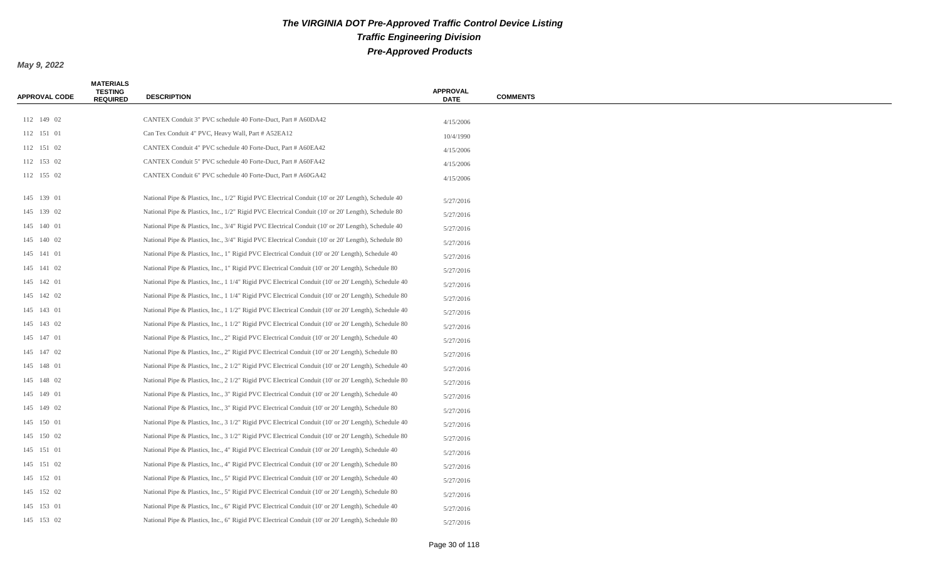| <b>APPROVAL CODE</b> | <b>MATERIALS</b><br><b>TESTING</b><br><b>REQUIRED</b> | <b>DESCRIPTION</b>                                                                                   | <b>APPROVAL</b><br><b>DATE</b> | <b>COMMENTS</b> |
|----------------------|-------------------------------------------------------|------------------------------------------------------------------------------------------------------|--------------------------------|-----------------|
|                      |                                                       |                                                                                                      |                                |                 |
| 112 149 02           |                                                       | CANTEX Conduit 3" PVC schedule 40 Forte-Duct, Part # A60DA42                                         | 4/15/2006                      |                 |
| 112 151 01           |                                                       | Can Tex Conduit 4" PVC, Heavy Wall, Part # A52EA12                                                   | 10/4/1990                      |                 |
| 112 151 02           |                                                       | CANTEX Conduit 4" PVC schedule 40 Forte-Duct, Part # A60EA42                                         | 4/15/2006                      |                 |
| 112 153 02           |                                                       | CANTEX Conduit 5" PVC schedule 40 Forte-Duct, Part # A60FA42                                         | 4/15/2006                      |                 |
| 112 155 02           |                                                       | CANTEX Conduit 6" PVC schedule 40 Forte-Duct, Part # A60GA42                                         | 4/15/2006                      |                 |
| 145 139 01           |                                                       | National Pipe & Plastics, Inc., 1/2" Rigid PVC Electrical Conduit (10' or 20' Length), Schedule 40   | 5/27/2016                      |                 |
| 145 139 02           |                                                       | National Pipe & Plastics, Inc., 1/2" Rigid PVC Electrical Conduit (10' or 20' Length), Schedule 80   | 5/27/2016                      |                 |
| 145 140 01           |                                                       | National Pipe & Plastics, Inc., 3/4" Rigid PVC Electrical Conduit (10' or 20' Length), Schedule 40   | 5/27/2016                      |                 |
| 145 140 02           |                                                       | National Pipe & Plastics, Inc., 3/4" Rigid PVC Electrical Conduit (10' or 20' Length), Schedule 80   | 5/27/2016                      |                 |
| 145 141 01           |                                                       | National Pipe & Plastics, Inc., 1" Rigid PVC Electrical Conduit (10' or 20' Length), Schedule 40     | 5/27/2016                      |                 |
| 145 141 02           |                                                       | National Pipe & Plastics, Inc., 1" Rigid PVC Electrical Conduit (10' or 20' Length), Schedule 80     | 5/27/2016                      |                 |
| 145 142 01           |                                                       | National Pipe & Plastics, Inc., 1 1/4" Rigid PVC Electrical Conduit (10' or 20' Length), Schedule 40 | 5/27/2016                      |                 |
| 145 142 02           |                                                       | National Pipe & Plastics, Inc., 1 1/4" Rigid PVC Electrical Conduit (10' or 20' Length), Schedule 80 | 5/27/2016                      |                 |
| 145 143 01           |                                                       | National Pipe & Plastics, Inc., 1 1/2" Rigid PVC Electrical Conduit (10' or 20' Length), Schedule 40 | 5/27/2016                      |                 |
| 145 143 02           |                                                       | National Pipe & Plastics, Inc., 1 1/2" Rigid PVC Electrical Conduit (10' or 20' Length), Schedule 80 | 5/27/2016                      |                 |
| 145 147 01           |                                                       | National Pipe & Plastics, Inc., 2" Rigid PVC Electrical Conduit (10' or 20' Length), Schedule 40     | 5/27/2016                      |                 |
| 145 147 02           |                                                       | National Pipe & Plastics, Inc., 2" Rigid PVC Electrical Conduit (10' or 20' Length), Schedule 80     | 5/27/2016                      |                 |
| 145 148 01           |                                                       | National Pipe & Plastics, Inc., 2 1/2" Rigid PVC Electrical Conduit (10' or 20' Length), Schedule 40 | 5/27/2016                      |                 |
| 145 148 02           |                                                       | National Pipe & Plastics, Inc., 2 1/2" Rigid PVC Electrical Conduit (10' or 20' Length), Schedule 80 | 5/27/2016                      |                 |
| 145 149 01           |                                                       | National Pipe & Plastics, Inc., 3" Rigid PVC Electrical Conduit (10' or 20' Length), Schedule 40     | 5/27/2016                      |                 |
| 145 149 02           |                                                       | National Pipe & Plastics, Inc., 3" Rigid PVC Electrical Conduit (10' or 20' Length), Schedule 80     | 5/27/2016                      |                 |
| 145 150 01           |                                                       | National Pipe & Plastics, Inc., 3 1/2" Rigid PVC Electrical Conduit (10' or 20' Length), Schedule 40 | 5/27/2016                      |                 |
| 145 150 02           |                                                       | National Pipe & Plastics, Inc., 3 1/2" Rigid PVC Electrical Conduit (10' or 20' Length), Schedule 80 | 5/27/2016                      |                 |
| 145 151 01           |                                                       | National Pipe & Plastics, Inc., 4" Rigid PVC Electrical Conduit (10' or 20' Length), Schedule 40     | 5/27/2016                      |                 |
| 145 151 02           |                                                       | National Pipe & Plastics, Inc., 4" Rigid PVC Electrical Conduit (10' or 20' Length), Schedule 80     | 5/27/2016                      |                 |
| 145 152 01           |                                                       | National Pipe & Plastics, Inc., 5" Rigid PVC Electrical Conduit (10' or 20' Length), Schedule 40     | 5/27/2016                      |                 |
| 145 152 02           |                                                       | National Pipe & Plastics, Inc., 5" Rigid PVC Electrical Conduit (10' or 20' Length), Schedule 80     | 5/27/2016                      |                 |
| 145 153 01           |                                                       | National Pipe & Plastics, Inc., 6" Rigid PVC Electrical Conduit (10' or 20' Length), Schedule 40     | 5/27/2016                      |                 |
| 145 153 02           |                                                       | National Pipe & Plastics, Inc., 6" Rigid PVC Electrical Conduit (10' or 20' Length), Schedule 80     | 5/27/2016                      |                 |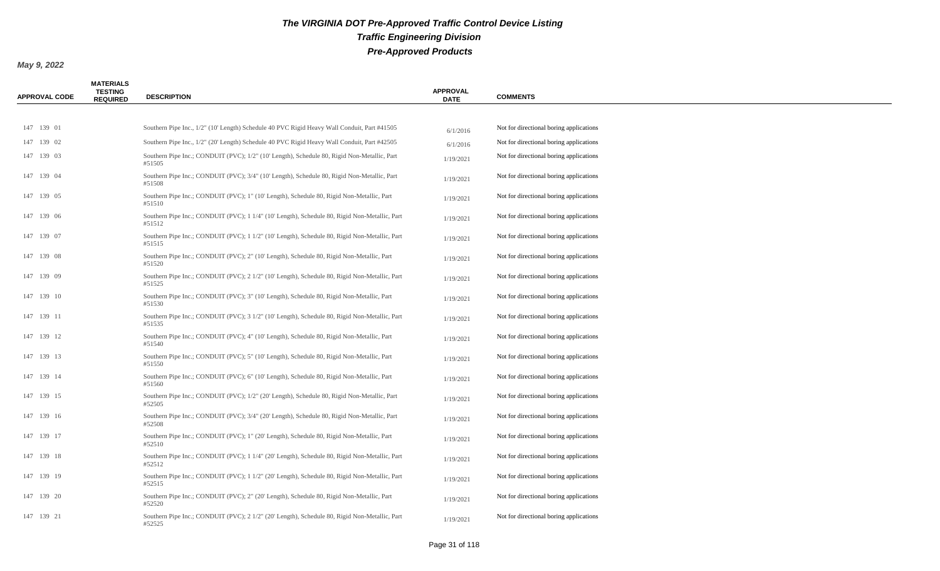| <b>APPROVAL CODE</b> | <b>MATERIALS</b><br><b>TESTING</b><br><b>REQUIRED</b> | <b>DESCRIPTION</b>                                                                                      | <b>APPROVAL</b><br><b>DATE</b> | <b>COMMENTS</b>                         |
|----------------------|-------------------------------------------------------|---------------------------------------------------------------------------------------------------------|--------------------------------|-----------------------------------------|
|                      |                                                       |                                                                                                         |                                |                                         |
| 147 139 01           |                                                       | Southern Pipe Inc., 1/2" (10' Length) Schedule 40 PVC Rigid Heavy Wall Conduit, Part #41505             | 6/1/2016                       | Not for directional boring applications |
| 147 139 02           |                                                       | Southern Pipe Inc., 1/2" (20' Length) Schedule 40 PVC Rigid Heavy Wall Conduit, Part #42505             | 6/1/2016                       | Not for directional boring applications |
| 147 139 03           |                                                       | Southern Pipe Inc.; CONDUIT (PVC); 1/2" (10' Length), Schedule 80, Rigid Non-Metallic, Part<br>#51505   | 1/19/2021                      | Not for directional boring applications |
| 147 139 04           |                                                       | Southern Pipe Inc.; CONDUIT (PVC); 3/4" (10' Length), Schedule 80, Rigid Non-Metallic, Part<br>#51508   | 1/19/2021                      | Not for directional boring applications |
| 147 139 05           |                                                       | Southern Pipe Inc.; CONDUIT (PVC); 1" (10' Length), Schedule 80, Rigid Non-Metallic, Part<br>#51510     | 1/19/2021                      | Not for directional boring applications |
| 147 139 06           |                                                       | Southern Pipe Inc.; CONDUIT (PVC); 1 1/4" (10' Length), Schedule 80, Rigid Non-Metallic, Part<br>#51512 | 1/19/2021                      | Not for directional boring applications |
| 147 139 07           |                                                       | Southern Pipe Inc.; CONDUIT (PVC); 1 1/2" (10' Length), Schedule 80, Rigid Non-Metallic, Part<br>#51515 | 1/19/2021                      | Not for directional boring applications |
| 147 139 08           |                                                       | Southern Pipe Inc.; CONDUIT (PVC); 2" (10' Length), Schedule 80, Rigid Non-Metallic, Part<br>#51520     | 1/19/2021                      | Not for directional boring applications |
| 147 139 09           |                                                       | Southern Pipe Inc.; CONDUIT (PVC); 2 1/2" (10' Length), Schedule 80, Rigid Non-Metallic, Part<br>#51525 | 1/19/2021                      | Not for directional boring applications |
| 147 139 10           |                                                       | Southern Pipe Inc.; CONDUIT (PVC); 3" (10' Length), Schedule 80, Rigid Non-Metallic, Part<br>#51530     | 1/19/2021                      | Not for directional boring applications |
| 147 139 11           |                                                       | Southern Pipe Inc.; CONDUIT (PVC); 3 1/2" (10' Length), Schedule 80, Rigid Non-Metallic, Part<br>#51535 | 1/19/2021                      | Not for directional boring applications |
| 147 139 12           |                                                       | Southern Pipe Inc.; CONDUIT (PVC); 4" (10' Length), Schedule 80, Rigid Non-Metallic, Part<br>#51540     | 1/19/2021                      | Not for directional boring applications |
| 147 139 13           |                                                       | Southern Pipe Inc.; CONDUIT (PVC); 5" (10' Length), Schedule 80, Rigid Non-Metallic, Part<br>#51550     | 1/19/2021                      | Not for directional boring applications |
| 147 139 14           |                                                       | Southern Pipe Inc.; CONDUIT (PVC); 6" (10' Length), Schedule 80, Rigid Non-Metallic, Part<br>#51560     | 1/19/2021                      | Not for directional boring applications |
| 147 139 15           |                                                       | Southern Pipe Inc.; CONDUIT (PVC); 1/2" (20' Length), Schedule 80, Rigid Non-Metallic, Part<br>#52505   | 1/19/2021                      | Not for directional boring applications |
| 147 139 16           |                                                       | Southern Pipe Inc.; CONDUIT (PVC); 3/4" (20' Length), Schedule 80, Rigid Non-Metallic, Part<br>#52508   | 1/19/2021                      | Not for directional boring applications |
| 147 139 17           |                                                       | Southern Pipe Inc.; CONDUIT (PVC); 1" (20' Length), Schedule 80, Rigid Non-Metallic, Part<br>#52510     | 1/19/2021                      | Not for directional boring applications |
| 147 139 18           |                                                       | Southern Pipe Inc.; CONDUIT (PVC); 1 1/4" (20' Length), Schedule 80, Rigid Non-Metallic, Part<br>#52512 | 1/19/2021                      | Not for directional boring applications |
| 147 139 19           |                                                       | Southern Pipe Inc.; CONDUIT (PVC); 1 1/2" (20' Length), Schedule 80, Rigid Non-Metallic, Part<br>#52515 | 1/19/2021                      | Not for directional boring applications |
| 147 139 20           |                                                       | Southern Pipe Inc.; CONDUIT (PVC); 2" (20' Length), Schedule 80, Rigid Non-Metallic, Part<br>#52520     | 1/19/2021                      | Not for directional boring applications |
| 147 139 21           |                                                       | Southern Pipe Inc.; CONDUIT (PVC); 2 1/2" (20' Length), Schedule 80, Rigid Non-Metallic, Part<br>#52525 | 1/19/2021                      | Not for directional boring applications |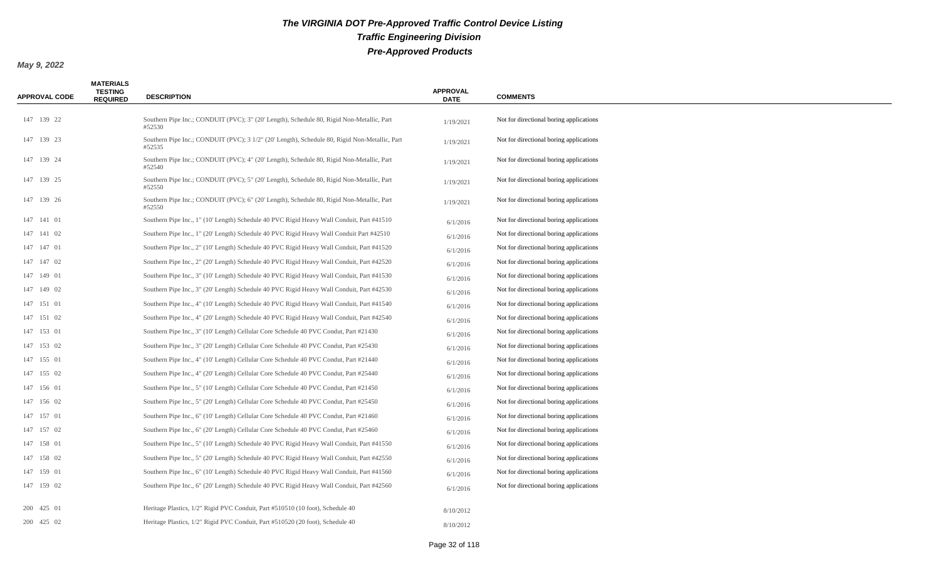| <b>APPROVAL CODE</b> | <b>MATERIALS</b><br><b>TESTING</b><br><b>REQUIRED</b> | <b>DESCRIPTION</b>                                                                                      | <b>APPROVAL</b><br><b>DATE</b> | <b>COMMENTS</b>                         |
|----------------------|-------------------------------------------------------|---------------------------------------------------------------------------------------------------------|--------------------------------|-----------------------------------------|
| 147 139 22           |                                                       | Southern Pipe Inc.; CONDUIT (PVC); 3" (20' Length), Schedule 80, Rigid Non-Metallic, Part<br>#52530     | 1/19/2021                      | Not for directional boring applications |
| 147 139 23           |                                                       | Southern Pipe Inc.; CONDUIT (PVC); 3 1/2" (20' Length), Schedule 80, Rigid Non-Metallic, Part<br>#52535 | 1/19/2021                      | Not for directional boring applications |
| 147 139 24           |                                                       | Southern Pipe Inc.; CONDUIT (PVC); 4" (20' Length), Schedule 80, Rigid Non-Metallic, Part<br>#52540     | 1/19/2021                      | Not for directional boring applications |
| 147 139 25           |                                                       | Southern Pipe Inc.; CONDUIT (PVC); 5" (20' Length), Schedule 80, Rigid Non-Metallic, Part<br>#52550     | 1/19/2021                      | Not for directional boring applications |
| 147 139 26           |                                                       | Southern Pipe Inc.; CONDUIT (PVC); 6" (20' Length), Schedule 80, Rigid Non-Metallic, Part<br>#52550     | 1/19/2021                      | Not for directional boring applications |
| 147 141 01           |                                                       | Southern Pipe Inc., 1" (10' Length) Schedule 40 PVC Rigid Heavy Wall Conduit, Part #41510               | 6/1/2016                       | Not for directional boring applications |
| 147 141 02           |                                                       | Southern Pipe Inc., 1" (20' Length) Schedule 40 PVC Rigid Heavy Wall Conduit Part #42510                | 6/1/2016                       | Not for directional boring applications |
| 147 147 01           |                                                       | Southern Pipe Inc., 2" (10' Length) Schedule 40 PVC Rigid Heavy Wall Conduit, Part #41520               | 6/1/2016                       | Not for directional boring applications |
| 147 147 02           |                                                       | Southern Pipe Inc., 2" (20' Length) Schedule 40 PVC Rigid Heavy Wall Conduit, Part #42520               | 6/1/2016                       | Not for directional boring applications |
| 147 149 01           |                                                       | Southern Pipe Inc., 3" (10' Length) Schedule 40 PVC Rigid Heavy Wall Conduit, Part #41530               | 6/1/2016                       | Not for directional boring applications |
| 147 149 02           |                                                       | Southern Pipe Inc., 3" (20' Length) Schedule 40 PVC Rigid Heavy Wall Conduit, Part #42530               | 6/1/2016                       | Not for directional boring applications |
| 147 151 01           |                                                       | Southern Pipe Inc., 4" (10' Length) Schedule 40 PVC Rigid Heavy Wall Conduit, Part #41540               | 6/1/2016                       | Not for directional boring applications |
| 147 151 02           |                                                       | Southern Pipe Inc., 4" (20' Length) Schedule 40 PVC Rigid Heavy Wall Conduit, Part #42540               | 6/1/2016                       | Not for directional boring applications |
| 147 153 01           |                                                       | Southern Pipe Inc., 3" (10' Length) Cellular Core Schedule 40 PVC Condut, Part #21430                   | 6/1/2016                       | Not for directional boring applications |
| 147 153 02           |                                                       | Southern Pipe Inc., 3" (20' Length) Cellular Core Schedule 40 PVC Condut, Part #25430                   | 6/1/2016                       | Not for directional boring applications |
| 147 155 01           |                                                       | Southern Pipe Inc., 4" (10' Length) Cellular Core Schedule 40 PVC Condut, Part #21440                   | 6/1/2016                       | Not for directional boring applications |
| 147 155 02           |                                                       | Southern Pipe Inc., 4" (20' Length) Cellular Core Schedule 40 PVC Condut, Part #25440                   | 6/1/2016                       | Not for directional boring applications |
| 147 156 01           |                                                       | Southern Pipe Inc., 5" (10' Length) Cellular Core Schedule 40 PVC Condut, Part #21450                   | 6/1/2016                       | Not for directional boring applications |
| 147 156 02           |                                                       | Southern Pipe Inc., 5" (20' Length) Cellular Core Schedule 40 PVC Condut, Part #25450                   | 6/1/2016                       | Not for directional boring applications |
| 147 157 01           |                                                       | Southern Pipe Inc., 6" (10' Length) Cellular Core Schedule 40 PVC Condut, Part #21460                   | 6/1/2016                       | Not for directional boring applications |
| 147 157 02           |                                                       | Southern Pipe Inc., 6" (20' Length) Cellular Core Schedule 40 PVC Condut, Part #25460                   | 6/1/2016                       | Not for directional boring applications |
| 147 158 01           |                                                       | Southern Pipe Inc., 5" (10' Length) Schedule 40 PVC Rigid Heavy Wall Conduit, Part #41550               | 6/1/2016                       | Not for directional boring applications |
| 147 158 02           |                                                       | Southern Pipe Inc., 5" (20' Length) Schedule 40 PVC Rigid Heavy Wall Conduit, Part #42550               | 6/1/2016                       | Not for directional boring applications |
| 147 159 01           |                                                       | Southern Pipe Inc., 6" (10' Length) Schedule 40 PVC Rigid Heavy Wall Conduit, Part #41560               | 6/1/2016                       | Not for directional boring applications |
| 147 159 02           |                                                       | Southern Pipe Inc., 6" (20' Length) Schedule 40 PVC Rigid Heavy Wall Conduit, Part #42560               | 6/1/2016                       | Not for directional boring applications |
| 200 425 01           |                                                       | Heritage Plastics, $1/2$ " Rigid PVC Conduit, Part #510510 (10 foot), Schedule 40                       | 8/10/2012                      |                                         |
| 200 425 02           |                                                       | Heritage Plastics, $1/2$ " Rigid PVC Conduit, Part #510520 (20 foot), Schedule 40                       | 8/10/2012                      |                                         |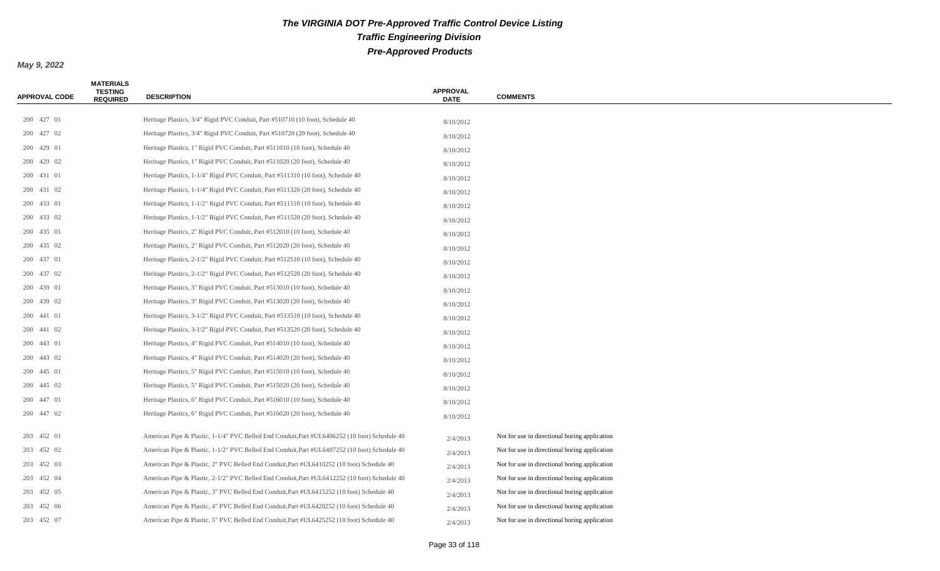| <b>APPROVAL CODE</b> | <b>MATERIALS</b><br><b>TESTING</b><br><b>REQUIRED</b> | <b>DESCRIPTION</b>                                                                            | <b>APPROVAL</b><br><b>DATE</b> | <b>COMMENTS</b>                               |
|----------------------|-------------------------------------------------------|-----------------------------------------------------------------------------------------------|--------------------------------|-----------------------------------------------|
| 200 427 01           |                                                       | Heritage Plastics, $3/4$ " Rigid PVC Conduit, Part #510710 (10 foot), Schedule 40             |                                |                                               |
| 200 427 02           |                                                       | Heritage Plastics, 3/4" Rigid PVC Conduit, Part #510720 (20 foot), Schedule 40                | 8/10/2012                      |                                               |
| 200 429 01           |                                                       | Heritage Plastics, 1" Rigid PVC Conduit, Part #511010 (10 foot), Schedule 40                  | 8/10/2012                      |                                               |
| 200 429 02           |                                                       | Heritage Plastics, 1" Rigid PVC Conduit, Part #511020 (20 foot), Schedule 40                  | 8/10/2012                      |                                               |
| 200 431 01           |                                                       | Heritage Plastics, 1-1/4" Rigid PVC Conduit, Part #511310 (10 foot), Schedule 40              | 8/10/2012                      |                                               |
| 200 431 02           |                                                       | Heritage Plastics, 1-1/4" Rigid PVC Conduit, Part #511320 (20 foot), Schedule 40              | 8/10/2012                      |                                               |
| 200 433 01           |                                                       | Heritage Plastics, 1-1/2" Rigid PVC Conduit, Part #511510 (10 foot), Schedule 40              | 8/10/2012                      |                                               |
| 200 433 02           |                                                       | Heritage Plastics, 1-1/2" Rigid PVC Conduit, Part #511520 (20 foot), Schedule 40              | 8/10/2012                      |                                               |
| 200 435 01           |                                                       | Heritage Plastics, 2" Rigid PVC Conduit, Part #512010 (10 foot), Schedule 40                  | 8/10/2012                      |                                               |
| 200 435 02           |                                                       | Heritage Plastics, 2" Rigid PVC Conduit, Part #512020 (20 foot), Schedule 40                  | 8/10/2012                      |                                               |
| 200 437 01           |                                                       | Heritage Plastics, 2-1/2" Rigid PVC Conduit, Part #512510 (10 foot), Schedule 40              | 8/10/2012                      |                                               |
| 200 437 02           |                                                       | Heritage Plastics, 2-1/2" Rigid PVC Conduit, Part #512520 (20 foot), Schedule 40              | 8/10/2012<br>8/10/2012         |                                               |
| 200 439 01           |                                                       | Heritage Plastics, 3" Rigid PVC Conduit, Part #513010 (10 foot), Schedule 40                  | 8/10/2012                      |                                               |
| 200 439 02           |                                                       | Heritage Plastics, 3" Rigid PVC Conduit, Part #513020 (20 foot), Schedule 40                  | 8/10/2012                      |                                               |
| 200 441 01           |                                                       | Heritage Plastics, 3-1/2" Rigid PVC Conduit, Part #513510 (10 foot), Schedule 40              | 8/10/2012                      |                                               |
| 200 441 02           |                                                       | Heritage Plastics, 3-1/2" Rigid PVC Conduit, Part #513520 (20 foot), Schedule 40              | 8/10/2012                      |                                               |
| 200 443 01           |                                                       | Heritage Plastics, 4" Rigid PVC Conduit, Part #514010 (10 foot), Schedule 40                  | 8/10/2012                      |                                               |
| 200 443 02           |                                                       | Heritage Plastics, 4" Rigid PVC Conduit, Part #514020 (20 foot), Schedule 40                  | 8/10/2012                      |                                               |
| 200 445 01           |                                                       | Heritage Plastics, 5" Rigid PVC Conduit, Part #515010 (10 foot), Schedule 40                  | 8/10/2012                      |                                               |
| 200 445 02           |                                                       | Heritage Plastics, 5" Rigid PVC Conduit, Part #515020 (20 foot), Schedule 40                  | 8/10/2012                      |                                               |
| 200 447 01           |                                                       | Heritage Plastics, 6" Rigid PVC Conduit, Part #516010 (10 foot), Schedule 40                  | 8/10/2012                      |                                               |
| 200 447 02           |                                                       | Heritage Plastics, 6" Rigid PVC Conduit, Part #516020 (20 foot), Schedule 40                  | 8/10/2012                      |                                               |
| 203 452 01           |                                                       | American Pipe & Plastic, 1-1/4" PVC Belled End Conduit, Part #UL6406252 (10 foot) Schedule 40 | 2/4/2013                       | Not for use in directional boring application |
| 203 452 02           |                                                       | American Pipe & Plastic, 1-1/2" PVC Belled End Conduit, Part #UL6407252 (10 foot) Schedule 40 | 2/4/2013                       | Not for use in directional boring application |
| 203 452 03           |                                                       | American Pipe & Plastic, 2" PVC Belled End Conduit, Part #UL6410252 (10 foot) Schedule 40     | 2/4/2013                       | Not for use in directional boring application |
| 203 452 04           |                                                       | American Pipe & Plastic, 2-1/2" PVC Belled End Conduit, Part #UL6412252 (10 foot) Schedule 40 | 2/4/2013                       | Not for use in directional boring application |
| 203 452 05           |                                                       | American Pipe & Plastic, 3" PVC Belled End Conduit, Part #UL6415252 (10 foot) Schedule 40     | 2/4/2013                       | Not for use in directional boring application |
| 203 452 06           |                                                       | American Pipe & Plastic, 4" PVC Belled End Conduit, Part #UL6420252 (10 foot) Schedule 40     | 2/4/2013                       | Not for use in directional boring application |
| 203 452 07           |                                                       | American Pipe & Plastic, 5" PVC Belled End Conduit, Part #UL6425252 (10 foot) Schedule 40     | 2/4/2013                       | Not for use in directional boring application |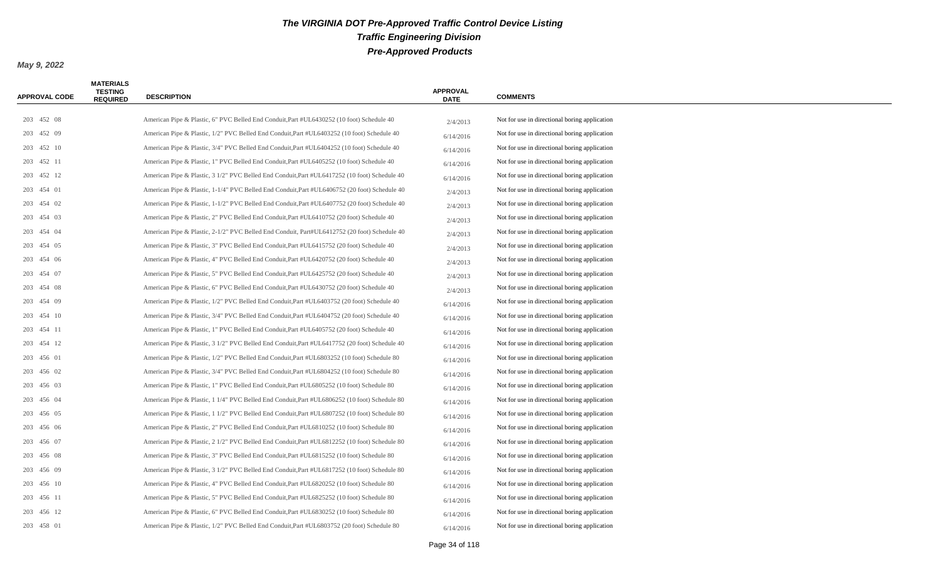| <b>APPROVAL CODE</b> | <b>MATERIALS</b><br><b>TESTING</b><br><b>REQUIRED</b> | <b>DESCRIPTION</b>                                                                            | <b>APPROVAL</b><br><b>DATE</b> | <b>COMMENTS</b>                               |
|----------------------|-------------------------------------------------------|-----------------------------------------------------------------------------------------------|--------------------------------|-----------------------------------------------|
|                      |                                                       |                                                                                               |                                |                                               |
| 203 452 08           |                                                       | American Pipe & Plastic, 6" PVC Belled End Conduit, Part #UL6430252 (10 foot) Schedule 40     | 2/4/2013                       | Not for use in directional boring application |
| 203 452 09           |                                                       | American Pipe & Plastic, 1/2" PVC Belled End Conduit, Part #UL6403252 (10 foot) Schedule 40   | 6/14/2016                      | Not for use in directional boring application |
| 203 452 10           |                                                       | American Pipe & Plastic, 3/4" PVC Belled End Conduit, Part #UL6404252 (10 foot) Schedule 40   | 6/14/2016                      | Not for use in directional boring application |
| 203 452 11           |                                                       | American Pipe & Plastic, 1" PVC Belled End Conduit, Part #UL6405252 (10 foot) Schedule 40     | 6/14/2016                      | Not for use in directional boring application |
| 203 452 12           |                                                       | American Pipe & Plastic, 3 1/2" PVC Belled End Conduit, Part #UL6417252 (10 foot) Schedule 40 | 6/14/2016                      | Not for use in directional boring application |
| 203 454 01           |                                                       | American Pipe & Plastic, 1-1/4" PVC Belled End Conduit, Part #UL6406752 (20 foot) Schedule 40 | 2/4/2013                       | Not for use in directional boring application |
| 203 454 02           |                                                       | American Pipe & Plastic, 1-1/2" PVC Belled End Conduit, Part #UL6407752 (20 foot) Schedule 40 | 2/4/2013                       | Not for use in directional boring application |
| 203 454 03           |                                                       | American Pipe & Plastic, 2" PVC Belled End Conduit, Part #UL6410752 (20 foot) Schedule 40     | 2/4/2013                       | Not for use in directional boring application |
| 203 454 04           |                                                       | American Pipe & Plastic, 2-1/2" PVC Belled End Conduit, Part#UL6412752 (20 foot) Schedule 40  | 2/4/2013                       | Not for use in directional boring application |
| 203 454 05           |                                                       | American Pipe & Plastic, 3" PVC Belled End Conduit, Part #UL6415752 (20 foot) Schedule 40     | 2/4/2013                       | Not for use in directional boring application |
| 203 454 06           |                                                       | American Pipe & Plastic, 4" PVC Belled End Conduit, Part #UL6420752 (20 foot) Schedule 40     | 2/4/2013                       | Not for use in directional boring application |
| 203 454 07           |                                                       | American Pipe & Plastic, 5" PVC Belled End Conduit, Part #UL6425752 (20 foot) Schedule 40     | 2/4/2013                       | Not for use in directional boring application |
| 203 454 08           |                                                       | American Pipe & Plastic, 6" PVC Belled End Conduit, Part #UL6430752 (20 foot) Schedule 40     | 2/4/2013                       | Not for use in directional boring application |
| 203 454 09           |                                                       | American Pipe & Plastic, 1/2" PVC Belled End Conduit, Part #UL6403752 (20 foot) Schedule 40   | 6/14/2016                      | Not for use in directional boring application |
| 203 454 10           |                                                       | American Pipe & Plastic, 3/4" PVC Belled End Conduit, Part #UL6404752 (20 foot) Schedule 40   | 6/14/2016                      | Not for use in directional boring application |
| 203 454 11           |                                                       | American Pipe & Plastic, 1" PVC Belled End Conduit, Part #UL6405752 (20 foot) Schedule 40     | 6/14/2016                      | Not for use in directional boring application |
| 203 454 12           |                                                       | American Pipe & Plastic, 3 1/2" PVC Belled End Conduit, Part #UL6417752 (20 foot) Schedule 40 | 6/14/2016                      | Not for use in directional boring application |
| 203 456 01           |                                                       | American Pipe & Plastic, 1/2" PVC Belled End Conduit, Part #UL6803252 (10 foot) Schedule 80   | 6/14/2016                      | Not for use in directional boring application |
| 203 456 02           |                                                       | American Pipe & Plastic, 3/4" PVC Belled End Conduit, Part #UL6804252 (10 foot) Schedule 80   | 6/14/2016                      | Not for use in directional boring application |
| 203 456 03           |                                                       | American Pipe & Plastic, 1" PVC Belled End Conduit, Part #UL6805252 (10 foot) Schedule 80     | 6/14/2016                      | Not for use in directional boring application |
| 203 456 04           |                                                       | American Pipe & Plastic, 1 1/4" PVC Belled End Conduit, Part #UL6806252 (10 foot) Schedule 80 | 6/14/2016                      | Not for use in directional boring application |
| 203 456 05           |                                                       | American Pipe & Plastic, 1 1/2" PVC Belled End Conduit, Part #UL6807252 (10 foot) Schedule 80 | 6/14/2016                      | Not for use in directional boring application |
| 203 456 06           |                                                       | American Pipe & Plastic, 2" PVC Belled End Conduit, Part #UL6810252 (10 foot) Schedule 80     | 6/14/2016                      | Not for use in directional boring application |
| 203 456 07           |                                                       | American Pipe & Plastic, 2 1/2" PVC Belled End Conduit, Part #UL6812252 (10 foot) Schedule 80 | 6/14/2016                      | Not for use in directional boring application |
| 203 456 08           |                                                       | American Pipe & Plastic, 3" PVC Belled End Conduit, Part #UL6815252 (10 foot) Schedule 80     | 6/14/2016                      | Not for use in directional boring application |
| 203 456 09           |                                                       | American Pipe & Plastic, 3 1/2" PVC Belled End Conduit, Part #UL6817252 (10 foot) Schedule 80 | 6/14/2016                      | Not for use in directional boring application |
| 203 456 10           |                                                       | American Pipe & Plastic, 4" PVC Belled End Conduit, Part #UL6820252 (10 foot) Schedule 80     | 6/14/2016                      | Not for use in directional boring application |
| 203 456 11           |                                                       | American Pipe & Plastic, 5" PVC Belled End Conduit, Part #UL6825252 (10 foot) Schedule 80     | 6/14/2016                      | Not for use in directional boring application |
| 203 456 12           |                                                       | American Pipe & Plastic, 6" PVC Belled End Conduit, Part #UL6830252 (10 foot) Schedule 80     | 6/14/2016                      | Not for use in directional boring application |
| 203 458 01           |                                                       | American Pipe & Plastic, 1/2" PVC Belled End Conduit, Part #UL6803752 (20 foot) Schedule 80   | 6/14/2016                      | Not for use in directional boring application |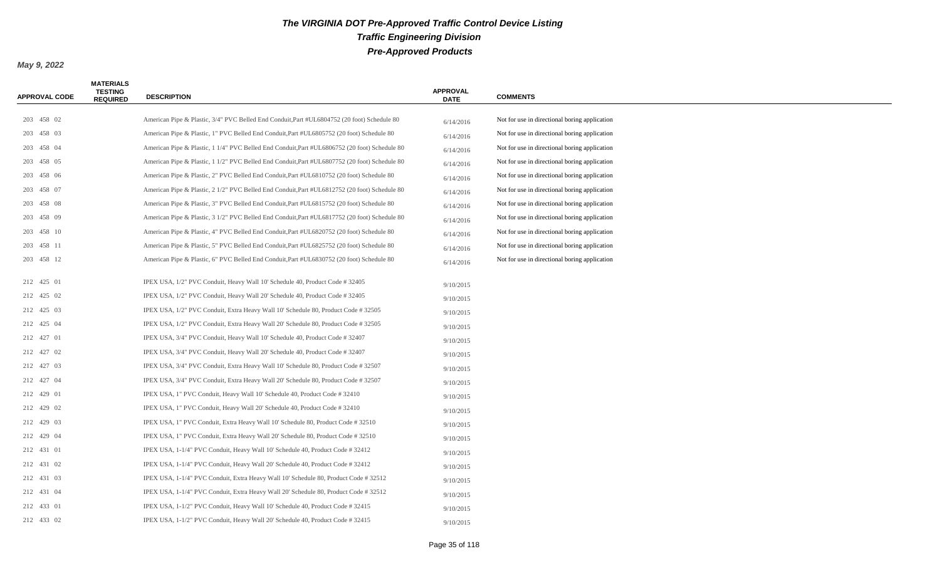| <b>APPROVAL CODE</b> | <b>MATERIALS</b><br><b>TESTING</b><br><b>REQUIRED</b> | <b>DESCRIPTION</b>                                                                            | <b>APPROVAL</b><br><b>DATE</b> | <b>COMMENTS</b>                               |
|----------------------|-------------------------------------------------------|-----------------------------------------------------------------------------------------------|--------------------------------|-----------------------------------------------|
|                      |                                                       |                                                                                               |                                |                                               |
| 203 458 02           |                                                       | American Pipe & Plastic, 3/4" PVC Belled End Conduit, Part #UL6804752 (20 foot) Schedule 80   | 6/14/2016                      | Not for use in directional boring application |
| 203 458 03           |                                                       | American Pipe & Plastic, 1" PVC Belled End Conduit, Part #UL6805752 (20 foot) Schedule 80     | 6/14/2016                      | Not for use in directional boring application |
| 203 458 04           |                                                       | American Pipe & Plastic, 1 1/4" PVC Belled End Conduit, Part #UL6806752 (20 foot) Schedule 80 | 6/14/2016                      | Not for use in directional boring application |
| 203 458 05           |                                                       | American Pipe & Plastic, 1 1/2" PVC Belled End Conduit, Part #UL6807752 (20 foot) Schedule 80 | 6/14/2016                      | Not for use in directional boring application |
| 203 458 06           |                                                       | American Pipe & Plastic, 2" PVC Belled End Conduit, Part #UL6810752 (20 foot) Schedule 80     | 6/14/2016                      | Not for use in directional boring application |
| 203 458 07           |                                                       | American Pipe & Plastic, 2 1/2" PVC Belled End Conduit, Part #UL6812752 (20 foot) Schedule 80 | 6/14/2016                      | Not for use in directional boring application |
| 203 458 08           |                                                       | American Pipe & Plastic, 3" PVC Belled End Conduit, Part #UL6815752 (20 foot) Schedule 80     | 6/14/2016                      | Not for use in directional boring application |
| 203 458 09           |                                                       | American Pipe & Plastic, 3 1/2" PVC Belled End Conduit, Part #UL6817752 (20 foot) Schedule 80 | 6/14/2016                      | Not for use in directional boring application |
| 203 458 10           |                                                       | American Pipe & Plastic, 4" PVC Belled End Conduit, Part #UL6820752 (20 foot) Schedule 80     | 6/14/2016                      | Not for use in directional boring application |
| 203 458 11           |                                                       | American Pipe & Plastic, 5" PVC Belled End Conduit, Part #UL6825752 (20 foot) Schedule 80     | 6/14/2016                      | Not for use in directional boring application |
| 203 458 12           |                                                       | American Pipe & Plastic, 6" PVC Belled End Conduit, Part #UL6830752 (20 foot) Schedule 80     | 6/14/2016                      | Not for use in directional boring application |
| 212 425 01           |                                                       | IPEX USA, 1/2" PVC Conduit, Heavy Wall 10' Schedule 40, Product Code # 32405                  | 9/10/2015                      |                                               |
| 212 425 02           |                                                       | IPEX USA, 1/2" PVC Conduit, Heavy Wall 20' Schedule 40, Product Code # 32405                  | 9/10/2015                      |                                               |
| 212 425 03           |                                                       | IPEX USA, 1/2" PVC Conduit, Extra Heavy Wall 10' Schedule 80, Product Code # 32505            | 9/10/2015                      |                                               |
| 212 425 04           |                                                       | IPEX USA, $1/2$ " PVC Conduit, Extra Heavy Wall 20' Schedule 80, Product Code #32505          | 9/10/2015                      |                                               |
| 212 427 01           |                                                       | IPEX USA, 3/4" PVC Conduit, Heavy Wall 10' Schedule 40, Product Code #32407                   | 9/10/2015                      |                                               |
| 212 427 02           |                                                       | IPEX USA, 3/4" PVC Conduit, Heavy Wall 20' Schedule 40, Product Code # 32407                  | 9/10/2015                      |                                               |
| 212 427 03           |                                                       | IPEX USA, 3/4" PVC Conduit, Extra Heavy Wall 10' Schedule 80, Product Code # 32507            | 9/10/2015                      |                                               |
| 212 427 04           |                                                       | IPEX USA, 3/4" PVC Conduit, Extra Heavy Wall 20' Schedule 80, Product Code # 32507            | 9/10/2015                      |                                               |
| 212 429 01           |                                                       | IPEX USA, 1" PVC Conduit, Heavy Wall 10' Schedule 40, Product Code #32410                     | 9/10/2015                      |                                               |
| 212 429 02           |                                                       | IPEX USA, 1" PVC Conduit, Heavy Wall 20' Schedule 40, Product Code #32410                     | 9/10/2015                      |                                               |
| 212 429 03           |                                                       | IPEX USA, 1" PVC Conduit, Extra Heavy Wall 10' Schedule 80, Product Code # 32510              | 9/10/2015                      |                                               |
| 212 429 04           |                                                       | IPEX USA, 1" PVC Conduit, Extra Heavy Wall 20' Schedule 80, Product Code #32510               | 9/10/2015                      |                                               |
| 212 431 01           |                                                       | IPEX USA, 1-1/4" PVC Conduit, Heavy Wall 10' Schedule 40, Product Code # 32412                | 9/10/2015                      |                                               |
| 212 431 02           |                                                       | IPEX USA, 1-1/4" PVC Conduit, Heavy Wall 20' Schedule 40, Product Code #32412                 | 9/10/2015                      |                                               |
| 212 431 03           |                                                       | IPEX USA, 1-1/4" PVC Conduit, Extra Heavy Wall 10' Schedule 80, Product Code # 32512          | 9/10/2015                      |                                               |
| 212 431 04           |                                                       | IPEX USA, 1-1/4" PVC Conduit, Extra Heavy Wall 20' Schedule 80, Product Code # 32512          | 9/10/2015                      |                                               |
| 212 433 01           |                                                       | IPEX USA, 1-1/2" PVC Conduit, Heavy Wall 10' Schedule 40, Product Code #32415                 | 9/10/2015                      |                                               |
| 212 433 02           |                                                       | IPEX USA, 1-1/2" PVC Conduit, Heavy Wall 20' Schedule 40, Product Code # 32415                | 9/10/2015                      |                                               |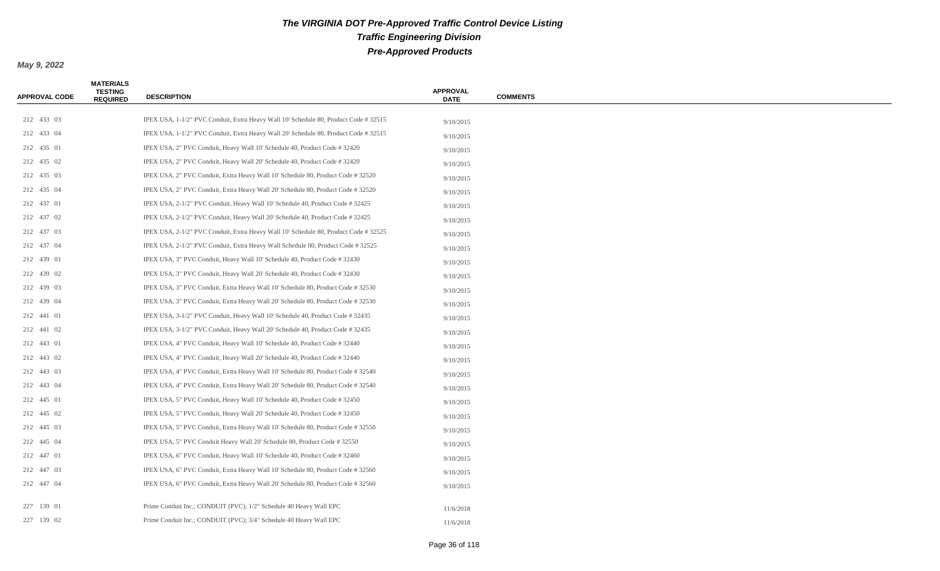| APPROVAL CODE | <b>MATERIALS</b><br><b>TESTING</b><br><b>REQUIRED</b> | <b>DESCRIPTION</b>                                                                   | <b>APPROVAL</b><br><b>DATE</b> | <b>COMMENTS</b> |
|---------------|-------------------------------------------------------|--------------------------------------------------------------------------------------|--------------------------------|-----------------|
|               |                                                       |                                                                                      |                                |                 |
| 212 433 03    |                                                       | IPEX USA, 1-1/2" PVC Conduit, Extra Heavy Wall 10' Schedule 80, Product Code #32515  | 9/10/2015                      |                 |
| 212 433 04    |                                                       | IPEX USA, 1-1/2" PVC Conduit, Extra Heavy Wall 20' Schedule 80, Product Code # 32515 | 9/10/2015                      |                 |
| 212 435 01    |                                                       | IPEX USA, 2" PVC Conduit, Heavy Wall 10' Schedule 40, Product Code #32420            | 9/10/2015                      |                 |
| 212 435 02    |                                                       | IPEX USA, 2" PVC Conduit, Heavy Wall 20' Schedule 40, Product Code #32420            | 9/10/2015                      |                 |
| 212 435 03    |                                                       | IPEX USA, 2" PVC Conduit, Extra Heavy Wall 10' Schedule 80, Product Code # 32520     | 9/10/2015                      |                 |
| 212 435 04    |                                                       | IPEX USA, 2" PVC Conduit, Extra Heavy Wall 20' Schedule 80, Product Code # 32520     | 9/10/2015                      |                 |
| 212 437 01    |                                                       | IPEX USA, 2-1/2" PVC Conduit, Heavy Wall 10' Schedule 40, Product Code # 32425       | 9/10/2015                      |                 |
| 212 437 02    |                                                       | IPEX USA, 2-1/2" PVC Conduit, Heavy Wall 20' Schedule 40, Product Code # 32425       | 9/10/2015                      |                 |
| 212 437 03    |                                                       | IPEX USA, 2-1/2" PVC Conduit, Extra Heavy Wall 10' Schedule 80, Product Code # 32525 | 9/10/2015                      |                 |
| 212 437 04    |                                                       | IPEX USA, 2-1/2" PVC Conduit, Extra Heavy Wall Schedule 80, Product Code #32525      | 9/10/2015                      |                 |
| 212 439 01    |                                                       | IPEX USA, 3" PVC Conduit, Heavy Wall 10' Schedule 40, Product Code #32430            | 9/10/2015                      |                 |
| 212 439 02    |                                                       | IPEX USA, 3" PVC Conduit, Heavy Wall 20' Schedule 40, Product Code #32430            | 9/10/2015                      |                 |
| 212 439 03    |                                                       | IPEX USA, 3" PVC Conduit, Extra Heavy Wall 10' Schedule 80, Product Code # 32530     | 9/10/2015                      |                 |
| 212 439 04    |                                                       | IPEX USA, 3" PVC Conduit, Extra Heavy Wall 20' Schedule 80, Product Code # 32530     | 9/10/2015                      |                 |
| 212 441 01    |                                                       | IPEX USA, 3-1/2" PVC Conduit, Heavy Wall 10' Schedule 40, Product Code # 32435       | 9/10/2015                      |                 |
| 212 441 02    |                                                       | IPEX USA, 3-1/2" PVC Conduit, Heavy Wall 20' Schedule 40, Product Code #32435        | 9/10/2015                      |                 |
| 212 443 01    |                                                       | IPEX USA, 4" PVC Conduit, Heavy Wall 10' Schedule 40, Product Code #32440            | 9/10/2015                      |                 |
| 212 443 02    |                                                       | IPEX USA, 4" PVC Conduit, Heavy Wall 20' Schedule 40, Product Code #32440            | 9/10/2015                      |                 |
| 212 443 03    |                                                       | IPEX USA, 4" PVC Conduit, Extra Heavy Wall 10' Schedule 80, Product Code #32540      | 9/10/2015                      |                 |
| 212 443 04    |                                                       | IPEX USA, 4" PVC Conduit, Extra Heavy Wall 20' Schedule 80, Product Code #32540      | 9/10/2015                      |                 |
| 212 445 01    |                                                       | IPEX USA, 5" PVC Conduit, Heavy Wall 10' Schedule 40, Product Code #32450            | 9/10/2015                      |                 |
| 212 445 02    |                                                       | IPEX USA, 5" PVC Conduit, Heavy Wall 20' Schedule 40, Product Code #32450            | 9/10/2015                      |                 |
| 212 445 03    |                                                       | IPEX USA, 5" PVC Conduit, Extra Heavy Wall 10' Schedule 80, Product Code # 32550     | 9/10/2015                      |                 |
| 212 445 04    |                                                       | IPEX USA, 5" PVC Conduit Heavy Wall 20' Schedule 80, Product Code #32550             | 9/10/2015                      |                 |
| 212 447 01    |                                                       | IPEX USA, 6" PVC Conduit, Heavy Wall 10' Schedule 40, Product Code #32460            | 9/10/2015                      |                 |
| 212 447 03    |                                                       | IPEX USA, 6" PVC Conduit, Extra Heavy Wall 10' Schedule 80, Product Code #32560      | 9/10/2015                      |                 |
| 212 447 04    |                                                       | IPEX USA, 6" PVC Conduit, Extra Heavy Wall 20' Schedule 80, Product Code # 32560     | 9/10/2015                      |                 |
|               |                                                       |                                                                                      |                                |                 |
| 227 139 01    |                                                       | Prime Conduit Inc.; CONDUIT (PVC); 1/2" Schedule 40 Heavy Wall EPC                   | 11/6/2018                      |                 |
| 227 139 02    |                                                       | Prime Conduit Inc.; CONDUIT (PVC); 3/4" Schedule 40 Heavy Wall EPC                   | 11/6/2018                      |                 |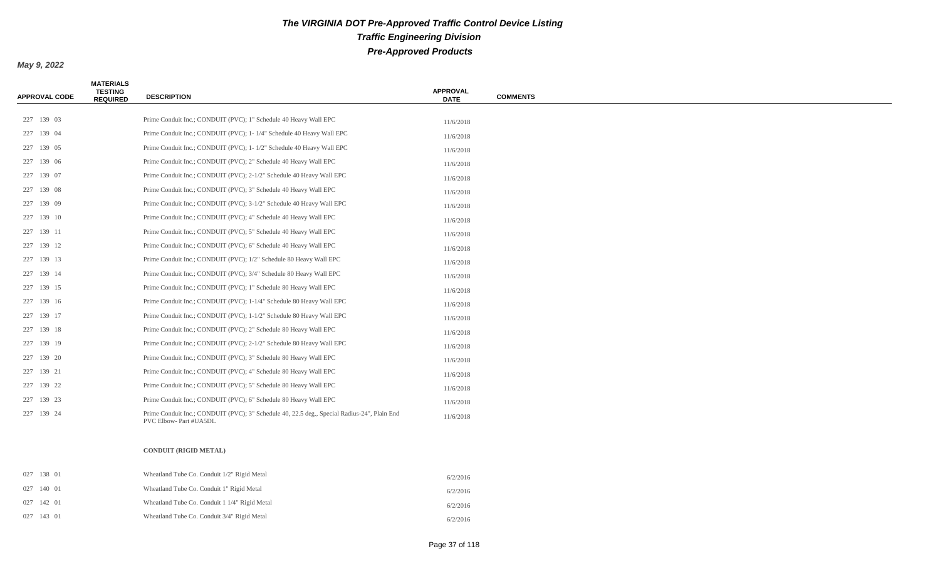*May 9, 2022*

| <b>APPROVAL CODE</b> | <b>MATERIALS</b><br><b>TESTING</b><br><b>REQUIRED</b> | <b>DESCRIPTION</b>                                                                                                    | <b>APPROVAL</b><br><b>DATE</b> | <b>COMMENTS</b> |
|----------------------|-------------------------------------------------------|-----------------------------------------------------------------------------------------------------------------------|--------------------------------|-----------------|
|                      |                                                       |                                                                                                                       |                                |                 |
| 227 139 03           |                                                       | Prime Conduit Inc.; CONDUIT (PVC); 1" Schedule 40 Heavy Wall EPC                                                      | 11/6/2018                      |                 |
| 227 139 04           |                                                       | Prime Conduit Inc.; CONDUIT (PVC); 1-1/4" Schedule 40 Heavy Wall EPC                                                  | 11/6/2018                      |                 |
| 227 139 05           |                                                       | Prime Conduit Inc.; CONDUIT (PVC); 1-1/2" Schedule 40 Heavy Wall EPC                                                  | 11/6/2018                      |                 |
| 227 139 06           |                                                       | Prime Conduit Inc.; CONDUIT (PVC); 2" Schedule 40 Heavy Wall EPC                                                      | 11/6/2018                      |                 |
| 227 139 07           |                                                       | Prime Conduit Inc.; CONDUIT (PVC); 2-1/2" Schedule 40 Heavy Wall EPC                                                  | 11/6/2018                      |                 |
| 227 139 08           |                                                       | Prime Conduit Inc.; CONDUIT (PVC); 3" Schedule 40 Heavy Wall EPC                                                      | 11/6/2018                      |                 |
| 227 139 09           |                                                       | Prime Conduit Inc.; CONDUIT (PVC); 3-1/2" Schedule 40 Heavy Wall EPC                                                  | 11/6/2018                      |                 |
| 227 139 10           |                                                       | Prime Conduit Inc.; CONDUIT (PVC); 4" Schedule 40 Heavy Wall EPC                                                      | 11/6/2018                      |                 |
| 227 139 11           |                                                       | Prime Conduit Inc.; CONDUIT (PVC); 5" Schedule 40 Heavy Wall EPC                                                      | 11/6/2018                      |                 |
| 227 139 12           |                                                       | Prime Conduit Inc.; CONDUIT (PVC); 6" Schedule 40 Heavy Wall EPC                                                      | 11/6/2018                      |                 |
| 227 139 13           |                                                       | Prime Conduit Inc.; CONDUIT (PVC); 1/2" Schedule 80 Heavy Wall EPC                                                    | 11/6/2018                      |                 |
| 227 139 14           |                                                       | Prime Conduit Inc.; CONDUIT (PVC); 3/4" Schedule 80 Heavy Wall EPC                                                    | 11/6/2018                      |                 |
| 227 139 15           |                                                       | Prime Conduit Inc.; CONDUIT (PVC); 1" Schedule 80 Heavy Wall EPC                                                      | 11/6/2018                      |                 |
| 227 139 16           |                                                       | Prime Conduit Inc.; CONDUIT (PVC); 1-1/4" Schedule 80 Heavy Wall EPC                                                  | 11/6/2018                      |                 |
| 227 139 17           |                                                       | Prime Conduit Inc.; CONDUIT (PVC); 1-1/2" Schedule 80 Heavy Wall EPC                                                  | 11/6/2018                      |                 |
| 227 139 18           |                                                       | Prime Conduit Inc.; CONDUIT (PVC); 2" Schedule 80 Heavy Wall EPC                                                      | 11/6/2018                      |                 |
| 227 139 19           |                                                       | Prime Conduit Inc.; CONDUIT (PVC); 2-1/2" Schedule 80 Heavy Wall EPC                                                  | 11/6/2018                      |                 |
| 227 139 20           |                                                       | Prime Conduit Inc.; CONDUIT (PVC); 3" Schedule 80 Heavy Wall EPC                                                      | 11/6/2018                      |                 |
| 227 139 21           |                                                       | Prime Conduit Inc.; CONDUIT (PVC); 4" Schedule 80 Heavy Wall EPC                                                      | 11/6/2018                      |                 |
| 227 139 22           |                                                       | Prime Conduit Inc.; CONDUIT (PVC); 5" Schedule 80 Heavy Wall EPC                                                      | 11/6/2018                      |                 |
| 227 139 23           |                                                       | Prime Conduit Inc.; CONDUIT (PVC); 6" Schedule 80 Heavy Wall EPC                                                      | 11/6/2018                      |                 |
| 227 139 24           |                                                       | Prime Conduit Inc.; CONDUIT (PVC); 3" Schedule 40, 22.5 deg., Special Radius-24", Plain End<br>PVC Elbow- Part #UA5DL | 11/6/2018                      |                 |
|                      |                                                       | <b>CONDUIT (RIGID METAL)</b>                                                                                          |                                |                 |
| 027 138 01           |                                                       | Wheatland Tube Co. Conduit 1/2" Rigid Metal                                                                           | 6/2/2016                       |                 |
| 027 140 01           |                                                       | Wheatland Tube Co. Conduit 1" Rigid Metal                                                                             | 6/2/2016                       |                 |
| 027 142 01           |                                                       | Wheatland Tube Co. Conduit 1 1/4" Rigid Metal                                                                         | 6/2/2016                       |                 |

027 143 01 Wheatland Tube Co. Conduit 3/4" Rigid Metal 6/2/2016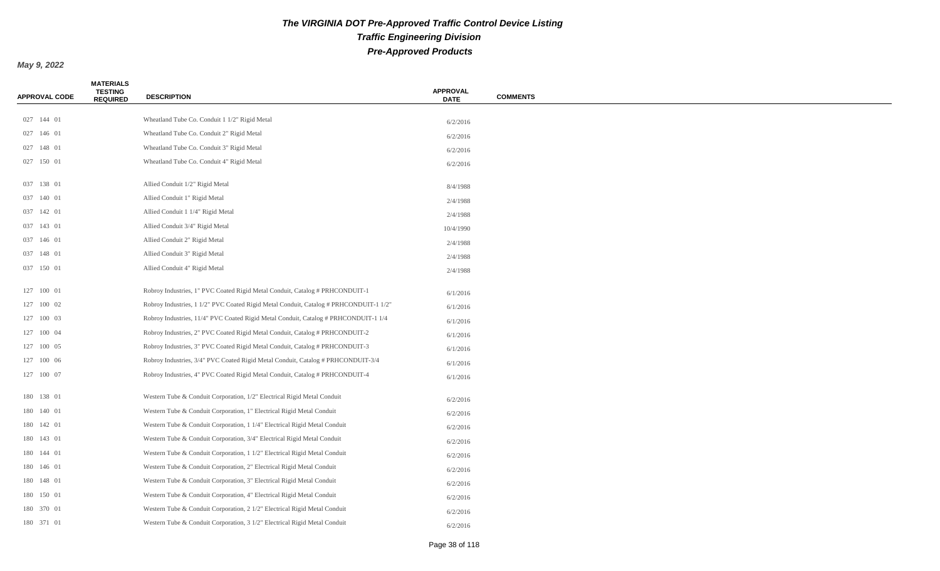| <b>APPROVAL CODE</b> | <b>MATERIALS</b><br><b>TESTING</b><br><b>REQUIRED</b> | <b>DESCRIPTION</b>                                                                    | <b>APPROVAL</b><br><b>DATE</b> | <b>COMMENTS</b> |
|----------------------|-------------------------------------------------------|---------------------------------------------------------------------------------------|--------------------------------|-----------------|
|                      |                                                       |                                                                                       |                                |                 |
| 027 144 01           |                                                       | Wheatland Tube Co. Conduit 1 1/2" Rigid Metal                                         | 6/2/2016                       |                 |
| 027 146 01           |                                                       | Wheatland Tube Co. Conduit 2" Rigid Metal                                             | 6/2/2016                       |                 |
| 027 148 01           |                                                       | Wheatland Tube Co. Conduit 3" Rigid Metal                                             | 6/2/2016                       |                 |
| 027 150 01           |                                                       | Wheatland Tube Co. Conduit 4" Rigid Metal                                             | 6/2/2016                       |                 |
| 037 138 01           |                                                       | Allied Conduit 1/2" Rigid Metal                                                       | 8/4/1988                       |                 |
| 037 140 01           |                                                       | Allied Conduit 1" Rigid Metal                                                         | 2/4/1988                       |                 |
| 037 142 01           |                                                       | Allied Conduit 1 1/4" Rigid Metal                                                     | 2/4/1988                       |                 |
| 037 143 01           |                                                       | Allied Conduit 3/4" Rigid Metal                                                       | 10/4/1990                      |                 |
| 037 146 01           |                                                       | Allied Conduit 2" Rigid Metal                                                         | 2/4/1988                       |                 |
| 037 148 01           |                                                       | Allied Conduit 3" Rigid Metal                                                         | 2/4/1988                       |                 |
| 037 150 01           |                                                       | Allied Conduit 4" Rigid Metal                                                         | 2/4/1988                       |                 |
| 127 100 01           |                                                       | Robroy Industries, 1" PVC Coated Rigid Metal Conduit, Catalog # PRHCONDUIT-1          | 6/1/2016                       |                 |
| 127 100 02           |                                                       | Robroy Industries, 1 1/2" PVC Coated Rigid Metal Conduit, Catalog # PRHCONDUIT-1 1/2" | 6/1/2016                       |                 |
| 127 100 03           |                                                       | Robroy Industries, 11/4" PVC Coated Rigid Metal Conduit, Catalog # PRHCONDUIT-1 1/4   | 6/1/2016                       |                 |
| 127 100 04           |                                                       | Robroy Industries, 2" PVC Coated Rigid Metal Conduit, Catalog # PRHCONDUIT-2          | 6/1/2016                       |                 |
| 127 100 05           |                                                       | Robroy Industries, 3" PVC Coated Rigid Metal Conduit, Catalog # PRHCONDUIT-3          | 6/1/2016                       |                 |
| 127 100 06           |                                                       | Robroy Industries, 3/4" PVC Coated Rigid Metal Conduit, Catalog # PRHCONDUIT-3/4      | 6/1/2016                       |                 |
| 127 100 07           |                                                       | Robroy Industries, 4" PVC Coated Rigid Metal Conduit, Catalog # PRHCONDUIT-4          | 6/1/2016                       |                 |
| 180 138 01           |                                                       | Western Tube & Conduit Corporation, 1/2" Electrical Rigid Metal Conduit               | 6/2/2016                       |                 |
| 180 140 01           |                                                       | Western Tube & Conduit Corporation, 1" Electrical Rigid Metal Conduit                 | 6/2/2016                       |                 |
| 180 142 01           |                                                       | Western Tube & Conduit Corporation, 1 1/4" Electrical Rigid Metal Conduit             | 6/2/2016                       |                 |
| 180 143 01           |                                                       | Western Tube & Conduit Corporation, 3/4" Electrical Rigid Metal Conduit               | 6/2/2016                       |                 |
| 180 144 01           |                                                       | Western Tube & Conduit Corporation, 1 1/2" Electrical Rigid Metal Conduit             | 6/2/2016                       |                 |
| 180 146 01           |                                                       | Western Tube & Conduit Corporation, 2" Electrical Rigid Metal Conduit                 | 6/2/2016                       |                 |
| 180 148 01           |                                                       | Western Tube & Conduit Corporation, 3" Electrical Rigid Metal Conduit                 | 6/2/2016                       |                 |
| 180 150 01           |                                                       | Western Tube & Conduit Corporation, 4" Electrical Rigid Metal Conduit                 | 6/2/2016                       |                 |
| 180 370 01           |                                                       | Western Tube & Conduit Corporation, 2 1/2" Electrical Rigid Metal Conduit             | 6/2/2016                       |                 |
| 180 371 01           |                                                       | Western Tube & Conduit Corporation, 3 1/2" Electrical Rigid Metal Conduit             | 6/2/2016                       |                 |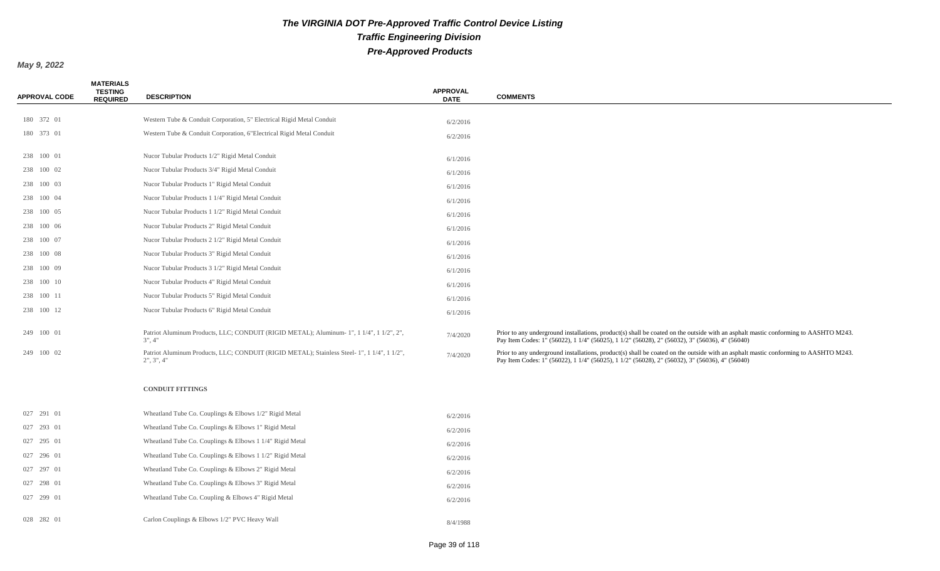| <b>APPROVAL CODE</b> | <b>MATERIALS</b><br><b>TESTING</b><br><b>REQUIRED</b> | <b>DESCRIPTION</b>                                                                                        | <b>APPROVAL</b><br><b>DATE</b> | <b>COMMENTS</b>                                                                                                                                                                                                                       |
|----------------------|-------------------------------------------------------|-----------------------------------------------------------------------------------------------------------|--------------------------------|---------------------------------------------------------------------------------------------------------------------------------------------------------------------------------------------------------------------------------------|
|                      |                                                       |                                                                                                           |                                |                                                                                                                                                                                                                                       |
| 180 372 01           |                                                       | Western Tube & Conduit Corporation, 5" Electrical Rigid Metal Conduit                                     | 6/2/2016                       |                                                                                                                                                                                                                                       |
| 180 373 01           |                                                       | Western Tube & Conduit Corporation, 6"Electrical Rigid Metal Conduit                                      | 6/2/2016                       |                                                                                                                                                                                                                                       |
| 238 100 01           |                                                       | Nucor Tubular Products 1/2" Rigid Metal Conduit                                                           | 6/1/2016                       |                                                                                                                                                                                                                                       |
| 238 100 02           |                                                       | Nucor Tubular Products 3/4" Rigid Metal Conduit                                                           | 6/1/2016                       |                                                                                                                                                                                                                                       |
| 238 100 03           |                                                       | Nucor Tubular Products 1" Rigid Metal Conduit                                                             | 6/1/2016                       |                                                                                                                                                                                                                                       |
| 238 100 04           |                                                       | Nucor Tubular Products 1 1/4" Rigid Metal Conduit                                                         | 6/1/2016                       |                                                                                                                                                                                                                                       |
| 238 100 05           |                                                       | Nucor Tubular Products 1 1/2" Rigid Metal Conduit                                                         | 6/1/2016                       |                                                                                                                                                                                                                                       |
| 238 100 06           |                                                       | Nucor Tubular Products 2" Rigid Metal Conduit                                                             | 6/1/2016                       |                                                                                                                                                                                                                                       |
| 238 100 07           |                                                       | Nucor Tubular Products 2 1/2" Rigid Metal Conduit                                                         | 6/1/2016                       |                                                                                                                                                                                                                                       |
| 238 100 08           |                                                       | Nucor Tubular Products 3" Rigid Metal Conduit                                                             | 6/1/2016                       |                                                                                                                                                                                                                                       |
| 238 100 09           |                                                       | Nucor Tubular Products 3 1/2" Rigid Metal Conduit                                                         | 6/1/2016                       |                                                                                                                                                                                                                                       |
| 238 100 10           |                                                       | Nucor Tubular Products 4" Rigid Metal Conduit                                                             | 6/1/2016                       |                                                                                                                                                                                                                                       |
| 238 100 11           |                                                       | Nucor Tubular Products 5" Rigid Metal Conduit                                                             | 6/1/2016                       |                                                                                                                                                                                                                                       |
| 238 100 12           |                                                       | Nucor Tubular Products 6" Rigid Metal Conduit                                                             | 6/1/2016                       |                                                                                                                                                                                                                                       |
|                      |                                                       |                                                                                                           |                                |                                                                                                                                                                                                                                       |
| 249 100 01           |                                                       | Patriot Aluminum Products, LLC; CONDUIT (RIGID METAL); Aluminum- 1", 1 1/4", 1 1/2", 2",<br>3", 4"        | 7/4/2020                       | Prior to any underground installations, product(s) shall be coated on the outside with an asphalt mastic conforming to AASHTO M243.<br>Pay Item Codes: 1" (56022), 1 1/4" (56025), 1 1/2" (56028), 2" (56032), 3" (56036), 4" (56040) |
| 249 100 02           |                                                       | Patriot Aluminum Products, LLC; CONDUIT (RIGID METAL); Stainless Steel- 1", 1 1/4", 1 1/2",<br>2", 3", 4" | 7/4/2020                       | Prior to any underground installations, product(s) shall be coated on the outside with an asphalt mastic conforming to AASHTO M243.<br>Pay Item Codes: 1" (56022), 1 1/4" (56025), 1 1/2" (56028), 2" (56032), 3" (56036), 4" (56040) |
|                      |                                                       | <b>CONDUIT FITTINGS</b>                                                                                   |                                |                                                                                                                                                                                                                                       |
| 027 291 01           |                                                       | Wheatland Tube Co. Couplings & Elbows 1/2" Rigid Metal                                                    | 6/2/2016                       |                                                                                                                                                                                                                                       |
| 027 293 01           |                                                       | Wheatland Tube Co. Couplings & Elbows 1" Rigid Metal                                                      | 6/2/2016                       |                                                                                                                                                                                                                                       |
| 027 295 01           |                                                       | Wheatland Tube Co. Couplings & Elbows 1 1/4" Rigid Metal                                                  | 6/2/2016                       |                                                                                                                                                                                                                                       |
| 027 296 01           |                                                       | Wheatland Tube Co. Couplings & Elbows 1 1/2" Rigid Metal                                                  | 6/2/2016                       |                                                                                                                                                                                                                                       |
| 027 297 01           |                                                       | Wheatland Tube Co. Couplings & Elbows 2" Rigid Metal                                                      | 6/2/2016                       |                                                                                                                                                                                                                                       |
| 027 298 01           |                                                       | Wheatland Tube Co. Couplings & Elbows 3" Rigid Metal                                                      | 6/2/2016                       |                                                                                                                                                                                                                                       |
| 027 299 01           |                                                       | Wheatland Tube Co. Coupling & Elbows 4" Rigid Metal                                                       | 6/2/2016                       |                                                                                                                                                                                                                                       |
| 028 282 01           |                                                       | Carlon Couplings & Elbows 1/2" PVC Heavy Wall                                                             | 8/4/1988                       |                                                                                                                                                                                                                                       |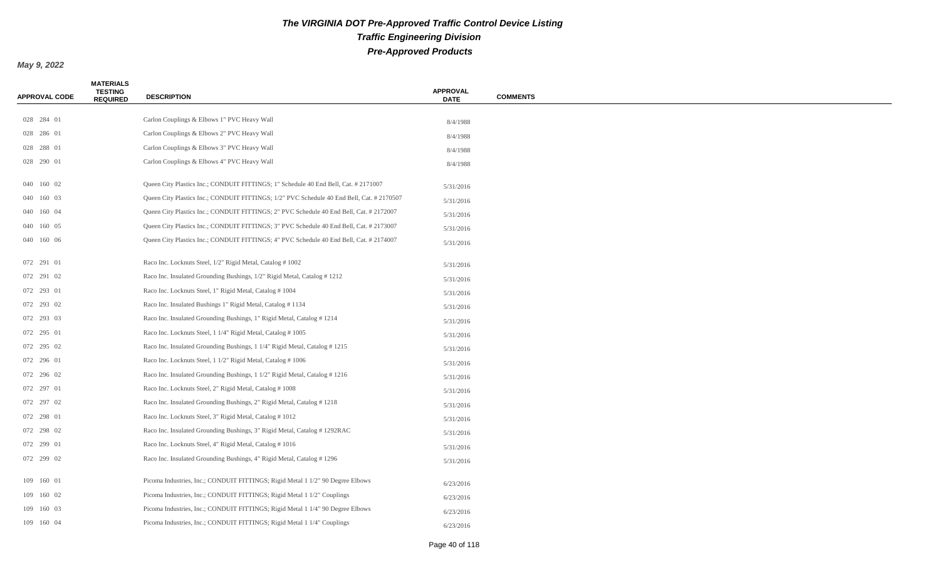| <b>APPROVAL CODE</b> | <b>MATERIALS</b><br><b>TESTING</b><br><b>REQUIRED</b> | <b>DESCRIPTION</b>                                                                        | <b>APPROVAL</b><br><b>DATE</b> | <b>COMMENTS</b> |
|----------------------|-------------------------------------------------------|-------------------------------------------------------------------------------------------|--------------------------------|-----------------|
|                      |                                                       |                                                                                           |                                |                 |
| 028 284 01           |                                                       | Carlon Couplings & Elbows 1" PVC Heavy Wall                                               | 8/4/1988                       |                 |
| 028 286 01           |                                                       | Carlon Couplings & Elbows 2" PVC Heavy Wall                                               | 8/4/1988                       |                 |
| 028 288 01           |                                                       | Carlon Couplings & Elbows 3" PVC Heavy Wall                                               | 8/4/1988                       |                 |
| 028 290 01           |                                                       | Carlon Couplings & Elbows 4" PVC Heavy Wall                                               | 8/4/1988                       |                 |
| 040 160 02           |                                                       | Queen City Plastics Inc.; CONDUIT FITTINGS; 1" Schedule 40 End Bell, Cat. # 2171007       | 5/31/2016                      |                 |
| 040 160 03           |                                                       | Queen City Plastics Inc.; CONDUIT FITTINGS; 1/2" PVC Schedule 40 End Bell, Cat. # 2170507 | 5/31/2016                      |                 |
| 040 160 04           |                                                       | Queen City Plastics Inc.; CONDUIT FITTINGS; 2" PVC Schedule 40 End Bell, Cat. # 2172007   | 5/31/2016                      |                 |
| 040 160 05           |                                                       | Queen City Plastics Inc.; CONDUIT FITTINGS; 3" PVC Schedule 40 End Bell, Cat. # 2173007   | 5/31/2016                      |                 |
| 040 160 06           |                                                       | Queen City Plastics Inc.; CONDUIT FITTINGS; 4" PVC Schedule 40 End Bell, Cat. # 2174007   | 5/31/2016                      |                 |
| 072 291 01           |                                                       | Raco Inc. Locknuts Steel, 1/2" Rigid Metal, Catalog #1002                                 | 5/31/2016                      |                 |
| 072 291 02           |                                                       | Raco Inc. Insulated Grounding Bushings, 1/2" Rigid Metal, Catalog #1212                   | 5/31/2016                      |                 |
| 072 293 01           |                                                       | Raco Inc. Locknuts Steel, 1" Rigid Metal, Catalog #1004                                   | 5/31/2016                      |                 |
| 072 293 02           |                                                       | Raco Inc. Insulated Bushings 1" Rigid Metal, Catalog #1134                                | 5/31/2016                      |                 |
| 072 293 03           |                                                       | Raco Inc. Insulated Grounding Bushings, 1" Rigid Metal, Catalog #1214                     | 5/31/2016                      |                 |
| 072 295 01           |                                                       | Raco Inc. Locknuts Steel, 1 1/4" Rigid Metal, Catalog #1005                               | 5/31/2016                      |                 |
| 072 295 02           |                                                       | Raco Inc. Insulated Grounding Bushings, 1 1/4" Rigid Metal, Catalog #1215                 | 5/31/2016                      |                 |
| 072 296 01           |                                                       | Raco Inc. Locknuts Steel, 1 1/2" Rigid Metal, Catalog # 1006                              | 5/31/2016                      |                 |
| 072 296 02           |                                                       | Raco Inc. Insulated Grounding Bushings, 1 1/2" Rigid Metal, Catalog #1216                 | 5/31/2016                      |                 |
| 072 297 01           |                                                       | Raco Inc. Locknuts Steel, 2" Rigid Metal, Catalog #1008                                   | 5/31/2016                      |                 |
| 072 297 02           |                                                       | Raco Inc. Insulated Grounding Bushings, 2" Rigid Metal, Catalog #1218                     | 5/31/2016                      |                 |
| 072 298 01           |                                                       | Raco Inc. Locknuts Steel, 3" Rigid Metal, Catalog #1012                                   | 5/31/2016                      |                 |
| 072 298 02           |                                                       | Raco Inc. Insulated Grounding Bushings, 3" Rigid Metal, Catalog #1292RAC                  | 5/31/2016                      |                 |
| 072 299 01           |                                                       | Raco Inc. Locknuts Steel, 4" Rigid Metal, Catalog #1016                                   | 5/31/2016                      |                 |
| 072 299 02           |                                                       | Raco Inc. Insulated Grounding Bushings, 4" Rigid Metal, Catalog #1296                     | 5/31/2016                      |                 |
| 109 160 01           |                                                       | Picoma Industries, Inc.; CONDUIT FITTINGS; Rigid Metal 1 1/2" 90 Degree Elbows            | 6/23/2016                      |                 |
| 109 160 02           |                                                       | Picoma Industries, Inc.; CONDUIT FITTINGS; Rigid Metal 1 1/2" Couplings                   | 6/23/2016                      |                 |
| 109 160 03           |                                                       | Picoma Industries, Inc.; CONDUIT FITTINGS; Rigid Metal 1 1/4" 90 Degree Elbows            | 6/23/2016                      |                 |
| 109 160 04           |                                                       | Picoma Industries, Inc.; CONDUIT FITTINGS; Rigid Metal 1 1/4" Couplings                   | 6/23/2016                      |                 |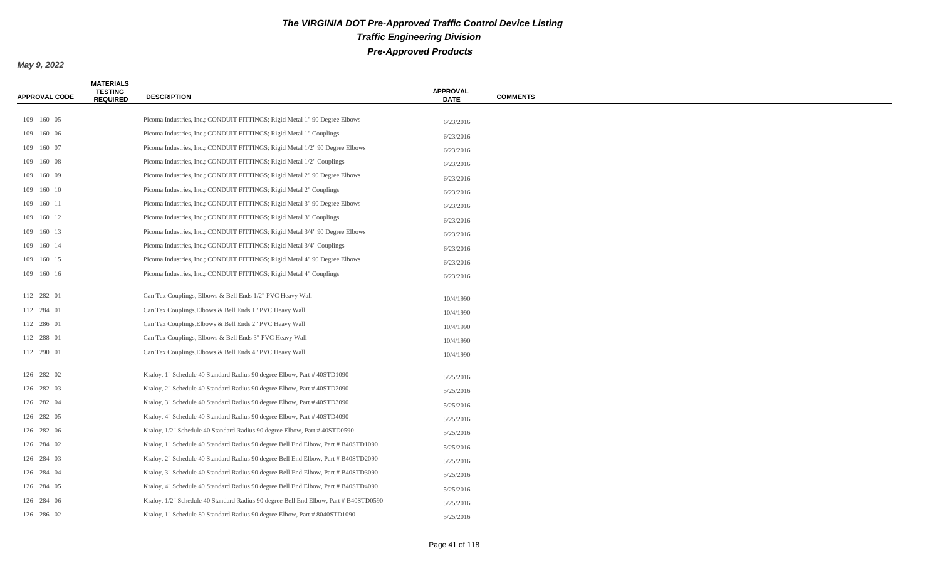| <b>APPROVAL CODE</b> | <b>MATERIALS</b><br><b>TESTING</b><br><b>REQUIRED</b> | <b>DESCRIPTION</b>                                                                   | <b>APPROVAL</b><br><b>DATE</b> | <b>COMMENTS</b> |
|----------------------|-------------------------------------------------------|--------------------------------------------------------------------------------------|--------------------------------|-----------------|
|                      |                                                       |                                                                                      |                                |                 |
| 109 160 05           |                                                       | Picoma Industries, Inc.; CONDUIT FITTINGS; Rigid Metal 1" 90 Degree Elbows           | 6/23/2016                      |                 |
| 109 160 06           |                                                       | Picoma Industries, Inc.; CONDUIT FITTINGS; Rigid Metal 1" Couplings                  | 6/23/2016                      |                 |
| 109 160 07           |                                                       | Picoma Industries, Inc.; CONDUIT FITTINGS; Rigid Metal 1/2" 90 Degree Elbows         | 6/23/2016                      |                 |
| 109 160 08           |                                                       | Picoma Industries, Inc.; CONDUIT FITTINGS; Rigid Metal 1/2" Couplings                | 6/23/2016                      |                 |
| 109 160 09           |                                                       | Picoma Industries, Inc.; CONDUIT FITTINGS; Rigid Metal 2" 90 Degree Elbows           | 6/23/2016                      |                 |
| 109 160 10           |                                                       | Picoma Industries, Inc.; CONDUIT FITTINGS; Rigid Metal 2" Couplings                  | 6/23/2016                      |                 |
| 109 160 11           |                                                       | Picoma Industries, Inc.; CONDUIT FITTINGS; Rigid Metal 3" 90 Degree Elbows           | 6/23/2016                      |                 |
| 109 160 12           |                                                       | Picoma Industries, Inc.; CONDUIT FITTINGS; Rigid Metal 3" Couplings                  | 6/23/2016                      |                 |
| 109 160 13           |                                                       | Picoma Industries, Inc.; CONDUIT FITTINGS; Rigid Metal 3/4" 90 Degree Elbows         | 6/23/2016                      |                 |
| 109 160 14           |                                                       | Picoma Industries, Inc.; CONDUIT FITTINGS; Rigid Metal 3/4" Couplings                | 6/23/2016                      |                 |
| 109 160 15           |                                                       | Picoma Industries, Inc.; CONDUIT FITTINGS; Rigid Metal 4" 90 Degree Elbows           | 6/23/2016                      |                 |
| 109 160 16           |                                                       | Picoma Industries, Inc.; CONDUIT FITTINGS; Rigid Metal 4" Couplings                  | 6/23/2016                      |                 |
| 112 282 01           |                                                       | Can Tex Couplings, Elbows & Bell Ends 1/2" PVC Heavy Wall                            | 10/4/1990                      |                 |
| 112 284 01           |                                                       | Can Tex Couplings, Elbows & Bell Ends 1" PVC Heavy Wall                              | 10/4/1990                      |                 |
| 112 286 01           |                                                       | Can Tex Couplings, Elbows & Bell Ends 2" PVC Heavy Wall                              | 10/4/1990                      |                 |
| 112 288 01           |                                                       | Can Tex Couplings, Elbows & Bell Ends 3" PVC Heavy Wall                              | 10/4/1990                      |                 |
| 112 290 01           |                                                       | Can Tex Couplings, Elbows & Bell Ends 4" PVC Heavy Wall                              | 10/4/1990                      |                 |
| 126 282 02           |                                                       | Kraloy, 1" Schedule 40 Standard Radius 90 degree Elbow, Part #40STD1090              | 5/25/2016                      |                 |
| 126 282 03           |                                                       | Kraloy, 2" Schedule 40 Standard Radius 90 degree Elbow, Part #40STD2090              | 5/25/2016                      |                 |
| 126 282 04           |                                                       | Kraloy, 3" Schedule 40 Standard Radius 90 degree Elbow, Part #40STD3090              | 5/25/2016                      |                 |
| 126 282 05           |                                                       | Kraloy, 4" Schedule 40 Standard Radius 90 degree Elbow, Part #40STD4090              | 5/25/2016                      |                 |
| 126 282 06           |                                                       | Kraloy, 1/2" Schedule 40 Standard Radius 90 degree Elbow, Part #40STD0590            | 5/25/2016                      |                 |
| 126 284 02           |                                                       | Kraloy, 1" Schedule 40 Standard Radius 90 degree Bell End Elbow, Part # B40STD1090   | 5/25/2016                      |                 |
| 126 284 03           |                                                       | Kraloy, 2" Schedule 40 Standard Radius 90 degree Bell End Elbow, Part # B40STD2090   | 5/25/2016                      |                 |
| 126 284 04           |                                                       | Kraloy, 3" Schedule 40 Standard Radius 90 degree Bell End Elbow, Part # B40STD3090   | 5/25/2016                      |                 |
| 126 284 05           |                                                       | Kraloy, 4" Schedule 40 Standard Radius 90 degree Bell End Elbow, Part # B40STD4090   | 5/25/2016                      |                 |
| 126 284 06           |                                                       | Kraloy, 1/2" Schedule 40 Standard Radius 90 degree Bell End Elbow, Part # B40STD0590 | 5/25/2016                      |                 |
| 126 286 02           |                                                       | Kraloy, 1" Schedule 80 Standard Radius 90 degree Elbow, Part # 8040STD1090           | 5/25/2016                      |                 |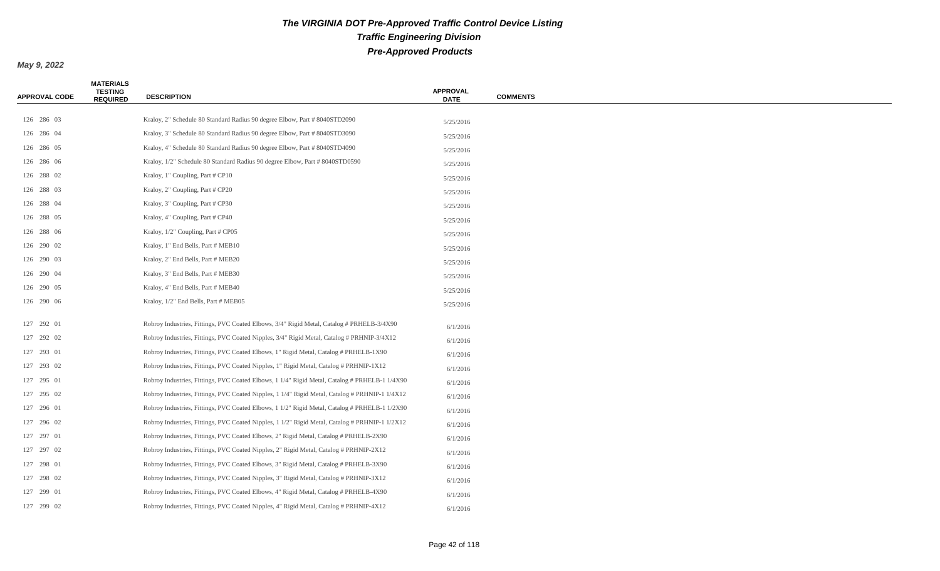| <b>APPROVAL CODE</b> | <b>MATERIALS</b><br><b>TESTING</b><br><b>REQUIRED</b> | <b>DESCRIPTION</b>                                                                             | <b>APPROVAL</b><br><b>DATE</b> | <b>COMMENTS</b> |
|----------------------|-------------------------------------------------------|------------------------------------------------------------------------------------------------|--------------------------------|-----------------|
| 126 286 03           |                                                       | Kraloy, 2" Schedule 80 Standard Radius 90 degree Elbow, Part #8040STD2090                      |                                |                 |
| 126 286 04           |                                                       | Kraloy, 3" Schedule 80 Standard Radius 90 degree Elbow, Part # 8040STD3090                     | 5/25/2016                      |                 |
| 126 286 05           |                                                       | Kraloy, 4" Schedule 80 Standard Radius 90 degree Elbow, Part #8040STD4090                      | 5/25/2016                      |                 |
| 126 286 06           |                                                       | Kraloy, 1/2" Schedule 80 Standard Radius 90 degree Elbow, Part # 8040STD0590                   | 5/25/2016                      |                 |
| 126 288 02           |                                                       | Kraloy, 1" Coupling, Part # CP10                                                               | 5/25/2016                      |                 |
| 126 288 03           |                                                       | Kraloy, 2" Coupling, Part # CP20                                                               | 5/25/2016                      |                 |
| 126 288 04           |                                                       | Kraloy, 3" Coupling, Part # CP30                                                               | 5/25/2016                      |                 |
| 126 288 05           |                                                       | Kraloy, 4" Coupling, Part # CP40                                                               | 5/25/2016<br>5/25/2016         |                 |
| 126 288 06           |                                                       | Kraloy, 1/2" Coupling, Part # CP05                                                             | 5/25/2016                      |                 |
| 126 290 02           |                                                       | Kraloy, 1" End Bells, Part # MEB10                                                             | 5/25/2016                      |                 |
| 126 290 03           |                                                       | Kraloy, 2" End Bells, Part # MEB20                                                             | 5/25/2016                      |                 |
| 126 290 04           |                                                       | Kraloy, 3" End Bells, Part # MEB30                                                             | 5/25/2016                      |                 |
| 126 290 05           |                                                       | Kraloy, 4" End Bells, Part # MEB40                                                             | 5/25/2016                      |                 |
| 126 290 06           |                                                       | Kraloy, 1/2" End Bells, Part # MEB05                                                           | 5/25/2016                      |                 |
|                      |                                                       |                                                                                                |                                |                 |
| 127 292 01           |                                                       | Robroy Industries, Fittings, PVC Coated Elbows, 3/4" Rigid Metal, Catalog # PRHELB-3/4X90      | 6/1/2016                       |                 |
| 127 292 02           |                                                       | Robroy Industries, Fittings, PVC Coated Nipples, 3/4" Rigid Metal, Catalog # PRHNIP-3/4X12     | 6/1/2016                       |                 |
| 127 293 01           |                                                       | Robroy Industries, Fittings, PVC Coated Elbows, 1" Rigid Metal, Catalog # PRHELB-1X90          | 6/1/2016                       |                 |
| 127 293 02           |                                                       | Robroy Industries, Fittings, PVC Coated Nipples, 1" Rigid Metal, Catalog # PRHNIP-1X12         | 6/1/2016                       |                 |
| 127 295 01           |                                                       | Robroy Industries, Fittings, PVC Coated Elbows, 1 1/4" Rigid Metal, Catalog # PRHELB-1 1/4X90  | 6/1/2016                       |                 |
| 127 295 02           |                                                       | Robroy Industries, Fittings, PVC Coated Nipples, 1 1/4" Rigid Metal, Catalog # PRHNIP-1 1/4X12 | 6/1/2016                       |                 |
| 127 296 01           |                                                       | Robroy Industries, Fittings, PVC Coated Elbows, 1 1/2" Rigid Metal, Catalog # PRHELB-1 1/2X90  | 6/1/2016                       |                 |
| 127 296 02           |                                                       | Robroy Industries, Fittings, PVC Coated Nipples, 1 1/2" Rigid Metal, Catalog # PRHNIP-1 1/2X12 | 6/1/2016                       |                 |
| 127 297 01           |                                                       | Robroy Industries, Fittings, PVC Coated Elbows, 2" Rigid Metal, Catalog # PRHELB-2X90          | 6/1/2016                       |                 |
| 127 297 02           |                                                       | Robroy Industries, Fittings, PVC Coated Nipples, 2" Rigid Metal, Catalog # PRHNIP-2X12         | 6/1/2016                       |                 |
| 127 298 01           |                                                       | Robroy Industries, Fittings, PVC Coated Elbows, 3" Rigid Metal, Catalog # PRHELB-3X90          | 6/1/2016                       |                 |
| 127 298 02           |                                                       | Robroy Industries, Fittings, PVC Coated Nipples, 3" Rigid Metal, Catalog # PRHNIP-3X12         | 6/1/2016                       |                 |
| 127 299 01           |                                                       | Robroy Industries, Fittings, PVC Coated Elbows, 4" Rigid Metal, Catalog # PRHELB-4X90          | 6/1/2016                       |                 |
| 127 299 02           |                                                       | Robroy Industries, Fittings, PVC Coated Nipples, 4" Rigid Metal, Catalog # PRHNIP-4X12         | 6/1/2016                       |                 |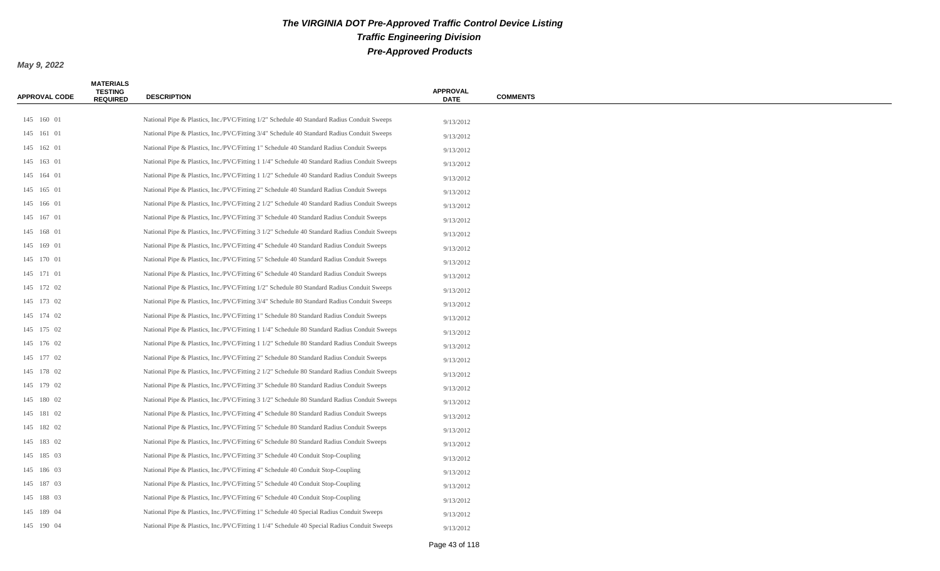| <b>APPROVAL CODE</b> | <b>MATERIALS</b><br><b>TESTING</b><br><b>REQUIRED</b> | <b>DESCRIPTION</b>                                                                           | <b>APPROVAL</b><br><b>DATE</b> | <b>COMMENTS</b> |
|----------------------|-------------------------------------------------------|----------------------------------------------------------------------------------------------|--------------------------------|-----------------|
|                      |                                                       |                                                                                              |                                |                 |
| 145 160 01           |                                                       | National Pipe & Plastics, Inc./PVC/Fitting 1/2" Schedule 40 Standard Radius Conduit Sweeps   | 9/13/2012                      |                 |
| 145 161 01           |                                                       | National Pipe & Plastics, Inc./PVC/Fitting 3/4" Schedule 40 Standard Radius Conduit Sweeps   | 9/13/2012                      |                 |
| 145 162 01           |                                                       | National Pipe & Plastics, Inc./PVC/Fitting 1" Schedule 40 Standard Radius Conduit Sweeps     | 9/13/2012                      |                 |
| 145 163 01           |                                                       | National Pipe & Plastics, Inc./PVC/Fitting 1 1/4" Schedule 40 Standard Radius Conduit Sweeps | 9/13/2012                      |                 |
| 145 164 01           |                                                       | National Pipe & Plastics, Inc./PVC/Fitting 1 1/2" Schedule 40 Standard Radius Conduit Sweeps | 9/13/2012                      |                 |
| 145 165 01           |                                                       | National Pipe & Plastics, Inc./PVC/Fitting 2" Schedule 40 Standard Radius Conduit Sweeps     | 9/13/2012                      |                 |
| 145 166 01           |                                                       | National Pipe & Plastics, Inc./PVC/Fitting 2 1/2" Schedule 40 Standard Radius Conduit Sweeps | 9/13/2012                      |                 |
| 145 167 01           |                                                       | National Pipe & Plastics, Inc./PVC/Fitting 3" Schedule 40 Standard Radius Conduit Sweeps     | 9/13/2012                      |                 |
| 145 168 01           |                                                       | National Pipe & Plastics, Inc./PVC/Fitting 3 1/2" Schedule 40 Standard Radius Conduit Sweeps | 9/13/2012                      |                 |
| 145 169 01           |                                                       | National Pipe & Plastics, Inc./PVC/Fitting 4" Schedule 40 Standard Radius Conduit Sweeps     | 9/13/2012                      |                 |
| 145 170 01           |                                                       | National Pipe & Plastics, Inc./PVC/Fitting 5" Schedule 40 Standard Radius Conduit Sweeps     | 9/13/2012                      |                 |
| 145 171 01           |                                                       | National Pipe & Plastics, Inc./PVC/Fitting 6" Schedule 40 Standard Radius Conduit Sweeps     | 9/13/2012                      |                 |
| 145 172 02           |                                                       | National Pipe & Plastics, Inc./PVC/Fitting 1/2" Schedule 80 Standard Radius Conduit Sweeps   | 9/13/2012                      |                 |
| 145 173 02           |                                                       | National Pipe & Plastics, Inc./PVC/Fitting 3/4" Schedule 80 Standard Radius Conduit Sweeps   | 9/13/2012                      |                 |
| 145 174 02           |                                                       | National Pipe & Plastics, Inc./PVC/Fitting 1" Schedule 80 Standard Radius Conduit Sweeps     | 9/13/2012                      |                 |
| 145 175 02           |                                                       | National Pipe & Plastics, Inc./PVC/Fitting 1 1/4" Schedule 80 Standard Radius Conduit Sweeps | 9/13/2012                      |                 |
| 145 176 02           |                                                       | National Pipe & Plastics, Inc./PVC/Fitting 1 1/2" Schedule 80 Standard Radius Conduit Sweeps | 9/13/2012                      |                 |
| 145 177 02           |                                                       | National Pipe & Plastics, Inc./PVC/Fitting 2" Schedule 80 Standard Radius Conduit Sweeps     | 9/13/2012                      |                 |
| 145 178 02           |                                                       | National Pipe & Plastics, Inc./PVC/Fitting 2 1/2" Schedule 80 Standard Radius Conduit Sweeps | 9/13/2012                      |                 |
| 145 179 02           |                                                       | National Pipe & Plastics, Inc./PVC/Fitting 3" Schedule 80 Standard Radius Conduit Sweeps     | 9/13/2012                      |                 |
| 145 180 02           |                                                       | National Pipe & Plastics, Inc./PVC/Fitting 3 1/2" Schedule 80 Standard Radius Conduit Sweeps | 9/13/2012                      |                 |
| 145 181 02           |                                                       | National Pipe & Plastics, Inc./PVC/Fitting 4" Schedule 80 Standard Radius Conduit Sweeps     | 9/13/2012                      |                 |
| 145 182 02           |                                                       | National Pipe & Plastics, Inc./PVC/Fitting 5" Schedule 80 Standard Radius Conduit Sweeps     | 9/13/2012                      |                 |
| 145 183 02           |                                                       | National Pipe & Plastics, Inc./PVC/Fitting 6" Schedule 80 Standard Radius Conduit Sweeps     | 9/13/2012                      |                 |
| 145 185 03           |                                                       | National Pipe & Plastics, Inc./PVC/Fitting 3" Schedule 40 Conduit Stop-Coupling              | 9/13/2012                      |                 |
| 145 186 03           |                                                       | National Pipe & Plastics, Inc./PVC/Fitting 4" Schedule 40 Conduit Stop-Coupling              | 9/13/2012                      |                 |
| 145 187 03           |                                                       | National Pipe & Plastics, Inc./PVC/Fitting 5" Schedule 40 Conduit Stop-Coupling              | 9/13/2012                      |                 |
| 145 188 03           |                                                       | National Pipe & Plastics, Inc./PVC/Fitting 6" Schedule 40 Conduit Stop-Coupling              | 9/13/2012                      |                 |
| 145 189 04           |                                                       | National Pipe & Plastics, Inc./PVC/Fitting 1" Schedule 40 Special Radius Conduit Sweeps      | 9/13/2012                      |                 |
| 145 190 04           |                                                       | National Pipe & Plastics, Inc./PVC/Fitting 1 1/4" Schedule 40 Special Radius Conduit Sweeps  | 9/13/2012                      |                 |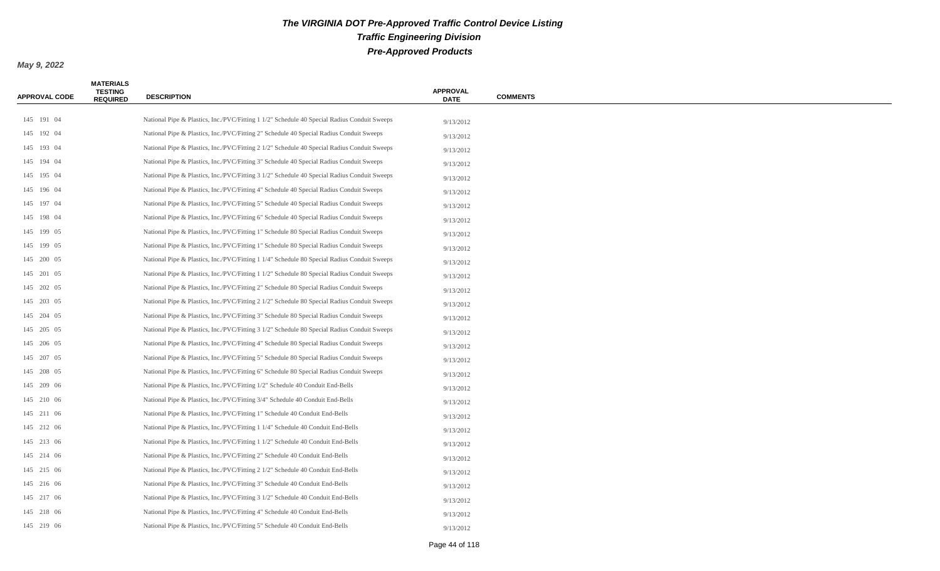| <b>APPROVAL CODE</b> | <b>MATERIALS</b><br><b>TESTING</b><br><b>REQUIRED</b> | <b>DESCRIPTION</b>                                                                          | <b>APPROVAL</b><br><b>DATE</b> | <b>COMMENTS</b> |
|----------------------|-------------------------------------------------------|---------------------------------------------------------------------------------------------|--------------------------------|-----------------|
|                      |                                                       |                                                                                             |                                |                 |
| 145 191 04           |                                                       | National Pipe & Plastics, Inc./PVC/Fitting 1 1/2" Schedule 40 Special Radius Conduit Sweeps | 9/13/2012                      |                 |
| 145 192 04           |                                                       | National Pipe & Plastics, Inc./PVC/Fitting 2" Schedule 40 Special Radius Conduit Sweeps     | 9/13/2012                      |                 |
| 145 193 04           |                                                       | National Pipe & Plastics, Inc./PVC/Fitting 2 1/2" Schedule 40 Special Radius Conduit Sweeps | 9/13/2012                      |                 |
| 145 194 04           |                                                       | National Pipe & Plastics, Inc./PVC/Fitting 3" Schedule 40 Special Radius Conduit Sweeps     | 9/13/2012                      |                 |
| 145 195 04           |                                                       | National Pipe & Plastics, Inc./PVC/Fitting 3 1/2" Schedule 40 Special Radius Conduit Sweeps | 9/13/2012                      |                 |
| 145 196 04           |                                                       | National Pipe & Plastics, Inc./PVC/Fitting 4" Schedule 40 Special Radius Conduit Sweeps     | 9/13/2012                      |                 |
| 145 197 04           |                                                       | National Pipe & Plastics, Inc./PVC/Fitting 5" Schedule 40 Special Radius Conduit Sweeps     | 9/13/2012                      |                 |
| 145 198 04           |                                                       | National Pipe & Plastics, Inc./PVC/Fitting 6" Schedule 40 Special Radius Conduit Sweeps     | 9/13/2012                      |                 |
| 145 199 05           |                                                       | National Pipe & Plastics, Inc./PVC/Fitting 1" Schedule 80 Special Radius Conduit Sweeps     | 9/13/2012                      |                 |
| 145 199 05           |                                                       | National Pipe & Plastics, Inc./PVC/Fitting 1" Schedule 80 Special Radius Conduit Sweeps     | 9/13/2012                      |                 |
| 145 200 05           |                                                       | National Pipe & Plastics, Inc./PVC/Fitting 1 1/4" Schedule 80 Special Radius Conduit Sweeps | 9/13/2012                      |                 |
| 145 201 05           |                                                       | National Pipe & Plastics, Inc./PVC/Fitting 1 1/2" Schedule 80 Special Radius Conduit Sweeps | 9/13/2012                      |                 |
| 145 202 05           |                                                       | National Pipe & Plastics, Inc./PVC/Fitting 2" Schedule 80 Special Radius Conduit Sweeps     | 9/13/2012                      |                 |
| 145 203 05           |                                                       | National Pipe & Plastics, Inc./PVC/Fitting 2 1/2" Schedule 80 Special Radius Conduit Sweeps | 9/13/2012                      |                 |
| 145 204 05           |                                                       | National Pipe & Plastics, Inc./PVC/Fitting 3" Schedule 80 Special Radius Conduit Sweeps     | 9/13/2012                      |                 |
| 145 205 05           |                                                       | National Pipe & Plastics, Inc./PVC/Fitting 3 1/2" Schedule 80 Special Radius Conduit Sweeps | 9/13/2012                      |                 |
| 145 206 05           |                                                       | National Pipe & Plastics, Inc./PVC/Fitting 4" Schedule 80 Special Radius Conduit Sweeps     | 9/13/2012                      |                 |
| 145 207 05           |                                                       | National Pipe & Plastics, Inc./PVC/Fitting 5" Schedule 80 Special Radius Conduit Sweeps     | 9/13/2012                      |                 |
| 145 208 05           |                                                       | National Pipe & Plastics, Inc./PVC/Fitting 6" Schedule 80 Special Radius Conduit Sweeps     | 9/13/2012                      |                 |
| 145 209 06           |                                                       | National Pipe & Plastics, Inc./PVC/Fitting 1/2" Schedule 40 Conduit End-Bells               | 9/13/2012                      |                 |
| 145 210 06           |                                                       | National Pipe & Plastics, Inc./PVC/Fitting 3/4" Schedule 40 Conduit End-Bells               | 9/13/2012                      |                 |
| 145 211 06           |                                                       | National Pipe & Plastics, Inc./PVC/Fitting 1" Schedule 40 Conduit End-Bells                 | 9/13/2012                      |                 |
| 145 212 06           |                                                       | National Pipe & Plastics, Inc./PVC/Fitting 1 1/4" Schedule 40 Conduit End-Bells             | 9/13/2012                      |                 |
| 145 213 06           |                                                       | National Pipe & Plastics, Inc./PVC/Fitting 1 1/2" Schedule 40 Conduit End-Bells             | 9/13/2012                      |                 |
| 145 214 06           |                                                       | National Pipe & Plastics, Inc./PVC/Fitting 2" Schedule 40 Conduit End-Bells                 | 9/13/2012                      |                 |
| 145 215 06           |                                                       | National Pipe & Plastics, Inc./PVC/Fitting 2 1/2" Schedule 40 Conduit End-Bells             | 9/13/2012                      |                 |
| 145 216 06           |                                                       | National Pipe & Plastics, Inc./PVC/Fitting 3" Schedule 40 Conduit End-Bells                 | 9/13/2012                      |                 |
| 145 217 06           |                                                       | National Pipe & Plastics, Inc./PVC/Fitting 3 1/2" Schedule 40 Conduit End-Bells             | 9/13/2012                      |                 |
| 145 218 06           |                                                       | National Pipe & Plastics, Inc./PVC/Fitting 4" Schedule 40 Conduit End-Bells                 | 9/13/2012                      |                 |
| 145 219 06           |                                                       | National Pipe & Plastics, Inc./PVC/Fitting 5" Schedule 40 Conduit End-Bells                 | 9/13/2012                      |                 |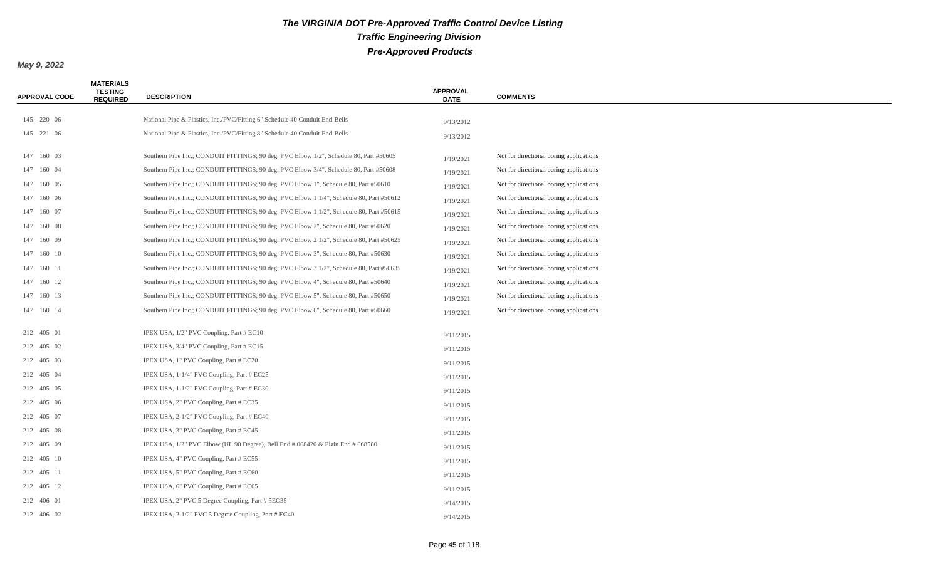| <b>APPROVAL CODE</b> | <b>MATERIALS</b><br><b>TESTING</b><br><b>REQUIRED</b> | <b>DESCRIPTION</b>                                                                       | <b>APPROVAL</b><br><b>DATE</b> | <b>COMMENTS</b>                         |
|----------------------|-------------------------------------------------------|------------------------------------------------------------------------------------------|--------------------------------|-----------------------------------------|
| 145 220 06           |                                                       | National Pipe & Plastics, Inc./PVC/Fitting 6" Schedule 40 Conduit End-Bells              |                                |                                         |
| 145 221 06           |                                                       | National Pipe & Plastics, Inc./PVC/Fitting 8" Schedule 40 Conduit End-Bells              | 9/13/2012                      |                                         |
|                      |                                                       |                                                                                          | 9/13/2012                      |                                         |
| 147 160 03           |                                                       | Southern Pipe Inc.; CONDUIT FITTINGS; 90 deg. PVC Elbow 1/2", Schedule 80, Part #50605   | 1/19/2021                      | Not for directional boring applications |
| 147 160 04           |                                                       | Southern Pipe Inc.; CONDUIT FITTINGS; 90 deg. PVC Elbow 3/4", Schedule 80, Part #50608   | 1/19/2021                      | Not for directional boring applications |
| 147 160 05           |                                                       | Southern Pipe Inc.; CONDUIT FITTINGS; 90 deg. PVC Elbow 1", Schedule 80, Part #50610     | 1/19/2021                      | Not for directional boring applications |
| 147 160 06           |                                                       | Southern Pipe Inc.; CONDUIT FITTINGS; 90 deg. PVC Elbow 1 1/4", Schedule 80, Part #50612 | 1/19/2021                      | Not for directional boring applications |
| 147 160 07           |                                                       | Southern Pipe Inc.; CONDUIT FITTINGS; 90 deg. PVC Elbow 1 1/2", Schedule 80, Part #50615 | 1/19/2021                      | Not for directional boring applications |
| 147 160 08           |                                                       | Southern Pipe Inc.; CONDUIT FITTINGS; 90 deg. PVC Elbow 2", Schedule 80, Part #50620     | 1/19/2021                      | Not for directional boring applications |
| 147 160 09           |                                                       | Southern Pipe Inc.; CONDUIT FITTINGS; 90 deg. PVC Elbow 2 1/2", Schedule 80, Part #50625 | 1/19/2021                      | Not for directional boring applications |
| 147 160 10           |                                                       | Southern Pipe Inc.; CONDUIT FITTINGS; 90 deg. PVC Elbow 3", Schedule 80, Part #50630     | 1/19/2021                      | Not for directional boring applications |
| 147 160 11           |                                                       | Southern Pipe Inc.; CONDUIT FITTINGS; 90 deg. PVC Elbow 3 1/2", Schedule 80, Part #50635 | 1/19/2021                      | Not for directional boring applications |
| 147 160 12           |                                                       | Southern Pipe Inc.; CONDUIT FITTINGS; 90 deg. PVC Elbow 4", Schedule 80, Part #50640     | 1/19/2021                      | Not for directional boring applications |
| 147 160 13           |                                                       | Southern Pipe Inc.; CONDUIT FITTINGS; 90 deg. PVC Elbow 5", Schedule 80, Part #50650     | 1/19/2021                      | Not for directional boring applications |
| 147 160 14           |                                                       | Southern Pipe Inc.; CONDUIT FITTINGS; 90 deg. PVC Elbow 6", Schedule 80, Part #50660     | 1/19/2021                      | Not for directional boring applications |
| 212 405 01           |                                                       | IPEX USA, 1/2" PVC Coupling, Part # EC10                                                 | 9/11/2015                      |                                         |
| 212 405 02           |                                                       | IPEX USA, 3/4" PVC Coupling, Part # EC15                                                 | 9/11/2015                      |                                         |
| 212 405 03           |                                                       | IPEX USA, 1" PVC Coupling, Part # EC20                                                   | 9/11/2015                      |                                         |
| 212 405 04           |                                                       | IPEX USA, 1-1/4" PVC Coupling, Part # EC25                                               | 9/11/2015                      |                                         |
| 212 405 05           |                                                       | IPEX USA, 1-1/2" PVC Coupling, Part # EC30                                               | 9/11/2015                      |                                         |
| 212 405 06           |                                                       | IPEX USA, 2" PVC Coupling, Part # EC35                                                   | 9/11/2015                      |                                         |
| 212 405 07           |                                                       | IPEX USA, 2-1/2" PVC Coupling, Part # EC40                                               | 9/11/2015                      |                                         |
| 212 405 08           |                                                       | IPEX USA, 3" PVC Coupling, Part # EC45                                                   | 9/11/2015                      |                                         |
| 212 405 09           |                                                       | IPEX USA, $1/2$ " PVC Elbow (UL 90 Degree), Bell End # 068420 & Plain End # 068580       | 9/11/2015                      |                                         |
| 212 405 10           |                                                       | IPEX USA, 4" PVC Coupling, Part # EC55                                                   | 9/11/2015                      |                                         |
| 212 405 11           |                                                       | IPEX USA, 5" PVC Coupling, Part # EC60                                                   | 9/11/2015                      |                                         |
| 212 405 12           |                                                       | IPEX USA, 6" PVC Coupling, Part # EC65                                                   | 9/11/2015                      |                                         |
| 212 406 01           |                                                       | IPEX USA, 2" PVC 5 Degree Coupling, Part # 5EC35                                         | 9/14/2015                      |                                         |
| 212 406 02           |                                                       | IPEX USA, 2-1/2" PVC 5 Degree Coupling, Part # EC40                                      | 9/14/2015                      |                                         |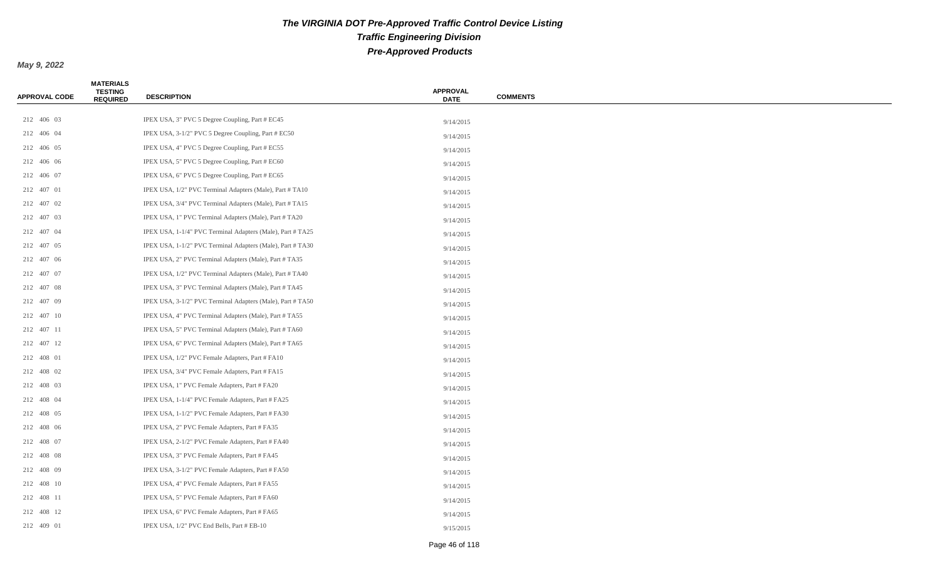| <b>APPROVAL CODE</b> | <b>MATERIALS</b><br><b>TESTING</b><br><b>REQUIRED</b> | <b>DESCRIPTION</b>                                         | <b>APPROVAL</b><br><b>DATE</b> | <b>COMMENTS</b> |
|----------------------|-------------------------------------------------------|------------------------------------------------------------|--------------------------------|-----------------|
|                      |                                                       |                                                            |                                |                 |
| 212 406 03           |                                                       | IPEX USA, 3" PVC 5 Degree Coupling, Part # EC45            | 9/14/2015                      |                 |
| 212 406 04           |                                                       | IPEX USA, 3-1/2" PVC 5 Degree Coupling, Part # EC50        | 9/14/2015                      |                 |
| 212 406 05           |                                                       | IPEX USA, 4" PVC 5 Degree Coupling, Part # EC55            | 9/14/2015                      |                 |
| 212 406 06           |                                                       | IPEX USA, 5" PVC 5 Degree Coupling, Part # EC60            | 9/14/2015                      |                 |
| 212 406 07           |                                                       | IPEX USA, 6" PVC 5 Degree Coupling, Part # EC65            | 9/14/2015                      |                 |
| 212 407 01           |                                                       | IPEX USA, 1/2" PVC Terminal Adapters (Male), Part #TA10    | 9/14/2015                      |                 |
| 212 407 02           |                                                       | IPEX USA, 3/4" PVC Terminal Adapters (Male), Part #TA15    | 9/14/2015                      |                 |
| 212 407 03           |                                                       | IPEX USA, 1" PVC Terminal Adapters (Male), Part # TA20     | 9/14/2015                      |                 |
| 212 407 04           |                                                       | IPEX USA, 1-1/4" PVC Terminal Adapters (Male), Part #TA25  | 9/14/2015                      |                 |
| 212 407 05           |                                                       | IPEX USA, 1-1/2" PVC Terminal Adapters (Male), Part #TA30  | 9/14/2015                      |                 |
| 212 407 06           |                                                       | IPEX USA, 2" PVC Terminal Adapters (Male), Part #TA35      | 9/14/2015                      |                 |
| 212 407 07           |                                                       | IPEX USA, 1/2" PVC Terminal Adapters (Male), Part #TA40    | 9/14/2015                      |                 |
| 212 407 08           |                                                       | IPEX USA, 3" PVC Terminal Adapters (Male), Part # TA45     | 9/14/2015                      |                 |
| 212 407 09           |                                                       | IPEX USA, 3-1/2" PVC Terminal Adapters (Male), Part # TA50 | 9/14/2015                      |                 |
| 212 407 10           |                                                       | IPEX USA, 4" PVC Terminal Adapters (Male), Part # TA55     | 9/14/2015                      |                 |
| 212 407 11           |                                                       | IPEX USA, 5" PVC Terminal Adapters (Male), Part # TA60     | 9/14/2015                      |                 |
| 212 407 12           |                                                       | IPEX USA, 6" PVC Terminal Adapters (Male), Part # TA65     | 9/14/2015                      |                 |
| 212 408 01           |                                                       | IPEX USA, 1/2" PVC Female Adapters, Part # FA10            | 9/14/2015                      |                 |
| 212 408 02           |                                                       | IPEX USA, 3/4" PVC Female Adapters, Part # FA15            | 9/14/2015                      |                 |
| 212 408 03           |                                                       | IPEX USA, 1" PVC Female Adapters, Part # FA20              | 9/14/2015                      |                 |
| 212 408 04           |                                                       | IPEX USA, 1-1/4" PVC Female Adapters, Part # FA25          | 9/14/2015                      |                 |
| 212 408 05           |                                                       | IPEX USA, 1-1/2" PVC Female Adapters, Part # FA30          | 9/14/2015                      |                 |
| 212 408 06           |                                                       | IPEX USA, 2" PVC Female Adapters, Part # FA35              | 9/14/2015                      |                 |
| 212 408 07           |                                                       | IPEX USA, 2-1/2" PVC Female Adapters, Part # FA40          | 9/14/2015                      |                 |
| 212 408 08           |                                                       | IPEX USA, 3" PVC Female Adapters, Part # FA45              | 9/14/2015                      |                 |
| 212 408 09           |                                                       | IPEX USA, 3-1/2" PVC Female Adapters, Part # FA50          | 9/14/2015                      |                 |
| 212 408 10           |                                                       | IPEX USA, 4" PVC Female Adapters, Part # FA55              | 9/14/2015                      |                 |
| 212 408 11           |                                                       | IPEX USA, 5" PVC Female Adapters, Part # FA60              | 9/14/2015                      |                 |
| 212 408 12           |                                                       | IPEX USA, 6" PVC Female Adapters, Part # FA65              | 9/14/2015                      |                 |
| 212 409 01           |                                                       | IPEX USA, 1/2" PVC End Bells, Part # EB-10                 | 9/15/2015                      |                 |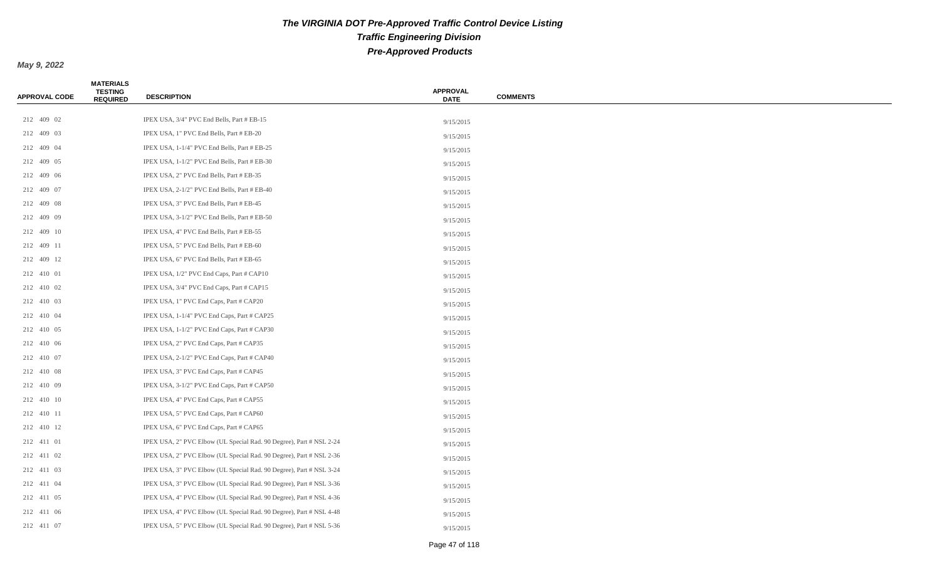| <b>APPROVAL CODE</b> | <b>MATERIALS</b><br><b>TESTING</b><br><b>REQUIRED</b> | <b>DESCRIPTION</b>                                                  | <b>APPROVAL</b><br><b>DATE</b> | <b>COMMENTS</b> |
|----------------------|-------------------------------------------------------|---------------------------------------------------------------------|--------------------------------|-----------------|
|                      |                                                       |                                                                     |                                |                 |
| 212 409 02           |                                                       | IPEX USA, 3/4" PVC End Bells, Part # EB-15                          | 9/15/2015                      |                 |
| 212 409 03           |                                                       | IPEX USA, 1" PVC End Bells, Part # EB-20                            | 9/15/2015                      |                 |
| 212 409 04           |                                                       | IPEX USA, 1-1/4" PVC End Bells, Part # EB-25                        | 9/15/2015                      |                 |
| 212 409 05           |                                                       | IPEX USA, 1-1/2" PVC End Bells, Part # EB-30                        | 9/15/2015                      |                 |
| 212 409 06           |                                                       | IPEX USA, 2" PVC End Bells, Part # EB-35                            | 9/15/2015                      |                 |
| 212 409 07           |                                                       | IPEX USA, 2-1/2" PVC End Bells, Part # EB-40                        | 9/15/2015                      |                 |
| 212 409 08           |                                                       | IPEX USA, 3" PVC End Bells, Part # EB-45                            | 9/15/2015                      |                 |
| 212 409 09           |                                                       | IPEX USA, 3-1/2" PVC End Bells, Part # EB-50                        | 9/15/2015                      |                 |
| 212 409 10           |                                                       | IPEX USA, 4" PVC End Bells, Part # EB-55                            | 9/15/2015                      |                 |
| 212 409 11           |                                                       | IPEX USA, 5" PVC End Bells, Part # EB-60                            | 9/15/2015                      |                 |
| 212 409 12           |                                                       | IPEX USA, 6" PVC End Bells, Part # EB-65                            | 9/15/2015                      |                 |
| 212 410 01           |                                                       | IPEX USA, 1/2" PVC End Caps, Part # CAP10                           | 9/15/2015                      |                 |
| 212 410 02           |                                                       | IPEX USA, 3/4" PVC End Caps, Part # CAP15                           | 9/15/2015                      |                 |
| 212 410 03           |                                                       | IPEX USA, 1" PVC End Caps, Part # CAP20                             | 9/15/2015                      |                 |
| 212 410 04           |                                                       | IPEX USA, 1-1/4" PVC End Caps, Part # CAP25                         | 9/15/2015                      |                 |
| 212 410 05           |                                                       | IPEX USA, 1-1/2" PVC End Caps, Part # CAP30                         | 9/15/2015                      |                 |
| 212 410 06           |                                                       | IPEX USA, 2" PVC End Caps, Part # CAP35                             | 9/15/2015                      |                 |
| 212 410 07           |                                                       | IPEX USA, 2-1/2" PVC End Caps, Part # CAP40                         | 9/15/2015                      |                 |
| 212 410 08           |                                                       | IPEX USA, 3" PVC End Caps, Part # CAP45                             | 9/15/2015                      |                 |
| 212 410 09           |                                                       | IPEX USA, 3-1/2" PVC End Caps, Part # CAP50                         | 9/15/2015                      |                 |
| 212 410 10           |                                                       | IPEX USA, 4" PVC End Caps, Part # CAP55                             | 9/15/2015                      |                 |
| 212 410 11           |                                                       | IPEX USA, 5" PVC End Caps, Part # CAP60                             | 9/15/2015                      |                 |
| 212 410 12           |                                                       | IPEX USA, 6" PVC End Caps, Part # CAP65                             | 9/15/2015                      |                 |
| 212 411 01           |                                                       | IPEX USA, 2" PVC Elbow (UL Special Rad. 90 Degree), Part # NSL 2-24 | 9/15/2015                      |                 |
| 212 411 02           |                                                       | IPEX USA, 2" PVC Elbow (UL Special Rad. 90 Degree), Part # NSL 2-36 | 9/15/2015                      |                 |
| 212 411 03           |                                                       | IPEX USA, 3" PVC Elbow (UL Special Rad. 90 Degree), Part # NSL 3-24 | 9/15/2015                      |                 |
| 212 411 04           |                                                       | IPEX USA, 3" PVC Elbow (UL Special Rad. 90 Degree), Part # NSL 3-36 | 9/15/2015                      |                 |
| 212 411 05           |                                                       | IPEX USA, 4" PVC Elbow (UL Special Rad. 90 Degree), Part # NSL 4-36 | 9/15/2015                      |                 |
| 212 411 06           |                                                       | IPEX USA, 4" PVC Elbow (UL Special Rad. 90 Degree), Part # NSL 4-48 | 9/15/2015                      |                 |
| 212 411 07           |                                                       | IPEX USA, 5" PVC Elbow (UL Special Rad. 90 Degree), Part # NSL 5-36 | 9/15/2015                      |                 |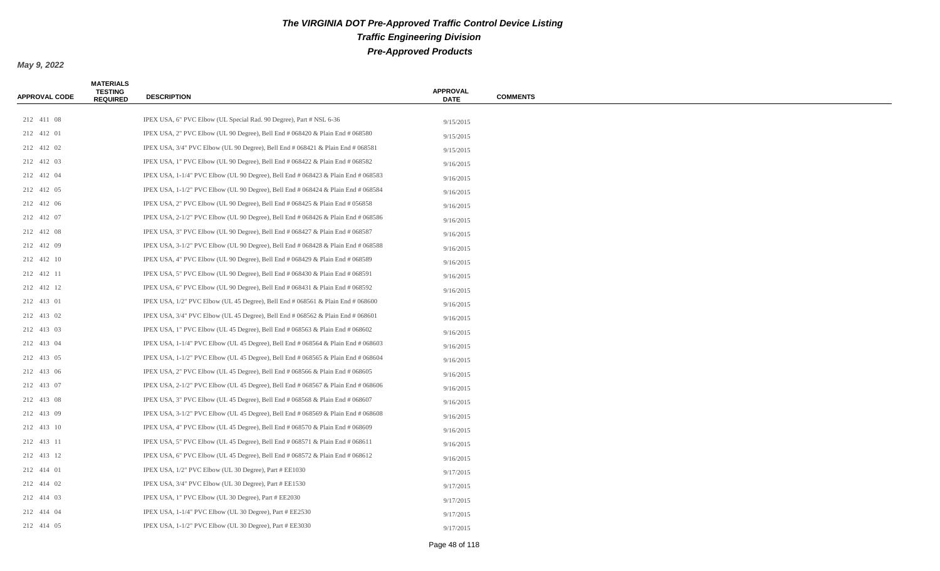| <b>APPROVAL CODE</b> | <b>MATERIALS</b><br><b>TESTING</b><br><b>REQUIRED</b> | <b>DESCRIPTION</b>                                                                   | <b>APPROVAL</b><br><b>DATE</b> | <b>COMMENTS</b> |
|----------------------|-------------------------------------------------------|--------------------------------------------------------------------------------------|--------------------------------|-----------------|
| 212 411 08           |                                                       | IPEX USA, 6" PVC Elbow (UL Special Rad. 90 Degree), Part # NSL 6-36                  |                                |                 |
| 212 412 01           |                                                       | IPEX USA, 2" PVC Elbow (UL 90 Degree), Bell End $\#$ 068420 & Plain End $\#$ 068580  | 9/15/2015                      |                 |
| 212 412 02           |                                                       | IPEX USA, $3/4$ " PVC Elbow (UL 90 Degree), Bell End # 068421 & Plain End # 068581   | 9/15/2015                      |                 |
| 212 412 03           |                                                       | IPEX USA, 1" PVC Elbow (UL 90 Degree), Bell End # 068422 & Plain End # 068582        | 9/15/2015                      |                 |
| 212 412 04           |                                                       |                                                                                      | 9/16/2015                      |                 |
|                      |                                                       | IPEX USA, 1-1/4" PVC Elbow (UL 90 Degree), Bell End # 068423 & Plain End # 068583    | 9/16/2015                      |                 |
| 212 412 05           |                                                       | IPEX USA, 1-1/2" PVC Elbow (UL 90 Degree), Bell End # 068424 & Plain End # 068584    | 9/16/2015                      |                 |
| 212 412 06           |                                                       | IPEX USA, 2" PVC Elbow (UL 90 Degree), Bell End $\#$ 068425 & Plain End $\#$ 056858  | 9/16/2015                      |                 |
| 212 412 07           |                                                       | IPEX USA, $2-1/2$ " PVC Elbow (UL 90 Degree), Bell End # 068426 & Plain End # 068586 | 9/16/2015                      |                 |
| 212 412 08           |                                                       | IPEX USA, 3" PVC Elbow (UL 90 Degree), Bell End $\#$ 068427 & Plain End $\#$ 068587  | 9/16/2015                      |                 |
| 212 412 09           |                                                       | IPEX USA, $3-1/2$ " PVC Elbow (UL 90 Degree), Bell End # 068428 & Plain End # 068588 | 9/16/2015                      |                 |
| 212 412 10           |                                                       | IPEX USA, 4" PVC Elbow (UL 90 Degree), Bell End # 068429 & Plain End # 068589        | 9/16/2015                      |                 |
| 212 412 11           |                                                       | IPEX USA, 5" PVC Elbow (UL 90 Degree), Bell End $\#$ 068430 & Plain End $\#$ 068591  | 9/16/2015                      |                 |
| 212 412 12           |                                                       | IPEX USA, 6" PVC Elbow (UL 90 Degree), Bell End # 068431 & Plain End # 068592        | 9/16/2015                      |                 |
| 212 413 01           |                                                       | IPEX USA, $1/2$ " PVC Elbow (UL 45 Degree), Bell End # 068561 & Plain End # 068600   | 9/16/2015                      |                 |
| 212 413 02           |                                                       | IPEX USA, 3/4" PVC Elbow (UL 45 Degree), Bell End # 068562 & Plain End # 068601      | 9/16/2015                      |                 |
| 212 413 03           |                                                       | IPEX USA, 1" PVC Elbow (UL 45 Degree), Bell End # 068563 & Plain End # 068602        | 9/16/2015                      |                 |
| 212 413 04           |                                                       | IPEX USA, 1-1/4" PVC Elbow (UL 45 Degree), Bell End # 068564 & Plain End # 068603    | 9/16/2015                      |                 |
| 212 413 05           |                                                       | IPEX USA, $1-1/2$ " PVC Elbow (UL 45 Degree), Bell End # 068565 & Plain End # 068604 | 9/16/2015                      |                 |
| 212 413 06           |                                                       | IPEX USA, 2" PVC Elbow (UL 45 Degree), Bell End $\#$ 068566 & Plain End $\#$ 068605  | 9/16/2015                      |                 |
| 212 413 07           |                                                       | IPEX USA, $2-1/2$ " PVC Elbow (UL 45 Degree), Bell End # 068567 & Plain End # 068606 | 9/16/2015                      |                 |
| 212 413 08           |                                                       | IPEX USA, 3" PVC Elbow (UL 45 Degree), Bell End $\#$ 068568 & Plain End $\#$ 068607  | 9/16/2015                      |                 |
| 212 413 09           |                                                       | IPEX USA, $3-1/2$ " PVC Elbow (UL 45 Degree), Bell End # 068569 & Plain End # 068608 | 9/16/2015                      |                 |
| 212 413 10           |                                                       | IPEX USA, 4" PVC Elbow (UL 45 Degree), Bell End # 068570 & Plain End # 068609        | 9/16/2015                      |                 |
| 212 413 11           |                                                       | IPEX USA, 5" PVC Elbow (UL 45 Degree), Bell End $\#$ 068571 & Plain End $\#$ 068611  | 9/16/2015                      |                 |
| 212 413 12           |                                                       | IPEX USA, 6" PVC Elbow (UL 45 Degree), Bell End # 068572 & Plain End # 068612        | 9/16/2015                      |                 |
| 212 414 01           |                                                       | IPEX USA, 1/2" PVC Elbow (UL 30 Degree), Part # EE1030                               | 9/17/2015                      |                 |
| 212 414 02           |                                                       | IPEX USA, 3/4" PVC Elbow (UL 30 Degree), Part # EE1530                               | 9/17/2015                      |                 |
| 212 414 03           |                                                       | IPEX USA, 1" PVC Elbow (UL 30 Degree), Part # EE2030                                 | 9/17/2015                      |                 |
| 212 414 04           |                                                       | IPEX USA, 1-1/4" PVC Elbow (UL 30 Degree), Part # EE2530                             | 9/17/2015                      |                 |
| 212 414 05           |                                                       | IPEX USA, 1-1/2" PVC Elbow (UL 30 Degree), Part # EE3030                             | 9/17/2015                      |                 |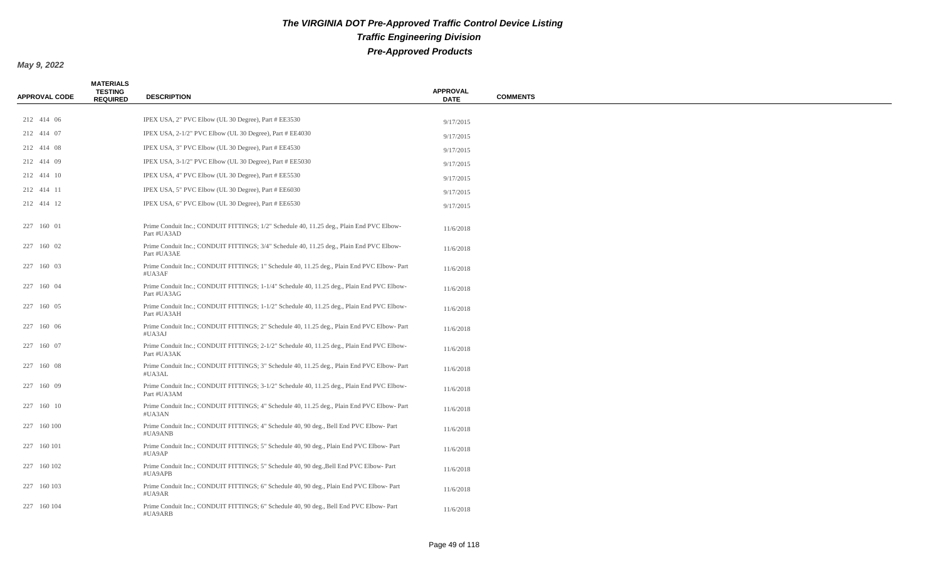| <b>APPROVAL CODE</b> | <b>MATERIALS</b><br><b>TESTING</b><br><b>REQUIRED</b> | <b>DESCRIPTION</b>                                                                                        | <b>APPROVAL</b><br><b>DATE</b> | <b>COMMENTS</b> |
|----------------------|-------------------------------------------------------|-----------------------------------------------------------------------------------------------------------|--------------------------------|-----------------|
|                      |                                                       |                                                                                                           |                                |                 |
| 212 414 06           |                                                       | IPEX USA, 2" PVC Elbow (UL 30 Degree), Part # EE3530                                                      | 9/17/2015                      |                 |
| 212 414 07           |                                                       | IPEX USA, 2-1/2" PVC Elbow (UL 30 Degree), Part # EE4030                                                  | 9/17/2015                      |                 |
| 212 414 08           |                                                       | IPEX USA, 3" PVC Elbow (UL 30 Degree), Part # EE4530                                                      | 9/17/2015                      |                 |
| 212 414 09           |                                                       | IPEX USA, 3-1/2" PVC Elbow (UL 30 Degree), Part # EE5030                                                  | 9/17/2015                      |                 |
| 212 414 10           |                                                       | IPEX USA, 4" PVC Elbow (UL 30 Degree), Part # EE5530                                                      | 9/17/2015                      |                 |
| 212 414 11           |                                                       | IPEX USA, 5" PVC Elbow (UL 30 Degree), Part # EE6030                                                      | 9/17/2015                      |                 |
| 212 414 12           |                                                       | IPEX USA, 6" PVC Elbow (UL 30 Degree), Part # EE6530                                                      | 9/17/2015                      |                 |
| 227 160 01           |                                                       | Prime Conduit Inc.; CONDUIT FITTINGS; 1/2" Schedule 40, 11.25 deg., Plain End PVC Elbow-<br>Part #UA3AD   | 11/6/2018                      |                 |
| 227 160 02           |                                                       | Prime Conduit Inc.; CONDUIT FITTINGS; 3/4" Schedule 40, 11.25 deg., Plain End PVC Elbow-<br>Part #UA3AE   | 11/6/2018                      |                 |
| 227 160 03           |                                                       | Prime Conduit Inc.; CONDUIT FITTINGS; 1" Schedule 40, 11.25 deg., Plain End PVC Elbow-Part<br>#UA3AF      | 11/6/2018                      |                 |
| 227 160 04           |                                                       | Prime Conduit Inc.; CONDUIT FITTINGS; 1-1/4" Schedule 40, 11.25 deg., Plain End PVC Elbow-<br>Part #UA3AG | 11/6/2018                      |                 |
| 227 160 05           |                                                       | Prime Conduit Inc.; CONDUIT FITTINGS; 1-1/2" Schedule 40, 11.25 deg., Plain End PVC Elbow-<br>Part #UA3AH | 11/6/2018                      |                 |
| 227 160 06           |                                                       | Prime Conduit Inc.; CONDUIT FITTINGS; 2" Schedule 40, 11.25 deg., Plain End PVC Elbow-Part<br>#UA3AJ      | 11/6/2018                      |                 |
| 227 160 07           |                                                       | Prime Conduit Inc.; CONDUIT FITTINGS; 2-1/2" Schedule 40, 11.25 deg., Plain End PVC Elbow-<br>Part #UA3AK | 11/6/2018                      |                 |
| 227 160 08           |                                                       | Prime Conduit Inc.; CONDUIT FITTINGS; 3" Schedule 40, 11.25 deg., Plain End PVC Elbow-Part<br>#UA3AL      | 11/6/2018                      |                 |
| 227 160 09           |                                                       | Prime Conduit Inc.; CONDUIT FITTINGS; 3-1/2" Schedule 40, 11.25 deg., Plain End PVC Elbow-<br>Part #UA3AM | 11/6/2018                      |                 |
| 227 160 10           |                                                       | Prime Conduit Inc.; CONDUIT FITTINGS; 4" Schedule 40, 11.25 deg., Plain End PVC Elbow-Part<br>#UA3AN      | 11/6/2018                      |                 |
| 227 160 100          |                                                       | Prime Conduit Inc.; CONDUIT FITTINGS; 4" Schedule 40, 90 deg., Bell End PVC Elbow-Part<br>#UA9ANB         | 11/6/2018                      |                 |
| 227 160 101          |                                                       | Prime Conduit Inc.; CONDUIT FITTINGS; 5" Schedule 40, 90 deg., Plain End PVC Elbow-Part<br>#UA9AP         | 11/6/2018                      |                 |
| 227 160 102          |                                                       | Prime Conduit Inc.; CONDUIT FITTINGS; 5" Schedule 40, 90 deg., Bell End PVC Elbow-Part<br>#UA9APB         | 11/6/2018                      |                 |
| 227 160 103          |                                                       | Prime Conduit Inc.; CONDUIT FITTINGS; 6" Schedule 40, 90 deg., Plain End PVC Elbow-Part<br>#UA9AR         | 11/6/2018                      |                 |
| 227 160 104          |                                                       | Prime Conduit Inc.; CONDUIT FITTINGS; 6" Schedule 40, 90 deg., Bell End PVC Elbow-Part<br>#UA9ARB         | 11/6/2018                      |                 |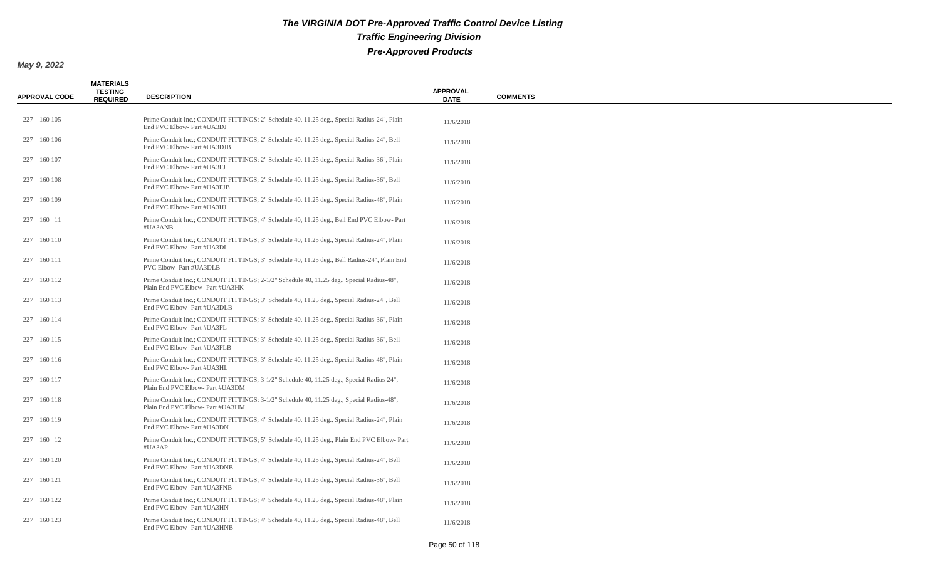| <b>APPROVAL CODE</b> | <b>MATERIALS</b><br><b>TESTING</b><br><b>REQUIRED</b> | <b>DESCRIPTION</b>                                                                                                            | <b>APPROVAL</b><br><b>DATE</b> | <b>COMMENTS</b> |
|----------------------|-------------------------------------------------------|-------------------------------------------------------------------------------------------------------------------------------|--------------------------------|-----------------|
| 227 160 105          |                                                       | Prime Conduit Inc.; CONDUIT FITTINGS; 2" Schedule 40, 11.25 deg., Special Radius-24", Plain<br>End PVC Elbow- Part #UA3DJ     | 11/6/2018                      |                 |
| 227 160 106          |                                                       | Prime Conduit Inc.; CONDUIT FITTINGS; 2" Schedule 40, 11.25 deg., Special Radius-24", Bell<br>End PVC Elbow- Part #UA3DJB     | 11/6/2018                      |                 |
| 227 160 107          |                                                       | Prime Conduit Inc.; CONDUIT FITTINGS; 2" Schedule 40, 11.25 deg., Special Radius-36", Plain<br>End PVC Elbow- Part #UA3FJ     | 11/6/2018                      |                 |
| 227 160 108          |                                                       | Prime Conduit Inc.; CONDUIT FITTINGS; 2" Schedule 40, 11.25 deg., Special Radius-36", Bell<br>End PVC Elbow- Part #UA3FJB     | 11/6/2018                      |                 |
| 227 160 109          |                                                       | Prime Conduit Inc.; CONDUIT FITTINGS; 2" Schedule 40, 11.25 deg., Special Radius-48", Plain<br>End PVC Elbow- Part #UA3HJ     | 11/6/2018                      |                 |
| 227 160 11           |                                                       | Prime Conduit Inc.; CONDUIT FITTINGS; 4" Schedule 40, 11.25 deg., Bell End PVC Elbow-Part<br>#UA3ANB                          | 11/6/2018                      |                 |
| 227 160 110          |                                                       | Prime Conduit Inc.; CONDUIT FITTINGS; 3" Schedule 40, 11.25 deg., Special Radius-24", Plain<br>End PVC Elbow- Part #UA3DL     | 11/6/2018                      |                 |
| 227 160 111          |                                                       | Prime Conduit Inc.; CONDUIT FITTINGS; 3" Schedule 40, 11.25 deg., Bell Radius-24", Plain End<br>PVC Elbow- Part #UA3DLB       | 11/6/2018                      |                 |
| 227 160 112          |                                                       | Prime Conduit Inc.; CONDUIT FITTINGS; 2-1/2" Schedule 40, 11.25 deg., Special Radius-48",<br>Plain End PVC Elbow- Part #UA3HK | 11/6/2018                      |                 |
| 227 160 113          |                                                       | Prime Conduit Inc.; CONDUIT FITTINGS; 3" Schedule 40, 11.25 deg., Special Radius-24", Bell<br>End PVC Elbow- Part #UA3DLB     | 11/6/2018                      |                 |
| 227 160 114          |                                                       | Prime Conduit Inc.; CONDUIT FITTINGS; 3" Schedule 40, 11.25 deg., Special Radius-36", Plain<br>End PVC Elbow- Part #UA3FL     | 11/6/2018                      |                 |
| 227 160 115          |                                                       | Prime Conduit Inc.; CONDUIT FITTINGS; 3" Schedule 40, 11.25 deg., Special Radius-36", Bell<br>End PVC Elbow- Part #UA3FLB     | 11/6/2018                      |                 |
| 227 160 116          |                                                       | Prime Conduit Inc.; CONDUIT FITTINGS; 3" Schedule 40, 11.25 deg., Special Radius-48", Plain<br>End PVC Elbow- Part #UA3HL     | 11/6/2018                      |                 |
| 227 160 117          |                                                       | Prime Conduit Inc.; CONDUIT FITTINGS; 3-1/2" Schedule 40, 11.25 deg., Special Radius-24",<br>Plain End PVC Elbow- Part #UA3DM | 11/6/2018                      |                 |
| 227 160 118          |                                                       | Prime Conduit Inc.; CONDUIT FITTINGS; 3-1/2" Schedule 40, 11.25 deg., Special Radius-48",<br>Plain End PVC Elbow- Part #UA3HM | 11/6/2018                      |                 |
| 227 160 119          |                                                       | Prime Conduit Inc.; CONDUIT FITTINGS; 4" Schedule 40, 11.25 deg., Special Radius-24", Plain<br>End PVC Elbow- Part #UA3DN     | 11/6/2018                      |                 |
| 227 160 12           |                                                       | Prime Conduit Inc.; CONDUIT FITTINGS; 5" Schedule 40, 11.25 deg., Plain End PVC Elbow-Part<br>#UA3AP                          | 11/6/2018                      |                 |
| 227 160 120          |                                                       | Prime Conduit Inc.; CONDUIT FITTINGS; 4" Schedule 40, 11.25 deg., Special Radius-24", Bell<br>End PVC Elbow- Part #UA3DNB     | 11/6/2018                      |                 |
| 227 160 121          |                                                       | Prime Conduit Inc.; CONDUIT FITTINGS; 4" Schedule 40, 11.25 deg., Special Radius-36", Bell<br>End PVC Elbow- Part #UA3FNB     | 11/6/2018                      |                 |
| 227 160 122          |                                                       | Prime Conduit Inc.; CONDUIT FITTINGS; 4" Schedule 40, 11.25 deg., Special Radius-48", Plain<br>End PVC Elbow- Part #UA3HN     | 11/6/2018                      |                 |
| 227 160 123          |                                                       | Prime Conduit Inc.; CONDUIT FITTINGS; 4" Schedule 40, 11.25 deg., Special Radius-48", Bell<br>End PVC Elbow- Part #UA3HNB     | 11/6/2018                      |                 |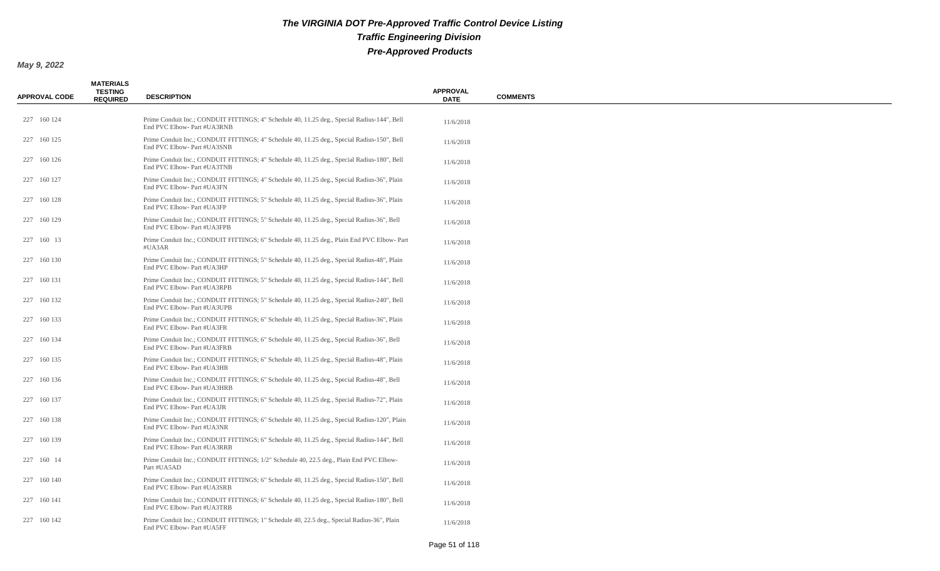| <b>APPROVAL CODE</b> | <b>MATERIALS</b><br><b>TESTING</b><br><b>REQUIRED</b> | <b>DESCRIPTION</b>                                                                                                         | <b>APPROVAL</b><br><b>DATE</b> | <b>COMMENTS</b> |
|----------------------|-------------------------------------------------------|----------------------------------------------------------------------------------------------------------------------------|--------------------------------|-----------------|
| 227 160 124          |                                                       | Prime Conduit Inc.; CONDUIT FITTINGS; 4" Schedule 40, 11.25 deg., Special Radius-144", Bell<br>End PVC Elbow- Part #UA3RNB | 11/6/2018                      |                 |
| 227 160 125          |                                                       | Prime Conduit Inc.; CONDUIT FITTINGS; 4" Schedule 40, 11.25 deg., Special Radius-150", Bell<br>End PVC Elbow- Part #UA3SNB | 11/6/2018                      |                 |
| 227 160 126          |                                                       | Prime Conduit Inc.; CONDUIT FITTINGS; 4" Schedule 40, 11.25 deg., Special Radius-180", Bell<br>End PVC Elbow- Part #UA3TNB | 11/6/2018                      |                 |
| 227 160 127          |                                                       | Prime Conduit Inc.; CONDUIT FITTINGS; 4" Schedule 40, 11.25 deg., Special Radius-36", Plain<br>End PVC Elbow- Part #UA3FN  | 11/6/2018                      |                 |
| 227 160 128          |                                                       | Prime Conduit Inc.; CONDUIT FITTINGS; 5" Schedule 40, 11.25 deg., Special Radius-36", Plain<br>End PVC Elbow- Part #UA3FP  | 11/6/2018                      |                 |
| 227 160 129          |                                                       | Prime Conduit Inc.; CONDUIT FITTINGS; 5" Schedule 40, 11.25 deg., Special Radius-36", Bell<br>End PVC Elbow- Part #UA3FPB  | 11/6/2018                      |                 |
| 227 160 13           |                                                       | Prime Conduit Inc.; CONDUIT FITTINGS; 6" Schedule 40, 11.25 deg., Plain End PVC Elbow-Part<br>#UA3AR                       | 11/6/2018                      |                 |
| 227 160 130          |                                                       | Prime Conduit Inc.; CONDUIT FITTINGS; 5" Schedule 40, 11.25 deg., Special Radius-48", Plain<br>End PVC Elbow- Part #UA3HP  | 11/6/2018                      |                 |
| 227 160 131          |                                                       | Prime Conduit Inc.; CONDUIT FITTINGS; 5" Schedule 40, 11.25 deg., Special Radius-144", Bell<br>End PVC Elbow- Part #UA3RPB | 11/6/2018                      |                 |
| 227 160 132          |                                                       | Prime Conduit Inc.; CONDUIT FITTINGS; 5" Schedule 40, 11.25 deg., Special Radius-240", Bell<br>End PVC Elbow- Part #UA3UPB | 11/6/2018                      |                 |
| 227 160 133          |                                                       | Prime Conduit Inc.; CONDUIT FITTINGS; 6" Schedule 40, 11.25 deg., Special Radius-36", Plain<br>End PVC Elbow- Part #UA3FR  | 11/6/2018                      |                 |
| 227 160 134          |                                                       | Prime Conduit Inc.; CONDUIT FITTINGS; 6" Schedule 40, 11.25 deg., Special Radius-36", Bell<br>End PVC Elbow- Part #UA3FRB  | 11/6/2018                      |                 |
| 227 160 135          |                                                       | Prime Conduit Inc.; CONDUIT FITTINGS; 6" Schedule 40, 11.25 deg., Special Radius-48", Plain<br>End PVC Elbow- Part #UA3HR  | 11/6/2018                      |                 |
| 227 160 136          |                                                       | Prime Conduit Inc.; CONDUIT FITTINGS; 6" Schedule 40, 11.25 deg., Special Radius-48", Bell<br>End PVC Elbow- Part #UA3HRB  | 11/6/2018                      |                 |
| 227 160 137          |                                                       | Prime Conduit Inc.; CONDUIT FITTINGS; 6" Schedule 40, 11.25 deg., Special Radius-72", Plain<br>End PVC Elbow- Part #UA3JR  | 11/6/2018                      |                 |
| 227 160 138          |                                                       | Prime Conduit Inc.; CONDUIT FITTINGS; 6" Schedule 40, 11.25 deg., Special Radius-120", Plain<br>End PVC Elbow- Part #UA3NR | 11/6/2018                      |                 |
| 227 160 139          |                                                       | Prime Conduit Inc.; CONDUIT FITTINGS; 6" Schedule 40, 11.25 deg., Special Radius-144", Bell<br>End PVC Elbow- Part #UA3RRB | 11/6/2018                      |                 |
| 227 160 14           |                                                       | Prime Conduit Inc.; CONDUIT FITTINGS; 1/2" Schedule 40, 22.5 deg., Plain End PVC Elbow-<br>Part #UA5AD                     | 11/6/2018                      |                 |
| 227 160 140          |                                                       | Prime Conduit Inc.; CONDUIT FITTINGS; 6" Schedule 40, 11.25 deg., Special Radius-150", Bell<br>End PVC Elbow- Part #UA3SRB | 11/6/2018                      |                 |
| 227 160 141          |                                                       | Prime Conduit Inc.; CONDUIT FITTINGS; 6" Schedule 40, 11.25 deg., Special Radius-180", Bell<br>End PVC Elbow- Part #UA3TRB | 11/6/2018                      |                 |
| 227 160 142          |                                                       | Prime Conduit Inc.; CONDUIT FITTINGS; 1" Schedule 40, 22.5 deg., Special Radius-36", Plain<br>End PVC Elbow- Part #UA5FF   | 11/6/2018                      |                 |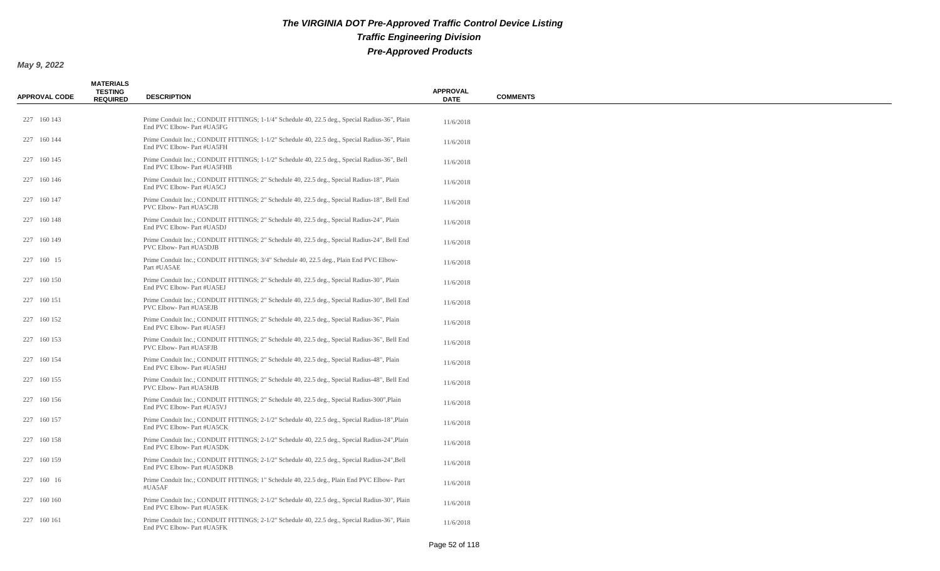| <b>APPROVAL CODE</b> | <b>MATERIALS</b><br><b>TESTING</b><br><b>REQUIRED</b> | <b>DESCRIPTION</b>                                                                                                           | <b>APPROVAL</b><br><b>DATE</b> | <b>COMMENTS</b> |
|----------------------|-------------------------------------------------------|------------------------------------------------------------------------------------------------------------------------------|--------------------------------|-----------------|
| 227 160 143          |                                                       | Prime Conduit Inc.; CONDUIT FITTINGS; 1-1/4" Schedule 40, 22.5 deg., Special Radius-36", Plain<br>End PVC Elbow- Part #UA5FG | 11/6/2018                      |                 |
| 227 160 144          |                                                       | Prime Conduit Inc.; CONDUIT FITTINGS; 1-1/2" Schedule 40, 22.5 deg., Special Radius-36", Plain<br>End PVC Elbow- Part #UA5FH | 11/6/2018                      |                 |
| 227 160 145          |                                                       | Prime Conduit Inc.; CONDUIT FITTINGS; 1-1/2" Schedule 40, 22.5 deg., Special Radius-36", Bell<br>End PVC Elbow- Part #UA5FHB | 11/6/2018                      |                 |
| 227 160 146          |                                                       | Prime Conduit Inc.; CONDUIT FITTINGS; 2" Schedule 40, 22.5 deg., Special Radius-18", Plain<br>End PVC Elbow- Part #UA5CJ     | 11/6/2018                      |                 |
| 227 160 147          |                                                       | Prime Conduit Inc.; CONDUIT FITTINGS; 2" Schedule 40, 22.5 deg., Special Radius-18", Bell End<br>PVC Elbow- Part #UA5CJB     | 11/6/2018                      |                 |
| 227 160 148          |                                                       | Prime Conduit Inc.; CONDUIT FITTINGS; 2" Schedule 40, 22.5 deg., Special Radius-24", Plain<br>End PVC Elbow- Part #UA5DJ     | 11/6/2018                      |                 |
| 227 160 149          |                                                       | Prime Conduit Inc.; CONDUIT FITTINGS; 2" Schedule 40, 22.5 deg., Special Radius-24", Bell End<br>PVC Elbow- Part #UA5DJB     | 11/6/2018                      |                 |
| 227 160 15           |                                                       | Prime Conduit Inc.; CONDUIT FITTINGS; 3/4" Schedule 40, 22.5 deg., Plain End PVC Elbow-<br>Part #UA5AE                       | 11/6/2018                      |                 |
| 227 160 150          |                                                       | Prime Conduit Inc.; CONDUIT FITTINGS; 2" Schedule 40, 22.5 deg., Special Radius-30", Plain<br>End PVC Elbow- Part #UA5EJ     | 11/6/2018                      |                 |
| 227 160 151          |                                                       | Prime Conduit Inc.; CONDUIT FITTINGS; 2" Schedule 40, 22.5 deg., Special Radius-30", Bell End<br>PVC Elbow-Part #UA5EJB      | 11/6/2018                      |                 |
| 227 160 152          |                                                       | Prime Conduit Inc.; CONDUIT FITTINGS; 2" Schedule 40, 22.5 deg., Special Radius-36", Plain<br>End PVC Elbow- Part #UA5FJ     | 11/6/2018                      |                 |
| 227 160 153          |                                                       | Prime Conduit Inc.; CONDUIT FITTINGS; 2" Schedule 40, 22.5 deg., Special Radius-36", Bell End<br>PVC Elbow- Part #UA5FJB     | 11/6/2018                      |                 |
| 227 160 154          |                                                       | Prime Conduit Inc.; CONDUIT FITTINGS; 2" Schedule 40, 22.5 deg., Special Radius-48", Plain<br>End PVC Elbow- Part #UA5HJ     | 11/6/2018                      |                 |
| 227 160 155          |                                                       | Prime Conduit Inc.; CONDUIT FITTINGS; 2" Schedule 40, 22.5 deg., Special Radius-48", Bell End<br>PVC Elbow- Part #UA5HJB     | 11/6/2018                      |                 |
| 227 160 156          |                                                       | Prime Conduit Inc.; CONDUIT FITTINGS; 2" Schedule 40, 22.5 deg., Special Radius-300", Plain<br>End PVC Elbow- Part #UA5VJ    | 11/6/2018                      |                 |
| 227 160 157          |                                                       | Prime Conduit Inc.; CONDUIT FITTINGS; 2-1/2" Schedule 40, 22.5 deg., Special Radius-18", Plain<br>End PVC Elbow- Part #UA5CK | 11/6/2018                      |                 |
| 227 160 158          |                                                       | Prime Conduit Inc.; CONDUIT FITTINGS; 2-1/2" Schedule 40, 22.5 deg., Special Radius-24", Plain<br>End PVC Elbow- Part #UA5DK | 11/6/2018                      |                 |
| 227 160 159          |                                                       | Prime Conduit Inc.; CONDUIT FITTINGS; 2-1/2" Schedule 40, 22.5 deg., Special Radius-24", Bell<br>End PVC Elbow- Part #UA5DKB | 11/6/2018                      |                 |
| 227 160 16           |                                                       | Prime Conduit Inc.; CONDUIT FITTINGS; 1" Schedule 40, 22.5 deg., Plain End PVC Elbow-Part<br>#UA5AF                          | 11/6/2018                      |                 |
| 227 160 160          |                                                       | Prime Conduit Inc.; CONDUIT FITTINGS; 2-1/2" Schedule 40, 22.5 deg., Special Radius-30", Plain<br>End PVC Elbow- Part #UA5EK | 11/6/2018                      |                 |
| 227 160 161          |                                                       | Prime Conduit Inc.; CONDUIT FITTINGS; 2-1/2" Schedule 40, 22.5 deg., Special Radius-36", Plain<br>End PVC Elbow- Part #UA5FK | 11/6/2018                      |                 |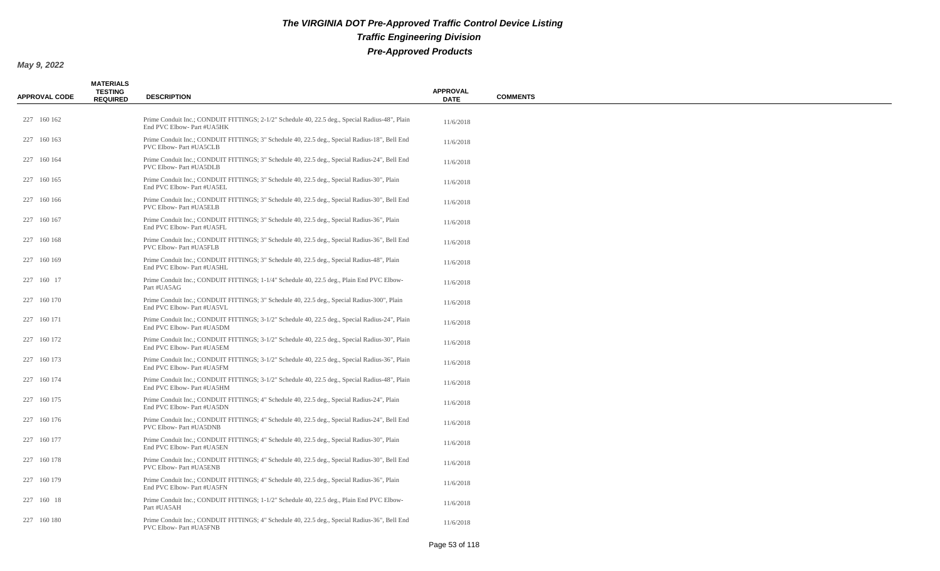| <b>APPROVAL CODE</b> | <b>MATERIALS</b><br><b>TESTING</b><br><b>REQUIRED</b> | <b>DESCRIPTION</b>                                                                                                             | <b>APPROVAL</b><br><b>DATE</b> | <b>COMMENTS</b> |
|----------------------|-------------------------------------------------------|--------------------------------------------------------------------------------------------------------------------------------|--------------------------------|-----------------|
| 227 160 162          |                                                       | Prime Conduit Inc.; CONDUIT FITTINGS; 2-1/2" Schedule 40, 22.5 deg., Special Radius-48", Plain<br>End PVC Elbow- Part #UA5HK   | 11/6/2018                      |                 |
| 227 160 163          |                                                       | Prime Conduit Inc.; CONDUIT FITTINGS; 3" Schedule 40, 22.5 deg., Special Radius-18", Bell End<br>PVC Elbow- Part #UA5CLB       | 11/6/2018                      |                 |
| 227 160 164          |                                                       | Prime Conduit Inc.; CONDUIT FITTINGS; 3" Schedule 40, 22.5 deg., Special Radius-24", Bell End<br>PVC Elbow- Part #UA5DLB       | 11/6/2018                      |                 |
| 227 160 165          |                                                       | Prime Conduit Inc.; CONDUIT FITTINGS; 3" Schedule 40, 22.5 deg., Special Radius-30", Plain<br>End PVC Elbow- Part #UA5EL       | 11/6/2018                      |                 |
| 227 160 166          |                                                       | Prime Conduit Inc.; CONDUIT FITTINGS; 3" Schedule 40, 22.5 deg., Special Radius-30", Bell End<br>PVC Elbow- Part #UA5ELB       | 11/6/2018                      |                 |
| 227 160 167          |                                                       | Prime Conduit Inc.; CONDUIT FITTINGS; 3" Schedule 40, 22.5 deg., Special Radius-36", Plain<br>End PVC Elbow- Part #UA5FL       | 11/6/2018                      |                 |
| 227 160 168          |                                                       | Prime Conduit Inc.; CONDUIT FITTINGS; 3" Schedule 40, 22.5 deg., Special Radius-36", Bell End<br>PVC Elbow- Part #UA5FLB       | 11/6/2018                      |                 |
| 227 160 169          |                                                       | Prime Conduit Inc.; CONDUIT FITTINGS; 3" Schedule 40, 22.5 deg., Special Radius-48", Plain<br>End PVC Elbow- Part #UA5HL       | 11/6/2018                      |                 |
| 227 160 17           |                                                       | Prime Conduit Inc.; CONDUIT FITTINGS; 1-1/4" Schedule 40, 22.5 deg., Plain End PVC Elbow-<br>Part #UA5AG                       | 11/6/2018                      |                 |
| 227 160 170          |                                                       | Prime Conduit Inc.; CONDUIT FITTINGS; 3" Schedule 40, 22.5 deg., Special Radius-300", Plain<br>End PVC Elbow- Part #UA5VL      | 11/6/2018                      |                 |
| 227 160 171          |                                                       | Prime Conduit Inc.; CONDUIT FITTINGS; 3-1/2" Schedule 40, 22.5 deg., Special Radius-24", Plain<br>End PVC Elbow- Part #UA5DM   | 11/6/2018                      |                 |
| 227 160 172          |                                                       | Prime Conduit Inc.; CONDUIT FITTINGS; 3-1/2" Schedule 40, 22.5 deg., Special Radius-30", Plain<br>End PVC Elbow- Part #UA5EM   | 11/6/2018                      |                 |
| 227 160 173          |                                                       | Prime Conduit Inc.; CONDUIT FITTINGS; 3-1/2" Schedule 40, 22.5 deg., Special Radius-36", Plain<br>End PVC Elbow- Part #UA5FM   | 11/6/2018                      |                 |
| 227 160 174          |                                                       | Prime Conduit Inc.; CONDUIT FITTINGS; 3-1/2" Schedule 40, 22.5 deg., Special Radius-48", Plain<br>End PVC Elbow- Part #UA5HM   | 11/6/2018                      |                 |
| 227 160 175          |                                                       | Prime Conduit Inc.; CONDUIT FITTINGS; 4" Schedule 40, 22.5 deg., Special Radius-24", Plain<br>End PVC Elbow- Part #UA5DN       | 11/6/2018                      |                 |
| 227 160 176          |                                                       | Prime Conduit Inc.; CONDUIT FITTINGS; 4" Schedule 40, 22.5 deg., Special Radius-24", Bell End<br><b>PVC Elbow-Part #UA5DNB</b> | 11/6/2018                      |                 |
| 227 160 177          |                                                       | Prime Conduit Inc.; CONDUIT FITTINGS; 4" Schedule 40, 22.5 deg., Special Radius-30", Plain<br>End PVC Elbow- Part #UA5EN       | 11/6/2018                      |                 |
| 227 160 178          |                                                       | Prime Conduit Inc.; CONDUIT FITTINGS; 4" Schedule 40, 22.5 deg., Special Radius-30", Bell End<br><b>PVC Elbow-Part #UA5ENB</b> | 11/6/2018                      |                 |
| 227 160 179          |                                                       | Prime Conduit Inc.; CONDUIT FITTINGS; 4" Schedule 40, 22.5 deg., Special Radius-36", Plain<br>End PVC Elbow- Part #UA5FN       | 11/6/2018                      |                 |
| 227 160 18           |                                                       | Prime Conduit Inc.; CONDUIT FITTINGS; 1-1/2" Schedule 40, 22.5 deg., Plain End PVC Elbow-<br>Part #UA5AH                       | 11/6/2018                      |                 |
| 227 160 180          |                                                       | Prime Conduit Inc.; CONDUIT FITTINGS; 4" Schedule 40, 22.5 deg., Special Radius-36", Bell End<br>PVC Elbow- Part #UA5FNB       | 11/6/2018                      |                 |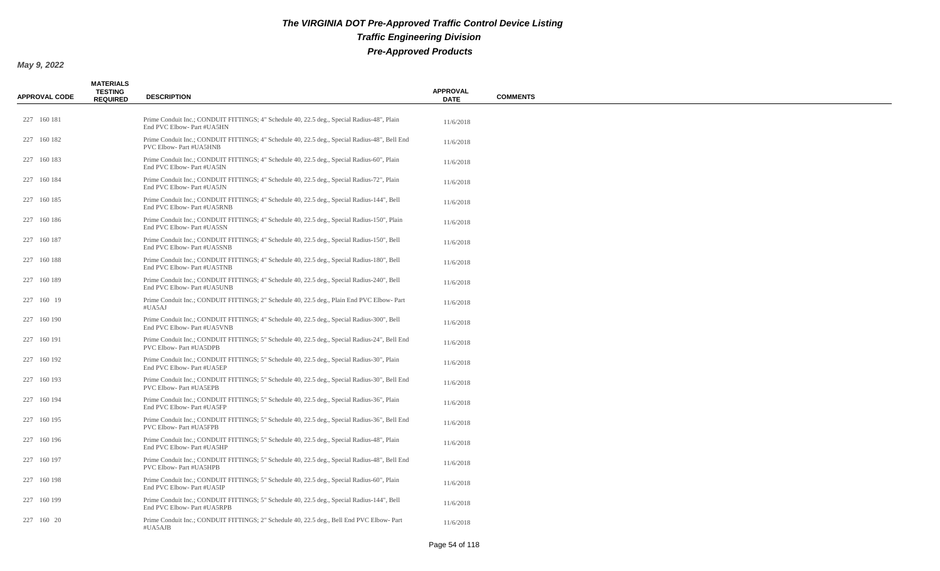| <b>APPROVAL CODE</b> | <b>MATERIALS</b><br><b>TESTING</b><br><b>REQUIRED</b> | <b>DESCRIPTION</b>                                                                                                        | <b>APPROVAL</b><br><b>DATE</b> | <b>COMMENTS</b> |
|----------------------|-------------------------------------------------------|---------------------------------------------------------------------------------------------------------------------------|--------------------------------|-----------------|
| 227 160 181          |                                                       | Prime Conduit Inc.; CONDUIT FITTINGS; 4" Schedule 40, 22.5 deg., Special Radius-48", Plain<br>End PVC Elbow- Part #UA5HN  | 11/6/2018                      |                 |
| 227 160 182          |                                                       | Prime Conduit Inc.; CONDUIT FITTINGS; 4" Schedule 40, 22.5 deg., Special Radius-48", Bell End<br>PVC Elbow- Part #UA5HNB  | 11/6/2018                      |                 |
| 227 160 183          |                                                       | Prime Conduit Inc.; CONDUIT FITTINGS; 4" Schedule 40, 22.5 deg., Special Radius-60", Plain<br>End PVC Elbow- Part #UA5IN  | 11/6/2018                      |                 |
| 227 160 184          |                                                       | Prime Conduit Inc.; CONDUIT FITTINGS; 4" Schedule 40, 22.5 deg., Special Radius-72", Plain<br>End PVC Elbow- Part #UA5JN  | 11/6/2018                      |                 |
| 227 160 185          |                                                       | Prime Conduit Inc.; CONDUIT FITTINGS; 4" Schedule 40, 22.5 deg., Special Radius-144", Bell<br>End PVC Elbow- Part #UA5RNB | 11/6/2018                      |                 |
| 227 160 186          |                                                       | Prime Conduit Inc.; CONDUIT FITTINGS; 4" Schedule 40, 22.5 deg., Special Radius-150", Plain<br>End PVC Elbow- Part #UA5SN | 11/6/2018                      |                 |
| 227 160 187          |                                                       | Prime Conduit Inc.; CONDUIT FITTINGS; 4" Schedule 40, 22.5 deg., Special Radius-150", Bell<br>End PVC Elbow- Part #UA5SNB | 11/6/2018                      |                 |
| 227 160 188          |                                                       | Prime Conduit Inc.; CONDUIT FITTINGS; 4" Schedule 40, 22.5 deg., Special Radius-180", Bell<br>End PVC Elbow- Part #UA5TNB | 11/6/2018                      |                 |
| 227 160 189          |                                                       | Prime Conduit Inc.; CONDUIT FITTINGS; 4" Schedule 40, 22.5 deg., Special Radius-240", Bell<br>End PVC Elbow- Part #UA5UNB | 11/6/2018                      |                 |
| 227 160 19           |                                                       | Prime Conduit Inc.; CONDUIT FITTINGS; 2" Schedule 40, 22.5 deg., Plain End PVC Elbow-Part<br>#UA5AJ                       | 11/6/2018                      |                 |
| 227 160 190          |                                                       | Prime Conduit Inc.; CONDUIT FITTINGS; 4" Schedule 40, 22.5 deg., Special Radius-300", Bell<br>End PVC Elbow- Part #UA5VNB | 11/6/2018                      |                 |
| 227 160 191          |                                                       | Prime Conduit Inc.; CONDUIT FITTINGS; 5" Schedule 40, 22.5 deg., Special Radius-24", Bell End<br>PVC Elbow- Part #UA5DPB  | 11/6/2018                      |                 |
| 227 160 192          |                                                       | Prime Conduit Inc.; CONDUIT FITTINGS; 5" Schedule 40, 22.5 deg., Special Radius-30", Plain<br>End PVC Elbow- Part #UA5EP  | 11/6/2018                      |                 |
| 227 160 193          |                                                       | Prime Conduit Inc.; CONDUIT FITTINGS; 5" Schedule 40, 22.5 deg., Special Radius-30", Bell End<br>PVC Elbow- Part #UA5EPB  | 11/6/2018                      |                 |
| 227 160 194          |                                                       | Prime Conduit Inc.; CONDUIT FITTINGS; 5" Schedule 40, 22.5 deg., Special Radius-36", Plain<br>End PVC Elbow- Part #UA5FP  | 11/6/2018                      |                 |
| 227 160 195          |                                                       | Prime Conduit Inc.; CONDUIT FITTINGS; 5" Schedule 40, 22.5 deg., Special Radius-36", Bell End<br>PVC Elbow- Part #UA5FPB  | 11/6/2018                      |                 |
| 227 160 196          |                                                       | Prime Conduit Inc.; CONDUIT FITTINGS; 5" Schedule 40, 22.5 deg., Special Radius-48", Plain<br>End PVC Elbow- Part #UA5HP  | 11/6/2018                      |                 |
| 227 160 197          |                                                       | Prime Conduit Inc.; CONDUIT FITTINGS; 5" Schedule 40, 22.5 deg., Special Radius-48", Bell End<br>PVC Elbow- Part #UA5HPB  | 11/6/2018                      |                 |
| 227 160 198          |                                                       | Prime Conduit Inc.; CONDUIT FITTINGS; 5" Schedule 40, 22.5 deg., Special Radius-60", Plain<br>End PVC Elbow- Part #UA5IP  | 11/6/2018                      |                 |
| 227 160 199          |                                                       | Prime Conduit Inc.; CONDUIT FITTINGS; 5" Schedule 40, 22.5 deg., Special Radius-144", Bell<br>End PVC Elbow- Part #UA5RPB | 11/6/2018                      |                 |
| 227 160 20           |                                                       | Prime Conduit Inc.; CONDUIT FITTINGS; 2" Schedule 40, 22.5 deg., Bell End PVC Elbow-Part<br>#UA5AJB                       | 11/6/2018                      |                 |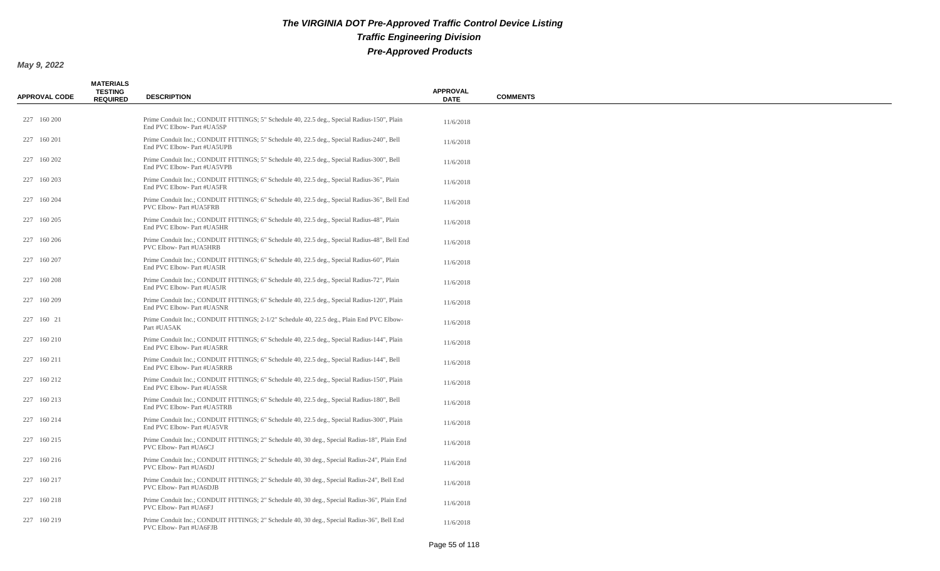| <b>APPROVAL CODE</b> | <b>MATERIALS</b><br><b>TESTING</b><br><b>REQUIRED</b> | <b>DESCRIPTION</b>                                                                                                        | <b>APPROVAL</b><br><b>DATE</b> | <b>COMMENTS</b> |
|----------------------|-------------------------------------------------------|---------------------------------------------------------------------------------------------------------------------------|--------------------------------|-----------------|
| 227 160 200          |                                                       | Prime Conduit Inc.; CONDUIT FITTINGS; 5" Schedule 40, 22.5 deg., Special Radius-150", Plain<br>End PVC Elbow- Part #UA5SP | 11/6/2018                      |                 |
| 227 160 201          |                                                       | Prime Conduit Inc.; CONDUIT FITTINGS; 5" Schedule 40, 22.5 deg., Special Radius-240", Bell<br>End PVC Elbow- Part #UA5UPB | 11/6/2018                      |                 |
| 227 160 202          |                                                       | Prime Conduit Inc.; CONDUIT FITTINGS; 5" Schedule 40, 22.5 deg., Special Radius-300", Bell<br>End PVC Elbow- Part #UA5VPB | 11/6/2018                      |                 |
| 227 160 203          |                                                       | Prime Conduit Inc.; CONDUIT FITTINGS; 6" Schedule 40, 22.5 deg., Special Radius-36", Plain<br>End PVC Elbow- Part #UA5FR  | 11/6/2018                      |                 |
| 227 160 204          |                                                       | Prime Conduit Inc.; CONDUIT FITTINGS; 6" Schedule 40, 22.5 deg., Special Radius-36", Bell End<br>PVC Elbow- Part #UA5FRB  | 11/6/2018                      |                 |
| 227 160 205          |                                                       | Prime Conduit Inc.; CONDUIT FITTINGS; 6" Schedule 40, 22.5 deg., Special Radius-48", Plain<br>End PVC Elbow- Part #UA5HR  | 11/6/2018                      |                 |
| 227 160 206          |                                                       | Prime Conduit Inc.; CONDUIT FITTINGS; 6" Schedule 40, 22.5 deg., Special Radius-48", Bell End<br>PVC Elbow- Part #UA5HRB  | 11/6/2018                      |                 |
| 227 160 207          |                                                       | Prime Conduit Inc.; CONDUIT FITTINGS; 6" Schedule 40, 22.5 deg., Special Radius-60", Plain<br>End PVC Elbow- Part #UA5IR  | 11/6/2018                      |                 |
| 227 160 208          |                                                       | Prime Conduit Inc.; CONDUIT FITTINGS; 6" Schedule 40, 22.5 deg., Special Radius-72", Plain<br>End PVC Elbow- Part #UA5JR  | 11/6/2018                      |                 |
| 227 160 209          |                                                       | Prime Conduit Inc.; CONDUIT FITTINGS; 6" Schedule 40, 22.5 deg., Special Radius-120", Plain<br>End PVC Elbow- Part #UA5NR | 11/6/2018                      |                 |
| 227 160 21           |                                                       | Prime Conduit Inc.; CONDUIT FITTINGS; 2-1/2" Schedule 40, 22.5 deg., Plain End PVC Elbow-<br>Part #UA5AK                  | 11/6/2018                      |                 |
| 227 160 210          |                                                       | Prime Conduit Inc.; CONDUIT FITTINGS; 6" Schedule 40, 22.5 deg., Special Radius-144", Plain<br>End PVC Elbow- Part #UA5RR | 11/6/2018                      |                 |
| 227 160 211          |                                                       | Prime Conduit Inc.; CONDUIT FITTINGS; 6" Schedule 40, 22.5 deg., Special Radius-144", Bell<br>End PVC Elbow- Part #UA5RRB | 11/6/2018                      |                 |
| 227 160 212          |                                                       | Prime Conduit Inc.; CONDUIT FITTINGS; 6" Schedule 40, 22.5 deg., Special Radius-150", Plain<br>End PVC Elbow- Part #UA5SR | 11/6/2018                      |                 |
| 227 160 213          |                                                       | Prime Conduit Inc.; CONDUIT FITTINGS; 6" Schedule 40, 22.5 deg., Special Radius-180", Bell<br>End PVC Elbow- Part #UA5TRB | 11/6/2018                      |                 |
| 227 160 214          |                                                       | Prime Conduit Inc.; CONDUIT FITTINGS; 6" Schedule 40, 22.5 deg., Special Radius-300", Plain<br>End PVC Elbow- Part #UA5VR | 11/6/2018                      |                 |
| 227 160 215          |                                                       | Prime Conduit Inc.; CONDUIT FITTINGS; 2" Schedule 40, 30 deg., Special Radius-18", Plain End<br>PVC Elbow-Part #UA6CJ     | 11/6/2018                      |                 |
| 227 160 216          |                                                       | Prime Conduit Inc.; CONDUIT FITTINGS; 2" Schedule 40, 30 deg., Special Radius-24", Plain End<br>PVC Elbow- Part #UA6DJ    | 11/6/2018                      |                 |
| 227 160 217          |                                                       | Prime Conduit Inc.; CONDUIT FITTINGS; 2" Schedule 40, 30 deg., Special Radius-24", Bell End<br>PVC Elbow- Part #UA6DJB    | 11/6/2018                      |                 |
| 227 160 218          |                                                       | Prime Conduit Inc.; CONDUIT FITTINGS; 2" Schedule 40, 30 deg., Special Radius-36", Plain End<br>PVC Elbow- Part #UA6FJ    | 11/6/2018                      |                 |
| 227 160 219          |                                                       | Prime Conduit Inc.; CONDUIT FITTINGS; 2" Schedule 40, 30 deg., Special Radius-36", Bell End<br>PVC Elbow- Part #UA6FJB    | 11/6/2018                      |                 |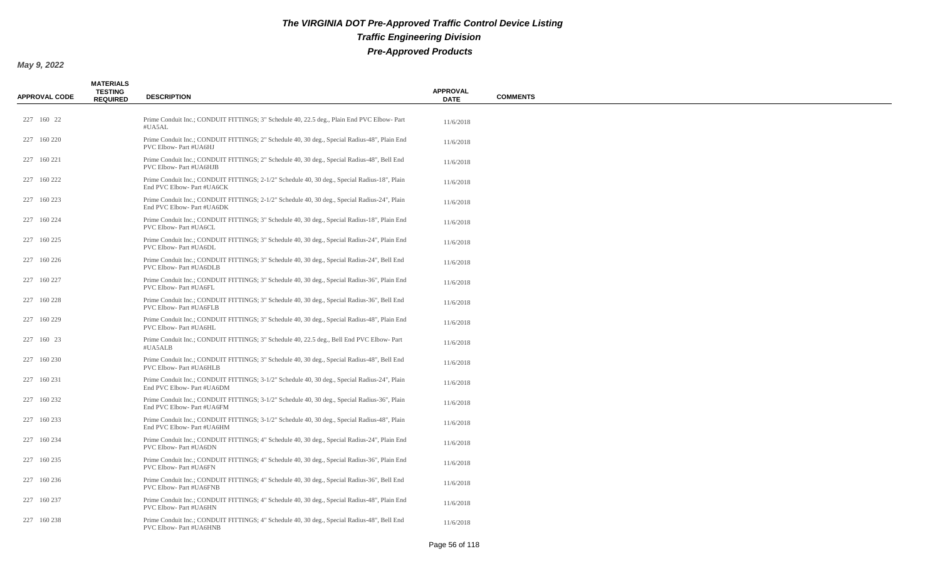| <b>APPROVAL CODE</b> | <b>MATERIALS</b><br><b>TESTING</b><br><b>REQUIRED</b> | <b>DESCRIPTION</b>                                                                                                         | <b>APPROVAL</b><br><b>DATE</b> | <b>COMMENTS</b> |
|----------------------|-------------------------------------------------------|----------------------------------------------------------------------------------------------------------------------------|--------------------------------|-----------------|
| 227 160 22           |                                                       | Prime Conduit Inc.; CONDUIT FITTINGS; 3" Schedule 40, 22.5 deg., Plain End PVC Elbow-Part<br>#UA5AL                        | 11/6/2018                      |                 |
| 227 160 220          |                                                       | Prime Conduit Inc.; CONDUIT FITTINGS; 2" Schedule 40, 30 deg., Special Radius-48", Plain End<br>PVC Elbow- Part #UA6HJ     | 11/6/2018                      |                 |
| 227 160 221          |                                                       | Prime Conduit Inc.; CONDUIT FITTINGS; 2" Schedule 40, 30 deg., Special Radius-48", Bell End<br>PVC Elbow- Part #UA6HJB     | 11/6/2018                      |                 |
| 227 160 222          |                                                       | Prime Conduit Inc.; CONDUIT FITTINGS; 2-1/2" Schedule 40, 30 deg., Special Radius-18", Plain<br>End PVC Elbow- Part #UA6CK | 11/6/2018                      |                 |
| 227 160 223          |                                                       | Prime Conduit Inc.; CONDUIT FITTINGS; 2-1/2" Schedule 40, 30 deg., Special Radius-24", Plain<br>End PVC Elbow- Part #UA6DK | 11/6/2018                      |                 |
| 227 160 224          |                                                       | Prime Conduit Inc.; CONDUIT FITTINGS; 3" Schedule 40, 30 deg., Special Radius-18", Plain End<br>PVC Elbow- Part #UA6CL     | 11/6/2018                      |                 |
| 227 160 225          |                                                       | Prime Conduit Inc.; CONDUIT FITTINGS; 3" Schedule 40, 30 deg., Special Radius-24", Plain End<br>PVC Elbow- Part #UA6DL     | 11/6/2018                      |                 |
| 227 160 226          |                                                       | Prime Conduit Inc.; CONDUIT FITTINGS; 3" Schedule 40, 30 deg., Special Radius-24", Bell End<br>PVC Elbow- Part #UA6DLB     | 11/6/2018                      |                 |
| 227 160 227          |                                                       | Prime Conduit Inc.; CONDUIT FITTINGS; 3" Schedule 40, 30 deg., Special Radius-36", Plain End<br>PVC Elbow- Part #UA6FL     | 11/6/2018                      |                 |
| 227 160 228          |                                                       | Prime Conduit Inc.; CONDUIT FITTINGS; 3" Schedule 40, 30 deg., Special Radius-36", Bell End<br>PVC Elbow- Part #UA6FLB     | 11/6/2018                      |                 |
| 227 160 229          |                                                       | Prime Conduit Inc.; CONDUIT FITTINGS; 3" Schedule 40, 30 deg., Special Radius-48", Plain End<br>PVC Elbow- Part #UA6HL     | 11/6/2018                      |                 |
| 227 160 23           |                                                       | Prime Conduit Inc.; CONDUIT FITTINGS; 3" Schedule 40, 22.5 deg., Bell End PVC Elbow-Part<br>#UA5ALB                        | 11/6/2018                      |                 |
| 227 160 230          |                                                       | Prime Conduit Inc.; CONDUIT FITTINGS; 3" Schedule 40, 30 deg., Special Radius-48", Bell End<br>PVC Elbow- Part #UA6HLB     | 11/6/2018                      |                 |
| 227 160 231          |                                                       | Prime Conduit Inc.; CONDUIT FITTINGS; 3-1/2" Schedule 40, 30 deg., Special Radius-24", Plain<br>End PVC Elbow- Part #UA6DM | 11/6/2018                      |                 |
| 227 160 232          |                                                       | Prime Conduit Inc.; CONDUIT FITTINGS; 3-1/2" Schedule 40, 30 deg., Special Radius-36", Plain<br>End PVC Elbow- Part #UA6FM | 11/6/2018                      |                 |
| 227 160 233          |                                                       | Prime Conduit Inc.; CONDUIT FITTINGS; 3-1/2" Schedule 40, 30 deg., Special Radius-48", Plain<br>End PVC Elbow- Part #UA6HM | 11/6/2018                      |                 |
| 227 160 234          |                                                       | Prime Conduit Inc.; CONDUIT FITTINGS; 4" Schedule 40, 30 deg., Special Radius-24", Plain End<br>PVC Elbow- Part #UA6DN     | 11/6/2018                      |                 |
| 227 160 235          |                                                       | Prime Conduit Inc.; CONDUIT FITTINGS; 4" Schedule 40, 30 deg., Special Radius-36", Plain End<br>PVC Elbow- Part #UA6FN     | 11/6/2018                      |                 |
| 227 160 236          |                                                       | Prime Conduit Inc.; CONDUIT FITTINGS; 4" Schedule 40, 30 deg., Special Radius-36", Bell End<br>PVC Elbow- Part #UA6FNB     | 11/6/2018                      |                 |
| 227 160 237          |                                                       | Prime Conduit Inc.; CONDUIT FITTINGS; 4" Schedule 40, 30 deg., Special Radius-48", Plain End<br>PVC Elbow- Part #UA6HN     | 11/6/2018                      |                 |
| 227 160 238          |                                                       | Prime Conduit Inc.; CONDUIT FITTINGS; 4" Schedule 40, 30 deg., Special Radius-48", Bell End<br>PVC Elbow- Part #UA6HNB     | 11/6/2018                      |                 |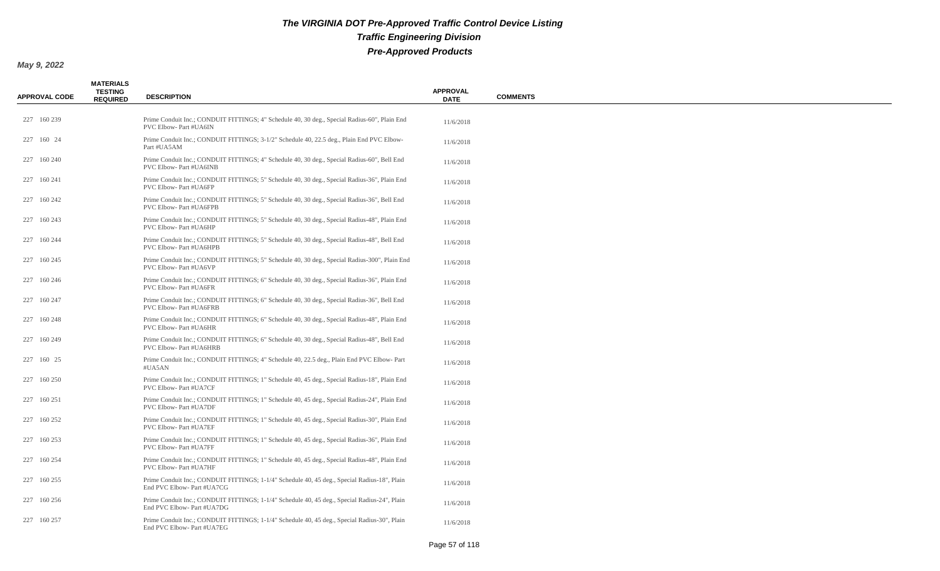| <b>APPROVAL CODE</b> | <b>MATERIALS</b><br><b>TESTING</b><br><b>REQUIRED</b> | <b>DESCRIPTION</b>                                                                                                           | <b>APPROVAL</b><br><b>DATE</b> | <b>COMMENTS</b> |
|----------------------|-------------------------------------------------------|------------------------------------------------------------------------------------------------------------------------------|--------------------------------|-----------------|
| 227 160 239          |                                                       | Prime Conduit Inc.; CONDUIT FITTINGS; 4" Schedule 40, 30 deg., Special Radius-60", Plain End<br>PVC Elbow- Part #UA6IN       | 11/6/2018                      |                 |
| 227 160 24           |                                                       | Prime Conduit Inc.; CONDUIT FITTINGS; 3-1/2" Schedule 40, 22.5 deg., Plain End PVC Elbow-<br>Part #UA5AM                     | 11/6/2018                      |                 |
| 227 160 240          |                                                       | Prime Conduit Inc.; CONDUIT FITTINGS; 4" Schedule 40, 30 deg., Special Radius-60", Bell End<br><b>PVC Elbow-Part #UA6INB</b> | 11/6/2018                      |                 |
| 227 160 241          |                                                       | Prime Conduit Inc.; CONDUIT FITTINGS; 5" Schedule 40, 30 deg., Special Radius-36", Plain End<br>PVC Elbow- Part #UA6FP       | 11/6/2018                      |                 |
| 227 160 242          |                                                       | Prime Conduit Inc.; CONDUIT FITTINGS; 5" Schedule 40, 30 deg., Special Radius-36", Bell End<br>PVC Elbow- Part #UA6FPB       | 11/6/2018                      |                 |
| 227 160 243          |                                                       | Prime Conduit Inc.; CONDUIT FITTINGS; 5" Schedule 40, 30 deg., Special Radius-48", Plain End<br>PVC Elbow- Part #UA6HP       | 11/6/2018                      |                 |
| 227 160 244          |                                                       | Prime Conduit Inc.; CONDUIT FITTINGS; 5" Schedule 40, 30 deg., Special Radius-48", Bell End<br>PVC Elbow- Part #UA6HPB       | 11/6/2018                      |                 |
| 227 160 245          |                                                       | Prime Conduit Inc.; CONDUIT FITTINGS; 5" Schedule 40, 30 deg., Special Radius-300", Plain End<br>PVC Elbow- Part #UA6VP      | 11/6/2018                      |                 |
| 227 160 246          |                                                       | Prime Conduit Inc.; CONDUIT FITTINGS; 6" Schedule 40, 30 deg., Special Radius-36", Plain End<br>PVC Elbow- Part #UA6FR       | 11/6/2018                      |                 |
| 227 160 247          |                                                       | Prime Conduit Inc.; CONDUIT FITTINGS; 6" Schedule 40, 30 deg., Special Radius-36", Bell End<br>PVC Elbow- Part #UA6FRB       | 11/6/2018                      |                 |
| 227 160 248          |                                                       | Prime Conduit Inc.; CONDUIT FITTINGS; 6" Schedule 40, 30 deg., Special Radius-48", Plain End<br>PVC Elbow- Part #UA6HR       | 11/6/2018                      |                 |
| 227 160 249          |                                                       | Prime Conduit Inc.; CONDUIT FITTINGS; 6" Schedule 40, 30 deg., Special Radius-48", Bell End<br>PVC Elbow- Part #UA6HRB       | 11/6/2018                      |                 |
| 227 160 25           |                                                       | Prime Conduit Inc.; CONDUIT FITTINGS; 4" Schedule 40, 22.5 deg., Plain End PVC Elbow-Part<br>#UA5AN                          | 11/6/2018                      |                 |
| 227 160 250          |                                                       | Prime Conduit Inc.; CONDUIT FITTINGS; 1" Schedule 40, 45 deg., Special Radius-18", Plain End<br>PVC Elbow- Part #UA7CF       | 11/6/2018                      |                 |
| 227 160 251          |                                                       | Prime Conduit Inc.; CONDUIT FITTINGS; 1" Schedule 40, 45 deg., Special Radius-24", Plain End<br>PVC Elbow- Part #UA7DF       | 11/6/2018                      |                 |
| 227 160 252          |                                                       | Prime Conduit Inc.; CONDUIT FITTINGS; 1" Schedule 40, 45 deg., Special Radius-30", Plain End<br>PVC Elbow- Part #UA7EF       | 11/6/2018                      |                 |
| 227 160 253          |                                                       | Prime Conduit Inc.; CONDUIT FITTINGS; 1" Schedule 40, 45 deg., Special Radius-36", Plain End<br>PVC Elbow- Part #UA7FF       | 11/6/2018                      |                 |
| 227 160 254          |                                                       | Prime Conduit Inc.; CONDUIT FITTINGS; 1" Schedule 40, 45 deg., Special Radius-48", Plain End<br>PVC Elbow- Part #UA7HF       | 11/6/2018                      |                 |
| 227 160 255          |                                                       | Prime Conduit Inc.; CONDUIT FITTINGS; 1-1/4" Schedule 40, 45 deg., Special Radius-18", Plain<br>End PVC Elbow- Part #UA7CG   | 11/6/2018                      |                 |
| 227 160 256          |                                                       | Prime Conduit Inc.; CONDUIT FITTINGS; 1-1/4" Schedule 40, 45 deg., Special Radius-24", Plain<br>End PVC Elbow- Part #UA7DG   | 11/6/2018                      |                 |
| 227 160 257          |                                                       | Prime Conduit Inc.; CONDUIT FITTINGS; 1-1/4" Schedule 40, 45 deg., Special Radius-30", Plain<br>End PVC Elbow- Part #UA7EG   | 11/6/2018                      |                 |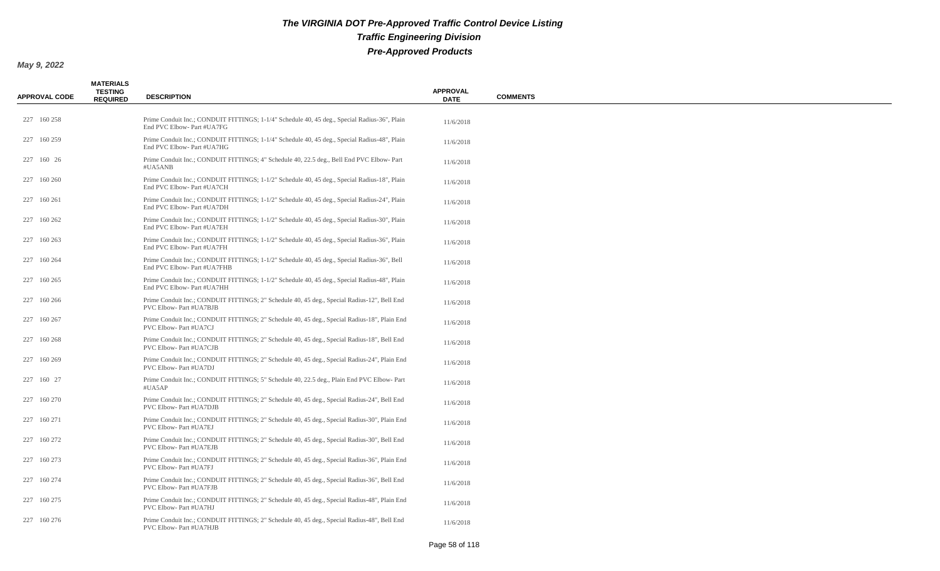| <b>APPROVAL CODE</b> | <b>MATERIALS</b><br><b>TESTING</b><br><b>REQUIRED</b> | <b>DESCRIPTION</b>                                                                                                         | <b>APPROVAL</b><br><b>DATE</b> | <b>COMMENTS</b> |
|----------------------|-------------------------------------------------------|----------------------------------------------------------------------------------------------------------------------------|--------------------------------|-----------------|
| 227 160 258          |                                                       | Prime Conduit Inc.; CONDUIT FITTINGS; 1-1/4" Schedule 40, 45 deg., Special Radius-36", Plain<br>End PVC Elbow- Part #UA7FG | 11/6/2018                      |                 |
| 227 160 259          |                                                       | Prime Conduit Inc.; CONDUIT FITTINGS; 1-1/4" Schedule 40, 45 deg., Special Radius-48", Plain<br>End PVC Elbow- Part #UA7HG | 11/6/2018                      |                 |
| 227 160 26           |                                                       | Prime Conduit Inc.; CONDUIT FITTINGS; 4" Schedule 40, 22.5 deg., Bell End PVC Elbow-Part<br>#UA5ANB                        | 11/6/2018                      |                 |
| 227 160 260          |                                                       | Prime Conduit Inc.; CONDUIT FITTINGS; 1-1/2" Schedule 40, 45 deg., Special Radius-18", Plain<br>End PVC Elbow- Part #UA7CH | 11/6/2018                      |                 |
| 227 160 261          |                                                       | Prime Conduit Inc.; CONDUIT FITTINGS; 1-1/2" Schedule 40, 45 deg., Special Radius-24", Plain<br>End PVC Elbow- Part #UA7DH | 11/6/2018                      |                 |
| 227 160 262          |                                                       | Prime Conduit Inc.; CONDUIT FITTINGS; 1-1/2" Schedule 40, 45 deg., Special Radius-30", Plain<br>End PVC Elbow- Part #UA7EH | 11/6/2018                      |                 |
| 227 160 263          |                                                       | Prime Conduit Inc.; CONDUIT FITTINGS; 1-1/2" Schedule 40, 45 deg., Special Radius-36", Plain<br>End PVC Elbow- Part #UA7FH | 11/6/2018                      |                 |
| 227 160 264          |                                                       | Prime Conduit Inc.; CONDUIT FITTINGS; 1-1/2" Schedule 40, 45 deg., Special Radius-36", Bell<br>End PVC Elbow- Part #UA7FHB | 11/6/2018                      |                 |
| 227 160 265          |                                                       | Prime Conduit Inc.; CONDUIT FITTINGS; 1-1/2" Schedule 40, 45 deg., Special Radius-48", Plain<br>End PVC Elbow- Part #UA7HH | 11/6/2018                      |                 |
| 227 160 266          |                                                       | Prime Conduit Inc.; CONDUIT FITTINGS; 2" Schedule 40, 45 deg., Special Radius-12", Bell End<br>PVC Elbow-Part #UA7BJB      | 11/6/2018                      |                 |
| 227 160 267          |                                                       | Prime Conduit Inc.; CONDUIT FITTINGS; 2" Schedule 40, 45 deg., Special Radius-18", Plain End<br>PVC Elbow- Part #UA7CJ     | 11/6/2018                      |                 |
| 227 160 268          |                                                       | Prime Conduit Inc.; CONDUIT FITTINGS; 2" Schedule 40, 45 deg., Special Radius-18", Bell End<br>PVC Elbow- Part #UA7CJB     | 11/6/2018                      |                 |
| 227 160 269          |                                                       | Prime Conduit Inc.; CONDUIT FITTINGS; 2" Schedule 40, 45 deg., Special Radius-24", Plain End<br>PVC Elbow- Part #UA7DJ     | 11/6/2018                      |                 |
| 227 160 27           |                                                       | Prime Conduit Inc.; CONDUIT FITTINGS; 5" Schedule 40, 22.5 deg., Plain End PVC Elbow-Part<br>#UA5AP                        | 11/6/2018                      |                 |
| 227 160 270          |                                                       | Prime Conduit Inc.; CONDUIT FITTINGS; 2" Schedule 40, 45 deg., Special Radius-24", Bell End<br>PVC Elbow-Part #UA7DJB      | 11/6/2018                      |                 |
| 227 160 271          |                                                       | Prime Conduit Inc.; CONDUIT FITTINGS; 2" Schedule 40, 45 deg., Special Radius-30", Plain End<br>PVC Elbow- Part #UA7EJ     | 11/6/2018                      |                 |
| 227 160 272          |                                                       | Prime Conduit Inc.; CONDUIT FITTINGS; 2" Schedule 40, 45 deg., Special Radius-30", Bell End<br>PVC Elbow- Part #UA7EJB     | 11/6/2018                      |                 |
| 227 160 273          |                                                       | Prime Conduit Inc.; CONDUIT FITTINGS; 2" Schedule 40, 45 deg., Special Radius-36", Plain End<br>PVC Elbow- Part #UA7FJ     | 11/6/2018                      |                 |
| 227 160 274          |                                                       | Prime Conduit Inc.; CONDUIT FITTINGS; 2" Schedule 40, 45 deg., Special Radius-36", Bell End<br>PVC Elbow- Part #UA7FJB     | 11/6/2018                      |                 |
| 227 160 275          |                                                       | Prime Conduit Inc.; CONDUIT FITTINGS; 2" Schedule 40, 45 deg., Special Radius-48", Plain End<br>PVC Elbow- Part #UA7HJ     | 11/6/2018                      |                 |
| 227 160 276          |                                                       | Prime Conduit Inc.; CONDUIT FITTINGS; 2" Schedule 40, 45 deg., Special Radius-48", Bell End<br>PVC Elbow- Part #UA7HJB     | 11/6/2018                      |                 |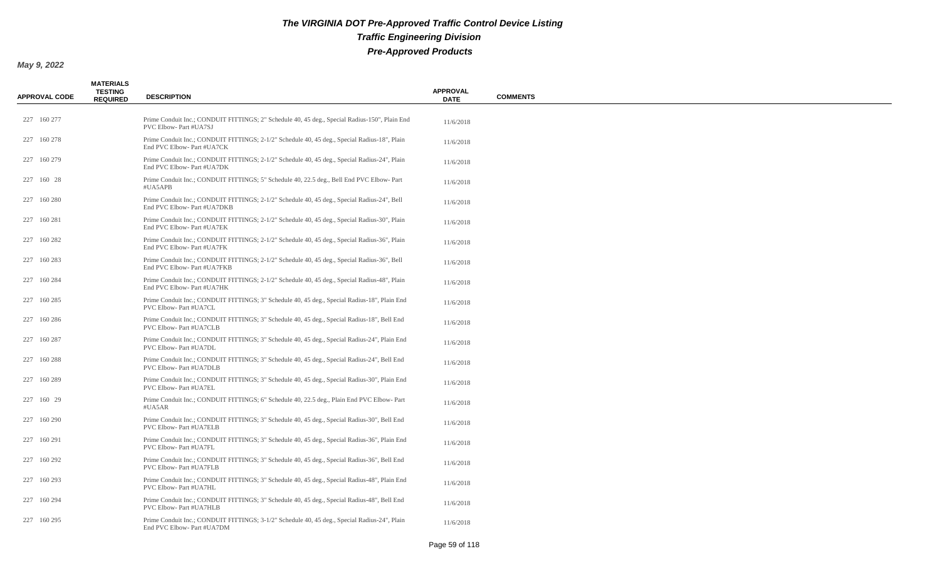| <b>APPROVAL CODE</b> | <b>MATERIALS</b><br><b>TESTING</b><br><b>REQUIRED</b> | <b>DESCRIPTION</b>                                                                                                           | <b>APPROVAL</b><br><b>DATE</b> | <b>COMMENTS</b> |
|----------------------|-------------------------------------------------------|------------------------------------------------------------------------------------------------------------------------------|--------------------------------|-----------------|
| 227 160 277          |                                                       | Prime Conduit Inc.; CONDUIT FITTINGS; 2" Schedule 40, 45 deg., Special Radius-150", Plain End<br>PVC Elbow- Part #UA7SJ      | 11/6/2018                      |                 |
| 227 160 278          |                                                       | Prime Conduit Inc.; CONDUIT FITTINGS; 2-1/2" Schedule 40, 45 deg., Special Radius-18", Plain<br>End PVC Elbow- Part #UA7CK   | 11/6/2018                      |                 |
| 227 160 279          |                                                       | Prime Conduit Inc.; CONDUIT FITTINGS; 2-1/2" Schedule 40, 45 deg., Special Radius-24", Plain<br>End PVC Elbow- Part #UA7DK   | 11/6/2018                      |                 |
| 227 160 28           |                                                       | Prime Conduit Inc.; CONDUIT FITTINGS; 5" Schedule 40, 22.5 deg., Bell End PVC Elbow-Part<br>#UA5APB                          | 11/6/2018                      |                 |
| 227 160 280          |                                                       | Prime Conduit Inc.; CONDUIT FITTINGS; 2-1/2" Schedule 40, 45 deg., Special Radius-24", Bell<br>End PVC Elbow- Part #UA7DKB   | 11/6/2018                      |                 |
| 227 160 281          |                                                       | Prime Conduit Inc.; CONDUIT FITTINGS; 2-1/2" Schedule 40, 45 deg., Special Radius-30", Plain<br>End PVC Elbow- Part #UA7EK   | 11/6/2018                      |                 |
| 227 160 282          |                                                       | Prime Conduit Inc.; CONDUIT FITTINGS; 2-1/2" Schedule 40, 45 deg., Special Radius-36", Plain<br>End PVC Elbow- Part #UA7FK   | 11/6/2018                      |                 |
| 227 160 283          |                                                       | Prime Conduit Inc.; CONDUIT FITTINGS; 2-1/2" Schedule 40, 45 deg., Special Radius-36", Bell<br>End PVC Elbow- Part #UA7FKB   | 11/6/2018                      |                 |
| 227 160 284          |                                                       | Prime Conduit Inc.; CONDUIT FITTINGS; 2-1/2" Schedule 40, 45 deg., Special Radius-48", Plain<br>End PVC Elbow- Part #UA7HK   | 11/6/2018                      |                 |
| 227 160 285          |                                                       | Prime Conduit Inc.; CONDUIT FITTINGS; 3" Schedule 40, 45 deg., Special Radius-18", Plain End<br>PVC Elbow- Part #UA7CL       | 11/6/2018                      |                 |
| 227 160 286          |                                                       | Prime Conduit Inc.; CONDUIT FITTINGS; 3" Schedule 40, 45 deg., Special Radius-18", Bell End<br><b>PVC Elbow-Part #UA7CLB</b> | 11/6/2018                      |                 |
| 227 160 287          |                                                       | Prime Conduit Inc.; CONDUIT FITTINGS; 3" Schedule 40, 45 deg., Special Radius-24", Plain End<br>PVC Elbow- Part #UA7DL       | 11/6/2018                      |                 |
| 227 160 288          |                                                       | Prime Conduit Inc.; CONDUIT FITTINGS; 3" Schedule 40, 45 deg., Special Radius-24", Bell End<br>PVC Elbow- Part #UA7DLB       | 11/6/2018                      |                 |
| 227 160 289          |                                                       | Prime Conduit Inc.; CONDUIT FITTINGS; 3" Schedule 40, 45 deg., Special Radius-30", Plain End<br>PVC Elbow- Part #UA7EL       | 11/6/2018                      |                 |
| 227 160 29           |                                                       | Prime Conduit Inc.; CONDUIT FITTINGS; 6" Schedule 40, 22.5 deg., Plain End PVC Elbow-Part<br>#UA5AR                          | 11/6/2018                      |                 |
| 227 160 290          |                                                       | Prime Conduit Inc.; CONDUIT FITTINGS; 3" Schedule 40, 45 deg., Special Radius-30", Bell End<br>PVC Elbow- Part #UA7ELB       | 11/6/2018                      |                 |
| 227 160 291          |                                                       | Prime Conduit Inc.; CONDUIT FITTINGS; 3" Schedule 40, 45 deg., Special Radius-36", Plain End<br>PVC Elbow- Part #UA7FL       | 11/6/2018                      |                 |
| 227 160 292          |                                                       | Prime Conduit Inc.; CONDUIT FITTINGS; 3" Schedule 40, 45 deg., Special Radius-36", Bell End<br>PVC Elbow- Part #UA7FLB       | 11/6/2018                      |                 |
| 227 160 293          |                                                       | Prime Conduit Inc.; CONDUIT FITTINGS; 3" Schedule 40, 45 deg., Special Radius-48", Plain End<br>PVC Elbow- Part #UA7HL       | 11/6/2018                      |                 |
| 227 160 294          |                                                       | Prime Conduit Inc.; CONDUIT FITTINGS; 3" Schedule 40, 45 deg., Special Radius-48", Bell End<br>PVC Elbow- Part #UA7HLB       | 11/6/2018                      |                 |
| 227 160 295          |                                                       | Prime Conduit Inc.; CONDUIT FITTINGS; 3-1/2" Schedule 40, 45 deg., Special Radius-24", Plain<br>End PVC Elbow- Part #UA7DM   | 11/6/2018                      |                 |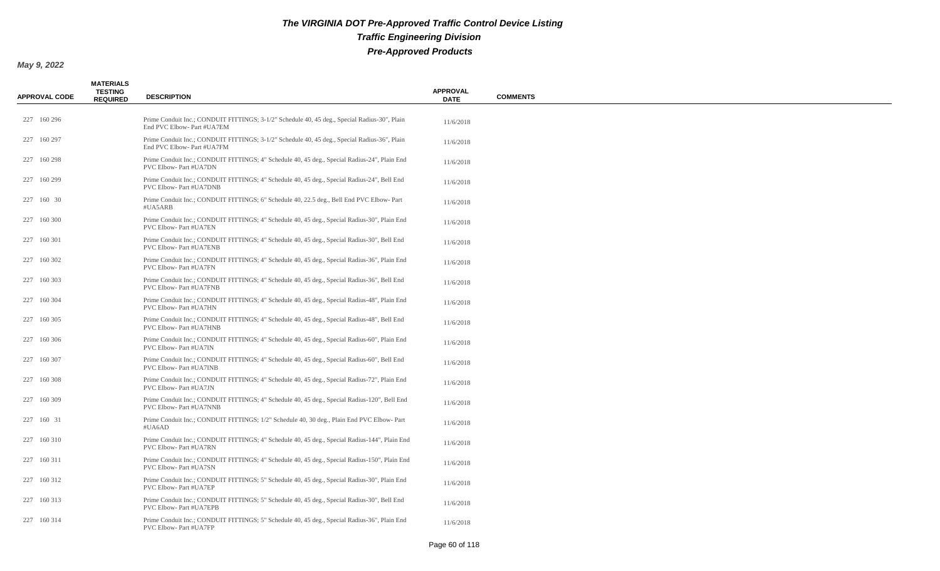| <b>APPROVAL CODE</b> | <b>MATERIALS</b><br><b>TESTING</b><br><b>REQUIRED</b> | <b>DESCRIPTION</b>                                                                                                            | <b>APPROVAL</b><br><b>DATE</b> | <b>COMMENTS</b> |
|----------------------|-------------------------------------------------------|-------------------------------------------------------------------------------------------------------------------------------|--------------------------------|-----------------|
| 227 160 296          |                                                       | Prime Conduit Inc.; CONDUIT FITTINGS; 3-1/2" Schedule 40, 45 deg., Special Radius-30", Plain<br>End PVC Elbow- Part #UA7EM    | 11/6/2018                      |                 |
| 227 160 297          |                                                       | Prime Conduit Inc.; CONDUIT FITTINGS; 3-1/2" Schedule 40, 45 deg., Special Radius-36", Plain<br>End PVC Elbow- Part #UA7FM    | 11/6/2018                      |                 |
| 227 160 298          |                                                       | Prime Conduit Inc.; CONDUIT FITTINGS; 4" Schedule 40, 45 deg., Special Radius-24", Plain End<br>PVC Elbow- Part #UA7DN        | 11/6/2018                      |                 |
| 227 160 299          |                                                       | Prime Conduit Inc.; CONDUIT FITTINGS; 4" Schedule 40, 45 deg., Special Radius-24", Bell End<br>PVC Elbow- Part #UA7DNB        | 11/6/2018                      |                 |
| 227 160 30           |                                                       | Prime Conduit Inc.; CONDUIT FITTINGS; 6" Schedule 40, 22.5 deg., Bell End PVC Elbow-Part<br>#UA5ARB                           | 11/6/2018                      |                 |
| 227 160 300          |                                                       | Prime Conduit Inc.; CONDUIT FITTINGS; 4" Schedule 40, 45 deg., Special Radius-30", Plain End<br>PVC Elbow- Part #UA7EN        | 11/6/2018                      |                 |
| 227 160 301          |                                                       | Prime Conduit Inc.; CONDUIT FITTINGS; 4" Schedule 40, 45 deg., Special Radius-30", Bell End<br>PVC Elbow- Part #UA7ENB        | 11/6/2018                      |                 |
| 227 160 302          |                                                       | Prime Conduit Inc.; CONDUIT FITTINGS; 4" Schedule 40, 45 deg., Special Radius-36", Plain End<br>PVC Elbow- Part #UA7FN        | 11/6/2018                      |                 |
| 227 160 303          |                                                       | Prime Conduit Inc.; CONDUIT FITTINGS; 4" Schedule 40, 45 deg., Special Radius-36", Bell End<br>PVC Elbow- Part #UA7FNB        | 11/6/2018                      |                 |
| 227 160 304          |                                                       | Prime Conduit Inc.; CONDUIT FITTINGS; 4" Schedule 40, 45 deg., Special Radius-48", Plain End<br><b>PVC Elbow-Part #UA7HN</b>  | 11/6/2018                      |                 |
| 227 160 305          |                                                       | Prime Conduit Inc.; CONDUIT FITTINGS; 4" Schedule 40, 45 deg., Special Radius-48", Bell End<br><b>PVC Elbow-Part #UA7HNB</b>  | 11/6/2018                      |                 |
| 227 160 306          |                                                       | Prime Conduit Inc.; CONDUIT FITTINGS; 4" Schedule 40, 45 deg., Special Radius-60", Plain End<br>PVC Elbow- Part #UA7IN        | 11/6/2018                      |                 |
| 227 160 307          |                                                       | Prime Conduit Inc.; CONDUIT FITTINGS; 4" Schedule 40, 45 deg., Special Radius-60", Bell End<br>PVC Elbow- Part #UA7INB        | 11/6/2018                      |                 |
| 227 160 308          |                                                       | Prime Conduit Inc.; CONDUIT FITTINGS; 4" Schedule 40, 45 deg., Special Radius-72", Plain End<br>PVC Elbow- Part #UA7JN        | 11/6/2018                      |                 |
| 227 160 309          |                                                       | Prime Conduit Inc.; CONDUIT FITTINGS; 4" Schedule 40, 45 deg., Special Radius-120", Bell End<br><b>PVC Elbow-Part #UA7NNB</b> | 11/6/2018                      |                 |
| 227 160 31           |                                                       | Prime Conduit Inc.; CONDUIT FITTINGS; 1/2" Schedule 40, 30 deg., Plain End PVC Elbow-Part<br>#UA6AD                           | 11/6/2018                      |                 |
| 227 160 310          |                                                       | Prime Conduit Inc.; CONDUIT FITTINGS; 4" Schedule 40, 45 deg., Special Radius-144", Plain End<br><b>PVC Elbow-Part #UA7RN</b> | 11/6/2018                      |                 |
| 227 160 311          |                                                       | Prime Conduit Inc.; CONDUIT FITTINGS; 4" Schedule 40, 45 deg., Special Radius-150", Plain End<br>PVC Elbow- Part #UA7SN       | 11/6/2018                      |                 |
| 227 160 312          |                                                       | Prime Conduit Inc.; CONDUIT FITTINGS; 5" Schedule 40, 45 deg., Special Radius-30", Plain End<br>PVC Elbow- Part #UA7EP        | 11/6/2018                      |                 |
| 227 160 313          |                                                       | Prime Conduit Inc.; CONDUIT FITTINGS; 5" Schedule 40, 45 deg., Special Radius-30", Bell End<br>PVC Elbow- Part #UA7EPB        | 11/6/2018                      |                 |
| 227 160 314          |                                                       | Prime Conduit Inc.; CONDUIT FITTINGS; 5" Schedule 40, 45 deg., Special Radius-36", Plain End<br>PVC Elbow- Part #UA7FP        | 11/6/2018                      |                 |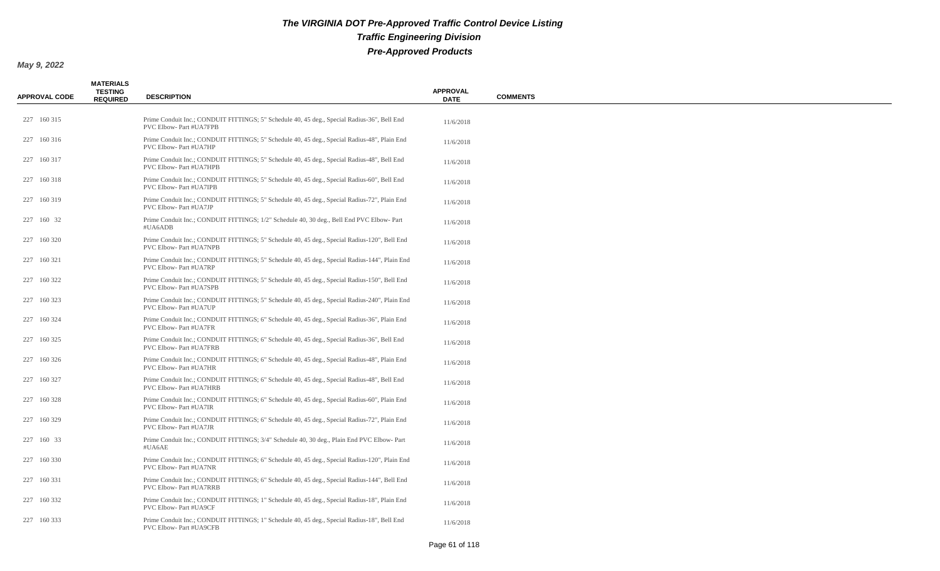| <b>APPROVAL CODE</b> | <b>MATERIALS</b><br><b>TESTING</b><br><b>REQUIRED</b> | <b>DESCRIPTION</b>                                                                                                           | <b>APPROVAL</b><br><b>DATE</b> | <b>COMMENTS</b> |
|----------------------|-------------------------------------------------------|------------------------------------------------------------------------------------------------------------------------------|--------------------------------|-----------------|
| 227 160 315          |                                                       | Prime Conduit Inc.; CONDUIT FITTINGS; 5" Schedule 40, 45 deg., Special Radius-36", Bell End<br>PVC Elbow- Part #UA7FPB       | 11/6/2018                      |                 |
| 227 160 316          |                                                       | Prime Conduit Inc.; CONDUIT FITTINGS; 5" Schedule 40, 45 deg., Special Radius-48", Plain End<br>PVC Elbow- Part #UA7HP       | 11/6/2018                      |                 |
| 227 160 317          |                                                       | Prime Conduit Inc.; CONDUIT FITTINGS; 5" Schedule 40, 45 deg., Special Radius-48", Bell End<br>PVC Elbow- Part #UA7HPB       | 11/6/2018                      |                 |
| 227 160 318          |                                                       | Prime Conduit Inc.; CONDUIT FITTINGS; 5" Schedule 40, 45 deg., Special Radius-60", Bell End<br>PVC Elbow- Part #UA7IPB       | 11/6/2018                      |                 |
| 227 160 319          |                                                       | Prime Conduit Inc.; CONDUIT FITTINGS; 5" Schedule 40, 45 deg., Special Radius-72", Plain End<br>PVC Elbow- Part #UA7JP       | 11/6/2018                      |                 |
| 227 160 32           |                                                       | Prime Conduit Inc.; CONDUIT FITTINGS; 1/2" Schedule 40, 30 deg., Bell End PVC Elbow-Part<br>#UA6ADB                          | 11/6/2018                      |                 |
| 227 160 320          |                                                       | Prime Conduit Inc.; CONDUIT FITTINGS; 5" Schedule 40, 45 deg., Special Radius-120", Bell End<br>PVC Elbow- Part #UA7NPB      | 11/6/2018                      |                 |
| 227 160 321          |                                                       | Prime Conduit Inc.; CONDUIT FITTINGS; 5" Schedule 40, 45 deg., Special Radius-144", Plain End<br>PVC Elbow- Part #UA7RP      | 11/6/2018                      |                 |
| 227 160 322          |                                                       | Prime Conduit Inc.; CONDUIT FITTINGS; 5" Schedule 40, 45 deg., Special Radius-150", Bell End<br>PVC Elbow- Part #UA7SPB      | 11/6/2018                      |                 |
| 227 160 323          |                                                       | Prime Conduit Inc.; CONDUIT FITTINGS; 5" Schedule 40, 45 deg., Special Radius-240", Plain End<br>PVC Elbow-Part #UA7UP       | 11/6/2018                      |                 |
| 227 160 324          |                                                       | Prime Conduit Inc.; CONDUIT FITTINGS; 6" Schedule 40, 45 deg., Special Radius-36", Plain End<br><b>PVC Elbow-Part #UA7FR</b> | 11/6/2018                      |                 |
| 227 160 325          |                                                       | Prime Conduit Inc.; CONDUIT FITTINGS; 6" Schedule 40, 45 deg., Special Radius-36", Bell End<br>PVC Elbow- Part #UA7FRB       | 11/6/2018                      |                 |
| 227 160 326          |                                                       | Prime Conduit Inc.; CONDUIT FITTINGS; 6" Schedule 40, 45 deg., Special Radius-48", Plain End<br>PVC Elbow- Part #UA7HR       | 11/6/2018                      |                 |
| 227 160 327          |                                                       | Prime Conduit Inc.; CONDUIT FITTINGS; 6" Schedule 40, 45 deg., Special Radius-48", Bell End<br>PVC Elbow- Part #UA7HRB       | 11/6/2018                      |                 |
| 227 160 328          |                                                       | Prime Conduit Inc.; CONDUIT FITTINGS; 6" Schedule 40, 45 deg., Special Radius-60", Plain End<br>PVC Elbow- Part #UA7IR       | 11/6/2018                      |                 |
| 227 160 329          |                                                       | Prime Conduit Inc.; CONDUIT FITTINGS; 6" Schedule 40, 45 deg., Special Radius-72", Plain End<br>PVC Elbow- Part #UA7JR       | 11/6/2018                      |                 |
| 227 160 33           |                                                       | Prime Conduit Inc.; CONDUIT FITTINGS; 3/4" Schedule 40, 30 deg., Plain End PVC Elbow-Part<br>#UA6AE                          | 11/6/2018                      |                 |
| 227 160 330          |                                                       | Prime Conduit Inc.; CONDUIT FITTINGS; 6" Schedule 40, 45 deg., Special Radius-120", Plain End<br>PVC Elbow- Part #UA7NR      | 11/6/2018                      |                 |
| 227 160 331          |                                                       | Prime Conduit Inc.; CONDUIT FITTINGS; 6" Schedule 40, 45 deg., Special Radius-144", Bell End<br>PVC Elbow- Part #UA7RRB      | 11/6/2018                      |                 |
| 227 160 332          |                                                       | Prime Conduit Inc.; CONDUIT FITTINGS; 1" Schedule 40, 45 deg., Special Radius-18", Plain End<br>PVC Elbow- Part #UA9CF       | 11/6/2018                      |                 |
| 227 160 333          |                                                       | Prime Conduit Inc.; CONDUIT FITTINGS; 1" Schedule 40, 45 deg., Special Radius-18", Bell End<br>PVC Elbow- Part #UA9CFB       | 11/6/2018                      |                 |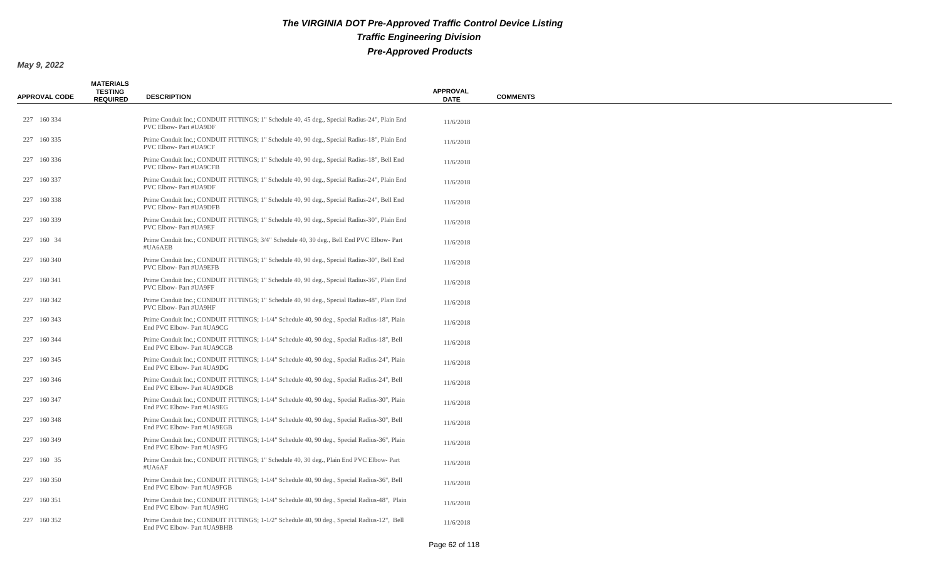| <b>APPROVAL CODE</b> | <b>MATERIALS</b><br><b>TESTING</b><br><b>REQUIRED</b> | <b>DESCRIPTION</b>                                                                                                           | <b>APPROVAL</b><br><b>DATE</b> | <b>COMMENTS</b> |
|----------------------|-------------------------------------------------------|------------------------------------------------------------------------------------------------------------------------------|--------------------------------|-----------------|
| 227 160 334          |                                                       | Prime Conduit Inc.; CONDUIT FITTINGS; 1" Schedule 40, 45 deg., Special Radius-24", Plain End<br>PVC Elbow- Part #UA9DF       | 11/6/2018                      |                 |
| 227 160 335          |                                                       | Prime Conduit Inc.; CONDUIT FITTINGS; 1" Schedule 40, 90 deg., Special Radius-18", Plain End<br>PVC Elbow- Part #UA9CF       | 11/6/2018                      |                 |
| 227 160 336          |                                                       | Prime Conduit Inc.; CONDUIT FITTINGS; 1" Schedule 40, 90 deg., Special Radius-18", Bell End<br>PVC Elbow- Part #UA9CFB       | 11/6/2018                      |                 |
| 227 160 337          |                                                       | Prime Conduit Inc.; CONDUIT FITTINGS; 1" Schedule 40, 90 deg., Special Radius-24", Plain End<br>PVC Elbow- Part #UA9DF       | 11/6/2018                      |                 |
| 227 160 338          |                                                       | Prime Conduit Inc.; CONDUIT FITTINGS; 1" Schedule 40, 90 deg., Special Radius-24", Bell End<br><b>PVC Elbow-Part #UA9DFB</b> | 11/6/2018                      |                 |
| 227 160 339          |                                                       | Prime Conduit Inc.; CONDUIT FITTINGS; 1" Schedule 40, 90 deg., Special Radius-30", Plain End<br>PVC Elbow- Part #UA9EF       | 11/6/2018                      |                 |
| 227 160 34           |                                                       | Prime Conduit Inc.; CONDUIT FITTINGS; 3/4" Schedule 40, 30 deg., Bell End PVC Elbow-Part<br>#UA6AEB                          | 11/6/2018                      |                 |
| 227 160 340          |                                                       | Prime Conduit Inc.; CONDUIT FITTINGS; 1" Schedule 40, 90 deg., Special Radius-30", Bell End<br>PVC Elbow- Part #UA9EFB       | 11/6/2018                      |                 |
| 227 160 341          |                                                       | Prime Conduit Inc.; CONDUIT FITTINGS; 1" Schedule 40, 90 deg., Special Radius-36", Plain End<br>PVC Elbow- Part #UA9FF       | 11/6/2018                      |                 |
| 227 160 342          |                                                       | Prime Conduit Inc.; CONDUIT FITTINGS; 1" Schedule 40, 90 deg., Special Radius-48", Plain End<br>PVC Elbow- Part #UA9HF       | 11/6/2018                      |                 |
| 227 160 343          |                                                       | Prime Conduit Inc.; CONDUIT FITTINGS; 1-1/4" Schedule 40, 90 deg., Special Radius-18", Plain<br>End PVC Elbow-Part #UA9CG    | 11/6/2018                      |                 |
| 227 160 344          |                                                       | Prime Conduit Inc.; CONDUIT FITTINGS; 1-1/4" Schedule 40, 90 deg., Special Radius-18", Bell<br>End PVC Elbow- Part #UA9CGB   | 11/6/2018                      |                 |
| 227 160 345          |                                                       | Prime Conduit Inc.; CONDUIT FITTINGS; 1-1/4" Schedule 40, 90 deg., Special Radius-24", Plain<br>End PVC Elbow- Part #UA9DG   | 11/6/2018                      |                 |
| 227 160 346          |                                                       | Prime Conduit Inc.; CONDUIT FITTINGS; 1-1/4" Schedule 40, 90 deg., Special Radius-24", Bell<br>End PVC Elbow- Part #UA9DGB   | 11/6/2018                      |                 |
| 227 160 347          |                                                       | Prime Conduit Inc.; CONDUIT FITTINGS; 1-1/4" Schedule 40, 90 deg., Special Radius-30", Plain<br>End PVC Elbow- Part #UA9EG   | 11/6/2018                      |                 |
| 227 160 348          |                                                       | Prime Conduit Inc.; CONDUIT FITTINGS; 1-1/4" Schedule 40, 90 deg., Special Radius-30", Bell<br>End PVC Elbow- Part #UA9EGB   | 11/6/2018                      |                 |
| 227 160 349          |                                                       | Prime Conduit Inc.; CONDUIT FITTINGS; 1-1/4" Schedule 40, 90 deg., Special Radius-36", Plain<br>End PVC Elbow- Part #UA9FG   | 11/6/2018                      |                 |
| 227 160 35           |                                                       | Prime Conduit Inc.; CONDUIT FITTINGS; 1" Schedule 40, 30 deg., Plain End PVC Elbow-Part<br>#UA6AF                            | 11/6/2018                      |                 |
| 227 160 350          |                                                       | Prime Conduit Inc.; CONDUIT FITTINGS; 1-1/4" Schedule 40, 90 deg., Special Radius-36", Bell<br>End PVC Elbow- Part #UA9FGB   | 11/6/2018                      |                 |
| 227 160 351          |                                                       | Prime Conduit Inc.; CONDUIT FITTINGS; 1-1/4" Schedule 40, 90 deg., Special Radius-48", Plain<br>End PVC Elbow- Part #UA9HG   | 11/6/2018                      |                 |
| 227 160 352          |                                                       | Prime Conduit Inc.; CONDUIT FITTINGS; 1-1/2" Schedule 40, 90 deg., Special Radius-12", Bell<br>End PVC Elbow- Part #UA9BHB   | 11/6/2018                      |                 |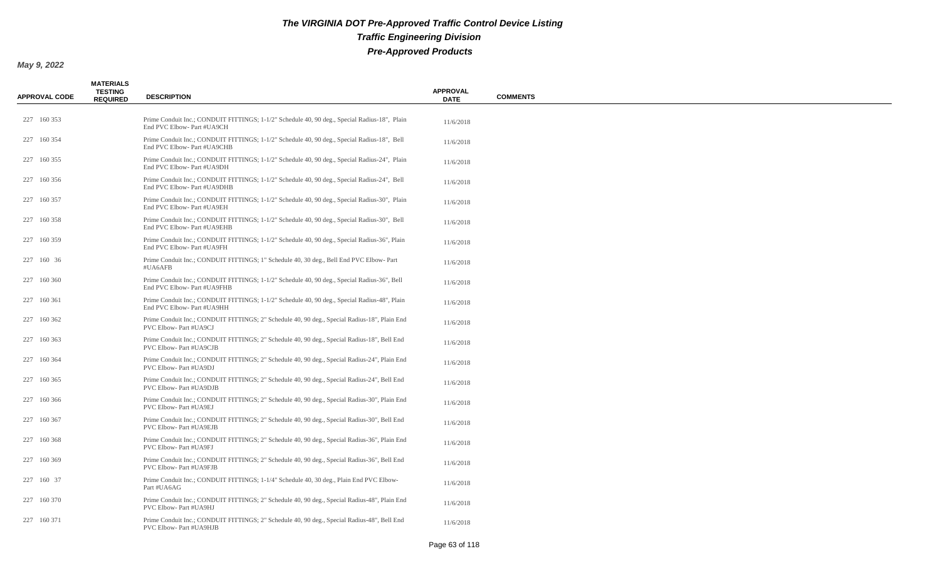| <b>APPROVAL CODE</b> | <b>MATERIALS</b><br><b>TESTING</b><br><b>REQUIRED</b> | <b>DESCRIPTION</b>                                                                                                         | <b>APPROVAL</b><br><b>DATE</b> | <b>COMMENTS</b> |
|----------------------|-------------------------------------------------------|----------------------------------------------------------------------------------------------------------------------------|--------------------------------|-----------------|
| 227 160 353          |                                                       | Prime Conduit Inc.; CONDUIT FITTINGS; 1-1/2" Schedule 40, 90 deg., Special Radius-18", Plain<br>End PVC Elbow- Part #UA9CH | 11/6/2018                      |                 |
| 227 160 354          |                                                       | Prime Conduit Inc.; CONDUIT FITTINGS; 1-1/2" Schedule 40, 90 deg., Special Radius-18", Bell<br>End PVC Elbow- Part #UA9CHB | 11/6/2018                      |                 |
| 227 160 355          |                                                       | Prime Conduit Inc.; CONDUIT FITTINGS; 1-1/2" Schedule 40, 90 deg., Special Radius-24", Plain<br>End PVC Elbow- Part #UA9DH | 11/6/2018                      |                 |
| 227 160 356          |                                                       | Prime Conduit Inc.; CONDUIT FITTINGS; 1-1/2" Schedule 40, 90 deg., Special Radius-24", Bell<br>End PVC Elbow- Part #UA9DHB | 11/6/2018                      |                 |
| 227 160 357          |                                                       | Prime Conduit Inc.; CONDUIT FITTINGS; 1-1/2" Schedule 40, 90 deg., Special Radius-30", Plain<br>End PVC Elbow- Part #UA9EH | 11/6/2018                      |                 |
| 227 160 358          |                                                       | Prime Conduit Inc.; CONDUIT FITTINGS; 1-1/2" Schedule 40, 90 deg., Special Radius-30", Bell<br>End PVC Elbow- Part #UA9EHB | 11/6/2018                      |                 |
| 227 160 359          |                                                       | Prime Conduit Inc.; CONDUIT FITTINGS; 1-1/2" Schedule 40, 90 deg., Special Radius-36", Plain<br>End PVC Elbow- Part #UA9FH | 11/6/2018                      |                 |
| 227 160 36           |                                                       | Prime Conduit Inc.; CONDUIT FITTINGS; 1" Schedule 40, 30 deg., Bell End PVC Elbow-Part<br>#UA6AFB                          | 11/6/2018                      |                 |
| 227 160 360          |                                                       | Prime Conduit Inc.; CONDUIT FITTINGS; 1-1/2" Schedule 40, 90 deg., Special Radius-36", Bell<br>End PVC Elbow- Part #UA9FHB | 11/6/2018                      |                 |
| 227 160 361          |                                                       | Prime Conduit Inc.; CONDUIT FITTINGS; 1-1/2" Schedule 40, 90 deg., Special Radius-48", Plain<br>End PVC Elbow- Part #UA9HH | 11/6/2018                      |                 |
| 227 160 362          |                                                       | Prime Conduit Inc.; CONDUIT FITTINGS; 2" Schedule 40, 90 deg., Special Radius-18", Plain End<br>PVC Elbow-Part #UA9CJ      | 11/6/2018                      |                 |
| 227 160 363          |                                                       | Prime Conduit Inc.; CONDUIT FITTINGS; 2" Schedule 40, 90 deg., Special Radius-18", Bell End<br>PVC Elbow- Part #UA9CJB     | 11/6/2018                      |                 |
| 227 160 364          |                                                       | Prime Conduit Inc.; CONDUIT FITTINGS; 2" Schedule 40, 90 deg., Special Radius-24", Plain End<br>PVC Elbow- Part #UA9DJ     | 11/6/2018                      |                 |
| 227 160 365          |                                                       | Prime Conduit Inc.; CONDUIT FITTINGS; 2" Schedule 40, 90 deg., Special Radius-24", Bell End<br>PVC Elbow- Part #UA9DJB     | 11/6/2018                      |                 |
| 227 160 366          |                                                       | Prime Conduit Inc.; CONDUIT FITTINGS; 2" Schedule 40, 90 deg., Special Radius-30", Plain End<br>PVC Elbow- Part #UA9EJ     | 11/6/2018                      |                 |
| 227 160 367          |                                                       | Prime Conduit Inc.; CONDUIT FITTINGS; 2" Schedule 40, 90 deg., Special Radius-30", Bell End<br>PVC Elbow- Part #UA9EJB     | 11/6/2018                      |                 |
| 227 160 368          |                                                       | Prime Conduit Inc.; CONDUIT FITTINGS; 2" Schedule 40, 90 deg., Special Radius-36", Plain End<br>PVC Elbow- Part #UA9FJ     | 11/6/2018                      |                 |
| 227 160 369          |                                                       | Prime Conduit Inc.; CONDUIT FITTINGS; 2" Schedule 40, 90 deg., Special Radius-36", Bell End<br>PVC Elbow- Part #UA9FJB     | 11/6/2018                      |                 |
| 227 160 37           |                                                       | Prime Conduit Inc.; CONDUIT FITTINGS; 1-1/4" Schedule 40, 30 deg., Plain End PVC Elbow-<br>Part #UA6AG                     | 11/6/2018                      |                 |
| 227 160 370          |                                                       | Prime Conduit Inc.; CONDUIT FITTINGS; 2" Schedule 40, 90 deg., Special Radius-48", Plain End<br>PVC Elbow- Part #UA9HJ     | 11/6/2018                      |                 |
| 227 160 371          |                                                       | Prime Conduit Inc.; CONDUIT FITTINGS; 2" Schedule 40, 90 deg., Special Radius-48", Bell End<br>PVC Elbow- Part #UA9HJB     | 11/6/2018                      |                 |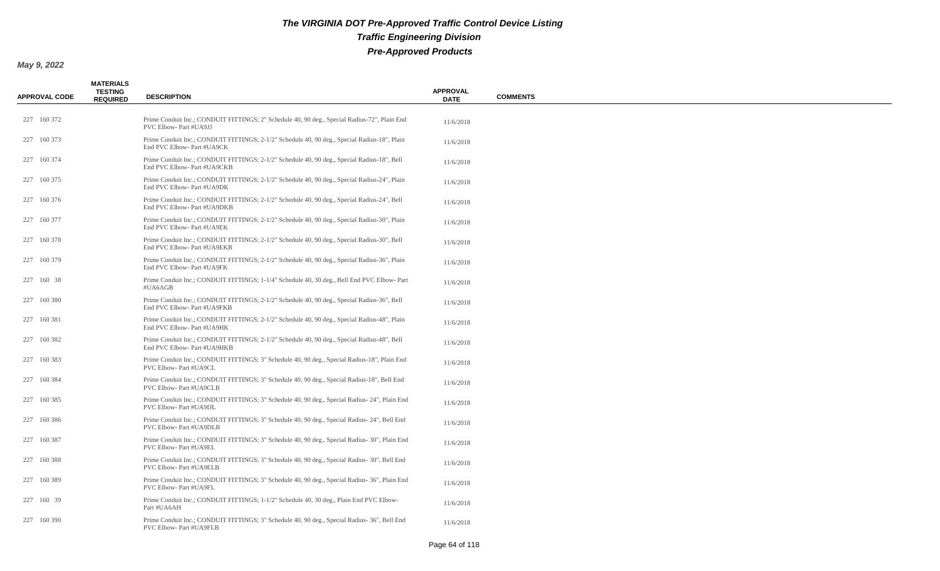| <b>APPROVAL CODE</b> | <b>MATERIALS</b><br><b>TESTING</b><br><b>REQUIRED</b> | <b>DESCRIPTION</b>                                                                                                           | <b>APPROVAL</b><br><b>DATE</b> | <b>COMMENTS</b> |
|----------------------|-------------------------------------------------------|------------------------------------------------------------------------------------------------------------------------------|--------------------------------|-----------------|
| 227 160 372          |                                                       | Prime Conduit Inc.; CONDUIT FITTINGS; 2" Schedule 40, 90 deg., Special Radius-72", Plain End<br><b>PVC Elbow-Part #UA9JJ</b> | 11/6/2018                      |                 |
| 227 160 373          |                                                       | Prime Conduit Inc.; CONDUIT FITTINGS; 2-1/2" Schedule 40, 90 deg., Special Radius-18", Plain<br>End PVC Elbow- Part #UA9CK   | 11/6/2018                      |                 |
| 227 160 374          |                                                       | Prime Conduit Inc.; CONDUIT FITTINGS; 2-1/2" Schedule 40, 90 deg., Special Radius-18", Bell<br>End PVC Elbow- Part #UA9CKB   | 11/6/2018                      |                 |
| 227 160 375          |                                                       | Prime Conduit Inc.; CONDUIT FITTINGS; 2-1/2" Schedule 40, 90 deg., Special Radius-24", Plain<br>End PVC Elbow- Part #UA9DK   | 11/6/2018                      |                 |
| 227 160 376          |                                                       | Prime Conduit Inc.; CONDUIT FITTINGS; 2-1/2" Schedule 40, 90 deg., Special Radius-24", Bell<br>End PVC Elbow- Part #UA9DKB   | 11/6/2018                      |                 |
| 227 160 377          |                                                       | Prime Conduit Inc.; CONDUIT FITTINGS; 2-1/2" Schedule 40, 90 deg., Special Radius-30", Plain<br>End PVC Elbow- Part #UA9EK   | 11/6/2018                      |                 |
| 227 160 378          |                                                       | Prime Conduit Inc.; CONDUIT FITTINGS; 2-1/2" Schedule 40, 90 deg., Special Radius-30", Bell<br>End PVC Elbow- Part #UA9EKB   | 11/6/2018                      |                 |
| 227 160 379          |                                                       | Prime Conduit Inc.; CONDUIT FITTINGS; 2-1/2" Schedule 40, 90 deg., Special Radius-36", Plain<br>End PVC Elbow- Part #UA9FK   | 11/6/2018                      |                 |
| 227 160 38           |                                                       | Prime Conduit Inc.; CONDUIT FITTINGS; 1-1/4" Schedule 40, 30 deg., Bell End PVC Elbow-Part<br>#UA6AGB                        | 11/6/2018                      |                 |
| 227 160 380          |                                                       | Prime Conduit Inc.; CONDUIT FITTINGS; 2-1/2" Schedule 40, 90 deg., Special Radius-36", Bell<br>End PVC Elbow- Part #UA9FKB   | 11/6/2018                      |                 |
| 227 160 381          |                                                       | Prime Conduit Inc.; CONDUIT FITTINGS; 2-1/2" Schedule 40, 90 deg., Special Radius-48", Plain<br>End PVC Elbow- Part #UA9HK   | 11/6/2018                      |                 |
| 227 160 382          |                                                       | Prime Conduit Inc.; CONDUIT FITTINGS; 2-1/2" Schedule 40, 90 deg., Special Radius-48", Bell<br>End PVC Elbow- Part #UA9HKB   | 11/6/2018                      |                 |
| 227 160 383          |                                                       | Prime Conduit Inc.; CONDUIT FITTINGS; 3" Schedule 40, 90 deg., Special Radius-18", Plain End<br>PVC Elbow- Part #UA9CL       | 11/6/2018                      |                 |
| 227 160 384          |                                                       | Prime Conduit Inc.; CONDUIT FITTINGS; 3" Schedule 40, 90 deg., Special Radius-18", Bell End<br>PVC Elbow- Part #UA9CLB       | 11/6/2018                      |                 |
| 227 160 385          |                                                       | Prime Conduit Inc.; CONDUIT FITTINGS; 3" Schedule 40, 90 deg., Special Radius- 24", Plain End<br>PVC Elbow- Part #UA9DL      | 11/6/2018                      |                 |
| 227 160 386          |                                                       | Prime Conduit Inc.; CONDUIT FITTINGS; 3" Schedule 40, 90 deg., Special Radius- 24", Bell End<br>PVC Elbow- Part #UA9DLB      | 11/6/2018                      |                 |
| 227 160 387          |                                                       | Prime Conduit Inc.; CONDUIT FITTINGS; 3" Schedule 40, 90 deg., Special Radius-30", Plain End<br>PVC Elbow- Part #UA9EL       | 11/6/2018                      |                 |
| 227 160 388          |                                                       | Prime Conduit Inc.; CONDUIT FITTINGS; 3" Schedule 40, 90 deg., Special Radius- 30", Bell End<br>PVC Elbow- Part #UA9ELB      | 11/6/2018                      |                 |
| 227 160 389          |                                                       | Prime Conduit Inc.; CONDUIT FITTINGS; 3" Schedule 40, 90 deg., Special Radius- 36", Plain End<br>PVC Elbow- Part #UA9FL      | 11/6/2018                      |                 |
| 227 160 39           |                                                       | Prime Conduit Inc.; CONDUIT FITTINGS; 1-1/2" Schedule 40, 30 deg., Plain End PVC Elbow-<br>Part #UA6AH                       | 11/6/2018                      |                 |
| 227 160 390          |                                                       | Prime Conduit Inc.; CONDUIT FITTINGS; 3" Schedule 40, 90 deg., Special Radius- 36", Bell End<br>PVC Elbow- Part #UA9FLB      | 11/6/2018                      |                 |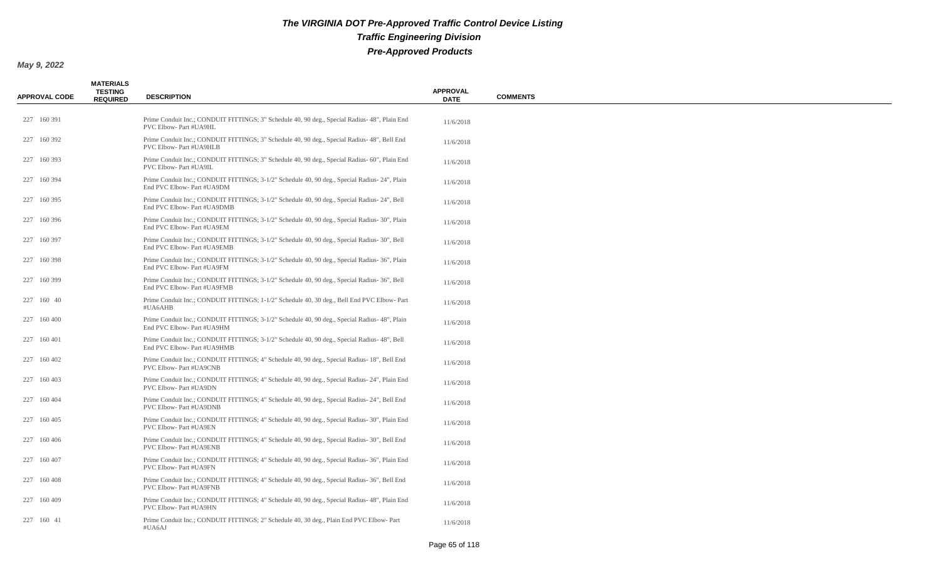| <b>APPROVAL CODE</b> | <b>MATERIALS</b><br><b>TESTING</b><br><b>REQUIRED</b> | <b>DESCRIPTION</b>                                                                                                            | <b>APPROVAL</b><br><b>DATE</b> | <b>COMMENTS</b> |
|----------------------|-------------------------------------------------------|-------------------------------------------------------------------------------------------------------------------------------|--------------------------------|-----------------|
| 227 160 391          |                                                       | Prime Conduit Inc.; CONDUIT FITTINGS; 3" Schedule 40, 90 deg., Special Radius- 48", Plain End<br>PVC Elbow- Part #UA9HL       | 11/6/2018                      |                 |
| 227 160 392          |                                                       | Prime Conduit Inc.; CONDUIT FITTINGS; 3" Schedule 40, 90 deg., Special Radius- 48", Bell End<br>PVC Elbow- Part #UA9HLB       | 11/6/2018                      |                 |
| 227 160 393          |                                                       | Prime Conduit Inc.; CONDUIT FITTINGS; 3" Schedule 40, 90 deg., Special Radius- 60", Plain End<br>PVC Elbow- Part #UA9IL       | 11/6/2018                      |                 |
| 227 160 394          |                                                       | Prime Conduit Inc.; CONDUIT FITTINGS; 3-1/2" Schedule 40, 90 deg., Special Radius- 24", Plain<br>End PVC Elbow- Part #UA9DM   | 11/6/2018                      |                 |
| 227 160 395          |                                                       | Prime Conduit Inc.; CONDUIT FITTINGS; 3-1/2" Schedule 40, 90 deg., Special Radius-24", Bell<br>End PVC Elbow- Part #UA9DMB    | 11/6/2018                      |                 |
| 227 160 396          |                                                       | Prime Conduit Inc.; CONDUIT FITTINGS; 3-1/2" Schedule 40, 90 deg., Special Radius- 30", Plain<br>End PVC Elbow- Part #UA9EM   | 11/6/2018                      |                 |
| 227 160 397          |                                                       | Prime Conduit Inc.; CONDUIT FITTINGS; 3-1/2" Schedule 40, 90 deg., Special Radius-30", Bell<br>End PVC Elbow- Part #UA9EMB    | 11/6/2018                      |                 |
| 227 160 398          |                                                       | Prime Conduit Inc.; CONDUIT FITTINGS; 3-1/2" Schedule 40, 90 deg., Special Radius- 36", Plain<br>End PVC Elbow- Part #UA9FM   | 11/6/2018                      |                 |
| 227 160 399          |                                                       | Prime Conduit Inc.; CONDUIT FITTINGS; 3-1/2" Schedule 40, 90 deg., Special Radius-36", Bell<br>End PVC Elbow- Part #UA9FMB    | 11/6/2018                      |                 |
| 227 160 40           |                                                       | Prime Conduit Inc.; CONDUIT FITTINGS; 1-1/2" Schedule 40, 30 deg., Bell End PVC Elbow- Part<br>#UA6AHB                        | 11/6/2018                      |                 |
| 227 160 400          |                                                       | Prime Conduit Inc.; CONDUIT FITTINGS; 3-1/2" Schedule 40, 90 deg., Special Radius- 48", Plain<br>End PVC Elbow- Part #UA9HM   | 11/6/2018                      |                 |
| 227 160 401          |                                                       | Prime Conduit Inc.; CONDUIT FITTINGS; 3-1/2" Schedule 40, 90 deg., Special Radius- 48", Bell<br>End PVC Elbow- Part #UA9HMB   | 11/6/2018                      |                 |
| 227 160 402          |                                                       | Prime Conduit Inc.; CONDUIT FITTINGS; 4" Schedule 40, 90 deg., Special Radius-18", Bell End<br><b>PVC Elbow-Part #UA9CNB</b>  | 11/6/2018                      |                 |
| 227 160 403          |                                                       | Prime Conduit Inc.; CONDUIT FITTINGS; 4" Schedule 40, 90 deg., Special Radius- 24", Plain End<br>PVC Elbow- Part #UA9DN       | 11/6/2018                      |                 |
| 227 160 404          |                                                       | Prime Conduit Inc.; CONDUIT FITTINGS; 4" Schedule 40, 90 deg., Special Radius- 24", Bell End<br>PVC Elbow- Part #UA9DNB       | 11/6/2018                      |                 |
| 227 160 405          |                                                       | Prime Conduit Inc.; CONDUIT FITTINGS; 4" Schedule 40, 90 deg., Special Radius-30", Plain End<br>PVC Elbow- Part #UA9EN        | 11/6/2018                      |                 |
| 227 160 406          |                                                       | Prime Conduit Inc.; CONDUIT FITTINGS; 4" Schedule 40, 90 deg., Special Radius- 30", Bell End<br><b>PVC Elbow-Part #UA9ENB</b> | 11/6/2018                      |                 |
| 227 160 407          |                                                       | Prime Conduit Inc.; CONDUIT FITTINGS; 4" Schedule 40, 90 deg., Special Radius-36", Plain End<br>PVC Elbow- Part #UA9FN        | 11/6/2018                      |                 |
| 227 160 408          |                                                       | Prime Conduit Inc.; CONDUIT FITTINGS; 4" Schedule 40, 90 deg., Special Radius-36", Bell End<br><b>PVC Elbow-Part #UA9FNB</b>  | 11/6/2018                      |                 |
| 227 160 409          |                                                       | Prime Conduit Inc.; CONDUIT FITTINGS; 4" Schedule 40, 90 deg., Special Radius- 48", Plain End<br>PVC Elbow- Part #UA9HN       | 11/6/2018                      |                 |
| 227 160 41           |                                                       | Prime Conduit Inc.; CONDUIT FITTINGS; 2" Schedule 40, 30 deg., Plain End PVC Elbow-Part<br>#UA6AJ                             | 11/6/2018                      |                 |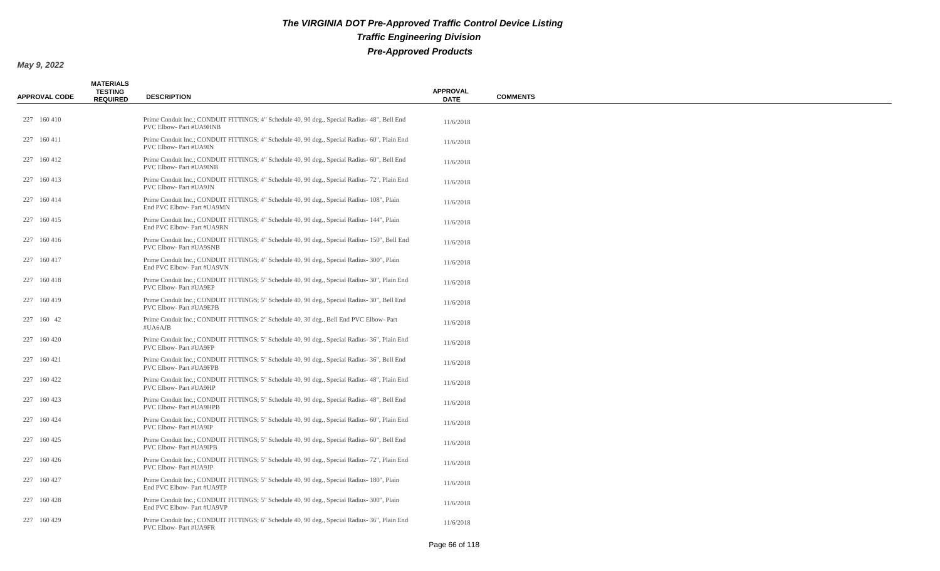| <b>APPROVAL CODE</b> | <b>MATERIALS</b><br><b>TESTING</b><br><b>REQUIRED</b> | <b>DESCRIPTION</b>                                                                                                       | <b>APPROVAL</b><br><b>DATE</b> | <b>COMMENTS</b> |
|----------------------|-------------------------------------------------------|--------------------------------------------------------------------------------------------------------------------------|--------------------------------|-----------------|
| 227 160 410          |                                                       | Prime Conduit Inc.; CONDUIT FITTINGS; 4" Schedule 40, 90 deg., Special Radius- 48", Bell End<br>PVC Elbow- Part #UA9HNB  | 11/6/2018                      |                 |
| 227 160 411          |                                                       | Prime Conduit Inc.; CONDUIT FITTINGS; 4" Schedule 40, 90 deg., Special Radius- 60", Plain End<br>PVC Elbow- Part #UA9IN  | 11/6/2018                      |                 |
| 227 160 412          |                                                       | Prime Conduit Inc.; CONDUIT FITTINGS; 4" Schedule 40, 90 deg., Special Radius- 60", Bell End<br>PVC Elbow- Part #UA9INB  | 11/6/2018                      |                 |
| 227 160 413          |                                                       | Prime Conduit Inc.; CONDUIT FITTINGS; 4" Schedule 40, 90 deg., Special Radius- 72", Plain End<br>PVC Elbow- Part #UA9JN  | 11/6/2018                      |                 |
| 227 160 414          |                                                       | Prime Conduit Inc.; CONDUIT FITTINGS; 4" Schedule 40, 90 deg., Special Radius- 108", Plain<br>End PVC Elbow- Part #UA9MN | 11/6/2018                      |                 |
| 227 160 415          |                                                       | Prime Conduit Inc.; CONDUIT FITTINGS; 4" Schedule 40, 90 deg., Special Radius- 144", Plain<br>End PVC Elbow- Part #UA9RN | 11/6/2018                      |                 |
| 227 160 416          |                                                       | Prime Conduit Inc.; CONDUIT FITTINGS; 4" Schedule 40, 90 deg., Special Radius-150", Bell End<br>PVC Elbow- Part #UA9SNB  | 11/6/2018                      |                 |
| 227 160 417          |                                                       | Prime Conduit Inc.; CONDUIT FITTINGS; 4" Schedule 40, 90 deg., Special Radius- 300", Plain<br>End PVC Elbow- Part #UA9VN | 11/6/2018                      |                 |
| 227 160 418          |                                                       | Prime Conduit Inc.; CONDUIT FITTINGS; 5" Schedule 40, 90 deg., Special Radius-30", Plain End<br>PVC Elbow- Part #UA9EP   | 11/6/2018                      |                 |
| 227 160 419          |                                                       | Prime Conduit Inc.; CONDUIT FITTINGS; 5" Schedule 40, 90 deg., Special Radius-30", Bell End<br>PVC Elbow- Part #UA9EPB   | 11/6/2018                      |                 |
| 227 160 42           |                                                       | Prime Conduit Inc.; CONDUIT FITTINGS; 2" Schedule 40, 30 deg., Bell End PVC Elbow- Part<br>#UA6AJB                       | 11/6/2018                      |                 |
| 227 160 420          |                                                       | Prime Conduit Inc.; CONDUIT FITTINGS; 5" Schedule 40, 90 deg., Special Radius- 36", Plain End<br>PVC Elbow- Part #UA9FP  | 11/6/2018                      |                 |
| 227 160 421          |                                                       | Prime Conduit Inc.; CONDUIT FITTINGS; 5" Schedule 40, 90 deg., Special Radius- 36", Bell End<br>PVC Elbow- Part #UA9FPB  | 11/6/2018                      |                 |
| 227 160 422          |                                                       | Prime Conduit Inc.; CONDUIT FITTINGS; 5" Schedule 40, 90 deg., Special Radius- 48", Plain End<br>PVC Elbow- Part #UA9HP  | 11/6/2018                      |                 |
| 227 160 423          |                                                       | Prime Conduit Inc.; CONDUIT FITTINGS; 5" Schedule 40, 90 deg., Special Radius- 48", Bell End<br>PVC Elbow- Part #UA9HPB  | 11/6/2018                      |                 |
| 227 160 424          |                                                       | Prime Conduit Inc.; CONDUIT FITTINGS; 5" Schedule 40, 90 deg., Special Radius- 60", Plain End<br>PVC Elbow- Part #UA9IP  | 11/6/2018                      |                 |
| 227 160 425          |                                                       | Prime Conduit Inc.; CONDUIT FITTINGS; 5" Schedule 40, 90 deg., Special Radius- 60", Bell End<br>PVC Elbow- Part #UA9IPB  | 11/6/2018                      |                 |
| 227 160 426          |                                                       | Prime Conduit Inc.; CONDUIT FITTINGS; 5" Schedule 40, 90 deg., Special Radius- 72", Plain End<br>PVC Elbow- Part #UA9JP  | 11/6/2018                      |                 |
| 227 160 427          |                                                       | Prime Conduit Inc.; CONDUIT FITTINGS; 5" Schedule 40, 90 deg., Special Radius- 180", Plain<br>End PVC Elbow- Part #UA9TP | 11/6/2018                      |                 |
| 227 160 428          |                                                       | Prime Conduit Inc.; CONDUIT FITTINGS; 5" Schedule 40, 90 deg., Special Radius- 300", Plain<br>End PVC Elbow- Part #UA9VP | 11/6/2018                      |                 |
| 227 160 429          |                                                       | Prime Conduit Inc.; CONDUIT FITTINGS; 6" Schedule 40, 90 deg., Special Radius-36", Plain End<br>PVC Elbow- Part #UA9FR   | 11/6/2018                      |                 |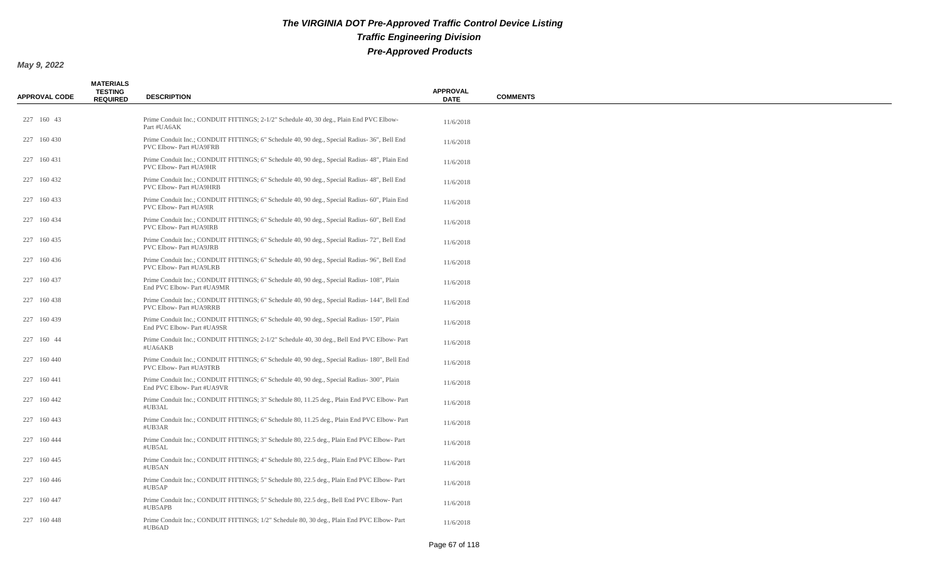| <b>APPROVAL CODE</b> | <b>MATERIALS</b><br><b>TESTING</b><br><b>REQUIRED</b> | <b>DESCRIPTION</b>                                                                                                       | <b>APPROVAL</b><br><b>DATE</b> | <b>COMMENTS</b> |
|----------------------|-------------------------------------------------------|--------------------------------------------------------------------------------------------------------------------------|--------------------------------|-----------------|
| 227 160 43           |                                                       | Prime Conduit Inc.; CONDUIT FITTINGS; 2-1/2" Schedule 40, 30 deg., Plain End PVC Elbow-<br>Part #UA6AK                   | 11/6/2018                      |                 |
| 227 160 430          |                                                       | Prime Conduit Inc.; CONDUIT FITTINGS; 6" Schedule 40, 90 deg., Special Radius- 36", Bell End<br>PVC Elbow- Part #UA9FRB  | 11/6/2018                      |                 |
| 227 160 431          |                                                       | Prime Conduit Inc.; CONDUIT FITTINGS; 6" Schedule 40, 90 deg., Special Radius-48", Plain End<br>PVC Elbow- Part #UA9HR   | 11/6/2018                      |                 |
| 227 160 432          |                                                       | Prime Conduit Inc.; CONDUIT FITTINGS; 6" Schedule 40, 90 deg., Special Radius- 48", Bell End<br>PVC Elbow- Part #UA9HRB  | 11/6/2018                      |                 |
| 227 160 433          |                                                       | Prime Conduit Inc.; CONDUIT FITTINGS; 6" Schedule 40, 90 deg., Special Radius- 60", Plain End<br>PVC Elbow- Part #UA9IR  | 11/6/2018                      |                 |
| 227 160 434          |                                                       | Prime Conduit Inc.; CONDUIT FITTINGS; 6" Schedule 40, 90 deg., Special Radius- 60", Bell End<br>PVC Elbow- Part #UA9IRB  | 11/6/2018                      |                 |
| 227 160 435          |                                                       | Prime Conduit Inc.; CONDUIT FITTINGS; 6" Schedule 40, 90 deg., Special Radius- 72", Bell End<br>PVC Elbow- Part #UA9JRB  | 11/6/2018                      |                 |
| 227 160 436          |                                                       | Prime Conduit Inc.; CONDUIT FITTINGS; 6" Schedule 40, 90 deg., Special Radius-96", Bell End<br>PVC Elbow- Part #UA9LRB   | 11/6/2018                      |                 |
| 227 160 437          |                                                       | Prime Conduit Inc.; CONDUIT FITTINGS; 6" Schedule 40, 90 deg., Special Radius- 108", Plain<br>End PVC Elbow- Part #UA9MR | 11/6/2018                      |                 |
| 227 160 438          |                                                       | Prime Conduit Inc.; CONDUIT FITTINGS; 6" Schedule 40, 90 deg., Special Radius-144", Bell End<br>PVC Elbow- Part #UA9RRB  | 11/6/2018                      |                 |
| 227 160 439          |                                                       | Prime Conduit Inc.; CONDUIT FITTINGS; 6" Schedule 40, 90 deg., Special Radius-150", Plain<br>End PVC Elbow- Part #UA9SR  | 11/6/2018                      |                 |
| 227 160 44           |                                                       | Prime Conduit Inc.; CONDUIT FITTINGS; 2-1/2" Schedule 40, 30 deg., Bell End PVC Elbow-Part<br>#UA6AKB                    | 11/6/2018                      |                 |
| 227 160 440          |                                                       | Prime Conduit Inc.; CONDUIT FITTINGS; 6" Schedule 40, 90 deg., Special Radius- 180", Bell End<br>PVC Elbow- Part #UA9TRB | 11/6/2018                      |                 |
| 227 160 441          |                                                       | Prime Conduit Inc.; CONDUIT FITTINGS; 6" Schedule 40, 90 deg., Special Radius- 300", Plain<br>End PVC Elbow- Part #UA9VR | 11/6/2018                      |                 |
| 227 160 442          |                                                       | Prime Conduit Inc.; CONDUIT FITTINGS; 3" Schedule 80, 11.25 deg., Plain End PVC Elbow-Part<br>#UB3AL                     | 11/6/2018                      |                 |
| 227 160 443          |                                                       | Prime Conduit Inc.; CONDUIT FITTINGS; 6" Schedule 80, 11.25 deg., Plain End PVC Elbow-Part<br>#UB3AR                     | 11/6/2018                      |                 |
| 227 160 444          |                                                       | Prime Conduit Inc.; CONDUIT FITTINGS; 3" Schedule 80, 22.5 deg., Plain End PVC Elbow-Part<br>#UB5AL                      | 11/6/2018                      |                 |
| 227 160 445          |                                                       | Prime Conduit Inc.; CONDUIT FITTINGS; 4" Schedule 80, 22.5 deg., Plain End PVC Elbow-Part<br>#UB5AN                      | 11/6/2018                      |                 |
| 227 160 446          |                                                       | Prime Conduit Inc.; CONDUIT FITTINGS; 5" Schedule 80, 22.5 deg., Plain End PVC Elbow-Part<br>#UB5AP                      | 11/6/2018                      |                 |
| 227 160 447          |                                                       | Prime Conduit Inc.; CONDUIT FITTINGS; 5" Schedule 80, 22.5 deg., Bell End PVC Elbow-Part<br>#UB5APB                      | 11/6/2018                      |                 |
| 227 160 448          |                                                       | Prime Conduit Inc.; CONDUIT FITTINGS; 1/2" Schedule 80, 30 deg., Plain End PVC Elbow-Part<br>#UB6AD                      | 11/6/2018                      |                 |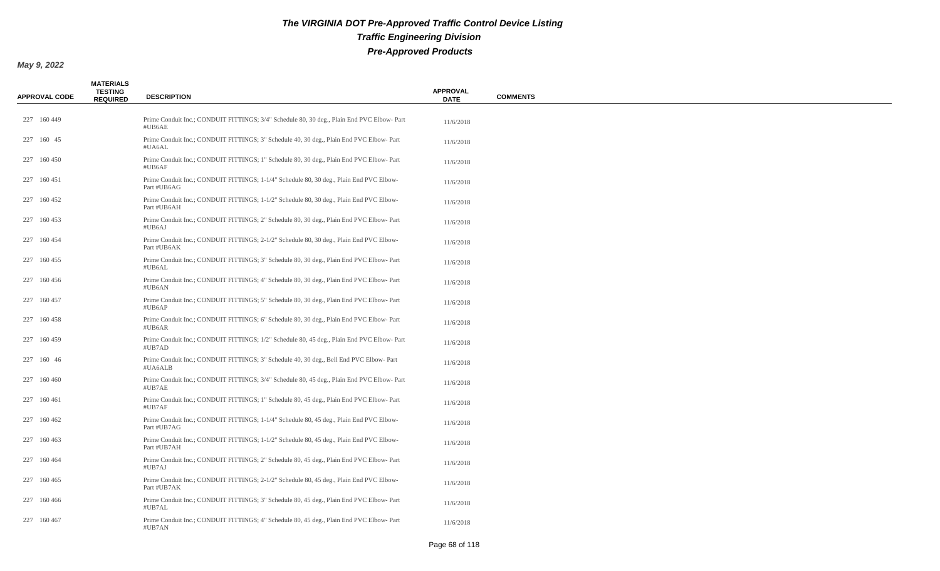| <b>APPROVAL CODE</b> | <b>MATERIALS</b><br><b>TESTING</b><br><b>REQUIRED</b> | <b>DESCRIPTION</b>                                                                                     | <b>APPROVAL</b><br><b>DATE</b> | <b>COMMENTS</b> |
|----------------------|-------------------------------------------------------|--------------------------------------------------------------------------------------------------------|--------------------------------|-----------------|
| 227 160 449          |                                                       | Prime Conduit Inc.; CONDUIT FITTINGS; 3/4" Schedule 80, 30 deg., Plain End PVC Elbow-Part<br>#UB6AE    | 11/6/2018                      |                 |
| 227 160 45           |                                                       | Prime Conduit Inc.; CONDUIT FITTINGS; 3" Schedule 40, 30 deg., Plain End PVC Elbow-Part<br>#UA6AL      | 11/6/2018                      |                 |
| 227 160 450          |                                                       | Prime Conduit Inc.; CONDUIT FITTINGS; 1" Schedule 80, 30 deg., Plain End PVC Elbow-Part<br>#UB6AF      | 11/6/2018                      |                 |
| 227 160 451          |                                                       | Prime Conduit Inc.; CONDUIT FITTINGS; 1-1/4" Schedule 80, 30 deg., Plain End PVC Elbow-<br>Part #UB6AG | 11/6/2018                      |                 |
| 227 160 452          |                                                       | Prime Conduit Inc.; CONDUIT FITTINGS; 1-1/2" Schedule 80, 30 deg., Plain End PVC Elbow-<br>Part #UB6AH | 11/6/2018                      |                 |
| 227 160 453          |                                                       | Prime Conduit Inc.; CONDUIT FITTINGS; 2" Schedule 80, 30 deg., Plain End PVC Elbow-Part<br>#UB6AJ      | 11/6/2018                      |                 |
| 227 160 454          |                                                       | Prime Conduit Inc.; CONDUIT FITTINGS; 2-1/2" Schedule 80, 30 deg., Plain End PVC Elbow-<br>Part #UB6AK | 11/6/2018                      |                 |
| 227 160 455          |                                                       | Prime Conduit Inc.; CONDUIT FITTINGS; 3" Schedule 80, 30 deg., Plain End PVC Elbow-Part<br>#UB6AL      | 11/6/2018                      |                 |
| 227 160 456          |                                                       | Prime Conduit Inc.; CONDUIT FITTINGS; 4" Schedule 80, 30 deg., Plain End PVC Elbow-Part<br>#UB6AN      | 11/6/2018                      |                 |
| 227 160 457          |                                                       | Prime Conduit Inc.; CONDUIT FITTINGS; 5" Schedule 80, 30 deg., Plain End PVC Elbow-Part<br>#UB6AP      | 11/6/2018                      |                 |
| 227 160 458          |                                                       | Prime Conduit Inc.; CONDUIT FITTINGS; 6" Schedule 80, 30 deg., Plain End PVC Elbow-Part<br>#UB6AR      | 11/6/2018                      |                 |
| 227 160 459          |                                                       | Prime Conduit Inc.; CONDUIT FITTINGS; 1/2" Schedule 80, 45 deg., Plain End PVC Elbow-Part<br>#UB7AD    | 11/6/2018                      |                 |
| 227 160 46           |                                                       | Prime Conduit Inc.; CONDUIT FITTINGS; 3" Schedule 40, 30 deg., Bell End PVC Elbow-Part<br>#UA6ALB      | 11/6/2018                      |                 |
| 227 160 460          |                                                       | Prime Conduit Inc.; CONDUIT FITTINGS; 3/4" Schedule 80, 45 deg., Plain End PVC Elbow- Part<br>#UB7AE   | 11/6/2018                      |                 |
| 227 160 461          |                                                       | Prime Conduit Inc.; CONDUIT FITTINGS; 1" Schedule 80, 45 deg., Plain End PVC Elbow-Part<br>#UB7AF      | 11/6/2018                      |                 |
| 227 160 462          |                                                       | Prime Conduit Inc.; CONDUIT FITTINGS; 1-1/4" Schedule 80, 45 deg., Plain End PVC Elbow-<br>Part #UB7AG | 11/6/2018                      |                 |
| 227 160 463          |                                                       | Prime Conduit Inc.; CONDUIT FITTINGS; 1-1/2" Schedule 80, 45 deg., Plain End PVC Elbow-<br>Part #UB7AH | 11/6/2018                      |                 |
| 227 160 464          |                                                       | Prime Conduit Inc.; CONDUIT FITTINGS; 2" Schedule 80, 45 deg., Plain End PVC Elbow-Part<br>#UB7AJ      | 11/6/2018                      |                 |
| 227 160 465          |                                                       | Prime Conduit Inc.; CONDUIT FITTINGS; 2-1/2" Schedule 80, 45 deg., Plain End PVC Elbow-<br>Part #UB7AK | 11/6/2018                      |                 |
| 227 160 466          |                                                       | Prime Conduit Inc.; CONDUIT FITTINGS; 3" Schedule 80, 45 deg., Plain End PVC Elbow-Part<br>#UB7AL      | 11/6/2018                      |                 |
| 227 160 467          |                                                       | Prime Conduit Inc.; CONDUIT FITTINGS; 4" Schedule 80, 45 deg., Plain End PVC Elbow-Part<br>#UB7AN      | 11/6/2018                      |                 |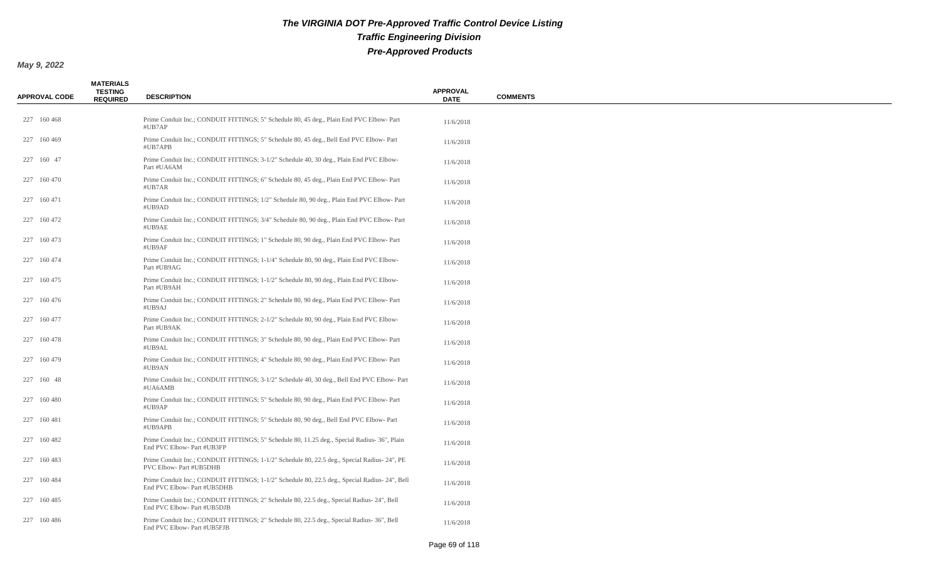| <b>APPROVAL CODE</b> | <b>MATERIALS</b><br><b>TESTING</b><br><b>REQUIRED</b> | <b>DESCRIPTION</b>                                                                                                            | <b>APPROVAL</b><br><b>DATE</b> | <b>COMMENTS</b> |
|----------------------|-------------------------------------------------------|-------------------------------------------------------------------------------------------------------------------------------|--------------------------------|-----------------|
| 227 160 468          |                                                       | Prime Conduit Inc.; CONDUIT FITTINGS; 5" Schedule 80, 45 deg., Plain End PVC Elbow-Part<br>#UB7AP                             | 11/6/2018                      |                 |
| 227 160 469          |                                                       | Prime Conduit Inc.; CONDUIT FITTINGS; 5" Schedule 80, 45 deg., Bell End PVC Elbow-Part<br>#UB7APB                             | 11/6/2018                      |                 |
| 227 160 47           |                                                       | Prime Conduit Inc.; CONDUIT FITTINGS; 3-1/2" Schedule 40, 30 deg., Plain End PVC Elbow-<br>Part #UA6AM                        | 11/6/2018                      |                 |
| 227 160 470          |                                                       | Prime Conduit Inc.; CONDUIT FITTINGS; 6" Schedule 80, 45 deg., Plain End PVC Elbow-Part<br>#UB7AR                             | 11/6/2018                      |                 |
| 227 160 471          |                                                       | Prime Conduit Inc.; CONDUIT FITTINGS; 1/2" Schedule 80, 90 deg., Plain End PVC Elbow-Part<br>#UB9AD                           | 11/6/2018                      |                 |
| 227 160 472          |                                                       | Prime Conduit Inc.; CONDUIT FITTINGS; 3/4" Schedule 80, 90 deg., Plain End PVC Elbow-Part<br>#UB9AE                           | 11/6/2018                      |                 |
| 227 160 473          |                                                       | Prime Conduit Inc.; CONDUIT FITTINGS; 1" Schedule 80, 90 deg., Plain End PVC Elbow-Part<br>#UB9AF                             | 11/6/2018                      |                 |
| 227 160 474          |                                                       | Prime Conduit Inc.; CONDUIT FITTINGS; 1-1/4" Schedule 80, 90 deg., Plain End PVC Elbow-<br>Part #UB9AG                        | 11/6/2018                      |                 |
| 227 160 475          |                                                       | Prime Conduit Inc.; CONDUIT FITTINGS; 1-1/2" Schedule 80, 90 deg., Plain End PVC Elbow-<br>Part #UB9AH                        | 11/6/2018                      |                 |
| 227 160 476          |                                                       | Prime Conduit Inc.; CONDUIT FITTINGS; 2" Schedule 80, 90 deg., Plain End PVC Elbow-Part<br>#UB9AJ                             | 11/6/2018                      |                 |
| 227 160 477          |                                                       | Prime Conduit Inc.; CONDUIT FITTINGS; 2-1/2" Schedule 80, 90 deg., Plain End PVC Elbow-<br>Part #UB9AK                        | 11/6/2018                      |                 |
| 227 160 478          |                                                       | Prime Conduit Inc.; CONDUIT FITTINGS; 3" Schedule 80, 90 deg., Plain End PVC Elbow-Part<br>#UB9AL                             | 11/6/2018                      |                 |
| 227 160 479          |                                                       | Prime Conduit Inc.; CONDUIT FITTINGS; 4" Schedule 80, 90 deg., Plain End PVC Elbow-Part<br>#UB9AN                             | 11/6/2018                      |                 |
| 227 160 48           |                                                       | Prime Conduit Inc.; CONDUIT FITTINGS; 3-1/2" Schedule 40, 30 deg., Bell End PVC Elbow-Part<br>#UA6AMB                         | 11/6/2018                      |                 |
| 227 160 480          |                                                       | Prime Conduit Inc.; CONDUIT FITTINGS; 5" Schedule 80, 90 deg., Plain End PVC Elbow-Part<br>#UB9AP                             | 11/6/2018                      |                 |
| 227 160 481          |                                                       | Prime Conduit Inc.; CONDUIT FITTINGS; 5" Schedule 80, 90 deg., Bell End PVC Elbow-Part<br>#UB9APB                             | 11/6/2018                      |                 |
| 227 160 482          |                                                       | Prime Conduit Inc.; CONDUIT FITTINGS; 5" Schedule 80, 11.25 deg., Special Radius-36", Plain<br>End PVC Elbow- Part #UB3FP     | 11/6/2018                      |                 |
| 227 160 483          |                                                       | Prime Conduit Inc.; CONDUIT FITTINGS; 1-1/2" Schedule 80, 22.5 deg., Special Radius- 24", PE<br>PVC Elbow- Part #UB5DHB       | 11/6/2018                      |                 |
| 227 160 484          |                                                       | Prime Conduit Inc.; CONDUIT FITTINGS; 1-1/2" Schedule 80, 22.5 deg., Special Radius- 24", Bell<br>End PVC Elbow- Part #UB5DHB | 11/6/2018                      |                 |
| 227 160 485          |                                                       | Prime Conduit Inc.; CONDUIT FITTINGS; 2" Schedule 80, 22.5 deg., Special Radius-24", Bell<br>End PVC Elbow- Part #UB5DJB      | 11/6/2018                      |                 |
| 227 160 486          |                                                       | Prime Conduit Inc.; CONDUIT FITTINGS; 2" Schedule 80, 22.5 deg., Special Radius-36", Bell<br>End PVC Elbow- Part #UB5FJB      | 11/6/2018                      |                 |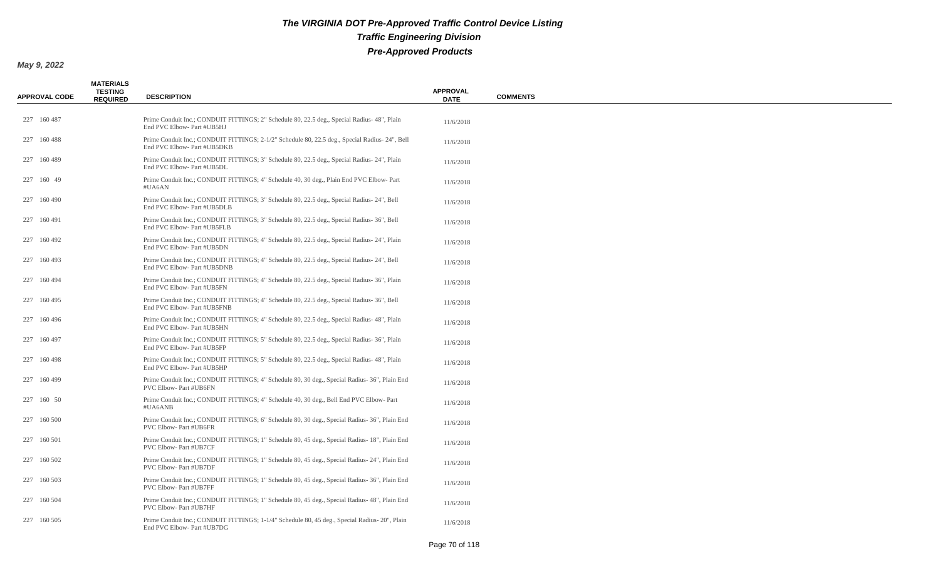| <b>APPROVAL CODE</b> | <b>MATERIALS</b><br><b>TESTING</b><br><b>REQUIRED</b> | <b>DESCRIPTION</b>                                                                                                           | <b>APPROVAL</b><br><b>DATE</b> | <b>COMMENTS</b> |
|----------------------|-------------------------------------------------------|------------------------------------------------------------------------------------------------------------------------------|--------------------------------|-----------------|
| 227 160 487          |                                                       | Prime Conduit Inc.; CONDUIT FITTINGS; 2" Schedule 80, 22.5 deg., Special Radius- 48", Plain<br>End PVC Elbow- Part #UB5HJ    | 11/6/2018                      |                 |
| 227 160 488          |                                                       | Prime Conduit Inc.; CONDUIT FITTINGS; 2-1/2" Schedule 80, 22.5 deg., Special Radius-24", Bell<br>End PVC Elbow- Part #UB5DKB | 11/6/2018                      |                 |
| 227 160 489          |                                                       | Prime Conduit Inc.; CONDUIT FITTINGS; 3" Schedule 80, 22.5 deg., Special Radius- 24", Plain<br>End PVC Elbow- Part #UB5DL    | 11/6/2018                      |                 |
| 227 160 49           |                                                       | Prime Conduit Inc.; CONDUIT FITTINGS; 4" Schedule 40, 30 deg., Plain End PVC Elbow-Part<br>#UA6AN                            | 11/6/2018                      |                 |
| 227 160 490          |                                                       | Prime Conduit Inc.; CONDUIT FITTINGS; 3" Schedule 80, 22.5 deg., Special Radius- 24", Bell<br>End PVC Elbow- Part #UB5DLB    | 11/6/2018                      |                 |
| 227 160 491          |                                                       | Prime Conduit Inc.; CONDUIT FITTINGS; 3" Schedule 80, 22.5 deg., Special Radius-36", Bell<br>End PVC Elbow- Part #UB5FLB     | 11/6/2018                      |                 |
| 227 160 492          |                                                       | Prime Conduit Inc.; CONDUIT FITTINGS; 4" Schedule 80, 22.5 deg., Special Radius- 24", Plain<br>End PVC Elbow- Part #UB5DN    | 11/6/2018                      |                 |
| 227 160 493          |                                                       | Prime Conduit Inc.; CONDUIT FITTINGS; 4" Schedule 80, 22.5 deg., Special Radius-24", Bell<br>End PVC Elbow- Part #UB5DNB     | 11/6/2018                      |                 |
| 227 160 494          |                                                       | Prime Conduit Inc.; CONDUIT FITTINGS; 4" Schedule 80, 22.5 deg., Special Radius- 36", Plain<br>End PVC Elbow- Part #UB5FN    | 11/6/2018                      |                 |
| 227 160 495          |                                                       | Prime Conduit Inc.; CONDUIT FITTINGS; 4" Schedule 80, 22.5 deg., Special Radius-36", Bell<br>End PVC Elbow- Part #UB5FNB     | 11/6/2018                      |                 |
| 227 160 496          |                                                       | Prime Conduit Inc.; CONDUIT FITTINGS; 4" Schedule 80, 22.5 deg., Special Radius- 48", Plain<br>End PVC Elbow- Part #UB5HN    | 11/6/2018                      |                 |
| 227 160 497          |                                                       | Prime Conduit Inc.; CONDUIT FITTINGS; 5" Schedule 80, 22.5 deg., Special Radius- 36", Plain<br>End PVC Elbow- Part #UB5FP    | 11/6/2018                      |                 |
| 227 160 498          |                                                       | Prime Conduit Inc.; CONDUIT FITTINGS; 5" Schedule 80, 22.5 deg., Special Radius- 48", Plain<br>End PVC Elbow- Part #UB5HP    | 11/6/2018                      |                 |
| 227 160 499          |                                                       | Prime Conduit Inc.; CONDUIT FITTINGS; 4" Schedule 80, 30 deg., Special Radius- 36", Plain End<br>PVC Elbow- Part #UB6FN      | 11/6/2018                      |                 |
| 227 160 50           |                                                       | Prime Conduit Inc.; CONDUIT FITTINGS; 4" Schedule 40, 30 deg., Bell End PVC Elbow-Part<br>#UA6ANB                            | 11/6/2018                      |                 |
| 227 160 500          |                                                       | Prime Conduit Inc.; CONDUIT FITTINGS; 6" Schedule 80, 30 deg., Special Radius-36", Plain End<br>PVC Elbow- Part #UB6FR       | 11/6/2018                      |                 |
| 227 160 501          |                                                       | Prime Conduit Inc.; CONDUIT FITTINGS; 1" Schedule 80, 45 deg., Special Radius-18", Plain End<br>PVC Elbow- Part #UB7CF       | 11/6/2018                      |                 |
| 227 160 502          |                                                       | Prime Conduit Inc.; CONDUIT FITTINGS; 1" Schedule 80, 45 deg., Special Radius-24", Plain End<br>PVC Elbow- Part #UB7DF       | 11/6/2018                      |                 |
| 227 160 503          |                                                       | Prime Conduit Inc.; CONDUIT FITTINGS; 1" Schedule 80, 45 deg., Special Radius- 36", Plain End<br>PVC Elbow- Part #UB7FF      | 11/6/2018                      |                 |
| 227 160 504          |                                                       | Prime Conduit Inc.; CONDUIT FITTINGS; 1" Schedule 80, 45 deg., Special Radius- 48", Plain End<br>PVC Elbow- Part #UB7HF      | 11/6/2018                      |                 |
| 227 160 505          |                                                       | Prime Conduit Inc.; CONDUIT FITTINGS; 1-1/4" Schedule 80, 45 deg., Special Radius- 20", Plain<br>End PVC Elbow- Part #UB7DG  | 11/6/2018                      |                 |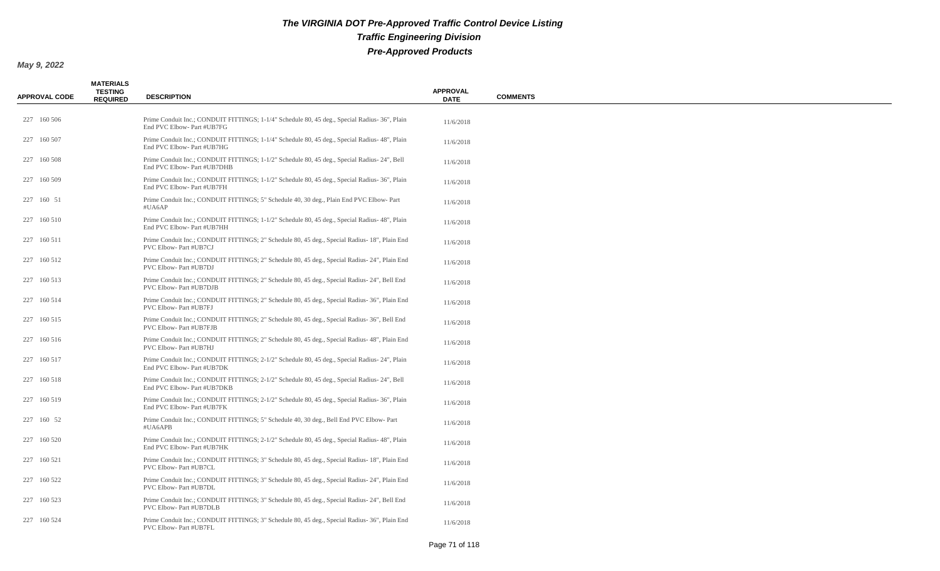| <b>APPROVAL CODE</b> | <b>MATERIALS</b><br><b>TESTING</b><br><b>REQUIRED</b> | <b>DESCRIPTION</b>                                                                                                          | <b>APPROVAL</b><br><b>DATE</b> | <b>COMMENTS</b> |
|----------------------|-------------------------------------------------------|-----------------------------------------------------------------------------------------------------------------------------|--------------------------------|-----------------|
| 227 160 506          |                                                       | Prime Conduit Inc.; CONDUIT FITTINGS; 1-1/4" Schedule 80, 45 deg., Special Radius- 36", Plain<br>End PVC Elbow- Part #UB7FG | 11/6/2018                      |                 |
| 227 160 507          |                                                       | Prime Conduit Inc.; CONDUIT FITTINGS; 1-1/4" Schedule 80, 45 deg., Special Radius- 48", Plain<br>End PVC Elbow- Part #UB7HG | 11/6/2018                      |                 |
| 227 160 508          |                                                       | Prime Conduit Inc.; CONDUIT FITTINGS; 1-1/2" Schedule 80, 45 deg., Special Radius-24", Bell<br>End PVC Elbow- Part #UB7DHB  | 11/6/2018                      |                 |
| 227 160 509          |                                                       | Prime Conduit Inc.; CONDUIT FITTINGS; 1-1/2" Schedule 80, 45 deg., Special Radius- 36", Plain<br>End PVC Elbow- Part #UB7FH | 11/6/2018                      |                 |
| 227 160 51           |                                                       | Prime Conduit Inc.; CONDUIT FITTINGS; 5" Schedule 40, 30 deg., Plain End PVC Elbow-Part<br>#UA6AP                           | 11/6/2018                      |                 |
| 227 160 510          |                                                       | Prime Conduit Inc.; CONDUIT FITTINGS; 1-1/2" Schedule 80, 45 deg., Special Radius- 48", Plain<br>End PVC Elbow- Part #UB7HH | 11/6/2018                      |                 |
| 227 160 511          |                                                       | Prime Conduit Inc.; CONDUIT FITTINGS; 2" Schedule 80, 45 deg., Special Radius-18", Plain End<br>PVC Elbow- Part #UB7CJ      | 11/6/2018                      |                 |
| 227 160 512          |                                                       | Prime Conduit Inc.; CONDUIT FITTINGS; 2" Schedule 80, 45 deg., Special Radius- 24", Plain End<br>PVC Elbow- Part #UB7DJ     | 11/6/2018                      |                 |
| 227 160 513          |                                                       | Prime Conduit Inc.; CONDUIT FITTINGS; 2" Schedule 80, 45 deg., Special Radius- 24", Bell End<br>PVC Elbow- Part #UB7DJB     | 11/6/2018                      |                 |
| 227 160 514          |                                                       | Prime Conduit Inc.; CONDUIT FITTINGS; 2" Schedule 80, 45 deg., Special Radius- 36", Plain End<br>PVC Elbow- Part #UB7FJ     | 11/6/2018                      |                 |
| 227 160 515          |                                                       | Prime Conduit Inc.; CONDUIT FITTINGS; 2" Schedule 80, 45 deg., Special Radius- 36", Bell End<br>PVC Elbow- Part #UB7FJB     | 11/6/2018                      |                 |
| 227 160 516          |                                                       | Prime Conduit Inc.; CONDUIT FITTINGS; 2" Schedule 80, 45 deg., Special Radius-48", Plain End<br>PVC Elbow- Part #UB7HJ      | 11/6/2018                      |                 |
| 227 160 517          |                                                       | Prime Conduit Inc.; CONDUIT FITTINGS; 2-1/2" Schedule 80, 45 deg., Special Radius-24", Plain<br>End PVC Elbow- Part #UB7DK  | 11/6/2018                      |                 |
| 227 160 518          |                                                       | Prime Conduit Inc.; CONDUIT FITTINGS; 2-1/2" Schedule 80, 45 deg., Special Radius- 24", Bell<br>End PVC Elbow- Part #UB7DKB | 11/6/2018                      |                 |
| 227 160 519          |                                                       | Prime Conduit Inc.; CONDUIT FITTINGS; 2-1/2" Schedule 80, 45 deg., Special Radius- 36", Plain<br>End PVC Elbow- Part #UB7FK | 11/6/2018                      |                 |
| 227 160 52           |                                                       | Prime Conduit Inc.; CONDUIT FITTINGS; 5" Schedule 40, 30 deg., Bell End PVC Elbow- Part<br>#UA6APB                          | 11/6/2018                      |                 |
| 227 160 520          |                                                       | Prime Conduit Inc.; CONDUIT FITTINGS; 2-1/2" Schedule 80, 45 deg., Special Radius- 48", Plain<br>End PVC Elbow- Part #UB7HK | 11/6/2018                      |                 |
| 227 160 521          |                                                       | Prime Conduit Inc.; CONDUIT FITTINGS; 3" Schedule 80, 45 deg., Special Radius-18", Plain End<br>PVC Elbow- Part #UB7CL      | 11/6/2018                      |                 |
| 227 160 522          |                                                       | Prime Conduit Inc.; CONDUIT FITTINGS; 3" Schedule 80, 45 deg., Special Radius- 24", Plain End<br>PVC Elbow- Part #UB7DL     | 11/6/2018                      |                 |
| 227 160 523          |                                                       | Prime Conduit Inc.; CONDUIT FITTINGS; 3" Schedule 80, 45 deg., Special Radius- 24", Bell End<br>PVC Elbow- Part #UB7DLB     | 11/6/2018                      |                 |
| 227 160 524          |                                                       | Prime Conduit Inc.; CONDUIT FITTINGS; 3" Schedule 80, 45 deg., Special Radius- 36", Plain End<br>PVC Elbow- Part #UB7FL     | 11/6/2018                      |                 |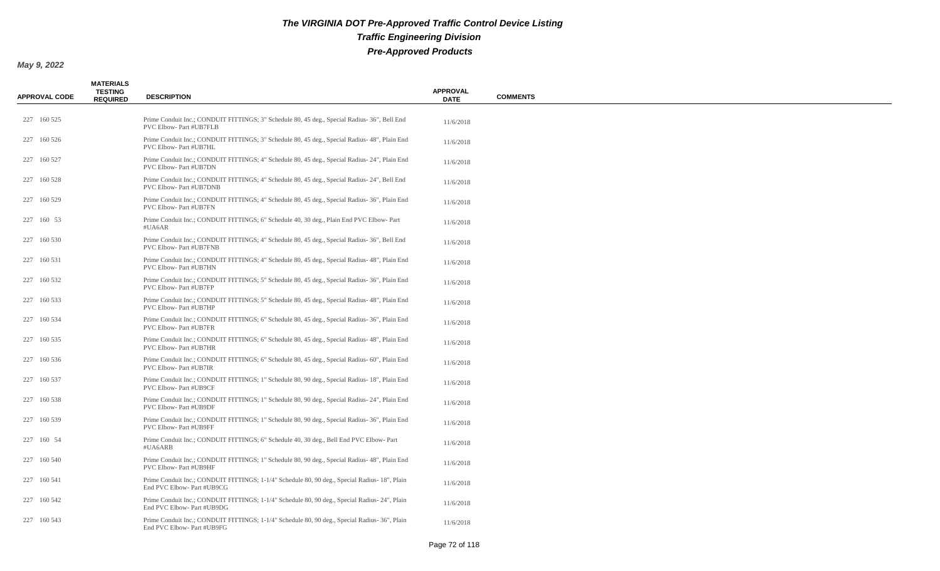| <b>APPROVAL CODE</b> | <b>MATERIALS</b><br><b>TESTING</b><br><b>REQUIRED</b> | <b>DESCRIPTION</b>                                                                                                          | <b>APPROVAL</b><br><b>DATE</b> | <b>COMMENTS</b> |
|----------------------|-------------------------------------------------------|-----------------------------------------------------------------------------------------------------------------------------|--------------------------------|-----------------|
| 227 160 525          |                                                       | Prime Conduit Inc.; CONDUIT FITTINGS; 3" Schedule 80, 45 deg., Special Radius-36", Bell End<br>PVC Elbow- Part #UB7FLB      | 11/6/2018                      |                 |
| 227 160 526          |                                                       | Prime Conduit Inc.; CONDUIT FITTINGS; 3" Schedule 80, 45 deg., Special Radius- 48", Plain End<br>PVC Elbow- Part #UB7HL     | 11/6/2018                      |                 |
| 227 160 527          |                                                       | Prime Conduit Inc.; CONDUIT FITTINGS; 4" Schedule 80, 45 deg., Special Radius-24", Plain End<br>PVC Elbow- Part #UB7DN      | 11/6/2018                      |                 |
| 227 160 528          |                                                       | Prime Conduit Inc.; CONDUIT FITTINGS; 4" Schedule 80, 45 deg., Special Radius- 24", Bell End<br>PVC Elbow- Part #UB7DNB     | 11/6/2018                      |                 |
| 227 160 529          |                                                       | Prime Conduit Inc.; CONDUIT FITTINGS; 4" Schedule 80, 45 deg., Special Radius- 36", Plain End<br>PVC Elbow- Part #UB7FN     | 11/6/2018                      |                 |
| 227 160 53           |                                                       | Prime Conduit Inc.; CONDUIT FITTINGS; 6" Schedule 40, 30 deg., Plain End PVC Elbow-Part<br>#UA6AR                           | 11/6/2018                      |                 |
| 227 160 530          |                                                       | Prime Conduit Inc.; CONDUIT FITTINGS; 4" Schedule 80, 45 deg., Special Radius-36", Bell End<br>PVC Elbow- Part #UB7FNB      | 11/6/2018                      |                 |
| 227 160 531          |                                                       | Prime Conduit Inc.; CONDUIT FITTINGS; 4" Schedule 80, 45 deg., Special Radius- 48", Plain End<br>PVC Elbow- Part #UB7HN     | 11/6/2018                      |                 |
| 227 160 532          |                                                       | Prime Conduit Inc.; CONDUIT FITTINGS; 5" Schedule 80, 45 deg., Special Radius-36", Plain End<br>PVC Elbow- Part #UB7FP      | 11/6/2018                      |                 |
| 227 160 533          |                                                       | Prime Conduit Inc.; CONDUIT FITTINGS; 5" Schedule 80, 45 deg., Special Radius- 48", Plain End<br>PVC Elbow- Part #UB7HP     | 11/6/2018                      |                 |
| 227 160 534          |                                                       | Prime Conduit Inc.; CONDUIT FITTINGS; 6" Schedule 80, 45 deg., Special Radius- 36", Plain End<br>PVC Elbow- Part #UB7FR     | 11/6/2018                      |                 |
| 227 160 535          |                                                       | Prime Conduit Inc.; CONDUIT FITTINGS; 6" Schedule 80, 45 deg., Special Radius- 48", Plain End<br>PVC Elbow- Part #UB7HR     | 11/6/2018                      |                 |
| 227 160 536          |                                                       | Prime Conduit Inc.; CONDUIT FITTINGS; 6" Schedule 80, 45 deg., Special Radius- 60", Plain End<br>PVC Elbow- Part #UB7IR     | 11/6/2018                      |                 |
| 227 160 537          |                                                       | Prime Conduit Inc.; CONDUIT FITTINGS; 1" Schedule 80, 90 deg., Special Radius-18", Plain End<br>PVC Elbow- Part #UB9CF      | 11/6/2018                      |                 |
| 227 160 538          |                                                       | Prime Conduit Inc.; CONDUIT FITTINGS; 1" Schedule 80, 90 deg., Special Radius-24", Plain End<br>PVC Elbow- Part #UB9DF      | 11/6/2018                      |                 |
| 227 160 539          |                                                       | Prime Conduit Inc.; CONDUIT FITTINGS; 1" Schedule 80, 90 deg., Special Radius-36", Plain End<br>PVC Elbow- Part #UB9FF      | 11/6/2018                      |                 |
| 227 160 54           |                                                       | Prime Conduit Inc.; CONDUIT FITTINGS; 6" Schedule 40, 30 deg., Bell End PVC Elbow-Part<br>#UA6ARB                           | 11/6/2018                      |                 |
| 227 160 540          |                                                       | Prime Conduit Inc.; CONDUIT FITTINGS; 1" Schedule 80, 90 deg., Special Radius- 48", Plain End<br>PVC Elbow- Part #UB9HF     | 11/6/2018                      |                 |
| 227 160 541          |                                                       | Prime Conduit Inc.; CONDUIT FITTINGS; 1-1/4" Schedule 80, 90 deg., Special Radius- 18", Plain<br>End PVC Elbow- Part #UB9CG | 11/6/2018                      |                 |
| 227 160 542          |                                                       | Prime Conduit Inc.; CONDUIT FITTINGS; 1-1/4" Schedule 80, 90 deg., Special Radius-24", Plain<br>End PVC Elbow- Part #UB9DG  | 11/6/2018                      |                 |
| 227 160 543          |                                                       | Prime Conduit Inc.; CONDUIT FITTINGS; 1-1/4" Schedule 80, 90 deg., Special Radius- 36", Plain<br>End PVC Elbow- Part #UB9FG | 11/6/2018                      |                 |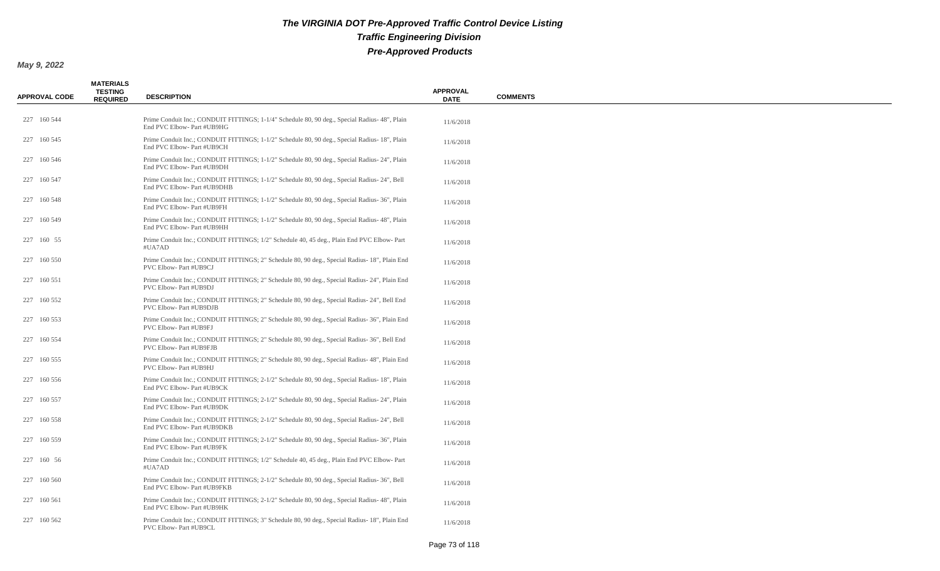| <b>APPROVAL CODE</b> | <b>MATERIALS</b><br><b>TESTING</b><br><b>REQUIRED</b> | <b>DESCRIPTION</b>                                                                                                          | <b>APPROVAL</b><br><b>DATE</b> | <b>COMMENTS</b> |
|----------------------|-------------------------------------------------------|-----------------------------------------------------------------------------------------------------------------------------|--------------------------------|-----------------|
| 227 160 544          |                                                       | Prime Conduit Inc.; CONDUIT FITTINGS; 1-1/4" Schedule 80, 90 deg., Special Radius- 48", Plain<br>End PVC Elbow- Part #UB9HG | 11/6/2018                      |                 |
| 227 160 545          |                                                       | Prime Conduit Inc.; CONDUIT FITTINGS; 1-1/2" Schedule 80, 90 deg., Special Radius- 18", Plain<br>End PVC Elbow- Part #UB9CH | 11/6/2018                      |                 |
| 227 160 546          |                                                       | Prime Conduit Inc.; CONDUIT FITTINGS; 1-1/2" Schedule 80, 90 deg., Special Radius- 24", Plain<br>End PVC Elbow- Part #UB9DH | 11/6/2018                      |                 |
| 227 160 547          |                                                       | Prime Conduit Inc.; CONDUIT FITTINGS; 1-1/2" Schedule 80, 90 deg., Special Radius-24", Bell<br>End PVC Elbow- Part #UB9DHB  | 11/6/2018                      |                 |
| 227 160 548          |                                                       | Prime Conduit Inc.; CONDUIT FITTINGS; 1-1/2" Schedule 80, 90 deg., Special Radius- 36", Plain<br>End PVC Elbow- Part #UB9FH | 11/6/2018                      |                 |
| 227 160 549          |                                                       | Prime Conduit Inc.; CONDUIT FITTINGS; 1-1/2" Schedule 80, 90 deg., Special Radius- 48", Plain<br>End PVC Elbow- Part #UB9HH | 11/6/2018                      |                 |
| 227 160 55           |                                                       | Prime Conduit Inc.; CONDUIT FITTINGS; 1/2" Schedule 40, 45 deg., Plain End PVC Elbow-Part<br>#UA7AD                         | 11/6/2018                      |                 |
| 227 160 550          |                                                       | Prime Conduit Inc.; CONDUIT FITTINGS; 2" Schedule 80, 90 deg., Special Radius-18", Plain End<br>PVC Elbow- Part #UB9CJ      | 11/6/2018                      |                 |
| 227 160 551          |                                                       | Prime Conduit Inc.; CONDUIT FITTINGS; 2" Schedule 80, 90 deg., Special Radius- 24", Plain End<br>PVC Elbow- Part #UB9DJ     | 11/6/2018                      |                 |
| 227 160 552          |                                                       | Prime Conduit Inc.; CONDUIT FITTINGS; 2" Schedule 80, 90 deg., Special Radius- 24", Bell End<br>PVC Elbow- Part #UB9DJB     | 11/6/2018                      |                 |
| 227 160 553          |                                                       | Prime Conduit Inc.; CONDUIT FITTINGS; 2" Schedule 80, 90 deg., Special Radius- 36", Plain End<br>PVC Elbow- Part #UB9FJ     | 11/6/2018                      |                 |
| 227 160 554          |                                                       | Prime Conduit Inc.; CONDUIT FITTINGS; 2" Schedule 80, 90 deg., Special Radius-36", Bell End<br>PVC Elbow- Part #UB9FJB      | 11/6/2018                      |                 |
| 227 160 555          |                                                       | Prime Conduit Inc.; CONDUIT FITTINGS; 2" Schedule 80, 90 deg., Special Radius-48", Plain End<br>PVC Elbow- Part #UB9HJ      | 11/6/2018                      |                 |
| 227 160 556          |                                                       | Prime Conduit Inc.; CONDUIT FITTINGS; 2-1/2" Schedule 80, 90 deg., Special Radius- 18", Plain<br>End PVC Elbow- Part #UB9CK | 11/6/2018                      |                 |
| 227 160 557          |                                                       | Prime Conduit Inc.; CONDUIT FITTINGS; 2-1/2" Schedule 80, 90 deg., Special Radius-24", Plain<br>End PVC Elbow- Part #UB9DK  | 11/6/2018                      |                 |
| 227 160 558          |                                                       | Prime Conduit Inc.; CONDUIT FITTINGS; 2-1/2" Schedule 80, 90 deg., Special Radius-24", Bell<br>End PVC Elbow- Part #UB9DKB  | 11/6/2018                      |                 |
| 227 160 559          |                                                       | Prime Conduit Inc.; CONDUIT FITTINGS; 2-1/2" Schedule 80, 90 deg., Special Radius- 36", Plain<br>End PVC Elbow- Part #UB9FK | 11/6/2018                      |                 |
| 227 160 56           |                                                       | Prime Conduit Inc.; CONDUIT FITTINGS; 1/2" Schedule 40, 45 deg., Plain End PVC Elbow-Part<br>#UA7AD                         | 11/6/2018                      |                 |
| 227 160 560          |                                                       | Prime Conduit Inc.; CONDUIT FITTINGS; 2-1/2" Schedule 80, 90 deg., Special Radius- 36", Bell<br>End PVC Elbow- Part #UB9FKB | 11/6/2018                      |                 |
| 227 160 561          |                                                       | Prime Conduit Inc.; CONDUIT FITTINGS; 2-1/2" Schedule 80, 90 deg., Special Radius- 48", Plain<br>End PVC Elbow- Part #UB9HK | 11/6/2018                      |                 |
| 227 160 562          |                                                       | Prime Conduit Inc.; CONDUIT FITTINGS; 3" Schedule 80, 90 deg., Special Radius- 18", Plain End<br>PVC Elbow- Part #UB9CL     | 11/6/2018                      |                 |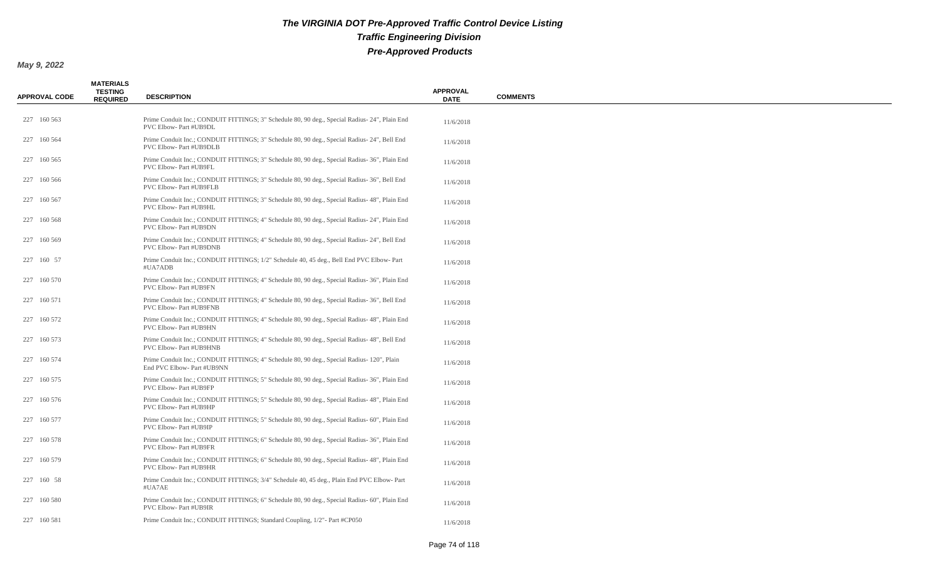| <b>APPROVAL CODE</b> | <b>MATERIALS</b><br><b>TESTING</b><br><b>REQUIRED</b> | <b>DESCRIPTION</b>                                                                                                            | <b>APPROVAL</b><br><b>DATE</b> | <b>COMMENTS</b> |
|----------------------|-------------------------------------------------------|-------------------------------------------------------------------------------------------------------------------------------|--------------------------------|-----------------|
| 227 160 563          |                                                       | Prime Conduit Inc.; CONDUIT FITTINGS; 3" Schedule 80, 90 deg., Special Radius-24", Plain End<br>PVC Elbow- Part #UB9DL        | 11/6/2018                      |                 |
| 227 160 564          |                                                       | Prime Conduit Inc.; CONDUIT FITTINGS; 3" Schedule 80, 90 deg., Special Radius- 24", Bell End<br>PVC Elbow- Part #UB9DLB       | 11/6/2018                      |                 |
| 227 160 565          |                                                       | Prime Conduit Inc.; CONDUIT FITTINGS; 3" Schedule 80, 90 deg., Special Radius-36", Plain End<br>PVC Elbow- Part #UB9FL        | 11/6/2018                      |                 |
| 227 160 566          |                                                       | Prime Conduit Inc.; CONDUIT FITTINGS; 3" Schedule 80, 90 deg., Special Radius- 36", Bell End<br>PVC Elbow- Part #UB9FLB       | 11/6/2018                      |                 |
| 227 160 567          |                                                       | Prime Conduit Inc.; CONDUIT FITTINGS; 3" Schedule 80, 90 deg., Special Radius- 48", Plain End<br>PVC Elbow- Part #UB9HL       | 11/6/2018                      |                 |
| 227 160 568          |                                                       | Prime Conduit Inc.; CONDUIT FITTINGS; 4" Schedule 80, 90 deg., Special Radius- 24", Plain End<br>PVC Elbow- Part #UB9DN       | 11/6/2018                      |                 |
| 227 160 569          |                                                       | Prime Conduit Inc.; CONDUIT FITTINGS; 4" Schedule 80, 90 deg., Special Radius- 24", Bell End<br>PVC Elbow- Part #UB9DNB       | 11/6/2018                      |                 |
| 227 160 57           |                                                       | Prime Conduit Inc.; CONDUIT FITTINGS; 1/2" Schedule 40, 45 deg., Bell End PVC Elbow-Part<br>#UA7ADB                           | 11/6/2018                      |                 |
| 227 160 570          |                                                       | Prime Conduit Inc.; CONDUIT FITTINGS; 4" Schedule 80, 90 deg., Special Radius-36", Plain End<br>PVC Elbow- Part #UB9FN        | 11/6/2018                      |                 |
| 227 160 571          |                                                       | Prime Conduit Inc.; CONDUIT FITTINGS; 4" Schedule 80, 90 deg., Special Radius-36", Bell End<br>PVC Elbow- Part #UB9FNB        | 11/6/2018                      |                 |
| 227 160 572          |                                                       | Prime Conduit Inc.; CONDUIT FITTINGS; 4" Schedule 80, 90 deg., Special Radius- 48", Plain End<br>PVC Elbow- Part #UB9HN       | 11/6/2018                      |                 |
| 227 160 573          |                                                       | Prime Conduit Inc.; CONDUIT FITTINGS; 4" Schedule 80, 90 deg., Special Radius- 48", Bell End<br>PVC Elbow- Part #UB9HNB       | 11/6/2018                      |                 |
| 227 160 574          |                                                       | Prime Conduit Inc.; CONDUIT FITTINGS; 4" Schedule 80, 90 deg., Special Radius- 120", Plain<br>End PVC Elbow- Part #UB9NN      | 11/6/2018                      |                 |
| 227 160 575          |                                                       | Prime Conduit Inc.; CONDUIT FITTINGS; 5" Schedule 80, 90 deg., Special Radius- 36", Plain End<br>PVC Elbow- Part #UB9FP       | 11/6/2018                      |                 |
| 227 160 576          |                                                       | Prime Conduit Inc.; CONDUIT FITTINGS; 5" Schedule 80, 90 deg., Special Radius- 48", Plain End<br>PVC Elbow- Part #UB9HP       | 11/6/2018                      |                 |
| 227 160 577          |                                                       | Prime Conduit Inc.; CONDUIT FITTINGS; 5" Schedule 80, 90 deg., Special Radius- 60", Plain End<br>PVC Elbow- Part #UB9IP       | 11/6/2018                      |                 |
| 227 160 578          |                                                       | Prime Conduit Inc.; CONDUIT FITTINGS; 6" Schedule 80, 90 deg., Special Radius-36", Plain End<br>PVC Elbow- Part #UB9FR        | 11/6/2018                      |                 |
| 227 160 579          |                                                       | Prime Conduit Inc.; CONDUIT FITTINGS; 6" Schedule 80, 90 deg., Special Radius- 48", Plain End<br><b>PVC Elbow-Part #UB9HR</b> | 11/6/2018                      |                 |
| 227 160 58           |                                                       | Prime Conduit Inc.; CONDUIT FITTINGS; 3/4" Schedule 40, 45 deg., Plain End PVC Elbow-Part<br>#UA7AE                           | 11/6/2018                      |                 |
| 227 160 580          |                                                       | Prime Conduit Inc.; CONDUIT FITTINGS; 6" Schedule 80, 90 deg., Special Radius- 60", Plain End<br>PVC Elbow- Part #UB9IR       | 11/6/2018                      |                 |
| 227 160 581          |                                                       | Prime Conduit Inc.; CONDUIT FITTINGS; Standard Coupling, 1/2" - Part #CP050                                                   | 11/6/2018                      |                 |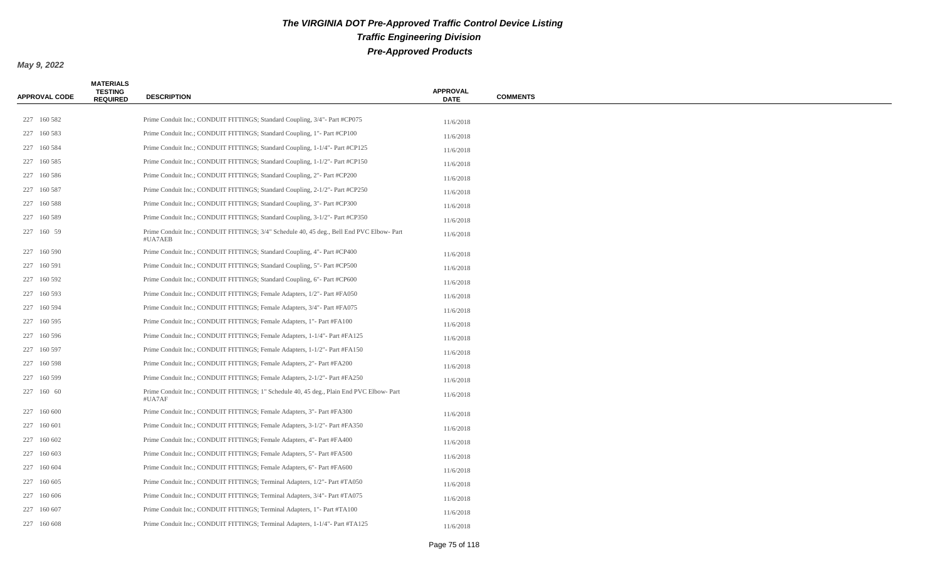| <b>APPROVAL CODE</b> | <b>MATERIALS</b><br><b>TESTING</b><br><b>REQUIRED</b> | <b>DESCRIPTION</b>                                                                                  | <b>APPROVAL</b><br><b>DATE</b> | <b>COMMENTS</b> |
|----------------------|-------------------------------------------------------|-----------------------------------------------------------------------------------------------------|--------------------------------|-----------------|
|                      |                                                       |                                                                                                     |                                |                 |
| 227 160 582          |                                                       | Prime Conduit Inc.; CONDUIT FITTINGS; Standard Coupling, 3/4" - Part #CP075                         | 11/6/2018                      |                 |
| 227 160 583          |                                                       | Prime Conduit Inc.; CONDUIT FITTINGS; Standard Coupling, 1" - Part #CP100                           | 11/6/2018                      |                 |
| 227 160 584          |                                                       | Prime Conduit Inc.; CONDUIT FITTINGS; Standard Coupling, 1-1/4"- Part #CP125                        | 11/6/2018                      |                 |
| 227 160 585          |                                                       | Prime Conduit Inc.; CONDUIT FITTINGS; Standard Coupling, 1-1/2"- Part #CP150                        | 11/6/2018                      |                 |
| 227 160 586          |                                                       | Prime Conduit Inc.; CONDUIT FITTINGS; Standard Coupling, 2" - Part #CP200                           | 11/6/2018                      |                 |
| 227 160 587          |                                                       | Prime Conduit Inc.; CONDUIT FITTINGS; Standard Coupling, 2-1/2"- Part #CP250                        | 11/6/2018                      |                 |
| 227 160 588          |                                                       | Prime Conduit Inc.; CONDUIT FITTINGS; Standard Coupling, 3" - Part #CP300                           | 11/6/2018                      |                 |
| 227 160 589          |                                                       | Prime Conduit Inc.; CONDUIT FITTINGS; Standard Coupling, 3-1/2"- Part #CP350                        | 11/6/2018                      |                 |
| 227 160 59           |                                                       | Prime Conduit Inc.; CONDUIT FITTINGS; 3/4" Schedule 40, 45 deg., Bell End PVC Elbow-Part<br>#UA7AEB | 11/6/2018                      |                 |
| 227 160 590          |                                                       | Prime Conduit Inc.; CONDUIT FITTINGS; Standard Coupling, 4" - Part #CP400                           | 11/6/2018                      |                 |
| 227 160 591          |                                                       | Prime Conduit Inc.; CONDUIT FITTINGS; Standard Coupling, 5" - Part #CP500                           | 11/6/2018                      |                 |
| 227 160 592          |                                                       | Prime Conduit Inc.; CONDUIT FITTINGS; Standard Coupling, 6" - Part #CP600                           | 11/6/2018                      |                 |
| 227 160 593          |                                                       | Prime Conduit Inc.; CONDUIT FITTINGS; Female Adapters, 1/2" - Part #FA050                           | 11/6/2018                      |                 |
| 227 160 594          |                                                       | Prime Conduit Inc.; CONDUIT FITTINGS; Female Adapters, 3/4" - Part #FA075                           | 11/6/2018                      |                 |
| 227 160 595          |                                                       | Prime Conduit Inc.; CONDUIT FITTINGS; Female Adapters, 1"- Part #FA100                              | 11/6/2018                      |                 |
| 227 160 596          |                                                       | Prime Conduit Inc.; CONDUIT FITTINGS; Female Adapters, 1-1/4" - Part #FA125                         | 11/6/2018                      |                 |
| 227 160 597          |                                                       | Prime Conduit Inc.; CONDUIT FITTINGS; Female Adapters, 1-1/2"- Part #FA150                          | 11/6/2018                      |                 |
| 227 160 598          |                                                       | Prime Conduit Inc.; CONDUIT FITTINGS; Female Adapters, 2"- Part #FA200                              | 11/6/2018                      |                 |
| 227 160 599          |                                                       | Prime Conduit Inc.; CONDUIT FITTINGS; Female Adapters, 2-1/2" - Part #FA250                         | 11/6/2018                      |                 |
| 227 160 60           |                                                       | Prime Conduit Inc.; CONDUIT FITTINGS; 1" Schedule 40, 45 deg., Plain End PVC Elbow-Part<br>#UA7AF   | 11/6/2018                      |                 |
| 227 160 600          |                                                       | Prime Conduit Inc.; CONDUIT FITTINGS; Female Adapters, 3"- Part #FA300                              | 11/6/2018                      |                 |
| 227 160 601          |                                                       | Prime Conduit Inc.; CONDUIT FITTINGS; Female Adapters, 3-1/2"- Part #FA350                          | 11/6/2018                      |                 |
| 227 160 602          |                                                       | Prime Conduit Inc.; CONDUIT FITTINGS; Female Adapters, 4"- Part #FA400                              | 11/6/2018                      |                 |
| 227 160 603          |                                                       | Prime Conduit Inc.; CONDUIT FITTINGS; Female Adapters, 5"- Part #FA500                              | 11/6/2018                      |                 |
| 227 160 604          |                                                       | Prime Conduit Inc.; CONDUIT FITTINGS; Female Adapters, 6"- Part #FA600                              | 11/6/2018                      |                 |
| 227 160 605          |                                                       | Prime Conduit Inc.; CONDUIT FITTINGS; Terminal Adapters, 1/2" - Part #TA050                         | 11/6/2018                      |                 |
| 227 160 606          |                                                       | Prime Conduit Inc.; CONDUIT FITTINGS; Terminal Adapters, 3/4" - Part #TA075                         | 11/6/2018                      |                 |
| 227 160 607          |                                                       | Prime Conduit Inc.; CONDUIT FITTINGS; Terminal Adapters, 1"- Part #TA100                            | 11/6/2018                      |                 |
| 227 160 608          |                                                       | Prime Conduit Inc.; CONDUIT FITTINGS; Terminal Adapters, 1-1/4"- Part #TA125                        | 11/6/2018                      |                 |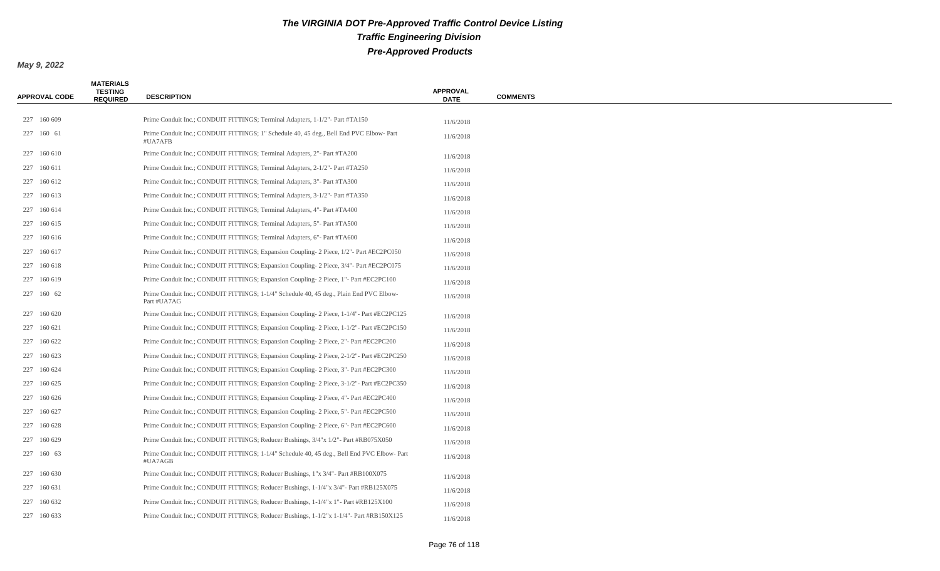| <b>APPROVAL CODE</b> | <b>MATERIALS</b><br><b>TESTING</b><br><b>REQUIRED</b> | <b>DESCRIPTION</b>                                                                                     | <b>APPROVAL</b><br><b>DATE</b> | <b>COMMENTS</b> |
|----------------------|-------------------------------------------------------|--------------------------------------------------------------------------------------------------------|--------------------------------|-----------------|
|                      |                                                       |                                                                                                        |                                |                 |
| 227 160 609          |                                                       | Prime Conduit Inc.; CONDUIT FITTINGS; Terminal Adapters, 1-1/2" - Part #TA150                          | 11/6/2018                      |                 |
| 227 160 61           |                                                       | Prime Conduit Inc.; CONDUIT FITTINGS; 1" Schedule 40, 45 deg., Bell End PVC Elbow-Part<br>#UA7AFB      | 11/6/2018                      |                 |
| 227 160 610          |                                                       | Prime Conduit Inc.; CONDUIT FITTINGS; Terminal Adapters, 2"- Part #TA200                               | 11/6/2018                      |                 |
| 227 160 611          |                                                       | Prime Conduit Inc.; CONDUIT FITTINGS; Terminal Adapters, 2-1/2"- Part #TA250                           | 11/6/2018                      |                 |
| 227 160 612          |                                                       | Prime Conduit Inc.; CONDUIT FITTINGS; Terminal Adapters, 3" - Part #TA300                              | 11/6/2018                      |                 |
| 227 160 613          |                                                       | Prime Conduit Inc.; CONDUIT FITTINGS; Terminal Adapters, 3-1/2" - Part #TA350                          | 11/6/2018                      |                 |
| 227 160 614          |                                                       | Prime Conduit Inc.; CONDUIT FITTINGS; Terminal Adapters, 4"- Part #TA400                               | 11/6/2018                      |                 |
| 227 160 615          |                                                       | Prime Conduit Inc.; CONDUIT FITTINGS; Terminal Adapters, 5"- Part #TA500                               | 11/6/2018                      |                 |
| 227 160 616          |                                                       | Prime Conduit Inc.; CONDUIT FITTINGS; Terminal Adapters, 6"- Part #TA600                               | 11/6/2018                      |                 |
| 227 160 617          |                                                       | Prime Conduit Inc.; CONDUIT FITTINGS; Expansion Coupling- 2 Piece, 1/2"- Part #EC2PC050                | 11/6/2018                      |                 |
| 227 160 618          |                                                       | Prime Conduit Inc.; CONDUIT FITTINGS; Expansion Coupling- 2 Piece, 3/4"- Part #EC2PC075                | 11/6/2018                      |                 |
| 227 160 619          |                                                       | Prime Conduit Inc.; CONDUIT FITTINGS; Expansion Coupling-2 Piece, 1"- Part #EC2PC100                   | 11/6/2018                      |                 |
| 227 160 62           |                                                       | Prime Conduit Inc.; CONDUIT FITTINGS; 1-1/4" Schedule 40, 45 deg., Plain End PVC Elbow-<br>Part #UA7AG | 11/6/2018                      |                 |
| 227 160 620          |                                                       | Prime Conduit Inc.; CONDUIT FITTINGS; Expansion Coupling-2 Piece, 1-1/4"- Part #EC2PC125               | 11/6/2018                      |                 |
| 227 160 621          |                                                       | Prime Conduit Inc.; CONDUIT FITTINGS; Expansion Coupling-2 Piece, 1-1/2"- Part #EC2PC150               | 11/6/2018                      |                 |
| 227 160 622          |                                                       | Prime Conduit Inc.; CONDUIT FITTINGS; Expansion Coupling- 2 Piece, 2"- Part #EC2PC200                  | 11/6/2018                      |                 |
| 227 160 623          |                                                       | Prime Conduit Inc.; CONDUIT FITTINGS; Expansion Coupling-2 Piece, 2-1/2"- Part #EC2PC250               | 11/6/2018                      |                 |
| 227 160 624          |                                                       | Prime Conduit Inc.; CONDUIT FITTINGS; Expansion Coupling- 2 Piece, 3"- Part #EC2PC300                  | 11/6/2018                      |                 |
| 227 160 625          |                                                       | Prime Conduit Inc.; CONDUIT FITTINGS; Expansion Coupling-2 Piece, 3-1/2" - Part #EC2PC350              | 11/6/2018                      |                 |
| 227 160 626          |                                                       | Prime Conduit Inc.; CONDUIT FITTINGS; Expansion Coupling-2 Piece, 4"- Part #EC2PC400                   | 11/6/2018                      |                 |
| 227 160 627          |                                                       | Prime Conduit Inc.; CONDUIT FITTINGS; Expansion Coupling- 2 Piece, 5"- Part #EC2PC500                  | 11/6/2018                      |                 |
| 227 160 628          |                                                       | Prime Conduit Inc.; CONDUIT FITTINGS; Expansion Coupling-2 Piece, 6"- Part #EC2PC600                   | 11/6/2018                      |                 |
| 227 160 629          |                                                       | Prime Conduit Inc.; CONDUIT FITTINGS; Reducer Bushings, 3/4"x 1/2"- Part #RB075X050                    | 11/6/2018                      |                 |
| 227 160 63           |                                                       | Prime Conduit Inc.; CONDUIT FITTINGS; 1-1/4" Schedule 40, 45 deg., Bell End PVC Elbow-Part<br>#UA7AGB  | 11/6/2018                      |                 |
| 227 160 630          |                                                       | Prime Conduit Inc.; CONDUIT FITTINGS; Reducer Bushings, 1"x 3/4" - Part #RB100X075                     | 11/6/2018                      |                 |
| 227 160 631          |                                                       | Prime Conduit Inc.; CONDUIT FITTINGS; Reducer Bushings, 1-1/4"x 3/4"- Part #RB125X075                  | 11/6/2018                      |                 |
| 227 160 632          |                                                       | Prime Conduit Inc.; CONDUIT FITTINGS; Reducer Bushings, 1-1/4"x 1" - Part #RB125X100                   | 11/6/2018                      |                 |
| 227 160 633          |                                                       | Prime Conduit Inc.; CONDUIT FITTINGS; Reducer Bushings, 1-1/2"x 1-1/4"- Part #RB150X125                | 11/6/2018                      |                 |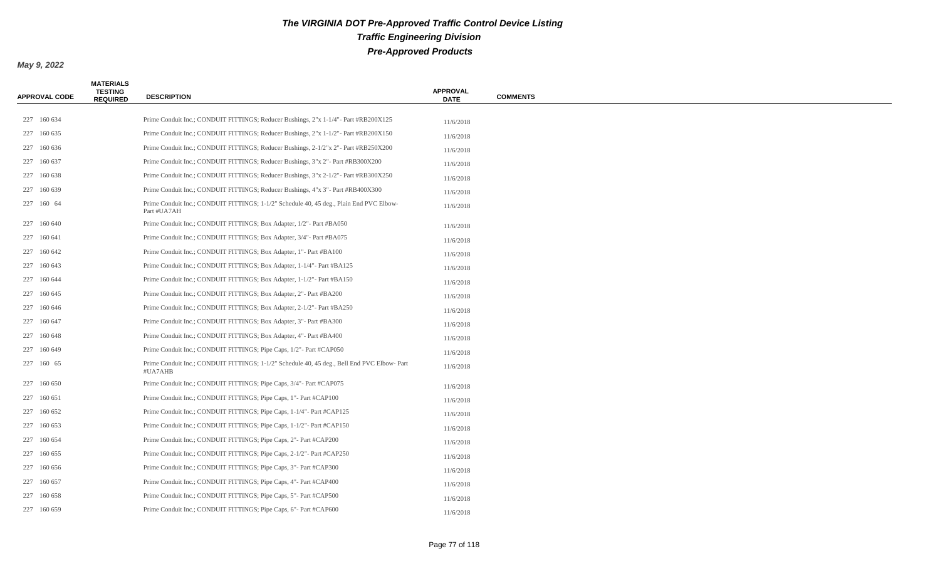| <b>APPROVAL CODE</b> | <b>MATERIALS</b><br><b>TESTING</b><br><b>REQUIRED</b> | <b>DESCRIPTION</b>                                                                                     | <b>APPROVAL</b><br><b>DATE</b> | <b>COMMENTS</b> |
|----------------------|-------------------------------------------------------|--------------------------------------------------------------------------------------------------------|--------------------------------|-----------------|
|                      |                                                       |                                                                                                        |                                |                 |
| 227 160 634          |                                                       | Prime Conduit Inc.; CONDUIT FITTINGS; Reducer Bushings, 2"x 1-1/4"- Part #RB200X125                    | 11/6/2018                      |                 |
| 227 160 635          |                                                       | Prime Conduit Inc.; CONDUIT FITTINGS; Reducer Bushings, 2"x 1-1/2"- Part #RB200X150                    | 11/6/2018                      |                 |
| 227 160 636          |                                                       | Prime Conduit Inc.; CONDUIT FITTINGS; Reducer Bushings, 2-1/2"x 2"- Part #RB250X200                    | 11/6/2018                      |                 |
| 227 160 637          |                                                       | Prime Conduit Inc.; CONDUIT FITTINGS; Reducer Bushings, 3"x 2" - Part #RB300X200                       | 11/6/2018                      |                 |
| 227 160 638          |                                                       | Prime Conduit Inc.; CONDUIT FITTINGS; Reducer Bushings, 3"x 2-1/2"- Part #RB300X250                    | 11/6/2018                      |                 |
| 227 160 639          |                                                       | Prime Conduit Inc.; CONDUIT FITTINGS; Reducer Bushings, 4"x 3" - Part #RB400X300                       | 11/6/2018                      |                 |
| 227 160 64           |                                                       | Prime Conduit Inc.; CONDUIT FITTINGS; 1-1/2" Schedule 40, 45 deg., Plain End PVC Elbow-<br>Part #UA7AH | 11/6/2018                      |                 |
| 227 160 640          |                                                       | Prime Conduit Inc.; CONDUIT FITTINGS; Box Adapter, 1/2"- Part #BA050                                   | 11/6/2018                      |                 |
| 227 160 641          |                                                       | Prime Conduit Inc.; CONDUIT FITTINGS; Box Adapter, 3/4" - Part #BA075                                  | 11/6/2018                      |                 |
| 227 160 642          |                                                       | Prime Conduit Inc.; CONDUIT FITTINGS; Box Adapter, 1"- Part #BA100                                     | 11/6/2018                      |                 |
| 227 160 643          |                                                       | Prime Conduit Inc.; CONDUIT FITTINGS; Box Adapter, 1-1/4"- Part #BA125                                 | 11/6/2018                      |                 |
| 227 160 644          |                                                       | Prime Conduit Inc.; CONDUIT FITTINGS; Box Adapter, 1-1/2" - Part #BA150                                | 11/6/2018                      |                 |
| 227 160 645          |                                                       | Prime Conduit Inc.; CONDUIT FITTINGS; Box Adapter, 2"- Part #BA200                                     | 11/6/2018                      |                 |
| 227 160 646          |                                                       | Prime Conduit Inc.; CONDUIT FITTINGS; Box Adapter, 2-1/2" - Part #BA250                                | 11/6/2018                      |                 |
| 227 160 647          |                                                       | Prime Conduit Inc.; CONDUIT FITTINGS; Box Adapter, 3" - Part #BA300                                    | 11/6/2018                      |                 |
| 227 160 648          |                                                       | Prime Conduit Inc.; CONDUIT FITTINGS; Box Adapter, 4"- Part #BA400                                     | 11/6/2018                      |                 |
| 227 160 649          |                                                       | Prime Conduit Inc.; CONDUIT FITTINGS; Pipe Caps, 1/2"- Part #CAP050                                    | 11/6/2018                      |                 |
| 227 160 65           |                                                       | Prime Conduit Inc.; CONDUIT FITTINGS; 1-1/2" Schedule 40, 45 deg., Bell End PVC Elbow-Part<br>#UA7AHB  | 11/6/2018                      |                 |
| 227 160 650          |                                                       | Prime Conduit Inc.; CONDUIT FITTINGS; Pipe Caps, 3/4"- Part #CAP075                                    | 11/6/2018                      |                 |
| 227 160 651          |                                                       | Prime Conduit Inc.; CONDUIT FITTINGS; Pipe Caps, 1"- Part #CAP100                                      | 11/6/2018                      |                 |
| 227 160 652          |                                                       | Prime Conduit Inc.; CONDUIT FITTINGS; Pipe Caps, 1-1/4" - Part #CAP125                                 | 11/6/2018                      |                 |
| 227 160 653          |                                                       | Prime Conduit Inc.; CONDUIT FITTINGS; Pipe Caps, 1-1/2"- Part #CAP150                                  | 11/6/2018                      |                 |
| 227 160 654          |                                                       | Prime Conduit Inc.; CONDUIT FITTINGS; Pipe Caps, 2"- Part #CAP200                                      | 11/6/2018                      |                 |
| 227 160 655          |                                                       | Prime Conduit Inc.; CONDUIT FITTINGS; Pipe Caps, 2-1/2" - Part #CAP250                                 | 11/6/2018                      |                 |
| 227 160 656          |                                                       | Prime Conduit Inc.; CONDUIT FITTINGS; Pipe Caps, 3"- Part #CAP300                                      | 11/6/2018                      |                 |
| 227 160 657          |                                                       | Prime Conduit Inc.; CONDUIT FITTINGS; Pipe Caps, 4"- Part #CAP400                                      | 11/6/2018                      |                 |
| 227 160 658          |                                                       | Prime Conduit Inc.; CONDUIT FITTINGS; Pipe Caps, 5" - Part #CAP500                                     | 11/6/2018                      |                 |
| 227 160 659          |                                                       | Prime Conduit Inc.; CONDUIT FITTINGS; Pipe Caps, 6"- Part #CAP600                                      | 11/6/2018                      |                 |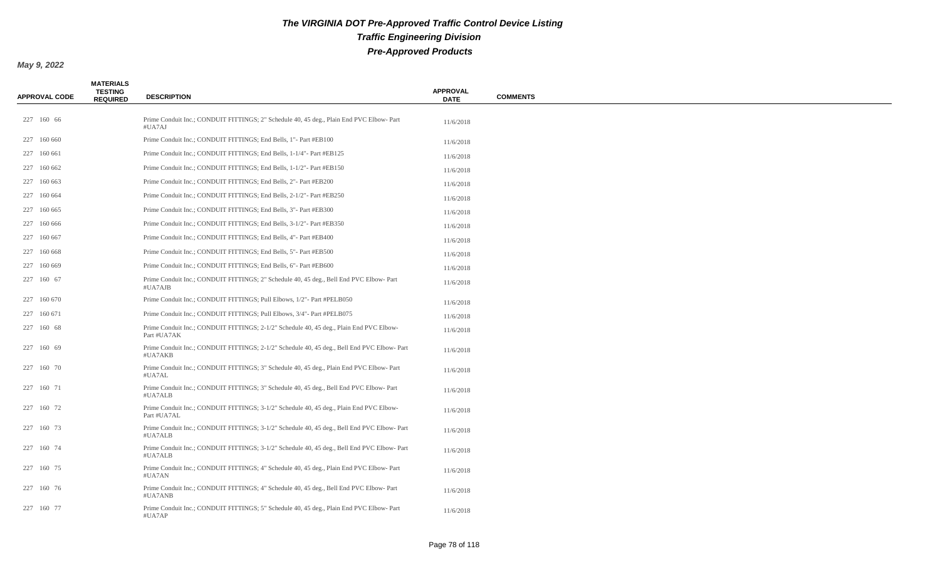| <b>APPROVAL CODE</b> | <b>MATERIALS</b><br><b>TESTING</b><br><b>REQUIRED</b> | <b>DESCRIPTION</b>                                                                                     | <b>APPROVAL</b><br><b>DATE</b> | <b>COMMENTS</b> |
|----------------------|-------------------------------------------------------|--------------------------------------------------------------------------------------------------------|--------------------------------|-----------------|
| 227 160 66           |                                                       | Prime Conduit Inc.; CONDUIT FITTINGS; 2" Schedule 40, 45 deg., Plain End PVC Elbow-Part<br>#UA7AJ      | 11/6/2018                      |                 |
| 227 160 660          |                                                       | Prime Conduit Inc.; CONDUIT FITTINGS; End Bells, 1" - Part #EB100                                      | 11/6/2018                      |                 |
| 227 160 661          |                                                       | Prime Conduit Inc.; CONDUIT FITTINGS; End Bells, 1-1/4"- Part #EB125                                   | 11/6/2018                      |                 |
| 227 160 662          |                                                       | Prime Conduit Inc.; CONDUIT FITTINGS; End Bells, 1-1/2" - Part #EB150                                  | 11/6/2018                      |                 |
| 227 160 663          |                                                       | Prime Conduit Inc.; CONDUIT FITTINGS; End Bells, 2" - Part #EB200                                      | 11/6/2018                      |                 |
| 227 160 664          |                                                       | Prime Conduit Inc.; CONDUIT FITTINGS; End Bells, 2-1/2"- Part #EB250                                   | 11/6/2018                      |                 |
| 227 160 665          |                                                       | Prime Conduit Inc.; CONDUIT FITTINGS; End Bells, 3" - Part #EB300                                      | 11/6/2018                      |                 |
| 227 160 666          |                                                       | Prime Conduit Inc.; CONDUIT FITTINGS; End Bells, 3-1/2" - Part #EB350                                  | 11/6/2018                      |                 |
| 227 160 667          |                                                       | Prime Conduit Inc.; CONDUIT FITTINGS; End Bells, 4" - Part #EB400                                      | 11/6/2018                      |                 |
| 227 160 668          |                                                       | Prime Conduit Inc.; CONDUIT FITTINGS; End Bells, 5" - Part #EB500                                      | 11/6/2018                      |                 |
| 227 160 669          |                                                       | Prime Conduit Inc.; CONDUIT FITTINGS; End Bells, 6"- Part #EB600                                       | 11/6/2018                      |                 |
| 227 160 67           |                                                       | Prime Conduit Inc.; CONDUIT FITTINGS; 2" Schedule 40, 45 deg., Bell End PVC Elbow-Part<br>#UA7AJB      | 11/6/2018                      |                 |
| 227 160 670          |                                                       | Prime Conduit Inc.; CONDUIT FITTINGS; Pull Elbows, 1/2" - Part #PELB050                                | 11/6/2018                      |                 |
| 227 160 671          |                                                       | Prime Conduit Inc.; CONDUIT FITTINGS; Pull Elbows, 3/4" - Part #PELB075                                | 11/6/2018                      |                 |
| 227 160 68           |                                                       | Prime Conduit Inc.; CONDUIT FITTINGS; 2-1/2" Schedule 40, 45 deg., Plain End PVC Elbow-<br>Part #UA7AK | 11/6/2018                      |                 |
| 227 160 69           |                                                       | Prime Conduit Inc.; CONDUIT FITTINGS; 2-1/2" Schedule 40, 45 deg., Bell End PVC Elbow-Part<br>#UA7AKB  | 11/6/2018                      |                 |
| 227 160 70           |                                                       | Prime Conduit Inc.; CONDUIT FITTINGS; 3" Schedule 40, 45 deg., Plain End PVC Elbow-Part<br>#UA7AL      | 11/6/2018                      |                 |
| 227 160 71           |                                                       | Prime Conduit Inc.; CONDUIT FITTINGS; 3" Schedule 40, 45 deg., Bell End PVC Elbow- Part<br>#UA7ALB     | 11/6/2018                      |                 |
| 227 160 72           |                                                       | Prime Conduit Inc.; CONDUIT FITTINGS; 3-1/2" Schedule 40, 45 deg., Plain End PVC Elbow-<br>Part #UA7AL | 11/6/2018                      |                 |
| 227 160 73           |                                                       | Prime Conduit Inc.; CONDUIT FITTINGS; 3-1/2" Schedule 40, 45 deg., Bell End PVC Elbow- Part<br>#UA7ALB | 11/6/2018                      |                 |
| 227 160 74           |                                                       | Prime Conduit Inc.; CONDUIT FITTINGS; 3-1/2" Schedule 40, 45 deg., Bell End PVC Elbow-Part<br>#UA7ALB  | 11/6/2018                      |                 |
| 227 160 75           |                                                       | Prime Conduit Inc.; CONDUIT FITTINGS; 4" Schedule 40, 45 deg., Plain End PVC Elbow-Part<br>#UA7AN      | 11/6/2018                      |                 |
| 227 160 76           |                                                       | Prime Conduit Inc.; CONDUIT FITTINGS; 4" Schedule 40, 45 deg., Bell End PVC Elbow-Part<br>#UA7ANB      | 11/6/2018                      |                 |
| 227 160 77           |                                                       | Prime Conduit Inc.; CONDUIT FITTINGS; 5" Schedule 40, 45 deg., Plain End PVC Elbow-Part<br>#UA7AP      | 11/6/2018                      |                 |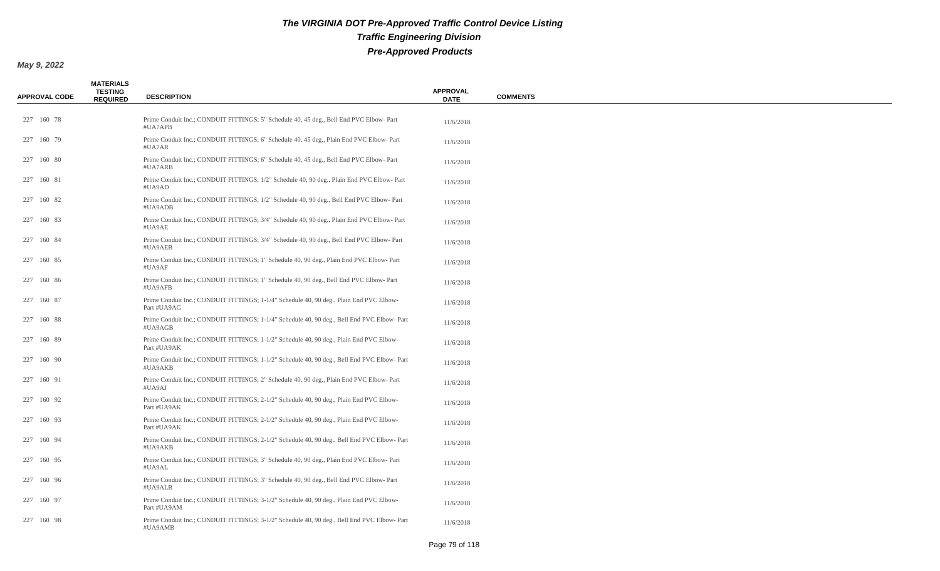| <b>APPROVAL CODE</b> | <b>MATERIALS</b><br><b>TESTING</b><br><b>REQUIRED</b> | <b>DESCRIPTION</b>                                                                                     | <b>APPROVAL</b><br><b>DATE</b> | <b>COMMENTS</b> |
|----------------------|-------------------------------------------------------|--------------------------------------------------------------------------------------------------------|--------------------------------|-----------------|
| 227 160 78           |                                                       | Prime Conduit Inc.; CONDUIT FITTINGS; 5" Schedule 40, 45 deg., Bell End PVC Elbow-Part<br>#UA7APB      | 11/6/2018                      |                 |
| 227 160 79           |                                                       | Prime Conduit Inc.; CONDUIT FITTINGS; 6" Schedule 40, 45 deg., Plain End PVC Elbow-Part<br>#UA7AR      | 11/6/2018                      |                 |
| 227 160 80           |                                                       | Prime Conduit Inc.; CONDUIT FITTINGS; 6" Schedule 40, 45 deg., Bell End PVC Elbow- Part<br>#UA7ARB     | 11/6/2018                      |                 |
| 227 160 81           |                                                       | Prime Conduit Inc.; CONDUIT FITTINGS; 1/2" Schedule 40, 90 deg., Plain End PVC Elbow-Part<br>#UA9AD    | 11/6/2018                      |                 |
| 227 160 82           |                                                       | Prime Conduit Inc.; CONDUIT FITTINGS; 1/2" Schedule 40, 90 deg., Bell End PVC Elbow-Part<br>#UA9ADB    | 11/6/2018                      |                 |
| 227 160 83           |                                                       | Prime Conduit Inc.; CONDUIT FITTINGS; 3/4" Schedule 40, 90 deg., Plain End PVC Elbow-Part<br>#UA9AE    | 11/6/2018                      |                 |
| 227 160 84           |                                                       | Prime Conduit Inc.; CONDUIT FITTINGS; 3/4" Schedule 40, 90 deg., Bell End PVC Elbow-Part<br>#UA9AEB    | 11/6/2018                      |                 |
| 227 160 85           |                                                       | Prime Conduit Inc.; CONDUIT FITTINGS; 1" Schedule 40, 90 deg., Plain End PVC Elbow-Part<br>#UA9AF      | 11/6/2018                      |                 |
| 227 160 86           |                                                       | Prime Conduit Inc.; CONDUIT FITTINGS; 1" Schedule 40, 90 deg., Bell End PVC Elbow-Part<br>#UA9AFB      | 11/6/2018                      |                 |
| 227 160 87           |                                                       | Prime Conduit Inc.; CONDUIT FITTINGS; 1-1/4" Schedule 40, 90 deg., Plain End PVC Elbow-<br>Part #UA9AG | 11/6/2018                      |                 |
| 227 160 88           |                                                       | Prime Conduit Inc.; CONDUIT FITTINGS; 1-1/4" Schedule 40, 90 deg., Bell End PVC Elbow-Part<br>#UA9AGB  | 11/6/2018                      |                 |
| 227 160 89           |                                                       | Prime Conduit Inc.; CONDUIT FITTINGS; 1-1/2" Schedule 40, 90 deg., Plain End PVC Elbow-<br>Part #UA9AK | 11/6/2018                      |                 |
| 227 160 90           |                                                       | Prime Conduit Inc.; CONDUIT FITTINGS; 1-1/2" Schedule 40, 90 deg., Bell End PVC Elbow-Part<br>#UA9AKB  | 11/6/2018                      |                 |
| 227 160 91           |                                                       | Prime Conduit Inc.; CONDUIT FITTINGS; 2" Schedule 40, 90 deg., Plain End PVC Elbow-Part<br>#UA9AJ      | 11/6/2018                      |                 |
| 227 160 92           |                                                       | Prime Conduit Inc.; CONDUIT FITTINGS; 2-1/2" Schedule 40, 90 deg., Plain End PVC Elbow-<br>Part #UA9AK | 11/6/2018                      |                 |
| 227 160 93           |                                                       | Prime Conduit Inc.; CONDUIT FITTINGS; 2-1/2" Schedule 40, 90 deg., Plain End PVC Elbow-<br>Part #UA9AK | 11/6/2018                      |                 |
| 227 160 94           |                                                       | Prime Conduit Inc.; CONDUIT FITTINGS; 2-1/2" Schedule 40, 90 deg., Bell End PVC Elbow-Part<br>#UA9AKB  | 11/6/2018                      |                 |
| 227 160 95           |                                                       | Prime Conduit Inc.; CONDUIT FITTINGS; 3" Schedule 40, 90 deg., Plain End PVC Elbow-Part<br>#UA9AL      | 11/6/2018                      |                 |
| 227 160 96           |                                                       | Prime Conduit Inc.; CONDUIT FITTINGS; 3" Schedule 40, 90 deg., Bell End PVC Elbow-Part<br>#UA9ALB      | 11/6/2018                      |                 |
| 227 160 97           |                                                       | Prime Conduit Inc.; CONDUIT FITTINGS; 3-1/2" Schedule 40, 90 deg., Plain End PVC Elbow-<br>Part #UA9AM | 11/6/2018                      |                 |
| 227 160 98           |                                                       | Prime Conduit Inc.; CONDUIT FITTINGS; 3-1/2" Schedule 40, 90 deg., Bell End PVC Elbow-Part<br>#UA9AMB  | 11/6/2018                      |                 |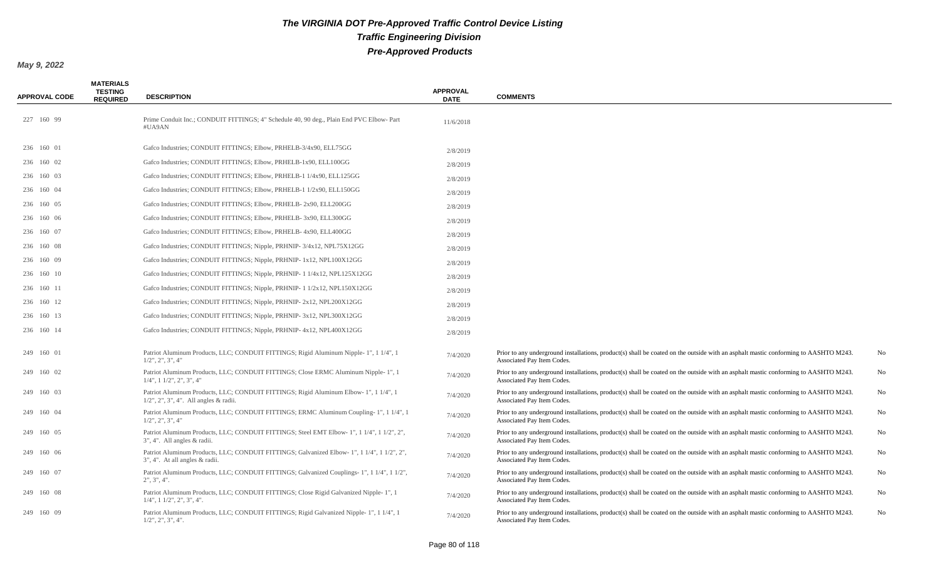| <b>APPROVAL CODE</b> | <b>MATERIALS</b><br><b>TESTING</b><br><b>REQUIRED</b> | <b>DESCRIPTION</b>                                                                                                                         | <b>APPROVAL</b><br><b>DATE</b> | <b>COMMENTS</b>                                                                                                                                                   |    |
|----------------------|-------------------------------------------------------|--------------------------------------------------------------------------------------------------------------------------------------------|--------------------------------|-------------------------------------------------------------------------------------------------------------------------------------------------------------------|----|
| 227 160 99           |                                                       | Prime Conduit Inc.; CONDUIT FITTINGS; 4" Schedule 40, 90 deg., Plain End PVC Elbow-Part<br>#UA9AN                                          | 11/6/2018                      |                                                                                                                                                                   |    |
| 236 160 01           |                                                       | Gafco Industries; CONDUIT FITTINGS; Elbow, PRHELB-3/4x90, ELL75GG                                                                          | 2/8/2019                       |                                                                                                                                                                   |    |
| 236 160 02           |                                                       | Gafco Industries; CONDUIT FITTINGS; Elbow, PRHELB-1x90, ELL100GG                                                                           | 2/8/2019                       |                                                                                                                                                                   |    |
| 236 160 03           |                                                       | Gafco Industries; CONDUIT FITTINGS; Elbow, PRHELB-1 1/4x90, ELL125GG                                                                       | 2/8/2019                       |                                                                                                                                                                   |    |
| 236 160 04           |                                                       | Gafco Industries; CONDUIT FITTINGS; Elbow, PRHELB-1 1/2x90, ELL150GG                                                                       | 2/8/2019                       |                                                                                                                                                                   |    |
| 236 160 05           |                                                       | Gafco Industries; CONDUIT FITTINGS; Elbow, PRHELB-2x90, ELL200GG                                                                           | 2/8/2019                       |                                                                                                                                                                   |    |
| 236 160 06           |                                                       | Gafco Industries; CONDUIT FITTINGS; Elbow, PRHELB-3x90, ELL300GG                                                                           | 2/8/2019                       |                                                                                                                                                                   |    |
| 236 160 07           |                                                       | Gafco Industries; CONDUIT FITTINGS; Elbow, PRHELB- 4x90, ELL400GG                                                                          | 2/8/2019                       |                                                                                                                                                                   |    |
| 236 160 08           |                                                       | Gafco Industries; CONDUIT FITTINGS; Nipple, PRHNIP-3/4x12, NPL75X12GG                                                                      | 2/8/2019                       |                                                                                                                                                                   |    |
| 236 160 09           |                                                       | Gafco Industries; CONDUIT FITTINGS; Nipple, PRHNIP-1x12, NPL100X12GG                                                                       | 2/8/2019                       |                                                                                                                                                                   |    |
| 236 160 10           |                                                       | Gafco Industries; CONDUIT FITTINGS; Nipple, PRHNIP-11/4x12, NPL125X12GG                                                                    | 2/8/2019                       |                                                                                                                                                                   |    |
| 236 160 11           |                                                       | Gafco Industries; CONDUIT FITTINGS; Nipple, PRHNIP- 1 1/2x12, NPL150X12GG                                                                  | 2/8/2019                       |                                                                                                                                                                   |    |
| 236 160 12           |                                                       | Gafco Industries; CONDUIT FITTINGS; Nipple, PRHNIP-2x12, NPL200X12GG                                                                       | 2/8/2019                       |                                                                                                                                                                   |    |
| 236 160 13           |                                                       | Gafco Industries; CONDUIT FITTINGS; Nipple, PRHNIP-3x12, NPL300X12GG                                                                       | 2/8/2019                       |                                                                                                                                                                   |    |
| 236 160 14           |                                                       | Gafco Industries; CONDUIT FITTINGS; Nipple, PRHNIP- 4x12, NPL400X12GG                                                                      | 2/8/2019                       |                                                                                                                                                                   |    |
| 249 160 01           |                                                       | Patriot Aluminum Products, LLC; CONDUIT FITTINGS; Rigid Aluminum Nipple-1", 1 1/4", 1<br>$1/2$ ", $2$ ", $3$ ", $4$ "                      | 7/4/2020                       | Prior to any underground installations, product(s) shall be coated on the outside with an asphalt mastic conforming to AASHTO M243.<br>Associated Pay Item Codes. | No |
| 249 160 02           |                                                       | Patriot Aluminum Products, LLC; CONDUIT FITTINGS; Close ERMC Aluminum Nipple-1", 1<br>$1/4$ ", $1\ 1/2$ ", $2$ ", $3$ ", $4$ "             | 7/4/2020                       | Prior to any underground installations, product(s) shall be coated on the outside with an asphalt mastic conforming to AASHTO M243.<br>Associated Pay Item Codes. | No |
| 249 160 03           |                                                       | Patriot Aluminum Products, LLC; CONDUIT FITTINGS; Rigid Aluminum Elbow- 1", 1 1/4", 1<br>$1/2$ ", $2$ ", $3$ ", $4$ ". All angles & radii. | 7/4/2020                       | Prior to any underground installations, product(s) shall be coated on the outside with an asphalt mastic conforming to AASHTO M243.<br>Associated Pay Item Codes. | No |
| 249 160 04           |                                                       | Patriot Aluminum Products, LLC; CONDUIT FITTINGS; ERMC Aluminum Coupling-1", 1 1/4", 1<br>$1/2$ ", $2$ ", $3$ ", $4$ "                     | 7/4/2020                       | Prior to any underground installations, product(s) shall be coated on the outside with an asphalt mastic conforming to AASHTO M243.<br>Associated Pay Item Codes. | No |
| 249 160 05           |                                                       | Patriot Aluminum Products, LLC; CONDUIT FITTINGS; Steel EMT Elbow-1", 1 1/4", 1 1/2", 2",<br>$3$ ", $4$ ". All angles $\&$ radii.          | 7/4/2020                       | Prior to any underground installations, product(s) shall be coated on the outside with an asphalt mastic conforming to AASHTO M243.<br>Associated Pay Item Codes. | No |
| 249 160 06           |                                                       | Patriot Aluminum Products, LLC; CONDUIT FITTINGS; Galvanized Elbow-1", 1 1/4", 1 1/2", 2",<br>3", 4". At all angles & radii.               | 7/4/2020                       | Prior to any underground installations, product(s) shall be coated on the outside with an asphalt mastic conforming to AASHTO M243.<br>Associated Pay Item Codes. | No |
| 249 160 07           |                                                       | Patriot Aluminum Products, LLC; CONDUIT FITTINGS; Galvanized Couplings- 1", 1 1/4", 1 1/2",<br>2", 3", 4".                                 | 7/4/2020                       | Prior to any underground installations, product(s) shall be coated on the outside with an asphalt mastic conforming to AASHTO M243.<br>Associated Pay Item Codes. | No |
| 249 160 08           |                                                       | Patriot Aluminum Products, LLC; CONDUIT FITTINGS; Close Rigid Galvanized Nipple-1", 1<br>$1/4$ ", $1\ 1/2$ ", $2$ ", $3$ ", $4$ ".         | 7/4/2020                       | Prior to any underground installations, product(s) shall be coated on the outside with an asphalt mastic conforming to AASHTO M243.<br>Associated Pay Item Codes. | No |
| 249 160 09           |                                                       | Patriot Aluminum Products, LLC; CONDUIT FITTINGS; Rigid Galvanized Nipple-1", 1 1/4", 1<br>$1/2$ ", $2$ ", $3$ ", $4$ ".                   | 7/4/2020                       | Prior to any underground installations, product(s) shall be coated on the outside with an asphalt mastic conforming to AASHTO M243.<br>Associated Pay Item Codes. | No |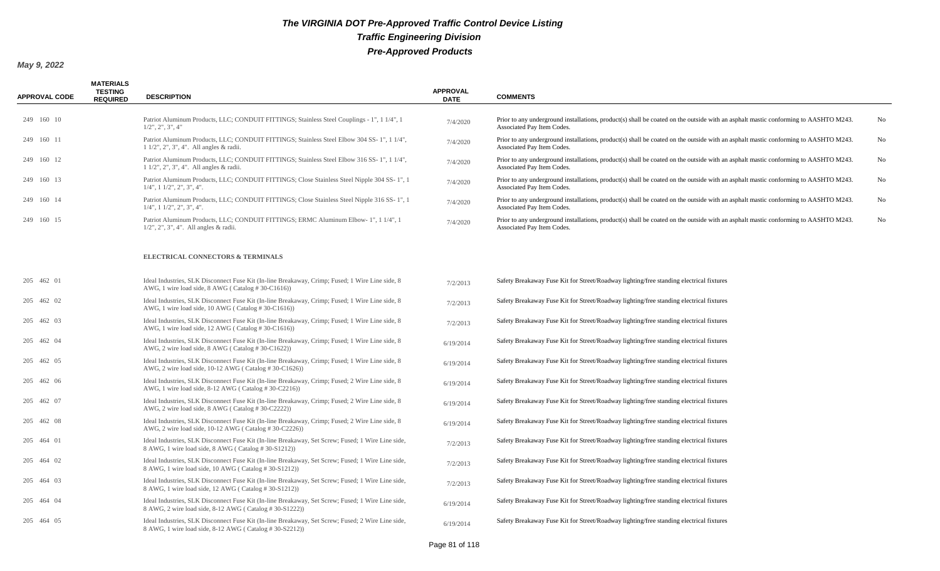| <b>APPROVAL CODE</b> | <b>MATERIALS</b><br><b>TESTING</b><br><b>REQUIRED</b> | <b>DESCRIPTION</b>                                                                                                                                          | <b>APPROVAL</b><br><b>DATE</b> | <b>COMMENTS</b>                                                                                                                                                   |    |
|----------------------|-------------------------------------------------------|-------------------------------------------------------------------------------------------------------------------------------------------------------------|--------------------------------|-------------------------------------------------------------------------------------------------------------------------------------------------------------------|----|
| 249 160 10           |                                                       | Patriot Aluminum Products, LLC; CONDUIT FITTINGS; Stainless Steel Couplings - 1", 1 1/4", 1<br>$1/2$ ", $2$ ", $3$ ", $4$ "                                 | 7/4/2020                       | Prior to any underground installations, product(s) shall be coated on the outside with an asphalt mastic conforming to AASHTO M243.<br>Associated Pay Item Codes. | No |
| 249 160 11           |                                                       | Patriot Aluminum Products, LLC; CONDUIT FITTINGS; Stainless Steel Elbow 304 SS-1", 1 1/4",<br>1 1/2", 2", 3", 4". All angles & radii.                       | 7/4/2020                       | Prior to any underground installations, product(s) shall be coated on the outside with an asphalt mastic conforming to AASHTO M243.<br>Associated Pay Item Codes. | No |
| 249 160 12           |                                                       | Patriot Aluminum Products, LLC; CONDUIT FITTINGS; Stainless Steel Elbow 316 SS-1", 1 1/4",<br>$11/2$ ", $2$ ", $3$ ", $4$ ". All angles & radii.            | 7/4/2020                       | Prior to any underground installations, product(s) shall be coated on the outside with an asphalt mastic conforming to AASHTO M243.<br>Associated Pay Item Codes. | No |
| 249 160 13           |                                                       | Patriot Aluminum Products, LLC; CONDUIT FITTINGS; Close Stainless Steel Nipple 304 SS-1", 1<br>$1/4$ ", $1 \frac{1}{2}$ ", $2$ ", $3$ ", $4$ ".             | 7/4/2020                       | Prior to any underground installations, product(s) shall be coated on the outside with an asphalt mastic conforming to AASHTO M243.<br>Associated Pay Item Codes. | No |
| 249 160 14           |                                                       | Patriot Aluminum Products, LLC; CONDUIT FITTINGS; Close Stainless Steel Nipple 316 SS-1", 1<br>$1/4$ ", $1\ 1/2$ ", $2$ ", $3$ ", $4$ ".                    | 7/4/2020                       | Prior to any underground installations, product(s) shall be coated on the outside with an asphalt mastic conforming to AASHTO M243.<br>Associated Pay Item Codes. | No |
| 249 160 15           |                                                       | Patriot Aluminum Products, LLC; CONDUIT FITTINGS; ERMC Aluminum Elbow-1", 1 1/4", 1<br>$1/2$ ", $2$ ", $3$ ", $4$ ". All angles & radii.                    | 7/4/2020                       | Prior to any underground installations, product(s) shall be coated on the outside with an asphalt mastic conforming to AASHTO M243.<br>Associated Pay Item Codes. | No |
|                      |                                                       | ELECTRICAL CONNECTORS & TERMINALS                                                                                                                           |                                |                                                                                                                                                                   |    |
| 205 462 01           |                                                       | Ideal Industries, SLK Disconnect Fuse Kit (In-line Breakaway, Crimp; Fused; 1 Wire Line side, 8<br>AWG, 1 wire load side, 8 AWG (Catalog #30-C1616))        | 7/2/2013                       | Safety Breakaway Fuse Kit for Street/Roadway lighting/free standing electrical fixtures                                                                           |    |
| 205 462 02           |                                                       | Ideal Industries, SLK Disconnect Fuse Kit (In-line Breakaway, Crimp; Fused; 1 Wire Line side, 8<br>AWG, 1 wire load side, 10 AWG (Catalog #30-C1616))       | 7/2/2013                       | Safety Breakaway Fuse Kit for Street/Roadway lighting/free standing electrical fixtures                                                                           |    |
| 205 462 03           |                                                       | Ideal Industries, SLK Disconnect Fuse Kit (In-line Breakaway, Crimp; Fused; 1 Wire Line side, 8<br>AWG, 1 wire load side, 12 AWG (Catalog #30-C1616))       | 7/2/2013                       | Safety Breakaway Fuse Kit for Street/Roadway lighting/free standing electrical fixtures                                                                           |    |
| 205 462 04           |                                                       | Ideal Industries, SLK Disconnect Fuse Kit (In-line Breakaway, Crimp; Fused; 1 Wire Line side, 8<br>AWG, 2 wire load side, 8 AWG (Catalog #30-C1622))        | 6/19/2014                      | Safety Breakaway Fuse Kit for Street/Roadway lighting/free standing electrical fixtures                                                                           |    |
| 205 462 05           |                                                       | Ideal Industries, SLK Disconnect Fuse Kit (In-line Breakaway, Crimp; Fused; 1 Wire Line side, 8<br>AWG, 2 wire load side, 10-12 AWG (Catalog #30-C1626))    | 6/19/2014                      | Safety Breakaway Fuse Kit for Street/Roadway lighting/free standing electrical fixtures                                                                           |    |
| 205 462 06           |                                                       | Ideal Industries, SLK Disconnect Fuse Kit (In-line Breakaway, Crimp; Fused; 2 Wire Line side, 8<br>AWG, 1 wire load side, $8-12$ AWG (Catalog # 30-C2216))  | 6/19/2014                      | Safety Breakaway Fuse Kit for Street/Roadway lighting/free standing electrical fixtures                                                                           |    |
| 205 462 07           |                                                       | Ideal Industries, SLK Disconnect Fuse Kit (In-line Breakaway, Crimp; Fused; 2 Wire Line side, 8<br>AWG, 2 wire load side, 8 AWG (Catalog #30-C2222))        | 6/19/2014                      | Safety Breakaway Fuse Kit for Street/Roadway lighting/free standing electrical fixtures                                                                           |    |
| 205 462 08           |                                                       | Ideal Industries, SLK Disconnect Fuse Kit (In-line Breakaway, Crimp; Fused; 2 Wire Line side, 8<br>AWG, 2 wire load side, 10-12 AWG (Catalog #30-C2226))    | 6/19/2014                      | Safety Breakaway Fuse Kit for Street/Roadway lighting/free standing electrical fixtures                                                                           |    |
| 205 464 01           |                                                       | Ideal Industries, SLK Disconnect Fuse Kit (In-line Breakaway, Set Screw; Fused; 1 Wire Line side,<br>8 AWG, 1 wire load side, 8 AWG (Catalog #30-S1212))    | 7/2/2013                       | Safety Breakaway Fuse Kit for Street/Roadway lighting/free standing electrical fixtures                                                                           |    |
| 205 464 02           |                                                       | Ideal Industries, SLK Disconnect Fuse Kit (In-line Breakaway, Set Screw; Fused; 1 Wire Line side,<br>8 AWG, 1 wire load side, 10 AWG (Catalog # 30-S1212))  | 7/2/2013                       | Safety Breakaway Fuse Kit for Street/Roadway lighting/free standing electrical fixtures                                                                           |    |
| 205 464 03           |                                                       | Ideal Industries, SLK Disconnect Fuse Kit (In-line Breakaway, Set Screw; Fused; 1 Wire Line side,<br>8 AWG, 1 wire load side, 12 AWG (Catalog # 30-S1212))  | 7/2/2013                       | Safety Breakaway Fuse Kit for Street/Roadway lighting/free standing electrical fixtures                                                                           |    |
| 205 464 04           |                                                       | Ideal Industries, SLK Disconnect Fuse Kit (In-line Breakaway, Set Screw; Fused; 1 Wire Line side,<br>8 AWG, 2 wire load side, 8-12 AWG (Catalog #30-S1222)) | 6/19/2014                      | Safety Breakaway Fuse Kit for Street/Roadway lighting/free standing electrical fixtures                                                                           |    |
| 205 464 05           |                                                       | Ideal Industries, SLK Disconnect Fuse Kit (In-line Breakaway, Set Screw; Fused; 2 Wire Line side,<br>8 AWG, 1 wire load side, 8-12 AWG (Catalog #30-S2212)) | 6/19/2014                      | Safety Breakaway Fuse Kit for Street/Roadway lighting/free standing electrical fixtures                                                                           |    |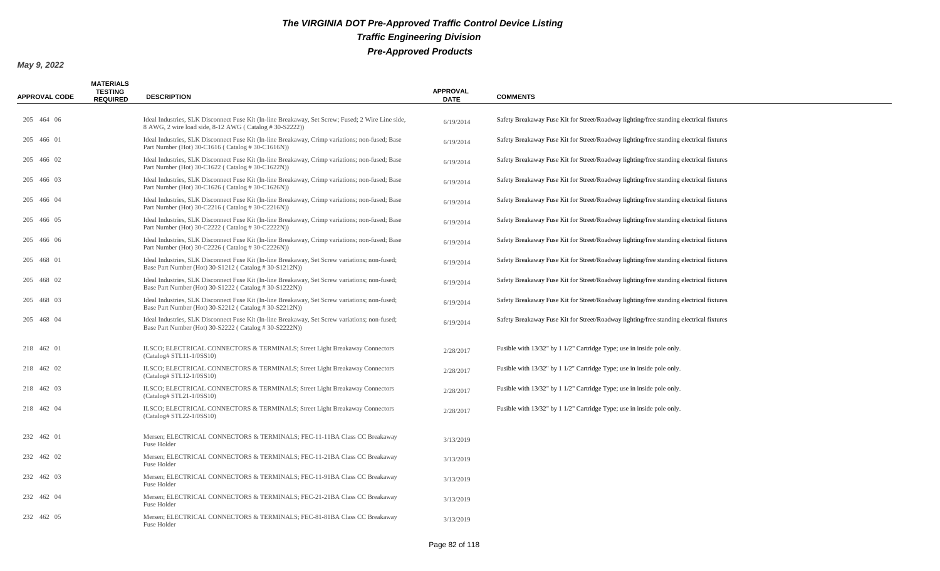| <b>APPROVAL CODE</b> | <b>MATERIALS</b><br><b>TESTING</b><br><b>REQUIRED</b> | <b>DESCRIPTION</b>                                                                                                                                          | <b>APPROVAL</b><br><b>DATE</b> | <b>COMMENTS</b>                                                                         |
|----------------------|-------------------------------------------------------|-------------------------------------------------------------------------------------------------------------------------------------------------------------|--------------------------------|-----------------------------------------------------------------------------------------|
|                      |                                                       |                                                                                                                                                             |                                |                                                                                         |
| 205 464 06           |                                                       | Ideal Industries, SLK Disconnect Fuse Kit (In-line Breakaway, Set Screw; Fused; 2 Wire Line side,<br>8 AWG, 2 wire load side, 8-12 AWG (Catalog #30-S2222)) | 6/19/2014                      | Safety Breakaway Fuse Kit for Street/Roadway lighting/free standing electrical fixtures |
| 205 466 01           |                                                       | Ideal Industries, SLK Disconnect Fuse Kit (In-line Breakaway, Crimp variations; non-fused; Base<br>Part Number (Hot) 30-C1616 (Catalog #30-C1616N))         | 6/19/2014                      | Safety Breakaway Fuse Kit for Street/Roadway lighting/free standing electrical fixtures |
| 205 466 02           |                                                       | Ideal Industries, SLK Disconnect Fuse Kit (In-line Breakaway, Crimp variations; non-fused; Base<br>Part Number (Hot) 30-C1622 (Catalog #30-C1622N))         | 6/19/2014                      | Safety Breakaway Fuse Kit for Street/Roadway lighting/free standing electrical fixtures |
| 205 466 03           |                                                       | Ideal Industries, SLK Disconnect Fuse Kit (In-line Breakaway, Crimp variations; non-fused; Base<br>Part Number (Hot) 30-C1626 (Catalog #30-C1626N))         | 6/19/2014                      | Safety Breakaway Fuse Kit for Street/Roadway lighting/free standing electrical fixtures |
| 205 466 04           |                                                       | Ideal Industries, SLK Disconnect Fuse Kit (In-line Breakaway, Crimp variations; non-fused; Base<br>Part Number (Hot) 30-C2216 (Catalog #30-C2216N))         | 6/19/2014                      | Safety Breakaway Fuse Kit for Street/Roadway lighting/free standing electrical fixtures |
| 205 466 05           |                                                       | Ideal Industries, SLK Disconnect Fuse Kit (In-line Breakaway, Crimp variations; non-fused; Base<br>Part Number (Hot) 30-C2222 (Catalog #30-C2222N))         | 6/19/2014                      | Safety Breakaway Fuse Kit for Street/Roadway lighting/free standing electrical fixtures |
| 205 466 06           |                                                       | Ideal Industries, SLK Disconnect Fuse Kit (In-line Breakaway, Crimp variations; non-fused; Base<br>Part Number (Hot) 30-C2226 (Catalog #30-C2226N))         | 6/19/2014                      | Safety Breakaway Fuse Kit for Street/Roadway lighting/free standing electrical fixtures |
| 205 468 01           |                                                       | Ideal Industries, SLK Disconnect Fuse Kit (In-line Breakaway, Set Screw variations; non-fused;<br>Base Part Number (Hot) 30-S1212 (Catalog #30-S1212N))     | 6/19/2014                      | Safety Breakaway Fuse Kit for Street/Roadway lighting/free standing electrical fixtures |
| 205 468 02           |                                                       | Ideal Industries, SLK Disconnect Fuse Kit (In-line Breakaway, Set Screw variations; non-fused;<br>Base Part Number (Hot) 30-S1222 (Catalog #30-S1222N))     | 6/19/2014                      | Safety Breakaway Fuse Kit for Street/Roadway lighting/free standing electrical fixtures |
| 205 468 03           |                                                       | Ideal Industries, SLK Disconnect Fuse Kit (In-line Breakaway, Set Screw variations; non-fused;<br>Base Part Number (Hot) 30-S2212 (Catalog #30-S2212N))     | 6/19/2014                      | Safety Breakaway Fuse Kit for Street/Roadway lighting/free standing electrical fixtures |
| 205 468 04           |                                                       | Ideal Industries, SLK Disconnect Fuse Kit (In-line Breakaway, Set Screw variations; non-fused;<br>Base Part Number (Hot) 30-S2222 (Catalog #30-S2222N))     | 6/19/2014                      | Safety Breakaway Fuse Kit for Street/Roadway lighting/free standing electrical fixtures |
| 218 462 01           |                                                       | ILSCO; ELECTRICAL CONNECTORS & TERMINALS; Street Light Breakaway Connectors<br>$(Catalog \# STL11-1/0SS10)$                                                 | 2/28/2017                      | Fusible with 13/32" by 1 1/2" Cartridge Type; use in inside pole only.                  |
| 218 462 02           |                                                       | ILSCO; ELECTRICAL CONNECTORS & TERMINALS; Street Light Breakaway Connectors<br>$(Catalog \# STL12-1/0SS10)$                                                 | 2/28/2017                      | Fusible with 13/32" by 1 1/2" Cartridge Type; use in inside pole only.                  |
| 218 462 03           |                                                       | ILSCO; ELECTRICAL CONNECTORS & TERMINALS; Street Light Breakaway Connectors<br>$(Catalog \# STL21-1/0SS10)$                                                 | 2/28/2017                      | Fusible with 13/32" by 1 1/2" Cartridge Type; use in inside pole only.                  |
| 218 462 04           |                                                       | ILSCO; ELECTRICAL CONNECTORS & TERMINALS; Street Light Breakaway Connectors<br>$(Catalog \# STL22-1/0SS10)$                                                 | 2/28/2017                      | Fusible with 13/32" by 1 1/2" Cartridge Type; use in inside pole only.                  |
| 232 462 01           |                                                       | Mersen; ELECTRICAL CONNECTORS & TERMINALS; FEC-11-11BA Class CC Breakaway<br>Fuse Holder                                                                    | 3/13/2019                      |                                                                                         |
| 232 462 02           |                                                       | Mersen; ELECTRICAL CONNECTORS & TERMINALS; FEC-11-21BA Class CC Breakaway<br>Fuse Holder                                                                    | 3/13/2019                      |                                                                                         |
| 232 462 03           |                                                       | Mersen; ELECTRICAL CONNECTORS & TERMINALS; FEC-11-91BA Class CC Breakaway<br>Fuse Holder                                                                    | 3/13/2019                      |                                                                                         |
| 232 462 04           |                                                       | Mersen; ELECTRICAL CONNECTORS & TERMINALS; FEC-21-21BA Class CC Breakaway<br>Fuse Holder                                                                    | 3/13/2019                      |                                                                                         |
| 232 462 05           |                                                       | Mersen; ELECTRICAL CONNECTORS & TERMINALS; FEC-81-81BA Class CC Breakaway<br>Fuse Holder                                                                    | 3/13/2019                      |                                                                                         |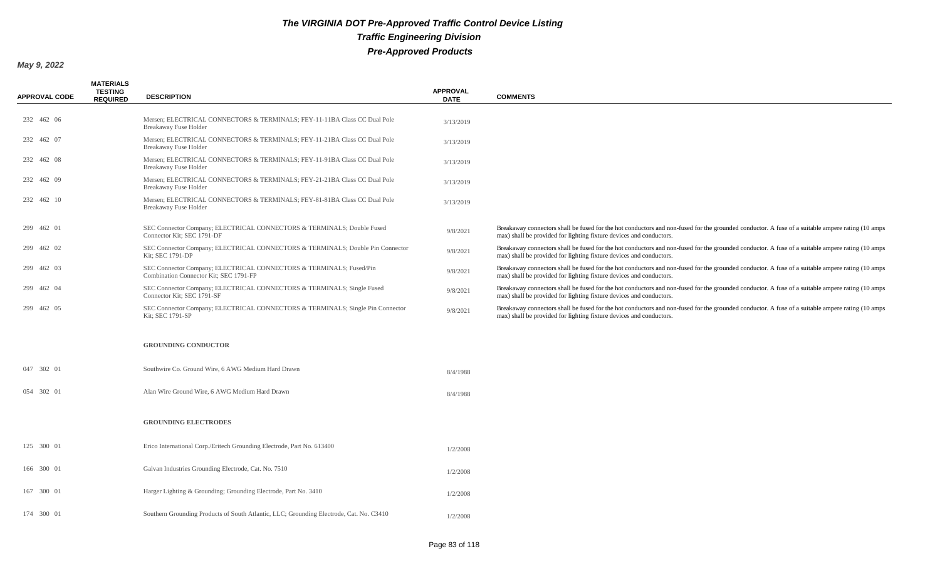| <b>APPROVAL CODE</b> | <b>MATERIALS</b><br><b>TESTING</b><br><b>REQUIRED</b> | <b>DESCRIPTION</b>                                                                                            | <b>APPROVAL</b><br><b>DATE</b> | <b>COMMENTS</b>                                                                                                                                                                                                         |
|----------------------|-------------------------------------------------------|---------------------------------------------------------------------------------------------------------------|--------------------------------|-------------------------------------------------------------------------------------------------------------------------------------------------------------------------------------------------------------------------|
| 232 462 06           |                                                       | Mersen; ELECTRICAL CONNECTORS & TERMINALS; FEY-11-11BA Class CC Dual Pole<br>Breakaway Fuse Holder            | 3/13/2019                      |                                                                                                                                                                                                                         |
| 232 462 07           |                                                       | Mersen; ELECTRICAL CONNECTORS & TERMINALS; FEY-11-21BA Class CC Dual Pole<br>Breakaway Fuse Holder            | 3/13/2019                      |                                                                                                                                                                                                                         |
| 232 462 08           |                                                       | Mersen; ELECTRICAL CONNECTORS & TERMINALS; FEY-11-91BA Class CC Dual Pole<br>Breakaway Fuse Holder            | 3/13/2019                      |                                                                                                                                                                                                                         |
| 232 462 09           |                                                       | Mersen; ELECTRICAL CONNECTORS & TERMINALS; FEY-21-21BA Class CC Dual Pole<br>Breakaway Fuse Holder            | 3/13/2019                      |                                                                                                                                                                                                                         |
| 232 462 10           |                                                       | Mersen; ELECTRICAL CONNECTORS & TERMINALS; FEY-81-81BA Class CC Dual Pole<br>Breakaway Fuse Holder            | 3/13/2019                      |                                                                                                                                                                                                                         |
| 299 462 01           |                                                       | SEC Connector Company; ELECTRICAL CONNECTORS & TERMINALS; Double Fused<br>Connector Kit: SEC 1791-DF          | 9/8/2021                       | Breakaway connectors shall be fused for the hot conductors and non-fused for the grounded conductor. A fuse of a suitable ampere rating (10 amps<br>max) shall be provided for lighting fixture devices and conductors. |
| 299 462 02           |                                                       | SEC Connector Company; ELECTRICAL CONNECTORS & TERMINALS; Double Pin Connector<br>Kit; SEC 1791-DP            | 9/8/2021                       | Breakaway connectors shall be fused for the hot conductors and non-fused for the grounded conductor. A fuse of a suitable ampere rating (10 amps<br>max) shall be provided for lighting fixture devices and conductors. |
| 299 462 03           |                                                       | SEC Connector Company; ELECTRICAL CONNECTORS & TERMINALS; Fused/Pin<br>Combination Connector Kit; SEC 1791-FP | 9/8/2021                       | Breakaway connectors shall be fused for the hot conductors and non-fused for the grounded conductor. A fuse of a suitable ampere rating (10 amps<br>max) shall be provided for lighting fixture devices and conductors. |
| 299 462 04           |                                                       | SEC Connector Company; ELECTRICAL CONNECTORS & TERMINALS; Single Fused<br>Connector Kit: SEC 1791-SF          | 9/8/2021                       | Breakaway connectors shall be fused for the hot conductors and non-fused for the grounded conductor. A fuse of a suitable ampere rating (10 amps<br>max) shall be provided for lighting fixture devices and conductors. |
| 299 462 05           |                                                       | SEC Connector Company; ELECTRICAL CONNECTORS & TERMINALS; Single Pin Connector<br>Kit; SEC 1791-SP            | 9/8/2021                       | Breakaway connectors shall be fused for the hot conductors and non-fused for the grounded conductor. A fuse of a suitable ampere rating (10 amps<br>max) shall be provided for lighting fixture devices and conductors. |
|                      |                                                       | <b>GROUNDING CONDUCTOR</b>                                                                                    |                                |                                                                                                                                                                                                                         |
| 047 302 01           |                                                       | Southwire Co. Ground Wire, 6 AWG Medium Hard Drawn                                                            | 8/4/1988                       |                                                                                                                                                                                                                         |
| 054 302 01           |                                                       | Alan Wire Ground Wire, 6 AWG Medium Hard Drawn                                                                | 8/4/1988                       |                                                                                                                                                                                                                         |
|                      |                                                       | <b>GROUNDING ELECTRODES</b>                                                                                   |                                |                                                                                                                                                                                                                         |
| 125 300 01           |                                                       | Erico International Corp./Eritech Grounding Electrode, Part No. 613400                                        | 1/2/2008                       |                                                                                                                                                                                                                         |
| 166 300 01           |                                                       | Galvan Industries Grounding Electrode, Cat. No. 7510                                                          | 1/2/2008                       |                                                                                                                                                                                                                         |
| 167 300 01           |                                                       | Harger Lighting & Grounding; Grounding Electrode, Part No. 3410                                               | 1/2/2008                       |                                                                                                                                                                                                                         |
| 174 300 01           |                                                       | Southern Grounding Products of South Atlantic, LLC; Grounding Electrode, Cat. No. C3410                       | 1/2/2008                       |                                                                                                                                                                                                                         |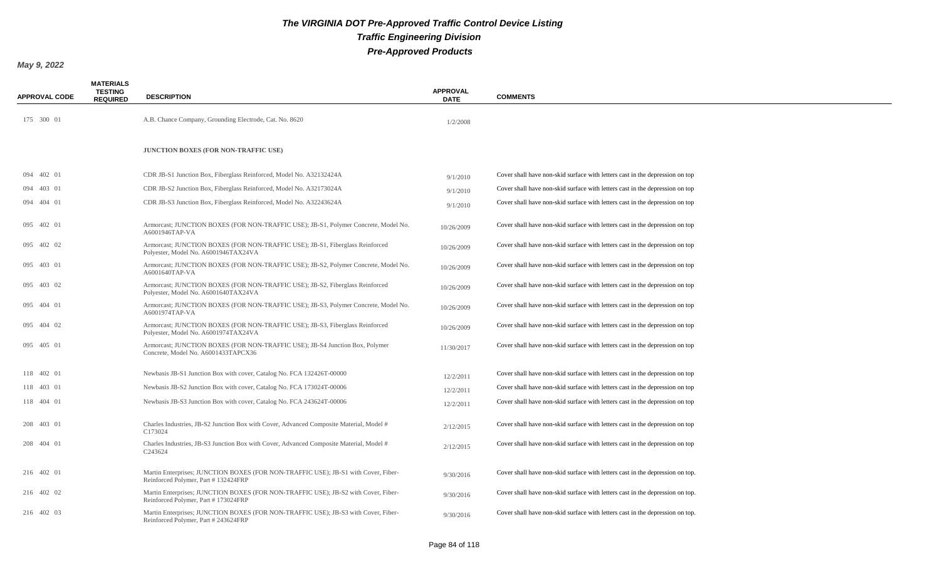| <b>APPROVAL CODE</b> | <b>MATERIALS</b><br><b>TESTING</b><br><b>REQUIRED</b> | <b>DESCRIPTION</b>                                                                                                         | <b>APPROVAL</b><br><b>DATE</b> | <b>COMMENTS</b>                                                               |
|----------------------|-------------------------------------------------------|----------------------------------------------------------------------------------------------------------------------------|--------------------------------|-------------------------------------------------------------------------------|
| 175 300 01           |                                                       | A.B. Chance Company, Grounding Electrode, Cat. No. 8620                                                                    | 1/2/2008                       |                                                                               |
|                      |                                                       | <b>JUNCTION BOXES (FOR NON-TRAFFIC USE)</b>                                                                                |                                |                                                                               |
| 094 402 01           |                                                       | CDR JB-S1 Junction Box, Fiberglass Reinforced, Model No. A32132424A                                                        | 9/1/2010                       | Cover shall have non-skid surface with letters cast in the depression on top  |
| 094 403 01           |                                                       | CDR JB-S2 Junction Box, Fiberglass Reinforced, Model No. A32173024A                                                        | 9/1/2010                       | Cover shall have non-skid surface with letters cast in the depression on top  |
| 094 404 01           |                                                       | CDR JB-S3 Junction Box, Fiberglass Reinforced, Model No. A32243624A                                                        | 9/1/2010                       | Cover shall have non-skid surface with letters cast in the depression on top  |
| 095 402 01           |                                                       | Armorcast; JUNCTION BOXES (FOR NON-TRAFFIC USE); JB-S1, Polymer Concrete, Model No.<br>A6001946TAP-VA                      | 10/26/2009                     | Cover shall have non-skid surface with letters cast in the depression on top  |
| 095 402 02           |                                                       | Armorcast; JUNCTION BOXES (FOR NON-TRAFFIC USE); JB-S1, Fiberglass Reinforced<br>Polyester, Model No. A6001946TAX24VA      | 10/26/2009                     | Cover shall have non-skid surface with letters cast in the depression on top  |
| 095 403 01           |                                                       | Armorcast; JUNCTION BOXES (FOR NON-TRAFFIC USE); JB-S2, Polymer Concrete, Model No.<br>A6001640TAP-VA                      | 10/26/2009                     | Cover shall have non-skid surface with letters cast in the depression on top  |
| 095 403 02           |                                                       | Armorcast; JUNCTION BOXES (FOR NON-TRAFFIC USE); JB-S2, Fiberglass Reinforced<br>Polyester, Model No. A6001640TAX24VA      | 10/26/2009                     | Cover shall have non-skid surface with letters cast in the depression on top  |
| 095 404 01           |                                                       | Armorcast; JUNCTION BOXES (FOR NON-TRAFFIC USE); JB-S3, Polymer Concrete, Model No.<br>A6001974TAP-VA                      | 10/26/2009                     | Cover shall have non-skid surface with letters cast in the depression on top  |
| 095 404 02           |                                                       | Armorcast; JUNCTION BOXES (FOR NON-TRAFFIC USE); JB-S3, Fiberglass Reinforced<br>Polyester, Model No. A6001974TAX24VA      | 10/26/2009                     | Cover shall have non-skid surface with letters cast in the depression on top  |
| 095 405 01           |                                                       | Armorcast; JUNCTION BOXES (FOR NON-TRAFFIC USE); JB-S4 Junction Box, Polymer<br>Concrete, Model No. A6001433TAPCX36        | 11/30/2017                     | Cover shall have non-skid surface with letters cast in the depression on top  |
| 118 402 01           |                                                       | Newbasis JB-S1 Junction Box with cover, Catalog No. FCA 132426T-00000                                                      | 12/2/2011                      | Cover shall have non-skid surface with letters cast in the depression on top  |
| 118 403 01           |                                                       | Newbasis JB-S2 Junction Box with cover, Catalog No. FCA 173024T-00006                                                      | 12/2/2011                      | Cover shall have non-skid surface with letters cast in the depression on top  |
| 118 404 01           |                                                       | Newbasis JB-S3 Junction Box with cover, Catalog No. FCA 243624T-00006                                                      | 12/2/2011                      | Cover shall have non-skid surface with letters cast in the depression on top  |
| 208 403 01           |                                                       | Charles Industries, JB-S2 Junction Box with Cover, Advanced Composite Material, Model #<br>C173024                         | 2/12/2015                      | Cover shall have non-skid surface with letters cast in the depression on top  |
| 208 404 01           |                                                       | Charles Industries, JB-S3 Junction Box with Cover, Advanced Composite Material, Model #<br>C243624                         | 2/12/2015                      | Cover shall have non-skid surface with letters cast in the depression on top  |
| 216 402 01           |                                                       | Martin Enterprises; JUNCTION BOXES (FOR NON-TRAFFIC USE); JB-S1 with Cover, Fiber-<br>Reinforced Polymer, Part #132424FRP  | 9/30/2016                      | Cover shall have non-skid surface with letters cast in the depression on top. |
| 216 402 02           |                                                       | Martin Enterprises; JUNCTION BOXES (FOR NON-TRAFFIC USE); JB-S2 with Cover, Fiber-<br>Reinforced Polymer, Part #173024FRP  | 9/30/2016                      | Cover shall have non-skid surface with letters cast in the depression on top. |
| 216 402 03           |                                                       | Martin Enterprises; JUNCTION BOXES (FOR NON-TRAFFIC USE); JB-S3 with Cover, Fiber-<br>Reinforced Polymer, Part # 243624FRP | 9/30/2016                      | Cover shall have non-skid surface with letters cast in the depression on top. |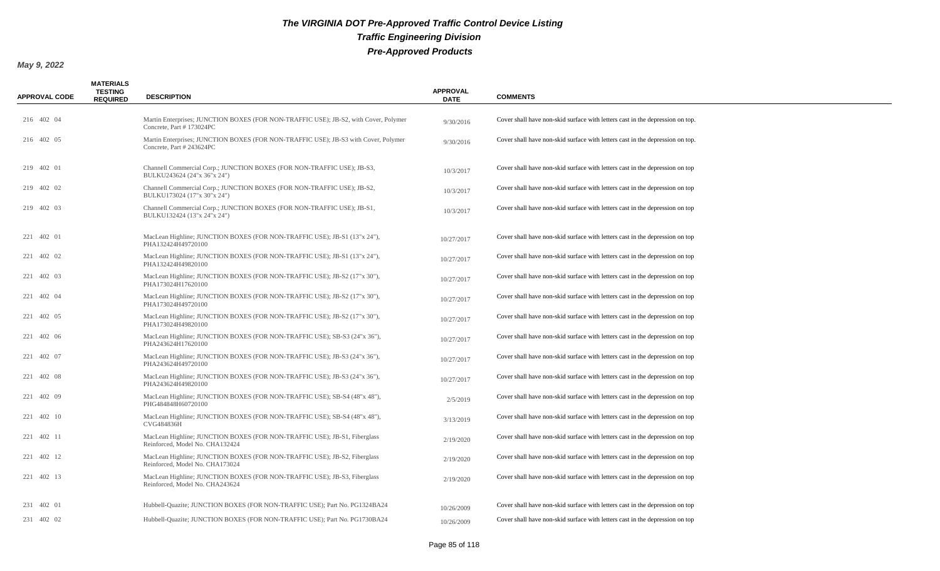| <b>APPROVAL CODE</b> | <b>MATERIALS</b><br><b>TESTING</b><br><b>REQUIRED</b> | <b>DESCRIPTION</b>                                                                                               | <b>APPROVAL</b><br><b>DATE</b> | <b>COMMENTS</b>                                                               |
|----------------------|-------------------------------------------------------|------------------------------------------------------------------------------------------------------------------|--------------------------------|-------------------------------------------------------------------------------|
| 216 402 04           |                                                       | Martin Enterprises; JUNCTION BOXES (FOR NON-TRAFFIC USE); JB-S2, with Cover, Polymer<br>Concrete, Part #173024PC | 9/30/2016                      | Cover shall have non-skid surface with letters cast in the depression on top. |
| 216 402 05           |                                                       | Martin Enterprises; JUNCTION BOXES (FOR NON-TRAFFIC USE); JB-S3 with Cover, Polymer<br>Concrete, Part #243624PC  | 9/30/2016                      | Cover shall have non-skid surface with letters cast in the depression on top. |
| 219 402 01           |                                                       | Channell Commercial Corp.; JUNCTION BOXES (FOR NON-TRAFFIC USE); JB-S3,<br>BULKU243624 (24"x 36"x 24")           | 10/3/2017                      | Cover shall have non-skid surface with letters cast in the depression on top  |
| 219 402 02           |                                                       | Channell Commercial Corp.; JUNCTION BOXES (FOR NON-TRAFFIC USE); JB-S2,<br>BULKU173024 (17"x 30"x 24")           | 10/3/2017                      | Cover shall have non-skid surface with letters cast in the depression on top  |
| 219 402 03           |                                                       | Channell Commercial Corp.; JUNCTION BOXES (FOR NON-TRAFFIC USE); JB-S1,<br>BULKU132424 (13"x 24"x 24")           | 10/3/2017                      | Cover shall have non-skid surface with letters cast in the depression on top  |
| 221 402 01           |                                                       | MacLean Highline; JUNCTION BOXES (FOR NON-TRAFFIC USE); JB-S1 (13"x 24"),<br>PHA132424H49720100                  | 10/27/2017                     | Cover shall have non-skid surface with letters cast in the depression on top  |
| 221 402 02           |                                                       | MacLean Highline; JUNCTION BOXES (FOR NON-TRAFFIC USE); JB-S1 (13"x 24"),<br>PHA132424H49820100                  | 10/27/2017                     | Cover shall have non-skid surface with letters cast in the depression on top  |
| 221 402 03           |                                                       | MacLean Highline; JUNCTION BOXES (FOR NON-TRAFFIC USE); JB-S2 (17"x 30"),<br>PHA173024H17620100                  | 10/27/2017                     | Cover shall have non-skid surface with letters cast in the depression on top  |
| 221 402 04           |                                                       | MacLean Highline; JUNCTION BOXES (FOR NON-TRAFFIC USE); JB-S2 (17"x 30"),<br>PHA173024H49720100                  | 10/27/2017                     | Cover shall have non-skid surface with letters cast in the depression on top  |
| 221 402 05           |                                                       | MacLean Highline; JUNCTION BOXES (FOR NON-TRAFFIC USE); JB-S2 (17"x 30"),<br>PHA173024H49820100                  | 10/27/2017                     | Cover shall have non-skid surface with letters cast in the depression on top  |
| 221 402 06           |                                                       | MacLean Highline; JUNCTION BOXES (FOR NON-TRAFFIC USE); SB-S3 (24"x 36"),<br>PHA243624H17620100                  | 10/27/2017                     | Cover shall have non-skid surface with letters cast in the depression on top  |
| 221 402 07           |                                                       | MacLean Highline; JUNCTION BOXES (FOR NON-TRAFFIC USE); JB-S3 (24"x 36"),<br>PHA243624H49720100                  | 10/27/2017                     | Cover shall have non-skid surface with letters cast in the depression on top  |
| 221 402 08           |                                                       | MacLean Highline; JUNCTION BOXES (FOR NON-TRAFFIC USE); JB-S3 (24"x 36"),<br>PHA243624H49820100                  | 10/27/2017                     | Cover shall have non-skid surface with letters cast in the depression on top  |
| 221 402 09           |                                                       | MacLean Highline; JUNCTION BOXES (FOR NON-TRAFFIC USE); SB-S4 (48"x 48"),<br>PHG484848H60720100                  | 2/5/2019                       | Cover shall have non-skid surface with letters cast in the depression on top  |
| 221 402 10           |                                                       | MacLean Highline; JUNCTION BOXES (FOR NON-TRAFFIC USE); SB-S4 (48"x 48"),<br>CVG484836H                          | 3/13/2019                      | Cover shall have non-skid surface with letters cast in the depression on top  |
| 221 402 11           |                                                       | MacLean Highline; JUNCTION BOXES (FOR NON-TRAFFIC USE); JB-S1, Fiberglass<br>Reinforced, Model No. CHA132424     | 2/19/2020                      | Cover shall have non-skid surface with letters cast in the depression on top  |
| 221 402 12           |                                                       | MacLean Highline; JUNCTION BOXES (FOR NON-TRAFFIC USE); JB-S2, Fiberglass<br>Reinforced, Model No. CHA173024     | 2/19/2020                      | Cover shall have non-skid surface with letters cast in the depression on top  |
| 221 402 13           |                                                       | MacLean Highline; JUNCTION BOXES (FOR NON-TRAFFIC USE); JB-S3, Fiberglass<br>Reinforced, Model No. CHA243624     | 2/19/2020                      | Cover shall have non-skid surface with letters cast in the depression on top  |
| 231 402 01           |                                                       | Hubbell-Quazite; JUNCTION BOXES (FOR NON-TRAFFIC USE); Part No. PG1324BA24                                       | 10/26/2009                     | Cover shall have non-skid surface with letters cast in the depression on top  |
| 231 402 02           |                                                       | Hubbell-Quazite; JUNCTION BOXES (FOR NON-TRAFFIC USE); Part No. PG1730BA24                                       | 10/26/2009                     | Cover shall have non-skid surface with letters cast in the depression on top  |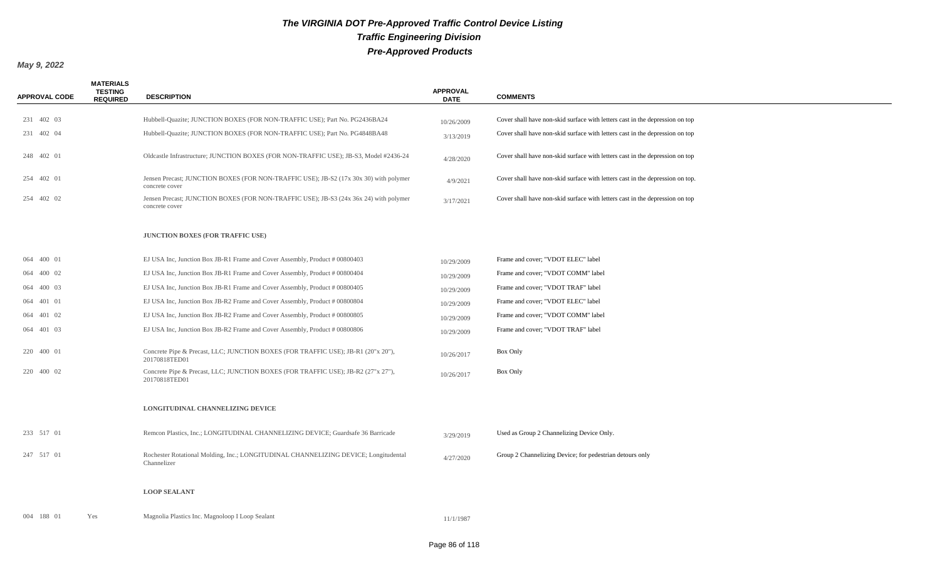| <b>APPROVAL CODE</b> | <b>MATERIALS</b><br><b>TESTING</b><br><b>REQUIRED</b> | <b>DESCRIPTION</b>                                                                                      | <b>APPROVAL</b><br><b>DATE</b> | <b>COMMENTS</b>                                                               |
|----------------------|-------------------------------------------------------|---------------------------------------------------------------------------------------------------------|--------------------------------|-------------------------------------------------------------------------------|
| 231 402 03           |                                                       | Hubbell-Quazite; JUNCTION BOXES (FOR NON-TRAFFIC USE); Part No. PG2436BA24                              | 10/26/2009                     | Cover shall have non-skid surface with letters cast in the depression on top  |
| 231 402 04           |                                                       | Hubbell-Quazite; JUNCTION BOXES (FOR NON-TRAFFIC USE); Part No. PG4848BA48                              | 3/13/2019                      | Cover shall have non-skid surface with letters cast in the depression on top  |
| 248 402 01           |                                                       | Oldcastle Infrastructure; JUNCTION BOXES (FOR NON-TRAFFIC USE); JB-S3, Model #2436-24                   | 4/28/2020                      | Cover shall have non-skid surface with letters cast in the depression on top  |
| 254 402 01           |                                                       | Jensen Precast; JUNCTION BOXES (FOR NON-TRAFFIC USE); JB-S2 (17x 30x 30) with polymer<br>concrete cover | 4/9/2021                       | Cover shall have non-skid surface with letters cast in the depression on top. |
| 254 402 02           |                                                       | Jensen Precast; JUNCTION BOXES (FOR NON-TRAFFIC USE); JB-S3 (24x 36x 24) with polymer<br>concrete cover | 3/17/2021                      | Cover shall have non-skid surface with letters cast in the depression on top  |
|                      |                                                       | JUNCTION BOXES (FOR TRAFFIC USE)                                                                        |                                |                                                                               |
| 064 400 01           |                                                       | EJ USA Inc, Junction Box JB-R1 Frame and Cover Assembly, Product # 00800403                             | 10/29/2009                     | Frame and cover; "VDOT ELEC" label                                            |
| 064 400 02           |                                                       | EJ USA Inc, Junction Box JB-R1 Frame and Cover Assembly, Product # 00800404                             | 10/29/2009                     | Frame and cover; "VDOT COMM" label                                            |
| 064 400 03           |                                                       | EJ USA Inc, Junction Box JB-R1 Frame and Cover Assembly, Product # 00800405                             | 10/29/2009                     | Frame and cover; "VDOT TRAF" label                                            |
| 064 401 01           |                                                       | EJ USA Inc, Junction Box JB-R2 Frame and Cover Assembly, Product # 00800804                             | 10/29/2009                     | Frame and cover; "VDOT ELEC" label                                            |
| 064 401 02           |                                                       | EJ USA Inc, Junction Box JB-R2 Frame and Cover Assembly, Product # 00800805                             | 10/29/2009                     | Frame and cover; "VDOT COMM" label                                            |
| 064 401 03           |                                                       | EJ USA Inc, Junction Box JB-R2 Frame and Cover Assembly, Product # 00800806                             | 10/29/2009                     | Frame and cover; "VDOT TRAF" label                                            |
| 220 400 01           |                                                       | Concrete Pipe & Precast, LLC; JUNCTION BOXES (FOR TRAFFIC USE); JB-R1 (20"x 20"),<br>20170818TED01      | 10/26/2017                     | Box Only                                                                      |
| 220 400 02           |                                                       | Concrete Pipe & Precast, LLC; JUNCTION BOXES (FOR TRAFFIC USE); JB-R2 (27"x 27"),<br>20170818TED01      | 10/26/2017                     | Box Only                                                                      |
|                      |                                                       | LONGITUDINAL CHANNELIZING DEVICE                                                                        |                                |                                                                               |
| 233 517 01           |                                                       | Remcon Plastics, Inc.; LONGITUDINAL CHANNELIZING DEVICE; Guardsafe 36 Barricade                         | 3/29/2019                      | Used as Group 2 Channelizing Device Only.                                     |
| 247 517 01           |                                                       | Rochester Rotational Molding, Inc.; LONGITUDINAL CHANNELIZING DEVICE; Longitudental<br>Channelizer      | 4/27/2020                      | Group 2 Channelizing Device; for pedestrian detours only                      |
|                      |                                                       | <b>LOOP SEALANT</b>                                                                                     |                                |                                                                               |
| 004 188 01           | Yes                                                   | Magnolia Plastics Inc. Magnoloop I Loop Sealant                                                         | 11/1/1987                      |                                                                               |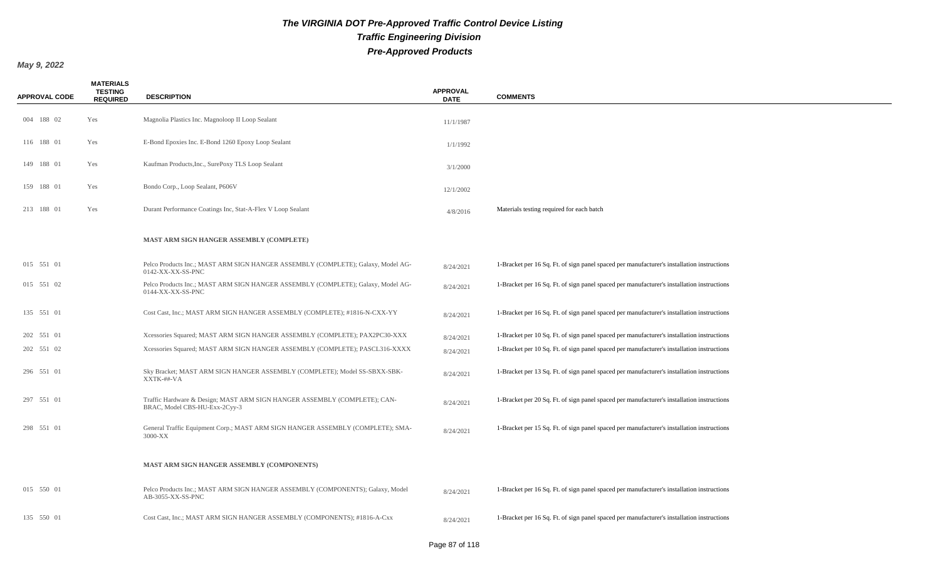| <b>APPROVAL CODE</b> | <b>MATERIALS</b><br><b>TESTING</b><br><b>REQUIRED</b> | <b>DESCRIPTION</b>                                                                                         | <b>APPROVAL</b><br><b>DATE</b> | <b>COMMENTS</b>                                                                            |
|----------------------|-------------------------------------------------------|------------------------------------------------------------------------------------------------------------|--------------------------------|--------------------------------------------------------------------------------------------|
| 004 188 02           | Yes                                                   | Magnolia Plastics Inc. Magnoloop II Loop Sealant                                                           | 11/1/1987                      |                                                                                            |
| 116 188 01           | Yes                                                   | E-Bond Epoxies Inc. E-Bond 1260 Epoxy Loop Sealant                                                         | 1/1/1992                       |                                                                                            |
| 149 188 01           | Yes                                                   | Kaufman Products, Inc., SurePoxy TLS Loop Sealant                                                          | 3/1/2000                       |                                                                                            |
| 159 188 01           | Yes                                                   | Bondo Corp., Loop Sealant, P606V                                                                           | 12/1/2002                      |                                                                                            |
| 213 188 01           | Yes                                                   | Durant Performance Coatings Inc, Stat-A-Flex V Loop Sealant                                                | 4/8/2016                       | Materials testing required for each batch                                                  |
|                      |                                                       | MAST ARM SIGN HANGER ASSEMBLY (COMPLETE)                                                                   |                                |                                                                                            |
| 015 551 01           |                                                       | Pelco Products Inc.; MAST ARM SIGN HANGER ASSEMBLY (COMPLETE); Galaxy, Model AG-<br>0142-XX-XX-SS-PNC      | 8/24/2021                      | 1-Bracket per 16 Sq. Ft. of sign panel spaced per manufacturer's installation instructions |
| 015 551 02           |                                                       | Pelco Products Inc.; MAST ARM SIGN HANGER ASSEMBLY (COMPLETE); Galaxy, Model AG-<br>0144-XX-XX-SS-PNC      | 8/24/2021                      | 1-Bracket per 16 Sq. Ft. of sign panel spaced per manufacturer's installation instructions |
| 135 551 01           |                                                       | Cost Cast, Inc.; MAST ARM SIGN HANGER ASSEMBLY (COMPLETE); #1816-N-CXX-YY                                  | 8/24/2021                      | 1-Bracket per 16 Sq. Ft. of sign panel spaced per manufacturer's installation instructions |
| 202 551 01           |                                                       | Xcessories Squared; MAST ARM SIGN HANGER ASSEMBLY (COMPLETE); PAX2PC30-XXX                                 | 8/24/2021                      | 1-Bracket per 10 Sq. Ft. of sign panel spaced per manufacturer's installation instructions |
| 202 551 02           |                                                       | Xcessories Squared; MAST ARM SIGN HANGER ASSEMBLY (COMPLETE); PASCL316-XXXX                                | 8/24/2021                      | 1-Bracket per 10 Sq. Ft. of sign panel spaced per manufacturer's installation instructions |
| 296 551 01           |                                                       | Sky Bracket; MAST ARM SIGN HANGER ASSEMBLY (COMPLETE); Model SS-SBXX-SBK-<br>XXTK-##-VA                    | 8/24/2021                      | 1-Bracket per 13 Sq. Ft. of sign panel spaced per manufacturer's installation instructions |
| 297 551 01           |                                                       | Traffic Hardware & Design; MAST ARM SIGN HANGER ASSEMBLY (COMPLETE); CAN-<br>BRAC, Model CBS-HU-Exx-2Cyy-3 | 8/24/2021                      | 1-Bracket per 20 Sq. Ft. of sign panel spaced per manufacturer's installation instructions |
| 298 551 01           |                                                       | General Traffic Equipment Corp.; MAST ARM SIGN HANGER ASSEMBLY (COMPLETE); SMA-<br>3000-XX                 | 8/24/2021                      | 1-Bracket per 15 Sq. Ft. of sign panel spaced per manufacturer's installation instructions |
|                      |                                                       | <b>MAST ARM SIGN HANGER ASSEMBLY (COMPONENTS)</b>                                                          |                                |                                                                                            |
| 015 550 01           |                                                       | Pelco Products Inc.; MAST ARM SIGN HANGER ASSEMBLY (COMPONENTS); Galaxy, Model<br>AB-3055-XX-SS-PNC        | 8/24/2021                      | 1-Bracket per 16 Sq. Ft. of sign panel spaced per manufacturer's installation instructions |
| 135 550 01           |                                                       | Cost Cast, Inc.; MAST ARM SIGN HANGER ASSEMBLY (COMPONENTS); #1816-A-Cxx                                   | 8/24/2021                      | 1-Bracket per 16 Sq. Ft. of sign panel spaced per manufacturer's installation instructions |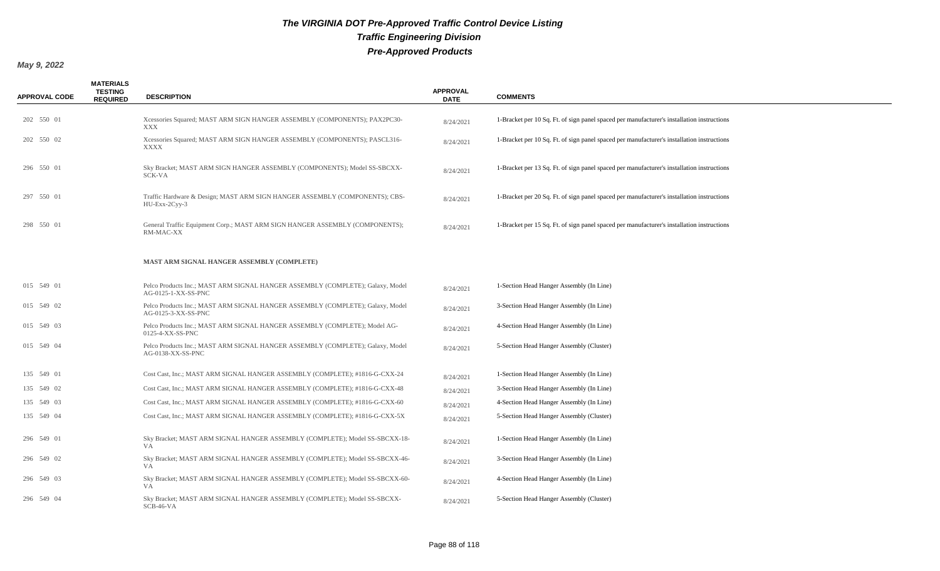| <b>APPROVAL CODE</b> | <b>MATERIALS</b><br><b>TESTING</b><br><b>REQUIRED</b> | <b>DESCRIPTION</b>                                                                                    | <b>APPROVAL</b><br><b>DATE</b> | <b>COMMENTS</b>                                                                            |
|----------------------|-------------------------------------------------------|-------------------------------------------------------------------------------------------------------|--------------------------------|--------------------------------------------------------------------------------------------|
| 202 550 01           |                                                       | Xcessories Squared; MAST ARM SIGN HANGER ASSEMBLY (COMPONENTS); PAX2PC30-<br>XXX                      | 8/24/2021                      | 1-Bracket per 10 Sq. Ft. of sign panel spaced per manufacturer's installation instructions |
| 202 550 02           |                                                       | Xcessories Squared; MAST ARM SIGN HANGER ASSEMBLY (COMPONENTS); PASCL316-<br>XXXX                     | 8/24/2021                      | 1-Bracket per 10 Sq. Ft. of sign panel spaced per manufacturer's installation instructions |
| 296 550 01           |                                                       | Sky Bracket; MAST ARM SIGN HANGER ASSEMBLY (COMPONENTS); Model SS-SBCXX-<br>SCK-VA                    | 8/24/2021                      | 1-Bracket per 13 Sq. Ft. of sign panel spaced per manufacturer's installation instructions |
| 297 550 01           |                                                       | Traffic Hardware & Design; MAST ARM SIGN HANGER ASSEMBLY (COMPONENTS); CBS-<br>$HU-Exx-2Cyy-3$        | 8/24/2021                      | 1-Bracket per 20 Sq. Ft. of sign panel spaced per manufacturer's installation instructions |
| 298 550 01           |                                                       | General Traffic Equipment Corp.; MAST ARM SIGN HANGER ASSEMBLY (COMPONENTS);<br>RM-MAC-XX             | 8/24/2021                      | 1-Bracket per 15 Sq. Ft. of sign panel spaced per manufacturer's installation instructions |
|                      |                                                       | MAST ARM SIGNAL HANGER ASSEMBLY (COMPLETE)                                                            |                                |                                                                                            |
| 015 549 01           |                                                       | Pelco Products Inc.; MAST ARM SIGNAL HANGER ASSEMBLY (COMPLETE); Galaxy, Model<br>AG-0125-1-XX-SS-PNC | 8/24/2021                      | 1-Section Head Hanger Assembly (In Line)                                                   |
| 015 549 02           |                                                       | Pelco Products Inc.; MAST ARM SIGNAL HANGER ASSEMBLY (COMPLETE); Galaxy, Model<br>AG-0125-3-XX-SS-PNC | 8/24/2021                      | 3-Section Head Hanger Assembly (In Line)                                                   |
| 015 549 03           |                                                       | Pelco Products Inc.; MAST ARM SIGNAL HANGER ASSEMBLY (COMPLETE); Model AG-<br>0125-4-XX-SS-PNC        | 8/24/2021                      | 4-Section Head Hanger Assembly (In Line)                                                   |
| 015 549 04           |                                                       | Pelco Products Inc.; MAST ARM SIGNAL HANGER ASSEMBLY (COMPLETE); Galaxy, Model<br>AG-0138-XX-SS-PNC   | 8/24/2021                      | 5-Section Head Hanger Assembly (Cluster)                                                   |
| 135 549 01           |                                                       | Cost Cast, Inc.; MAST ARM SIGNAL HANGER ASSEMBLY (COMPLETE); #1816-G-CXX-24                           | 8/24/2021                      | 1-Section Head Hanger Assembly (In Line)                                                   |
| 135 549 02           |                                                       | Cost Cast, Inc.; MAST ARM SIGNAL HANGER ASSEMBLY (COMPLETE); #1816-G-CXX-48                           | 8/24/2021                      | 3-Section Head Hanger Assembly (In Line)                                                   |
| 135 549 03           |                                                       | Cost Cast, Inc.; MAST ARM SIGNAL HANGER ASSEMBLY (COMPLETE); #1816-G-CXX-60                           | 8/24/2021                      | 4-Section Head Hanger Assembly (In Line)                                                   |
| 135 549 04           |                                                       | Cost Cast, Inc.; MAST ARM SIGNAL HANGER ASSEMBLY (COMPLETE); #1816-G-CXX-5X                           | 8/24/2021                      | 5-Section Head Hanger Assembly (Cluster)                                                   |
| 296 549 01           |                                                       | Sky Bracket; MAST ARM SIGNAL HANGER ASSEMBLY (COMPLETE); Model SS-SBCXX-18-<br>VA                     | 8/24/2021                      | 1-Section Head Hanger Assembly (In Line)                                                   |
| 296 549 02           |                                                       | Sky Bracket; MAST ARM SIGNAL HANGER ASSEMBLY (COMPLETE); Model SS-SBCXX-46-<br><b>VA</b>              | 8/24/2021                      | 3-Section Head Hanger Assembly (In Line)                                                   |
| 296 549 03           |                                                       | Sky Bracket; MAST ARM SIGNAL HANGER ASSEMBLY (COMPLETE); Model SS-SBCXX-60-<br><b>VA</b>              | 8/24/2021                      | 4-Section Head Hanger Assembly (In Line)                                                   |
| 296 549 04           |                                                       | Sky Bracket; MAST ARM SIGNAL HANGER ASSEMBLY (COMPLETE); Model SS-SBCXX-<br>$SCB-46-VA$               | 8/24/2021                      | 5-Section Head Hanger Assembly (Cluster)                                                   |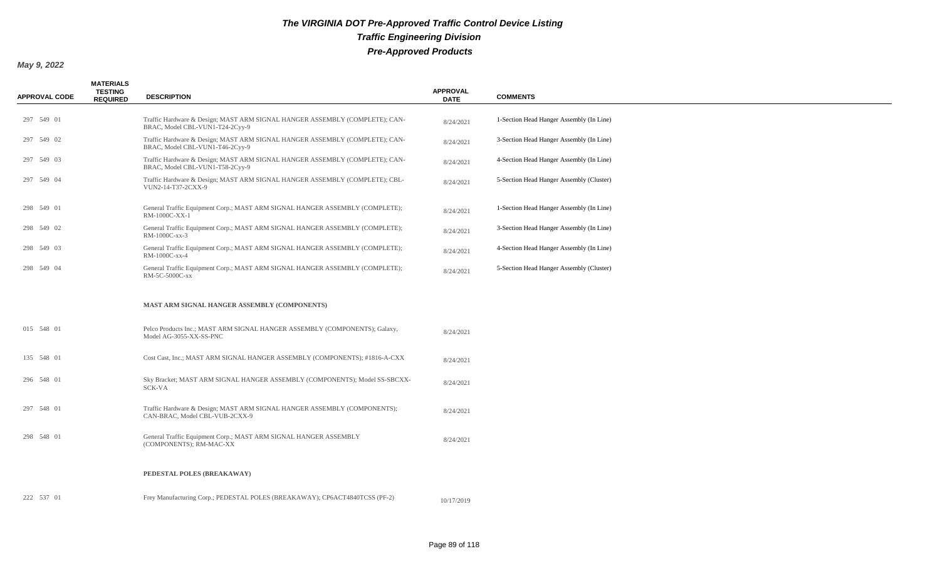| <b>APPROVAL CODE</b> | <b>MATERIALS</b><br><b>TESTING</b><br><b>REQUIRED</b> | <b>DESCRIPTION</b>                                                                                             | <b>APPROVAL</b><br><b>DATE</b> | <b>COMMENTS</b>                          |
|----------------------|-------------------------------------------------------|----------------------------------------------------------------------------------------------------------------|--------------------------------|------------------------------------------|
| 297 549 01           |                                                       | Traffic Hardware & Design; MAST ARM SIGNAL HANGER ASSEMBLY (COMPLETE); CAN-<br>BRAC, Model CBL-VUN1-T24-2Cyy-9 | 8/24/2021                      | 1-Section Head Hanger Assembly (In Line) |
| 297 549 02           |                                                       | Traffic Hardware & Design; MAST ARM SIGNAL HANGER ASSEMBLY (COMPLETE); CAN-<br>BRAC, Model CBL-VUN1-T46-2Cyy-9 | 8/24/2021                      | 3-Section Head Hanger Assembly (In Line) |
| 297 549 03           |                                                       | Traffic Hardware & Design; MAST ARM SIGNAL HANGER ASSEMBLY (COMPLETE); CAN-<br>BRAC, Model CBL-VUN1-T58-2Cyy-9 | 8/24/2021                      | 4-Section Head Hanger Assembly (In Line) |
| 297 549 04           |                                                       | Traffic Hardware & Design; MAST ARM SIGNAL HANGER ASSEMBLY (COMPLETE); CBL-<br>VUN2-14-T37-2CXX-9              | 8/24/2021                      | 5-Section Head Hanger Assembly (Cluster) |
| 298 549 01           |                                                       | General Traffic Equipment Corp.; MAST ARM SIGNAL HANGER ASSEMBLY (COMPLETE);<br>RM-1000C-XX-1                  | 8/24/2021                      | 1-Section Head Hanger Assembly (In Line) |
| 298 549 02           |                                                       | General Traffic Equipment Corp.; MAST ARM SIGNAL HANGER ASSEMBLY (COMPLETE);<br>RM-1000C-xx-3                  | 8/24/2021                      | 3-Section Head Hanger Assembly (In Line) |
| 298 549 03           |                                                       | General Traffic Equipment Corp.; MAST ARM SIGNAL HANGER ASSEMBLY (COMPLETE);<br>RM-1000C-xx-4                  | 8/24/2021                      | 4-Section Head Hanger Assembly (In Line) |
| 298 549 04           |                                                       | General Traffic Equipment Corp.; MAST ARM SIGNAL HANGER ASSEMBLY (COMPLETE);<br>RM-5C-5000C-xx                 | 8/24/2021                      | 5-Section Head Hanger Assembly (Cluster) |
|                      |                                                       | MAST ARM SIGNAL HANGER ASSEMBLY (COMPONENTS)                                                                   |                                |                                          |
| 015 548 01           |                                                       | Pelco Products Inc.; MAST ARM SIGNAL HANGER ASSEMBLY (COMPONENTS); Galaxy,<br>Model AG-3055-XX-SS-PNC          | 8/24/2021                      |                                          |
| 135 548 01           |                                                       | Cost Cast, Inc.; MAST ARM SIGNAL HANGER ASSEMBLY (COMPONENTS); #1816-A-CXX                                     | 8/24/2021                      |                                          |
| 296 548 01           |                                                       | Sky Bracket; MAST ARM SIGNAL HANGER ASSEMBLY (COMPONENTS); Model SS-SBCXX-<br>SCK-VA                           | 8/24/2021                      |                                          |
| 297 548 01           |                                                       | Traffic Hardware & Design; MAST ARM SIGNAL HANGER ASSEMBLY (COMPONENTS);<br>CAN-BRAC, Model CBL-VUB-2CXX-9     | 8/24/2021                      |                                          |
| 298 548 01           |                                                       | General Traffic Equipment Corp.; MAST ARM SIGNAL HANGER ASSEMBLY<br>(COMPONENTS); RM-MAC-XX                    | 8/24/2021                      |                                          |
|                      |                                                       | PEDESTAL POLES (BREAKAWAY)                                                                                     |                                |                                          |
| 222 537 01           |                                                       | Frey Manufacturing Corp.; PEDESTAL POLES (BREAKAWAY); CP6ACT4840TCSS (PF-2)                                    | 10/17/2019                     |                                          |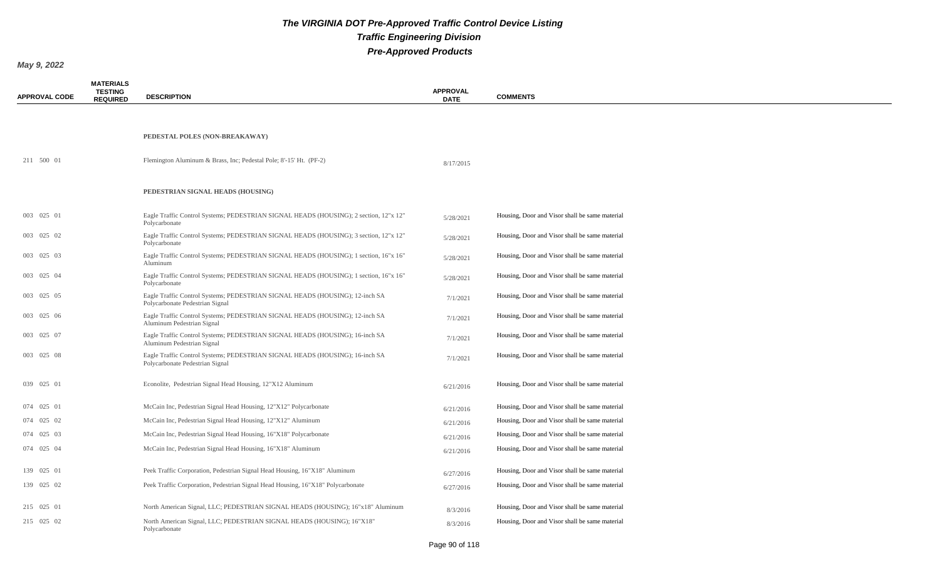| <b>APPROVAL CODE</b> | <b>MATERIALS</b><br><b>TESTING</b><br><b>REQUIRED</b> | <b>DESCRIPTION</b>                                                                                              | <b>APPROVAL</b><br><b>DATE</b> | <b>COMMENTS</b>                                |
|----------------------|-------------------------------------------------------|-----------------------------------------------------------------------------------------------------------------|--------------------------------|------------------------------------------------|
|                      |                                                       |                                                                                                                 |                                |                                                |
|                      |                                                       | PEDESTAL POLES (NON-BREAKAWAY)                                                                                  |                                |                                                |
| 211 500 01           |                                                       | Flemington Aluminum & Brass, Inc; Pedestal Pole; 8'-15' Ht. (PF-2)                                              | 8/17/2015                      |                                                |
|                      |                                                       | PEDESTRIAN SIGNAL HEADS (HOUSING)                                                                               |                                |                                                |
| 003 025 01           |                                                       | Eagle Traffic Control Systems; PEDESTRIAN SIGNAL HEADS (HOUSING); 2 section, 12"x 12"<br>Polycarbonate          | 5/28/2021                      | Housing, Door and Visor shall be same material |
| 003 025 02           |                                                       | Eagle Traffic Control Systems; PEDESTRIAN SIGNAL HEADS (HOUSING); 3 section, 12"x 12"<br>Polycarbonate          | 5/28/2021                      | Housing, Door and Visor shall be same material |
| 003 025 03           |                                                       | Eagle Traffic Control Systems; PEDESTRIAN SIGNAL HEADS (HOUSING); 1 section, 16"x 16"<br>Aluminum               | 5/28/2021                      | Housing, Door and Visor shall be same material |
| 003 025 04           |                                                       | Eagle Traffic Control Systems; PEDESTRIAN SIGNAL HEADS (HOUSING); 1 section, 16"x 16"<br>Polycarbonate          | 5/28/2021                      | Housing, Door and Visor shall be same material |
| 003 025 05           |                                                       | Eagle Traffic Control Systems; PEDESTRIAN SIGNAL HEADS (HOUSING); 12-inch SA<br>Polycarbonate Pedestrian Signal | 7/1/2021                       | Housing, Door and Visor shall be same material |
| 003 025 06           |                                                       | Eagle Traffic Control Systems; PEDESTRIAN SIGNAL HEADS (HOUSING); 12-inch SA<br>Aluminum Pedestrian Signal      | 7/1/2021                       | Housing, Door and Visor shall be same material |
| 003 025 07           |                                                       | Eagle Traffic Control Systems; PEDESTRIAN SIGNAL HEADS (HOUSING); 16-inch SA<br>Aluminum Pedestrian Signal      | 7/1/2021                       | Housing, Door and Visor shall be same material |
| 003 025 08           |                                                       | Eagle Traffic Control Systems; PEDESTRIAN SIGNAL HEADS (HOUSING); 16-inch SA<br>Polycarbonate Pedestrian Signal | 7/1/2021                       | Housing, Door and Visor shall be same material |
| 039 025 01           |                                                       | Econolite, Pedestrian Signal Head Housing, 12"X12 Aluminum                                                      | 6/21/2016                      | Housing, Door and Visor shall be same material |
| 074 025 01           |                                                       | McCain Inc, Pedestrian Signal Head Housing, 12"X12" Polycarbonate                                               | 6/21/2016                      | Housing, Door and Visor shall be same material |
| 074 025 02           |                                                       | McCain Inc, Pedestrian Signal Head Housing, 12"X12" Aluminum                                                    | 6/21/2016                      | Housing, Door and Visor shall be same material |
| 074 025 03           |                                                       | McCain Inc, Pedestrian Signal Head Housing, 16"X18" Polycarbonate                                               | 6/21/2016                      | Housing, Door and Visor shall be same material |
| 074 025 04           |                                                       | McCain Inc, Pedestrian Signal Head Housing, 16"X18" Aluminum                                                    | 6/21/2016                      | Housing, Door and Visor shall be same material |
| 139 025 01           |                                                       | Peek Traffic Corporation, Pedestrian Signal Head Housing, 16"X18" Aluminum                                      | 6/27/2016                      | Housing, Door and Visor shall be same material |
| 139 025 02           |                                                       | Peek Traffic Corporation, Pedestrian Signal Head Housing, 16"X18" Polycarbonate                                 | 6/27/2016                      | Housing, Door and Visor shall be same material |
| 215 025 01           |                                                       | North American Signal, LLC; PEDESTRIAN SIGNAL HEADS (HOUSING); 16"x18" Aluminum                                 | 8/3/2016                       | Housing, Door and Visor shall be same material |
| 215 025 02           |                                                       | North American Signal, LLC; PEDESTRIAN SIGNAL HEADS (HOUSING); 16"X18"<br>Polycarbonate                         | 8/3/2016                       | Housing, Door and Visor shall be same material |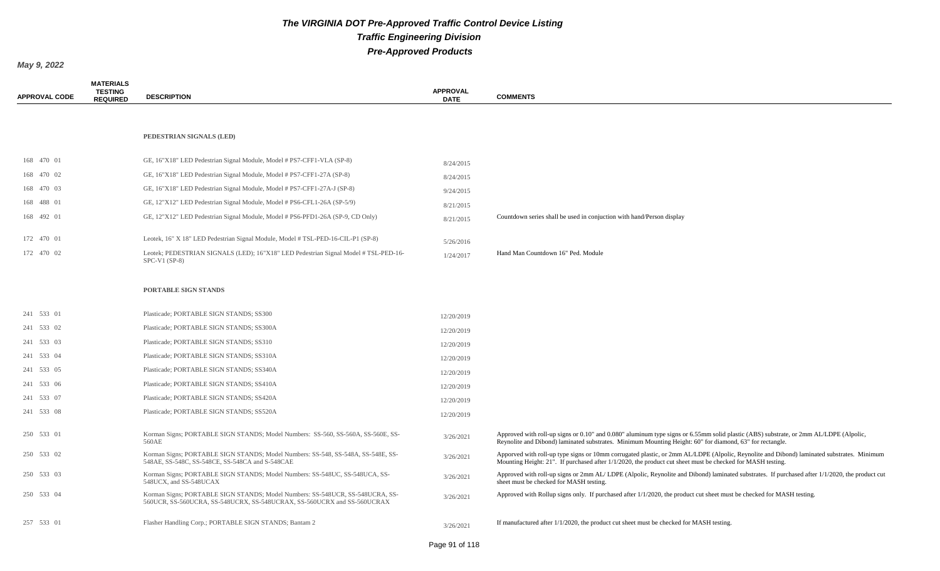| <b>APPROVAL CODE</b> | <b>MATERIALS</b><br><b>TESTING</b><br><b>REQUIRED</b> | <b>DESCRIPTION</b>                                                                                                                                       | <b>APPROVAL</b><br><b>DATE</b> | <b>COMMENTS</b>                                                                                                                                                                                                                                         |
|----------------------|-------------------------------------------------------|----------------------------------------------------------------------------------------------------------------------------------------------------------|--------------------------------|---------------------------------------------------------------------------------------------------------------------------------------------------------------------------------------------------------------------------------------------------------|
|                      |                                                       |                                                                                                                                                          |                                |                                                                                                                                                                                                                                                         |
|                      |                                                       | PEDESTRIAN SIGNALS (LED)                                                                                                                                 |                                |                                                                                                                                                                                                                                                         |
| 168 470 01           |                                                       | GE, 16"X18" LED Pedestrian Signal Module, Model # PS7-CFF1-VLA (SP-8)                                                                                    | 8/24/2015                      |                                                                                                                                                                                                                                                         |
| 168 470 02           |                                                       | GE, 16"X18" LED Pedestrian Signal Module, Model # PS7-CFF1-27A (SP-8)                                                                                    | 8/24/2015                      |                                                                                                                                                                                                                                                         |
| 168 470 03           |                                                       | GE, 16"X18" LED Pedestrian Signal Module, Model # PS7-CFF1-27A-J (SP-8)                                                                                  | 9/24/2015                      |                                                                                                                                                                                                                                                         |
| 168 488 01           |                                                       | GE, 12"X12" LED Pedestrian Signal Module, Model # PS6-CFL1-26A (SP-5/9)                                                                                  | 8/21/2015                      |                                                                                                                                                                                                                                                         |
| 168 492 01           |                                                       | GE, 12"X12" LED Pedestrian Signal Module, Model # PS6-PFD1-26A (SP-9, CD Only)                                                                           | 8/21/2015                      | Countdown series shall be used in conjuction with hand/Person display                                                                                                                                                                                   |
| 172 470 01           |                                                       | Leotek, 16" X 18" LED Pedestrian Signal Module, Model # TSL-PED-16-CIL-P1 (SP-8)                                                                         | 5/26/2016                      |                                                                                                                                                                                                                                                         |
| 172 470 02           |                                                       | Leotek; PEDESTRIAN SIGNALS (LED); 16"X18" LED Pedestrian Signal Model # TSL-PED-16-<br>$SPC-V1(SP-8)$                                                    | 1/24/2017                      | Hand Man Countdown 16" Ped. Module                                                                                                                                                                                                                      |
|                      |                                                       |                                                                                                                                                          |                                |                                                                                                                                                                                                                                                         |
|                      |                                                       | PORTABLE SIGN STANDS                                                                                                                                     |                                |                                                                                                                                                                                                                                                         |
| 241 533 01           |                                                       | Plasticade; PORTABLE SIGN STANDS; SS300                                                                                                                  | 12/20/2019                     |                                                                                                                                                                                                                                                         |
| 241 533 02           |                                                       | Plasticade; PORTABLE SIGN STANDS; SS300A                                                                                                                 | 12/20/2019                     |                                                                                                                                                                                                                                                         |
| 241 533 03           |                                                       | Plasticade; PORTABLE SIGN STANDS; SS310                                                                                                                  | 12/20/2019                     |                                                                                                                                                                                                                                                         |
| 241 533 04           |                                                       | Plasticade; PORTABLE SIGN STANDS; SS310A                                                                                                                 | 12/20/2019                     |                                                                                                                                                                                                                                                         |
| 241 533 05           |                                                       | Plasticade; PORTABLE SIGN STANDS; SS340A                                                                                                                 | 12/20/2019                     |                                                                                                                                                                                                                                                         |
| 241 533 06           |                                                       | Plasticade; PORTABLE SIGN STANDS; SS410A                                                                                                                 | 12/20/2019                     |                                                                                                                                                                                                                                                         |
| 241 533 07           |                                                       | Plasticade; PORTABLE SIGN STANDS; SS420A                                                                                                                 | 12/20/2019                     |                                                                                                                                                                                                                                                         |
| 241 533 08           |                                                       | Plasticade; PORTABLE SIGN STANDS; SS520A                                                                                                                 | 12/20/2019                     |                                                                                                                                                                                                                                                         |
| 250 533 01           |                                                       | Korman Signs; PORTABLE SIGN STANDS; Model Numbers: SS-560, SS-560A, SS-560E, SS-<br>560AE                                                                | 3/26/2021                      | Approved with roll-up signs or 0.10" and 0.080" aluminum type signs or 6.55mm solid plastic (ABS) substrate, or 2mm AL/LDPE (Alpolic,<br>Reynolite and Dibond) laminated substrates. Minimum Mounting Height: 60" for diamond, 63" for rectangle.       |
| 250 533 02           |                                                       | Korman Signs; PORTABLE SIGN STANDS; Model Numbers: SS-548, SS-548A, SS-548E, SS-<br>548AE, SS-548C, SS-548CE, SS-548CA and S-548CAE                      | 3/26/2021                      | Apporved with roll-up type signs or 10mm corrugated plastic, or 2mm AL/LDPE (Alpolic, Reynolite and Dibond) laminated substrates. Minimum<br>Mounting Height: 21". If purchased after 1/1/2020, the product cut sheet must be checked for MASH testing. |
| 250 533 03           |                                                       | Korman Signs; PORTABLE SIGN STANDS; Model Numbers: SS-548UC, SS-548UCA, SS-<br>548UCX, and SS-548UCAX                                                    | 3/26/2021                      | Approved with roll-up signs or 2mm AL/LDPE (Alpolic, Reynolite and Dibond) laminated substrates. If purchased after 1/1/2020, the product cut<br>sheet must be checked for MASH testing.                                                                |
| 250 533 04           |                                                       | Korman Signs; PORTABLE SIGN STANDS; Model Numbers: SS-548UCR, SS-548UCRA, SS-<br>560UCR, SS-560UCRA, SS-548UCRX, SS-548UCRAX, SS-560UCRX and SS-560UCRAX | 3/26/2021                      | Approved with Rollup signs only. If purchased after 1/1/2020, the product cut sheet must be checked for MASH testing.                                                                                                                                   |
| 257 533 01           |                                                       | Flasher Handling Corp.; PORTABLE SIGN STANDS; Bantam 2                                                                                                   | 3/26/2021                      | If manufactured after $1/1/2020$ , the product cut sheet must be checked for MASH testing.                                                                                                                                                              |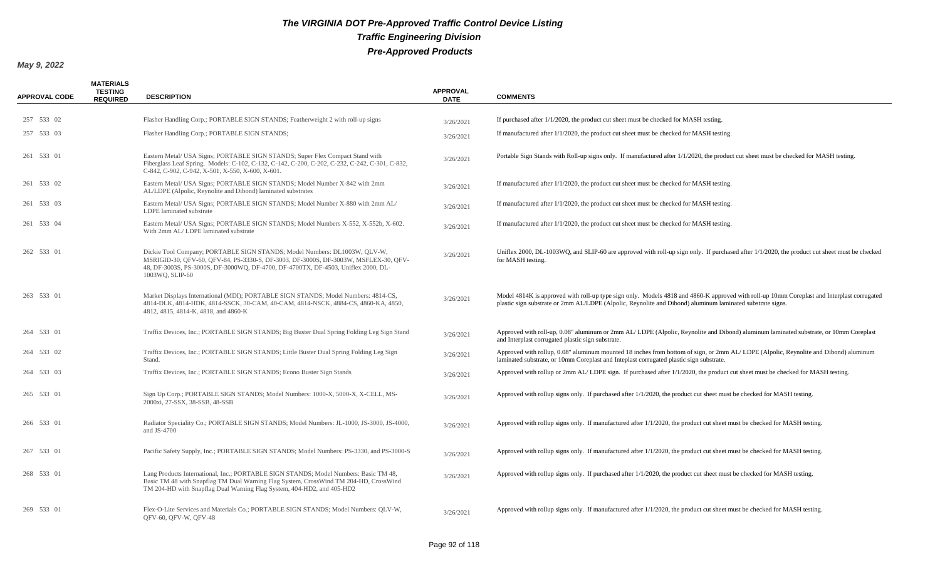| <b>APPROVAL CODE</b> | <b>MATERIALS</b><br><b>TESTING</b><br><b>REQUIRED</b> | <b>DESCRIPTION</b>                                                                                                                                                                                                                                                       | <b>APPROVAL</b><br><b>DATE</b> | <b>COMMENTS</b>                                                                                                                                                                                                                                         |
|----------------------|-------------------------------------------------------|--------------------------------------------------------------------------------------------------------------------------------------------------------------------------------------------------------------------------------------------------------------------------|--------------------------------|---------------------------------------------------------------------------------------------------------------------------------------------------------------------------------------------------------------------------------------------------------|
|                      |                                                       |                                                                                                                                                                                                                                                                          |                                |                                                                                                                                                                                                                                                         |
| 257 533 02           |                                                       | Flasher Handling Corp.; PORTABLE SIGN STANDS; Featherweight 2 with roll-up signs                                                                                                                                                                                         | 3/26/2021                      | If purchased after $1/1/2020$ , the product cut sheet must be checked for MASH testing.                                                                                                                                                                 |
| 257 533 03           |                                                       | Flasher Handling Corp.; PORTABLE SIGN STANDS;                                                                                                                                                                                                                            | 3/26/2021                      | If manufactured after $1/1/2020$ , the product cut sheet must be checked for MASH testing.                                                                                                                                                              |
| 261 533 01           |                                                       | Eastern Metal/ USA Signs; PORTABLE SIGN STANDS; Super Flex Compact Stand with<br>Fiberglass Leaf Spring. Models: C-102, C-132, C-142, C-200, C-202, C-232, C-242, C-301, C-832,<br>C-842, C-902, C-942, X-501, X-550, X-600, X-601.                                      | 3/26/2021                      | Portable Sign Stands with Roll-up signs only. If manufactured after 1/1/2020, the product cut sheet must be checked for MASH testing.                                                                                                                   |
| 261 533 02           |                                                       | Eastern Metal/ USA Signs; PORTABLE SIGN STANDS; Model Number X-842 with 2mm<br>AL/LDPE (Alpolic, Reynolite and Dibond) laminated substrates                                                                                                                              | 3/26/2021                      | If manufactured after 1/1/2020, the product cut sheet must be checked for MASH testing.                                                                                                                                                                 |
| 261 533 03           |                                                       | Eastern Metal/ USA Signs; PORTABLE SIGN STANDS; Model Number X-880 with 2mm AL/<br>LDPE laminated substrate                                                                                                                                                              | 3/26/2021                      | If manufactured after 1/1/2020, the product cut sheet must be checked for MASH testing.                                                                                                                                                                 |
| 261 533 04           |                                                       | Eastern Metal/ USA Signs; PORTABLE SIGN STANDS; Model Numbers X-552, X-552b, X-602.<br>With 2mm AL/LDPE laminated substrate                                                                                                                                              | 3/26/2021                      | If manufactured after $1/1/2020$ , the product cut sheet must be checked for MASH testing.                                                                                                                                                              |
| 262 533 01           |                                                       | Dickie Tool Company; PORTABLE SIGN STANDS; Model Numbers: DL1003W, QLV-W,<br>MSRIGID-30, QFV-60, QFV-84, PS-3330-S, DF-3003, DF-3000S, DF-3003W, MSFLEX-30, QFV-<br>48, DF-3003S, PS-3000S, DF-3000WQ, DF-4700, DF-4700TX, DF-4503, Uniflex 2000, DL-<br>1003WQ, SLIP-60 | 3/26/2021                      | Uniflex 2000, DL-1003WQ, and SLIP-60 are approved with roll-up sign only. If purchased after 1/1/2020, the product cut sheet must be checked<br>for MASH testing.                                                                                       |
| 263 533 01           |                                                       | Market Displays International (MDI); PORTABLE SIGN STANDS; Model Numbers: 4814-CS,<br>4814-DLK, 4814-HDK, 4814-SSCK, 30-CAM, 40-CAM, 4814-NSCK, 4884-CS, 4860-KA, 4850,<br>4812, 4815, 4814-K, 4818, and 4860-K                                                          | 3/26/2021                      | Model 4814K is approved with roll-up type sign only. Models 4818 and 4860-K approved with roll-up 10mm Coreplast and Interplast corrugated<br>plastic sign substrate or 2mm AL/LDPE (Alpolic, Reynolite and Dibond) aluminum laminated substrate signs. |
| 264 533 01           |                                                       | Traffix Devices, Inc.; PORTABLE SIGN STANDS; Big Buster Dual Spring Folding Leg Sign Stand                                                                                                                                                                               | 3/26/2021                      | Approved with roll-up, 0.08" aluminum or 2mm AL/LDPE (Alpolic, Reynolite and Dibond) aluminum laminated substrate, or 10mm Coreplast<br>and Interplast corrugated plastic sign substrate.                                                               |
| 264 533 02           |                                                       | Traffix Devices, Inc.; PORTABLE SIGN STANDS; Little Buster Dual Spring Folding Leg Sign<br>Stand.                                                                                                                                                                        | 3/26/2021                      | Approved with rollup, 0.08" aluminum mounted 18 inches from bottom of sign, or 2mm AL/LDPE (Alpolic, Reynolite and Dibond) aluminum<br>laminated substrate, or 10mm Coreplast and Inteplast corrugated plastic sign substrate.                          |
| 264 533 03           |                                                       | Traffix Devices, Inc.; PORTABLE SIGN STANDS; Econo Buster Sign Stands                                                                                                                                                                                                    | 3/26/2021                      | Approved with rollup or 2mm AL/LDPE sign. If purchased after 1/1/2020, the product cut sheet must be checked for MASH testing.                                                                                                                          |
| 265 533 01           |                                                       | Sign Up Corp.; PORTABLE SIGN STANDS; Model Numbers: 1000-X, 5000-X, X-CELL, MS-<br>2000xi, 27-SSX, 38-SSB, 48-SSB                                                                                                                                                        | 3/26/2021                      | Approved with rollup signs only. If purchased after 1/1/2020, the product cut sheet must be checked for MASH testing.                                                                                                                                   |
| 266 533 01           |                                                       | Radiator Speciality Co.; PORTABLE SIGN STANDS; Model Numbers: JL-1000, JS-3000, JS-4000,<br>and JS-4700                                                                                                                                                                  | 3/26/2021                      | Approved with rollup signs only. If manufactured after 1/1/2020, the product cut sheet must be checked for MASH testing.                                                                                                                                |
| 267 533 01           |                                                       | Pacific Safety Supply, Inc.; PORTABLE SIGN STANDS; Model Numbers: PS-3330, and PS-3000-S                                                                                                                                                                                 | 3/26/2021                      | Approved with rollup signs only. If manufactured after $1/1/2020$ , the product cut sheet must be checked for MASH testing.                                                                                                                             |
| 268 533 01           |                                                       | Lang Products International, Inc.; PORTABLE SIGN STANDS; Model Numbers: Basic TM 48,<br>Basic TM 48 with Snapflag TM Dual Warning Flag System, CrossWind TM 204-HD, CrossWind<br>TM 204-HD with Snapflag Dual Warning Flag System, 404-HD2, and 405-HD2                  | 3/26/2021                      | Approved with rollup signs only. If purchased after 1/1/2020, the product cut sheet must be checked for MASH testing.                                                                                                                                   |
| 269 533 01           |                                                       | Flex-O-Lite Services and Materials Co.; PORTABLE SIGN STANDS; Model Numbers: OLV-W,<br>QFV-60, QFV-W, QFV-48                                                                                                                                                             | 3/26/2021                      | Approved with rollup signs only. If manufactured after 1/1/2020, the product cut sheet must be checked for MASH testing.                                                                                                                                |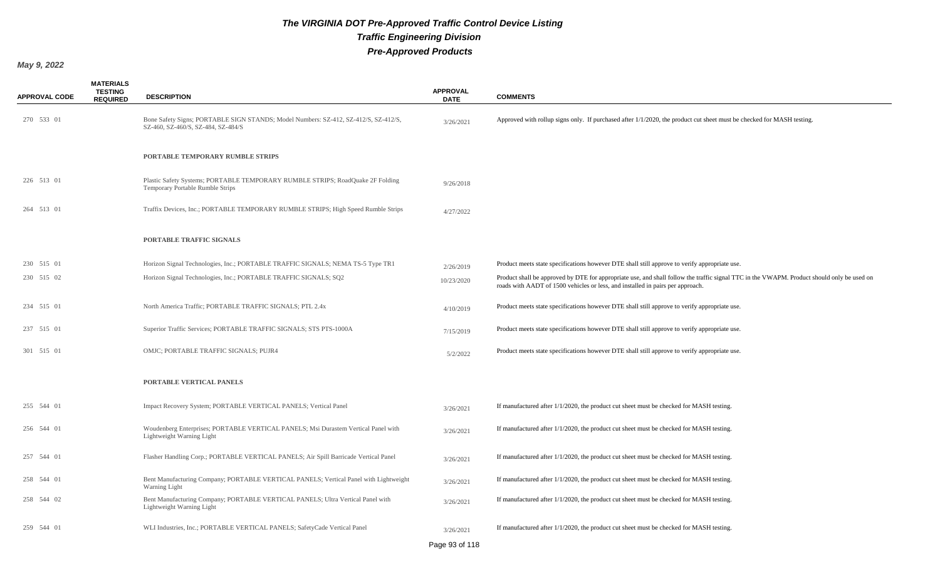| <b>APPROVAL CODE</b> | <b>MATERIALS</b><br><b>TESTING</b><br><b>REQUIRED</b> | <b>DESCRIPTION</b>                                                                                                        | <b>APPROVAL</b><br><b>DATE</b> | <b>COMMENTS</b>                                                                                                                                                                                                              |
|----------------------|-------------------------------------------------------|---------------------------------------------------------------------------------------------------------------------------|--------------------------------|------------------------------------------------------------------------------------------------------------------------------------------------------------------------------------------------------------------------------|
| 270 533 01           |                                                       | Bone Safety Signs; PORTABLE SIGN STANDS; Model Numbers: SZ-412, SZ-412/S, SZ-412/S,<br>SZ-460, SZ-460/S, SZ-484, SZ-484/S | 3/26/2021                      | Approved with rollup signs only. If purchased after 1/1/2020, the product cut sheet must be checked for MASH testing.                                                                                                        |
|                      |                                                       | PORTABLE TEMPORARY RUMBLE STRIPS                                                                                          |                                |                                                                                                                                                                                                                              |
| 226 513 01           |                                                       | Plastic Safety Systems; PORTABLE TEMPORARY RUMBLE STRIPS; RoadQuake 2F Folding<br>Temporary Portable Rumble Strips        | 9/26/2018                      |                                                                                                                                                                                                                              |
| 264 513 01           |                                                       | Traffix Devices, Inc.; PORTABLE TEMPORARY RUMBLE STRIPS; High Speed Rumble Strips                                         | 4/27/2022                      |                                                                                                                                                                                                                              |
|                      |                                                       | PORTABLE TRAFFIC SIGNALS                                                                                                  |                                |                                                                                                                                                                                                                              |
| 230 515 01           |                                                       | Horizon Signal Technologies, Inc.; PORTABLE TRAFFIC SIGNALS; NEMA TS-5 Type TR1                                           | 2/26/2019                      | Product meets state specifications however DTE shall still approve to verify appropriate use.                                                                                                                                |
| 230 515 02           |                                                       | Horizon Signal Technologies, Inc.; PORTABLE TRAFFIC SIGNALS; SQ2                                                          | 10/23/2020                     | Product shall be approved by DTE for appropriate use, and shall follow the traffic signal TTC in the VWAPM. Product should only be used on<br>roads with AADT of 1500 vehicles or less, and installed in pairs per approach. |
| 234 515 01           |                                                       | North America Traffic; PORTABLE TRAFFIC SIGNALS; PTL 2.4x                                                                 | 4/10/2019                      | Product meets state specifications however DTE shall still approve to verify appropriate use.                                                                                                                                |
| 237 515 01           |                                                       | Superior Traffic Services; PORTABLE TRAFFIC SIGNALS; STS PTS-1000A                                                        | 7/15/2019                      | Product meets state specifications however DTE shall still approve to verify appropriate use.                                                                                                                                |
| 301 515 01           |                                                       | OMJC; PORTABLE TRAFFIC SIGNALS; PUJR4                                                                                     | 5/2/2022                       | Product meets state specifications however DTE shall still approve to verify appropriate use.                                                                                                                                |
|                      |                                                       | PORTABLE VERTICAL PANELS                                                                                                  |                                |                                                                                                                                                                                                                              |
| 255 544 01           |                                                       | Impact Recovery System; PORTABLE VERTICAL PANELS; Vertical Panel                                                          | 3/26/2021                      | If manufactured after 1/1/2020, the product cut sheet must be checked for MASH testing.                                                                                                                                      |
| 256 544 01           |                                                       | Woudenberg Enterprises; PORTABLE VERTICAL PANELS; Msi Durastem Vertical Panel with<br>Lightweight Warning Light           | 3/26/2021                      | If manufactured after 1/1/2020, the product cut sheet must be checked for MASH testing.                                                                                                                                      |
| 257 544 01           |                                                       | Flasher Handling Corp.; PORTABLE VERTICAL PANELS; Air Spill Barricade Vertical Panel                                      | 3/26/2021                      | If manufactured after 1/1/2020, the product cut sheet must be checked for MASH testing.                                                                                                                                      |
| 258 544 01           |                                                       | Bent Manufacturing Company; PORTABLE VERTICAL PANELS; Vertical Panel with Lightweight<br>Warning Light                    | 3/26/2021                      | If manufactured after 1/1/2020, the product cut sheet must be checked for MASH testing.                                                                                                                                      |
| 258 544 02           |                                                       | Bent Manufacturing Company; PORTABLE VERTICAL PANELS; Ultra Vertical Panel with<br>Lightweight Warning Light              | 3/26/2021                      | If manufactured after 1/1/2020, the product cut sheet must be checked for MASH testing.                                                                                                                                      |
| 259 544 01           |                                                       | WLI Industries, Inc.; PORTABLE VERTICAL PANELS; SafetyCade Vertical Panel                                                 | 3/26/2021                      | If manufactured after $1/1/2020$ , the product cut sheet must be checked for MASH testing.                                                                                                                                   |
|                      |                                                       |                                                                                                                           | Page 93 of 118                 |                                                                                                                                                                                                                              |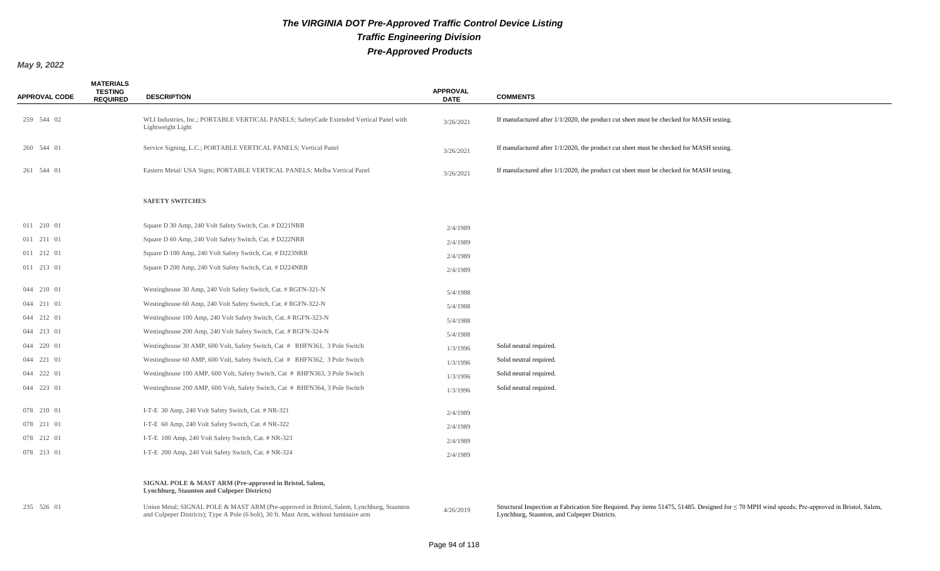| <b>APPROVAL CODE</b> | <b>MATERIALS</b><br><b>TESTING</b><br><b>REQUIRED</b> | <b>DESCRIPTION</b>                                                                                                                                                                | <b>APPROVAL</b><br><b>DATE</b> | <b>COMMENTS</b>                                                                                                                                                                                     |
|----------------------|-------------------------------------------------------|-----------------------------------------------------------------------------------------------------------------------------------------------------------------------------------|--------------------------------|-----------------------------------------------------------------------------------------------------------------------------------------------------------------------------------------------------|
| 259 544 02           |                                                       | WLI Industries, Inc.; PORTABLE VERTICAL PANELS; SafetyCade Extended Vertical Panel with<br>Lightweight Light                                                                      | 3/26/2021                      | If manufactured after $1/1/2020$ , the product cut sheet must be checked for MASH testing.                                                                                                          |
| 260 544 01           |                                                       | Service Signing, L.C.; PORTABLE VERTICAL PANELS; Vertical Panel                                                                                                                   | 3/26/2021                      | If manufactured after 1/1/2020, the product cut sheet must be checked for MASH testing.                                                                                                             |
| 261 544 01           |                                                       | Eastern Metal/ USA Signs; PORTABLE VERTICAL PANELS; Melba Vertical Panel                                                                                                          | 3/26/2021                      | If manufactured after $1/1/2020$ , the product cut sheet must be checked for MASH testing.                                                                                                          |
|                      |                                                       | <b>SAFETY SWITCHES</b>                                                                                                                                                            |                                |                                                                                                                                                                                                     |
| 011 210 01           |                                                       | Square D 30 Amp, 240 Volt Safety Switch, Cat. # D221NRB                                                                                                                           | 2/4/1989                       |                                                                                                                                                                                                     |
| 011 211 01           |                                                       | Square D 60 Amp, 240 Volt Safety Switch, Cat. # D222NRB                                                                                                                           | 2/4/1989                       |                                                                                                                                                                                                     |
| 011 212 01           |                                                       | Square D 100 Amp, 240 Volt Safety Switch, Cat. # D223NRB                                                                                                                          | 2/4/1989                       |                                                                                                                                                                                                     |
| 011 213 01           |                                                       | Square D 200 Amp, 240 Volt Safety Switch, Cat. # D224NRB                                                                                                                          | 2/4/1989                       |                                                                                                                                                                                                     |
| 044 210 01           |                                                       | Westinghouse 30 Amp, 240 Volt Safety Switch, Cat. # RGFN-321-N                                                                                                                    | 5/4/1988                       |                                                                                                                                                                                                     |
| 044 211 01           |                                                       | Westinghouse 60 Amp, 240 Volt Safety Switch, Cat. # RGFN-322-N                                                                                                                    | 5/4/1988                       |                                                                                                                                                                                                     |
| 044 212 01           |                                                       | Westinghouse 100 Amp, 240 Volt Safety Switch, Cat. # RGFN-323-N                                                                                                                   | 5/4/1988                       |                                                                                                                                                                                                     |
| 044 213 01           |                                                       | Westinghouse 200 Amp, 240 Volt Safety Switch, Cat. # RGFN-324-N                                                                                                                   | 5/4/1988                       |                                                                                                                                                                                                     |
| 044 220 01           |                                                       | Westinghouse 30 AMP, 600 Volt, Safety Switch, Cat # RHFN361, 3 Pole Switch                                                                                                        | 1/3/1996                       | Solid neutral required.                                                                                                                                                                             |
| 044 221 01           |                                                       | Westinghouse 60 AMP, 600 Volt, Safety Switch, Cat # RHFN362, 3 Pole Switch                                                                                                        | 1/3/1996                       | Solid neutral required.                                                                                                                                                                             |
| 044 222 01           |                                                       | Westinghouse 100 AMP, 600 Volt, Safety Switch, Cat # RHFN363, 3 Pole Switch                                                                                                       | 1/3/1996                       | Solid neutral required.                                                                                                                                                                             |
| 044 223 01           |                                                       | Westinghouse 200 AMP, 600 Volt, Safety Switch, Cat # RHFN364, 3 Pole Switch                                                                                                       | 1/3/1996                       | Solid neutral required.                                                                                                                                                                             |
| 078 210 01           |                                                       | I-T-E 30 Amp, 240 Volt Safety Switch, Cat. # NR-321                                                                                                                               | 2/4/1989                       |                                                                                                                                                                                                     |
| 078 211 01           |                                                       | I-T-E 60 Amp, 240 Volt Safety Switch, Cat. # NR-322                                                                                                                               | 2/4/1989                       |                                                                                                                                                                                                     |
| 078 212 01           |                                                       | I-T-E 100 Amp, 240 Volt Safety Switch, Cat. # NR-323                                                                                                                              | 2/4/1989                       |                                                                                                                                                                                                     |
| 078 213 01           |                                                       | I-T-E 200 Amp, 240 Volt Safety Switch, Cat. # NR-324                                                                                                                              | 2/4/1989                       |                                                                                                                                                                                                     |
|                      |                                                       | SIGNAL POLE & MAST ARM (Pre-approved in Bristol, Salem,<br><b>Lynchburg, Staunton and Culpeper Districts)</b>                                                                     |                                |                                                                                                                                                                                                     |
| 235 526 01           |                                                       | Union Metal; SIGNAL POLE & MAST ARM (Pre-approved in Bristol, Salem, Lynchburg, Staunton<br>and Culpeper Districts); Type A Pole (6 bolt), 30 ft. Mast Arm, without luminaire arm | 4/26/2019                      | Structural Inspection at Fabrication Site Required. Pay items 51475, 51485. Designed for $\leq$ 70 MPH wind speeds; Pre-approved in Bristol, Salem,<br>Lynchburg, Staunton, and Culpeper Districts. |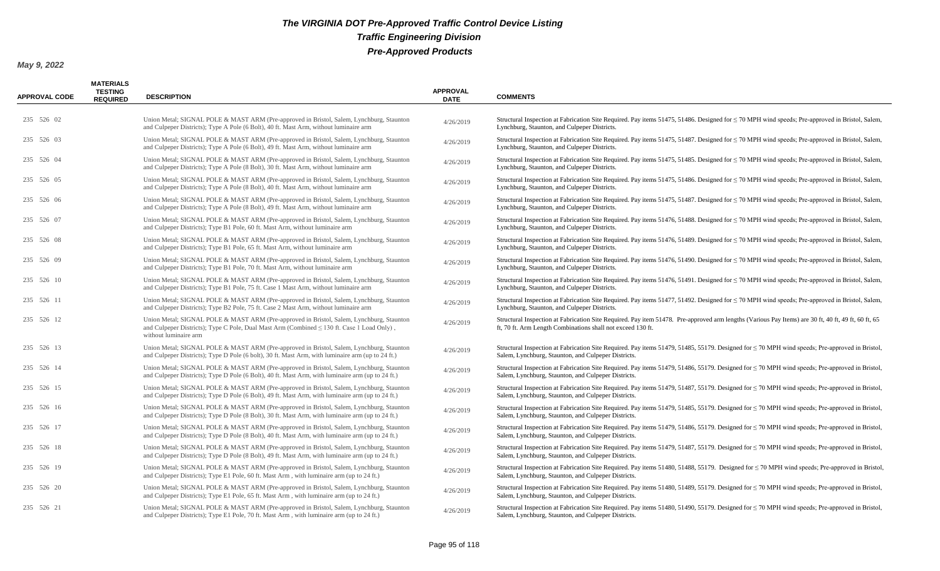| <b>APPROVAL CODE</b> | <b>MATERIALS</b><br><b>TESTING</b><br><b>REQUIRED</b> | <b>DESCRIPTION</b>                                                                                                                                                                                                   | <b>APPROVAL</b><br><b>DATE</b> | <b>COMMENTS</b>                                                                                                                                                                                                    |
|----------------------|-------------------------------------------------------|----------------------------------------------------------------------------------------------------------------------------------------------------------------------------------------------------------------------|--------------------------------|--------------------------------------------------------------------------------------------------------------------------------------------------------------------------------------------------------------------|
| 235 526 02           |                                                       | Union Metal; SIGNAL POLE & MAST ARM (Pre-approved in Bristol, Salem, Lynchburg, Staunton<br>and Culpeper Districts); Type A Pole (6 Bolt), 40 ft. Mast Arm, without luminaire arm                                    | 4/26/2019                      | Structural Inspection at Fabrication Site Required. Pay items 51475, 51486. Designed for $\leq$ 70 MPH wind speeds; Pre-approved in Bristol, Salem,<br>Lynchburg, Staunton, and Culpeper Districts.                |
| 235 526 03           |                                                       | Union Metal; SIGNAL POLE & MAST ARM (Pre-approved in Bristol, Salem, Lynchburg, Staunton<br>and Culpeper Districts); Type A Pole (6 Bolt), 49 ft. Mast Arm, without luminaire arm                                    | 4/26/2019                      | Structural Inspection at Fabrication Site Required. Pay items 51475, 51487. Designed for $\leq$ 70 MPH wind speeds; Pre-approved in Bristol, Salem,<br>Lynchburg, Staunton, and Culpeper Districts.                |
| 235 526 04           |                                                       | Union Metal; SIGNAL POLE & MAST ARM (Pre-approved in Bristol, Salem, Lynchburg, Staunton<br>and Culpeper Districts); Type A Pole (8 Bolt), 30 ft. Mast Arm, without luminaire arm                                    | 4/26/2019                      | Structural Inspection at Fabrication Site Required. Pay items 51475, 51485. Designed for $\leq$ 70 MPH wind speeds; Pre-approved in Bristol, Salem,<br>Lynchburg, Staunton, and Culpeper Districts.                |
| 235 526 05           |                                                       | Union Metal; SIGNAL POLE & MAST ARM (Pre-approved in Bristol, Salem, Lynchburg, Staunton<br>and Culpeper Districts); Type A Pole (8 Bolt), 40 ft. Mast Arm, without luminaire arm                                    | 4/26/2019                      | Structural Inspection at Fabrication Site Required. Pay items 51475, 51486. Designed for $\leq$ 70 MPH wind speeds; Pre-approved in Bristol, Salem,<br>Lynchburg, Staunton, and Culpeper Districts.                |
| 235 526 06           |                                                       | Union Metal; SIGNAL POLE & MAST ARM (Pre-approved in Bristol, Salem, Lynchburg, Staunton<br>and Culpeper Districts); Type A Pole (8 Bolt), 49 ft. Mast Arm, without luminaire arm                                    | 4/26/2019                      | Structural Inspection at Fabrication Site Required. Pay items 51475, 51487. Designed for $\leq$ 70 MPH wind speeds; Pre-approved in Bristol, Salem,<br>Lynchburg, Staunton, and Culpeper Districts.                |
| 235 526 07           |                                                       | Union Metal; SIGNAL POLE & MAST ARM (Pre-approved in Bristol, Salem, Lynchburg, Staunton<br>and Culpeper Districts); Type B1 Pole, 60 ft. Mast Arm, without luminaire arm                                            | 4/26/2019                      | Structural Inspection at Fabrication Site Required. Pay items 51476, 51488. Designed for $\leq$ 70 MPH wind speeds; Pre-approved in Bristol, Salem,<br>Lynchburg, Staunton, and Culpeper Districts.                |
| 235 526 08           |                                                       | Union Metal; SIGNAL POLE & MAST ARM (Pre-approved in Bristol, Salem, Lynchburg, Staunton<br>and Culpeper Districts); Type B1 Pole, 65 ft. Mast Arm, without luminaire arm                                            | 4/26/2019                      | Structural Inspection at Fabrication Site Required. Pay items 51476, 51489. Designed for $\leq$ 70 MPH wind speeds; Pre-approved in Bristol, Salem,<br>Lynchburg, Staunton, and Culpeper Districts.                |
| 235 526 09           |                                                       | Union Metal; SIGNAL POLE & MAST ARM (Pre-approved in Bristol, Salem, Lynchburg, Staunton<br>and Culpeper Districts); Type B1 Pole, 70 ft. Mast Arm, without luminaire arm                                            | 4/26/2019                      | Structural Inspection at Fabrication Site Required. Pay items 51476, 51490. Designed for $\leq$ 70 MPH wind speeds; Pre-approved in Bristol, Salem,<br>Lynchburg, Staunton, and Culpeper Districts.                |
| 235 526 10           |                                                       | Union Metal; SIGNAL POLE & MAST ARM (Pre-approved in Bristol, Salem, Lynchburg, Staunton<br>and Culpeper Districts); Type B1 Pole, 75 ft. Case 1 Mast Arm, without luminaire arm                                     | 4/26/2019                      | Structural Inspection at Fabrication Site Required. Pay items 51476, 51491. Designed for $\leq$ 70 MPH wind speeds; Pre-approved in Bristol, Salem,<br>Lynchburg, Staunton, and Culpeper Districts.                |
| 235 526 11           |                                                       | Union Metal; SIGNAL POLE & MAST ARM (Pre-approved in Bristol, Salem, Lynchburg, Staunton<br>and Culpeper Districts); Type B2 Pole, 75 ft. Case 2 Mast Arm, without luminaire arm                                     | 4/26/2019                      | Structural Inspection at Fabrication Site Required. Pay items 51477, 51492. Designed for $\leq$ 70 MPH wind speeds; Pre-approved in Bristol, Salem,<br>Lynchburg, Staunton, and Culpeper Districts.                |
| 235 526 12           |                                                       | Union Metal; SIGNAL POLE & MAST ARM (Pre-approved in Bristol, Salem, Lynchburg, Staunton<br>and Culpeper Districts); Type C Pole, Dual Mast Arm (Combined $\leq 130$ ft. Case 1 Load Only),<br>without luminaire arm | 4/26/2019                      | Structural Inspection at Fabrication Site Required. Pay item 51478. Pre-approved arm lengths (Various Pay Items) are 30 ft, 40 ft, 49 ft, 60 ft, 65<br>ft, 70 ft. Arm Length Combinations shall not exceed 130 ft. |
| 235 526 13           |                                                       | Union Metal; SIGNAL POLE & MAST ARM (Pre-approved in Bristol, Salem, Lynchburg, Staunton<br>and Culpeper Districts); Type D Pole (6 bolt), 30 ft. Mast Arm, with luminaire arm (up to 24 ft.)                        | 4/26/2019                      | Structural Inspection at Fabrication Site Required. Pay items 51479, 51485, 55179. Designed for $\leq$ 70 MPH wind speeds; Pre-approved in Bristol,<br>Salem, Lynchburg, Staunton, and Culpeper Districts.         |
| 235 526 14           |                                                       | Union Metal; SIGNAL POLE & MAST ARM (Pre-approved in Bristol, Salem, Lynchburg, Staunton<br>and Culpeper Districts); Type D Pole (6 Bolt), 40 ft. Mast Arm, with luminaire arm (up to 24 ft.)                        | 4/26/2019                      | Structural Inspection at Fabrication Site Required. Pay items 51479, 51486, 55179. Designed for $\leq$ 70 MPH wind speeds; Pre-approved in Bristol,<br>Salem, Lynchburg, Staunton, and Culpeper Districts.         |
| 235 526 15           |                                                       | Union Metal; SIGNAL POLE & MAST ARM (Pre-approved in Bristol, Salem, Lynchburg, Staunton<br>and Culpeper Districts); Type D Pole (6 Bolt), 49 ft. Mast Arm, with luminaire arm (up to 24 ft.)                        | 4/26/2019                      | Structural Inspection at Fabrication Site Required. Pay items 51479, 51487, 55179. Designed for ≤ 70 MPH wind speeds; Pre-approved in Bristol,<br>Salem, Lynchburg, Staunton, and Culpeper Districts.              |
| 235 526 16           |                                                       | Union Metal; SIGNAL POLE & MAST ARM (Pre-approved in Bristol, Salem, Lynchburg, Staunton<br>and Culpeper Districts); Type D Pole (8 Bolt), 30 ft. Mast Arm, with luminaire arm (up to 24 ft.)                        | 4/26/2019                      | Structural Inspection at Fabrication Site Required. Pay items 51479, 51485, 55179. Designed for ≤ 70 MPH wind speeds; Pre-approved in Bristol,<br>Salem, Lynchburg, Staunton, and Culpeper Districts.              |
| 235 526 17           |                                                       | Union Metal; SIGNAL POLE & MAST ARM (Pre-approved in Bristol, Salem, Lynchburg, Staunton<br>and Culpeper Districts); Type D Pole (8 Bolt), 40 ft. Mast Arm, with luminaire arm (up to 24 ft.)                        | 4/26/2019                      | Structural Inspection at Fabrication Site Required. Pay items 51479, 51486, 55179. Designed for ≤ 70 MPH wind speeds; Pre-approved in Bristol,<br>Salem, Lynchburg, Staunton, and Culpeper Districts.              |
| 235 526 18           |                                                       | Union Metal; SIGNAL POLE & MAST ARM (Pre-approved in Bristol, Salem, Lynchburg, Staunton<br>and Culpeper Districts); Type D Pole (8 Bolt), 49 ft. Mast Arm, with luminaire arm (up to 24 ft.)                        | 4/26/2019                      | Structural Inspection at Fabrication Site Required. Pay items 51479, 51487, 55179. Designed for $\leq$ 70 MPH wind speeds; Pre-approved in Bristol,<br>Salem, Lynchburg, Staunton, and Culpeper Districts.         |
| 235 526 19           |                                                       | Union Metal; SIGNAL POLE & MAST ARM (Pre-approved in Bristol, Salem, Lynchburg, Staunton<br>and Culpeper Districts); Type E1 Pole, 60 ft. Mast Arm, with luminaire arm (up to 24 ft.)                                | 4/26/2019                      | Structural Inspection at Fabrication Site Required. Pay items 51480, 51488, 55179. Designed for $\leq$ 70 MPH wind speeds; Pre-approved in Bristol,<br>Salem, Lynchburg, Staunton, and Culpeper Districts.         |
| 235 526 20           |                                                       | Union Metal; SIGNAL POLE & MAST ARM (Pre-approved in Bristol, Salem, Lynchburg, Staunton<br>and Culpeper Districts); Type E1 Pole, 65 ft. Mast Arm, with luminaire arm (up to 24 ft.)                                | 4/26/2019                      | Structural Inspection at Fabrication Site Required. Pay items 51480, 51489, 55179. Designed for $\leq$ 70 MPH wind speeds; Pre-approved in Bristol,<br>Salem, Lynchburg, Staunton, and Culpeper Districts.         |
| 235 526 21           |                                                       | Union Metal; SIGNAL POLE & MAST ARM (Pre-approved in Bristol, Salem, Lynchburg, Staunton<br>and Culpeper Districts); Type E1 Pole, 70 ft. Mast Arm, with luminaire arm (up to 24 ft.)                                | 4/26/2019                      | Structural Inspection at Fabrication Site Required. Pay items 51480, 51490, 55179. Designed for ≤ 70 MPH wind speeds; Pre-approved in Bristol,<br>Salem, Lynchburg, Staunton, and Culpeper Districts.              |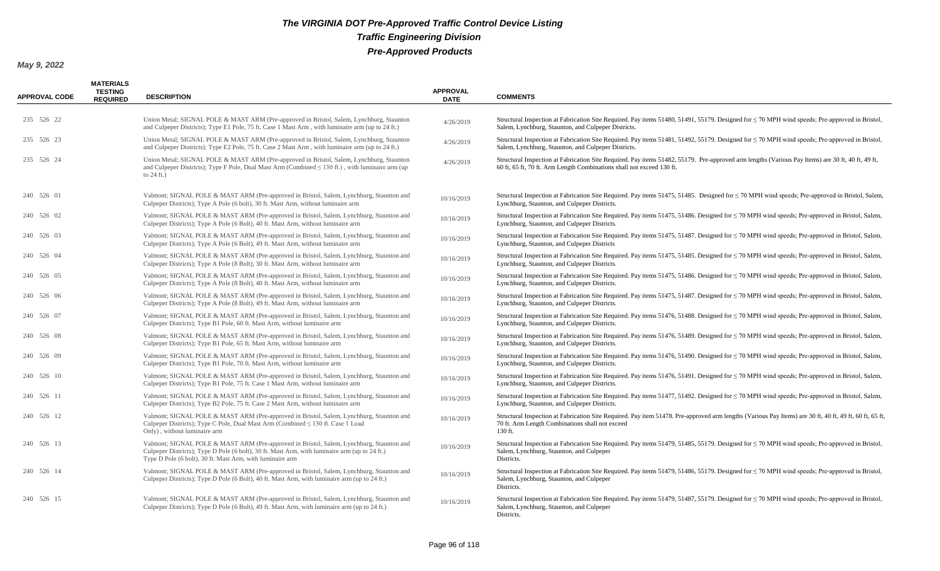| <b>APPROVAL CODE</b> | <b>MATERIALS</b><br>TESTING<br><b>REQUIRED</b> | <b>DESCRIPTION</b>                                                                                                                                                                                                                                     | <b>APPROVAL</b><br><b>DATE</b> | <b>COMMENTS</b>                                                                                                                                                                                                            |
|----------------------|------------------------------------------------|--------------------------------------------------------------------------------------------------------------------------------------------------------------------------------------------------------------------------------------------------------|--------------------------------|----------------------------------------------------------------------------------------------------------------------------------------------------------------------------------------------------------------------------|
| 235 526 22           |                                                | Union Metal; SIGNAL POLE & MAST ARM (Pre-approved in Bristol, Salem, Lynchburg, Staunton<br>and Culpeper Districts); Type E1 Pole, 75 ft. Case 1 Mast Arm, with luminaire arm (up to 24 ft.)                                                           | 4/26/2019                      | Structural Inspection at Fabrication Site Required. Pay items 51480, 51491, 55179. Designed for $\leq$ 70 MPH wind speeds; Pre-approved in Bristol,<br>Salem, Lynchburg, Staunton, and Culpeper Districts.                 |
| 235 526 23           |                                                | Union Metal; SIGNAL POLE & MAST ARM (Pre-approved in Bristol, Salem, Lynchburg, Staunton<br>and Culpeper Districts); Type E2 Pole, 75 ft. Case 2 Mast Arm, with luminaire arm (up to 24 ft.)                                                           | 4/26/2019                      | Structural Inspection at Fabrication Site Required. Pay items 51481, 51492, 55179. Designed for ≤ 70 MPH wind speeds; Pre-approved in Bristol,<br>Salem, Lynchburg, Staunton, and Culpeper Districts.                      |
| 235 526 24           |                                                | Union Metal; SIGNAL POLE & MAST ARM (Pre-approved in Bristol, Salem, Lynchburg, Staunton<br>and Culpeper Districts); Type F Pole, Dual Mast Arm (Combined $\leq 130$ ft.), with luminaire arm (up<br>to $24$ ft.)                                      | 4/26/2019                      | Structural Inspection at Fabrication Site Required. Pay items 51482, 55179. Pre-approved arm lengths (Various Pay Items) are 30 ft, 40 ft, 49 ft,<br>60 ft, 65 ft, 70 ft. Arm Length Combinations shall not exceed 130 ft. |
| 240 526 01           |                                                | Valmont; SIGNAL POLE & MAST ARM (Pre-approved in Bristol, Salem, Lynchburg, Staunton and<br>Culpeper Districts); Type A Pole (6 bolt), 30 ft. Mast Arm, without luminaire arm                                                                          | 10/16/2019                     | Structural Inspection at Fabrication Site Required. Pay items 51475, 51485. Designed for $\leq$ 70 MPH wind speeds; Pre-approved in Bristol, Salem,<br>Lynchburg, Staunton, and Culpeper Districts.                        |
| 240 526 02           |                                                | Valmont; SIGNAL POLE & MAST ARM (Pre-approved in Bristol, Salem, Lynchburg, Staunton and<br>Culpeper Districts); Type A Pole (6 Bolt), 40 ft. Mast Arm, without luminaire arm                                                                          | 10/16/2019                     | Structural Inspection at Fabrication Site Required. Pay items 51475, 51486. Designed for $\leq$ 70 MPH wind speeds; Pre-approved in Bristol, Salem,<br>Lynchburg, Staunton, and Culpeper Districts.                        |
| 240 526 03           |                                                | Valmont; SIGNAL POLE & MAST ARM (Pre-approved in Bristol, Salem, Lynchburg, Staunton and<br>Culpeper Districts); Type A Pole (6 Bolt), 49 ft. Mast Arm, without luminaire arm                                                                          | 10/16/2019                     | Structural Inspection at Fabrication Site Required. Pay items 51475, 51487. Designed for $\leq$ 70 MPH wind speeds; Pre-approved in Bristol, Salem,<br>Lynchburg, Staunton, and Culpeper Districts                         |
| 240 526 04           |                                                | Valmont; SIGNAL POLE & MAST ARM (Pre-approved in Bristol, Salem, Lynchburg, Staunton and<br>Culpeper Districts); Type A Pole (8 Bolt), 30 ft. Mast Arm, without luminaire arm                                                                          | 10/16/2019                     | Structural Inspection at Fabrication Site Required. Pay items 51475, 51485. Designed for $\leq$ 70 MPH wind speeds; Pre-approved in Bristol, Salem,<br>Lynchburg, Staunton, and Culpeper Districts.                        |
| 240 526 05           |                                                | Valmont; SIGNAL POLE & MAST ARM (Pre-approved in Bristol, Salem, Lynchburg, Staunton and<br>Culpeper Districts); Type A Pole (8 Bolt), 40 ft. Mast Arm, without luminaire arm                                                                          | 10/16/2019                     | Structural Inspection at Fabrication Site Required. Pay items 51475, 51486. Designed for $\leq$ 70 MPH wind speeds; Pre-approved in Bristol, Salem,<br>Lynchburg, Staunton, and Culpeper Districts.                        |
| 240 526 06           |                                                | Valmont; SIGNAL POLE & MAST ARM (Pre-approved in Bristol, Salem, Lynchburg, Staunton and<br>Culpeper Districts); Type A Pole (8 Bolt), 49 ft. Mast Arm, without luminaire arm                                                                          | 10/16/2019                     | Structural Inspection at Fabrication Site Required. Pay items 51475, 51487. Designed for $\leq$ 70 MPH wind speeds; Pre-approved in Bristol, Salem,<br>Lynchburg, Staunton, and Culpeper Districts.                        |
| 240 526 07           |                                                | Valmont; SIGNAL POLE & MAST ARM (Pre-approved in Bristol, Salem, Lynchburg, Staunton and<br>Culpeper Districts); Type B1 Pole, 60 ft. Mast Arm, without luminaire arm                                                                                  | 10/16/2019                     | Structural Inspection at Fabrication Site Required. Pay items 51476, 51488. Designed for $\leq$ 70 MPH wind speeds; Pre-approved in Bristol, Salem,<br>Lynchburg, Staunton, and Culpeper Districts.                        |
| 240 526 08           |                                                | Valmont; SIGNAL POLE & MAST ARM (Pre-approved in Bristol, Salem, Lynchburg, Staunton and<br>Culpeper Districts); Type B1 Pole, 65 ft. Mast Arm, without luminaire arm                                                                                  | 10/16/2019                     | Structural Inspection at Fabrication Site Required. Pay items 51476, 51489. Designed for $\leq$ 70 MPH wind speeds; Pre-approved in Bristol, Salem,<br>Lynchburg, Staunton, and Culpeper Districts.                        |
| 240 526 09           |                                                | Valmont; SIGNAL POLE & MAST ARM (Pre-approved in Bristol, Salem, Lynchburg, Staunton and<br>Culpeper Districts); Type B1 Pole, 70 ft. Mast Arm, without luminaire arm                                                                                  | 10/16/2019                     | Structural Inspection at Fabrication Site Required. Pay items 51476, 51490. Designed for $\leq$ 70 MPH wind speeds; Pre-approved in Bristol, Salem,<br>Lynchburg, Staunton, and Culpeper Districts.                        |
| 240 526 10           |                                                | Valmont; SIGNAL POLE & MAST ARM (Pre-approved in Bristol, Salem, Lynchburg, Staunton and<br>Culpeper Districts); Type B1 Pole, 75 ft. Case 1 Mast Arm, without luminaire arm                                                                           | 10/16/2019                     | Structural Inspection at Fabrication Site Required. Pay items 51476, 51491. Designed for $\leq$ 70 MPH wind speeds; Pre-approved in Bristol, Salem,<br>Lynchburg, Staunton, and Culpeper Districts.                        |
| 240 526 11           |                                                | Valmont; SIGNAL POLE & MAST ARM (Pre-approved in Bristol, Salem, Lynchburg, Staunton and<br>Culpeper Districts); Type B2 Pole, 75 ft. Case 2 Mast Arm, without luminaire arm                                                                           | 10/16/2019                     | Structural Inspection at Fabrication Site Required. Pay items 51477, 51492. Designed for $\leq$ 70 MPH wind speeds; Pre-approved in Bristol, Salem,<br>Lynchburg, Staunton, and Culpeper Districts.                        |
| 240 526 12           |                                                | Valmont; SIGNAL POLE & MAST ARM (Pre-approved in Bristol, Salem, Lynchburg, Staunton and<br>Culpeper Districts); Type C Pole, Dual Mast Arm (Combined $\leq$ 130 ft. Case 1 Load<br>Only), without luminaire arm                                       | 10/16/2019                     | Structural Inspection at Fabrication Site Required. Pay item 51478. Pre-approved arm lengths (Various Pay Items) are 30 ft, 40 ft, 49 ft, 60 ft, 65 ft,<br>70 ft. Arm Length Combinations shall not exceed<br>130 ft.      |
| 240 526 13           |                                                | Valmont; SIGNAL POLE & MAST ARM (Pre-approved in Bristol, Salem, Lynchburg, Staunton and<br>Culpeper Districts); Type D Pole (6 bolt), 30 ft. Mast Arm, with luminaire arm (up to 24 ft.)<br>Type D Pole (6 bolt), 30 ft. Mast Arm, with luminaire arm | 10/16/2019                     | Structural Inspection at Fabrication Site Required. Pay items 51479, 51485, 55179. Designed for ≤ 70 MPH wind speeds; Pre-approved in Bristol,<br>Salem, Lynchburg, Staunton, and Culpeper<br>Districts.                   |
| 240 526 14           |                                                | Valmont; SIGNAL POLE & MAST ARM (Pre-approved in Bristol, Salem, Lynchburg, Staunton and<br>Culpeper Districts); Type D Pole (6 Bolt), 40 ft. Mast Arm, with luminaire arm (up to 24 ft.)                                                              | 10/16/2019                     | Structural Inspection at Fabrication Site Required. Pay items 51479, 51486, 55179. Designed for ≤ 70 MPH wind speeds; Pre-approved in Bristol,<br>Salem, Lynchburg, Staunton, and Culpeper<br>Districts.                   |
| 240 526 15           |                                                | Valmont; SIGNAL POLE & MAST ARM (Pre-approved in Bristol, Salem, Lynchburg, Staunton and<br>Culpeper Districts); Type D Pole (6 Bolt), 49 ft. Mast Arm, with luminaire arm (up to 24 ft.)                                                              | 10/16/2019                     | Structural Inspection at Fabrication Site Required. Pay items 51479, 51487, 55179. Designed for $\leq$ 70 MPH wind speeds; Pre-approved in Bristol,<br>Salem, Lynchburg, Staunton, and Culpeper<br>Districts.              |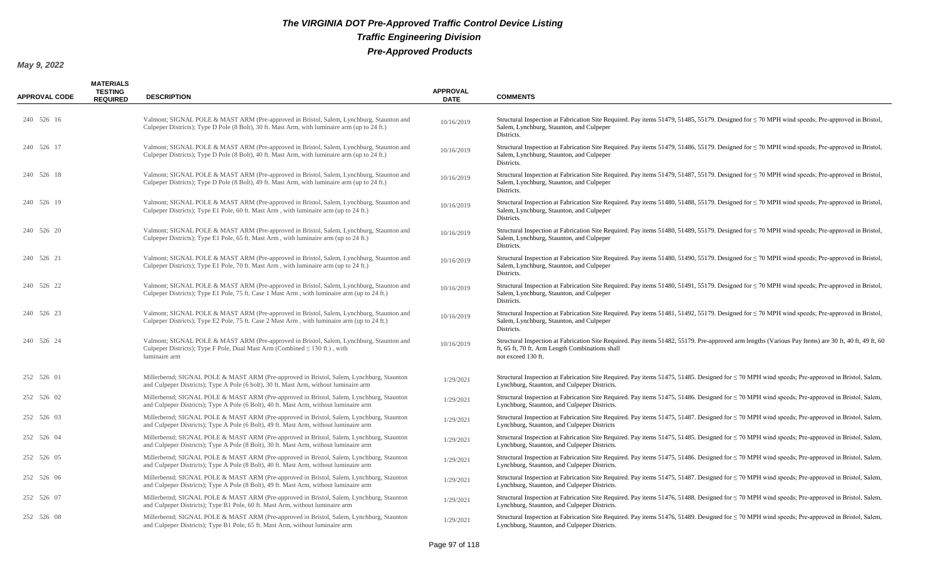| <b>APPROVAL CODE</b> | <b>MATERIALS</b><br><b>TESTING</b><br><b>REQUIRED</b> | <b>DESCRIPTION</b>                                                                                                                                                                           | <b>APPROVAL</b><br><b>DATE</b> | <b>COMMENTS</b>                                                                                                                                                                                                               |
|----------------------|-------------------------------------------------------|----------------------------------------------------------------------------------------------------------------------------------------------------------------------------------------------|--------------------------------|-------------------------------------------------------------------------------------------------------------------------------------------------------------------------------------------------------------------------------|
| 240 526 16           |                                                       | Valmont; SIGNAL POLE & MAST ARM (Pre-approved in Bristol, Salem, Lynchburg, Staunton and<br>Culpeper Districts); Type D Pole (8 Bolt), 30 ft. Mast Arm, with luminaire arm (up to 24 ft.)    | 10/16/2019                     | Structural Inspection at Fabrication Site Required. Pay items 51479, 51485, 55179. Designed for $\leq$ 70 MPH wind speeds; Pre-approved in Bristol,<br>Salem, Lynchburg, Staunton, and Culpeper<br>Districts.                 |
| 240 526 17           |                                                       | Valmont; SIGNAL POLE & MAST ARM (Pre-approved in Bristol, Salem, Lynchburg, Staunton and<br>Culpeper Districts); Type D Pole (8 Bolt), 40 ft. Mast Arm, with luminaire arm (up to 24 ft.)    | 10/16/2019                     | Structural Inspection at Fabrication Site Required. Pay items 51479, 51486, 55179. Designed for $\leq$ 70 MPH wind speeds; Pre-approved in Bristol,<br>Salem, Lynchburg, Staunton, and Culpeper<br>Districts.                 |
| 240 526 18           |                                                       | Valmont; SIGNAL POLE & MAST ARM (Pre-approved in Bristol, Salem, Lynchburg, Staunton and<br>Culpeper Districts); Type D Pole (8 Bolt), 49 ft. Mast Arm, with luminaire arm (up to 24 ft.)    | 10/16/2019                     | Structural Inspection at Fabrication Site Required. Pay items 51479, 51487, 55179. Designed for $\leq$ 70 MPH wind speeds; Pre-approved in Bristol,<br>Salem, Lynchburg, Staunton, and Culpeper<br>Districts.                 |
| 240 526 19           |                                                       | Valmont; SIGNAL POLE & MAST ARM (Pre-approved in Bristol, Salem, Lynchburg, Staunton and<br>Culpeper Districts); Type E1 Pole, 60 ft. Mast Arm, with luminaire arm (up to 24 ft.)            | 10/16/2019                     | Structural Inspection at Fabrication Site Required. Pay items 51480, 51488, 55179. Designed for $\leq$ 70 MPH wind speeds; Pre-approved in Bristol,<br>Salem, Lynchburg, Staunton, and Culpeper<br>Districts.                 |
| 240 526 20           |                                                       | Valmont; SIGNAL POLE & MAST ARM (Pre-approved in Bristol, Salem, Lynchburg, Staunton and<br>Culpeper Districts); Type E1 Pole, 65 ft. Mast Arm, with luminaire arm (up to 24 ft.)            | 10/16/2019                     | Structural Inspection at Fabrication Site Required. Pay items 51480, 51489, 55179. Designed for $\leq$ 70 MPH wind speeds; Pre-approved in Bristol,<br>Salem, Lynchburg, Staunton, and Culpeper<br>Districts.                 |
| 240 526 21           |                                                       | Valmont; SIGNAL POLE & MAST ARM (Pre-approved in Bristol, Salem, Lynchburg, Staunton and<br>Culpeper Districts); Type E1 Pole, 70 ft. Mast Arm, with luminaire arm (up to 24 ft.)            | 10/16/2019                     | Structural Inspection at Fabrication Site Required. Pay items 51480, 51490, 55179. Designed for $\leq$ 70 MPH wind speeds; Pre-approved in Bristol,<br>Salem, Lynchburg, Staunton, and Culpeper<br>Districts.                 |
| 240 526 22           |                                                       | Valmont; SIGNAL POLE & MAST ARM (Pre-approved in Bristol, Salem, Lynchburg, Staunton and<br>Culpeper Districts); Type E1 Pole, 75 ft. Case 1 Mast Arm, with luminaire arm (up to 24 ft.)     | 10/16/2019                     | Structural Inspection at Fabrication Site Required. Pay items 51480, 51491, 55179. Designed for $\leq$ 70 MPH wind speeds; Pre-approved in Bristol,<br>Salem, Lynchburg, Staunton, and Culpeper<br>Districts.                 |
| 240 526 23           |                                                       | Valmont; SIGNAL POLE & MAST ARM (Pre-approved in Bristol, Salem, Lynchburg, Staunton and<br>Culpeper Districts); Type E2 Pole, 75 ft. Case 2 Mast Arm, with luminaire arm (up to 24 ft.)     | 10/16/2019                     | Structural Inspection at Fabrication Site Required. Pay items 51481, 51492, 55179. Designed for $\leq$ 70 MPH wind speeds; Pre-approved in Bristol,<br>Salem, Lynchburg, Staunton, and Culpeper<br>Districts.                 |
| 240 526 24           |                                                       | Valmont; SIGNAL POLE & MAST ARM (Pre-approved in Bristol, Salem, Lynchburg, Staunton and<br>Culpeper Districts); Type F Pole, Dual Mast Arm (Combined $\leq$ 130 ft.), with<br>luminaire arm | 10/16/2019                     | Structural Inspection at Fabrication Site Required. Pay items 51482, 55179. Pre-approved arm lengths (Various Pay Items) are 30 ft, 40 ft, 49 ft, 60<br>ft, 65 ft, 70 ft. Arm Length Combinations shall<br>not exceed 130 ft. |
| 252 526 01           |                                                       | Millerbernd; SIGNAL POLE & MAST ARM (Pre-approved in Bristol, Salem, Lynchburg, Staunton<br>and Culpeper Districts); Type A Pole (6 bolt), 30 ft. Mast Arm, without luminaire arm            | 1/29/2021                      | Structural Inspection at Fabrication Site Required. Pay items 51475, 51485. Designed for $\leq$ 70 MPH wind speeds; Pre-approved in Bristol, Salem,<br>Lynchburg, Staunton, and Culpeper Districts.                           |
| 252 526 02           |                                                       | Millerbernd; SIGNAL POLE & MAST ARM (Pre-approved in Bristol, Salem, Lynchburg, Staunton<br>and Culpeper Districts); Type A Pole (6 Bolt), 40 ft. Mast Arm, without luminaire arm            | 1/29/2021                      | Structural Inspection at Fabrication Site Required. Pay items 51475, 51486. Designed for $\leq$ 70 MPH wind speeds; Pre-approved in Bristol, Salem,<br>Lynchburg, Staunton, and Culpeper Districts.                           |
| 252 526 03           |                                                       | Millerbernd; SIGNAL POLE & MAST ARM (Pre-approved in Bristol, Salem, Lynchburg, Staunton<br>and Culpeper Districts); Type A Pole (6 Bolt), 49 ft. Mast Arm, without luminaire arm            | 1/29/2021                      | Structural Inspection at Fabrication Site Required. Pay items 51475, 51487. Designed for $\leq$ 70 MPH wind speeds; Pre-approved in Bristol, Salem,<br>Lynchburg, Staunton, and Culpeper Districts                            |
| 252 526 04           |                                                       | Millerbernd; SIGNAL POLE & MAST ARM (Pre-approved in Bristol, Salem, Lynchburg, Staunton<br>and Culpeper Districts); Type A Pole (8 Bolt), 30 ft. Mast Arm, without luminaire arm            | 1/29/2021                      | Structural Inspection at Fabrication Site Required. Pay items 51475, 51485. Designed for $\leq$ 70 MPH wind speeds; Pre-approved in Bristol, Salem,<br>Lynchburg, Staunton, and Culpeper Districts.                           |
| 252 526 05           |                                                       | Millerbernd; SIGNAL POLE & MAST ARM (Pre-approved in Bristol, Salem, Lynchburg, Staunton<br>and Culpeper Districts); Type A Pole (8 Bolt), 40 ft. Mast Arm, without luminaire arm            | 1/29/2021                      | Structural Inspection at Fabrication Site Required. Pay items 51475, 51486. Designed for $\leq$ 70 MPH wind speeds; Pre-approved in Bristol, Salem,<br>Lynchburg, Staunton, and Culpeper Districts.                           |
| 252 526 06           |                                                       | Millerbernd; SIGNAL POLE & MAST ARM (Pre-approved in Bristol, Salem, Lynchburg, Staunton<br>and Culpeper Districts); Type A Pole (8 Bolt), 49 ft. Mast Arm, without luminaire arm            | 1/29/2021                      | Structural Inspection at Fabrication Site Required. Pay items 51475, 51487. Designed for $\leq$ 70 MPH wind speeds; Pre-approved in Bristol, Salem,<br>Lynchburg, Staunton, and Culpeper Districts.                           |
| 252 526 07           |                                                       | Millerbernd; SIGNAL POLE & MAST ARM (Pre-approved in Bristol, Salem, Lynchburg, Staunton<br>and Culpeper Districts); Type B1 Pole, 60 ft. Mast Arm, without luminaire arm                    | 1/29/2021                      | Structural Inspection at Fabrication Site Required. Pay items 51476, 51488. Designed for $\leq$ 70 MPH wind speeds; Pre-approved in Bristol, Salem,<br>Lynchburg, Staunton, and Culpeper Districts.                           |
| 252 526 08           |                                                       | Millerbernd; SIGNAL POLE & MAST ARM (Pre-approved in Bristol, Salem, Lynchburg, Staunton<br>and Culpeper Districts); Type B1 Pole, 65 ft. Mast Arm, without luminaire arm                    | 1/29/2021                      | Structural Inspection at Fabrication Site Required. Pay items 51476, 51489. Designed for $\leq$ 70 MPH wind speeds; Pre-approved in Bristol, Salem,<br>Lynchburg, Staunton, and Culpeper Districts.                           |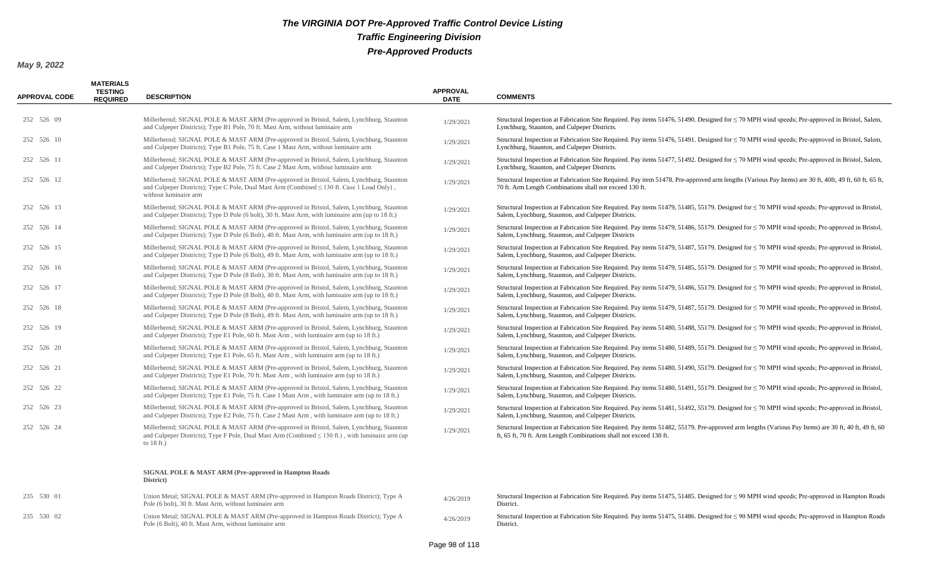| <b>APPROVAL CODE</b> | <b>MATERIALS</b><br><b>TESTING</b><br><b>REQUIRED</b> | <b>DESCRIPTION</b>                                                                                                                                                                                                   | <b>APPROVAL</b><br><b>DATE</b> | <b>COMMENTS</b>                                                                                                                                                                                                            |
|----------------------|-------------------------------------------------------|----------------------------------------------------------------------------------------------------------------------------------------------------------------------------------------------------------------------|--------------------------------|----------------------------------------------------------------------------------------------------------------------------------------------------------------------------------------------------------------------------|
| 252 526 09           |                                                       | Millerbernd; SIGNAL POLE & MAST ARM (Pre-approved in Bristol, Salem, Lynchburg, Staunton<br>and Culpeper Districts); Type B1 Pole, 70 ft. Mast Arm, without luminaire arm                                            | 1/29/2021                      | Structural Inspection at Fabrication Site Required. Pay items 51476, 51490. Designed for $\leq$ 70 MPH wind speeds; Pre-approved in Bristol, Salem,<br>Lynchburg, Staunton, and Culpeper Districts.                        |
| 252 526 10           |                                                       | Millerbernd; SIGNAL POLE & MAST ARM (Pre-approved in Bristol, Salem, Lynchburg, Staunton<br>and Culpeper Districts); Type B1 Pole, 75 ft. Case 1 Mast Arm, without luminaire arm                                     | 1/29/2021                      | Structural Inspection at Fabrication Site Required. Pay items 51476, 51491. Designed for $\leq$ 70 MPH wind speeds; Pre-approved in Bristol, Salem,<br>Lynchburg, Staunton, and Culpeper Districts.                        |
| 252 526 11           |                                                       | Millerbernd; SIGNAL POLE & MAST ARM (Pre-approved in Bristol, Salem, Lynchburg, Staunton<br>and Culpeper Districts); Type B2 Pole, 75 ft. Case 2 Mast Arm, without luminaire arm                                     | 1/29/2021                      | Structural Inspection at Fabrication Site Required. Pay items 51477, 51492. Designed for $\leq$ 70 MPH wind speeds; Pre-approved in Bristol, Salem,<br>Lynchburg, Staunton, and Culpeper Districts.                        |
| 252 526 12           |                                                       | Millerbernd; SIGNAL POLE & MAST ARM (Pre-approved in Bristol, Salem, Lynchburg, Staunton<br>and Culpeper Districts); Type C Pole, Dual Mast Arm (Combined $\leq$ 130 ft. Case 1 Load Only),<br>without luminaire arm | 1/29/2021                      | Structural Inspection at Fabrication Site Required. Pay item 51478. Pre-approved arm lengths (Various Pay Items) are 30 ft, 40ft, 49 ft, 60 ft, 65 ft,<br>70 ft. Arm Length Combinations shall not exceed 130 ft.          |
| 252 526 13           |                                                       | Millerbernd; SIGNAL POLE & MAST ARM (Pre-approved in Bristol, Salem, Lynchburg, Staunton<br>and Culpeper Districts); Type D Pole (6 bolt), 30 ft. Mast Arm, with luminaire arm (up to 18 ft.)                        | 1/29/2021                      | Structural Inspection at Fabrication Site Required. Pay items 51479, 51485, 55179. Designed for $\leq$ 70 MPH wind speeds; Pre-approved in Bristol,<br>Salem, Lynchburg, Staunton, and Culpeper Districts.                 |
| 252 526 14           |                                                       | Millerbernd; SIGNAL POLE & MAST ARM (Pre-approved in Bristol, Salem, Lynchburg, Staunton<br>and Culpeper Districts); Type D Pole (6 Bolt), 40 ft. Mast Arm, with luminaire arm (up to 18 ft.)                        | 1/29/2021                      | Structural Inspection at Fabrication Site Required. Pay items 51479, 51486, 55179. Designed for $\leq$ 70 MPH wind speeds; Pre-approved in Bristol,<br>Salem, Lynchburg, Staunton, and Culpeper Districts                  |
| 252 526 15           |                                                       | Millerbernd; SIGNAL POLE & MAST ARM (Pre-approved in Bristol, Salem, Lynchburg, Staunton<br>and Culpeper Districts); Type D Pole (6 Bolt), 49 ft. Mast Arm, with luminaire arm (up to 18 ft.)                        | 1/29/2021                      | Structural Inspection at Fabrication Site Required. Pay items 51479, 51487, 55179. Designed for $\leq$ 70 MPH wind speeds; Pre-approved in Bristol,<br>Salem, Lynchburg, Staunton, and Culpeper Districts.                 |
| 252 526 16           |                                                       | Millerbernd; SIGNAL POLE & MAST ARM (Pre-approved in Bristol, Salem, Lynchburg, Staunton<br>and Culpeper Districts); Type D Pole (8 Bolt), 30 ft. Mast Arm, with luminaire arm (up to 18 ft.)                        | 1/29/2021                      | Structural Inspection at Fabrication Site Required. Pay items 51479, 51485, 55179. Designed for ≤ 70 MPH wind speeds; Pre-approved in Bristol,<br>Salem, Lynchburg, Staunton, and Culpeper Districts.                      |
| 252 526 17           |                                                       | Millerbernd; SIGNAL POLE & MAST ARM (Pre-approved in Bristol, Salem, Lynchburg, Staunton<br>and Culpeper Districts); Type D Pole (8 Bolt), 40 ft. Mast Arm, with luminaire arm (up to 18 ft.)                        | 1/29/2021                      | Structural Inspection at Fabrication Site Required. Pay items 51479, 51486, 55179. Designed for $\leq$ 70 MPH wind speeds; Pre-approved in Bristol,<br>Salem, Lynchburg, Staunton, and Culpeper Districts.                 |
| 252 526 18           |                                                       | Millerbernd; SIGNAL POLE & MAST ARM (Pre-approved in Bristol, Salem, Lynchburg, Staunton<br>and Culpeper Districts); Type D Pole (8 Bolt), 49 ft. Mast Arm, with luminaire arm (up to 18 ft.)                        | 1/29/2021                      | Structural Inspection at Fabrication Site Required. Pay items 51479, 51487, 55179. Designed for $\leq$ 70 MPH wind speeds; Pre-approved in Bristol,<br>Salem, Lynchburg, Staunton, and Culpeper Districts.                 |
| 252 526 19           |                                                       | Millerbernd; SIGNAL POLE & MAST ARM (Pre-approved in Bristol, Salem, Lynchburg, Staunton<br>and Culpeper Districts); Type E1 Pole, 60 ft. Mast Arm, with luminaire arm (up to 18 ft.)                                | 1/29/2021                      | Structural Inspection at Fabrication Site Required. Pay items 51480, 51488, 55179. Designed for $\leq$ 70 MPH wind speeds; Pre-approved in Bristol,<br>Salem, Lynchburg, Staunton, and Culpeper Districts.                 |
| 252 526 20           |                                                       | Millerbernd; SIGNAL POLE & MAST ARM (Pre-approved in Bristol, Salem, Lynchburg, Staunton<br>and Culpeper Districts); Type E1 Pole, 65 ft. Mast Arm, with luminaire arm (up to 18 ft.)                                | 1/29/2021                      | Structural Inspection at Fabrication Site Required. Pay items 51480, 51489, 55179. Designed for $\leq$ 70 MPH wind speeds; Pre-approved in Bristol,<br>Salem, Lynchburg, Staunton, and Culpeper Districts.                 |
| 252 526 21           |                                                       | Millerbernd; SIGNAL POLE & MAST ARM (Pre-approved in Bristol, Salem, Lynchburg, Staunton<br>and Culpeper Districts); Type E1 Pole, 70 ft. Mast Arm, with luminaire arm (up to 18 ft.)                                | 1/29/2021                      | Structural Inspection at Fabrication Site Required. Pay items 51480, 51490, 55179. Designed for $\leq$ 70 MPH wind speeds; Pre-approved in Bristol,<br>Salem, Lynchburg, Staunton, and Culpeper Districts.                 |
| 252 526 22           |                                                       | Millerbernd; SIGNAL POLE & MAST ARM (Pre-approved in Bristol, Salem, Lynchburg, Staunton<br>and Culpeper Districts); Type E1 Pole, 75 ft. Case 1 Mast Arm, with luminaire arm (up to 18 ft.)                         | 1/29/2021                      | Structural Inspection at Fabrication Site Required. Pay items 51480, 51491, 55179. Designed for ≤ 70 MPH wind speeds; Pre-approved in Bristol,<br>Salem, Lynchburg, Staunton, and Culpeper Districts.                      |
| 252 526 23           |                                                       | Millerbernd; SIGNAL POLE & MAST ARM (Pre-approved in Bristol, Salem, Lynchburg, Staunton<br>and Culpeper Districts); Type E2 Pole, 75 ft. Case 2 Mast Arm, with luminaire arm (up to 18 ft.)                         | 1/29/2021                      | Structural Inspection at Fabrication Site Required. Pay items 51481, 51492, 55179. Designed for ≤ 70 MPH wind speeds; Pre-approved in Bristol,<br>Salem, Lynchburg, Staunton, and Culpeper Districts.                      |
| 252 526 24           |                                                       | Millerbernd; SIGNAL POLE & MAST ARM (Pre-approved in Bristol, Salem, Lynchburg, Staunton<br>and Culpeper Districts); Type F Pole, Dual Mast Arm (Combined $\leq 130$ ft.), with luminaire arm (up<br>to $18$ ft.)    | 1/29/2021                      | Structural Inspection at Fabrication Site Required. Pay items 51482, 55179. Pre-approved arm lengths (Various Pay Items) are 30 ft, 40 ft, 49 ft, 60<br>ft, 65 ft, 70 ft. Arm Length Combinations shall not exceed 130 ft. |
|                      |                                                       | SIGNAL POLE & MAST ARM (Pre-approved in Hampton Roads<br>District)                                                                                                                                                   |                                |                                                                                                                                                                                                                            |
| 235 530 01           |                                                       | Union Metal; SIGNAL POLE & MAST ARM (Pre-approved in Hampton Roads District); Type A<br>Pole (6 bolt), 30 ft. Mast Arm, without luminaire arm                                                                        | 4/26/2019                      | Structural Inspection at Fabrication Site Required. Pay items $51475$ , $51485$ . Designed for $\leq$ 90 MPH wind speeds; Pre-approved in Hampton Roads<br>District.                                                       |
| 235 530 02           |                                                       | Union Metal; SIGNAL POLE & MAST ARM (Pre-approved in Hampton Roads District); Type A<br>Pole (6 Bolt), 40 ft. Mast Arm, without luminaire arm                                                                        | 4/26/2019                      | Structural Inspection at Fabrication Site Required. Pay items 51475, 51486. Designed for $\leq$ 90 MPH wind speeds; Pre-approved in Hampton Roads<br>District.                                                             |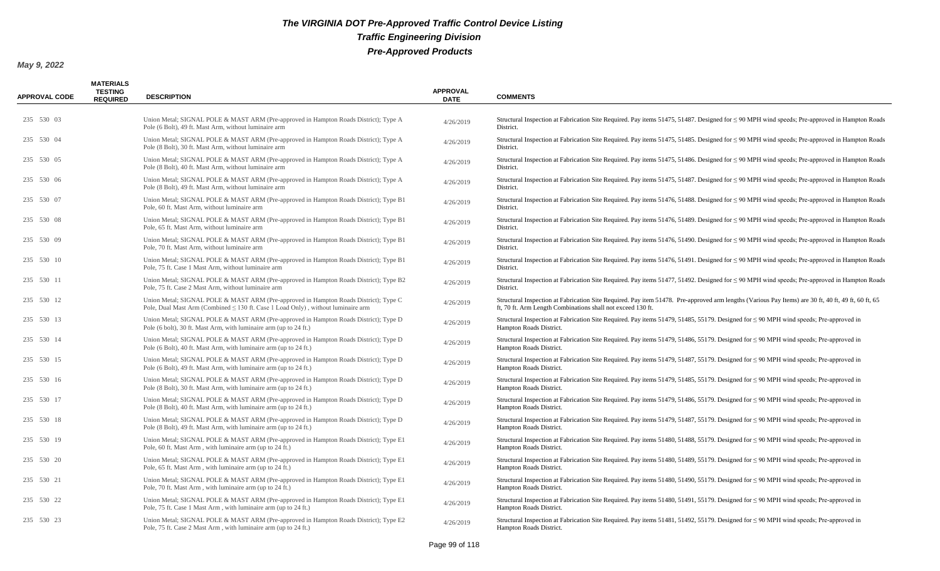| <b>APPROVAL CODE</b> | <b>MATERIALS</b><br><b>TESTING</b><br><b>REQUIRED</b> | <b>DESCRIPTION</b>                                                                                                                                                       | <b>APPROVAL</b><br><b>DATE</b> | <b>COMMENTS</b>                                                                                                                                                                                                    |
|----------------------|-------------------------------------------------------|--------------------------------------------------------------------------------------------------------------------------------------------------------------------------|--------------------------------|--------------------------------------------------------------------------------------------------------------------------------------------------------------------------------------------------------------------|
| 235 530 03           |                                                       | Union Metal; SIGNAL POLE & MAST ARM (Pre-approved in Hampton Roads District); Type A<br>Pole (6 Bolt), 49 ft. Mast Arm, without luminaire arm                            | 4/26/2019                      | Structural Inspection at Fabrication Site Required. Pay items 51475, 51487. Designed for $\leq$ 90 MPH wind speeds; Pre-approved in Hampton Roads<br>District.                                                     |
| 235 530 04           |                                                       | Union Metal; SIGNAL POLE & MAST ARM (Pre-approved in Hampton Roads District); Type A<br>Pole (8 Bolt), 30 ft. Mast Arm, without luminaire arm                            | 4/26/2019                      | Structural Inspection at Fabrication Site Required. Pay items 51475, 51485. Designed for $\leq$ 90 MPH wind speeds; Pre-approved in Hampton Roads<br>District.                                                     |
| 235 530 05           |                                                       | Union Metal; SIGNAL POLE & MAST ARM (Pre-approved in Hampton Roads District); Type A<br>Pole (8 Bolt), 40 ft. Mast Arm, without luminaire arm                            | 4/26/2019                      | Structural Inspection at Fabrication Site Required. Pay items 51475, 51486. Designed for $\leq$ 90 MPH wind speeds; Pre-approved in Hampton Roads<br>District.                                                     |
| 235 530 06           |                                                       | Union Metal; SIGNAL POLE & MAST ARM (Pre-approved in Hampton Roads District); Type A<br>Pole (8 Bolt), 49 ft. Mast Arm, without luminaire arm                            | 4/26/2019                      | Structural Inspection at Fabrication Site Required. Pay items 51475, 51487. Designed for $\leq$ 90 MPH wind speeds; Pre-approved in Hampton Roads<br>District.                                                     |
| 235 530 07           |                                                       | Union Metal; SIGNAL POLE & MAST ARM (Pre-approved in Hampton Roads District); Type B1<br>Pole, 60 ft. Mast Arm, without luminaire arm                                    | 4/26/2019                      | Structural Inspection at Fabrication Site Required. Pay items 51476, 51488. Designed for $\leq$ 90 MPH wind speeds; Pre-approved in Hampton Roads<br>District.                                                     |
| 235 530 08           |                                                       | Union Metal; SIGNAL POLE & MAST ARM (Pre-approved in Hampton Roads District); Type B1<br>Pole, 65 ft. Mast Arm, without luminaire arm                                    | 4/26/2019                      | Structural Inspection at Fabrication Site Required. Pay items 51476, 51489. Designed for $\leq$ 90 MPH wind speeds; Pre-approved in Hampton Roads<br>District.                                                     |
| 235 530 09           |                                                       | Union Metal; SIGNAL POLE & MAST ARM (Pre-approved in Hampton Roads District); Type B1<br>Pole, 70 ft. Mast Arm, without luminaire arm                                    | 4/26/2019                      | Structural Inspection at Fabrication Site Required. Pay items 51476, 51490. Designed for $\leq$ 90 MPH wind speeds; Pre-approved in Hampton Roads<br>District.                                                     |
| 235 530 10           |                                                       | Union Metal; SIGNAL POLE & MAST ARM (Pre-approved in Hampton Roads District); Type B1<br>Pole, 75 ft. Case 1 Mast Arm, without luminaire arm                             | 4/26/2019                      | Structural Inspection at Fabrication Site Required. Pay items 51476, 51491. Designed for $\leq$ 90 MPH wind speeds; Pre-approved in Hampton Roads<br>District.                                                     |
| 235 530 11           |                                                       | Union Metal; SIGNAL POLE & MAST ARM (Pre-approved in Hampton Roads District); Type B2<br>Pole, 75 ft. Case 2 Mast Arm, without luminaire arm                             | 4/26/2019                      | Structural Inspection at Fabrication Site Required. Pay items 51477, 51492. Designed for $\leq$ 90 MPH wind speeds; Pre-approved in Hampton Roads<br>District.                                                     |
| 235 530 12           |                                                       | Union Metal; SIGNAL POLE & MAST ARM (Pre-approved in Hampton Roads District); Type C<br>Pole, Dual Mast Arm (Combined ≤ 130 ft. Case 1 Load Only), without luminaire arm | 4/26/2019                      | Structural Inspection at Fabrication Site Required. Pay item 51478. Pre-approved arm lengths (Various Pay Items) are 30 ft, 40 ft, 49 ft, 60 ft, 65<br>ft, 70 ft. Arm Length Combinations shall not exceed 130 ft. |
| 235 530 13           |                                                       | Union Metal; SIGNAL POLE & MAST ARM (Pre-approved in Hampton Roads District); Type D<br>Pole (6 bolt), 30 ft. Mast Arm, with luminaire arm (up to 24 ft.)                | 4/26/2019                      | Structural Inspection at Fabrication Site Required. Pay items 51479, 51485, 55179. Designed for $\leq$ 90 MPH wind speeds; Pre-approved in<br>Hampton Roads District.                                              |
| 235 530 14           |                                                       | Union Metal; SIGNAL POLE & MAST ARM (Pre-approved in Hampton Roads District); Type D<br>Pole (6 Bolt), 40 ft. Mast Arm, with luminaire arm (up to 24 ft.)                | 4/26/2019                      | Structural Inspection at Fabrication Site Required. Pay items 51479, 51486, 55179. Designed for $\leq$ 90 MPH wind speeds; Pre-approved in<br>Hampton Roads District.                                              |
| 235 530 15           |                                                       | Union Metal; SIGNAL POLE & MAST ARM (Pre-approved in Hampton Roads District); Type D<br>Pole (6 Bolt), 49 ft. Mast Arm, with luminaire arm (up to 24 ft.)                | 4/26/2019                      | Structural Inspection at Fabrication Site Required. Pay items 51479, 51487, 55179. Designed for $\leq$ 90 MPH wind speeds; Pre-approved in<br>Hampton Roads District.                                              |
| 235 530 16           |                                                       | Union Metal; SIGNAL POLE & MAST ARM (Pre-approved in Hampton Roads District); Type D<br>Pole (8 Bolt), 30 ft. Mast Arm, with luminaire arm (up to 24 ft.)                | 4/26/2019                      | Structural Inspection at Fabrication Site Required. Pay items 51479, 51485, 55179. Designed for $\leq$ 90 MPH wind speeds; Pre-approved in<br>Hampton Roads District.                                              |
| 235 530 17           |                                                       | Union Metal; SIGNAL POLE & MAST ARM (Pre-approved in Hampton Roads District); Type D<br>Pole (8 Bolt), 40 ft. Mast Arm, with luminaire arm (up to 24 ft.)                | 4/26/2019                      | Structural Inspection at Fabrication Site Required. Pay items 51479, 51486, 55179. Designed for $\leq$ 90 MPH wind speeds; Pre-approved in<br>Hampton Roads District.                                              |
| 235 530 18           |                                                       | Union Metal; SIGNAL POLE & MAST ARM (Pre-approved in Hampton Roads District); Type D<br>Pole (8 Bolt), 49 ft. Mast Arm, with luminaire arm (up to 24 ft.)                | 4/26/2019                      | Structural Inspection at Fabrication Site Required. Pay items 51479, 51487, 55179. Designed for $\leq$ 90 MPH wind speeds; Pre-approved in<br>Hampton Roads District.                                              |
| 235 530 19           |                                                       | Union Metal; SIGNAL POLE & MAST ARM (Pre-approved in Hampton Roads District); Type E1<br>Pole, 60 ft. Mast Arm, with luminaire arm (up to 24 ft.)                        | 4/26/2019                      | Structural Inspection at Fabrication Site Required. Pay items 51480, 51488, 55179. Designed for $\leq$ 90 MPH wind speeds; Pre-approved in<br>Hampton Roads District.                                              |
| 235 530 20           |                                                       | Union Metal; SIGNAL POLE & MAST ARM (Pre-approved in Hampton Roads District); Type E1<br>Pole, 65 ft. Mast Arm, with luminaire arm (up to 24 ft.)                        | 4/26/2019                      | Structural Inspection at Fabrication Site Required. Pay items 51480, 51489, 55179. Designed for $\leq$ 90 MPH wind speeds; Pre-approved in<br>Hampton Roads District.                                              |
| 235 530 21           |                                                       | Union Metal; SIGNAL POLE & MAST ARM (Pre-approved in Hampton Roads District); Type E1<br>Pole, 70 ft. Mast Arm, with luminaire arm (up to 24 ft.)                        | 4/26/2019                      | Structural Inspection at Fabrication Site Required. Pay items 51480, 51490, 55179. Designed for $\leq$ 90 MPH wind speeds; Pre-approved in<br>Hampton Roads District.                                              |
| 235 530 22           |                                                       | Union Metal; SIGNAL POLE & MAST ARM (Pre-approved in Hampton Roads District); Type E1<br>Pole, 75 ft. Case 1 Mast Arm, with luminaire arm (up to 24 ft.)                 | 4/26/2019                      | Structural Inspection at Fabrication Site Required. Pay items 51480, 51491, 55179. Designed for $\leq$ 90 MPH wind speeds; Pre-approved in<br>Hampton Roads District.                                              |
| 235 530 23           |                                                       | Union Metal; SIGNAL POLE & MAST ARM (Pre-approved in Hampton Roads District); Type E2<br>Pole, 75 ft. Case 2 Mast Arm, with luminaire arm (up to 24 ft.)                 | 4/26/2019                      | Structural Inspection at Fabrication Site Required. Pay items 51481, 51492, 55179. Designed for $\leq$ 90 MPH wind speeds; Pre-approved in<br>Hampton Roads District.                                              |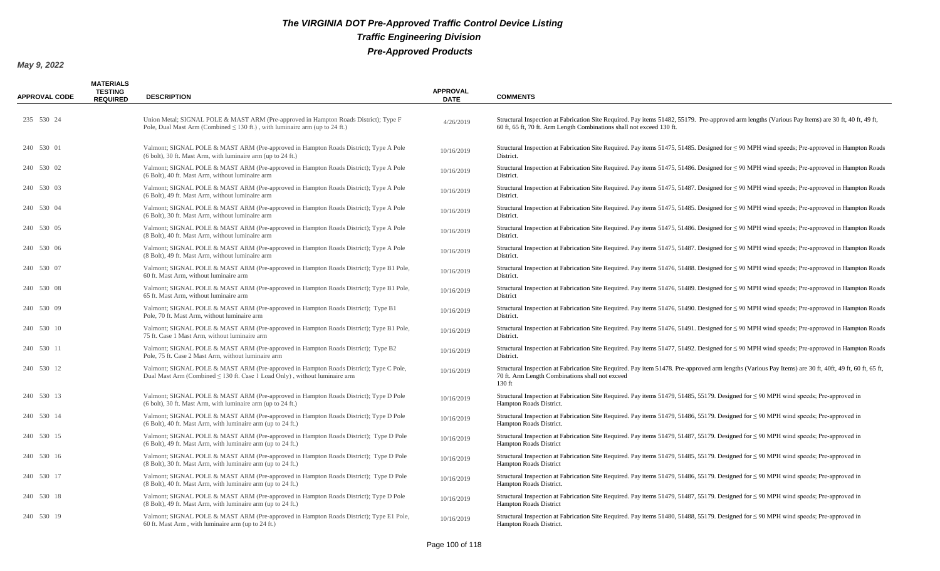| <b>APPROVAL CODE</b> | <b>MATERIALS</b><br><b>TESTING</b><br><b>REQUIRED</b> | <b>DESCRIPTION</b>                                                                                                                                                        | <b>APPROVAL</b><br><b>DATE</b> | <b>COMMENTS</b>                                                                                                                                                                                                            |
|----------------------|-------------------------------------------------------|---------------------------------------------------------------------------------------------------------------------------------------------------------------------------|--------------------------------|----------------------------------------------------------------------------------------------------------------------------------------------------------------------------------------------------------------------------|
| 235 530 24           |                                                       | Union Metal; SIGNAL POLE & MAST ARM (Pre-approved in Hampton Roads District); Type F<br>Pole, Dual Mast Arm (Combined $\leq$ 130 ft.), with luminaire arm (up to 24 ft.)  | 4/26/2019                      | Structural Inspection at Fabrication Site Required. Pay items 51482, 55179. Pre-approved arm lengths (Various Pay Items) are 30 ft, 40 ft, 49 ft,<br>60 ft, 65 ft, 70 ft. Arm Length Combinations shall not exceed 130 ft. |
| 240 530 01           |                                                       | Valmont; SIGNAL POLE & MAST ARM (Pre-approved in Hampton Roads District); Type A Pole<br>(6 bolt), 30 ft. Mast Arm, with luminaire arm (up to 24 ft.)                     | 10/16/2019                     | Structural Inspection at Fabrication Site Required. Pay items 51475, 51485. Designed for $\leq$ 90 MPH wind speeds; Pre-approved in Hampton Roads<br>District.                                                             |
| 240 530 02           |                                                       | Valmont; SIGNAL POLE & MAST ARM (Pre-approved in Hampton Roads District); Type A Pole<br>(6 Bolt), 40 ft. Mast Arm, without luminaire arm                                 | 10/16/2019                     | Structural Inspection at Fabrication Site Required. Pay items 51475, 51486. Designed for $\leq$ 90 MPH wind speeds; Pre-approved in Hampton Roads<br>District.                                                             |
| 240 530 03           |                                                       | Valmont; SIGNAL POLE & MAST ARM (Pre-approved in Hampton Roads District); Type A Pole<br>(6 Bolt), 49 ft. Mast Arm, without luminaire arm                                 | 10/16/2019                     | Structural Inspection at Fabrication Site Required. Pay items 51475, 51487. Designed for $\leq$ 90 MPH wind speeds; Pre-approved in Hampton Roads<br>District.                                                             |
| 240 530 04           |                                                       | Valmont; SIGNAL POLE & MAST ARM (Pre-approved in Hampton Roads District); Type A Pole<br>(6 Bolt), 30 ft. Mast Arm, without luminaire arm                                 | 10/16/2019                     | Structural Inspection at Fabrication Site Required. Pay items $51475$ , $51485$ . Designed for $\leq$ 90 MPH wind speeds; Pre-approved in Hampton Roads<br>District.                                                       |
| 240 530 05           |                                                       | Valmont; SIGNAL POLE & MAST ARM (Pre-approved in Hampton Roads District); Type A Pole<br>(8 Bolt), 40 ft. Mast Arm, without luminaire arm                                 | 10/16/2019                     | Structural Inspection at Fabrication Site Required. Pay items 51475, 51486. Designed for $\leq$ 90 MPH wind speeds; Pre-approved in Hampton Roads<br>District.                                                             |
| 240 530 06           |                                                       | Valmont; SIGNAL POLE & MAST ARM (Pre-approved in Hampton Roads District); Type A Pole<br>(8 Bolt), 49 ft. Mast Arm, without luminaire arm                                 | 10/16/2019                     | Structural Inspection at Fabrication Site Required. Pay items 51475, 51487. Designed for $\leq$ 90 MPH wind speeds; Pre-approved in Hampton Roads<br>District.                                                             |
| 240 530 07           |                                                       | Valmont; SIGNAL POLE & MAST ARM (Pre-approved in Hampton Roads District); Type B1 Pole,<br>60 ft. Mast Arm, without luminaire arm                                         | 10/16/2019                     | Structural Inspection at Fabrication Site Required. Pay items 51476, 51488. Designed for $\leq$ 90 MPH wind speeds; Pre-approved in Hampton Roads<br>District.                                                             |
| 240 530 08           |                                                       | Valmont; SIGNAL POLE & MAST ARM (Pre-approved in Hampton Roads District); Type B1 Pole,<br>65 ft. Mast Arm, without luminaire arm                                         | 10/16/2019                     | Structural Inspection at Fabrication Site Required. Pay items 51476, 51489. Designed for $\leq$ 90 MPH wind speeds; Pre-approved in Hampton Roads<br>District                                                              |
| 240 530 09           |                                                       | Valmont; SIGNAL POLE & MAST ARM (Pre-approved in Hampton Roads District); Type B1<br>Pole, 70 ft. Mast Arm, without luminaire arm                                         | 10/16/2019                     | Structural Inspection at Fabrication Site Required. Pay items 51476, 51490. Designed for $\leq$ 90 MPH wind speeds; Pre-approved in Hampton Roads<br>District.                                                             |
| 240 530 10           |                                                       | Valmont; SIGNAL POLE & MAST ARM (Pre-approved in Hampton Roads District); Type B1 Pole,<br>75 ft. Case 1 Mast Arm, without luminaire arm                                  | 10/16/2019                     | Structural Inspection at Fabrication Site Required. Pay items 51476, 51491. Designed for $\leq$ 90 MPH wind speeds; Pre-approved in Hampton Roads<br>District.                                                             |
| 240 530 11           |                                                       | Valmont; SIGNAL POLE & MAST ARM (Pre-approved in Hampton Roads District); Type B2<br>Pole, 75 ft. Case 2 Mast Arm, without luminaire arm                                  | 10/16/2019                     | Structural Inspection at Fabrication Site Required. Pay items 51477, 51492. Designed for $\leq$ 90 MPH wind speeds; Pre-approved in Hampton Roads<br>District.                                                             |
| 240 530 12           |                                                       | Valmont; SIGNAL POLE & MAST ARM (Pre-approved in Hampton Roads District); Type C Pole,<br>Dual Mast Arm (Combined $\leq 130$ ft. Case 1 Load Only), without luminaire arm | 10/16/2019                     | Structural Inspection at Fabrication Site Required. Pay item 51478. Pre-approved arm lengths (Various Pay Items) are 30 ft, 40ft, 49 ft, 60 ft, 65 ft,<br>70 ft. Arm Length Combinations shall not exceed<br>$130$ ft      |
| 240 530 13           |                                                       | Valmont; SIGNAL POLE & MAST ARM (Pre-approved in Hampton Roads District); Type D Pole<br>(6 bolt), 30 ft. Mast Arm, with luminaire arm (up to 24 ft.)                     | 10/16/2019                     | Structural Inspection at Fabrication Site Required. Pay items 51479, 51485, 55179. Designed for $\leq$ 90 MPH wind speeds; Pre-approved in<br>Hampton Roads District.                                                      |
| 240 530 14           |                                                       | Valmont; SIGNAL POLE & MAST ARM (Pre-approved in Hampton Roads District); Type D Pole<br>$(6$ Bolt), 40 ft. Mast Arm, with luminaire arm (up to 24 ft.)                   | 10/16/2019                     | Structural Inspection at Fabrication Site Required. Pay items 51479, 51486, 55179. Designed for $\leq$ 90 MPH wind speeds; Pre-approved in<br>Hampton Roads District.                                                      |
| 240 530 15           |                                                       | Valmont; SIGNAL POLE & MAST ARM (Pre-approved in Hampton Roads District); Type D Pole<br>(6 Bolt), 49 ft. Mast Arm, with luminaire arm (up to 24 ft.)                     | 10/16/2019                     | Structural Inspection at Fabrication Site Required. Pay items 51479, 51487, 55179. Designed for $\leq$ 90 MPH wind speeds; Pre-approved in<br><b>Hampton Roads District</b>                                                |
| 240 530 16           |                                                       | Valmont; SIGNAL POLE & MAST ARM (Pre-approved in Hampton Roads District); Type D Pole<br>(8 Bolt), 30 ft. Mast Arm, with luminaire arm (up to 24 ft.)                     | 10/16/2019                     | Structural Inspection at Fabrication Site Required. Pay items 51479, 51485, 55179. Designed for $\leq$ 90 MPH wind speeds; Pre-approved in<br>Hampton Roads District                                                       |
| 240 530 17           |                                                       | Valmont; SIGNAL POLE & MAST ARM (Pre-approved in Hampton Roads District); Type D Pole<br>(8 Bolt), 40 ft. Mast Arm, with luminaire arm (up to 24 ft.)                     | 10/16/2019                     | Structural Inspection at Fabrication Site Required. Pay items 51479, 51486, 55179. Designed for $\leq$ 90 MPH wind speeds; Pre-approved in<br>Hampton Roads District.                                                      |
| 240 530 18           |                                                       | Valmont; SIGNAL POLE & MAST ARM (Pre-approved in Hampton Roads District); Type D Pole<br>(8 Bolt), 49 ft. Mast Arm, with luminaire arm (up to 24 ft.)                     | 10/16/2019                     | Structural Inspection at Fabrication Site Required. Pay items 51479, 51487, 55179. Designed for $\leq$ 90 MPH wind speeds; Pre-approved in<br><b>Hampton Roads District</b>                                                |
| 240 530 19           |                                                       | Valmont; SIGNAL POLE & MAST ARM (Pre-approved in Hampton Roads District); Type E1 Pole,<br>60 ft. Mast Arm, with luminaire arm (up to 24 ft.)                             | 10/16/2019                     | Structural Inspection at Fabrication Site Required. Pay items 51480, 51488, 55179. Designed for ≤ 90 MPH wind speeds; Pre-approved in<br>Hampton Roads District.                                                           |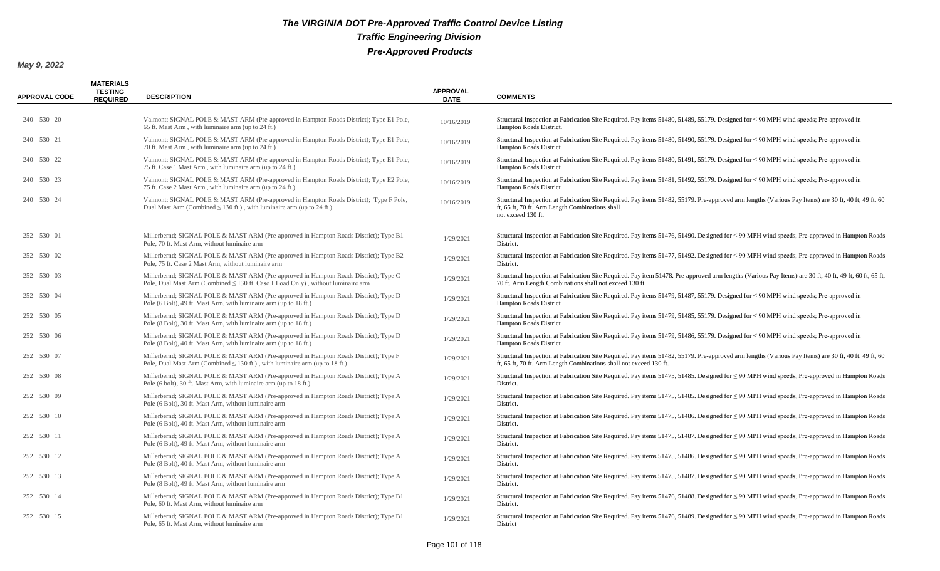| <b>APPROVAL CODE</b> | <b>MATERIALS</b><br><b>TESTING</b><br><b>REQUIRED</b> | <b>DESCRIPTION</b>                                                                                                                                                            | <b>APPROVAL</b><br><b>DATE</b> | <b>COMMENTS</b>                                                                                                                                                                                                               |
|----------------------|-------------------------------------------------------|-------------------------------------------------------------------------------------------------------------------------------------------------------------------------------|--------------------------------|-------------------------------------------------------------------------------------------------------------------------------------------------------------------------------------------------------------------------------|
| 240 530 20           |                                                       | Valmont; SIGNAL POLE & MAST ARM (Pre-approved in Hampton Roads District); Type E1 Pole,<br>65 ft. Mast Arm, with luminaire arm (up to 24 ft.)                                 | 10/16/2019                     | Structural Inspection at Fabrication Site Required. Pay items 51480, 51489, 55179. Designed for $\leq$ 90 MPH wind speeds; Pre-approved in<br>Hampton Roads District.                                                         |
| 240 530 21           |                                                       | Valmont; SIGNAL POLE & MAST ARM (Pre-approved in Hampton Roads District); Type E1 Pole,<br>70 ft. Mast Arm, with luminaire arm (up to 24 ft.)                                 | 10/16/2019                     | Structural Inspection at Fabrication Site Required. Pay items 51480, 51490, 55179. Designed for $\leq$ 90 MPH wind speeds; Pre-approved in<br>Hampton Roads District.                                                         |
| 240 530 22           |                                                       | Valmont; SIGNAL POLE & MAST ARM (Pre-approved in Hampton Roads District); Type E1 Pole,<br>75 ft. Case 1 Mast Arm, with luminaire arm (up to 24 ft.)                          | 10/16/2019                     | Structural Inspection at Fabrication Site Required. Pay items 51480, 51491, 55179. Designed for $\leq$ 90 MPH wind speeds; Pre-approved in<br>Hampton Roads District.                                                         |
| 240 530 23           |                                                       | Valmont; SIGNAL POLE & MAST ARM (Pre-approved in Hampton Roads District); Type E2 Pole,<br>75 ft. Case 2 Mast Arm, with luminaire arm (up to 24 ft.)                          | 10/16/2019                     | Structural Inspection at Fabrication Site Required. Pay items 51481, 51492, 55179. Designed for $\leq 90$ MPH wind speeds; Pre-approved in<br>Hampton Roads District.                                                         |
| 240 530 24           |                                                       | Valmont; SIGNAL POLE & MAST ARM (Pre-approved in Hampton Roads District); Type F Pole,<br>Dual Mast Arm (Combined $\leq$ 130 ft.), with luminaire arm (up to 24 ft.)          | 10/16/2019                     | Structural Inspection at Fabrication Site Required. Pay items 51482, 55179. Pre-approved arm lengths (Various Pay Items) are 30 ft, 40 ft, 49 ft, 60<br>ft, 65 ft, 70 ft. Arm Length Combinations shall<br>not exceed 130 ft. |
| 252 530 01           |                                                       | Millerbernd; SIGNAL POLE & MAST ARM (Pre-approved in Hampton Roads District); Type B1<br>Pole, 70 ft. Mast Arm, without luminaire arm                                         | 1/29/2021                      | Structural Inspection at Fabrication Site Required. Pay items 51476, 51490. Designed for $\leq$ 90 MPH wind speeds; Pre-approved in Hampton Roads<br>District.                                                                |
| 252 530 02           |                                                       | Millerbernd; SIGNAL POLE & MAST ARM (Pre-approved in Hampton Roads District); Type B2<br>Pole, 75 ft. Case 2 Mast Arm, without luminaire arm                                  | 1/29/2021                      | Structural Inspection at Fabrication Site Required. Pay items 51477, 51492. Designed for $\leq$ 90 MPH wind speeds; Pre-approved in Hampton Roads<br>District.                                                                |
| 252 530 03           |                                                       | Millerbernd; SIGNAL POLE & MAST ARM (Pre-approved in Hampton Roads District); Type C<br>Pole, Dual Mast Arm (Combined $\leq 130$ ft. Case 1 Load Only), without luminaire arm | 1/29/2021                      | Structural Inspection at Fabrication Site Required. Pay item 51478. Pre-approved arm lengths (Various Pay Items) are 30 ft, 40 ft, 49 ft, 60 ft, 65 ft,<br>70 ft. Arm Length Combinations shall not exceed 130 ft.            |
| 252 530 04           |                                                       | Millerbernd; SIGNAL POLE & MAST ARM (Pre-approved in Hampton Roads District); Type D<br>Pole (6 Bolt), 49 ft. Mast Arm, with luminaire arm (up to 18 ft.)                     | 1/29/2021                      | Structural Inspection at Fabrication Site Required. Pay items 51479, 51487, 55179. Designed for $\leq$ 90 MPH wind speeds; Pre-approved in<br><b>Hampton Roads District</b>                                                   |
| 252 530 05           |                                                       | Millerbernd; SIGNAL POLE & MAST ARM (Pre-approved in Hampton Roads District); Type D<br>Pole (8 Bolt), 30 ft. Mast Arm, with luminaire arm (up to 18 ft.)                     | 1/29/2021                      | Structural Inspection at Fabrication Site Required. Pay items 51479, 51485, 55179. Designed for $\leq$ 90 MPH wind speeds; Pre-approved in<br>Hampton Roads District                                                          |
| 252 530 06           |                                                       | Millerbernd; SIGNAL POLE & MAST ARM (Pre-approved in Hampton Roads District); Type D<br>Pole (8 Bolt), 40 ft. Mast Arm, with luminaire arm (up to 18 ft.)                     | 1/29/2021                      | Structural Inspection at Fabrication Site Required. Pay items 51479, 51486, 55179. Designed for $\leq$ 90 MPH wind speeds; Pre-approved in<br>Hampton Roads District.                                                         |
| 252 530 07           |                                                       | Millerbernd; SIGNAL POLE & MAST ARM (Pre-approved in Hampton Roads District); Type F<br>Pole, Dual Mast Arm (Combined $\leq 130$ ft.), with luminaire arm (up to 18 ft.)      | 1/29/2021                      | Structural Inspection at Fabrication Site Required. Pay items 51482, 55179. Pre-approved arm lengths (Various Pay Items) are 30 ft, 40 ft, 49 ft, 60<br>ft, 65 ft, 70 ft. Arm Length Combinations shall not exceed 130 ft.    |
| 252 530 08           |                                                       | Millerbernd; SIGNAL POLE & MAST ARM (Pre-approved in Hampton Roads District); Type A<br>Pole (6 bolt), 30 ft. Mast Arm, with luminaire arm (up to 18 ft.)                     | 1/29/2021                      | Structural Inspection at Fabrication Site Required. Pay items 51475, 51485. Designed for $\leq$ 90 MPH wind speeds; Pre-approved in Hampton Roads<br>District.                                                                |
| 252 530 09           |                                                       | Millerbernd; SIGNAL POLE & MAST ARM (Pre-approved in Hampton Roads District); Type A<br>Pole (6 Bolt), 30 ft. Mast Arm, without luminaire arm                                 | 1/29/2021                      | Structural Inspection at Fabrication Site Required. Pay items 51475, 51485. Designed for $\leq$ 90 MPH wind speeds; Pre-approved in Hampton Roads<br>District.                                                                |
| 252 530 10           |                                                       | Millerbernd; SIGNAL POLE & MAST ARM (Pre-approved in Hampton Roads District); Type A<br>Pole (6 Bolt), 40 ft. Mast Arm, without luminaire arm                                 | 1/29/2021                      | Structural Inspection at Fabrication Site Required. Pay items 51475, 51486. Designed for $\leq$ 90 MPH wind speeds; Pre-approved in Hampton Roads<br>District.                                                                |
| 252 530 11           |                                                       | Millerbernd; SIGNAL POLE & MAST ARM (Pre-approved in Hampton Roads District); Type A<br>Pole (6 Bolt), 49 ft. Mast Arm, without luminaire arm                                 | 1/29/2021                      | Structural Inspection at Fabrication Site Required. Pay items 51475, 51487. Designed for ≤ 90 MPH wind speeds; Pre-approved in Hampton Roads<br>District.                                                                     |
| 252 530 12           |                                                       | Millerbernd; SIGNAL POLE & MAST ARM (Pre-approved in Hampton Roads District); Type A<br>Pole (8 Bolt), 40 ft. Mast Arm, without luminaire arm                                 | 1/29/2021                      | Structural Inspection at Fabrication Site Required. Pay items 51475, 51486. Designed for $\leq$ 90 MPH wind speeds; Pre-approved in Hampton Roads<br>District.                                                                |
| 252 530 13           |                                                       | Millerbernd; SIGNAL POLE & MAST ARM (Pre-approved in Hampton Roads District); Type A<br>Pole (8 Bolt), 49 ft. Mast Arm, without luminaire arm                                 | 1/29/2021                      | Structural Inspection at Fabrication Site Required. Pay items 51475, 51487. Designed for $\leq$ 90 MPH wind speeds; Pre-approved in Hampton Roads<br>District.                                                                |
| 252 530 14           |                                                       | Millerbernd; SIGNAL POLE & MAST ARM (Pre-approved in Hampton Roads District); Type B1<br>Pole, 60 ft. Mast Arm, without luminaire arm                                         | 1/29/2021                      | Structural Inspection at Fabrication Site Required. Pay items 51476, 51488. Designed for $\leq$ 90 MPH wind speeds; Pre-approved in Hampton Roads<br>District.                                                                |
| 252 530 15           |                                                       | Millerbernd; SIGNAL POLE & MAST ARM (Pre-approved in Hampton Roads District); Type B1<br>Pole, 65 ft. Mast Arm, without luminaire arm                                         | 1/29/2021                      | Structural Inspection at Fabrication Site Required. Pay items 51476, 51489. Designed for $\leq$ 90 MPH wind speeds; Pre-approved in Hampton Roads<br>District                                                                 |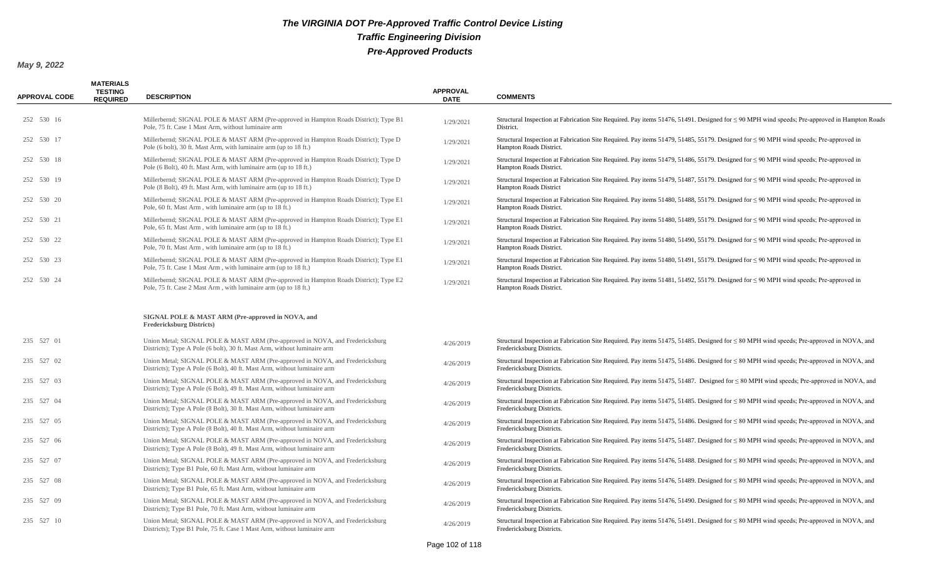| <b>APPROVAL CODE</b> | <b>MATERIALS</b><br>TESTING<br><b>REQUIRED</b> | <b>DESCRIPTION</b>                                                                                                                                        | <b>APPROVAL</b><br><b>DATE</b> | <b>COMMENTS</b>                                                                                                                                                             |
|----------------------|------------------------------------------------|-----------------------------------------------------------------------------------------------------------------------------------------------------------|--------------------------------|-----------------------------------------------------------------------------------------------------------------------------------------------------------------------------|
| 252 530 16           |                                                | Millerbernd; SIGNAL POLE & MAST ARM (Pre-approved in Hampton Roads District); Type B1<br>Pole, 75 ft. Case 1 Mast Arm, without luminaire arm              | 1/29/2021                      | Structural Inspection at Fabrication Site Required. Pay items 51476, 51491. Designed for $\leq$ 90 MPH wind speeds; Pre-approved in Hampton Roads<br>District.              |
| 252 530 17           |                                                | Millerbernd; SIGNAL POLE & MAST ARM (Pre-approved in Hampton Roads District); Type D<br>Pole (6 bolt), 30 ft. Mast Arm, with luminaire arm (up to 18 ft.) | 1/29/2021                      | Structural Inspection at Fabrication Site Required. Pay items 51479, 51485, 55179. Designed for $\leq$ 90 MPH wind speeds; Pre-approved in<br>Hampton Roads District.       |
| 252 530 18           |                                                | Millerbernd; SIGNAL POLE & MAST ARM (Pre-approved in Hampton Roads District); Type D<br>Pole (6 Bolt), 40 ft. Mast Arm, with luminaire arm (up to 18 ft.) | 1/29/2021                      | Structural Inspection at Fabrication Site Required. Pay items 51479, 51486, 55179. Designed for $\leq 90$ MPH wind speeds; Pre-approved in<br>Hampton Roads District.       |
| 252 530 19           |                                                | Millerbernd; SIGNAL POLE & MAST ARM (Pre-approved in Hampton Roads District); Type D<br>Pole (8 Bolt), 49 ft. Mast Arm, with luminaire arm (up to 18 ft.) | 1/29/2021                      | Structural Inspection at Fabrication Site Required. Pay items 51479, 51487, 55179. Designed for $\leq$ 90 MPH wind speeds; Pre-approved in<br><b>Hampton Roads District</b> |
| 252 530 20           |                                                | Millerbernd; SIGNAL POLE & MAST ARM (Pre-approved in Hampton Roads District); Type E1<br>Pole, 60 ft. Mast Arm, with luminaire arm (up to 18 ft.)         | 1/29/2021                      | Structural Inspection at Fabrication Site Required. Pay items 51480, 51488, 55179. Designed for $\leq$ 90 MPH wind speeds; Pre-approved in<br>Hampton Roads District.       |
| 252 530 21           |                                                | Millerbernd; SIGNAL POLE & MAST ARM (Pre-approved in Hampton Roads District); Type E1<br>Pole, 65 ft. Mast Arm, with luminaire arm (up to 18 ft.)         | 1/29/2021                      | Structural Inspection at Fabrication Site Required. Pay items 51480, 51489, 55179. Designed for $\leq$ 90 MPH wind speeds; Pre-approved in<br>Hampton Roads District.       |
| 252 530 22           |                                                | Millerbernd; SIGNAL POLE & MAST ARM (Pre-approved in Hampton Roads District); Type E1<br>Pole, 70 ft. Mast Arm, with luminaire arm (up to 18 ft.)         | 1/29/2021                      | Structural Inspection at Fabrication Site Required. Pay items 51480, 51490, 55179. Designed for $\leq$ 90 MPH wind speeds; Pre-approved in<br>Hampton Roads District.       |
| 252 530 23           |                                                | Millerbernd; SIGNAL POLE & MAST ARM (Pre-approved in Hampton Roads District); Type E1<br>Pole, 75 ft. Case 1 Mast Arm, with luminaire arm (up to 18 ft.)  | 1/29/2021                      | Structural Inspection at Fabrication Site Required. Pay items 51480, 51491, 55179. Designed for $\leq$ 90 MPH wind speeds; Pre-approved in<br>Hampton Roads District.       |
| 252 530 24           |                                                | Millerbernd; SIGNAL POLE & MAST ARM (Pre-approved in Hampton Roads District); Type E2<br>Pole, 75 ft. Case 2 Mast Arm, with luminaire arm (up to 18 ft.)  | 1/29/2021                      | Structural Inspection at Fabrication Site Required. Pay items 51481, 51492, 55179. Designed for $\leq$ 90 MPH wind speeds; Pre-approved in<br>Hampton Roads District.       |
|                      |                                                | SIGNAL POLE & MAST ARM (Pre-approved in NOVA, and<br><b>Fredericksburg Districts)</b>                                                                     |                                |                                                                                                                                                                             |
| 235 527 01           |                                                | Union Metal; SIGNAL POLE & MAST ARM (Pre-approved in NOVA, and Fredericksburg<br>Districts); Type A Pole (6 bolt), 30 ft. Mast Arm, without luminaire arm | 4/26/2019                      | Structural Inspection at Fabrication Site Required. Pay items 51475, 51485. Designed for $\leq 80$ MPH wind speeds; Pre-approved in NOVA, and<br>Fredericksburg Districts.  |
| 235 527 02           |                                                | Union Metal; SIGNAL POLE & MAST ARM (Pre-approved in NOVA, and Fredericksburg<br>Districts); Type A Pole (6 Bolt), 40 ft. Mast Arm, without luminaire arm | 4/26/2019                      | Structural Inspection at Fabrication Site Required. Pay items 51475, 51486. Designed for $\leq 80$ MPH wind speeds; Pre-approved in NOVA, and<br>Fredericksburg Districts.  |
| 235 527 03           |                                                | Union Metal; SIGNAL POLE & MAST ARM (Pre-approved in NOVA, and Fredericksburg<br>Districts); Type A Pole (6 Bolt), 49 ft. Mast Arm, without luminaire arm | 4/26/2019                      | Structural Inspection at Fabrication Site Required. Pay items 51475, 51487. Designed for $\leq 80$ MPH wind speeds; Pre-approved in NOVA, and<br>Fredericksburg Districts.  |
| 235 527 04           |                                                | Union Metal; SIGNAL POLE & MAST ARM (Pre-approved in NOVA, and Fredericksburg<br>Districts); Type A Pole (8 Bolt), 30 ft. Mast Arm, without luminaire arm | 4/26/2019                      | Structural Inspection at Fabrication Site Required. Pay items 51475, 51485. Designed for $\leq 80$ MPH wind speeds; Pre-approved in NOVA, and<br>Fredericksburg Districts.  |
| 235 527 05           |                                                | Union Metal; SIGNAL POLE & MAST ARM (Pre-approved in NOVA, and Fredericksburg<br>Districts); Type A Pole (8 Bolt), 40 ft. Mast Arm, without luminaire arm | 4/26/2019                      | Structural Inspection at Fabrication Site Required. Pay items 51475, 51486. Designed for $\leq 80$ MPH wind speeds; Pre-approved in NOVA, and<br>Fredericksburg Districts.  |
| 235 527 06           |                                                | Union Metal; SIGNAL POLE & MAST ARM (Pre-approved in NOVA, and Fredericksburg<br>Districts); Type A Pole (8 Bolt), 49 ft. Mast Arm, without luminaire arm | 4/26/2019                      | Structural Inspection at Fabrication Site Required. Pay items 51475, 51487. Designed for $\leq 80$ MPH wind speeds; Pre-approved in NOVA, and<br>Fredericksburg Districts.  |
| 235 527 07           |                                                | Union Metal; SIGNAL POLE & MAST ARM (Pre-approved in NOVA, and Fredericksburg<br>Districts); Type B1 Pole, 60 ft. Mast Arm, without luminaire arm         | 4/26/2019                      | Structural Inspection at Fabrication Site Required. Pay items 51476, 51488. Designed for $\leq 80$ MPH wind speeds; Pre-approved in NOVA, and<br>Fredericksburg Districts.  |
| 235 527 08           |                                                | Union Metal; SIGNAL POLE & MAST ARM (Pre-approved in NOVA, and Fredericksburg<br>Districts); Type B1 Pole, 65 ft. Mast Arm, without luminaire arm         | 4/26/2019                      | Structural Inspection at Fabrication Site Required. Pay items 51476, 51489. Designed for $\leq 80$ MPH wind speeds; Pre-approved in NOVA, and<br>Fredericksburg Districts.  |
| 235 527 09           |                                                | Union Metal; SIGNAL POLE & MAST ARM (Pre-approved in NOVA, and Fredericksburg<br>Districts); Type B1 Pole, 70 ft. Mast Arm, without luminaire arm         | 4/26/2019                      | Structural Inspection at Fabrication Site Required. Pay items 51476, 51490. Designed for $\leq 80$ MPH wind speeds; Pre-approved in NOVA, and<br>Fredericksburg Districts.  |
| 235 527 10           |                                                | Union Metal; SIGNAL POLE & MAST ARM (Pre-approved in NOVA, and Fredericksburg<br>Districts); Type B1 Pole, 75 ft. Case 1 Mast Arm, without luminaire arm  | 4/26/2019                      | Structural Inspection at Fabrication Site Required. Pay items 51476, 51491. Designed for $\leq 80$ MPH wind speeds; Pre-approved in NOVA, and<br>Fredericksburg Districts.  |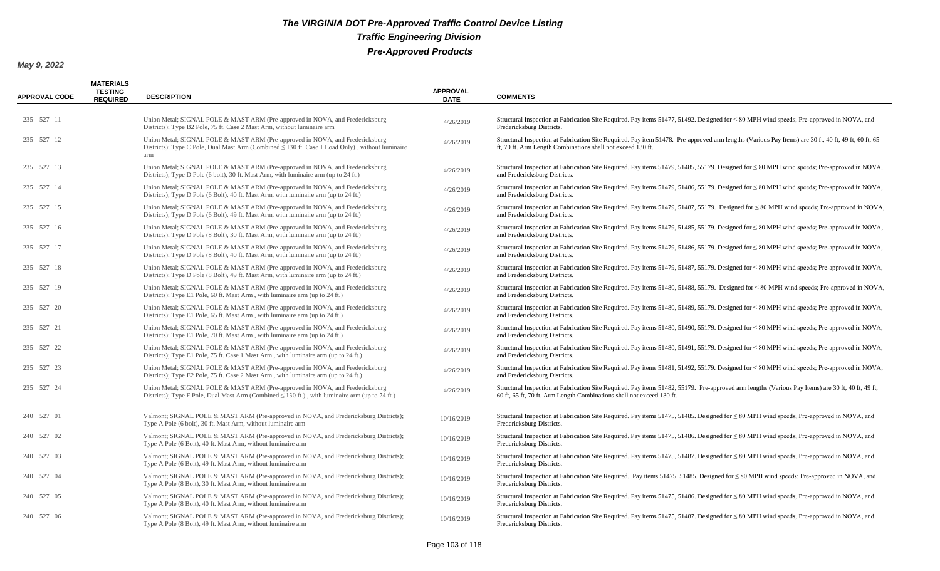| <b>APPROVAL CODE</b> | <b>MATERIALS</b><br><b>TESTING</b><br><b>REQUIRED</b> | <b>DESCRIPTION</b>                                                                                                                                                                           | <b>APPROVAL</b><br><b>DATE</b> | <b>COMMENTS</b>                                                                                                                                                                                                            |
|----------------------|-------------------------------------------------------|----------------------------------------------------------------------------------------------------------------------------------------------------------------------------------------------|--------------------------------|----------------------------------------------------------------------------------------------------------------------------------------------------------------------------------------------------------------------------|
| 235 527 11           |                                                       | Union Metal; SIGNAL POLE & MAST ARM (Pre-approved in NOVA, and Fredericksburg<br>Districts); Type B2 Pole, 75 ft. Case 2 Mast Arm, without luminaire arm                                     | 4/26/2019                      | Structural Inspection at Fabrication Site Required. Pay items 51477, 51492. Designed for $\leq 80$ MPH wind speeds; Pre-approved in NOVA, and<br>Fredericksburg Districts.                                                 |
| 235 527 12           |                                                       | Union Metal; SIGNAL POLE & MAST ARM (Pre-approved in NOVA, and Fredericksburg<br>Districts); Type C Pole, Dual Mast Arm (Combined $\leq 130$ ft. Case 1 Load Only), without luminaire<br>arm | 4/26/2019                      | Structural Inspection at Fabrication Site Required. Pay item 51478. Pre-approved arm lengths (Various Pay Items) are 30 ft, 40 ft, 49 ft, 60 ft, 65<br>ft, 70 ft. Arm Length Combinations shall not exceed 130 ft.         |
| 235 527 13           |                                                       | Union Metal; SIGNAL POLE & MAST ARM (Pre-approved in NOVA, and Fredericksburg<br>Districts); Type D Pole (6 bolt), 30 ft. Mast Arm, with luminaire arm (up to 24 ft.)                        | 4/26/2019                      | Structural Inspection at Fabrication Site Required. Pay items 51479, 51485, 55179. Designed for $\leq 80$ MPH wind speeds; Pre-approved in NOVA,<br>and Fredericksburg Districts.                                          |
| 235 527 14           |                                                       | Union Metal; SIGNAL POLE & MAST ARM (Pre-approved in NOVA, and Fredericksburg<br>Districts); Type D Pole (6 Bolt), 40 ft. Mast Arm, with luminaire arm (up to 24 ft.)                        | 4/26/2019                      | Structural Inspection at Fabrication Site Required. Pay items 51479, 51486, 55179. Designed for $\leq 80$ MPH wind speeds; Pre-approved in NOVA,<br>and Fredericksburg Districts.                                          |
| 235 527 15           |                                                       | Union Metal; SIGNAL POLE & MAST ARM (Pre-approved in NOVA, and Fredericksburg<br>Districts); Type D Pole (6 Bolt), 49 ft. Mast Arm, with luminaire arm (up to 24 ft.)                        | 4/26/2019                      | Structural Inspection at Fabrication Site Required. Pay items 51479, 51487, 55179. Designed for $\leq 80$ MPH wind speeds; Pre-approved in NOVA,<br>and Fredericksburg Districts.                                          |
| 235 527 16           |                                                       | Union Metal; SIGNAL POLE & MAST ARM (Pre-approved in NOVA, and Fredericksburg<br>Districts); Type D Pole (8 Bolt), 30 ft. Mast Arm, with luminaire arm (up to 24 ft.)                        | 4/26/2019                      | Structural Inspection at Fabrication Site Required. Pay items 51479, 51485, 55179. Designed for $\leq 80$ MPH wind speeds; Pre-approved in NOVA,<br>and Fredericksburg Districts.                                          |
| 235 527 17           |                                                       | Union Metal; SIGNAL POLE & MAST ARM (Pre-approved in NOVA, and Fredericksburg<br>Districts); Type D Pole (8 Bolt), 40 ft. Mast Arm, with luminaire arm (up to 24 ft.)                        | 4/26/2019                      | Structural Inspection at Fabrication Site Required. Pay items 51479, 51486, 55179. Designed for $\leq 80$ MPH wind speeds; Pre-approved in NOVA,<br>and Fredericksburg Districts.                                          |
| 235 527 18           |                                                       | Union Metal; SIGNAL POLE & MAST ARM (Pre-approved in NOVA, and Fredericksburg<br>Districts); Type D Pole (8 Bolt), 49 ft. Mast Arm, with luminaire arm (up to 24 ft.)                        | 4/26/2019                      | Structural Inspection at Fabrication Site Required. Pay items 51479, 51487, 55179. Designed for $\leq 80$ MPH wind speeds; Pre-approved in NOVA,<br>and Fredericksburg Districts.                                          |
| 235 527 19           |                                                       | Union Metal; SIGNAL POLE & MAST ARM (Pre-approved in NOVA, and Fredericksburg<br>Districts); Type E1 Pole, 60 ft. Mast Arm, with luminaire arm (up to 24 ft.)                                | 4/26/2019                      | Structural Inspection at Fabrication Site Required. Pay items 51480, 51488, 55179. Designed for ≤ 80 MPH wind speeds; Pre-approved in NOVA,<br>and Fredericksburg Districts.                                               |
| 235 527 20           |                                                       | Union Metal; SIGNAL POLE & MAST ARM (Pre-approved in NOVA, and Fredericksburg<br>Districts); Type E1 Pole, 65 ft. Mast Arm, with luminaire arm (up to 24 ft.)                                | 4/26/2019                      | Structural Inspection at Fabrication Site Required. Pay items 51480, 51489, 55179. Designed for $\leq 80$ MPH wind speeds; Pre-approved in NOVA,<br>and Fredericksburg Districts.                                          |
| 235 527 21           |                                                       | Union Metal; SIGNAL POLE & MAST ARM (Pre-approved in NOVA, and Fredericksburg<br>Districts); Type E1 Pole, 70 ft. Mast Arm, with luminaire arm (up to 24 ft.)                                | 4/26/2019                      | Structural Inspection at Fabrication Site Required. Pay items 51480, 51490, 55179. Designed for $\leq 80$ MPH wind speeds; Pre-approved in NOVA,<br>and Fredericksburg Districts.                                          |
| 235 527 22           |                                                       | Union Metal; SIGNAL POLE & MAST ARM (Pre-approved in NOVA, and Fredericksburg<br>Districts); Type E1 Pole, 75 ft. Case 1 Mast Arm, with luminaire arm (up to 24 ft.)                         | 4/26/2019                      | Structural Inspection at Fabrication Site Required. Pay items 51480, 51491, 55179. Designed for $\leq 80$ MPH wind speeds; Pre-approved in NOVA,<br>and Fredericksburg Districts.                                          |
| 235 527 23           |                                                       | Union Metal; SIGNAL POLE & MAST ARM (Pre-approved in NOVA, and Fredericksburg<br>Districts); Type E2 Pole, 75 ft. Case 2 Mast Arm, with luminaire arm (up to 24 ft.)                         | 4/26/2019                      | Structural Inspection at Fabrication Site Required. Pay items 51481, 51492, 55179. Designed for $\leq 80$ MPH wind speeds; Pre-approved in NOVA,<br>and Fredericksburg Districts.                                          |
| 235 527 24           |                                                       | Union Metal; SIGNAL POLE & MAST ARM (Pre-approved in NOVA, and Fredericksburg<br>Districts); Type F Pole, Dual Mast Arm (Combined $\leq$ 130 ft.), with luminaire arm (up to 24 ft.)         | 4/26/2019                      | Structural Inspection at Fabrication Site Required. Pay items 51482, 55179. Pre-approved arm lengths (Various Pay Items) are 30 ft, 40 ft, 49 ft,<br>60 ft, 65 ft, 70 ft. Arm Length Combinations shall not exceed 130 ft. |
| 240 527 01           |                                                       | Valmont; SIGNAL POLE & MAST ARM (Pre-approved in NOVA, and Fredericksburg Districts);<br>Type A Pole (6 bolt), 30 ft. Mast Arm, without luminaire arm                                        | 10/16/2019                     | Structural Inspection at Fabrication Site Required. Pay items 51475, 51485. Designed for $\leq 80$ MPH wind speeds; Pre-approved in NOVA, and<br>Fredericksburg Districts.                                                 |
| 240 527 02           |                                                       | Valmont; SIGNAL POLE & MAST ARM (Pre-approved in NOVA, and Fredericksburg Districts);<br>Type A Pole (6 Bolt), 40 ft. Mast Arm, without luminaire arm                                        | 10/16/2019                     | Structural Inspection at Fabrication Site Required. Pay items 51475, 51486. Designed for $\leq 80$ MPH wind speeds; Pre-approved in NOVA, and<br>Fredericksburg Districts.                                                 |
| 240 527 03           |                                                       | Valmont; SIGNAL POLE & MAST ARM (Pre-approved in NOVA, and Fredericksburg Districts);<br>Type A Pole (6 Bolt), 49 ft. Mast Arm, without luminaire arm                                        | 10/16/2019                     | Structural Inspection at Fabrication Site Required. Pay items 51475, 51487. Designed for $\leq 80$ MPH wind speeds; Pre-approved in NOVA, and<br>Fredericksburg Districts.                                                 |
| 240 527 04           |                                                       | Valmont; SIGNAL POLE & MAST ARM (Pre-approved in NOVA, and Fredericksburg Districts);<br>Type A Pole (8 Bolt), 30 ft. Mast Arm, without luminaire arm                                        | 10/16/2019                     | Structural Inspection at Fabrication Site Required. Pay items $51475$ , $51485$ . Designed for $\leq 80$ MPH wind speeds; Pre-approved in NOVA, and<br>Fredericksburg Districts.                                           |
| 240 527 05           |                                                       | Valmont; SIGNAL POLE & MAST ARM (Pre-approved in NOVA, and Fredericksburg Districts);<br>Type A Pole (8 Bolt), 40 ft. Mast Arm, without luminaire arm                                        | 10/16/2019                     | Structural Inspection at Fabrication Site Required. Pay items 51475, 51486. Designed for $\leq 80$ MPH wind speeds; Pre-approved in NOVA, and<br>Fredericksburg Districts.                                                 |
| 240 527 06           |                                                       | Valmont; SIGNAL POLE & MAST ARM (Pre-approved in NOVA, and Fredericksburg Districts);<br>Type A Pole (8 Bolt), 49 ft. Mast Arm, without luminaire arm                                        | 10/16/2019                     | Structural Inspection at Fabrication Site Required. Pay items 51475, 51487. Designed for $\leq 80$ MPH wind speeds; Pre-approved in NOVA, and<br>Fredericksburg Districts.                                                 |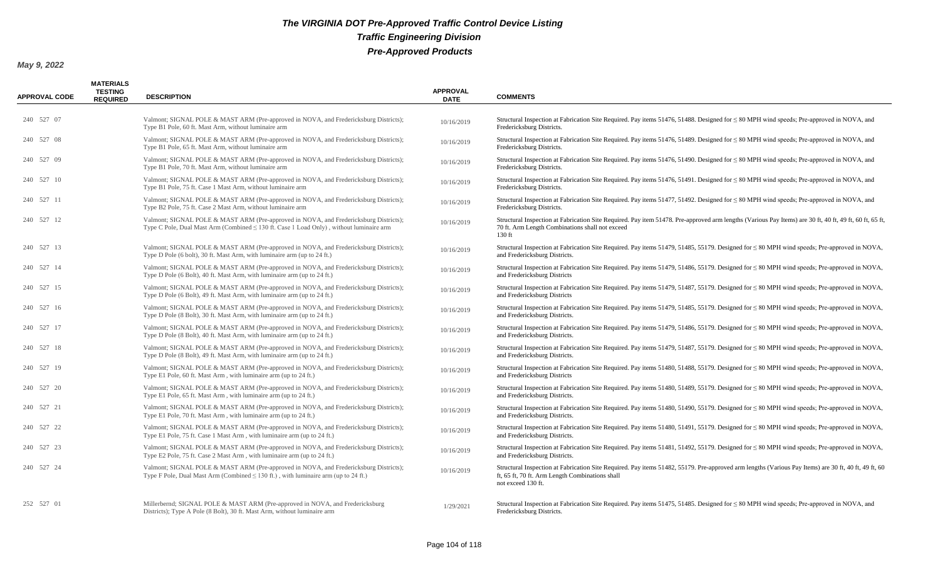| <b>APPROVAL CODE</b> | <b>MATERIALS</b><br><b>TESTING</b><br><b>REQUIRED</b> | <b>DESCRIPTION</b>                                                                                                                                                                    | <b>APPROVAL</b><br><b>DATE</b> | <b>COMMENTS</b>                                                                                                                                                                                                               |
|----------------------|-------------------------------------------------------|---------------------------------------------------------------------------------------------------------------------------------------------------------------------------------------|--------------------------------|-------------------------------------------------------------------------------------------------------------------------------------------------------------------------------------------------------------------------------|
| 240 527 07           |                                                       | Valmont; SIGNAL POLE & MAST ARM (Pre-approved in NOVA, and Fredericksburg Districts);<br>Type B1 Pole, 60 ft. Mast Arm, without luminaire arm                                         | 10/16/2019                     | Structural Inspection at Fabrication Site Required. Pay items 51476, 51488. Designed for $\leq 80$ MPH wind speeds; Pre-approved in NOVA, and<br>Fredericksburg Districts.                                                    |
| 240 527 08           |                                                       | Valmont; SIGNAL POLE & MAST ARM (Pre-approved in NOVA, and Fredericksburg Districts);<br>Type B1 Pole, 65 ft. Mast Arm, without luminaire arm                                         | 10/16/2019                     | Structural Inspection at Fabrication Site Required. Pay items 51476, 51489. Designed for $\leq 80$ MPH wind speeds; Pre-approved in NOVA, and<br>Fredericksburg Districts.                                                    |
| 240 527 09           |                                                       | Valmont; SIGNAL POLE & MAST ARM (Pre-approved in NOVA, and Fredericksburg Districts);<br>Type B1 Pole, 70 ft. Mast Arm, without luminaire arm                                         | 10/16/2019                     | Structural Inspection at Fabrication Site Required. Pay items 51476, 51490. Designed for $\leq 80$ MPH wind speeds; Pre-approved in NOVA, and<br>Fredericksburg Districts.                                                    |
| 240 527 10           |                                                       | Valmont; SIGNAL POLE & MAST ARM (Pre-approved in NOVA, and Fredericksburg Districts);<br>Type B1 Pole, 75 ft. Case 1 Mast Arm, without luminaire arm                                  | 10/16/2019                     | Structural Inspection at Fabrication Site Required. Pay items 51476, 51491. Designed for $\leq 80$ MPH wind speeds; Pre-approved in NOVA, and<br>Fredericksburg Districts.                                                    |
| 240 527 11           |                                                       | Valmont; SIGNAL POLE & MAST ARM (Pre-approved in NOVA, and Fredericksburg Districts);<br>Type B2 Pole, 75 ft. Case 2 Mast Arm, without luminaire arm                                  | 10/16/2019                     | Structural Inspection at Fabrication Site Required. Pay items 51477, 51492. Designed for $\leq 80$ MPH wind speeds; Pre-approved in NOVA, and<br>Fredericksburg Districts.                                                    |
| 240 527 12           |                                                       | Valmont; SIGNAL POLE & MAST ARM (Pre-approved in NOVA, and Fredericksburg Districts);<br>Type C Pole, Dual Mast Arm (Combined $\leq 130$ ft. Case 1 Load Only), without luminaire arm | 10/16/2019                     | Structural Inspection at Fabrication Site Required. Pay item 51478. Pre-approved arm lengths (Various Pay Items) are 30 ft, 40 ft, 49 ft, 60 ft, 65 ft,<br>70 ft. Arm Length Combinations shall not exceed<br>130 ft          |
| 240 527 13           |                                                       | Valmont; SIGNAL POLE & MAST ARM (Pre-approved in NOVA, and Fredericksburg Districts);<br>Type D Pole (6 bolt), 30 ft. Mast Arm, with luminaire arm (up to 24 ft.)                     | 10/16/2019                     | Structural Inspection at Fabrication Site Required. Pay items 51479, 51485, 55179. Designed for $\leq 80$ MPH wind speeds; Pre-approved in NOVA,<br>and Fredericksburg Districts.                                             |
| 240 527 14           |                                                       | Valmont; SIGNAL POLE & MAST ARM (Pre-approved in NOVA, and Fredericksburg Districts);<br>Type D Pole (6 Bolt), 40 ft. Mast Arm, with luminaire arm (up to 24 ft.)                     | 10/16/2019                     | Structural Inspection at Fabrication Site Required. Pay items 51479, 51486, 55179. Designed for $\leq 80$ MPH wind speeds; Pre-approved in NOVA,<br>and Fredericksburg Districts                                              |
| 240 527 15           |                                                       | Valmont; SIGNAL POLE & MAST ARM (Pre-approved in NOVA, and Fredericksburg Districts);<br>Type D Pole (6 Bolt), 49 ft. Mast Arm, with luminaire arm (up to 24 ft.)                     | 10/16/2019                     | Structural Inspection at Fabrication Site Required. Pay items 51479, 51487, 55179. Designed for $\leq 80$ MPH wind speeds; Pre-approved in NOVA,<br>and Fredericksburg Districts                                              |
| 240 527 16           |                                                       | Valmont; SIGNAL POLE & MAST ARM (Pre-approved in NOVA, and Fredericksburg Districts);<br>Type D Pole (8 Bolt), 30 ft. Mast Arm, with luminaire arm (up to 24 ft.)                     | 10/16/2019                     | Structural Inspection at Fabrication Site Required. Pay items 51479, 51485, 55179. Designed for $\leq 80$ MPH wind speeds; Pre-approved in NOVA,<br>and Fredericksburg Districts.                                             |
| 240 527 17           |                                                       | Valmont; SIGNAL POLE & MAST ARM (Pre-approved in NOVA, and Fredericksburg Districts);<br>Type D Pole (8 Bolt), 40 ft. Mast Arm, with luminaire arm (up to 24 ft.)                     | 10/16/2019                     | Structural Inspection at Fabrication Site Required. Pay items 51479, 51486, 55179. Designed for $\leq 80$ MPH wind speeds; Pre-approved in NOVA,<br>and Fredericksburg Districts.                                             |
| 240 527 18           |                                                       | Valmont; SIGNAL POLE & MAST ARM (Pre-approved in NOVA, and Fredericksburg Districts);<br>Type D Pole (8 Bolt), 49 ft. Mast Arm, with luminaire arm (up to 24 ft.)                     | 10/16/2019                     | Structural Inspection at Fabrication Site Required. Pay items 51479, 51487, 55179. Designed for $\leq 80$ MPH wind speeds; Pre-approved in NOVA,<br>and Fredericksburg Districts.                                             |
| 240 527 19           |                                                       | Valmont; SIGNAL POLE & MAST ARM (Pre-approved in NOVA, and Fredericksburg Districts);<br>Type E1 Pole, 60 ft. Mast Arm, with luminaire arm (up to 24 ft.)                             | 10/16/2019                     | Structural Inspection at Fabrication Site Required. Pay items 51480, 51488, 55179. Designed for $\leq 80$ MPH wind speeds; Pre-approved in NOVA,<br>and Fredericksburg Districts                                              |
| 240 527 20           |                                                       | Valmont; SIGNAL POLE & MAST ARM (Pre-approved in NOVA, and Fredericksburg Districts);<br>Type E1 Pole, 65 ft. Mast Arm, with luminaire arm (up to 24 ft.)                             | 10/16/2019                     | Structural Inspection at Fabrication Site Required. Pay items 51480, 51489, 55179. Designed for $\leq 80$ MPH wind speeds; Pre-approved in NOVA,<br>and Fredericksburg Districts.                                             |
| 240 527 21           |                                                       | Valmont; SIGNAL POLE & MAST ARM (Pre-approved in NOVA, and Fredericksburg Districts);<br>Type E1 Pole, 70 ft. Mast Arm, with luminaire arm (up to 24 ft.)                             | 10/16/2019                     | Structural Inspection at Fabrication Site Required. Pay items 51480, 51490, 55179. Designed for $\leq 80$ MPH wind speeds; Pre-approved in NOVA,<br>and Fredericksburg Districts.                                             |
| 240 527 22           |                                                       | Valmont; SIGNAL POLE & MAST ARM (Pre-approved in NOVA, and Fredericksburg Districts);<br>Type E1 Pole, 75 ft. Case 1 Mast Arm, with luminaire arm (up to 24 ft.)                      | 10/16/2019                     | Structural Inspection at Fabrication Site Required. Pay items 51480, 51491, 55179. Designed for $\leq 80$ MPH wind speeds; Pre-approved in NOVA,<br>and Fredericksburg Districts.                                             |
| 240 527 23           |                                                       | Valmont; SIGNAL POLE & MAST ARM (Pre-approved in NOVA, and Fredericksburg Districts);<br>Type E2 Pole, 75 ft. Case 2 Mast Arm, with luminaire arm (up to 24 ft.)                      | 10/16/2019                     | Structural Inspection at Fabrication Site Required. Pay items 51481, 51492, 55179. Designed for $\leq 80$ MPH wind speeds; Pre-approved in NOVA,<br>and Fredericksburg Districts.                                             |
| 240 527 24           |                                                       | Valmont; SIGNAL POLE & MAST ARM (Pre-approved in NOVA, and Fredericksburg Districts);<br>Type F Pole, Dual Mast Arm (Combined $\leq$ 130 ft.), with luminaire arm (up to 24 ft.)      | 10/16/2019                     | Structural Inspection at Fabrication Site Required. Pay items 51482, 55179. Pre-approved arm lengths (Various Pay Items) are 30 ft, 40 ft, 49 ft, 60<br>ft, 65 ft, 70 ft. Arm Length Combinations shall<br>not exceed 130 ft. |
| 252 527 01           |                                                       | Millerbernd; SIGNAL POLE & MAST ARM (Pre-approved in NOVA, and Fredericksburg<br>Districts); Type A Pole (8 Bolt), 30 ft. Mast Arm, without luminaire arm                             | 1/29/2021                      | Structural Inspection at Fabrication Site Required. Pay items 51475, 51485. Designed for $\leq 80$ MPH wind speeds; Pre-approved in NOVA, and<br>Fredericksburg Districts.                                                    |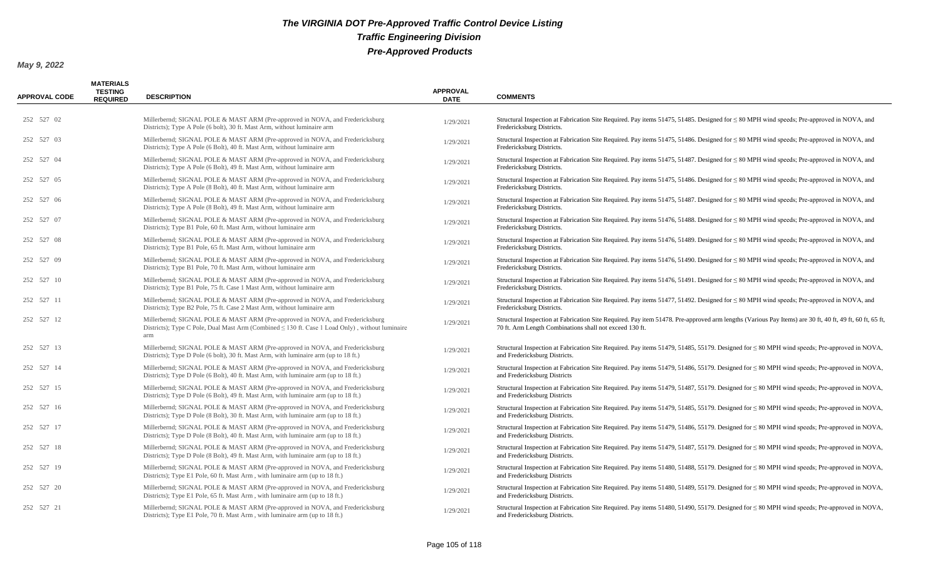| <b>APPROVAL CODE</b> | <b>MATERIALS</b><br><b>TESTING</b><br><b>REQUIRED</b> | <b>DESCRIPTION</b>                                                                                                                                                                           | <b>APPROVAL</b><br><b>DATE</b> | <b>COMMENTS</b>                                                                                                                                                                                                    |
|----------------------|-------------------------------------------------------|----------------------------------------------------------------------------------------------------------------------------------------------------------------------------------------------|--------------------------------|--------------------------------------------------------------------------------------------------------------------------------------------------------------------------------------------------------------------|
| 252 527 02           |                                                       | Millerbernd; SIGNAL POLE & MAST ARM (Pre-approved in NOVA, and Fredericksburg<br>Districts); Type A Pole (6 bolt), 30 ft. Mast Arm, without luminaire arm                                    | 1/29/2021                      | Structural Inspection at Fabrication Site Required. Pay items 51475, 51485. Designed for $\leq 80$ MPH wind speeds; Pre-approved in NOVA, and<br>Fredericksburg Districts.                                         |
| 252 527 03           |                                                       | Millerbernd; SIGNAL POLE & MAST ARM (Pre-approved in NOVA, and Fredericksburg<br>Districts); Type A Pole (6 Bolt), 40 ft. Mast Arm, without luminaire arm                                    | 1/29/2021                      | Structural Inspection at Fabrication Site Required. Pay items 51475, 51486. Designed for $\leq 80$ MPH wind speeds; Pre-approved in NOVA, and<br>Fredericksburg Districts.                                         |
| 252 527 04           |                                                       | Millerbernd; SIGNAL POLE & MAST ARM (Pre-approved in NOVA, and Fredericksburg<br>Districts); Type A Pole (6 Bolt), 49 ft. Mast Arm, without luminaire arm                                    | 1/29/2021                      | Structural Inspection at Fabrication Site Required. Pay items 51475, 51487. Designed for $\leq 80$ MPH wind speeds; Pre-approved in NOVA, and<br>Fredericksburg Districts.                                         |
| 252 527 05           |                                                       | Millerbernd; SIGNAL POLE & MAST ARM (Pre-approved in NOVA, and Fredericksburg<br>Districts); Type A Pole (8 Bolt), 40 ft. Mast Arm, without luminaire arm                                    | 1/29/2021                      | Structural Inspection at Fabrication Site Required. Pay items 51475, 51486. Designed for $\leq 80$ MPH wind speeds; Pre-approved in NOVA, and<br>Fredericksburg Districts.                                         |
| 252 527 06           |                                                       | Millerbernd; SIGNAL POLE & MAST ARM (Pre-approved in NOVA, and Fredericksburg<br>Districts); Type A Pole (8 Bolt), 49 ft. Mast Arm, without luminaire arm                                    | 1/29/2021                      | Structural Inspection at Fabrication Site Required. Pay items 51475, 51487. Designed for $\leq 80$ MPH wind speeds; Pre-approved in NOVA, and<br>Fredericksburg Districts.                                         |
| 252 527 07           |                                                       | Millerbernd; SIGNAL POLE & MAST ARM (Pre-approved in NOVA, and Fredericksburg<br>Districts); Type B1 Pole, 60 ft. Mast Arm, without luminaire arm                                            | 1/29/2021                      | Structural Inspection at Fabrication Site Required. Pay items 51476, 51488. Designed for $\leq 80$ MPH wind speeds; Pre-approved in NOVA, and<br>Fredericksburg Districts.                                         |
| 252 527 08           |                                                       | Millerbernd; SIGNAL POLE & MAST ARM (Pre-approved in NOVA, and Fredericksburg<br>Districts); Type B1 Pole, 65 ft. Mast Arm, without luminaire arm                                            | 1/29/2021                      | Structural Inspection at Fabrication Site Required. Pay items 51476, 51489. Designed for $\leq 80$ MPH wind speeds; Pre-approved in NOVA, and<br>Fredericksburg Districts.                                         |
| 252 527 09           |                                                       | Millerbernd; SIGNAL POLE & MAST ARM (Pre-approved in NOVA, and Fredericksburg<br>Districts); Type B1 Pole, 70 ft. Mast Arm, without luminaire arm                                            | 1/29/2021                      | Structural Inspection at Fabrication Site Required. Pay items 51476, 51490. Designed for $\leq 80$ MPH wind speeds; Pre-approved in NOVA, and<br>Fredericksburg Districts.                                         |
| 252 527 10           |                                                       | Millerbernd; SIGNAL POLE & MAST ARM (Pre-approved in NOVA, and Fredericksburg<br>Districts); Type B1 Pole, 75 ft. Case 1 Mast Arm, without luminaire arm                                     | 1/29/2021                      | Structural Inspection at Fabrication Site Required. Pay items 51476, 51491. Designed for $\leq 80$ MPH wind speeds; Pre-approved in NOVA, and<br>Fredericksburg Districts.                                         |
| 252 527 11           |                                                       | Millerbernd; SIGNAL POLE & MAST ARM (Pre-approved in NOVA, and Fredericksburg<br>Districts); Type B2 Pole, 75 ft. Case 2 Mast Arm, without luminaire arm                                     | 1/29/2021                      | Structural Inspection at Fabrication Site Required. Pay items 51477, 51492. Designed for $\leq 80$ MPH wind speeds; Pre-approved in NOVA, and<br>Fredericksburg Districts.                                         |
| 252 527 12           |                                                       | Millerbernd; SIGNAL POLE & MAST ARM (Pre-approved in NOVA, and Fredericksburg<br>Districts); Type C Pole, Dual Mast Arm (Combined $\leq$ 130 ft. Case 1 Load Only), without luminaire<br>arm | 1/29/2021                      | Structural Inspection at Fabrication Site Required. Pay item 51478. Pre-approved arm lengths (Various Pay Items) are 30 ft, 40 ft, 49 ft, 60 ft, 65 ft,<br>70 ft. Arm Length Combinations shall not exceed 130 ft. |
| 252 527 13           |                                                       | Millerbernd; SIGNAL POLE & MAST ARM (Pre-approved in NOVA, and Fredericksburg<br>Districts); Type D Pole (6 bolt), 30 ft. Mast Arm, with luminaire arm (up to 18 ft.)                        | 1/29/2021                      | Structural Inspection at Fabrication Site Required. Pay items 51479, 51485, 55179. Designed for $\leq 80$ MPH wind speeds; Pre-approved in NOVA,<br>and Fredericksburg Districts.                                  |
| 252 527 14           |                                                       | Millerbernd; SIGNAL POLE & MAST ARM (Pre-approved in NOVA, and Fredericksburg<br>Districts); Type D Pole (6 Bolt), 40 ft. Mast Arm, with luminaire arm (up to 18 ft.)                        | 1/29/2021                      | Structural Inspection at Fabrication Site Required. Pay items 51479, 51486, 55179. Designed for $\leq 80$ MPH wind speeds; Pre-approved in NOVA,<br>and Fredericksburg Districts                                   |
| 252 527 15           |                                                       | Millerbernd; SIGNAL POLE & MAST ARM (Pre-approved in NOVA, and Fredericksburg<br>Districts); Type D Pole (6 Bolt), 49 ft. Mast Arm, with luminaire arm (up to 18 ft.)                        | 1/29/2021                      | Structural Inspection at Fabrication Site Required. Pay items 51479, 51487, 55179. Designed for $\leq 80$ MPH wind speeds; Pre-approved in NOVA,<br>and Fredericksburg Districts                                   |
| 252 527 16           |                                                       | Millerbernd; SIGNAL POLE & MAST ARM (Pre-approved in NOVA, and Fredericksburg<br>Districts); Type D Pole (8 Bolt), 30 ft. Mast Arm, with luminaire arm (up to 18 ft.)                        | 1/29/2021                      | Structural Inspection at Fabrication Site Required. Pay items 51479, 51485, 55179. Designed for $\leq 80$ MPH wind speeds; Pre-approved in NOVA,<br>and Fredericksburg Districts.                                  |
| 252 527 17           |                                                       | Millerbernd; SIGNAL POLE & MAST ARM (Pre-approved in NOVA, and Fredericksburg<br>Districts); Type D Pole (8 Bolt), 40 ft. Mast Arm, with luminaire arm (up to 18 ft.)                        | 1/29/2021                      | Structural Inspection at Fabrication Site Required. Pay items 51479, 51486, 55179. Designed for $\leq 80$ MPH wind speeds; Pre-approved in NOVA,<br>and Fredericksburg Districts.                                  |
| 252 527 18           |                                                       | Millerbernd; SIGNAL POLE & MAST ARM (Pre-approved in NOVA, and Fredericksburg<br>Districts); Type D Pole (8 Bolt), 49 ft. Mast Arm, with luminaire arm (up to 18 ft.)                        | 1/29/2021                      | Structural Inspection at Fabrication Site Required. Pay items 51479, 51487, 55179. Designed for $\leq 80$ MPH wind speeds; Pre-approved in NOVA,<br>and Fredericksburg Districts.                                  |
| 252 527 19           |                                                       | Millerbernd; SIGNAL POLE & MAST ARM (Pre-approved in NOVA, and Fredericksburg<br>Districts); Type E1 Pole, 60 ft. Mast Arm, with luminaire arm (up to 18 ft.)                                | 1/29/2021                      | Structural Inspection at Fabrication Site Required. Pay items 51480, 51488, 55179. Designed for $\leq 80$ MPH wind speeds; Pre-approved in NOVA,<br>and Fredericksburg Districts                                   |
| 252 527 20           |                                                       | Millerbernd; SIGNAL POLE & MAST ARM (Pre-approved in NOVA, and Fredericksburg<br>Districts); Type E1 Pole, 65 ft. Mast Arm, with luminaire arm (up to 18 ft.)                                | 1/29/2021                      | Structural Inspection at Fabrication Site Required. Pay items 51480, 51489, 55179. Designed for $\leq 80$ MPH wind speeds; Pre-approved in NOVA,<br>and Fredericksburg Districts.                                  |
| 252 527 21           |                                                       | Millerbernd; SIGNAL POLE & MAST ARM (Pre-approved in NOVA, and Fredericksburg<br>Districts); Type E1 Pole, 70 ft. Mast Arm, with luminaire arm (up to 18 ft.)                                | 1/29/2021                      | Structural Inspection at Fabrication Site Required. Pay items 51480, 51490, 55179. Designed for $\leq 80$ MPH wind speeds; Pre-approved in NOVA,<br>and Fredericksburg Districts.                                  |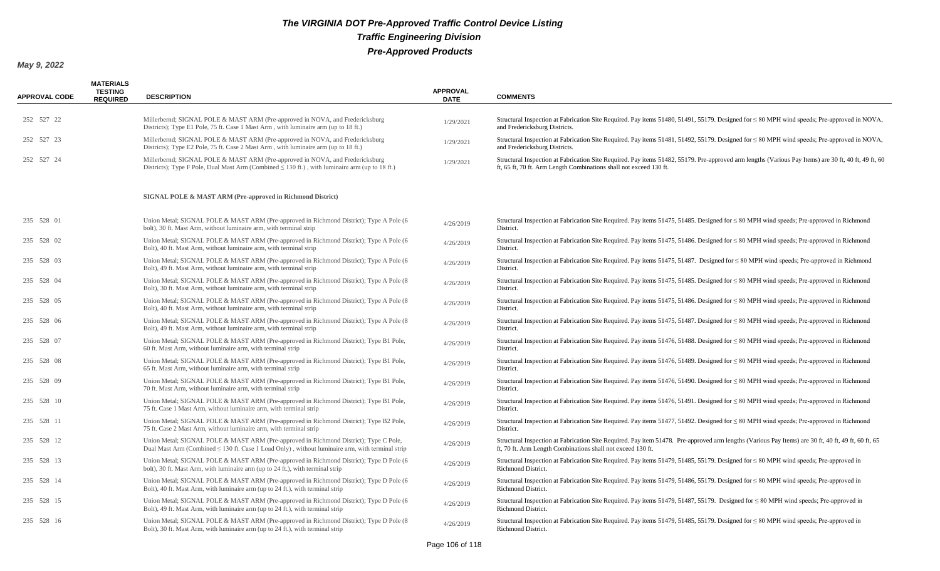| <b>APPROVAL CODE</b> | <b>MATERIALS</b><br><b>TESTING</b><br><b>REQUIRED</b> | <b>DESCRIPTION</b>                                                                                                                                                                            | <b>APPROVAL</b><br><b>DATE</b> | <b>COMMENTS</b>                                                                                                                                                                                                            |
|----------------------|-------------------------------------------------------|-----------------------------------------------------------------------------------------------------------------------------------------------------------------------------------------------|--------------------------------|----------------------------------------------------------------------------------------------------------------------------------------------------------------------------------------------------------------------------|
| 252 527 22           |                                                       | Millerbernd; SIGNAL POLE & MAST ARM (Pre-approved in NOVA, and Fredericksburg<br>Districts); Type E1 Pole, 75 ft. Case 1 Mast Arm, with luminaire arm (up to 18 ft.)                          | 1/29/2021                      | Structural Inspection at Fabrication Site Required. Pay items 51480, 51491, 55179. Designed for $\leq 80$ MPH wind speeds; Pre-approved in NOVA,<br>and Fredericksburg Districts.                                          |
| 252 527 23           |                                                       | Millerbernd; SIGNAL POLE & MAST ARM (Pre-approved in NOVA, and Fredericksburg<br>Districts); Type E2 Pole, 75 ft. Case 2 Mast Arm, with luminaire arm (up to 18 ft.)                          | 1/29/2021                      | Structural Inspection at Fabrication Site Required. Pay items 51481, 51492, 55179. Designed for $\leq 80$ MPH wind speeds; Pre-approved in NOVA,<br>and Fredericksburg Districts.                                          |
| 252 527 24           |                                                       | Millerbernd; SIGNAL POLE & MAST ARM (Pre-approved in NOVA, and Fredericksburg<br>Districts); Type F Pole, Dual Mast Arm (Combined $\leq 130$ ft.), with luminaire arm (up to 18 ft.)          | 1/29/2021                      | Structural Inspection at Fabrication Site Required. Pay items 51482, 55179. Pre-approved arm lengths (Various Pay Items) are 30 ft, 40 ft, 49 ft, 60<br>ft, 65 ft, 70 ft. Arm Length Combinations shall not exceed 130 ft. |
|                      |                                                       | SIGNAL POLE & MAST ARM (Pre-approved in Richmond District)                                                                                                                                    |                                |                                                                                                                                                                                                                            |
| 235 528 01           |                                                       | Union Metal; SIGNAL POLE & MAST ARM (Pre-approved in Richmond District); Type A Pole (6<br>bolt), 30 ft. Mast Arm, without luminaire arm, with terminal strip                                 | 4/26/2019                      | Structural Inspection at Fabrication Site Required. Pay items 51475, 51485. Designed for $\leq 80$ MPH wind speeds; Pre-approved in Richmond<br>District.                                                                  |
| 235 528 02           |                                                       | Union Metal; SIGNAL POLE & MAST ARM (Pre-approved in Richmond District); Type A Pole (6<br>Bolt), 40 ft. Mast Arm, without luminaire arm, with terminal strip                                 | 4/26/2019                      | Structural Inspection at Fabrication Site Required. Pay items $51475$ , $51486$ . Designed for $\leq 80$ MPH wind speeds; Pre-approved in Richmond<br>District.                                                            |
| 235 528 03           |                                                       | Union Metal; SIGNAL POLE & MAST ARM (Pre-approved in Richmond District); Type A Pole (6)<br>Bolt), 49 ft. Mast Arm, without luminaire arm, with terminal strip                                | 4/26/2019                      | Structural Inspection at Fabrication Site Required. Pay items 51475, 51487. Designed for $\leq 80$ MPH wind speeds; Pre-approved in Richmond<br>District.                                                                  |
| 235 528 04           |                                                       | Union Metal; SIGNAL POLE & MAST ARM (Pre-approved in Richmond District); Type A Pole (8)<br>Bolt), 30 ft. Mast Arm, without luminaire arm, with terminal strip                                | 4/26/2019                      | Structural Inspection at Fabrication Site Required. Pay items 51475, 51485. Designed for $\leq 80$ MPH wind speeds; Pre-approved in Richmond<br>District.                                                                  |
| 235 528 05           |                                                       | Union Metal; SIGNAL POLE & MAST ARM (Pre-approved in Richmond District); Type A Pole (8)<br>Bolt), 40 ft. Mast Arm, without luminaire arm, with terminal strip                                | 4/26/2019                      | Structural Inspection at Fabrication Site Required. Pay items 51475, 51486. Designed for $\leq 80$ MPH wind speeds; Pre-approved in Richmond<br>District.                                                                  |
| 235 528 06           |                                                       | Union Metal; SIGNAL POLE & MAST ARM (Pre-approved in Richmond District); Type A Pole (8)<br>Bolt), 49 ft. Mast Arm, without luminaire arm, with terminal strip                                | 4/26/2019                      | Structural Inspection at Fabrication Site Required. Pay items 51475, 51487. Designed for $\leq 80$ MPH wind speeds; Pre-approved in Richmond<br>District.                                                                  |
| 235 528 07           |                                                       | Union Metal; SIGNAL POLE & MAST ARM (Pre-approved in Richmond District); Type B1 Pole,<br>60 ft. Mast Arm, without luminaire arm, with terminal strip                                         | 4/26/2019                      | Structural Inspection at Fabrication Site Required. Pay items 51476, 51488. Designed for $\leq 80$ MPH wind speeds; Pre-approved in Richmond<br>District.                                                                  |
| 235 528 08           |                                                       | Union Metal; SIGNAL POLE & MAST ARM (Pre-approved in Richmond District); Type B1 Pole,<br>65 ft. Mast Arm, without luminaire arm, with terminal strip                                         | 4/26/2019                      | Structural Inspection at Fabrication Site Required. Pay items $51476$ , $51489$ . Designed for $\leq 80$ MPH wind speeds; Pre-approved in Richmond<br>District.                                                            |
| 235 528 09           |                                                       | Union Metal; SIGNAL POLE & MAST ARM (Pre-approved in Richmond District); Type B1 Pole,<br>70 ft. Mast Arm, without luminaire arm, with terminal strip                                         | 4/26/2019                      | Structural Inspection at Fabrication Site Required. Pay items $51476$ , $51490$ . Designed for $\leq 80$ MPH wind speeds; Pre-approved in Richmond<br>District.                                                            |
| 235 528 10           |                                                       | Union Metal; SIGNAL POLE & MAST ARM (Pre-approved in Richmond District); Type B1 Pole,<br>75 ft. Case 1 Mast Arm, without luminaire arm, with terminal strip                                  | 4/26/2019                      | Structural Inspection at Fabrication Site Required. Pay items 51476, 51491. Designed for $\leq 80$ MPH wind speeds; Pre-approved in Richmond<br>District.                                                                  |
| 235 528 11           |                                                       | Union Metal; SIGNAL POLE & MAST ARM (Pre-approved in Richmond District); Type B2 Pole,<br>75 ft. Case 2 Mast Arm, without luminaire arm, with terminal strip                                  | 4/26/2019                      | Structural Inspection at Fabrication Site Required. Pay items 51477, 51492. Designed for $\leq 80$ MPH wind speeds; Pre-approved in Richmond<br>District.                                                                  |
| 235 528 12           |                                                       | Union Metal; SIGNAL POLE & MAST ARM (Pre-approved in Richmond District); Type C Pole,<br>Dual Mast Arm (Combined $\leq$ 130 ft. Case 1 Load Only), without luminaire arm, with terminal strip | 4/26/2019                      | Structural Inspection at Fabrication Site Required. Pay item 51478. Pre-approved arm lengths (Various Pay Items) are 30 ft, 40 ft, 49 ft, 60 ft, 65<br>ft, 70 ft. Arm Length Combinations shall not exceed 130 ft.         |
| 235 528 13           |                                                       | Union Metal; SIGNAL POLE & MAST ARM (Pre-approved in Richmond District); Type D Pole (6)<br>bolt), 30 ft. Mast Arm, with luminaire arm (up to 24 ft.), with terminal strip                    | 4/26/2019                      | Structural Inspection at Fabrication Site Required. Pay items 51479, 51485, 55179. Designed for $\leq 80$ MPH wind speeds; Pre-approved in<br>Richmond District.                                                           |
| 235 528 14           |                                                       | Union Metal; SIGNAL POLE & MAST ARM (Pre-approved in Richmond District); Type D Pole (6<br>Bolt), 40 ft. Mast Arm, with luminaire arm (up to 24 ft.), with terminal strip                     | 4/26/2019                      | Structural Inspection at Fabrication Site Required. Pay items 51479, 51486, 55179. Designed for $\leq 80$ MPH wind speeds; Pre-approved in<br><b>Richmond District.</b>                                                    |
| 235 528 15           |                                                       | Union Metal; SIGNAL POLE & MAST ARM (Pre-approved in Richmond District); Type D Pole (6<br>Bolt), 49 ft. Mast Arm, with luminaire arm (up to 24 ft.), with terminal strip                     | 4/26/2019                      | Structural Inspection at Fabrication Site Required. Pay items 51479, 51487, 55179. Designed for $\leq 80$ MPH wind speeds; Pre-approved in<br><b>Richmond District.</b>                                                    |
| 235 528 16           |                                                       | Union Metal; SIGNAL POLE & MAST ARM (Pre-approved in Richmond District); Type D Pole (8)<br>Bolt), 30 ft. Mast Arm, with luminaire arm (up to 24 ft.), with terminal strip                    | 4/26/2019                      | Structural Inspection at Fabrication Site Required. Pay items 51479, 51485, 55179. Designed for ≤80 MPH wind speeds; Pre-approved in<br>Richmond District.                                                                 |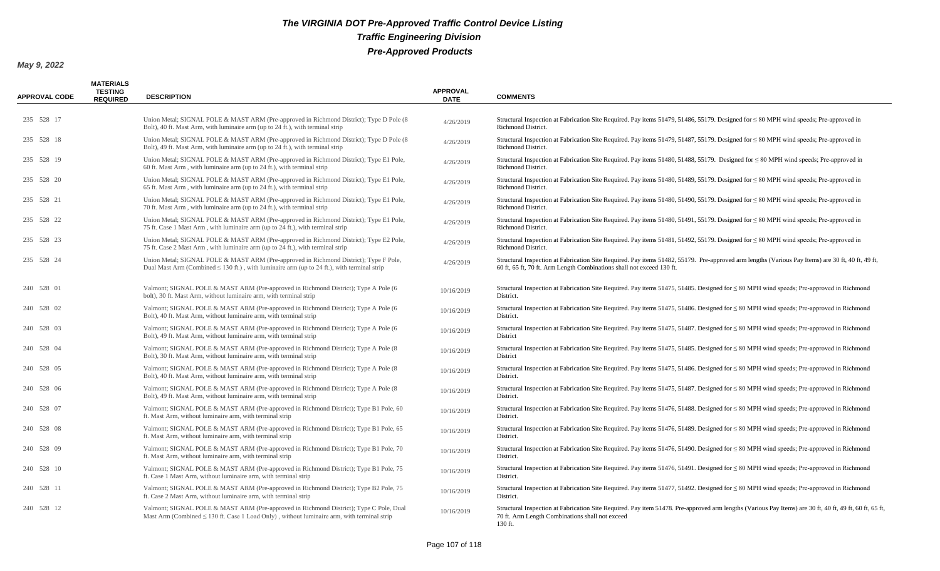| <b>APPROVAL CODE</b> | <b>MATERIALS</b><br><b>TESTING</b><br><b>REQUIRED</b> | <b>DESCRIPTION</b>                                                                                                                                                                        | <b>APPROVAL</b><br><b>DATE</b> | <b>COMMENTS</b>                                                                                                                                                                                                            |
|----------------------|-------------------------------------------------------|-------------------------------------------------------------------------------------------------------------------------------------------------------------------------------------------|--------------------------------|----------------------------------------------------------------------------------------------------------------------------------------------------------------------------------------------------------------------------|
| 235 528 17           |                                                       | Union Metal; SIGNAL POLE & MAST ARM (Pre-approved in Richmond District); Type D Pole (8)<br>Bolt), 40 ft. Mast Arm, with luminaire arm (up to 24 ft.), with terminal strip                | 4/26/2019                      | Structural Inspection at Fabrication Site Required. Pay items 51479, 51486, 55179. Designed for $\leq 80$ MPH wind speeds; Pre-approved in<br>Richmond District.                                                           |
| 235 528 18           |                                                       | Union Metal; SIGNAL POLE & MAST ARM (Pre-approved in Richmond District); Type D Pole (8)<br>Bolt), 49 ft. Mast Arm, with luminaire arm (up to 24 ft.), with terminal strip                | 4/26/2019                      | Structural Inspection at Fabrication Site Required. Pay items 51479, 51487, 55179. Designed for $\leq 80$ MPH wind speeds; Pre-approved in<br>Richmond District.                                                           |
| 235 528 19           |                                                       | Union Metal; SIGNAL POLE & MAST ARM (Pre-approved in Richmond District); Type E1 Pole,<br>60 ft. Mast Arm, with luminaire arm (up to 24 ft.), with terminal strip                         | 4/26/2019                      | Structural Inspection at Fabrication Site Required. Pay items 51480, 51488, 55179. Designed for $\leq 80$ MPH wind speeds; Pre-approved in<br>Richmond District.                                                           |
| 235 528 20           |                                                       | Union Metal; SIGNAL POLE & MAST ARM (Pre-approved in Richmond District); Type E1 Pole,<br>65 ft. Mast Arm, with luminaire arm (up to 24 ft.), with terminal strip                         | 4/26/2019                      | Structural Inspection at Fabrication Site Required. Pay items 51480, 51489, 55179. Designed for $\leq 80$ MPH wind speeds; Pre-approved in<br>Richmond District.                                                           |
| 235 528 21           |                                                       | Union Metal; SIGNAL POLE & MAST ARM (Pre-approved in Richmond District); Type E1 Pole,<br>70 ft. Mast Arm, with luminaire arm (up to 24 ft.), with terminal strip                         | 4/26/2019                      | Structural Inspection at Fabrication Site Required. Pay items 51480, 51490, 55179. Designed for $\leq 80$ MPH wind speeds; Pre-approved in<br>Richmond District.                                                           |
| 235 528 22           |                                                       | Union Metal; SIGNAL POLE & MAST ARM (Pre-approved in Richmond District); Type E1 Pole,<br>75 ft. Case 1 Mast Arm, with luminaire arm (up to 24 ft.), with terminal strip                  | 4/26/2019                      | Structural Inspection at Fabrication Site Required. Pay items 51480, 51491, 55179. Designed for $\leq 80$ MPH wind speeds; Pre-approved in<br>Richmond District.                                                           |
| 235 528 23           |                                                       | Union Metal; SIGNAL POLE & MAST ARM (Pre-approved in Richmond District); Type E2 Pole,<br>75 ft. Case 2 Mast Arm, with luminaire arm (up to 24 ft.), with terminal strip                  | 4/26/2019                      | Structural Inspection at Fabrication Site Required. Pay items 51481, 51492, 55179. Designed for $\leq 80$ MPH wind speeds; Pre-approved in<br>Richmond District.                                                           |
| 235 528 24           |                                                       | Union Metal; SIGNAL POLE & MAST ARM (Pre-approved in Richmond District); Type F Pole,<br>Dual Mast Arm (Combined $\leq 130$ ft.), with luminaire arm (up to 24 ft.), with terminal strip  | 4/26/2019                      | Structural Inspection at Fabrication Site Required. Pay items 51482, 55179. Pre-approved arm lengths (Various Pay Items) are 30 ft, 40 ft, 49 ft,<br>60 ft, 65 ft, 70 ft. Arm Length Combinations shall not exceed 130 ft. |
| 240 528 01           |                                                       | Valmont; SIGNAL POLE & MAST ARM (Pre-approved in Richmond District); Type A Pole (6<br>bolt), 30 ft. Mast Arm, without luminaire arm, with terminal strip                                 | 10/16/2019                     | Structural Inspection at Fabrication Site Required. Pay items 51475, 51485. Designed for $\leq 80$ MPH wind speeds; Pre-approved in Richmond<br>District.                                                                  |
| 240 528 02           |                                                       | Valmont; SIGNAL POLE & MAST ARM (Pre-approved in Richmond District); Type A Pole (6<br>Bolt), 40 ft. Mast Arm, without luminaire arm, with terminal strip                                 | 10/16/2019                     | Structural Inspection at Fabrication Site Required. Pay items 51475, 51486. Designed for $\leq 80$ MPH wind speeds; Pre-approved in Richmond<br>District.                                                                  |
| 240 528 03           |                                                       | Valmont; SIGNAL POLE & MAST ARM (Pre-approved in Richmond District); Type A Pole (6)<br>Bolt), 49 ft. Mast Arm, without luminaire arm, with terminal strip                                | 10/16/2019                     | Structural Inspection at Fabrication Site Required. Pay items 51475, 51487. Designed for $\leq 80$ MPH wind speeds; Pre-approved in Richmond<br>District                                                                   |
| 240 528 04           |                                                       | Valmont; SIGNAL POLE & MAST ARM (Pre-approved in Richmond District); Type A Pole (8)<br>Bolt), 30 ft. Mast Arm, without luminaire arm, with terminal strip                                | 10/16/2019                     | Structural Inspection at Fabrication Site Required. Pay items 51475, 51485. Designed for $\leq 80$ MPH wind speeds; Pre-approved in Richmond<br>District                                                                   |
| 240 528 05           |                                                       | Valmont; SIGNAL POLE & MAST ARM (Pre-approved in Richmond District); Type A Pole (8)<br>Bolt), 40 ft. Mast Arm, without luminaire arm, with terminal strip                                | 10/16/2019                     | Structural Inspection at Fabrication Site Required. Pay items 51475, 51486. Designed for $\leq 80$ MPH wind speeds; Pre-approved in Richmond<br>District.                                                                  |
| 240 528 06           |                                                       | Valmont; SIGNAL POLE & MAST ARM (Pre-approved in Richmond District); Type A Pole (8)<br>Bolt), 49 ft. Mast Arm, without luminaire arm, with terminal strip                                | 10/16/2019                     | Structural Inspection at Fabrication Site Required. Pay items $51475$ , $51487$ . Designed for $\leq 80$ MPH wind speeds; Pre-approved in Richmond<br>District.                                                            |
| 240 528 07           |                                                       | Valmont; SIGNAL POLE & MAST ARM (Pre-approved in Richmond District); Type B1 Pole, 60<br>ft. Mast Arm, without luminaire arm, with terminal strip                                         | 10/16/2019                     | Structural Inspection at Fabrication Site Required. Pay items 51476, 51488. Designed for $\leq 80$ MPH wind speeds; Pre-approved in Richmond<br>District.                                                                  |
| 240 528 08           |                                                       | Valmont; SIGNAL POLE & MAST ARM (Pre-approved in Richmond District); Type B1 Pole, 65<br>ft. Mast Arm, without luminaire arm, with terminal strip                                         | 10/16/2019                     | Structural Inspection at Fabrication Site Required. Pay items 51476, 51489. Designed for $\leq 80$ MPH wind speeds; Pre-approved in Richmond<br>District.                                                                  |
| 240 528 09           |                                                       | Valmont; SIGNAL POLE & MAST ARM (Pre-approved in Richmond District); Type B1 Pole, 70<br>ft. Mast Arm, without luminaire arm, with terminal strip                                         | 10/16/2019                     | Structural Inspection at Fabrication Site Required. Pay items 51476, 51490. Designed for $\leq 80$ MPH wind speeds; Pre-approved in Richmond<br>District.                                                                  |
| 240 528 10           |                                                       | Valmont; SIGNAL POLE & MAST ARM (Pre-approved in Richmond District); Type B1 Pole, 75<br>ft. Case 1 Mast Arm, without luminaire arm, with terminal strip                                  | 10/16/2019                     | Structural Inspection at Fabrication Site Required. Pay items 51476, 51491. Designed for $\leq 80$ MPH wind speeds; Pre-approved in Richmond<br>District.                                                                  |
| 240 528 11           |                                                       | Valmont; SIGNAL POLE & MAST ARM (Pre-approved in Richmond District); Type B2 Pole, 75<br>ft. Case 2 Mast Arm, without luminaire arm, with terminal strip                                  | 10/16/2019                     | Structural Inspection at Fabrication Site Required. Pay items 51477, 51492. Designed for $\leq 80$ MPH wind speeds; Pre-approved in Richmond<br>District.                                                                  |
| 240 528 12           |                                                       | Valmont; SIGNAL POLE & MAST ARM (Pre-approved in Richmond District); Type C Pole, Dual<br>Mast Arm (Combined $\leq$ 130 ft. Case 1 Load Only), without luminaire arm, with terminal strip | 10/16/2019                     | Structural Inspection at Fabrication Site Required. Pay item 51478. Pre-approved arm lengths (Various Pay Items) are 30 ft, 40 ft, 49 ft, 60 ft, 65 ft,<br>70 ft. Arm Length Combinations shall not exceed<br>130 ft.      |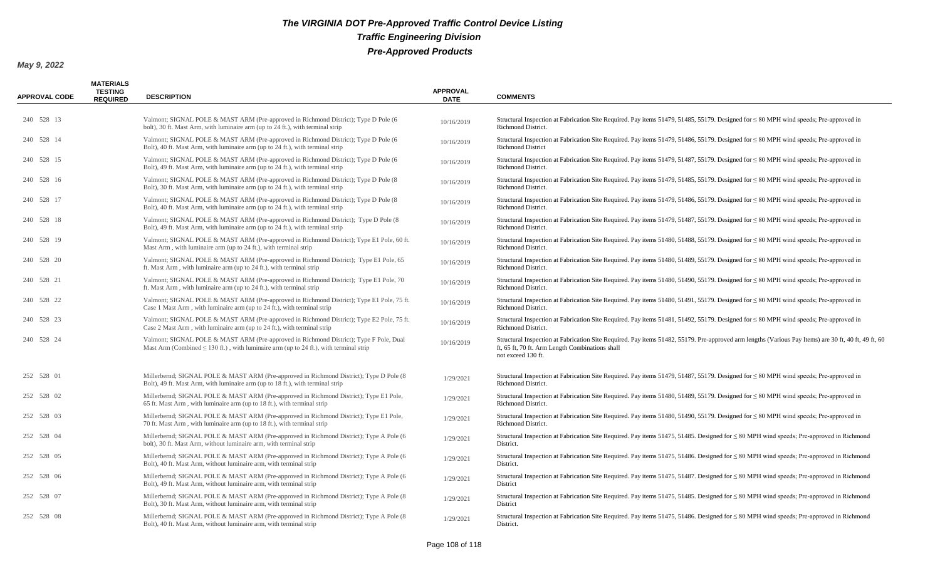| <b>APPROVAL CODE</b> | <b>MATERIALS</b><br><b>TESTING</b><br><b>REQUIRED</b> | <b>DESCRIPTION</b>                                                                                                                                                                   | <b>APPROVAL</b><br><b>DATE</b> | <b>COMMENTS</b>                                                                                                                                                                                                               |
|----------------------|-------------------------------------------------------|--------------------------------------------------------------------------------------------------------------------------------------------------------------------------------------|--------------------------------|-------------------------------------------------------------------------------------------------------------------------------------------------------------------------------------------------------------------------------|
| 240 528 13           |                                                       | Valmont; SIGNAL POLE & MAST ARM (Pre-approved in Richmond District); Type D Pole (6)<br>bolt), 30 ft. Mast Arm, with luminaire arm (up to 24 ft.), with terminal strip               | 10/16/2019                     | Structural Inspection at Fabrication Site Required. Pay items 51479, 51485, 55179. Designed for $\leq 80$ MPH wind speeds; Pre-approved in<br><b>Richmond District.</b>                                                       |
| 240 528 14           |                                                       | Valmont; SIGNAL POLE & MAST ARM (Pre-approved in Richmond District); Type D Pole (6)<br>Bolt), 40 ft. Mast Arm, with luminaire arm (up to 24 ft.), with terminal strip               | 10/16/2019                     | Structural Inspection at Fabrication Site Required. Pay items 51479, 51486, 55179. Designed for $\leq 80$ MPH wind speeds; Pre-approved in<br><b>Richmond District</b>                                                        |
| 240 528 15           |                                                       | Valmont; SIGNAL POLE & MAST ARM (Pre-approved in Richmond District); Type D Pole (6<br>Bolt), 49 ft. Mast Arm, with luminaire arm (up to 24 ft.), with terminal strip                | 10/16/2019                     | Structural Inspection at Fabrication Site Required. Pay items 51479, 51487, 55179. Designed for $\leq 80$ MPH wind speeds; Pre-approved in<br><b>Richmond District.</b>                                                       |
| 240 528 16           |                                                       | Valmont; SIGNAL POLE & MAST ARM (Pre-approved in Richmond District); Type D Pole (8)<br>Bolt), 30 ft. Mast Arm, with luminaire arm (up to 24 ft.), with terminal strip               | 10/16/2019                     | Structural Inspection at Fabrication Site Required. Pay items 51479, 51485, 55179. Designed for $\leq 80$ MPH wind speeds; Pre-approved in<br>Richmond District.                                                              |
| 240 528 17           |                                                       | Valmont; SIGNAL POLE & MAST ARM (Pre-approved in Richmond District); Type D Pole (8)<br>Bolt), 40 ft. Mast Arm, with luminaire arm (up to 24 ft.), with terminal strip               | 10/16/2019                     | Structural Inspection at Fabrication Site Required. Pay items 51479, 51486, 55179. Designed for $\leq 80$ MPH wind speeds; Pre-approved in<br>Richmond District.                                                              |
| 240 528 18           |                                                       | Valmont; SIGNAL POLE & MAST ARM (Pre-approved in Richmond District); Type D Pole (8)<br>Bolt), 49 ft. Mast Arm, with luminaire arm (up to 24 ft.), with terminal strip               | 10/16/2019                     | Structural Inspection at Fabrication Site Required. Pay items 51479, 51487, 55179. Designed for $\leq 80$ MPH wind speeds; Pre-approved in<br>Richmond District.                                                              |
| 240 528 19           |                                                       | Valmont; SIGNAL POLE & MAST ARM (Pre-approved in Richmond District); Type E1 Pole, 60 ft.<br>Mast Arm, with luminaire arm (up to 24 ft.), with terminal strip                        | 10/16/2019                     | Structural Inspection at Fabrication Site Required. Pay items 51480, 51488, 55179. Designed for $\leq 80$ MPH wind speeds; Pre-approved in<br><b>Richmond District.</b>                                                       |
| 240 528 20           |                                                       | Valmont; SIGNAL POLE & MAST ARM (Pre-approved in Richmond District); Type E1 Pole, 65<br>ft. Mast Arm, with luminaire arm (up to 24 ft.), with terminal strip                        | 10/16/2019                     | Structural Inspection at Fabrication Site Required. Pay items 51480, 51489, 55179. Designed for $\leq 80$ MPH wind speeds; Pre-approved in<br>Richmond District.                                                              |
| 240 528 21           |                                                       | Valmont; SIGNAL POLE & MAST ARM (Pre-approved in Richmond District); Type E1 Pole, 70<br>ft. Mast Arm, with luminaire arm (up to 24 ft.), with terminal strip                        | 10/16/2019                     | Structural Inspection at Fabrication Site Required. Pay items 51480, 51490, 55179. Designed for $\leq 80$ MPH wind speeds; Pre-approved in<br>Richmond District.                                                              |
| 240 528 22           |                                                       | Valmont; SIGNAL POLE & MAST ARM (Pre-approved in Richmond District); Type E1 Pole, 75 ft.<br>Case 1 Mast Arm, with luminaire arm (up to 24 ft.), with terminal strip                 | 10/16/2019                     | Structural Inspection at Fabrication Site Required. Pay items 51480, 51491, 55179. Designed for $\leq 80$ MPH wind speeds; Pre-approved in<br>Richmond District.                                                              |
| 240 528 23           |                                                       | Valmont; SIGNAL POLE & MAST ARM (Pre-approved in Richmond District); Type E2 Pole, 75 ft.<br>Case 2 Mast Arm, with luminaire arm (up to 24 ft.), with terminal strip                 | 10/16/2019                     | Structural Inspection at Fabrication Site Required. Pay items 51481, 51492, 55179. Designed for $\leq 80$ MPH wind speeds; Pre-approved in<br>Richmond District.                                                              |
| 240 528 24           |                                                       | Valmont; SIGNAL POLE & MAST ARM (Pre-approved in Richmond District); Type F Pole, Dual<br>Mast Arm (Combined $\leq 130$ ft.), with luminaire arm (up to 24 ft.), with terminal strip | 10/16/2019                     | Structural Inspection at Fabrication Site Required. Pay items 51482, 55179. Pre-approved arm lengths (Various Pay Items) are 30 ft, 40 ft, 49 ft, 60<br>ft, 65 ft, 70 ft. Arm Length Combinations shall<br>not exceed 130 ft. |
| 252 528 01           |                                                       | Millerbernd; SIGNAL POLE & MAST ARM (Pre-approved in Richmond District); Type D Pole (8)<br>Bolt), 49 ft. Mast Arm, with luminaire arm (up to 18 ft.), with terminal strip           | 1/29/2021                      | Structural Inspection at Fabrication Site Required. Pay items 51479, 51487, 55179. Designed for $\leq 80$ MPH wind speeds; Pre-approved in<br>Richmond District.                                                              |
| 252 528 02           |                                                       | Millerbernd; SIGNAL POLE & MAST ARM (Pre-approved in Richmond District); Type E1 Pole,<br>65 ft. Mast Arm, with luminaire arm (up to 18 ft.), with terminal strip                    | 1/29/2021                      | Structural Inspection at Fabrication Site Required. Pay items 51480, 51489, 55179. Designed for $\leq 80$ MPH wind speeds; Pre-approved in<br>Richmond District.                                                              |
| 252 528 03           |                                                       | Millerbernd; SIGNAL POLE & MAST ARM (Pre-approved in Richmond District); Type E1 Pole,<br>70 ft. Mast Arm, with luminaire arm (up to 18 ft.), with terminal strip                    | 1/29/2021                      | Structural Inspection at Fabrication Site Required. Pay items 51480, 51490, 55179. Designed for $\leq 80$ MPH wind speeds; Pre-approved in<br><b>Richmond District.</b>                                                       |
| 252 528 04           |                                                       | Millerbernd; SIGNAL POLE & MAST ARM (Pre-approved in Richmond District); Type A Pole (6<br>bolt), 30 ft. Mast Arm, without luminaire arm, with terminal strip                        | 1/29/2021                      | Structural Inspection at Fabrication Site Required. Pay items 51475, 51485. Designed for $\leq 80$ MPH wind speeds; Pre-approved in Richmond<br>District.                                                                     |
| 252 528 05           |                                                       | Millerbernd; SIGNAL POLE & MAST ARM (Pre-approved in Richmond District); Type A Pole (6<br>Bolt), 40 ft. Mast Arm, without luminaire arm, with terminal strip                        | 1/29/2021                      | Structural Inspection at Fabrication Site Required. Pay items 51475, 51486. Designed for $\leq 80$ MPH wind speeds; Pre-approved in Richmond<br>District.                                                                     |
| 252 528 06           |                                                       | Millerbernd; SIGNAL POLE & MAST ARM (Pre-approved in Richmond District); Type A Pole (6<br>Bolt), 49 ft. Mast Arm, without luminaire arm, with terminal strip                        | 1/29/2021                      | Structural Inspection at Fabrication Site Required. Pay items 51475, 51487. Designed for $\leq 80$ MPH wind speeds; Pre-approved in Richmond<br>District                                                                      |
| 252 528 07           |                                                       | Millerbernd; SIGNAL POLE & MAST ARM (Pre-approved in Richmond District); Type A Pole (8)<br>Bolt), 30 ft. Mast Arm, without luminaire arm, with terminal strip                       | 1/29/2021                      | Structural Inspection at Fabrication Site Required. Pay items 51475, 51485. Designed for $\leq 80$ MPH wind speeds; Pre-approved in Richmond<br>District                                                                      |
| 252 528 08           |                                                       | Millerbernd; SIGNAL POLE & MAST ARM (Pre-approved in Richmond District); Type A Pole (8)<br>Bolt), 40 ft. Mast Arm, without luminaire arm, with terminal strip                       | 1/29/2021                      | Structural Inspection at Fabrication Site Required. Pay items 51475, 51486. Designed for $\leq 80$ MPH wind speeds; Pre-approved in Richmond<br>District.                                                                     |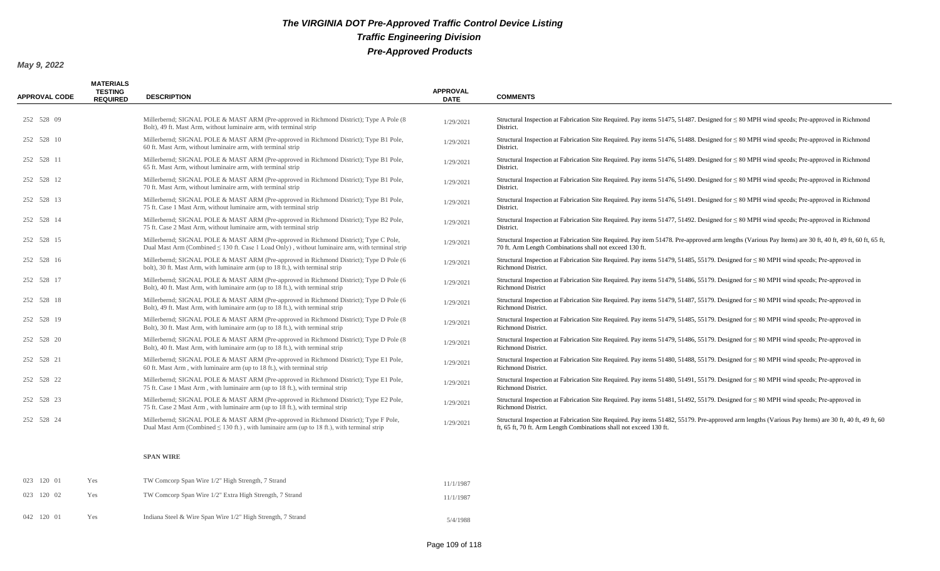#### *May 9, 2022*

| <b>APPROVAL CODE</b> | <b>MATERIALS</b><br><b>TESTING</b><br><b>REQUIRED</b> | <b>DESCRIPTION</b>                                                                                                                                                                            | <b>APPROVAL</b><br><b>DATE</b> | <b>COMMENTS</b>                                                                                                                                                                                                            |
|----------------------|-------------------------------------------------------|-----------------------------------------------------------------------------------------------------------------------------------------------------------------------------------------------|--------------------------------|----------------------------------------------------------------------------------------------------------------------------------------------------------------------------------------------------------------------------|
| 252 528 09           |                                                       | Millerbernd; SIGNAL POLE & MAST ARM (Pre-approved in Richmond District); Type A Pole (8)<br>Bolt), 49 ft. Mast Arm, without luminaire arm, with terminal strip                                | 1/29/2021                      | Structural Inspection at Fabrication Site Required. Pay items 51475, 51487. Designed for $\leq 80$ MPH wind speeds; Pre-approved in Richmond<br>District.                                                                  |
| 252 528 10           |                                                       | Millerbernd; SIGNAL POLE & MAST ARM (Pre-approved in Richmond District); Type B1 Pole,<br>60 ft. Mast Arm, without luminaire arm, with terminal strip                                         | 1/29/2021                      | Structural Inspection at Fabrication Site Required. Pay items 51476, 51488. Designed for $\leq 80$ MPH wind speeds; Pre-approved in Richmond<br>District.                                                                  |
| 252 528 11           |                                                       | Millerbernd; SIGNAL POLE & MAST ARM (Pre-approved in Richmond District); Type B1 Pole,<br>65 ft. Mast Arm, without luminaire arm, with terminal strip                                         | 1/29/2021                      | Structural Inspection at Fabrication Site Required. Pay items $51476$ , $51489$ . Designed for $\leq 80$ MPH wind speeds; Pre-approved in Richmond<br>District.                                                            |
| 252 528 12           |                                                       | Millerbernd; SIGNAL POLE & MAST ARM (Pre-approved in Richmond District); Type B1 Pole,<br>70 ft. Mast Arm, without luminaire arm, with terminal strip                                         | 1/29/2021                      | Structural Inspection at Fabrication Site Required. Pay items $51476$ , $51490$ . Designed for $\leq 80$ MPH wind speeds; Pre-approved in Richmond<br>District.                                                            |
| 252 528 13           |                                                       | Millerbernd; SIGNAL POLE & MAST ARM (Pre-approved in Richmond District); Type B1 Pole,<br>75 ft. Case 1 Mast Arm, without luminaire arm, with terminal strip                                  | 1/29/2021                      | Structural Inspection at Fabrication Site Required. Pay items $51476$ , $51491$ . Designed for $\leq 80$ MPH wind speeds; Pre-approved in Richmond<br>District.                                                            |
| 252 528 14           |                                                       | Millerbernd; SIGNAL POLE & MAST ARM (Pre-approved in Richmond District); Type B2 Pole,<br>75 ft. Case 2 Mast Arm, without luminaire arm, with terminal strip                                  | 1/29/2021                      | Structural Inspection at Fabrication Site Required. Pay items 51477, 51492. Designed for $\leq 80$ MPH wind speeds; Pre-approved in Richmond<br>District.                                                                  |
| 252 528 15           |                                                       | Millerbernd; SIGNAL POLE & MAST ARM (Pre-approved in Richmond District); Type C Pole,<br>Dual Mast Arm (Combined $\leq$ 130 ft. Case 1 Load Only), without luminaire arm, with terminal strip | 1/29/2021                      | Structural Inspection at Fabrication Site Required. Pay item 51478. Pre-approved arm lengths (Various Pay Items) are 30 ft, 40 ft, 49 ft, 60 ft, 65 ft,<br>70 ft. Arm Length Combinations shall not exceed 130 ft.         |
| 252 528 16           |                                                       | Millerbernd; SIGNAL POLE & MAST ARM (Pre-approved in Richmond District); Type D Pole (6<br>bolt), 30 ft. Mast Arm, with luminaire arm (up to 18 ft.), with terminal strip                     | 1/29/2021                      | Structural Inspection at Fabrication Site Required. Pay items 51479, 51485, 55179. Designed for $\leq 80$ MPH wind speeds; Pre-approved in<br>Richmond District.                                                           |
| 252 528 17           |                                                       | Millerbernd; SIGNAL POLE & MAST ARM (Pre-approved in Richmond District); Type D Pole (6<br>Bolt), 40 ft. Mast Arm, with luminaire arm (up to 18 ft.), with terminal strip                     | 1/29/2021                      | Structural Inspection at Fabrication Site Required. Pay items 51479, 51486, 55179. Designed for $\leq 80$ MPH wind speeds; Pre-approved in<br><b>Richmond District</b>                                                     |
| 252 528 18           |                                                       | Millerbernd; SIGNAL POLE & MAST ARM (Pre-approved in Richmond District); Type D Pole (6<br>Bolt), 49 ft. Mast Arm, with luminaire arm (up to 18 ft.), with terminal strip                     | 1/29/2021                      | Structural Inspection at Fabrication Site Required. Pay items 51479, 51487, 55179. Designed for $\leq 80$ MPH wind speeds; Pre-approved in<br>Richmond District.                                                           |
| 252 528 19           |                                                       | Millerbernd; SIGNAL POLE & MAST ARM (Pre-approved in Richmond District); Type D Pole (8)<br>Bolt), 30 ft. Mast Arm, with luminaire arm (up to 18 ft.), with terminal strip                    | 1/29/2021                      | Structural Inspection at Fabrication Site Required. Pay items 51479, 51485, 55179. Designed for $\leq 80$ MPH wind speeds; Pre-approved in<br>Richmond District.                                                           |
| 252 528 20           |                                                       | Millerbernd; SIGNAL POLE & MAST ARM (Pre-approved in Richmond District); Type D Pole (8)<br>Bolt), 40 ft. Mast Arm, with luminaire arm (up to 18 ft.), with terminal strip                    | 1/29/2021                      | Structural Inspection at Fabrication Site Required. Pay items 51479, 51486, 55179. Designed for $\leq 80$ MPH wind speeds; Pre-approved in<br>Richmond District.                                                           |
| 252 528 21           |                                                       | Millerbernd; SIGNAL POLE & MAST ARM (Pre-approved in Richmond District); Type E1 Pole,<br>60 ft. Mast Arm, with luminaire arm (up to 18 ft.), with terminal strip                             | 1/29/2021                      | Structural Inspection at Fabrication Site Required. Pay items 51480, 51488, 55179. Designed for $\leq 80$ MPH wind speeds; Pre-approved in<br>Richmond District.                                                           |
| 252 528 22           |                                                       | Millerbernd; SIGNAL POLE & MAST ARM (Pre-approved in Richmond District); Type E1 Pole,<br>75 ft. Case 1 Mast Arm, with luminaire arm (up to 18 ft.), with terminal strip                      | 1/29/2021                      | Structural Inspection at Fabrication Site Required. Pay items 51480, 51491, 55179. Designed for $\leq 80$ MPH wind speeds; Pre-approved in<br>Richmond District.                                                           |
| 252 528 23           |                                                       | Millerbernd; SIGNAL POLE & MAST ARM (Pre-approved in Richmond District); Type E2 Pole,<br>75 ft. Case 2 Mast Arm, with luminaire arm (up to 18 ft.), with terminal strip                      | 1/29/2021                      | Structural Inspection at Fabrication Site Required. Pay items $51481$ , $51492$ , $55179$ . Designed for $\leq 80$ MPH wind speeds; Pre-approved in<br>Richmond District.                                                  |
| 252 528 24           |                                                       | Millerbernd; SIGNAL POLE & MAST ARM (Pre-approved in Richmond District); Type F Pole,<br>Dual Mast Arm (Combined $\leq 130$ ft.), with luminaire arm (up to 18 ft.), with terminal strip      | 1/29/2021                      | Structural Inspection at Fabrication Site Required. Pay items 51482, 55179. Pre-approved arm lengths (Various Pay Items) are 30 ft, 40 ft, 49 ft, 60<br>ft, 65 ft, 70 ft. Arm Length Combinations shall not exceed 130 ft. |

#### **SPAN WIRE**

| 023 120 01 | Yes | TW Comcorp Span Wire 1/2" High Strength, 7 Strand           | 11/1/1987 |
|------------|-----|-------------------------------------------------------------|-----------|
| 023 120 02 | Yes | TW Comcorp Span Wire 1/2" Extra High Strength, 7 Strand     | 11/1/1987 |
| 042 120 01 | Yes | Indiana Steel & Wire Span Wire 1/2" High Strength, 7 Strand | 5/4/1988  |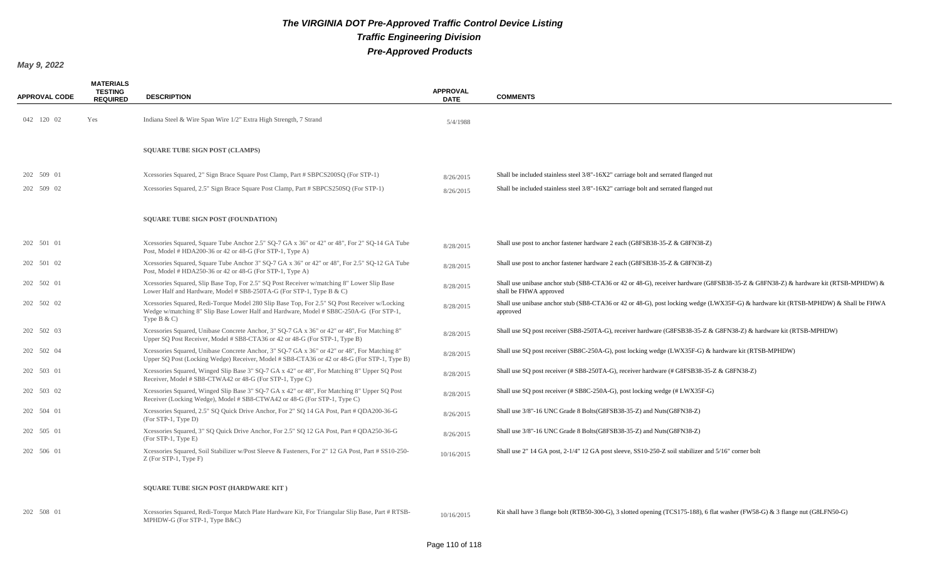| <b>APPROVAL CODE</b> | <b>MATERIALS</b><br><b>TESTING</b><br><b>REQUIRED</b> | <b>DESCRIPTION</b>                                                                                                                                                                                       | <b>APPROVAL</b><br><b>DATE</b> | <b>COMMENTS</b>                                                                                                                                              |
|----------------------|-------------------------------------------------------|----------------------------------------------------------------------------------------------------------------------------------------------------------------------------------------------------------|--------------------------------|--------------------------------------------------------------------------------------------------------------------------------------------------------------|
| 042 120 02           | Yes                                                   | Indiana Steel & Wire Span Wire 1/2" Extra High Strength, 7 Strand                                                                                                                                        | 5/4/1988                       |                                                                                                                                                              |
|                      |                                                       | <b>SQUARE TUBE SIGN POST (CLAMPS)</b>                                                                                                                                                                    |                                |                                                                                                                                                              |
| 202 509 01           |                                                       | Xcessories Squared, 2" Sign Brace Square Post Clamp, Part # SBPCS200SQ (For STP-1)                                                                                                                       | 8/26/2015                      | Shall be included stainless steel 3/8"-16X2" carriage bolt and serrated flanged nut                                                                          |
| 202 509 02           |                                                       | Xcessories Squared, 2.5" Sign Brace Square Post Clamp, Part # SBPCS250SQ (For STP-1)                                                                                                                     | 8/26/2015                      | Shall be included stainless steel 3/8"-16X2" carriage bolt and serrated flanged nut                                                                          |
|                      |                                                       | <b>SQUARE TUBE SIGN POST (FOUNDATION)</b>                                                                                                                                                                |                                |                                                                                                                                                              |
| 202 501 01           |                                                       | Xcessories Squared, Square Tube Anchor 2.5" SQ-7 GA x 36" or 42" or 48", For 2" SQ-14 GA Tube<br>Post, Model # HDA200-36 or 42 or 48-G (For STP-1, Type A)                                               | 8/28/2015                      | Shall use post to anchor fastener hardware 2 each (G8FSB38-35-Z & G8FN38-Z)                                                                                  |
| 202 501 02           |                                                       | Xcessories Squared, Square Tube Anchor 3" SQ-7 GA x 36" or 42" or 48", For 2.5" SQ-12 GA Tube<br>Post, Model # HDA250-36 or 42 or 48-G (For STP-1, Type A)                                               | 8/28/2015                      | Shall use post to anchor fastener hardware 2 each (G8FSB38-35-Z & G8FN38-Z)                                                                                  |
| 202 502 01           |                                                       | Xcessories Squared, Slip Base Top, For 2.5" SQ Post Receiver w/matching 8" Lower Slip Base<br>Lower Half and Hardware, Model # SB8-250TA-G (For STP-1, Type B & C)                                       | 8/28/2015                      | Shall use unibase anchor stub (SB8-CTA36 or 42 or 48-G), receiver hardware (G8FSB38-35-Z & G8FN38-Z) & hardware kit (RTSB-MPHDW) &<br>shall be FHWA approved |
| 202 502 02           |                                                       | Xcessories Squared, Redi-Torque Model 280 Slip Base Top, For 2.5" SQ Post Receiver w/Locking<br>Wedge w/matching 8" Slip Base Lower Half and Hardware, Model # SB8C-250A-G (For STP-1,<br>Type $B & C$ ) | 8/28/2015                      | Shall use unibase anchor stub (SB8-CTA36 or 42 or 48-G), post locking wedge (LWX35F-G) & hardware kit (RTSB-MPHDW) & Shall be FHWA<br>approved               |
| 202 502 03           |                                                       | Xcessories Squared, Unibase Concrete Anchor, 3" SQ-7 GA x 36" or 42" or 48", For Matching 8"<br>Upper SQ Post Receiver, Model # SB8-CTA36 or 42 or 48-G (For STP-1, Type B)                              | 8/28/2015                      | Shall use SQ post receiver (SB8-250TA-G), receiver hardware (G8FSB38-35-Z & G8FN38-Z) & hardware kit (RTSB-MPHDW)                                            |
| 202 502 04           |                                                       | Xcessories Squared, Unibase Concrete Anchor, 3" SQ-7 GA x 36" or 42" or 48", For Matching 8"<br>Upper SO Post (Locking Wedge) Receiver, Model # SB8-CTA36 or 42 or 48-G (For STP-1, Type B)              | 8/28/2015                      | Shall use SQ post receiver (SB8C-250A-G), post locking wedge (LWX35F-G) & hardware kit (RTSB-MPHDW)                                                          |
| 202 503 01           |                                                       | Xcessories Squared, Winged Slip Base 3" SQ-7 GA x 42" or 48", For Matching 8" Upper SQ Post<br>Receiver, Model # SB8-CTWA42 or 48-G (For STP-1, Type C)                                                  | 8/28/2015                      | Shall use SQ post receiver (# SB8-250TA-G), receiver hardware (# G8FSB38-35-Z & G8FN38-Z)                                                                    |
| 202 503 02           |                                                       | Xcessories Squared, Winged Slip Base 3" SQ-7 GA x 42" or 48", For Matching 8" Upper SQ Post<br>Receiver (Locking Wedge), Model # SB8-CTWA42 or 48-G (For STP-1, Type C)                                  | 8/28/2015                      | Shall use SQ post receiver (# SB8C-250A-G), post locking wedge (# LWX35F-G)                                                                                  |
| 202 504 01           |                                                       | Xcessories Squared, 2.5" SQ Quick Drive Anchor, For 2" SQ 14 GA Post, Part # QDA200-36-G<br>(For STP-1, Type D)                                                                                          | 8/26/2015                      | Shall use 3/8"-16 UNC Grade 8 Bolts (G8FSB38-35-Z) and Nuts (G8FN38-Z)                                                                                       |
| 202 505 01           |                                                       | Xcessories Squared, 3" SQ Quick Drive Anchor, For 2.5" SQ 12 GA Post, Part # QDA250-36-G<br>$(For STP-1, Type E)$                                                                                        | 8/26/2015                      | Shall use 3/8"-16 UNC Grade 8 Bolts (G8FSB38-35-Z) and Nuts (G8FN38-Z)                                                                                       |
| 202 506 01           |                                                       | Xcessories Squared, Soil Stabilizer w/Post Sleeve & Fasteners, For 2" 12 GA Post, Part # SS10-250-<br>$Z$ (For STP-1, Type F)                                                                            | 10/16/2015                     | Shall use 2" 14 GA post, 2-1/4" 12 GA post sleeve, SS10-250-Z soil stabilizer and 5/16" corner bolt                                                          |
|                      |                                                       | <b>SQUARE TUBE SIGN POST (HARDWARE KIT)</b>                                                                                                                                                              |                                |                                                                                                                                                              |
| 202 508 01           |                                                       | Xcessories Squared, Redi-Torque Match Plate Hardware Kit, For Triangular Slip Base, Part # RTSB-<br>MPHDW-G (For STP-1, Type B&C)                                                                        | 10/16/2015                     | Kit shall have 3 flange bolt (RTB50-300-G), 3 slotted opening (TCS175-188), 6 flat washer (FW58-G) & 3 flange nut (G8LFN50-G)                                |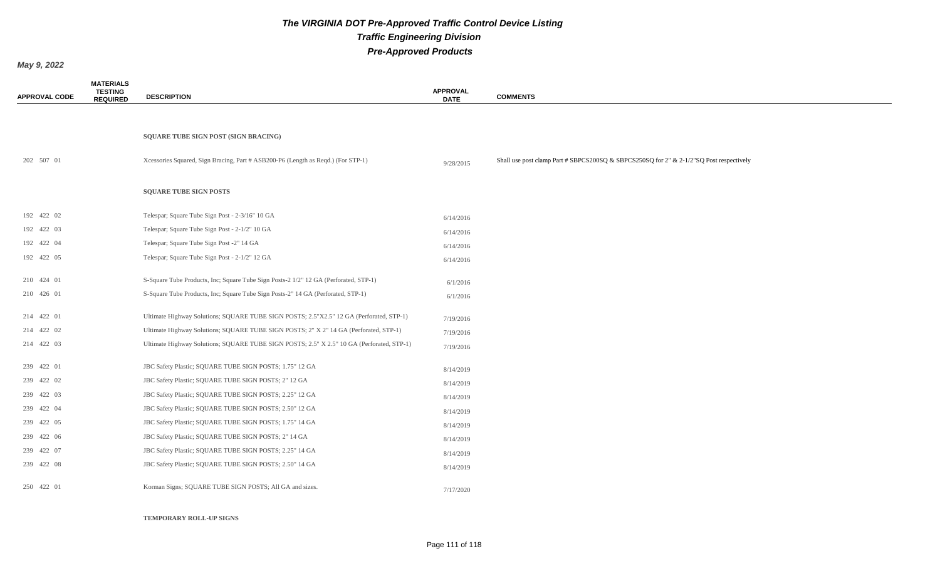*May 9, 2022*

| <b>APPROVAL CODE</b> | <b>MATERIALS</b><br><b>TESTING</b><br><b>REQUIRED</b> | <b>DESCRIPTION</b>                                                                        | <b>APPROVAL</b><br><b>DATE</b> | <b>COMMENTS</b>                                                                           |
|----------------------|-------------------------------------------------------|-------------------------------------------------------------------------------------------|--------------------------------|-------------------------------------------------------------------------------------------|
|                      |                                                       |                                                                                           |                                |                                                                                           |
|                      |                                                       | SQUARE TUBE SIGN POST (SIGN BRACING)                                                      |                                |                                                                                           |
| 202 507 01           |                                                       | Xcessories Squared, Sign Bracing, Part # ASB200-P6 (Length as Reqd.) (For STP-1)          | 9/28/2015                      | Shall use post clamp Part # SBPCS200SQ & SBPCS250SQ for $2"$ & 2-1/2"SQ Post respectively |
|                      |                                                       | <b>SQUARE TUBE SIGN POSTS</b>                                                             |                                |                                                                                           |
| 192 422 02           |                                                       | Telespar; Square Tube Sign Post - 2-3/16" 10 GA                                           | 6/14/2016                      |                                                                                           |
| 192 422 03           |                                                       | Telespar; Square Tube Sign Post - 2-1/2" 10 GA                                            | 6/14/2016                      |                                                                                           |
| 192 422 04           |                                                       | Telespar; Square Tube Sign Post -2" 14 GA                                                 | 6/14/2016                      |                                                                                           |
| 192 422 05           |                                                       | Telespar; Square Tube Sign Post - 2-1/2" 12 GA                                            | 6/14/2016                      |                                                                                           |
| 210 424 01           |                                                       | S-Square Tube Products, Inc; Square Tube Sign Posts-2 1/2" 12 GA (Perforated, STP-1)      | 6/1/2016                       |                                                                                           |
| 210 426 01           |                                                       | S-Square Tube Products, Inc; Square Tube Sign Posts-2" 14 GA (Perforated, STP-1)          | 6/1/2016                       |                                                                                           |
| 214 422 01           |                                                       | Ultimate Highway Solutions; SQUARE TUBE SIGN POSTS; 2.5"X2.5" 12 GA (Perforated, STP-1)   | 7/19/2016                      |                                                                                           |
| 214 422 02           |                                                       | Ultimate Highway Solutions; SQUARE TUBE SIGN POSTS; 2" X 2" 14 GA (Perforated, STP-1)     | 7/19/2016                      |                                                                                           |
| 214 422 03           |                                                       | Ultimate Highway Solutions; SQUARE TUBE SIGN POSTS; 2.5" X 2.5" 10 GA (Perforated, STP-1) | 7/19/2016                      |                                                                                           |
| 239 422 01           |                                                       | JBC Safety Plastic; SQUARE TUBE SIGN POSTS; 1.75" 12 GA                                   | 8/14/2019                      |                                                                                           |
| 239 422 02           |                                                       | JBC Safety Plastic; SQUARE TUBE SIGN POSTS; 2" 12 GA                                      | 8/14/2019                      |                                                                                           |
| 239 422 03           |                                                       | JBC Safety Plastic; SQUARE TUBE SIGN POSTS; 2.25" 12 GA                                   | 8/14/2019                      |                                                                                           |
| 239 422 04           |                                                       | JBC Safety Plastic; SQUARE TUBE SIGN POSTS; 2.50" 12 GA                                   | 8/14/2019                      |                                                                                           |
| 239 422 05           |                                                       | JBC Safety Plastic; SQUARE TUBE SIGN POSTS; 1.75" 14 GA                                   | 8/14/2019                      |                                                                                           |
| 239 422 06           |                                                       | JBC Safety Plastic; SQUARE TUBE SIGN POSTS; 2" 14 GA                                      | 8/14/2019                      |                                                                                           |
| 239 422 07           |                                                       | JBC Safety Plastic; SQUARE TUBE SIGN POSTS; 2.25" 14 GA                                   | 8/14/2019                      |                                                                                           |
| 239 422 08           |                                                       | JBC Safety Plastic; SQUARE TUBE SIGN POSTS; 2.50" 14 GA                                   | 8/14/2019                      |                                                                                           |
| 250 422 01           |                                                       | Korman Signs; SQUARE TUBE SIGN POSTS; All GA and sizes.                                   | 7/17/2020                      |                                                                                           |

#### **TEMPORARY ROLL-UP SIGNS**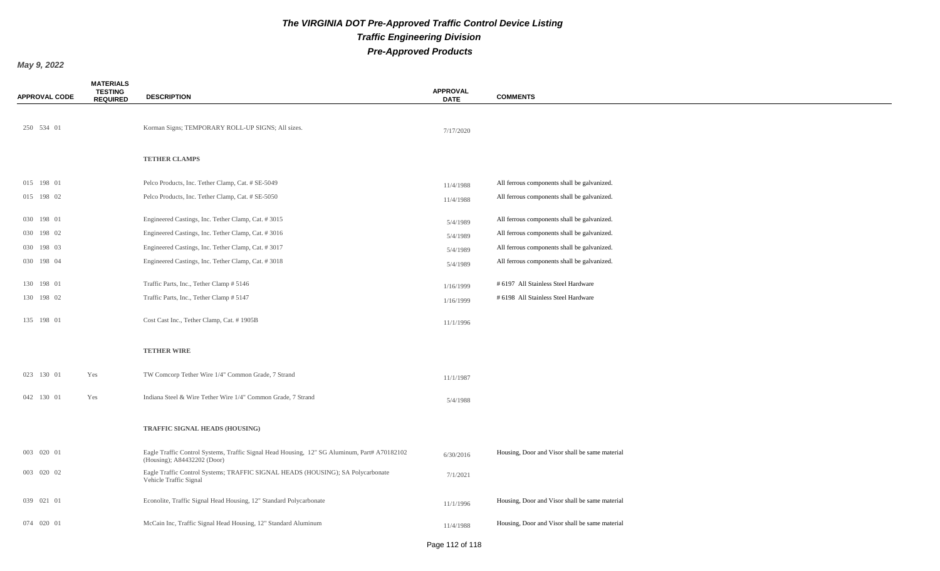| <b>APPROVAL CODE</b> | <b>MATERIALS</b><br><b>TESTING</b><br><b>REQUIRED</b> | <b>DESCRIPTION</b>                                                                                                          | <b>APPROVAL</b><br><b>DATE</b> | <b>COMMENTS</b>                                |
|----------------------|-------------------------------------------------------|-----------------------------------------------------------------------------------------------------------------------------|--------------------------------|------------------------------------------------|
| 250 534 01           |                                                       | Korman Signs; TEMPORARY ROLL-UP SIGNS; All sizes.                                                                           | 7/17/2020                      |                                                |
|                      |                                                       | <b>TETHER CLAMPS</b>                                                                                                        |                                |                                                |
| 015 198 01           |                                                       | Pelco Products, Inc. Tether Clamp, Cat. # SE-5049                                                                           | 11/4/1988                      | All ferrous components shall be galvanized.    |
| 015 198 02           |                                                       | Pelco Products, Inc. Tether Clamp, Cat. # SE-5050                                                                           | 11/4/1988                      | All ferrous components shall be galvanized.    |
| 030 198 01           |                                                       | Engineered Castings, Inc. Tether Clamp, Cat. #3015                                                                          | 5/4/1989                       | All ferrous components shall be galvanized.    |
| 030 198 02           |                                                       | Engineered Castings, Inc. Tether Clamp, Cat. #3016                                                                          | 5/4/1989                       | All ferrous components shall be galvanized.    |
| 030 198 03           |                                                       | Engineered Castings, Inc. Tether Clamp, Cat. #3017                                                                          | 5/4/1989                       | All ferrous components shall be galvanized.    |
| 030 198 04           |                                                       | Engineered Castings, Inc. Tether Clamp, Cat. #3018                                                                          | 5/4/1989                       | All ferrous components shall be galvanized.    |
| 130 198 01           |                                                       | Traffic Parts, Inc., Tether Clamp # 5146                                                                                    | 1/16/1999                      | # 6197 All Stainless Steel Hardware            |
| 130 198 02           |                                                       | Traffic Parts, Inc., Tether Clamp # 5147                                                                                    | 1/16/1999                      | # 6198 All Stainless Steel Hardware            |
| 135 198 01           |                                                       | Cost Cast Inc., Tether Clamp, Cat. #1905B                                                                                   | 11/1/1996                      |                                                |
|                      |                                                       | <b>TETHER WIRE</b>                                                                                                          |                                |                                                |
| 023 130 01           | Yes                                                   | TW Comcorp Tether Wire 1/4" Common Grade, 7 Strand                                                                          | 11/1/1987                      |                                                |
| 042 130 01           | Yes                                                   | Indiana Steel & Wire Tether Wire 1/4" Common Grade, 7 Strand                                                                | 5/4/1988                       |                                                |
|                      |                                                       | TRAFFIC SIGNAL HEADS (HOUSING)                                                                                              |                                |                                                |
| 003 020 01           |                                                       | Eagle Traffic Control Systems, Traffic Signal Head Housing, 12" SG Aluminum, Part# A70182102<br>(Housing); A84432202 (Door) | 6/30/2016                      | Housing, Door and Visor shall be same material |
| 003 020 02           |                                                       | Eagle Traffic Control Systems; TRAFFIC SIGNAL HEADS (HOUSING); SA Polycarbonate<br>Vehicle Traffic Signal                   | 7/1/2021                       |                                                |
| 039 021 01           |                                                       | Econolite, Traffic Signal Head Housing, 12" Standard Polycarbonate                                                          | 11/1/1996                      | Housing, Door and Visor shall be same material |
| 074 020 01           |                                                       | McCain Inc, Traffic Signal Head Housing, 12" Standard Aluminum                                                              | 11/4/1988                      | Housing, Door and Visor shall be same material |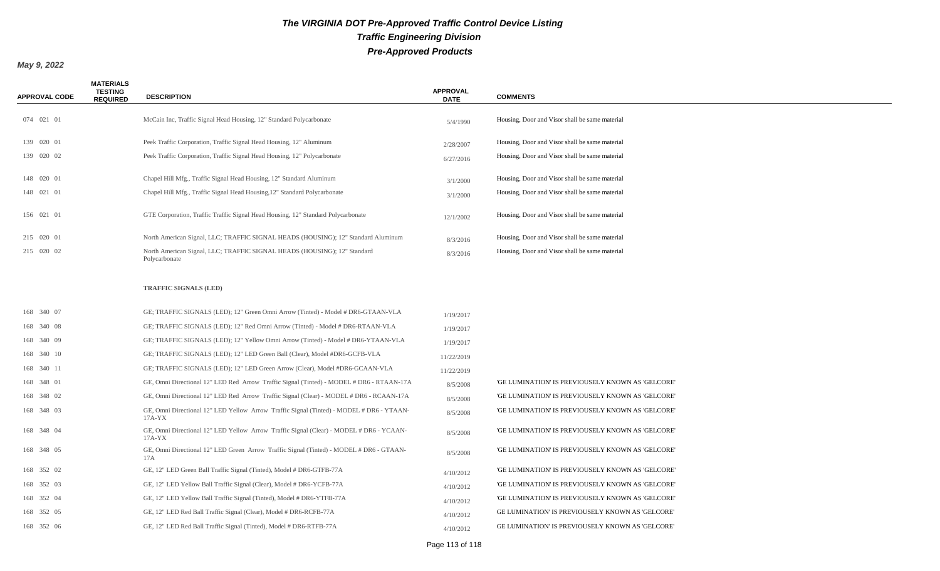| <b>APPROVAL CODE</b> | <b>MATERIALS</b><br><b>TESTING</b><br><b>REQUIRED</b> | <b>DESCRIPTION</b>                                                                                  | <b>APPROVAL</b><br><b>DATE</b> | <b>COMMENTS</b>                                   |
|----------------------|-------------------------------------------------------|-----------------------------------------------------------------------------------------------------|--------------------------------|---------------------------------------------------|
| 074 021 01           |                                                       | McCain Inc, Traffic Signal Head Housing, 12" Standard Polycarbonate                                 | 5/4/1990                       | Housing, Door and Visor shall be same material    |
| 139 020 01           |                                                       | Peek Traffic Corporation, Traffic Signal Head Housing, 12" Aluminum                                 | 2/28/2007                      | Housing, Door and Visor shall be same material    |
| 139 020 02           |                                                       | Peek Traffic Corporation, Traffic Signal Head Housing, 12" Polycarbonate                            | 6/27/2016                      | Housing, Door and Visor shall be same material    |
| 148 020 01           |                                                       | Chapel Hill Mfg., Traffic Signal Head Housing, 12" Standard Aluminum                                | 3/1/2000                       | Housing, Door and Visor shall be same material    |
| 148 021 01           |                                                       | Chapel Hill Mfg., Traffic Signal Head Housing, 12" Standard Polycarbonate                           | 3/1/2000                       | Housing, Door and Visor shall be same material    |
| 156 021 01           |                                                       | GTE Corporation, Traffic Traffic Signal Head Housing, 12" Standard Polycarbonate                    | 12/1/2002                      | Housing, Door and Visor shall be same material    |
| 215 020 01           |                                                       | North American Signal, LLC; TRAFFIC SIGNAL HEADS (HOUSING); 12" Standard Aluminum                   | 8/3/2016                       | Housing, Door and Visor shall be same material    |
| 215 020 02           |                                                       | North American Signal, LLC; TRAFFIC SIGNAL HEADS (HOUSING); 12" Standard<br>Polycarbonate           | 8/3/2016                       | Housing, Door and Visor shall be same material    |
|                      |                                                       | <b>TRAFFIC SIGNALS (LED)</b>                                                                        |                                |                                                   |
| 168 340 07           |                                                       | GE; TRAFFIC SIGNALS (LED); 12" Green Omni Arrow (Tinted) - Model # DR6-GTAAN-VLA                    | 1/19/2017                      |                                                   |
| 168 340 08           |                                                       | GE; TRAFFIC SIGNALS (LED); 12" Red Omni Arrow (Tinted) - Model # DR6-RTAAN-VLA                      | 1/19/2017                      |                                                   |
| 168 340 09           |                                                       | GE; TRAFFIC SIGNALS (LED); 12" Yellow Omni Arrow (Tinted) - Model # DR6-YTAAN-VLA                   | 1/19/2017                      |                                                   |
| 168 340 10           |                                                       | GE; TRAFFIC SIGNALS (LED); 12" LED Green Ball (Clear), Model #DR6-GCFB-VLA                          | 11/22/2019                     |                                                   |
| 168 340 11           |                                                       | GE; TRAFFIC SIGNALS (LED); 12" LED Green Arrow (Clear), Model #DR6-GCAAN-VLA                        | 11/22/2019                     |                                                   |
| 168 348 01           |                                                       | GE, Omni Directional 12" LED Red Arrow Traffic Signal (Tinted) - MODEL # DR6 - RTAAN-17A            | 8/5/2008                       | 'GE LUMINATION' IS PREVIOUSELY KNOWN AS 'GELCORE' |
| 168 348 02           |                                                       | GE, Omni Directional 12" LED Red Arrow Traffic Signal (Clear) - MODEL # DR6 - RCAAN-17A             | 8/5/2008                       | 'GE LUMINATION' IS PREVIOUSELY KNOWN AS 'GELCORE' |
| 168 348 03           |                                                       | GE, Omni Directional 12" LED Yellow Arrow Traffic Signal (Tinted) - MODEL # DR6 - YTAAN-<br>17A-YX  | 8/5/2008                       | 'GE LUMINATION' IS PREVIOUSELY KNOWN AS 'GELCORE' |
| 168 348 04           |                                                       | GE, Omni Directional 12" LED Yellow Arrow Traffic Signal (Clear) - MODEL # DR6 - YCAAN-<br>$17A-YX$ | 8/5/2008                       | 'GE LUMINATION' IS PREVIOUSELY KNOWN AS 'GELCORE' |
| 168 348 05           |                                                       | GE, Omni Directional 12" LED Green Arrow Traffic Signal (Tinted) - MODEL # DR6 - GTAAN-<br>17A      | 8/5/2008                       | 'GE LUMINATION' IS PREVIOUSELY KNOWN AS 'GELCORE' |
| 168 352 02           |                                                       | GE, 12" LED Green Ball Traffic Signal (Tinted), Model # DR6-GTFB-77A                                | 4/10/2012                      | 'GE LUMINATION' IS PREVIOUSELY KNOWN AS 'GELCORE' |
| 168 352 03           |                                                       | GE, 12" LED Yellow Ball Traffic Signal (Clear), Model # DR6-YCFB-77A                                | 4/10/2012                      | 'GE LUMINATION' IS PREVIOUSELY KNOWN AS 'GELCORE' |
| 168 352 04           |                                                       | GE, 12" LED Yellow Ball Traffic Signal (Tinted), Model # DR6-YTFB-77A                               | 4/10/2012                      | 'GE LUMINATION' IS PREVIOUSELY KNOWN AS 'GELCORE' |
| 168 352 05           |                                                       | GE, 12" LED Red Ball Traffic Signal (Clear), Model # DR6-RCFB-77A                                   | 4/10/2012                      | GE LUMINATION' IS PREVIOUSELY KNOWN AS 'GELCORE'  |
| 168 352 06           |                                                       | GE, 12" LED Red Ball Traffic Signal (Tinted), Model # DR6-RTFB-77A                                  | 4/10/2012                      | GE LUMINATION' IS PREVIOUSELY KNOWN AS 'GELCORE'  |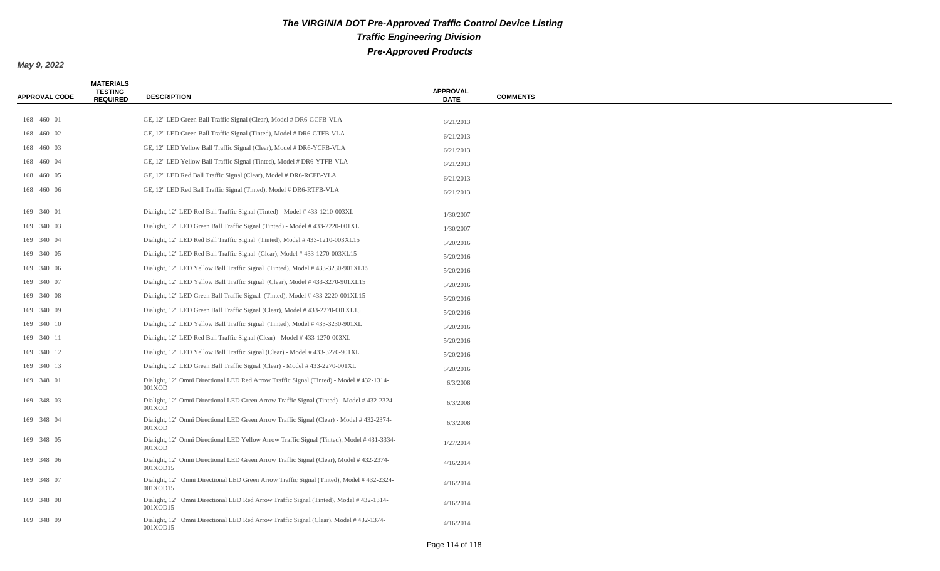| <b>APPROVAL CODE</b> | <b>MATERIALS</b><br><b>TESTING</b><br><b>REQUIRED</b> | <b>DESCRIPTION</b>                                                                                   | <b>APPROVAL</b><br><b>DATE</b> | <b>COMMENTS</b> |
|----------------------|-------------------------------------------------------|------------------------------------------------------------------------------------------------------|--------------------------------|-----------------|
|                      |                                                       |                                                                                                      |                                |                 |
| 168 460 01           |                                                       | GE, 12" LED Green Ball Traffic Signal (Clear), Model # DR6-GCFB-VLA                                  | 6/21/2013                      |                 |
| 168 460 02           |                                                       | GE, 12" LED Green Ball Traffic Signal (Tinted), Model # DR6-GTFB-VLA                                 | 6/21/2013                      |                 |
| 168 460 03           |                                                       | GE, 12" LED Yellow Ball Traffic Signal (Clear), Model # DR6-YCFB-VLA                                 | 6/21/2013                      |                 |
| 168 460 04           |                                                       | GE, 12" LED Yellow Ball Traffic Signal (Tinted), Model # DR6-YTFB-VLA                                | 6/21/2013                      |                 |
| 168 460 05           |                                                       | GE, 12" LED Red Ball Traffic Signal (Clear), Model # DR6-RCFB-VLA                                    | 6/21/2013                      |                 |
| 168 460 06           |                                                       | GE, 12" LED Red Ball Traffic Signal (Tinted), Model # DR6-RTFB-VLA                                   | 6/21/2013                      |                 |
| 169 340 01           |                                                       | Dialight, 12" LED Red Ball Traffic Signal (Tinted) - Model #433-1210-003XL                           | 1/30/2007                      |                 |
| 169 340 03           |                                                       | Dialight, 12" LED Green Ball Traffic Signal (Tinted) - Model # 433-2220-001XL                        | 1/30/2007                      |                 |
| 169 340 04           |                                                       | Dialight, 12" LED Red Ball Traffic Signal (Tinted), Model #433-1210-003XL15                          | 5/20/2016                      |                 |
| 169 340 05           |                                                       | Dialight, 12" LED Red Ball Traffic Signal (Clear), Model #433-1270-003XL15                           | 5/20/2016                      |                 |
| 169 340 06           |                                                       | Dialight, 12" LED Yellow Ball Traffic Signal (Tinted), Model #433-3230-901XL15                       | 5/20/2016                      |                 |
| 169 340 07           |                                                       | Dialight, 12" LED Yellow Ball Traffic Signal (Clear), Model #433-3270-901XL15                        | 5/20/2016                      |                 |
| 169 340 08           |                                                       | Dialight, 12" LED Green Ball Traffic Signal (Tinted), Model #433-2220-001XL15                        | 5/20/2016                      |                 |
| 169 340 09           |                                                       | Dialight, 12" LED Green Ball Traffic Signal (Clear), Model #433-2270-001XL15                         | 5/20/2016                      |                 |
| 169 340 10           |                                                       | Dialight, 12" LED Yellow Ball Traffic Signal (Tinted), Model #433-3230-901XL                         | 5/20/2016                      |                 |
| 169 340 11           |                                                       | Dialight, 12" LED Red Ball Traffic Signal (Clear) - Model #433-1270-003XL                            | 5/20/2016                      |                 |
| 169 340 12           |                                                       | Dialight, 12" LED Yellow Ball Traffic Signal (Clear) - Model #433-3270-901XL                         | 5/20/2016                      |                 |
| 169 340 13           |                                                       | Dialight, 12" LED Green Ball Traffic Signal (Clear) - Model #433-2270-001XL                          | 5/20/2016                      |                 |
| 169 348 01           |                                                       | Dialight, 12" Omni Directional LED Red Arrow Traffic Signal (Tinted) - Model #432-1314-<br>001XOD    | 6/3/2008                       |                 |
| 169 348 03           |                                                       | Dialight, 12" Omni Directional LED Green Arrow Traffic Signal (Tinted) - Model # 432-2324-<br>001XOD | 6/3/2008                       |                 |
| 169 348 04           |                                                       | Dialight, 12" Omni Directional LED Green Arrow Traffic Signal (Clear) - Model # 432-2374-<br>001XOD  | 6/3/2008                       |                 |
| 169 348 05           |                                                       | Dialight, 12" Omni Directional LED Yellow Arrow Traffic Signal (Tinted), Model #431-3334-<br>901XOD  | 1/27/2014                      |                 |
| 169 348 06           |                                                       | Dialight, 12" Omni Directional LED Green Arrow Traffic Signal (Clear), Model # 432-2374-<br>001XOD15 | 4/16/2014                      |                 |
| 169 348 07           |                                                       | Dialight, 12" Omni Directional LED Green Arrow Traffic Signal (Tinted), Model #432-2324-<br>001XOD15 | 4/16/2014                      |                 |
| 169 348 08           |                                                       | Dialight, 12" Omni Directional LED Red Arrow Traffic Signal (Tinted), Model #432-1314-<br>001XOD15   | 4/16/2014                      |                 |
| 169 348 09           |                                                       | Dialight, 12" Omni Directional LED Red Arrow Traffic Signal (Clear), Model #432-1374-<br>001XOD15    | 4/16/2014                      |                 |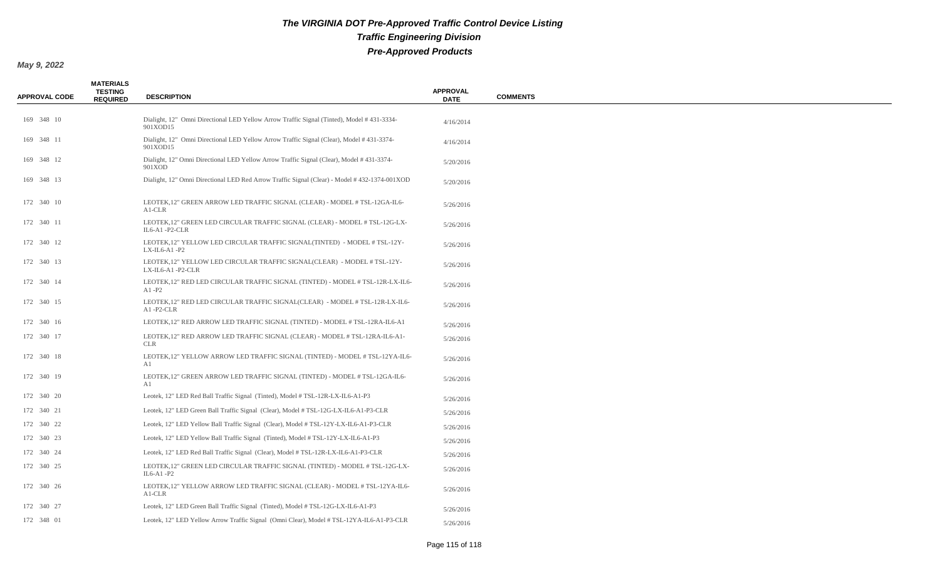| <b>APPROVAL CODE</b> | <b>MATERIALS</b><br><b>TESTING</b><br><b>REQUIRED</b> | <b>DESCRIPTION</b>                                                                                    | <b>APPROVAL</b><br><b>DATE</b> | <b>COMMENTS</b> |
|----------------------|-------------------------------------------------------|-------------------------------------------------------------------------------------------------------|--------------------------------|-----------------|
| 169 348 10           |                                                       | Dialight, 12" Omni Directional LED Yellow Arrow Traffic Signal (Tinted), Model #431-3334-<br>901XOD15 | 4/16/2014                      |                 |
| 169 348 11           |                                                       | Dialight, 12" Omni Directional LED Yellow Arrow Traffic Signal (Clear), Model #431-3374-<br>901XOD15  | 4/16/2014                      |                 |
| 169 348 12           |                                                       | Dialight, 12" Omni Directional LED Yellow Arrow Traffic Signal (Clear), Model #431-3374-<br>901XOD    | 5/20/2016                      |                 |
| 169 348 13           |                                                       | Dialight, 12" Omni Directional LED Red Arrow Traffic Signal (Clear) - Model #432-1374-001XOD          | 5/20/2016                      |                 |
| 172 340 10           |                                                       | LEOTEK, 12" GREEN ARROW LED TRAFFIC SIGNAL (CLEAR) - MODEL # TSL-12GA-IL6-<br>$A1$ -CLR               | 5/26/2016                      |                 |
| 172 340 11           |                                                       | LEOTEK, 12" GREEN LED CIRCULAR TRAFFIC SIGNAL (CLEAR) - MODEL # TSL-12G-LX-<br>$IL6-A1 - P2-CLR$      | 5/26/2016                      |                 |
| 172 340 12           |                                                       | LEOTEK, 12" YELLOW LED CIRCULAR TRAFFIC SIGNAL(TINTED) - MODEL # TSL-12Y-<br>$LX$ -IL6-A1-P2          | 5/26/2016                      |                 |
| 172 340 13           |                                                       | LEOTEK, 12" YELLOW LED CIRCULAR TRAFFIC SIGNAL(CLEAR) - MODEL # TSL-12Y-<br>LX-IL6-A1-P2-CLR          | 5/26/2016                      |                 |
| 172 340 14           |                                                       | LEOTEK, 12" RED LED CIRCULAR TRAFFIC SIGNAL (TINTED) - MODEL # TSL-12R-LX-IL6-<br>$A1 - P2$           | 5/26/2016                      |                 |
| 172 340 15           |                                                       | LEOTEK, 12" RED LED CIRCULAR TRAFFIC SIGNAL(CLEAR) - MODEL # TSL-12R-LX-IL6-<br>A1-P2-CLR             | 5/26/2016                      |                 |
| 172 340 16           |                                                       | LEOTEK, 12" RED ARROW LED TRAFFIC SIGNAL (TINTED) - MODEL # TSL-12RA-IL6-A1                           | 5/26/2016                      |                 |
| 172 340 17           |                                                       | LEOTEK, 12" RED ARROW LED TRAFFIC SIGNAL (CLEAR) - MODEL # TSL-12RA-IL6-A1-<br><b>CLR</b>             | 5/26/2016                      |                 |
| 172 340 18           |                                                       | LEOTEK, 12" YELLOW ARROW LED TRAFFIC SIGNAL (TINTED) - MODEL # TSL-12YA-IL6-<br>A1                    | 5/26/2016                      |                 |
| 172 340 19           |                                                       | LEOTEK, 12" GREEN ARROW LED TRAFFIC SIGNAL (TINTED) - MODEL # TSL-12GA-IL6-<br>A1                     | 5/26/2016                      |                 |
| 172 340 20           |                                                       | Leotek, 12" LED Red Ball Traffic Signal (Tinted), Model #TSL-12R-LX-IL6-A1-P3                         | 5/26/2016                      |                 |
| 172 340 21           |                                                       | Leotek, 12" LED Green Ball Traffic Signal (Clear), Model #TSL-12G-LX-IL6-A1-P3-CLR                    | 5/26/2016                      |                 |
| 172 340 22           |                                                       | Leotek, 12" LED Yellow Ball Traffic Signal (Clear), Model # TSL-12Y-LX-IL6-A1-P3-CLR                  | 5/26/2016                      |                 |
| 172 340 23           |                                                       | Leotek, 12" LED Yellow Ball Traffic Signal (Tinted), Model # TSL-12Y-LX-IL6-A1-P3                     | 5/26/2016                      |                 |
| 172 340 24           |                                                       | Leotek, 12" LED Red Ball Traffic Signal (Clear), Model #TSL-12R-LX-IL6-A1-P3-CLR                      | 5/26/2016                      |                 |
| 172 340 25           |                                                       | LEOTEK, 12" GREEN LED CIRCULAR TRAFFIC SIGNAL (TINTED) - MODEL # TSL-12G-LX-<br>$IL6-A1 - P2$         | 5/26/2016                      |                 |
| 172 340 26           |                                                       | LEOTEK, 12" YELLOW ARROW LED TRAFFIC SIGNAL (CLEAR) - MODEL # TSL-12YA-IL6-<br>A1-CLR                 | 5/26/2016                      |                 |
| 172 340 27           |                                                       | Leotek, 12" LED Green Ball Traffic Signal (Tinted), Model #TSL-12G-LX-IL6-A1-P3                       | 5/26/2016                      |                 |
| 172 348 01           |                                                       | Leotek, 12" LED Yellow Arrow Traffic Signal (Omni Clear), Model # TSL-12YA-IL6-A1-P3-CLR              | 5/26/2016                      |                 |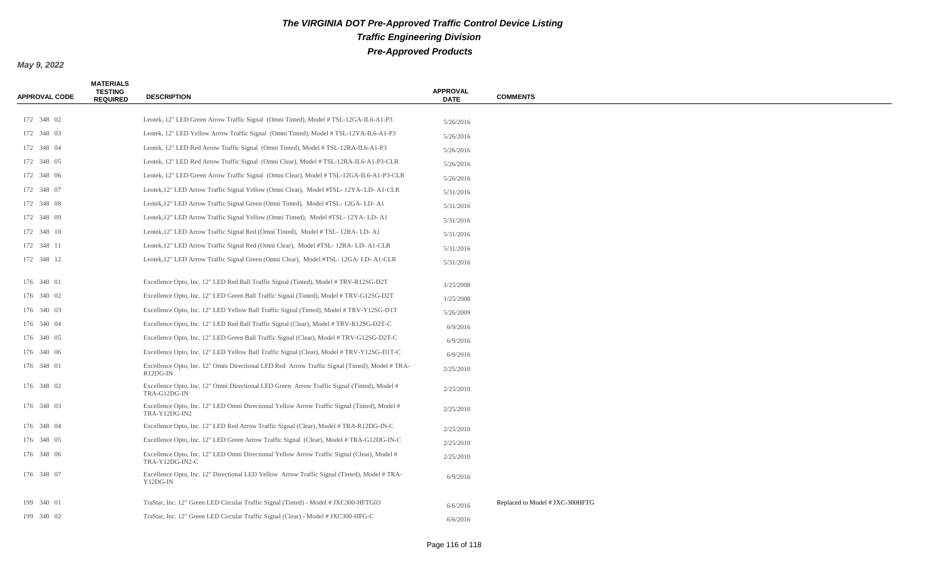| <b>APPROVAL CODE</b> | <b>MATERIALS</b><br><b>TESTING</b><br><b>REQUIRED</b> | <b>DESCRIPTION</b>                                                                                             | <b>APPROVAL</b><br><b>DATE</b> | <b>COMMENTS</b>                 |
|----------------------|-------------------------------------------------------|----------------------------------------------------------------------------------------------------------------|--------------------------------|---------------------------------|
|                      |                                                       |                                                                                                                |                                |                                 |
| 172 348 02           |                                                       | Leotek, 12" LED Green Arrow Traffic Signal (Omni Tinted), Model # TSL-12GA-IL6-A1-P3                           | 5/26/2016                      |                                 |
| 172 348 03           |                                                       | Leotek, 12" LED Yellow Arrow Traffic Signal (Omni Tinted), Model # TSL-12YA-IL6-A1-P3                          | 5/26/2016                      |                                 |
| 172 348 04           |                                                       | Leotek, 12" LED Red Arrow Traffic Signal (Omni Tinted), Model # TSL-12RA-IL6-A1-P3                             | 5/26/2016                      |                                 |
| 172 348 05           |                                                       | Leotek, 12" LED Red Arrow Traffic Signal (Omni Clear), Model # TSL-12RA-IL6-A1-P3-CLR                          | 5/26/2016                      |                                 |
| 172 348 06           |                                                       | Leotek, 12" LED Green Arrow Traffic Signal (Omni Clear), Model # TSL-12GA-IL6-A1-P3-CLR                        | 5/26/2016                      |                                 |
| 172 348 07           |                                                       | Leotek, 12" LED Arrow Traffic Signal Yellow (Omni Clear), Model #TSL-12YA-LD-A1-CLR                            | 5/31/2016                      |                                 |
| 172 348 08           |                                                       | Leotek, 12" LED Arrow Traffic Signal Green (Omni Tinted), Model #TSL- 12GA- LD- A1                             | 5/31/2016                      |                                 |
| 172 348 09           |                                                       | Leotek, 12" LED Arrow Traffic Signal Yellow (Omni Tinted), Model #TSL-12YA-LD-A1                               | 5/31/2016                      |                                 |
| 172 348 10           |                                                       | Leotek, 12" LED Arrow Traffic Signal Red (Omni Tinted), Model #TSL-12RA-LD-A1                                  | 5/31/2016                      |                                 |
| 172 348 11           |                                                       | Leotek, 12" LED Arrow Traffic Signal Red (Omni Clear), Model #TSL-12RA-LD-A1-CLR                               | 5/31/2016                      |                                 |
| 172 348 12           |                                                       | Leotek, 12" LED Arrow Traffic Signal Green (Omni Clear), Model #TSL-12GA-LD-A1-CLR                             | 5/31/2016                      |                                 |
| 176 340 01           |                                                       | Excellence Opto, Inc. 12" LED Red Ball Traffic Signal (Tinted), Model #TRV-R12SG-D2T                           | 1/25/2008                      |                                 |
| 176 340 02           |                                                       | Excellence Opto, Inc. 12" LED Green Ball Traffic Signal (Tinted), Model # TRV-G12SG-D2T                        | 1/25/2008                      |                                 |
| 176 340 03           |                                                       | Excellence Opto, Inc. 12" LED Yellow Ball Traffic Signal (Tinted), Model #TRV-Y12SG-D1T                        | 5/26/2009                      |                                 |
| 176 340 04           |                                                       | Excellence Opto, Inc. 12" LED Red Ball Traffic Signal (Clear), Model #TRV-R12SG-D2T-C                          | 6/9/2016                       |                                 |
| 176 340 05           |                                                       | Excellence Opto, Inc. 12" LED Green Ball Traffic Signal (Clear), Model #TRV-G12SG-D2T-C                        | 6/9/2016                       |                                 |
| 176 340 06           |                                                       | Excellence Opto, Inc. 12" LED Yellow Ball Traffic Signal (Clear), Model #TRV-Y12SG-D1T-C                       | 6/9/2016                       |                                 |
| 176 348 01           |                                                       | Excellence Opto, Inc. 12" Omni Directional LED Red Arrow Traffic Signal (Tinted), Model #TRA-<br>R12DG-IN      | 2/25/2010                      |                                 |
| 176 348 02           |                                                       | Excellence Opto, Inc. 12" Omni Directional LED Green Arrow Traffic Signal (Tinted), Model #<br>TRA-G12DG-IN    | 2/25/2010                      |                                 |
| 176 348 03           |                                                       | Excellence Opto, Inc. 12" LED Omni Directional Yellow Arrow Traffic Signal (Tinted), Model #<br>TRA-Y12DG-IN2  | 2/25/2010                      |                                 |
| 176 348 04           |                                                       | Excellence Opto, Inc. 12" LED Red Arrow Traffic Signal (Clear), Model # TRA-R12DG-IN-C                         | 2/25/2010                      |                                 |
| 176 348 05           |                                                       | Excellence Opto, Inc. 12" LED Green Arrow Traffic Signal (Clear), Model #TRA-G12DG-IN-C                        | 2/25/2010                      |                                 |
| 176 348 06           |                                                       | Excellence Opto, Inc. 12" LED Omni Directional Yellow Arrow Traffic Signal (Clear), Model #<br>TRA-Y12DG-IN2-C | 2/25/2010                      |                                 |
| 176 348 07           |                                                       | Excellence Opto, Inc. 12" Directional LED Yellow Arrow Traffic Signal (Tinted), Model #TRA-<br>Y12DG-IN        | 6/9/2016                       |                                 |
| 199 340 01           |                                                       | TraStar, Inc. 12" Green LED Circular Traffic Signal (Tinted) - Model # JXC300-HFTG03                           | 6/6/2016                       | Replaced to Model # JXC-300HFTG |
| 199 340 02           |                                                       | TraStar, Inc. 12" Green LED Circular Traffic Signal (Clear) - Model # JXC300-HFG-C                             | 6/6/2016                       |                                 |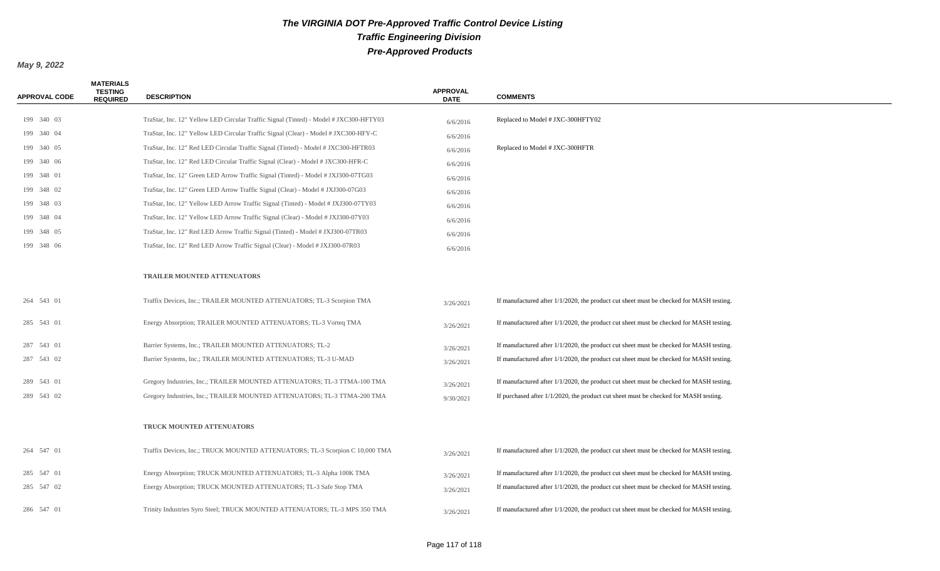| <b>APPROVAL CODE</b> | <b>MATERIALS</b><br><b>TESTING</b><br><b>REQUIRED</b> | <b>DESCRIPTION</b>                                                                    | <b>APPROVAL</b><br><b>DATE</b> | <b>COMMENTS</b>                                                                            |
|----------------------|-------------------------------------------------------|---------------------------------------------------------------------------------------|--------------------------------|--------------------------------------------------------------------------------------------|
|                      |                                                       |                                                                                       |                                |                                                                                            |
| 199 340 03           |                                                       | TraStar, Inc. 12" Yellow LED Circular Traffic Signal (Tinted) - Model # JXC300-HFTY03 | 6/6/2016                       | Replaced to Model # JXC-300HFTY02                                                          |
| 199 340 04           |                                                       | TraStar, Inc. 12" Yellow LED Circular Traffic Signal (Clear) - Model # JXC300-HFY-C   | 6/6/2016                       |                                                                                            |
| 199 340 05           |                                                       | TraStar, Inc. 12" Red LED Circular Traffic Signal (Tinted) - Model # JXC300-HFTR03    | 6/6/2016                       | Replaced to Model # JXC-300HFTR                                                            |
| 199 340 06           |                                                       | TraStar, Inc. 12" Red LED Circular Traffic Signal (Clear) - Model # JXC300-HFR-C      | 6/6/2016                       |                                                                                            |
| 199 348 01           |                                                       | TraStar, Inc. 12" Green LED Arrow Traffic Signal (Tinted) - Model # JXJ300-07TG03     | 6/6/2016                       |                                                                                            |
| 199 348 02           |                                                       | TraStar, Inc. 12" Green LED Arrow Traffic Signal (Clear) - Model # JXJ300-07G03       | 6/6/2016                       |                                                                                            |
| 199 348 03           |                                                       | TraStar, Inc. 12" Yellow LED Arrow Traffic Signal (Tinted) - Model # JXJ300-07TY03    | 6/6/2016                       |                                                                                            |
| 199 348 04           |                                                       | TraStar, Inc. 12" Yellow LED Arrow Traffic Signal (Clear) - Model # JXJ300-07Y03      | 6/6/2016                       |                                                                                            |
| 199 348 05           |                                                       | TraStar, Inc. 12" Red LED Arrow Traffic Signal (Tinted) - Model # JXJ300-07TR03       | 6/6/2016                       |                                                                                            |
| 199 348 06           |                                                       | TraStar, Inc. 12" Red LED Arrow Traffic Signal (Clear) - Model # JXJ300-07R03         | 6/6/2016                       |                                                                                            |
|                      |                                                       | <b>TRAILER MOUNTED ATTENUATORS</b>                                                    |                                |                                                                                            |
| 264 543 01           |                                                       | Traffix Devices, Inc.; TRAILER MOUNTED ATTENUATORS; TL-3 Scorpion TMA                 | 3/26/2021                      | If manufactured after 1/1/2020, the product cut sheet must be checked for MASH testing.    |
| 285 543 01           |                                                       | Energy Absorption; TRAILER MOUNTED ATTENUATORS; TL-3 Vorteq TMA                       | 3/26/2021                      | If manufactured after $1/1/2020$ , the product cut sheet must be checked for MASH testing. |
| 287 543 01           |                                                       | Barrier Systems, Inc.; TRAILER MOUNTED ATTENUATORS; TL-2                              | 3/26/2021                      | If manufactured after $1/1/2020$ , the product cut sheet must be checked for MASH testing. |
| 287 543 02           |                                                       | Barrier Systems, Inc.; TRAILER MOUNTED ATTENUATORS; TL-3 U-MAD                        | 3/26/2021                      | If manufactured after 1/1/2020, the product cut sheet must be checked for MASH testing.    |
| 289 543 01           |                                                       | Gregory Industries, Inc.; TRAILER MOUNTED ATTENUATORS; TL-3 TTMA-100 TMA              | 3/26/2021                      | If manufactured after 1/1/2020, the product cut sheet must be checked for MASH testing.    |
| 289 543 02           |                                                       | Gregory Industries, Inc.; TRAILER MOUNTED ATTENUATORS; TL-3 TTMA-200 TMA              | 9/30/2021                      | If purchased after $1/1/2020$ , the product cut sheet must be checked for MASH testing.    |
|                      |                                                       | TRUCK MOUNTED ATTENUATORS                                                             |                                |                                                                                            |
| 264 547 01           |                                                       | Traffix Devices, Inc.; TRUCK MOUNTED ATTENUATORS; TL-3 Scorpion C 10,000 TMA          | 3/26/2021                      | If manufactured after $1/1/2020$ , the product cut sheet must be checked for MASH testing. |
| 285 547 01           |                                                       | Energy Absorption; TRUCK MOUNTED ATTENUATORS; TL-3 Alpha 100K TMA                     | 3/26/2021                      | If manufactured after 1/1/2020, the product cut sheet must be checked for MASH testing.    |
| 285 547 02           |                                                       | Energy Absorption; TRUCK MOUNTED ATTENUATORS; TL-3 Safe Stop TMA                      | 3/26/2021                      | If manufactured after 1/1/2020, the product cut sheet must be checked for MASH testing.    |
| 286 547 01           |                                                       | Trinity Industries Syro Steel; TRUCK MOUNTED ATTENUATORS; TL-3 MPS 350 TMA            | 3/26/2021                      | If manufactured after 1/1/2020, the product cut sheet must be checked for MASH testing.    |